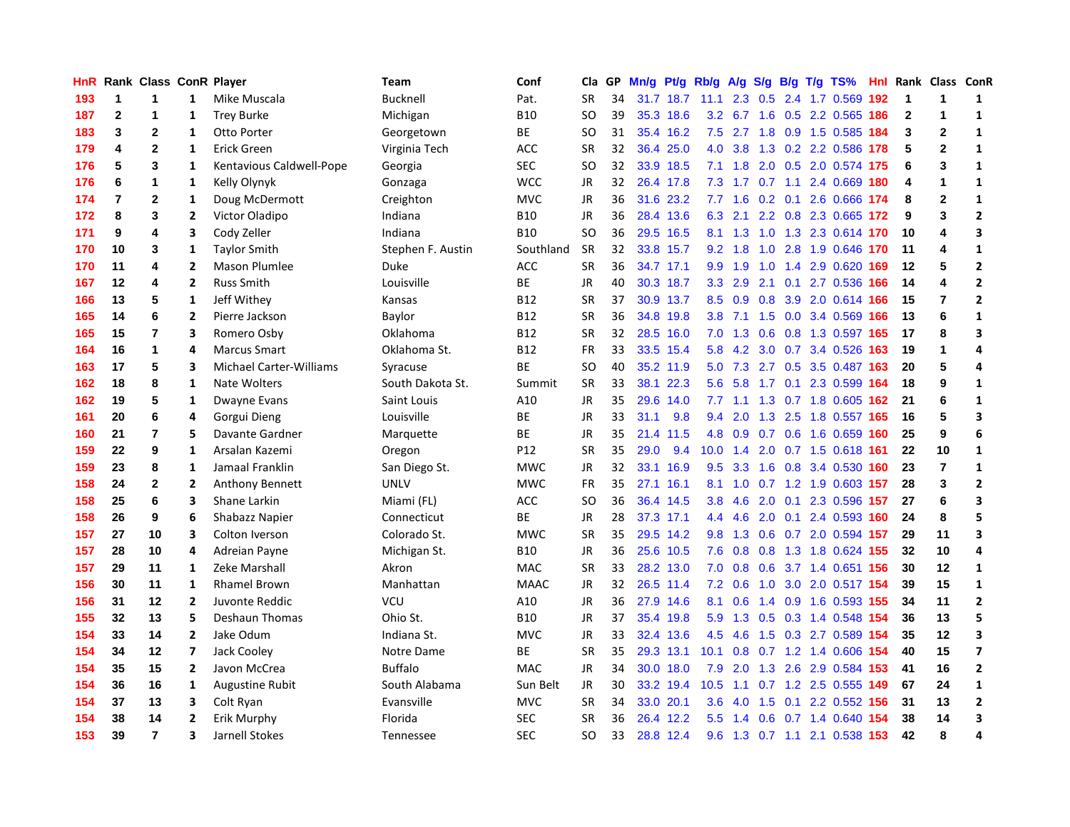| HnR |    | Rank Class ConR Player |                          |                                | Team              | Conf            | Cla       | <b>GP</b> | Mn/g | <b>Pt/g</b> | Rb/g          | A/g             |     |     | S/g B/g T/g TS%               | Hnl |              | Rank Class ConR |                         |
|-----|----|------------------------|--------------------------|--------------------------------|-------------------|-----------------|-----------|-----------|------|-------------|---------------|-----------------|-----|-----|-------------------------------|-----|--------------|-----------------|-------------------------|
| 193 | 1  | 1                      | 1                        | Mike Muscala                   | <b>Bucknell</b>   | Pat.            | <b>SR</b> | 34        |      | 31.7 18.7   | 11.1          | 2.3             | 0.5 |     | 2.4 1.7 0.569                 | 192 | 1            | 1               | 1                       |
| 187 | 2  | 1                      | 1                        | <b>Trey Burke</b>              | Michigan          | <b>B10</b>      | <b>SO</b> | 39        |      | 35.3 18.6   |               | $3.2 \quad 6.7$ |     |     | 1.6 0.5 2.2 0.565 186         |     | $\mathbf{2}$ | 1               | $\mathbf{1}$            |
| 183 | 3  | 2                      | 1                        | Otto Porter                    | Georgetown        | ВE              | <b>SO</b> | 31        |      | 35.4 16.2   | 7.5           | 2.7             |     |     | 1.8 0.9 1.5 0.585 184         |     | 3            | $\mathbf{2}$    | $\mathbf{1}$            |
| 179 | 4  | $\mathbf{2}$           | 1                        | <b>Erick Green</b>             | Virginia Tech     | <b>ACC</b>      | <b>SR</b> | 32        |      | 36.4 25.0   |               | 4.0 3.8         |     |     | 1.3 0.2 2.2 0.586 178         |     | 5            | $\overline{2}$  | $\mathbf{1}$            |
| 176 | 5  | 3                      | 1                        | Kentavious Caldwell-Pope       | Georgia           | <b>SEC</b>      | <b>SO</b> | 32        |      | 33.9 18.5   |               | $7.1 \quad 1.8$ |     |     | 2.0 0.5 2.0 0.574 175         |     | 6            | 3               | $\mathbf{1}$            |
| 176 | 6  | 1                      | 1                        | Kelly Olynyk                   | Gonzaga           | <b>WCC</b>      | JR        | 32        |      | 26.4 17.8   | 7.3           | 1.7             |     |     | $0.7$ 1.1 2.4 0.669           | 180 | 4            | 1               | $\mathbf{1}$            |
| 174 | 7  | $\mathbf 2$            | $\mathbf{1}$             | Doug McDermott                 | Creighton         | <b>MVC</b>      | JR        | 36        |      | 31.6 23.2   | 7.7           | 1.6             |     |     | 0.2 0.1 2.6 0.666             | 174 | 8            | $\mathbf 2$     | $\mathbf{1}$            |
| 172 | 8  | 3                      | 2                        | Victor Oladipo                 | Indiana           | <b>B10</b>      | JR        | 36        |      | 28.4 13.6   | 6.3           | 2.1             |     |     | 2.2 0.8 2.3 0.665 172         |     | 9            | 3               | $\overline{2}$          |
| 171 | 9  | 4                      | 3                        | Cody Zeller                    | Indiana           | <b>B10</b>      | <b>SO</b> | 36        |      | 29.5 16.5   | 8.1           | 1.3             | 1.0 |     | 1.3 2.3 0.614 170             |     | 10           | 4               | 3                       |
| 170 | 10 | 3                      | 1                        | <b>Taylor Smith</b>            | Stephen F. Austin | Southland       | <b>SR</b> | 32        |      | 33.8 15.7   | 9.2           | 1.8             |     |     | 1.0 2.8 1.9 0.646 170         |     | 11           | 4               | 1                       |
| 170 | 11 | 4                      | 2                        | <b>Mason Plumlee</b>           | Duke              | <b>ACC</b>      | <b>SR</b> | 36        |      | 34.7 17.1   | 9.9           | 1.9             |     |     | 1.0 1.4 2.9 0.620 169         |     | 12           | 5               | $\mathbf{2}$            |
| 167 | 12 | 4                      | 2                        | <b>Russ Smith</b>              | Louisville        | ВE              | JR        | 40        |      | 30.3 18.7   | 3.3           | 2.9             |     |     | 2.1 0.1 2.7 0.536 166         |     | 14           | 4               | $\mathbf{2}$            |
| 166 | 13 | 5                      | 1                        | Jeff Withey                    | Kansas            | <b>B12</b>      | <b>SR</b> | 37        |      | 30.9 13.7   | 8.5           | 0.9             | 0.8 |     | 3.9 2.0 0.614 166             |     | 15           | $\overline{7}$  | $\mathbf{2}$            |
| 165 | 14 | 6                      | $\mathbf{2}$             | Pierre Jackson                 | Baylor            | B12             | <b>SR</b> | 36        |      | 34.8 19.8   | 3.8           | 7.1             | 1.5 |     | 0.0 3.4 0.569                 | 166 | 13           | 6               | $\mathbf{1}$            |
| 165 | 15 | 7                      | 3                        | Romero Osby                    | Oklahoma          | <b>B12</b>      | <b>SR</b> | 32        | 28.5 | 16.0        | 7.0           | 1.3             | 0.6 |     | 0.8 1.3 0.597                 | 165 | 17           | 8               | 3                       |
| 164 | 16 | 1                      | 4                        | <b>Marcus Smart</b>            | Oklahoma St.      | <b>B12</b>      | <b>FR</b> | 33        |      | 33.5 15.4   | 5.8           | 4.2             |     |     | 3.0 0.7 3.4 0.526             | 163 | 19           | 1               | 4                       |
| 163 | 17 | 5                      | 3                        | <b>Michael Carter-Williams</b> | Syracuse          | <b>BE</b>       | <b>SO</b> | 40        |      | 35.2 11.9   | 5.0           | 7.3             |     |     | 2.7 0.5 3.5 0.487             | 163 | 20           | 5               | 4                       |
| 162 | 18 | 8                      | 1                        | Nate Wolters                   | South Dakota St.  | Summit          | <b>SR</b> | 33        |      | 38.1 22.3   | 5.6           | 5.8             | 1.7 |     | 0.1 2.3 0.599 164             |     | 18           | 9               | $\mathbf{1}$            |
| 162 | 19 | 5                      | 1                        | Dwayne Evans                   | Saint Louis       | A10             | <b>JR</b> | 35        |      | 29.6 14.0   |               | $7.7$ 1.1       |     |     | 1.3 0.7 1.8 0.605 162         |     | 21           | 6               | $\mathbf{1}$            |
| 161 | 20 | 6                      | 4                        | Gorgui Dieng                   | Louisville        | BE              | <b>JR</b> | 33        | 31.1 | 9.8         | 9.4           | 2.0             |     |     | 1.3 2.5 1.8 0.557 165         |     | 16           | 5               | 3                       |
| 160 | 21 | 7                      | 5                        | Davante Gardner                | Marquette         | BE              | <b>JR</b> | 35        |      | 21.4 11.5   | 4.8           | 0.9             |     |     | 0.7 0.6 1.6 0.659 160         |     | 25           | 9               | 6                       |
| 159 | 22 | 9                      | $\mathbf{1}$             | Arsalan Kazemi                 | Oregon            | P <sub>12</sub> | <b>SR</b> | 35        | 29.0 | 9.4         | 10.0          | 1.4             |     |     | 2.0 0.7 1.5 0.618             | 161 | 22           | 10              | $\mathbf{1}$            |
| 159 | 23 | 8                      | $\mathbf{1}$             | Jamaal Franklin                | San Diego St.     | <b>MWC</b>      | <b>JR</b> | 32        |      | 33.1 16.9   | 9.5           | 3.3             |     |     | 1.6 0.8 3.4 0.530             | 160 | 23           | $\overline{7}$  | $\mathbf{1}$            |
| 158 | 24 | 2                      | 2                        | <b>Anthony Bennett</b>         | <b>UNLV</b>       | <b>MWC</b>      | <b>FR</b> | 35        |      | 27.1 16.1   | 8.1           | 1.0             |     |     | 0.7 1.2 1.9 0.603             | 157 | 28           | 3               | $\overline{2}$          |
| 158 | 25 | 6                      | 3                        | Shane Larkin                   | Miami (FL)        | <b>ACC</b>      | <b>SO</b> | 36        |      | 36.4 14.5   | 3.8           | 4.6             | 2.0 | 0.1 | 2.3 0.596                     | 157 | 27           | 6               | 3                       |
| 158 | 26 | 9                      | 6                        | <b>Shabazz Napier</b>          | Connecticut       | <b>BE</b>       | <b>JR</b> | 28        |      | 37.3 17.1   | $4.4^{\circ}$ | 4.6             | 2.0 |     | 0.1 2.4 0.593 160             |     | 24           | 8               | 5                       |
| 157 | 27 | 10                     | 3                        | Colton Iverson                 | Colorado St.      | <b>MWC</b>      | <b>SR</b> | 35        |      | 29.5 14.2   |               |                 |     |     | 9.8 1.3 0.6 0.7 2.0 0.594 157 |     | 29           | 11              | 3                       |
| 157 | 28 | 10                     | 4                        | Adreian Payne                  | Michigan St.      | <b>B10</b>      | JR        | 36        |      | 25.6 10.5   | 7.6           | 0.8             |     |     | 0.8 1.3 1.8 0.624 155         |     | 32           | 10              | 4                       |
| 157 | 29 | 11                     | 1                        | Zeke Marshall                  | Akron             | <b>MAC</b>      | <b>SR</b> | 33        |      | 28.2 13.0   | 7.0           | 0.8             |     |     | 0.6 3.7 1.4 0.651 156         |     | 30           | 12              | $\mathbf{1}$            |
| 156 | 30 | 11                     | $\mathbf{1}$             | <b>Rhamel Brown</b>            | Manhattan         | <b>MAAC</b>     | <b>JR</b> | 32        |      | 26.5 11.4   | 7.2           | 0.6             | 1.0 |     | 3.0 2.0 0.517 154             |     | 39           | 15              | $\mathbf{1}$            |
| 156 | 31 | 12                     | $\overline{2}$           | Juvonte Reddic                 | VCU               | A10             | JR        | 36        |      | 27.9 14.6   | 8.1           | 0.6             |     |     | 1.4 0.9 1.6 0.593             | 155 | 34           | 11              | $\overline{\mathbf{2}}$ |
| 155 | 32 | 13                     | 5                        | <b>Deshaun Thomas</b>          | Ohio St.          | <b>B10</b>      | <b>JR</b> | 37        | 35.4 | 19.8        | 5.9           | 1.3             | 0.5 |     | 0.3 1.4 0.548                 | 154 | 36           | 13              | 5                       |
| 154 | 33 | 14                     | 2                        | Jake Odum                      | Indiana St.       | <b>MVC</b>      | JR        | 33        |      | 32.4 13.6   | 4.5           | 4.6             | 1.5 |     | 0.3 2.7 0.589                 | 154 | 35           | 12              | 3                       |
| 154 | 34 | 12                     | $\overline{\phantom{a}}$ | Jack Cooley                    | Notre Dame        | <b>BE</b>       | <b>SR</b> | 35        |      | 29.3 13.1   | 10.1          | 0.8             |     |     | 0.7 1.2 1.4 0.606             | 154 | 40           | 15              | $\overline{\mathbf{z}}$ |
| 154 | 35 | 15                     | 2                        | Javon McCrea                   | <b>Buffalo</b>    | <b>MAC</b>      | JR        | 34        |      | 30.0 18.0   |               | $7.9$ 2.0       |     |     | 1.3 2.6 2.9 0.584 153         |     | 41           | 16              | $\overline{\mathbf{2}}$ |
| 154 | 36 | 16                     | 1                        | <b>Augustine Rubit</b>         | South Alabama     | Sun Belt        | <b>JR</b> | 30        |      | 33.2 19.4   | 10.5          | 1.1             |     |     | 0.7 1.2 2.5 0.555 149         |     | 67           | 24              | $\mathbf{1}$            |
| 154 | 37 | 13                     | 3                        | Colt Ryan                      | Evansville        | <b>MVC</b>      | <b>SR</b> | 34        |      | 33.0 20.1   | 3.6           | 4.0             | 1.5 |     | 0.1 2.2 0.552 156             |     | 31           | 13              | $\mathbf{2}$            |
| 154 | 38 | 14                     | 2                        | Erik Murphy                    | Florida           | <b>SEC</b>      | <b>SR</b> | 36        |      | 26.4 12.2   | 5.5           | 1.4             | 0.6 |     | $0.7$ 1.4 $0.640$             | 154 | 38           | 14              | 3                       |
| 153 | 39 | $\overline{7}$         | 3                        | Jarnell Stokes                 | Tennessee         | <b>SEC</b>      | SO.       | 33        |      | 28.8 12.4   |               |                 |     |     | 9.6 1.3 0.7 1.1 2.1 0.538 153 |     | 42           | 8               | $\overline{\mathbf{A}}$ |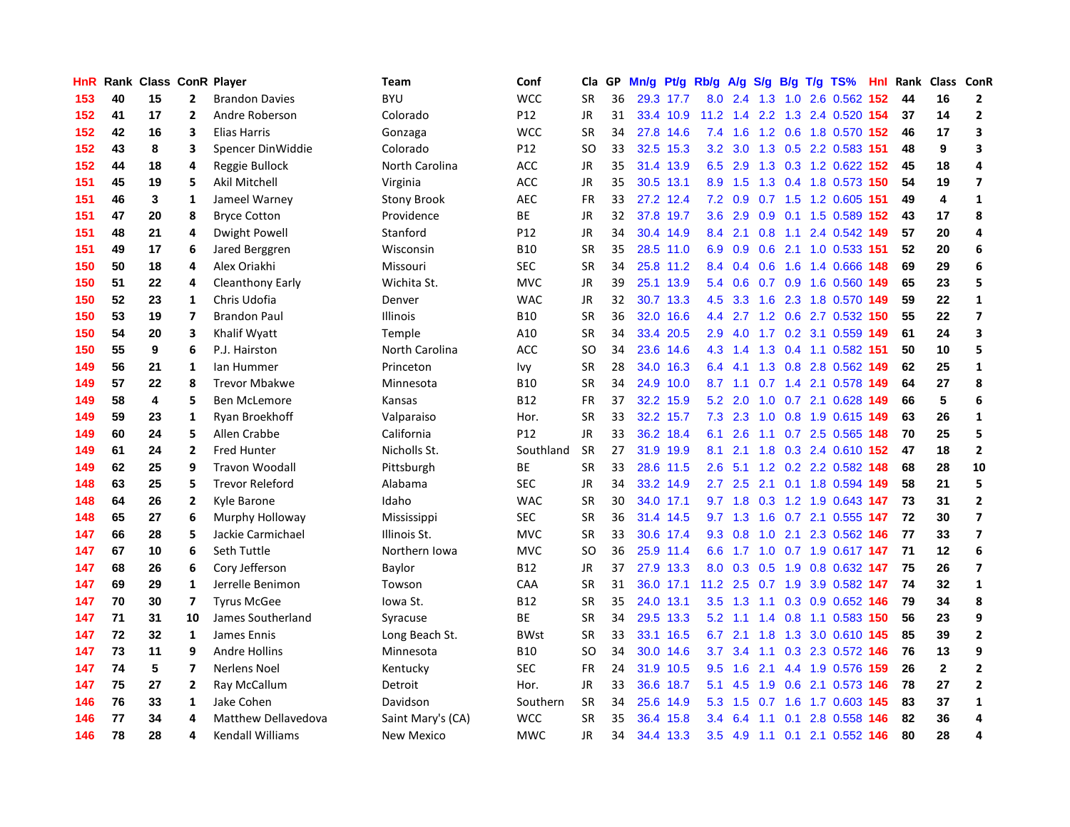| HnR |    | Rank Class ConR Player |                         |                            | <b>Team</b>        | Conf            | Cla       | <b>GP</b> | Mn/g | Pt/g      | Rb/g          | A/g       |                  |     | S/g B/g T/g TS%           | <b>Hnl</b> | Rank | Class        | ConR                    |
|-----|----|------------------------|-------------------------|----------------------------|--------------------|-----------------|-----------|-----------|------|-----------|---------------|-----------|------------------|-----|---------------------------|------------|------|--------------|-------------------------|
| 153 | 40 | 15                     | $\mathbf{2}$            | <b>Brandon Davies</b>      | <b>BYU</b>         | <b>WCC</b>      | <b>SR</b> | 36        |      | 29.3 17.7 | 8.0           | 2.4       | 1.3              | 1.0 | 2.6 0.562                 | 152        | 44   | 16           | $\overline{\mathbf{2}}$ |
| 152 | 41 | 17                     | $\mathbf{2}$            | Andre Roberson             | Colorado           | P12             | <b>JR</b> | 31        |      | 33.4 10.9 | 11.2          |           |                  |     | 1.4 2.2 1.3 2.4 0.520 154 |            | 37   | 14           | $\overline{2}$          |
| 152 | 42 | 16                     | 3                       | Elias Harris               | Gonzaga            | <b>WCC</b>      | <b>SR</b> | 34        |      | 27.8 14.6 | 7.4           | 1.6       |                  |     | 1.2 0.6 1.8 0.570 152     |            | 46   | 17           | $\overline{\mathbf{3}}$ |
| 152 | 43 | 8                      | 3                       | Spencer DinWiddie          | Colorado           | P <sub>12</sub> | SO        | 33        |      | 32.5 15.3 | 3.2           | 3.0       |                  |     | 1.3 0.5 2.2 0.583 151     |            | 48   | 9            | 3                       |
| 152 | 44 | 18                     | 4                       | Reggie Bullock             | North Carolina     | <b>ACC</b>      | JR        | 35        |      | 31.4 13.9 | 6.5           | 2.9       |                  |     | 1.3 0.3 1.2 0.622 152     |            | 45   | 18           | 4                       |
| 151 | 45 | 19                     | 5                       | Akil Mitchell              | Virginia           | <b>ACC</b>      | JR        | 35        | 30.5 | 13.1      | 8.9           | 1.5       |                  |     | 1.3 0.4 1.8 0.573 150     |            | 54   | 19           | $\overline{7}$          |
| 151 | 46 | 3                      | 1                       | Jameel Warney              | <b>Stony Brook</b> | <b>AEC</b>      | <b>FR</b> | 33        |      | 27.2 12.4 | 7.2           | 0.9       |                  |     | 0.7 1.5 1.2 0.605         | -151       | 49   | 4            | $\mathbf{1}$            |
| 151 | 47 | 20                     | 8                       | <b>Bryce Cotton</b>        | Providence         | <b>BE</b>       | JR        | 32        | 37.8 | 19.7      | 3.6           | 2.9       | 0.9 <sup>°</sup> |     | 0.1 1.5 0.589 152         |            | 43   | 17           | 8                       |
| 151 | 48 | 21                     | 4                       | Dwight Powell              | Stanford           | P12             | JR        | 34        |      | 30.4 14.9 | 8.4           | 2.1       | 0.8              | 1.1 | 2.4 0.542 149             |            | 57   | 20           | 4                       |
| 151 | 49 | 17                     | 6                       | Jared Berggren             | Wisconsin          | <b>B10</b>      | <b>SR</b> | 35        |      | 28.5 11.0 | 6.9           | 0.9       |                  |     | 0.6 2.1 1.0 0.533 151     |            | 52   | 20           | 6                       |
| 150 | 50 | 18                     | 4                       | Alex Oriakhi               | Missouri           | <b>SEC</b>      | <b>SR</b> | 34        |      | 25.8 11.2 | $8.4^{\circ}$ | 0.4       |                  |     | 0.6 1.6 1.4 0.666 148     |            | 69   | 29           | 6                       |
| 150 | 51 | 22                     | 4                       | Cleanthony Early           | Wichita St.        | <b>MVC</b>      | JR        | 39        |      | 25.1 13.9 | 5.4           | 0.6       |                  |     | 0.7 0.9 1.6 0.560 149     |            | 65   | 23           | 5                       |
| 150 | 52 | 23                     | 1                       | Chris Udofia               | Denver             | <b>WAC</b>      | <b>JR</b> | 32        |      | 30.7 13.3 | 4.5           | 3.3       |                  |     | 1.6 2.3 1.8 0.570         | 149        | 59   | 22           | $\mathbf{1}$            |
| 150 | 53 | 19                     | $\overline{\mathbf{z}}$ | <b>Brandon Paul</b>        | <b>Illinois</b>    | <b>B10</b>      | <b>SR</b> | 36        | 32.0 | 16.6      | 4.4           | 2.7       |                  |     | 1.2 0.6 2.7 0.532 150     |            | 55   | 22           | $\overline{7}$          |
| 150 | 54 | 20                     | 3                       | Khalif Wyatt               | Temple             | A10             | <b>SR</b> | 34        | 33.4 | 20.5      | 2.9           | 4.0       |                  |     | 1.7 0.2 3.1 0.559         | 149        | 61   | 24           | $\overline{\mathbf{3}}$ |
| 150 | 55 | 9                      | 6                       | P.J. Hairston              | North Carolina     | <b>ACC</b>      | <b>SO</b> | 34        | 23.6 | 14.6      | 4.3           | 1.4       | 1.3              |     | $0.4$ 1.1 0.582           | 151        | 50   | 10           | 5                       |
| 149 | 56 | 21                     | $\mathbf{1}$            | lan Hummer                 | Princeton          | Ivy             | <b>SR</b> | 28        | 34.0 | 16.3      | 6.4           | 4.1       | 1.3              |     | 0.8 2.8 0.562 149         |            | 62   | 25           | $\mathbf{1}$            |
| 149 | 57 | 22                     | 8                       | <b>Trevor Mbakwe</b>       | Minnesota          | <b>B10</b>      | <b>SR</b> | 34        |      | 24.9 10.0 | 8.7           | 1.1       | 0.7              | 1.4 | 2.1 0.578 149             |            | 64   | 27           | 8                       |
| 149 | 58 | 4                      | 5                       | Ben McLemore               | Kansas             | <b>B12</b>      | <b>FR</b> | 37        |      | 32.2 15.9 | 5.2           | 2.0       |                  |     | 1.0 0.7 2.1 0.628 149     |            | 66   | 5            | 6                       |
| 149 | 59 | 23                     | 1                       | Ryan Broekhoff             | Valparaiso         | Hor.            | <b>SR</b> | 33        |      | 32.2 15.7 | 7.3           | 2.3       |                  |     | 1.0 0.8 1.9 0.615 149     |            | 63   | 26           | $\mathbf{1}$            |
| 149 | 60 | 24                     | 5                       | Allen Crabbe               | California         | P12             | JR        | 33        |      | 36.2 18.4 | 6.1           | 2.6       |                  |     | 1.1 0.7 2.5 0.565 148     |            | 70   | 25           | 5                       |
| 149 | 61 | 24                     | $\mathbf{2}$            | <b>Fred Hunter</b>         | Nicholls St.       | Southland       | <b>SR</b> | 27        |      | 31.9 19.9 | 8.1           | 2.1       |                  |     | 1.8 0.3 2.4 0.610 152     |            | 47   | 18           | $\overline{2}$          |
| 149 | 62 | 25                     | 9                       | <b>Travon Woodall</b>      | Pittsburgh         | BE              | <b>SR</b> | 33        |      | 28.6 11.5 | 2.6           | 5.1       |                  |     | 1.2 0.2 2.2 0.582 148     |            | 68   | 28           | 10                      |
| 148 | 63 | 25                     | 5                       | <b>Trevor Releford</b>     | Alabama            | <b>SEC</b>      | JR        | 34        | 33.2 | 14.9      | 2.7           | 2.5       |                  |     | 2.1 0.1 1.8 0.594         | 149        | 58   | 21           | 5                       |
| 148 | 64 | 26                     | $\mathbf{2}$            | Kyle Barone                | Idaho              | <b>WAC</b>      | <b>SR</b> | 30        |      | 34.0 17.1 | 9.7           | 1.8       | 0.3              |     | 1.2 1.9 0.643             | 147        | 73   | 31           | $\overline{2}$          |
| 148 | 65 | 27                     | 6                       | Murphy Holloway            | Mississippi        | <b>SEC</b>      | <b>SR</b> | 36        |      | 31.4 14.5 |               | $9.7$ 1.3 | 1.6              |     | $0.7$ 2.1 $0.555$         | 147        | 72   | 30           | $\overline{\mathbf{z}}$ |
| 147 | 66 | 28                     | 5                       | Jackie Carmichael          | Illinois St.       | <b>MVC</b>      | <b>SR</b> | 33        |      | 30.6 17.4 | 9.3           | 0.8       |                  |     | 1.0 2.1 2.3 0.562 146     |            | 77   | 33           | $\overline{\mathbf{z}}$ |
| 147 | 67 | 10                     | 6                       | Seth Tuttle                | Northern Iowa      | <b>MVC</b>      | <b>SO</b> | 36        |      | 25.9 11.4 | 6.6           |           |                  |     | 1.7 1.0 0.7 1.9 0.617 147 |            | -71  | 12           | 6                       |
| 147 | 68 | 26                     | 6                       | Cory Jefferson             | Baylor             | B12             | JR        | 37        |      | 27.9 13.3 | 8.0           | 0.3       |                  |     | 0.5 1.9 0.8 0.632 147     |            | 75   | 26           | $\overline{7}$          |
| 147 | 69 | 29                     | 1                       | Jerrelle Benimon           | Towson             | CAA             | <b>SR</b> | 31        |      | 36.0 17.1 | 11.2          | 2.5       |                  |     | 0.7 1.9 3.9 0.582 147     |            | 74   | 32           | $\mathbf{1}$            |
| 147 | 70 | 30                     | $\overline{ }$          | <b>Tyrus McGee</b>         | Iowa St.           | <b>B12</b>      | <b>SR</b> | 35        |      | 24.0 13.1 | 3.5           | 1.3       | 1.1              |     | 0.3 0.9 0.652 146         |            | 79   | 34           | 8                       |
| 147 | 71 | 31                     | 10                      | James Southerland          | Syracuse           | <b>BE</b>       | <b>SR</b> | 34        |      | 29.5 13.3 | 5.2           | 1.1       |                  |     | 1.4 0.8 1.1 0.583         | 150        | 56   | 23           | 9                       |
| 147 | 72 | 32                     | $\mathbf{1}$            | James Ennis                | Long Beach St.     | <b>BWst</b>     | <b>SR</b> | 33        |      | 33.1 16.5 | 6.7           | 2.1       | 1.8              |     | 1.3 3.0 0.610             | 145        | 85   | 39           | $\overline{2}$          |
| 147 | 73 | 11                     | 9                       | <b>Andre Hollins</b>       | Minnesota          | <b>B10</b>      | SO        | 34        | 30.0 | 14.6      | 3.7           | 3.4       | 1.1              |     | 0.3 2.3 0.572 146         |            | 76   | 13           | 9                       |
| 147 | 74 | 5                      | $\overline{ }$          | <b>Nerlens Noel</b>        | Kentucky           | <b>SEC</b>      | <b>FR</b> | 24        |      | 31.9 10.5 | $9.5^{\circ}$ | 1.6       | 2.1              |     | 4.4 1.9 0.576 159         |            | 26   | $\mathbf{2}$ | $\overline{2}$          |
| 147 | 75 | 27                     | $\mathbf{2}$            | Ray McCallum               | Detroit            | Hor.            | JR        | 33        |      | 36.6 18.7 | 5.1           | 4.5       | 1.9              |     | 0.6 2.1 0.573 146         |            | 78   | 27           | $\overline{\mathbf{2}}$ |
| 146 | 76 | 33                     | 1                       | Jake Cohen                 | Davidson           | Southern        | <b>SR</b> | 34        |      | 25.6 14.9 | 5.3           | 1.5       | 0.7              |     | 1.6 1.7 0.603 145         |            | 83   | 37           | 1                       |
| 146 | 77 | 34                     | 4                       | <b>Matthew Dellavedova</b> | Saint Mary's (CA)  | <b>WCC</b>      | SR        | 35        |      | 36.4 15.8 | $3.4^{\circ}$ | 6.4       | 1.1              | 0.1 | 2.8 0.558 146             |            | 82   | 36           | 4                       |
| 146 | 78 | 28                     | 4                       | <b>Kendall Williams</b>    | <b>New Mexico</b>  | <b>MWC</b>      | <b>JR</b> | 34        |      | 34.4 13.3 | 3.5           | 4.9       |                  |     | 1.1 0.1 2.1 0.552 146     |            | 80   | 28           | $\overline{\mathbf{A}}$ |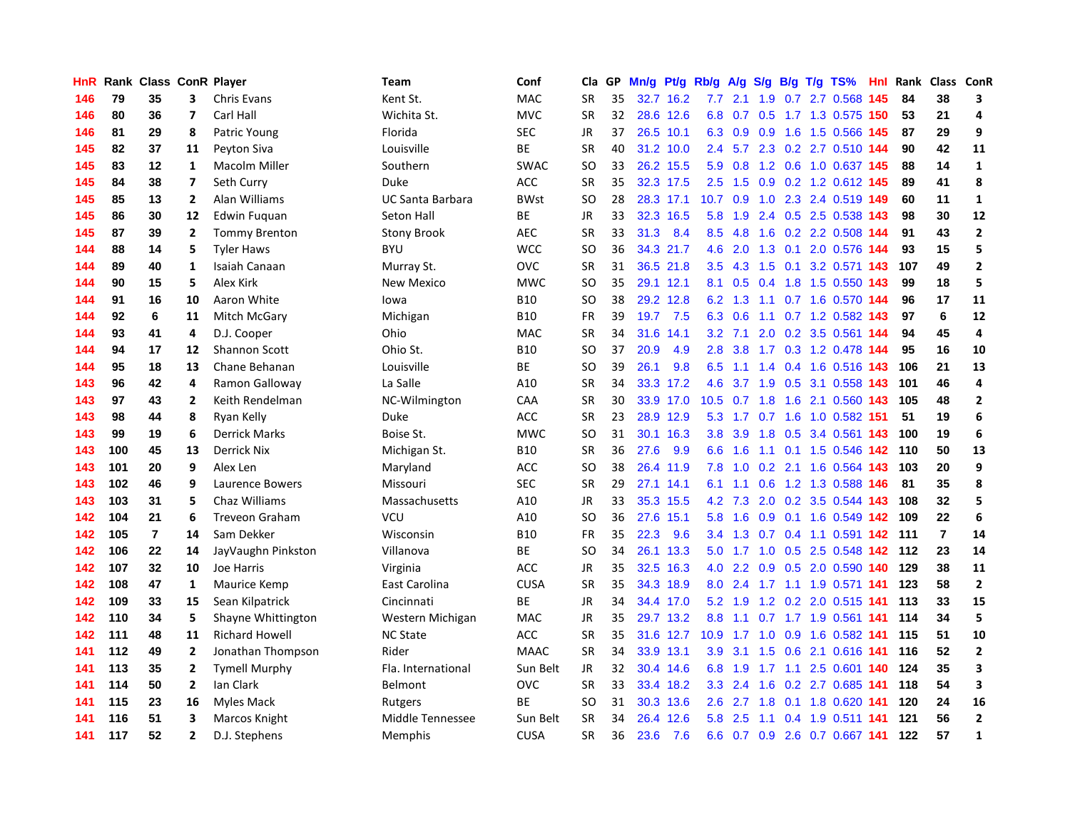| HnR |     | Rank Class ConR Player |                         |                        | <b>Team</b>             | Conf        | Cla       | GP | Mn/g | Pt/g Rb/g |               | A/g           |     |     | $S/g$ B/g T/g TS%             | Hnl | Rank | Class ConR     |                         |
|-----|-----|------------------------|-------------------------|------------------------|-------------------------|-------------|-----------|----|------|-----------|---------------|---------------|-----|-----|-------------------------------|-----|------|----------------|-------------------------|
| 146 | 79  | 35                     | 3                       | <b>Chris Evans</b>     | Kent St.                | MAC         | <b>SR</b> | 35 | 32.7 | 16.2      | 7.7           | 2.1           | 1.9 | 0.7 | 2.7 0.568                     | 145 | 84   | 38             | 3                       |
| 146 | 80  | 36                     | $\overline{7}$          | Carl Hall              | Wichita St.             | <b>MVC</b>  | <b>SR</b> | 32 |      | 28.6 12.6 | 6.8           | 0.7           |     |     | 0.5 1.7 1.3 0.575 150         |     | 53   | 21             | 4                       |
| 146 | 81  | 29                     | 8                       | Patric Young           | Florida                 | <b>SEC</b>  | JR        | 37 |      | 26.5 10.1 |               |               |     |     | 6.3 0.9 0.9 1.6 1.5 0.566 145 |     | 87   | 29             | 9                       |
| 145 | 82  | 37                     | 11                      | Peyton Siva            | Louisville              | ВE          | <b>SR</b> | 40 |      | 31.2 10.0 | $2.4^{\circ}$ | 5.7           |     |     | 2.3 0.2 2.7 0.510 144         |     | 90   | 42             | 11                      |
| 145 | 83  | $12 \overline{ }$      | $\mathbf{1}$            | <b>Macolm Miller</b>   | Southern                | <b>SWAC</b> | <b>SO</b> | 33 |      | 26.2 15.5 | 5.9           | 0.8           |     |     | 1.2 0.6 1.0 0.637 145         |     | 88   | 14             | $\mathbf{1}$            |
| 145 | 84  | 38                     | $\overline{\mathbf{z}}$ | Seth Curry             | Duke                    | <b>ACC</b>  | <b>SR</b> | 35 |      | 32.3 17.5 | 2.5           | 1.5           | 0.9 |     | 0.2 1.2 0.612 145             |     | 89   | 41             | 8                       |
| 145 | 85  | 13                     | $\overline{2}$          | Alan Williams          | <b>UC Santa Barbara</b> | <b>BWst</b> | <b>SO</b> | 28 |      | 28.3 17.1 | 10.7          | 0.9           |     |     | 1.0 2.3 2.4 0.519 149         |     | 60   | 11             | $\mathbf{1}$            |
| 145 | 86  | 30                     | 12                      | Edwin Fuquan           | Seton Hall              | <b>BE</b>   | JR        | 33 |      | 32.3 16.5 | 5.8           | 1.9           |     |     | 2.4 0.5 2.5 0.538             | 143 | 98   | 30             | 12                      |
| 145 | 87  | 39                     | $\overline{2}$          | <b>Tommy Brenton</b>   | <b>Stony Brook</b>      | <b>AEC</b>  | <b>SR</b> | 33 | 31.3 | 8.4       | 8.5           | 4.8           | 1.6 |     | 0.2 2.2 0.508 144             |     | 91   | 43             | $\overline{2}$          |
| 144 | 88  | 14                     | 5                       | <b>Tyler Haws</b>      | <b>BYU</b>              | <b>WCC</b>  | <b>SO</b> | 36 |      | 34.3 21.7 | 4.6           | 2.0           |     |     | 1.3 0.1 2.0 0.576 144         |     | 93   | 15             | 5                       |
| 144 | 89  | 40                     | 1                       | Isaiah Canaan          | Murray St.              | OVC         | <b>SR</b> | 31 |      | 36.5 21.8 | 3.5           |               |     |     | 4.3 1.5 0.1 3.2 0.571 143     |     | 107  | 49             | $\overline{2}$          |
| 144 | 90  | 15                     | 5                       | Alex Kirk              | New Mexico              | <b>MWC</b>  | <b>SO</b> | 35 |      | 29.1 12.1 | 8.1           | 0.5           |     |     | 0.4 1.8 1.5 0.550 143         |     | 99   | 18             | 5                       |
| 144 | 91  | 16                     | 10                      | Aaron White            | lowa                    | <b>B10</b>  | <b>SO</b> | 38 |      | 29.2 12.8 | 6.2           | 1.3           |     |     | 1.1 0.7 1.6 0.570 144         |     | 96   | 17             | 11                      |
| 144 | 92  | 6                      | 11                      | Mitch McGary           | Michigan                | <b>B10</b>  | FR        | 39 | 19.7 | 7.5       | 6.3           | 0.6           |     |     | 1.1 0.7 1.2 0.582 143         |     | 97   | 6              | 12                      |
| 144 | 93  | 41                     | 4                       | D.J. Cooper            | Ohio                    | MAC         | <b>SR</b> | 34 | 31.6 | 14.1      | 3.2           | 7.1           |     |     | 2.0 0.2 3.5 0.561 144         |     | 94   | 45             | $\overline{\mathbf{4}}$ |
| 144 | 94  | 17                     | 12                      | Shannon Scott          | Ohio St.                | <b>B10</b>  | <b>SO</b> | 37 | 20.9 | 4.9       | 2.8           | 3.8           |     |     | 1.7 0.3 1.2 0.478 144         |     | 95   | 16             | 10                      |
| 144 | 95  | 18                     | 13                      | Chane Behanan          | Louisville              | BE          | <b>SO</b> | 39 | 26.1 | 9.8       | 6.5           | 1.1           |     |     | 1.4 0.4 1.6 0.516 143         |     | 106  | 21             | 13                      |
| 143 | 96  | 42                     | 4                       | Ramon Galloway         | La Salle                | A10         | <b>SR</b> | 34 |      | 33.3 17.2 | 4.6           | 3.7           | 1.9 |     | 0.5 3.1 0.558 143             |     | 101  | 46             | 4                       |
| 143 | 97  | 43                     | $\overline{2}$          | Keith Rendelman        | NC-Wilmington           | CAA         | <b>SR</b> | 30 |      | 33.9 17.0 | 10.5          |               |     |     | 0.7 1.8 1.6 2.1 0.560 143     |     | 105  | 48             | $\overline{2}$          |
| 143 | 98  | 44                     | 8                       | Ryan Kelly             | Duke                    | <b>ACC</b>  | <b>SR</b> | 23 |      | 28.9 12.9 | 5.3           |               |     |     | 1.7 0.7 1.6 1.0 0.582 151     |     | 51   | 19             | 6                       |
| 143 | 99  | 19                     | 6                       | <b>Derrick Marks</b>   | Boise St.               | <b>MWC</b>  | <b>SO</b> | 31 | 30.1 | 16.3      | 3.8           | 3.9           |     |     | 1.8 0.5 3.4 0.561 143         |     | 100  | 19             | 6                       |
| 143 | 100 | 45                     | 13                      | <b>Derrick Nix</b>     | Michigan St.            | <b>B10</b>  | <b>SR</b> | 36 | 27.6 | 9.9       | 6.6           | 1.6           |     |     | 1.1 0.1 1.5 0.546 142         |     | 110  | 50             | 13                      |
| 143 | 101 | 20                     | 9                       | Alex Len               | Maryland                | <b>ACC</b>  | <b>SO</b> | 38 | 26.4 | 11.9      | 7.8           | 1.0           |     |     | 0.2 2.1 1.6 0.564 143         |     | 103  | 20             | 9                       |
| 143 | 102 | 46                     | 9                       | <b>Laurence Bowers</b> | Missouri                | <b>SEC</b>  | <b>SR</b> | 29 | 27.1 | 14.1      | 6.1           | 1.1           | 0.6 |     | 1.2 1.3 0.588                 | 146 | 81   | 35             | 8                       |
| 143 | 103 | 31                     | 5                       | Chaz Williams          | Massachusetts           | A10         | JR        | 33 | 35.3 | 15.5      | 4.2           | 7.3           | 2.0 |     | 0.2 3.5 0.544 143             |     | 108  | 32             | 5                       |
| 142 | 104 | 21                     | 6                       | <b>Treveon Graham</b>  | VCU                     | A10         | <b>SO</b> | 36 | 27.6 | 15.1      | 5.8           | 1.6           | 0.9 |     | 0.1 1.6 0.549 142             |     | 109  | 22             | 6                       |
| 142 | 105 | $\overline{7}$         | 14                      | Sam Dekker             | Wisconsin               | <b>B10</b>  | FR        | 35 | 22.3 | 9.6       | $3.4^{\circ}$ |               |     |     | 1.3 0.7 0.4 1.1 0.591 142 111 |     |      | $\overline{7}$ | 14                      |
| 142 | 106 | 22                     | 14                      | JayVaughn Pinkston     | Villanova               | <b>BE</b>   | <b>SO</b> | 34 | 26.1 | 13.3      | 5.0           |               |     |     | 1.7 1.0 0.5 2.5 0.548 142 112 |     |      | 23             | 14                      |
| 142 | 107 | 32                     | 10                      | Joe Harris             | Virginia                | <b>ACC</b>  | JR        | 35 | 32.5 | 16.3      | 4.0           | $2.2^{\circ}$ |     |     | $0.9$ $0.5$ $2.0$ $0.590$ 140 |     | 129  | 38             | 11                      |
| 142 | 108 | 47                     | 1                       | Maurice Kemp           | East Carolina           | <b>CUSA</b> | <b>SR</b> | 35 |      | 34.3 18.9 | 8.0           | 2.4           |     |     | 1.7 1.1 1.9 0.571 141         |     | 123  | 58             | $\overline{2}$          |
| 142 | 109 | 33                     | 15                      | Sean Kilpatrick        | Cincinnati              | <b>BE</b>   | <b>JR</b> | 34 |      | 34.4 17.0 | 5.2           | 1.9           |     |     | 1.2 0.2 2.0 0.515 141         |     | 113  | 33             | 15                      |
| 142 | 110 | 34                     | 5                       | Shayne Whittington     | Western Michigan        | <b>MAC</b>  | <b>JR</b> | 35 |      | 29.7 13.2 | 8.8           | 1.1           |     |     | 0.7 1.7 1.9 0.561 141         |     | 114  | 34             | 5                       |
| 142 | 111 | 48                     | 11                      | <b>Richard Howell</b>  | <b>NC State</b>         | ACC         | <b>SR</b> | 35 |      | 31.6 12.7 | 10.9          | 1.7           | 1.0 |     | 0.9 1.6 0.582 141             |     | 115  | 51             | 10                      |
| 141 | 112 | 49                     | $\overline{2}$          | Jonathan Thompson      | Rider                   | <b>MAAC</b> | <b>SR</b> | 34 |      | 33.9 13.1 | 3.9           | 3.1           | 1.5 |     | 0.6 2.1 0.616 141             |     | 116  | 52             | $\overline{2}$          |
| 141 | 113 | 35                     | $\overline{2}$          | <b>Tymell Murphy</b>   | Fla. International      | Sun Belt    | <b>JR</b> | 32 |      | 30.4 14.6 | 6.8           | 1.9           | 1.7 |     | 1.1 2.5 0.601 140             |     | 124  | 35             | 3                       |
| 141 | 114 | 50                     | $\overline{2}$          | lan Clark              | Belmont                 | OVC         | <b>SR</b> | 33 |      | 33.4 18.2 |               | $3.3$ 2.4     |     |     | 1.6 0.2 2.7 0.685 141         |     | 118  | 54             | 3                       |
| 141 | 115 | 23                     | 16                      | <b>Myles Mack</b>      | Rutgers                 | <b>BE</b>   | <b>SO</b> | 31 |      | 30.3 13.6 | 2.6           | 2.7           | 1.8 |     | 0.1 1.8 0.620 141             |     | 120  | 24             | 16                      |
| 141 | 116 | 51                     | 3                       | Marcos Knight          | Middle Tennessee        | Sun Belt    | <b>SR</b> | 34 | 26.4 | 12.6      | 5.8           | 2.5           |     |     | 1.1 0.4 1.9 0.511 141         |     | 121  | 56             | $\overline{2}$          |
| 141 | 117 | 52                     | $\overline{2}$          | D.J. Stephens          | Memphis                 | <b>CUSA</b> | <b>SR</b> | 36 | 23.6 | 7.6       | 6.6           |               |     |     | 0.7 0.9 2.6 0.7 0.667 141     |     | 122  | 57             | $\mathbf{1}$            |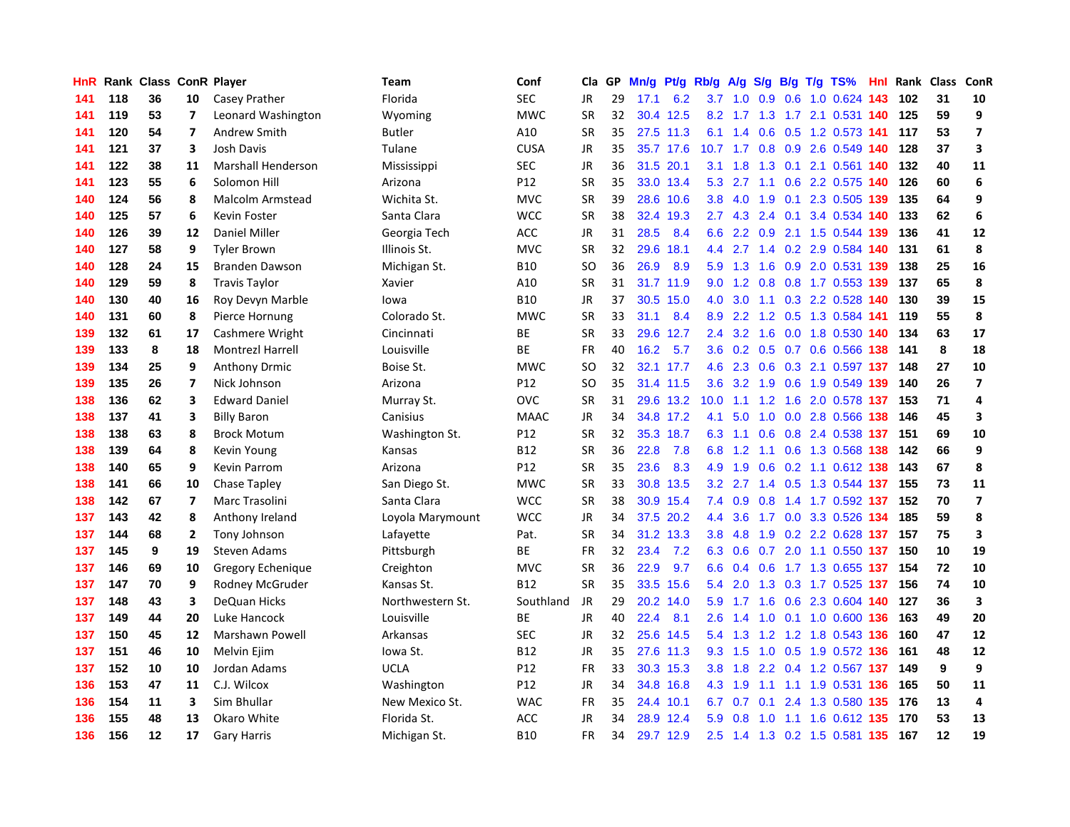| HnR |     | Rank Class ConR Player |                         |                         | Team             | Conf        | Cla       | GP. | Mn/g |           | Pt/g Rb/g        | A/g       |     |     | $S/g$ B/g T/g TS%              | Hnl | Rank | Class | ConR                    |
|-----|-----|------------------------|-------------------------|-------------------------|------------------|-------------|-----------|-----|------|-----------|------------------|-----------|-----|-----|--------------------------------|-----|------|-------|-------------------------|
| 141 | 118 | 36                     | 10                      | Casey Prather           | Florida          | <b>SEC</b>  | JR        | 29  | 17.1 | 6.2       | 3.7              | 1.0       | 0.9 | 0.6 | 1.0 0.624 143                  |     | 102  | 31    | 10                      |
| 141 | 119 | 53                     | 7                       | Leonard Washington      | Wyoming          | <b>MWC</b>  | <b>SR</b> | 32  |      | 30.4 12.5 |                  |           |     |     | 8.2 1.7 1.3 1.7 2.1 0.531 140  |     | 125  | 59    | 9                       |
| 141 | 120 | 54                     | $\overline{\mathbf{z}}$ | Andrew Smith            | <b>Butler</b>    | A10         | <b>SR</b> | 35  |      | 27.5 11.3 | 6.1              | 1.4       |     |     | $0.6$ $0.5$ 1.2 $0.573$ 141    |     | 117  | 53    | $\overline{\mathbf{z}}$ |
| 141 | 121 | 37                     | 3                       | Josh Davis              | Tulane           | <b>CUSA</b> | JR        | 35  |      | 35.7 17.6 |                  |           |     |     | 10.7 1.7 0.8 0.9 2.6 0.549 140 |     | 128  | 37    | $\overline{\mathbf{3}}$ |
| 141 | 122 | 38                     | 11                      | Marshall Henderson      | Mississippi      | <b>SEC</b>  | <b>JR</b> | 36  |      | 31.5 20.1 | 3.1              | 1.8       | 1.3 | 0.1 | 2.1 0.561 140                  |     | 132  | 40    | 11                      |
| 141 | 123 | 55                     | 6                       | Solomon Hill            | Arizona          | P12         | <b>SR</b> | 35  |      | 33.0 13.4 | 5.3              | 2.7       |     |     | 1.1 0.6 2.2 0.575 140          |     | 126  | 60    | $\boldsymbol{6}$        |
| 140 | 124 | 56                     | 8                       | Malcolm Armstead        | Wichita St.      | <b>MVC</b>  | <b>SR</b> | 39  | 28.6 | 10.6      | 3.8              | 4.0       | 1.9 |     | 0.1 2.3 0.505 139              |     | 135  | 64    | 9                       |
| 140 | 125 | 57                     | 6                       | Kevin Foster            | Santa Clara      | <b>WCC</b>  | <b>SR</b> | 38  | 32.4 | 19.3      |                  | $2.7$ 4.3 |     |     | 2.4 0.1 3.4 0.534 140          |     | 133  | 62    | 6                       |
| 140 | 126 | 39                     | 12                      | <b>Daniel Miller</b>    | Georgia Tech     | <b>ACC</b>  | JR        | 31  | 28.5 | 8.4       | 6.6              | 2.2       | 0.9 |     | 2.1 1.5 0.544 139              |     | 136  | 41    | 12                      |
| 140 | 127 | 58                     | 9                       | <b>Tyler Brown</b>      | Illinois St.     | <b>MVC</b>  | <b>SR</b> | 32  | 29.6 | 18.1      | 4.4              | 2.7       |     |     | 1.4 0.2 2.9 0.584 140          |     | 131  | 61    | $\pmb{8}$               |
| 140 | 128 | 24                     | 15                      | <b>Branden Dawson</b>   | Michigan St.     | <b>B10</b>  | <b>SO</b> | 36  | 26.9 | 8.9       | 5.9              | 1.3       |     |     | 1.6 0.9 2.0 0.531 139          |     | 138  | 25    | 16                      |
| 140 | 129 | 59                     | 8                       | <b>Travis Taylor</b>    | Xavier           | A10         | <b>SR</b> | 31  |      | 31.7 11.9 | 9.0              | 1.2       |     |     | 0.8 0.8 1.7 0.553 139          |     | 137  | 65    | 8                       |
| 140 | 130 | 40                     | 16                      | Roy Devyn Marble        | lowa             | <b>B10</b>  | JR        | 37  | 30.5 | 15.0      | 4.0              | 3.0       |     |     | 1.1 0.3 2.2 0.528 140          |     | 130  | 39    | 15                      |
| 140 | 131 | 60                     | 8                       | Pierce Hornung          | Colorado St.     | <b>MWC</b>  | <b>SR</b> | 33  | 31.1 | 8.4       | 8.9              | 2.2       |     |     | 1.2 0.5 1.3 0.584 141          |     | 119  | 55    | 8                       |
| 139 | 132 | 61                     | 17                      | Cashmere Wright         | Cincinnati       | BE          | <b>SR</b> | 33  |      | 29.6 12.7 | $2.4^{\circ}$    | 3.2       | 1.6 |     | 0.0 1.8 0.530                  | 140 | 134  | 63    | 17                      |
| 139 | 133 | 8                      | 18                      | <b>Montrezl Harrell</b> | Louisville       | <b>BE</b>   | <b>FR</b> | 40  | 16.2 | 5.7       | 3.6              | 0.2       |     |     | 0.5 0.7 0.6 0.566 138          |     | 141  | 8     | 18                      |
| 139 | 134 | 25                     | 9                       | <b>Anthony Drmic</b>    | Boise St.        | <b>MWC</b>  | <b>SO</b> | 32  |      | 32.1 17.7 | 4.6              | 2.3       | 0.6 |     | 0.3 2.1 0.597 137              |     | 148  | 27    | 10                      |
| 139 | 135 | 26                     | $\overline{ }$          | Nick Johnson            | Arizona          | P12         | <b>SO</b> | 35  |      | 31.4 11.5 | 3.6              | 3.2       | 1.9 |     | 0.6 1.9 0.549 139              |     | 140  | 26    | $\overline{7}$          |
| 138 | 136 | 62                     | 3                       | <b>Edward Daniel</b>    | Murray St.       | <b>OVC</b>  | <b>SR</b> | 31  |      | 29.6 13.2 | 10.0             |           |     |     | 1.1 1.2 1.6 2.0 0.578 137 153  |     |      | 71    | $\overline{4}$          |
| 138 | 137 | 41                     | 3                       | <b>Billy Baron</b>      | Canisius         | <b>MAAC</b> | JR.       | 34  |      | 34.8 17.2 | 4.1              | 5.0       |     |     | 1.0 0.0 2.8 0.566 138          |     | 146  | 45    | 3                       |
| 138 | 138 | 63                     | 8                       | <b>Brock Motum</b>      | Washington St.   | P12         | <b>SR</b> | 32  |      | 35.3 18.7 | 6.3              | $-1.1$    |     |     | 0.6 0.8 2.4 0.538 137          |     | 151  | 69    | 10                      |
| 138 | 139 | 64                     | 8                       | Kevin Young             | Kansas           | <b>B12</b>  | <b>SR</b> | 36  | 22.8 | 7.8       | 6.8              | 1.2       | 1.1 |     | 0.6 1.3 0.568 138              |     | 142  | 66    | 9                       |
| 138 | 140 | 65                     | 9                       | <b>Kevin Parrom</b>     | Arizona          | P12         | <b>SR</b> | 35  | 23.6 | 8.3       | 4.9              | 1.9       | 0.6 |     | 0.2 1.1 0.612 138              |     | 143  | 67    | 8                       |
| 138 | 141 | 66                     | 10                      | Chase Tapley            | San Diego St.    | <b>MWC</b>  | <b>SR</b> | 33  | 30.8 | 13.5      | 3.2              | 2.7       |     |     | 1.4 0.5 1.3 0.544 137          |     | 155  | 73    | 11                      |
| 138 | 142 | 67                     | $\overline{7}$          | Marc Trasolini          | Santa Clara      | <b>WCC</b>  | <b>SR</b> | 38  | 30.9 | 15.4      | 7.4              | 0.9       | 0.8 |     | 1.4 1.7 0.592 137              |     | 152  | 70    | $\overline{\mathbf{z}}$ |
| 137 | 143 | 42                     | 8                       | Anthony Ireland         | Loyola Marymount | <b>WCC</b>  | JR        | 34  |      | 37.5 20.2 | 4.4              | 3.6       |     |     | 1.7 0.0 3.3 0.526 134          |     | 185  | 59    | 8                       |
| 137 | 144 | 68                     | $\mathbf{2}$            | Tony Johnson            | Lafayette        | Pat.        | <b>SR</b> | 34  |      | 31.2 13.3 | 3.8 <sub>2</sub> | 4.8       |     |     | 1.9 0.2 2.2 0.628 137 157      |     |      | 75    | $\overline{\mathbf{3}}$ |
| 137 | 145 | 9                      | 19                      | <b>Steven Adams</b>     | Pittsburgh       | <b>BE</b>   | <b>FR</b> | 32  | 23.4 | 7.2       |                  | 6.3 0.6   |     |     | 0.7 2.0 1.1 0.550 137          |     | 150  | 10    | 19                      |
| 137 | 146 | 69                     | 10                      | Gregory Echenique       | Creighton        | <b>MVC</b>  | <b>SR</b> | 36  | 22.9 | 9.7       | 6.6              | 0.4       |     |     | 0.6 1.7 1.3 0.655 137          |     | 154  | 72    | 10                      |
| 137 | 147 | 70                     | 9                       | Rodney McGruder         | Kansas St.       | <b>B12</b>  | <b>SR</b> | 35  | 33.5 | 15.6      | 5.4              | 2.0       |     |     | 1.3 0.3 1.7 0.525 137          |     | 156  | 74    | 10                      |
| 137 | 148 | 43                     | 3                       | <b>DeQuan Hicks</b>     | Northwestern St. | Southland   | JR        | 29  | 20.2 | 14.0      | 5.9              | 1.7       | 1.6 |     | 0.6 2.3 0.604 140              |     | 127  | 36    | $\overline{\mathbf{3}}$ |
| 137 | 149 | 44                     | 20                      | Luke Hancock            | Louisville       | BE          | <b>JR</b> | 40  | 22.4 | 8.1       | 2.6              | 1.4       |     |     | 1.0 0.1 1.0 0.600              | 136 | 163  | 49    | 20                      |
| 137 | 150 | 45                     | 12                      | Marshawn Powell         | Arkansas         | <b>SEC</b>  | <b>JR</b> | 32  | 25.6 | 14.5      | 5.4              | 1.3       |     |     | 1.2 1.2 1.8 0.543 136          |     | 160  | 47    | 12                      |
| 137 | 151 | 46                     | 10                      | Melvin Ejim             | lowa St.         | <b>B12</b>  | <b>JR</b> | 35  |      | 27.6 11.3 | 9.3              | 1.5       | 1.0 |     | 0.5 1.9 0.572 136              |     | 161  | 48    | 12                      |
| 137 | 152 | 10                     | 10                      | Jordan Adams            | <b>UCLA</b>      | P12         | <b>FR</b> | 33  |      | 30.3 15.3 | 3.8 <sub>2</sub> | 1.8       |     |     | 2.2 0.4 1.2 0.567 137          |     | 149  | 9     | 9                       |
| 136 | 153 | 47                     | 11                      | C.J. Wilcox             | Washington       | P12         | <b>JR</b> | 34  |      | 34.8 16.8 |                  | 4.3 1.9   |     |     | 1.1 1.1 1.9 0.531 136          |     | 165  | 50    | 11                      |
| 136 | 154 | 11                     | 3                       | Sim Bhullar             | New Mexico St.   | <b>WAC</b>  | <b>FR</b> | 35  |      | 24.4 10.1 | 6.7              | 0.7       | 0.1 |     | 2.4 1.3 0.580 135              |     | 176  | 13    | $\overline{4}$          |
| 136 | 155 | 48                     | 13                      | Okaro White             | Florida St.      | ACC         | <b>JR</b> | 34  |      | 28.9 12.4 | 5.9              | 0.8       | 1.0 |     | 1.1 1.6 0.612 135              |     | 170  | 53    | 13                      |
| 136 | 156 | 12                     | 17                      | <b>Gary Harris</b>      | Michigan St.     | <b>B10</b>  | FR        | 34  |      | 29.7 12.9 | 2.5              |           |     |     | 1.4 1.3 0.2 1.5 0.581 135      |     | 167  | 12    | 19                      |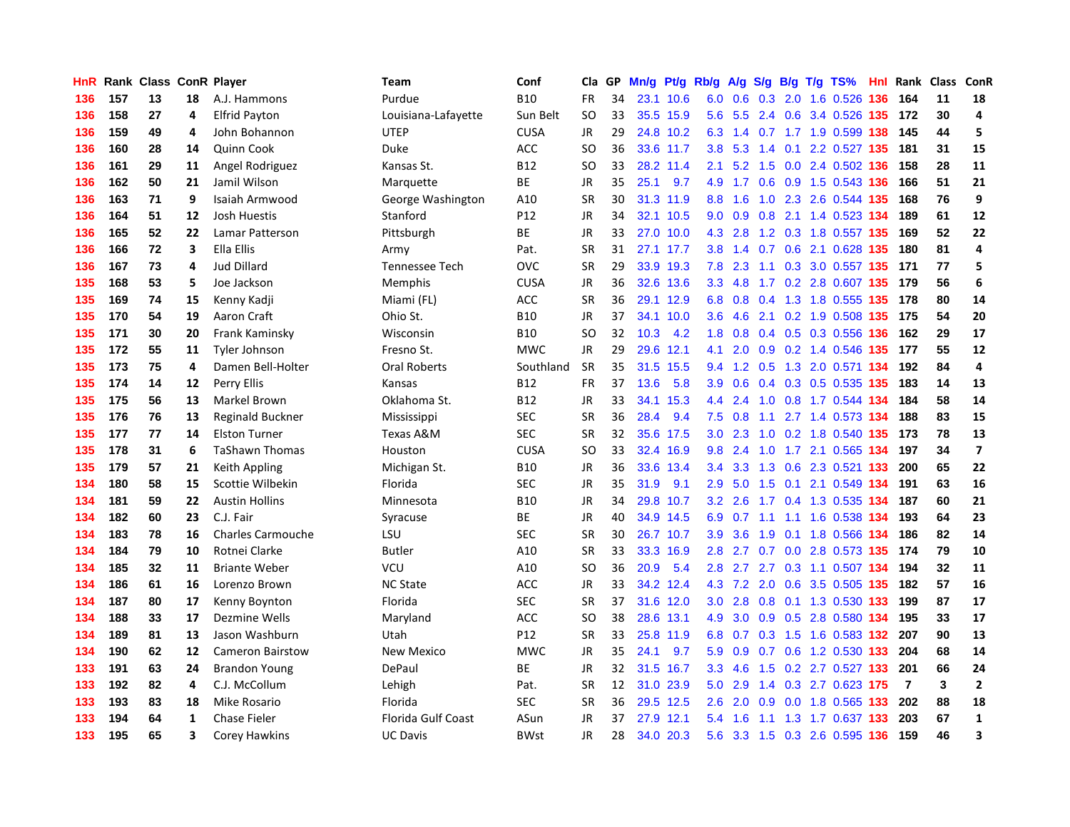| HnR |     | Rank Class ConR Player |    |                          | Team                      | Conf        | Cla       | GP | Mn/g |           | Pt/g Rb/g        | A/g     |     |  | $S/g$ B/g T/g TS%             | Hnl | Rank           | <b>Class</b> | ConR                    |
|-----|-----|------------------------|----|--------------------------|---------------------------|-------------|-----------|----|------|-----------|------------------|---------|-----|--|-------------------------------|-----|----------------|--------------|-------------------------|
| 136 | 157 | 13                     | 18 | A.J. Hammons             | Purdue                    | <b>B10</b>  | FR        | 34 | 23.1 | 10.6      | 6.0              | 0.6     | 0.3 |  | 2.0 1.6 0.526                 | 136 | 164            | 11           | 18                      |
| 136 | 158 | 27                     | 4  | <b>Elfrid Payton</b>     | Louisiana-Lafayette       | Sun Belt    | SO        | 33 |      | 35.5 15.9 | 5.6              | 5.5     |     |  | 2.4 0.6 3.4 0.526 135 172     |     |                | 30           | $\overline{4}$          |
| 136 | 159 | 49                     | 4  | John Bohannon            | <b>UTEP</b>               | <b>CUSA</b> | JR        | 29 |      | 24.8 10.2 | 6.3              |         |     |  | 1.4 0.7 1.7 1.9 0.599 138 145 |     |                | 44           | 5                       |
| 136 | 160 | 28                     | 14 | Quinn Cook               | Duke                      | ACC         | SO        | 36 |      | 33.6 11.7 | 3.8 <sub>2</sub> |         |     |  | 5.3 1.4 0.1 2.2 0.527 135     |     | 181            | 31           | 15                      |
| 136 | 161 | 29                     | 11 | Angel Rodriguez          | Kansas St.                | <b>B12</b>  | <b>SO</b> | 33 |      | 28.2 11.4 | 2.1              | 5.2     | 1.5 |  | 0.0 2.4 0.502 136             |     | 158            | 28           | 11                      |
| 136 | 162 | 50                     | 21 | Jamil Wilson             | Marquette                 | <b>BE</b>   | <b>JR</b> | 35 | 25.1 | 9.7       | 4.9              | 1.7     | 0.6 |  | 0.9 1.5 0.543 136             |     | 166            | 51           | 21                      |
| 136 | 163 | 71                     | 9  | Isaiah Armwood           | George Washington         | A10         | <b>SR</b> | 30 |      | 31.3 11.9 | 8.8              | 1.6     | 1.0 |  | 2.3 2.6 0.544 135             |     | 168            | 76           | 9                       |
| 136 | 164 | 51                     | 12 | Josh Huestis             | Stanford                  | P12         | <b>JR</b> | 34 | 32.1 | 10.5      | 9.0              | 0.9     | 0.8 |  | 2.1 1.4 0.523 134             |     | 189            | 61           | 12                      |
| 136 | 165 | 52                     | 22 | Lamar Patterson          | Pittsburgh                | <b>BE</b>   | JR        | 33 | 27.0 | 10.0      | 4.3              | 2.8     |     |  | 1.2 0.3 1.8 0.557 135         |     | 169            | 52           | 22                      |
| 136 | 166 | 72                     | 3  | Ella Ellis               | Army                      | Pat.        | <b>SR</b> | 31 |      | 27.1 17.7 | 3.8 <sub>2</sub> | 1.4     |     |  | 0.7 0.6 2.1 0.628 135         |     | 180            | 81           | $\overline{4}$          |
| 136 | 167 | 73                     | 4  | <b>Jud Dillard</b>       | Tennessee Tech            | OVC         | <b>SR</b> | 29 |      | 33.9 19.3 | 7.8              | 2.3     |     |  | 1.1 0.3 3.0 0.557 135 171     |     |                | 77           | 5                       |
| 135 | 168 | 53                     | 5  | Joe Jackson              | Memphis                   | <b>CUSA</b> | JR        | 36 |      | 32.6 13.6 | 3.3 <sub>2</sub> | 4.8     |     |  | 1.7 0.2 2.8 0.607 135 179     |     |                | 56           | 6                       |
| 135 | 169 | 74                     | 15 | Kenny Kadji              | Miami (FL)                | ACC         | <b>SR</b> | 36 | 29.1 | 12.9      | 6.8              | 0.8     |     |  | 0.4 1.3 1.8 0.555 135 178     |     |                | 80           | 14                      |
| 135 | 170 | 54                     | 19 | Aaron Craft              | Ohio St.                  | <b>B10</b>  | <b>JR</b> | 37 | 34.1 | 10.0      | 3.6              | 4.6     |     |  | 2.1 0.2 1.9 0.508 135         |     | 175            | 54           | 20                      |
| 135 | 171 | 30                     | 20 | Frank Kaminsky           | Wisconsin                 | <b>B10</b>  | <b>SO</b> | 32 | 10.3 | 4.2       | 1.8              | 0.8     |     |  | 0.4 0.5 0.3 0.556 136         |     | 162            | 29           | 17                      |
| 135 | 172 | 55                     | 11 | Tyler Johnson            | Fresno St.                | <b>MWC</b>  | JR        | 29 | 29.6 | 12.1      | 4.1              | 2.0     | 0.9 |  | 0.2 1.4 0.546                 | 135 | 177            | 55           | 12                      |
| 135 | 173 | 75                     | 4  | Damen Bell-Holter        | <b>Oral Roberts</b>       | Southland   | <b>SR</b> | 35 | 31.5 | 15.5      | 9.4              | 1.2     |     |  | 0.5 1.3 2.0 0.571 134         |     | 192            | 84           | $\overline{\mathbf{4}}$ |
| 135 | 174 | 14                     | 12 | Perry Ellis              | Kansas                    | <b>B12</b>  | <b>FR</b> | 37 | 13.6 | 5.8       | 3.9              | 0.6     | 0.4 |  | 0.3 0.5 0.535 135             |     | 183            | 14           | 13                      |
| 135 | 175 | 56                     | 13 | Markel Brown             | Oklahoma St.              | <b>B12</b>  | JR        | 33 | 34.1 | 15.3      | $4.4^{\circ}$    | 2.4     |     |  | 1.0 0.8 1.7 0.544 134         |     | 184            | 58           | 14                      |
| 135 | 176 | 76                     | 13 | Reginald Buckner         | Mississippi               | SEC         | <b>SR</b> | 36 | 28.4 | 9.4       | 7.5              | 0.8     |     |  | 1.1 2.7 1.4 0.573 134         |     | 188            | 83           | 15                      |
| 135 | 177 | 77                     | 14 | <b>Elston Turner</b>     | Texas A&M                 | <b>SEC</b>  | <b>SR</b> | 32 |      | 35.6 17.5 | 3.0 <sub>2</sub> | 2.3     |     |  | 1.0 0.2 1.8 0.540 135 173     |     |                | 78           | 13                      |
| 135 | 178 | 31                     | 6  | <b>TaShawn Thomas</b>    | Houston                   | <b>CUSA</b> | <b>SO</b> | 33 |      | 32.4 16.9 | 9.8              | 2.4     | 1.0 |  | 1.7 2.1 0.565 134             |     | 197            | 34           | $\overline{\mathbf{z}}$ |
| 135 | 179 | 57                     | 21 | Keith Appling            | Michigan St.              | <b>B10</b>  | JR        | 36 | 33.6 | 13.4      | 3.4              | 3.3     |     |  | 1.3 0.6 2.3 0.521 133         |     | 200            | 65           | 22                      |
| 134 | 180 | 58                     | 15 | Scottie Wilbekin         | Florida                   | SEC         | JR        | 35 | 31.9 | 9.1       | 2.9              | 5.0     | 1.5 |  | 0.1 2.1 0.549                 | 134 | 191            | 63           | 16                      |
| 134 | 181 | 59                     | 22 | <b>Austin Hollins</b>    | Minnesota                 | <b>B10</b>  | JR        | 34 | 29.8 | 10.7      | 3.2              | 2.6     | 1.7 |  | 0.4 1.3 0.535 134             |     | 187            | 60           | 21                      |
| 134 | 182 | 60                     | 23 | C.J. Fair                | Syracuse                  | ВE          | JR        | 40 | 34.9 | 14.5      | 6.9              | 0.7     |     |  | 1.1 1.1 1.6 0.538 134         |     | 193            | 64           | 23                      |
| 134 | 183 | 78                     | 16 | <b>Charles Carmouche</b> | LSU                       | SEC         | <b>SR</b> | 30 |      | 26.7 10.7 | 3.9              | 3.6     |     |  | 1.9 0.1 1.8 0.566 134         |     | 186            | 82           | 14                      |
| 134 | 184 | 79                     | 10 | Rotnei Clarke            | <b>Butler</b>             | A10         | <b>SR</b> | 33 |      | 33.3 16.9 | 2.8              |         |     |  | 2.7 0.7 0.0 2.8 0.573 135 174 |     |                | 79           | 10                      |
| 134 | 185 | 32                     | 11 | <b>Briante Weber</b>     | VCU                       | A10         | SO        | 36 | 20.9 | 5.4       | 2.8              | 2.7     |     |  | 2.7 0.3 1.1 0.507 134         |     | 194            | 32           | 11                      |
| 134 | 186 | 61                     | 16 | Lorenzo Brown            | <b>NC State</b>           | ACC         | <b>JR</b> | 33 | 34.2 | 12.4      |                  | 4.3 7.2 | 2.0 |  | 0.6 3.5 0.505 135             |     | 182            | 57           | 16                      |
| 134 | 187 | 80                     | 17 | Kenny Boynton            | Florida                   | <b>SEC</b>  | <b>SR</b> | 37 | 31.6 | 12.0      | 3.0 <sub>2</sub> | 2.8     | 0.8 |  | 0.1 1.3 0.530 133             |     | 199            | 87           | 17                      |
| 134 | 188 | 33                     | 17 | Dezmine Wells            | Maryland                  | ACC         | SO        | 38 | 28.6 | 13.1      | 4.9              | 3.0     |     |  | 0.9 0.5 2.8 0.580 134         |     | 195            | 33           | 17                      |
| 134 | 189 | 81                     | 13 | Jason Washburn           | Utah                      | P12         | <b>SR</b> | 33 | 25.8 | 11.9      | 6.8              | 0.7     |     |  | 0.3 1.5 1.6 0.583 132         |     | 207            | 90           | 13                      |
| 134 | 190 | 62                     | 12 | <b>Cameron Bairstow</b>  | <b>New Mexico</b>         | <b>MWC</b>  | <b>JR</b> | 35 | 24.1 | 9.7       | 5.9              | 0.9     | 0.7 |  | 0.6 1.2 0.530 133             |     | 204            | 68           | 14                      |
| 133 | 191 | 63                     | 24 | <b>Brandon Young</b>     | DePaul                    | ВE          | JR        | 32 | 31.5 | 16.7      | 3.3 <sub>2</sub> | 4.6     | 1.5 |  | 0.2 2.7 0.527 133             |     | 201            | 66           | 24                      |
| 133 | 192 | 82                     | 4  | C.J. McCollum            | Lehigh                    | Pat.        | <b>SR</b> | 12 |      | 31.0 23.9 | 5.0              | 2.9     |     |  | 1.4 0.3 2.7 0.623 175         |     | $\overline{7}$ | 3            | $\overline{2}$          |
| 133 | 193 | 83                     | 18 | Mike Rosario             | Florida                   | <b>SEC</b>  | <b>SR</b> | 36 |      | 29.5 12.5 | 2.6              | 2.0     |     |  | 0.9 0.0 1.8 0.565 133         |     | 202            | 88           | 18                      |
| 133 | 194 | 64                     | 1  | <b>Chase Fieler</b>      | <b>Florida Gulf Coast</b> | ASun        | JR        | 37 |      | 27.9 12.1 | 5.4              | 1.6     |     |  | 1.1 1.3 1.7 0.637 133         |     | 203            | 67           | $\mathbf{1}$            |
| 133 | 195 | 65                     | 3  | Corey Hawkins            | <b>UC Davis</b>           | <b>BWst</b> | <b>JR</b> | 28 |      | 34.0 20.3 | 5.6              |         |     |  | 3.3 1.5 0.3 2.6 0.595 136     |     | 159            | 46           | 3                       |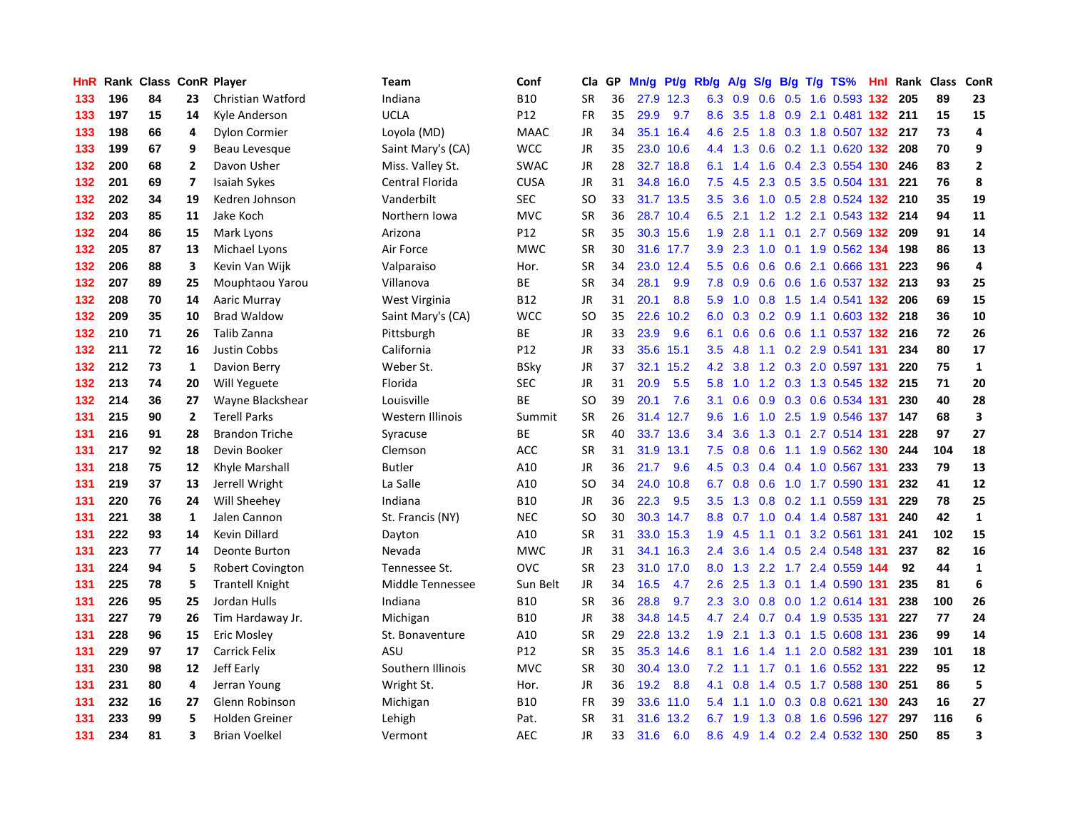| HnR |     | Rank Class ConR Player |                |                         | <b>Team</b>             | Conf            | Cla       | <b>GP</b> | Mn/g | <b>Pt/g</b> | Rb/g             | A/g    |     |     | S/g B/g T/g TS%           |      | Hnl Rank | <b>Class</b> | ConR                    |
|-----|-----|------------------------|----------------|-------------------------|-------------------------|-----------------|-----------|-----------|------|-------------|------------------|--------|-----|-----|---------------------------|------|----------|--------------|-------------------------|
| 133 | 196 | 84                     | 23             | Christian Watford       | Indiana                 | <b>B10</b>      | <b>SR</b> | 36        |      | 27.9 12.3   | 6.3              | 0.9    | 0.6 |     | 0.5 1.6 0.593 132 205     |      |          | 89           | 23                      |
| 133 | 197 | 15                     | 14             | Kyle Anderson           | <b>UCLA</b>             | P12             | <b>FR</b> | 35        | 29.9 | 9.7         | 8.6              | 3.5    |     |     | 1.8 0.9 2.1 0.481 132 211 |      |          | 15           | 15                      |
| 133 | 198 | 66                     | 4              | Dylon Cormier           | Loyola (MD)             | <b>MAAC</b>     | JR        | 34        | 35.1 | 16.4        | 4.6              | 2.5    |     |     | 1.8 0.3 1.8 0.507 132 217 |      |          | 73           | 4                       |
| 133 | 199 | 67                     | 9              | Beau Levesque           | Saint Mary's (CA)       | <b>WCC</b>      | <b>JR</b> | 35        | 23.0 | 10.6        | 4.4              | 1.3    | 0.6 |     | 0.2 1.1 0.620 132 208     |      |          | 70           | 9                       |
| 132 | 200 | 68                     | $\overline{2}$ | Davon Usher             | Miss. Valley St.        | <b>SWAC</b>     | JR        | 28        | 32.7 | 18.8        | 6.1              | 1.4    | 1.6 |     | 0.4 2.3 0.554 130         |      | 246      | 83           | $\overline{2}$          |
| 132 | 201 | 69                     | $\overline{7}$ | <b>Isaiah Sykes</b>     | Central Florida         | CUSA            | JR        | 31        | 34.8 | 16.0        | 7.5              | 4.5    |     |     | 2.3 0.5 3.5 0.504 131     |      | 221      | 76           | 8                       |
| 132 | 202 | 34                     | 19             | Kedren Johnson          | Vanderbilt              | <b>SEC</b>      | <b>SO</b> | 33        | 31.7 | 13.5        | 3.5              | 3.6    | 1.0 |     | 0.5 2.8 0.524 132         |      | 210      | 35           | 19                      |
| 132 | 203 | 85                     | 11             | Jake Koch               | Northern Iowa           | <b>MVC</b>      | <b>SR</b> | 36        |      | 28.7 10.4   | 6.5              | 2.1    | 1.2 |     | 1.2 2.1 0.543 132         |      | 214      | 94           | 11                      |
| 132 | 204 | 86                     | 15             | Mark Lyons              | Arizona                 | P12             | <b>SR</b> | 35        |      | 30.3 15.6   | 1.9              | 2.8    | 1.1 |     | $0.1$ 2.7 0.569 132       |      | 209      | 91           | 14                      |
| 132 | 205 | 87                     | 13             | Michael Lyons           | Air Force               | <b>MWC</b>      | <b>SR</b> | 30        |      | 31.6 17.7   | 3.9 <sup>°</sup> | 2.3    |     |     | 1.0 0.1 1.9 0.562 134     |      | 198      | 86           | 13                      |
| 132 | 206 | 88                     | 3              | Kevin Van Wijk          | Valparaiso              | Hor.            | <b>SR</b> | 34        |      | 23.0 12.4   | 5.5 <sub>1</sub> | 0.6    |     |     | 0.6 0.6 2.1 0.666 131     |      | 223      | 96           | 4                       |
| 132 | 207 | 89                     | 25             | Mouphtaou Yarou         | Villanova               | BE              | <b>SR</b> | 34        | 28.1 | 9.9         | 7.8              | 0.9    |     |     | 0.6 0.6 1.6 0.537 132 213 |      |          | 93           | 25                      |
| 132 | 208 | 70                     | 14             | Aaric Murray            | West Virginia           | <b>B12</b>      | JR        | 31        | 20.1 | 8.8         | 5.9              | 1.0    | 0.8 |     | 1.5 1.4 0.541 <b>132</b>  |      | 206      | 69           | 15                      |
| 132 | 209 | 35                     | 10             | <b>Brad Waldow</b>      | Saint Mary's (CA)       | <b>WCC</b>      | SO        | 35        | 22.6 | 10.2        | 6.0              | 0.3    |     |     | 0.2 0.9 1.1 0.603 132 218 |      |          | 36           | 10                      |
| 132 | 210 | 71                     | 26             | Talib Zanna             | Pittsburgh              | <b>BE</b>       | JR        | 33        | 23.9 | 9.6         | 6.1              | 0.6    |     |     | 0.6 0.6 1.1 0.537 132     |      | 216      | 72           | 26                      |
| 132 | 211 | 72                     | 16             | Justin Cobbs            | California              | P <sub>12</sub> | JR        | 33        | 35.6 | 15.1        | 3.5              | 4.8    |     |     | 1.1 0.2 2.9 0.541 131     |      | 234      | 80           | 17                      |
| 132 | 212 | 73                     | 1              | Davion Berry            | Weber St.               | <b>BSky</b>     | JR        | 37        | 32.1 | 15.2        | 4.2              | 3.8    |     |     | 1.2 0.3 2.0 0.597 131     |      | 220      | 75           | $\mathbf{1}$            |
| 132 | 213 | 74                     | 20             | Will Yeguete            | Florida                 | <b>SEC</b>      | JR        | 31        | 20.9 | 5.5         | 5.8              | 1.0    |     |     | 1.2 0.3 1.3 0.545 132 215 |      |          | 71           | 20                      |
| 132 | 214 | 36                     | 27             | Wayne Blackshear        | Louisville              | <b>BE</b>       | <b>SO</b> | 39        | 20.1 | 7.6         | 3.1              | 0.6    |     |     | 0.9 0.3 0.6 0.534 131     |      | 230      | 40           | 28                      |
| 131 | 215 | 90                     | $\overline{2}$ | <b>Terell Parks</b>     | <b>Western Illinois</b> | Summit          | <b>SR</b> | 26        |      | 31.4 12.7   | 9.6              | 1.6    |     |     | 1.0 2.5 1.9 0.546 137     |      | 147      | 68           | $\overline{\mathbf{3}}$ |
| 131 | 216 | 91                     | 28             | <b>Brandon Triche</b>   | Syracuse                | BE              | SR        | 40        |      | 33.7 13.6   | $3.4^{\circ}$    | 3.6    | 1.3 |     | 0.1 2.7 0.514 131         |      | 228      | 97           | 27                      |
| 131 | 217 | 92                     | 18             | Devin Booker            | Clemson                 | <b>ACC</b>      | <b>SR</b> | 31        | 31.9 | 13.1        | 7.5              | 0.8    | 0.6 |     | 1.1 1.9 0.562 130         |      | 244      | 104          | 18                      |
| 131 | 218 | 75                     | 12             | Khyle Marshall          | <b>Butler</b>           | A10             | JR        | 36        | 21.7 | 9.6         | 4.5              | 0.3    |     |     | 0.4 0.4 1.0 0.567 131     |      | 233      | 79           | 13                      |
| 131 | 219 | 37                     | 13             | Jerrell Wright          | La Salle                | A10             | SO.       | 34        | 24.0 | 10.8        | 6.7              | 0.8    | 0.6 |     | 1.0 1.7 0.590             | -131 | 232      | 41           | 12                      |
| 131 | 220 | 76                     | 24             | Will Sheehey            | Indiana                 | <b>B10</b>      | <b>JR</b> | 36        | 22.3 | 9.5         | 3.5              | 1.3    | 0.8 |     | 0.2 1.1 0.559 131         |      | 229      | 78           | 25                      |
| 131 | 221 | 38                     | 1              | Jalen Cannon            | St. Francis (NY)        | <b>NEC</b>      | SO.       | 30        |      | 30.3 14.7   | 8.8              | 0.7    |     |     | 1.0 0.4 1.4 0.587 131     |      | 240      | 42           | $\mathbf{1}$            |
| 131 | 222 | 93                     | 14             | Kevin Dillard           | Dayton                  | A10             | <b>SR</b> | 31        |      | 33.0 15.3   | 1.9              | 4.5    |     |     | 1.1 0.1 3.2 0.561 131     |      | 241      | 102          | 15                      |
| 131 | 223 | 77                     | 14             | Deonte Burton           | Nevada                  | <b>MWC</b>      | JR        | 31        | 34.1 | 16.3        | $2.4^{\circ}$    | 3.6    |     |     | 1.4 0.5 2.4 0.548 131     |      | 237      | 82           | 16                      |
| 131 | 224 | 94                     | 5              | <b>Robert Covington</b> | Tennessee St.           | OVC             | <b>SR</b> | 23        | 31.0 | 17.0        | 8.0              | 1.3    |     |     | 2.2 1.7 2.4 0.559 144     |      | 92       | 44           | $\mathbf{1}$            |
| 131 | 225 | 78                     | 5              | <b>Trantell Knight</b>  | Middle Tennessee        | Sun Belt        | <b>JR</b> | 34        | 16.5 | 4.7         | 2.6              | 2.5    | 1.3 |     | 0.1 1.4 0.590 131         |      | 235      | 81           | 6                       |
| 131 | 226 | 95                     | 25             | Jordan Hulls            | Indiana                 | <b>B10</b>      | SR        | 36        | 28.8 | 9.7         | 2.3              | 3.0    | 0.8 |     | 0.0 1.2 0.614 131         |      | 238      | 100          | 26                      |
| 131 | 227 | 79                     | 26             | Tim Hardaway Jr.        | Michigan                | <b>B10</b>      | <b>JR</b> | 38        | 34.8 | 14.5        | 4.7              | 2.4    | 0.7 |     | 0.4 1.9 0.535 131         |      | 227      | 77           | 24                      |
| 131 | 228 | 96                     | 15             | Eric Mosley             | St. Bonaventure         | A10             | <b>SR</b> | 29        | 22.8 | 13.2        | 1.9              | 2.1    | 1.3 |     | 0.1 1.5 0.608 131         |      | 236      | 99           | 14                      |
| 131 | 229 | 97                     | 17             | <b>Carrick Felix</b>    | ASU                     | P12             | <b>SR</b> | 35        | 35.3 | 14.6        | 8.1              | 1.6    | 1.4 | 1.1 | 2.0 0.582 131             |      | 239      | 101          | 18                      |
| 131 | 230 | 98                     | 12             | Jeff Early              | Southern Illinois       | <b>MVC</b>      | <b>SR</b> | 30        | 30.4 | 13.0        | 7.2              | $-1.1$ |     |     | 1.7 0.1 1.6 0.552 131     |      | 222      | 95           | 12                      |
| 131 | 231 | 80                     | 4              | Jerran Young            | Wright St.              | Hor.            | JR        | 36        | 19.2 | 8.8         | 4.1              | 0.8    |     |     | 1.4 0.5 1.7 0.588 130     |      | 251      | 86           | 5                       |
| 131 | 232 | 16                     | 27             | Glenn Robinson          | Michigan                | <b>B10</b>      | FR        | 39        | 33.6 | 11.0        | 5.4              | 1.1    | 1.0 |     | 0.3 0.8 0.621 130 243     |      |          | 16           | 27                      |
| 131 | 233 | 99                     | 5              | <b>Holden Greiner</b>   | Lehigh                  | Pat.            | <b>SR</b> | 31        | 31.6 | 13.2        | 6.7              | 1.9    | 1.3 |     | 0.8 1.6 0.596             | 127  | 297      | 116          | $\boldsymbol{6}$        |
| 131 | 234 | 81                     | 3              | <b>Brian Voelkel</b>    | Vermont                 | <b>AEC</b>      | <b>JR</b> | 33        | 31.6 | 6.0         | 8.6              | 4.9    |     |     | 1.4 0.2 2.4 0.532 130     |      | 250      | 85           | 3                       |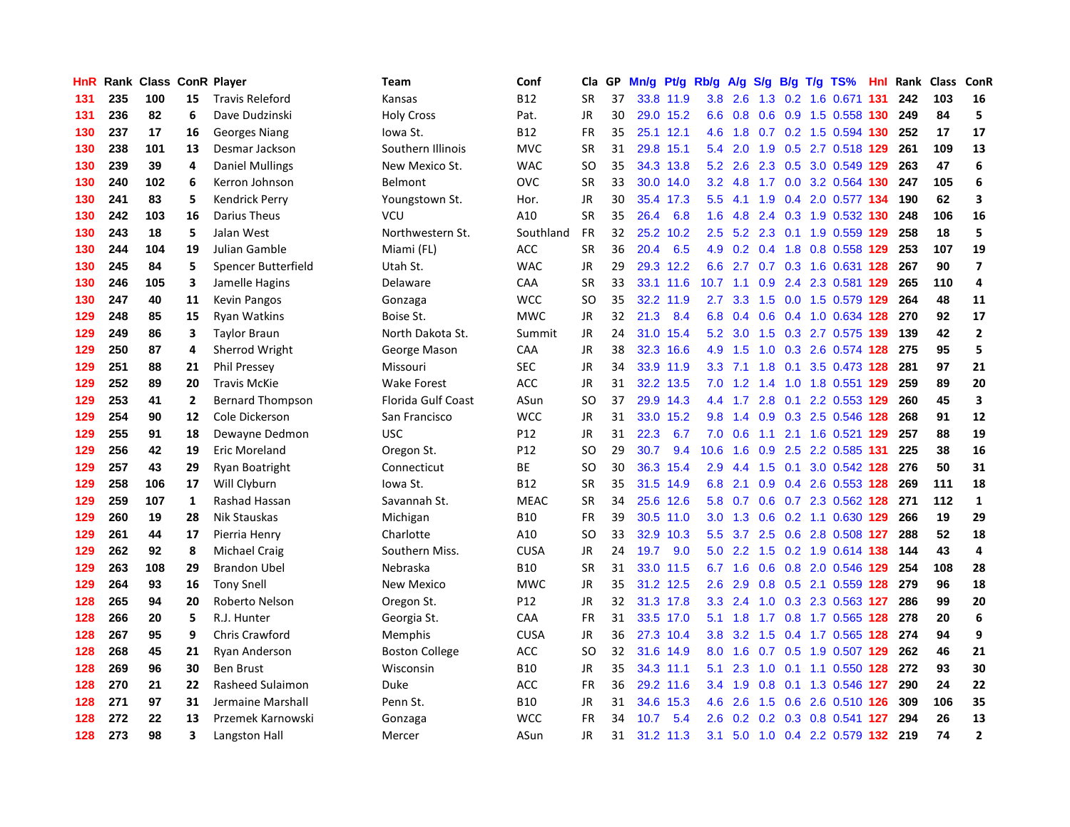| HnR | Rank |     |                | <b>Class ConR Player</b> | Team                      | Conf        | Cla       | GP. | Mn/g | Pt/g Rb/g |               | A/g     |                  |  | $S/g$ B/g T/g TS%           | Hnl | Rank | <b>Class</b> | ConR                    |
|-----|------|-----|----------------|--------------------------|---------------------------|-------------|-----------|-----|------|-----------|---------------|---------|------------------|--|-----------------------------|-----|------|--------------|-------------------------|
| 131 | 235  | 100 | 15             | <b>Travis Releford</b>   | Kansas                    | <b>B12</b>  | <b>SR</b> | 37  |      | 33.8 11.9 | 3.8           | 2.6     | 1.3              |  | 0.2 1.6 0.671 131           |     | 242  | 103          | 16                      |
| 131 | 236  | 82  | 6              | Dave Dudzinski           | <b>Holy Cross</b>         | Pat.        | <b>JR</b> | 30  |      | 29.0 15.2 | 6.6           |         |                  |  | 0.8 0.6 0.9 1.5 0.558 130   |     | 249  | 84           | 5                       |
| 130 | 237  | 17  | 16             | <b>Georges Niang</b>     | lowa St.                  | <b>B12</b>  | <b>FR</b> | 35  |      | 25.1 12.1 | 4.6           | 1.8     |                  |  | 0.7 0.2 1.5 0.594 130 252   |     |      | 17           | 17                      |
| 130 | 238  | 101 | 13             | Desmar Jackson           | Southern Illinois         | <b>MVC</b>  | SR        | 31  |      | 29.8 15.1 | 5.4           | 2.0     | 1.9              |  | 0.5 2.7 0.518 129           |     | 261  | 109          | 13                      |
| 130 | 239  | 39  | 4              | <b>Daniel Mullings</b>   | New Mexico St.            | <b>WAC</b>  | <b>SO</b> | 35  |      | 34.3 13.8 | 5.2           | 2.6     |                  |  | 2.3 0.5 3.0 0.549 129       |     | 263  | 47           | 6                       |
| 130 | 240  | 102 | 6              | Kerron Johnson           | Belmont                   | OVC         | <b>SR</b> | 33  |      | 30.0 14.0 | 3.2           | 4.8     |                  |  | 1.7 0.0 3.2 0.564 130       |     | 247  | 105          | $\boldsymbol{6}$        |
| 130 | 241  | 83  | 5              | Kendrick Perry           | Youngstown St.            | Hor.        | JR        | 30  | 35.4 | 17.3      | 5.5           | 4.1     | 1.9              |  | 0.4 2.0 0.577 134           |     | 190  | 62           | 3                       |
| 130 | 242  | 103 | 16             | Darius Theus             | VCU                       | A10         | <b>SR</b> | 35  | 26.4 | 6.8       | 1.6           | 4.8     |                  |  | 2.4 0.3 1.9 0.532 130       |     | 248  | 106          | 16                      |
| 130 | 243  | 18  | 5              | Jalan West               | Northwestern St.          | Southland   | <b>FR</b> | 32  | 25.2 | 10.2      | 2.5           | 5.2     | 2.3              |  | 0.1 1.9 0.559 129           |     | 258  | 18           | 5                       |
| 130 | 244  | 104 | 19             | Julian Gamble            | Miami (FL)                | ACC         | <b>SR</b> | 36  | 20.4 | 6.5       | 4.9           |         |                  |  | 0.2 0.4 1.8 0.8 0.558 129   |     | 253  | 107          | 19                      |
| 130 | 245  | 84  | 5              | Spencer Butterfield      | Utah St.                  | <b>WAC</b>  | JR        | 29  |      | 29.3 12.2 | 6.6           |         |                  |  | 2.7 0.7 0.3 1.6 0.631 128   |     | 267  | 90           | $\overline{\mathbf{z}}$ |
| 130 | 246  | 105 | 3              | Jamelle Hagins           | Delaware                  | CAA         | <b>SR</b> | 33  |      | 33.1 11.6 | 10.7          | $-1.1$  |                  |  | 0.9 2.4 2.3 0.581 129       |     | 265  | 110          | 4                       |
| 130 | 247  | 40  | 11             | Kevin Pangos             | Gonzaga                   | <b>WCC</b>  | <b>SO</b> | 35  | 32.2 | 11.9      | $2.7^{\circ}$ | 3.3     | 1.5              |  | 0.0 1.5 0.579 129           |     | 264  | 48           | 11                      |
| 129 | 248  | 85  | 15             | Ryan Watkins             | Boise St.                 | <b>MWC</b>  | JR        | 32  | 21.3 | 8.4       | 6.8           | 0.4     | 0.6              |  | 0.4 1.0 0.634 128           |     | 270  | 92           | 17                      |
| 129 | 249  | 86  | 3              | <b>Taylor Braun</b>      | North Dakota St.          | Summit      | JR        | 24  | 31.0 | 15.4      | 5.2           | 3.0     | 1.5              |  | 0.3 2.7 0.575 139           |     | 139  | 42           | $\overline{\mathbf{2}}$ |
| 129 | 250  | 87  | 4              | Sherrod Wright           | George Mason              | CAA         | JR        | 38  | 32.3 | 16.6      | 4.9           | 1.5     | 1.0              |  | 0.3 2.6 0.574 128           |     | 275  | 95           | 5                       |
| 129 | 251  | 88  | 21             | <b>Phil Pressey</b>      | Missouri                  | SEC         | <b>JR</b> | 34  |      | 33.9 11.9 | 3.3           | 7.1     | 1.8              |  | 0.1 3.5 0.473 128           |     | 281  | 97           | 21                      |
| 129 | 252  | 89  | 20             | <b>Travis McKie</b>      | <b>Wake Forest</b>        | <b>ACC</b>  | <b>JR</b> | 31  |      | 32.2 13.5 | 7.0           | 1.2     | 1.4              |  | 1.0 1.8 0.551 129           |     | 259  | 89           | 20                      |
| 129 | 253  | 41  | $\overline{2}$ | <b>Bernard Thompson</b>  | <b>Florida Gulf Coast</b> | ASun        | <b>SO</b> | 37  |      | 29.9 14.3 | $4.4^{\circ}$ |         |                  |  | 1.7 2.8 0.1 2.2 0.553 129   |     | 260  | 45           | $\overline{\mathbf{3}}$ |
| 129 | 254  | 90  | 12             | Cole Dickerson           | San Francisco             | <b>WCC</b>  | JR        | 31  |      | 33.0 15.2 | 9.8           | 1.4     |                  |  | 0.9 0.3 2.5 0.546 128       |     | 268  | 91           | 12                      |
| 129 | 255  | 91  | 18             | Dewayne Dedmon           | <b>USC</b>                | P12         | <b>JR</b> | 31  | 22.3 | 6.7       | 7.0           | 0.6     | 1.1              |  | 2.1 1.6 0.521 129 257       |     |      | 88           | 19                      |
| 129 | 256  | 42  | 19             | <b>Eric Moreland</b>     | Oregon St.                | P12         | <b>SO</b> | 29  | 30.7 | 9.4       | 10.6          | 1.6     | 0.9              |  | 2.5 2.2 0.585               | 131 | 225  | 38           | 16                      |
| 129 | 257  | 43  | 29             | Ryan Boatright           | Connecticut               | ВE          | <b>SO</b> | 30  |      | 36.3 15.4 | 2.9           | 4.4     | 1.5              |  | 0.1 3.0 0.542 128           |     | 276  | 50           | 31                      |
| 129 | 258  | 106 | 17             | Will Clyburn             | lowa St.                  | <b>B12</b>  | <b>SR</b> | 35  | 31.5 | 14.9      | 6.8           | 2.1     | 0.9 <sub>0</sub> |  | 0.4 2.6 0.553 128           |     | 269  | 111          | 18                      |
| 129 | 259  | 107 | 1              | Rashad Hassan            | Savannah St.              | <b>MEAC</b> | <b>SR</b> | 34  | 25.6 | 12.6      | 5.8           | 0.7     | 0.6              |  | 0.7 2.3 0.562 128           |     | 271  | 112          | $\mathbf{1}$            |
| 129 | 260  | 19  | 28             | Nik Stauskas             | Michigan                  | <b>B10</b>  | <b>FR</b> | 39  |      | 30.5 11.0 | 3.0           | 1.3     |                  |  | $0.6$ $0.2$ 1.1 $0.630$ 129 |     | 266  | 19           | 29                      |
| 129 | 261  | 44  | 17             | Pierria Henry            | Charlotte                 | A10         | SO        | 33  |      | 32.9 10.3 | 5.5           |         |                  |  | 3.7 2.5 0.6 2.8 0.508 127   |     | 288  | 52           | 18                      |
| 129 | 262  | 92  | 8              | <b>Michael Craig</b>     | Southern Miss.            | <b>CUSA</b> | JR        | 24  | 19.7 | 9.0       | 5.0           |         |                  |  | 2.2 1.5 0.2 1.9 0.614 138   |     | 144  | 43           | 4                       |
| 129 | 263  | 108 | 29             | <b>Brandon Ubel</b>      | Nebraska                  | <b>B10</b>  | <b>SR</b> | 31  |      | 33.0 11.5 |               | 6.7 1.6 |                  |  | 0.6 0.8 2.0 0.546 129       |     | 254  | 108          | 28                      |
| 129 | 264  | 93  | 16             | <b>Tony Snell</b>        | <b>New Mexico</b>         | <b>MWC</b>  | <b>JR</b> | 35  |      | 31.2 12.5 | 2.6           | 2.9     | 0.8              |  | 0.5 2.1 0.559 128           |     | 279  | 96           | 18                      |
| 128 | 265  | 94  | 20             | Roberto Nelson           | Oregon St.                | P12         | JR        | 32  |      | 31.3 17.8 | 3.3           | 2.4     | 1.0              |  | 0.3 2.3 0.563 127           |     | 286  | 99           | 20                      |
| 128 | 266  | 20  | 5              | R.J. Hunter              | Georgia St.               | CAA         | <b>FR</b> | 31  |      | 33.5 17.0 | 5.1           | 1.8     | 1.7              |  | 0.8 1.7 0.565 128           |     | 278  | 20           | $\boldsymbol{6}$        |
| 128 | 267  | 95  | 9              | <b>Chris Crawford</b>    | <b>Memphis</b>            | <b>CUSA</b> | JR        | 36  | 27.3 | 10.4      | 3.8           | 3.2     | 1.5              |  | 0.4 1.7 0.565 128           |     | 274  | 94           | 9                       |
| 128 | 268  | 45  | 21             | Ryan Anderson            | <b>Boston College</b>     | ACC         | <b>SO</b> | 32  | 31.6 | 14.9      | 8.0           | 1.6     |                  |  | 0.7 0.5 1.9 0.507 129       |     | 262  | 46           | 21                      |
| 128 | 269  | 96  | 30             | <b>Ben Brust</b>         | Wisconsin                 | <b>B10</b>  | JR        | 35  |      | 34.3 11.1 | 5.1           | 2.3     |                  |  | 1.0 0.1 1.1 0.550 128 272   |     |      | 93           | 30                      |
| 128 | 270  | 21  | 22             | Rasheed Sulaimon         | Duke                      | ACC         | FR        | 36  |      | 29.2 11.6 | 3.4           | 1.9     |                  |  | 0.8 0.1 1.3 0.546 127       |     | 290  | 24           | 22                      |
| 128 | 271  | 97  | 31             | Jermaine Marshall        | Penn St.                  | <b>B10</b>  | JR        | 31  | 34.6 | 15.3      | 4.6           | 2.6     |                  |  | 1.5 0.6 2.6 0.510 126       |     | 309  | 106          | 35                      |
| 128 | 272  | 22  | 13             | Przemek Karnowski        | Gonzaga                   | <b>WCC</b>  | <b>FR</b> | 34  | 10.7 | 5.4       | 2.6           | 0.2     | 0.2              |  | 0.3 0.8 0.541 127           |     | 294  | 26           | 13                      |
| 128 | 273  | 98  | 3              | Langston Hall            | Mercer                    | ASun        | JR        | 31  | 31.2 | 11.3      | 3.1           |         |                  |  | 5.0 1.0 0.4 2.2 0.579 132   |     | 219  | 74           | $\overline{\mathbf{2}}$ |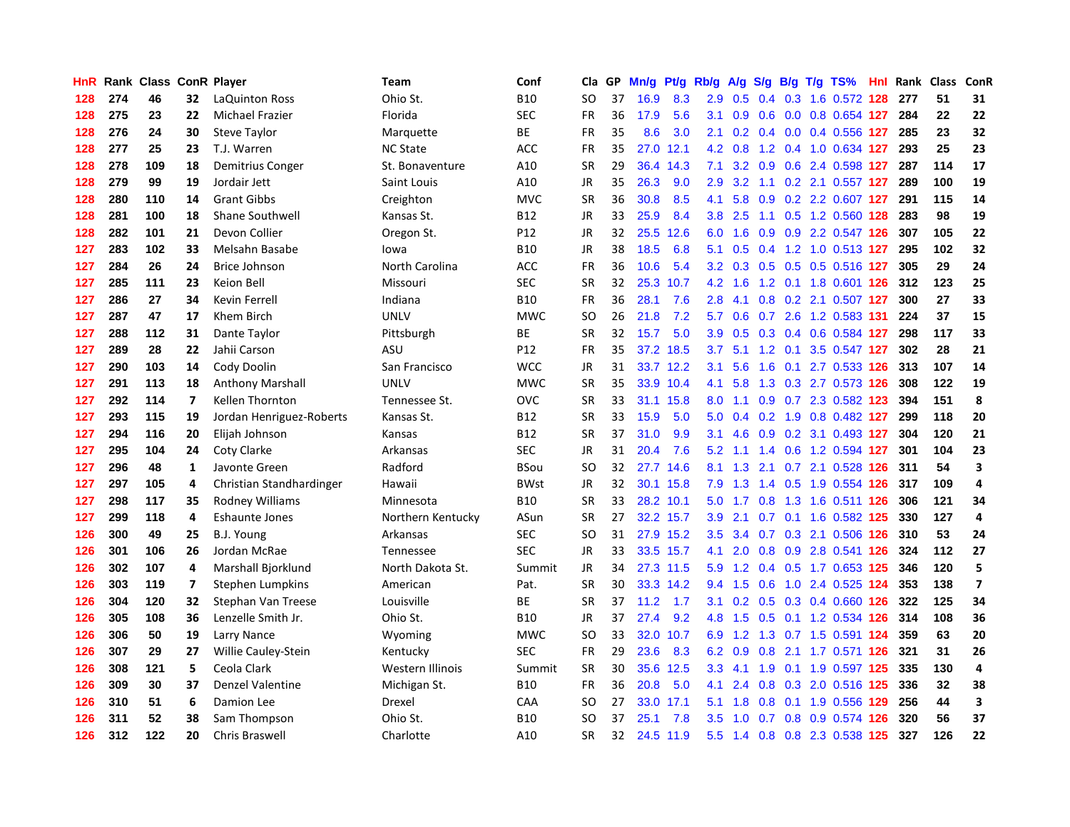| HnR |     | Rank Class ConR Player |                          |                            | Team              | Conf        | Cla           | <b>GP</b> | Mn/g | Pt/g      | Rb/g             | A/g | S/g              |     | B/g T/g TS%               | Hnl | Rank | <b>Class</b> | <b>ConR</b>             |
|-----|-----|------------------------|--------------------------|----------------------------|-------------------|-------------|---------------|-----------|------|-----------|------------------|-----|------------------|-----|---------------------------|-----|------|--------------|-------------------------|
| 128 | 274 | 46                     | 32                       | <b>LaQuinton Ross</b>      | Ohio St.          | <b>B10</b>  | SO.           | 37        | 16.9 | 8.3       | 2.9              | 0.5 |                  |     | 0.4 0.3 1.6 0.572 128     |     | 277  | 51           | 31                      |
| 128 | 275 | 23                     | 22                       | Michael Frazier            | Florida           | <b>SEC</b>  | <b>FR</b>     | 36        | 17.9 | 5.6       | 3.1              | 0.9 |                  |     | 0.6 0.0 0.8 0.654 127     |     | 284  | 22           | 22                      |
| 128 | 276 | 24                     | 30                       | <b>Steve Taylor</b>        | Marquette         | <b>BE</b>   | <b>FR</b>     | 35        | 8.6  | 3.0       | 2.1              | 0.2 |                  |     | $0.4$ 0.0 0.4 0.556 127   |     | 285  | 23           | 32                      |
| 128 | 277 | 25                     | 23                       | T.J. Warren                | <b>NC State</b>   | <b>ACC</b>  | <b>FR</b>     | 35        | 27.0 | 12.1      | 4.2              | 0.8 |                  |     | 1.2 0.4 1.0 0.634 127     |     | 293  | 25           | 23                      |
| 128 | 278 | 109                    | 18                       | Demitrius Conger           | St. Bonaventure   | A10         | <b>SR</b>     | 29        | 36.4 | 14.3      | 7.1              | 3.2 | 0.9 <sub>0</sub> |     | 0.6 2.4 0.598 127         |     | 287  | 114          | 17                      |
| 128 | 279 | 99                     | 19                       | Jordair Jett               | Saint Louis       | A10         | JR            | 35        | 26.3 | 9.0       | 2.9              | 3.2 |                  |     | 1.1 0.2 2.1 0.557 127     |     | 289  | 100          | 19                      |
| 128 | 280 | 110                    | 14                       | <b>Grant Gibbs</b>         | Creighton         | <b>MVC</b>  | <b>SR</b>     | 36        | 30.8 | 8.5       | 4.1              | 5.8 | 0.9 <sub>0</sub> |     | 0.2 2.2 0.607 127         |     | 291  | 115          | 14                      |
| 128 | 281 | 100                    | 18                       | <b>Shane Southwell</b>     | Kansas St.        | B12         | JR            | 33        | 25.9 | 8.4       | 3.8 <sub>2</sub> | 2.5 |                  |     | 1.1 0.5 1.2 0.560 128     |     | 283  | 98           | 19                      |
| 128 | 282 | 101                    | 21                       | Devon Collier              | Oregon St.        | P12         | JR            | 32        | 25.5 | 12.6      | 6.0              | 1.6 | 0.9 <sup>°</sup> |     | 0.9 2.2 0.547 126         |     | 307  | 105          | 22                      |
| 127 | 283 | 102                    | 33                       | Melsahn Basabe             | lowa              | <b>B10</b>  | JR            | 38        | 18.5 | 6.8       | 5.1              | 0.5 |                  |     | 0.4 1.2 1.0 0.513 127     |     | 295  | 102          | 32                      |
| 127 | 284 | 26                     | 24                       | Brice Johnson              | North Carolina    | <b>ACC</b>  | <b>FR</b>     | 36        | 10.6 | 5.4       | 3.2              | 0.3 |                  |     | 0.5 0.5 0.5 0.516 127     |     | 305  | 29           | 24                      |
| 127 | 285 | 111                    | 23                       | Keion Bell                 | Missouri          | <b>SEC</b>  | <b>SR</b>     | 32        | 25.3 | 10.7      | 4.2              | 1.6 |                  |     | 1.2 0.1 1.8 0.601 126     |     | 312  | 123          | 25                      |
| 127 | 286 | 27                     | 34                       | Kevin Ferrell              | Indiana           | <b>B10</b>  | <b>FR</b>     | 36        | 28.1 | 7.6       | 2.8              | 4.1 | 0.8              |     | 0.2 2.1 0.507 127         |     | 300  | 27           | 33                      |
| 127 | 287 | 47                     | 17                       | Khem Birch                 | <b>UNLV</b>       | <b>MWC</b>  | <b>SO</b>     | 26        | 21.8 | 7.2       | 5.7              | 0.6 |                  |     | 0.7 2.6 1.2 0.583 131     |     | 224  | 37           | 15                      |
| 127 | 288 | 112                    | 31                       | Dante Taylor               | Pittsburgh        | ВE          | <b>SR</b>     | 32        | 15.7 | 5.0       | 3.9              | 0.5 | 0.3              |     | 0.4 0.6 0.584 127         |     | 298  | 117          | 33                      |
| 127 | 289 | 28                     | 22                       | Jahii Carson               | ASU               | P12         | <b>FR</b>     | 35        | 37.2 | 18.5      | 3.7              | 5.1 | 1.2              | 0.1 | 3.5 0.547 127             |     | 302  | 28           | 21                      |
| 127 | 290 | 103                    | 14                       | Cody Doolin                | San Francisco     | <b>WCC</b>  | <b>JR</b>     | 31        |      | 33.7 12.2 | 3.1              | 5.6 | 1.6              | 0.1 | 2.7 0.533 126             |     | 313  | 107          | 14                      |
| 127 | 291 | 113                    | 18                       | Anthony Marshall           | <b>UNLV</b>       | <b>MWC</b>  | <b>SR</b>     | 35        |      | 33.9 10.4 | 4.1              | 5.8 |                  |     | 1.3 0.3 2.7 0.573 126     |     | 308  | 122          | 19                      |
| 127 | 292 | 114                    | $\overline{\mathbf{z}}$  | Kellen Thornton            | Tennessee St.     | <b>OVC</b>  | <b>SR</b>     | 33        |      | 31.1 15.8 | 8.0              | 1.1 |                  |     | 0.9 0.7 2.3 0.582 123     |     | 394  | 151          | 8                       |
| 127 | 293 | 115                    | 19                       | Jordan Henriguez-Roberts   | Kansas St.        | <b>B12</b>  | <b>SR</b>     | 33        | 15.9 | 5.0       | 5.0              | 0.4 |                  |     | 0.2 1.9 0.8 0.482 127     |     | 299  | 118          | 20                      |
| 127 | 294 | 116                    | 20                       | Elijah Johnson             | Kansas            | <b>B12</b>  | <b>SR</b>     | 37        | 31.0 | 9.9       | 3.1              | 4.6 |                  |     | 0.9 0.2 3.1 0.493 127     |     | 304  | 120          | 21                      |
| 127 | 295 | 104                    | 24                       | Coty Clarke                | Arkansas          | <b>SEC</b>  | <b>JR</b>     | 31        | 20.4 | 7.6       | 5.2              | 1.1 | $1.4^{\circ}$    |     | 0.6 1.2 0.594 127         |     | 301  | 104          | 23                      |
| 127 | 296 | 48                     | $\mathbf{1}$             | Javonte Green              | Radford           | BSou        | <b>SO</b>     | 32        | 27.7 | 14.6      | 8.1              | 1.3 |                  |     | 2.1 0.7 2.1 0.528         | 126 | 311  | 54           | $\overline{\mathbf{3}}$ |
| 127 | 297 | 105                    | 4                        | Christian Standhardinger   | Hawaii            | <b>BWst</b> | JR            | 32        | 30.1 | 15.8      | 7.9              | 1.3 | 1.4              |     | 0.5 1.9 0.554 126         |     | 317  | 109          | 4                       |
| 127 | 298 | 117                    | 35                       | Rodney Williams            | Minnesota         | <b>B10</b>  | <b>SR</b>     | 33        |      | 28.2 10.1 | 5.0              | 1.7 | 0.8              |     | 1.3 1.6 0.511 126         |     | 306  | 121          | 34                      |
| 127 | 299 | 118                    | 4                        | <b>Eshaunte Jones</b>      | Northern Kentucky | ASun        | <b>SR</b>     | 27        |      | 32.2 15.7 | 3.9 <sup>°</sup> | 2.1 | 0.7              |     | 0.1 1.6 0.582 125         |     | 330  | 127          | 4                       |
| 126 | 300 | 49                     | 25                       | B.J. Young                 | Arkansas          | <b>SEC</b>  | <sub>SO</sub> | 31        |      | 27.9 15.2 | 3.5              |     |                  |     | 3.4 0.7 0.3 2.1 0.506 126 |     | 310  | 53           | 24                      |
| 126 | 301 | 106                    | 26                       | Jordan McRae               | Tennessee         | <b>SEC</b>  | JR            | 33        |      | 33.5 15.7 | 4.1              | 2.0 |                  |     | 0.8 0.9 2.8 0.541 126     |     | 324  | 112          | 27                      |
| 126 | 302 | 107                    | 4                        | Marshall Bjorklund         | North Dakota St.  | Summit      | JR            | 34        |      | 27.3 11.5 | 5.9              | 1.2 |                  |     | 0.4 0.5 1.7 0.653 125     |     | 346  | 120          | 5                       |
| 126 | 303 | 119                    | $\overline{\phantom{a}}$ | Stephen Lumpkins           | American          | Pat.        | <b>SR</b>     | 30        |      | 33.3 14.2 | 9.4              | 1.5 | 0.6              |     | 1.0 2.4 0.525 124         |     | 353  | 138          | $\overline{7}$          |
| 126 | 304 | 120                    | 32                       | Stephan Van Treese         | Louisville        | <b>BE</b>   | <b>SR</b>     | 37        | 11.2 | 1.7       | 3.1              | 0.2 | 0.5              |     | 0.3 0.4 0.660 126         |     | 322  | 125          | 34                      |
| 126 | 305 | 108                    | 36                       | Lenzelle Smith Jr.         | Ohio St.          | <b>B10</b>  | JR            | 37        | 27.4 | 9.2       | 4.8              | 1.5 | 0.5              |     | 0.1 1.2 0.534 126         |     | 314  | 108          | 36                      |
| 126 | 306 | 50                     | 19                       | Larry Nance                | Wyoming           | <b>MWC</b>  | <b>SO</b>     | 33        | 32.0 | 10.7      | 6.9              | 1.2 | 1.3              |     | 0.7 1.5 0.591 124         |     | 359  | 63           | 20                      |
| 126 | 307 | 29                     | 27                       | <b>Willie Cauley-Stein</b> | Kentucky          | <b>SEC</b>  | <b>FR</b>     | 29        | 23.6 | 8.3       | 6.2              | 0.9 | 0.8              |     | 2.1 1.7 0.571 126         |     | 321  | 31           | 26                      |
| 126 | 308 | 121                    | 5                        | Ceola Clark                | Western Illinois  | Summit      | <b>SR</b>     | 30        | 35.6 | 12.5      | 3.3 <sub>2</sub> | 4.1 | 1.9              |     | 0.1 1.9 0.597 125         |     | 335  | 130          | $\pmb{4}$               |
| 126 | 309 | 30                     | 37                       | <b>Denzel Valentine</b>    | Michigan St.      | B10         | <b>FR</b>     | 36        | 20.8 | 5.0       | 4.1              | 2.4 |                  |     | 0.8 0.3 2.0 0.516 125     |     | 336  | 32           | 38                      |
| 126 | 310 | 51                     | 6                        | Damion Lee                 | Drexel            | CAA         | SO.           | 27        | 33.0 | 17.1      | 5.1              | 1.8 | 0.8              |     | 0.1 1.9 0.556 129         |     | 256  | 44           | $\overline{\mathbf{3}}$ |
| 126 | 311 | 52                     | 38                       | Sam Thompson               | Ohio St.          | <b>B10</b>  | SO            | 37        | 25.1 | 7.8       | 3.5              | 1.0 |                  |     | 0.7 0.8 0.9 0.574 126     |     | 320  | 56           | 37                      |
| 126 | 312 | 122                    | 20                       | <b>Chris Braswell</b>      | Charlotte         | A10         | <b>SR</b>     | 32        | 24.5 | 11.9      | 5.5              |     |                  |     | 1.4 0.8 0.8 2.3 0.538 125 |     | 327  | 126          | 22                      |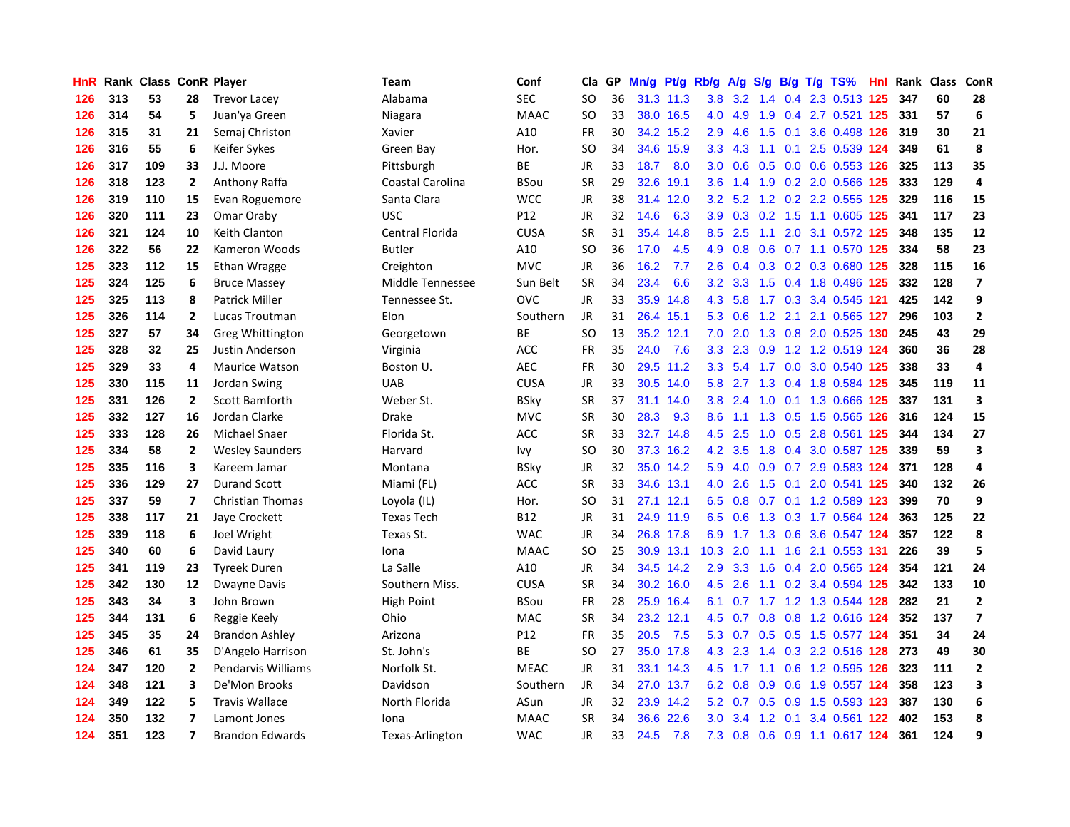| HnR |     | Rank Class ConR Player |                          |                         | Team              | Conf        | Cla       | <b>GP</b> | Mn/g | Pt/g Rb/g |                  | A/g             |     |     | S/g B/g T/g TS%               | Hnl | Rank | Class | ConR                     |
|-----|-----|------------------------|--------------------------|-------------------------|-------------------|-------------|-----------|-----------|------|-----------|------------------|-----------------|-----|-----|-------------------------------|-----|------|-------|--------------------------|
| 126 | 313 | 53                     | 28                       | <b>Trevor Lacey</b>     | Alabama           | <b>SEC</b>  | <b>SO</b> | 36        |      | 31.3 11.3 | 3.8              | 3.2             | 1.4 |     | 0.4 2.3 0.513 125             |     | 347  | 60    | 28                       |
| 126 | 314 | 54                     | 5                        | Juan'ya Green           | Niagara           | <b>MAAC</b> | <b>SO</b> | 33        |      | 38.0 16.5 |                  | 4.0 4.9         |     |     | 1.9 0.4 2.7 0.521 125         |     | 331  | 57    | 6                        |
| 126 | 315 | 31                     | 21                       | Semaj Christon          | Xavier            | A10         | FR        | 30        |      | 34.2 15.2 | 2.9              | 4.6             |     |     | 1.5 0.1 3.6 0.498 126         |     | 319  | 30    | 21                       |
| 126 | 316 | 55                     | 6                        | Keifer Sykes            | Green Bay         | Hor.        | <b>SO</b> | 34        | 34.6 | 15.9      | 3.3 <sub>2</sub> |                 |     |     | 4.3 1.1 0.1 2.5 0.539 124     |     | 349  | 61    | 8                        |
| 126 | 317 | 109                    | 33                       | J.J. Moore              | Pittsburgh        | ВE          | <b>JR</b> | 33        | 18.7 | 8.0       | 3.0 <sub>2</sub> | 0.6             | 0.5 |     | 0.0 0.6 0.553 126             |     | 325  | 113   | 35                       |
| 126 | 318 | 123                    | $\overline{2}$           | Anthony Raffa           | Coastal Carolina  | <b>BSou</b> | <b>SR</b> | 29        | 32.6 | 19.1      | 3.6              | 1.4             |     |     | 1.9 0.2 2.0 0.566 125         |     | 333  | 129   | $\overline{a}$           |
| 126 | 319 | 110                    | 15                       | Evan Roguemore          | Santa Clara       | <b>WCC</b>  | JR        | 38        | 31.4 | 12.0      | 3.2              | 5.2             |     |     | 1.2 0.2 2.2 0.555 125         |     | 329  | 116   | 15                       |
| 126 | 320 | 111                    | 23                       | Omar Oraby              | <b>USC</b>        | P12         | JR        | 32        | 14.6 | 6.3       | 3.9              | 0.3             |     |     | 0.2 1.5 1.1 0.605 125         |     | 341  | 117   | 23                       |
| 126 | 321 | 124                    | 10                       | Keith Clanton           | Central Florida   | <b>CUSA</b> | <b>SR</b> | 31        | 35.4 | 14.8      | 8.5              | 2.5             | 1.1 |     | 2.0 3.1 0.572 125             |     | 348  | 135   | 12                       |
| 126 | 322 | 56                     | 22                       | Kameron Woods           | <b>Butler</b>     | A10         | <b>SO</b> | 36        | 17.0 | 4.5       | 4.9              | 0.8             |     |     | 0.6 0.7 1.1 0.570 125         |     | 334  | 58    | 23                       |
| 125 | 323 | 112                    | 15                       | Ethan Wragge            | Creighton         | <b>MVC</b>  | JR        | 36        | 16.2 | 7.7       | 2.6              |                 |     |     | 0.4 0.3 0.2 0.3 0.680 125     |     | 328  | 115   | 16                       |
| 125 | 324 | 125                    | 6                        | <b>Bruce Massey</b>     | Middle Tennessee  | Sun Belt    | <b>SR</b> | 34        | 23.4 | 6.6       | 3.2              | 3.3             |     |     | 1.5 0.4 1.8 0.496 125         |     | 332  | 128   | $\overline{\phantom{a}}$ |
| 125 | 325 | 113                    | 8                        | Patrick Miller          | Tennessee St.     | OVC         | JR        | 33        | 35.9 | 14.8      | 4.3              | 5.8             |     |     | 1.7 0.3 3.4 0.545 121         |     | 425  | 142   | 9                        |
| 125 | 326 | 114                    | $\overline{2}$           | Lucas Troutman          | Elon              | Southern    | JR        | 31        | 26.4 | 15.1      | 5.3              | 0.6             |     |     | 1.2 2.1 2.1 0.565 127         |     | 296  | 103   | $\overline{2}$           |
| 125 | 327 | 57                     | 34                       | Greg Whittington        | Georgetown        | <b>BE</b>   | <b>SO</b> | 13        | 35.2 | 12.1      | 7.0              | 2.0             |     |     | 1.3 0.8 2.0 0.525 130         |     | 245  | 43    | 29                       |
| 125 | 328 | 32                     | 25                       | Justin Anderson         | Virginia          | <b>ACC</b>  | <b>FR</b> | 35        | 24.0 | 7.6       | 3.3 <sub>2</sub> | 2.3             | 0.9 |     | 1.2 1.2 0.519 124             |     | 360  | 36    | 28                       |
| 125 | 329 | 33                     | 4                        | <b>Maurice Watson</b>   | Boston U.         | <b>AEC</b>  | <b>FR</b> | 30        | 29.5 | 11.2      |                  | $3.3 \quad 5.4$ |     |     | 1.7 0.0 3.0 0.540 125         |     | 338  | 33    | $\overline{4}$           |
| 125 | 330 | 115                    | 11                       | Jordan Swing            | <b>UAB</b>        | <b>CUSA</b> | JR        | 33        |      | 30.5 14.0 | 5.8              | 2.7             | 1.3 |     | 0.4 1.8 0.584 125             |     | 345  | 119   | 11                       |
| 125 | 331 | 126                    | $\overline{2}$           | Scott Bamforth          | Weber St.         | <b>BSky</b> | <b>SR</b> | 37        |      | 31.1 14.0 |                  |                 |     |     | 3.8 2.4 1.0 0.1 1.3 0.666 125 |     | 337  | 131   | $\overline{\mathbf{3}}$  |
| 125 | 332 | 127                    | 16                       | Jordan Clarke           | <b>Drake</b>      | <b>MVC</b>  | <b>SR</b> | 30        | 28.3 | 9.3       | 8.6              | 1.1             |     |     | 1.3 0.5 1.5 0.565 126         |     | 316  | 124   | 15                       |
| 125 | 333 | 128                    | 26                       | <b>Michael Snaer</b>    | Florida St.       | ACC         | <b>SR</b> | 33        |      | 32.7 14.8 | 4.5              | 2.5             |     |     | 1.0 0.5 2.8 0.561 125         |     | 344  | 134   | 27                       |
| 125 | 334 | 58                     | $\overline{2}$           | <b>Wesley Saunders</b>  | Harvard           | Ivy         | <b>SO</b> | 30        | 37.3 | 16.2      | 4.2              | 3.5             | 1.8 |     | 0.4 3.0 0.587 125             |     | 339  | 59    | $\overline{\mathbf{3}}$  |
| 125 | 335 | 116                    | 3                        | Kareem Jamar            | Montana           | <b>BSky</b> | JR        | 32        |      | 35.0 14.2 | 5.9              | 4.0             |     |     | 0.9 0.7 2.9 0.583 124         |     | 371  | 128   | $\overline{a}$           |
| 125 | 336 | 129                    | 27                       | <b>Durand Scott</b>     | Miami (FL)        | ACC         | <b>SR</b> | 33        | 34.6 | 13.1      | 4.0              | 2.6             | 1.5 | 0.1 | 2.0 0.541 125                 |     | 340  | 132   | 26                       |
| 125 | 337 | 59                     | $\overline{7}$           | <b>Christian Thomas</b> | Loyola (IL)       | Hor.        | SO        | 31        | 27.1 | 12.1      | 6.5              | 0.8             | 0.7 |     | 0.1 1.2 0.589 123             |     | 399  | 70    | 9                        |
| 125 | 338 | 117                    | 21                       | Jaye Crockett           | <b>Texas Tech</b> | <b>B12</b>  | JR        | 31        |      | 24.9 11.9 | 6.5              | 0.6             | 1.3 |     | 0.3 1.7 0.564 124             |     | 363  | 125   | 22                       |
| 125 | 339 | 118                    | 6                        | Joel Wright             | Texas St.         | <b>WAC</b>  | JR        | 34        |      | 26.8 17.8 |                  |                 |     |     | 6.9 1.7 1.3 0.6 3.6 0.547 124 |     | 357  | 122   | 8                        |
| 125 | 340 | 60                     | 6                        | David Laury             | Iona              | <b>MAAC</b> | <b>SO</b> | 25        |      | 30.9 13.1 | 10.3             |                 |     |     | 2.0 1.1 1.6 2.1 0.553 131     |     | 226  | 39    | 5                        |
| 125 | 341 | 119                    | 23                       | <b>Tyreek Duren</b>     | La Salle          | A10         | <b>JR</b> | 34        |      | 34.5 14.2 | 2.9 <sup>°</sup> |                 |     |     | 3.3 1.6 0.4 2.0 0.565 124     |     | 354  | 121   | 24                       |
| 125 | 342 | 130                    | 12                       | Dwayne Davis            | Southern Miss.    | <b>CUSA</b> | <b>SR</b> | 34        |      | 30.2 16.0 | 4.5              | 2.6             |     |     | 1.1 0.2 3.4 0.594 125         |     | 342  | 133   | 10                       |
| 125 | 343 | 34                     | $\overline{\mathbf{3}}$  | John Brown              | <b>High Point</b> | <b>BSou</b> | <b>FR</b> | 28        |      | 25.9 16.4 | 6.1              | 0.7             |     |     | 1.7 1.2 1.3 0.544 128         |     | 282  | 21    | $\overline{2}$           |
| 125 | 344 | 131                    | 6                        | Reggie Keely            | Ohio              | MAC         | <b>SR</b> | 34        | 23.2 | 12.1      | 4.5              | 0.7             |     |     | 0.8 0.8 1.2 0.616 124         |     | 352  | 137   | $\overline{7}$           |
| 125 | 345 | 35                     | 24                       | Brandon Ashley          | Arizona           | P12         | <b>FR</b> | 35        | 20.5 | 7.5       | 5.3              | 0.7             |     |     | 0.5 0.5 1.5 0.577 124         |     | 351  | 34    | 24                       |
| 125 | 346 | 61                     | 35                       | D'Angelo Harrison       | St. John's        | <b>BE</b>   | <b>SO</b> | 27        | 35.0 | 17.8      | 4.3              | 2.3             | 1.4 |     | 0.3 2.2 0.516 128             |     | 273  | 49    | 30                       |
| 124 | 347 | 120                    | $\overline{2}$           | Pendarvis Williams      | Norfolk St.       | <b>MEAC</b> | <b>JR</b> | 31        |      | 33.1 14.3 | 4.5              | 1.7             |     |     | 1.1 0.6 1.2 0.595 126         |     | 323  | 111   | $\overline{\mathbf{2}}$  |
| 124 | 348 | 121                    | 3                        | De'Mon Brooks           | Davidson          | Southern    | <b>JR</b> | 34        |      | 27.0 13.7 |                  | $6.2 \quad 0.8$ |     |     | 0.9 0.6 1.9 0.557 124         |     | 358  | 123   | 3                        |
| 124 | 349 | 122                    | 5                        | <b>Travis Wallace</b>   | North Florida     | ASun        | <b>JR</b> | 32        |      | 23.9 14.2 | 5.2              | 0.7             |     |     | 0.5 0.9 1.5 0.593 123         |     | 387  | 130   | 6                        |
| 124 | 350 | 132                    | $\overline{7}$           | Lamont Jones            | Iona              | <b>MAAC</b> | <b>SR</b> | 34        | 36.6 | 22.6      | 3.0              | 3.4             | 1.2 | 0.1 | 3.4 0.561 122                 |     | 402  | 153   | 8                        |
| 124 | 351 | 123                    | $\overline{\phantom{a}}$ | <b>Brandon Edwards</b>  | Texas-Arlington   | <b>WAC</b>  | <b>JR</b> | 33        | 24.5 | 7.8       | 7.3              | 0.8             |     |     | 0.6 0.9 1.1 0.617 124         |     | 361  | 124   | 9                        |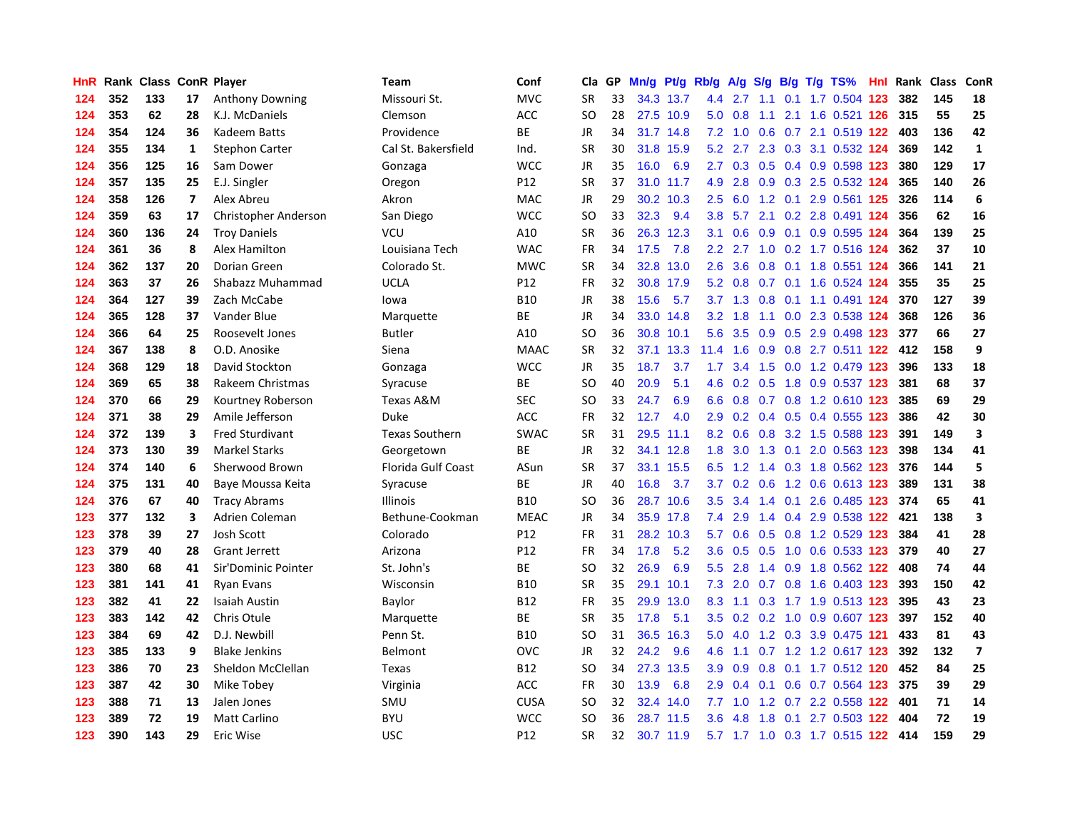| HnR |     | Rank Class ConR Player |                |                        | <b>Team</b>           | Conf            | Cla       | <b>GP</b> | Mn/g | Pt/g Rb/g |                  | A/g            |     |                 | S/g B/g T/g TS%                            | Hnl | Rank | <b>Class</b> | ConR                    |
|-----|-----|------------------------|----------------|------------------------|-----------------------|-----------------|-----------|-----------|------|-----------|------------------|----------------|-----|-----------------|--------------------------------------------|-----|------|--------------|-------------------------|
| 124 | 352 | 133                    | 17             | <b>Anthony Downing</b> | Missouri St.          | <b>MVC</b>      | <b>SR</b> | 33        |      | 34.3 13.7 | 4.4              | 2.7            | 1.1 | 0.1             | 1.7 0.504 123                              |     | 382  | 145          | 18                      |
| 124 | 353 | 62                     | 28             | K.J. McDaniels         | Clemson               | ACC             | <b>SO</b> | 28        |      | 27.5 10.9 |                  | $5.0\quad 0.8$ |     |                 | 1.1 2.1 1.6 0.521 126 315                  |     |      | 55           | 25                      |
| 124 | 354 | 124                    | 36             | Kadeem Batts           | Providence            | <b>BE</b>       | JR        | 34        |      | 31.7 14.8 | 7.2              | 1.0            |     |                 | 0.6 0.7 2.1 0.519 122 403                  |     |      | 136          | 42                      |
| 124 | 355 | 134                    | 1              | <b>Stephon Carter</b>  | Cal St. Bakersfield   | Ind.            | <b>SR</b> | 30        | 31.8 | 15.9      | 5.2              | 2.7            |     |                 | 2.3 0.3 3.1 0.532 124                      |     | 369  | 142          | $\mathbf{1}$            |
| 124 | 356 | 125                    | 16             | Sam Dower              | Gonzaga               | <b>WCC</b>      | <b>JR</b> | 35        | 16.0 | 6.9       | $2.7^{\circ}$    | 0.3            |     |                 | 0.5 0.4 0.9 0.598 123                      |     | 380  | 129          | 17                      |
| 124 | 357 | 135                    | 25             | E.J. Singler           | Oregon                | P12             | <b>SR</b> | 37        | 31.0 | 11.7      | 4.9              | 2.8            |     |                 | $0.9$ $0.3$ $2.5$ $0.532$ 124              |     | 365  | 140          | 26                      |
| 124 | 358 | 126                    | $\overline{7}$ | Alex Abreu             | Akron                 | <b>MAC</b>      | JR        | 29        | 30.2 | 10.3      | 2.5              | 6.0            |     |                 | 1.2 0.1 2.9 0.561 125                      |     | 326  | 114          | 6                       |
| 124 | 359 | 63                     | 17             | Christopher Anderson   | San Diego             | <b>WCC</b>      | <b>SO</b> | 33        | 32.3 | 9.4       | 3.8              | 5.7            |     |                 | 2.1 0.2 2.8 0.491 124                      |     | 356  | 62           | 16                      |
| 124 | 360 | 136                    | 24             | <b>Troy Daniels</b>    | VCU                   | A10             | <b>SR</b> | 36        | 26.3 | 12.3      | 3.1              | 0.6            | 0.9 |                 | 0.1 0.9 0.595 124                          |     | 364  | 139          | 25                      |
| 124 | 361 | 36                     | 8              | Alex Hamilton          | Louisiana Tech        | <b>WAC</b>      | <b>FR</b> | 34        | 17.5 | 7.8       |                  | $2.2$ 2.7      |     |                 | 1.0 0.2 1.7 0.516 124                      |     | 362  | 37           | 10                      |
| 124 | 362 | 137                    | 20             | Dorian Green           | Colorado St.          | <b>MWC</b>      | <b>SR</b> | 34        |      | 32.8 13.0 | 2.6              | 3.6            |     |                 | 0.8 0.1 1.8 0.551 124                      |     | 366  | 141          | 21                      |
| 124 | 363 | 37                     | 26             | Shabazz Muhammad       | <b>UCLA</b>           | P12             | <b>FR</b> | 32        |      | 30.8 17.9 | 5.2              | 0.8            |     |                 | 0.7 0.1 1.6 0.524 124                      |     | 355  | 35           | 25                      |
| 124 | 364 | 127                    | 39             | Zach McCabe            | lowa                  | <b>B10</b>      | <b>JR</b> | 38        | 15.6 | 5.7       |                  | $3.7$ 1.3      | 0.8 |                 | 0.1 1.1 0.491 124                          |     | 370  | 127          | 39                      |
| 124 | 365 | 128                    | 37             | Vander Blue            | Marquette             | <b>BE</b>       | <b>JR</b> | 34        | 33.0 | 14.8      | 3.2              | 1.8            | 1.1 |                 | 0.0 2.3 0.538 124                          |     | 368  | 126          | 36                      |
| 124 | 366 | 64                     | 25             | Roosevelt Jones        | <b>Butler</b>         | A10             | <b>SO</b> | 36        | 30.8 | 10.1      | 5.6              | 3.5            |     |                 | 0.9 0.5 2.9 0.498 123                      |     | 377  | 66           | 27                      |
| 124 | 367 | 138                    | 8              | O.D. Anosike           | Siena                 | <b>MAAC</b>     | <b>SR</b> | 32        | 37.1 | 13.3      | 11.4             | 1.6            | 0.9 |                 | 0.8 2.7 0.511 122 412                      |     |      | 158          | 9                       |
| 124 | 368 | 129                    | 18             | David Stockton         | Gonzaga               | <b>WCC</b>      | <b>JR</b> | 35        | 18.7 | 3.7       | 1.7              | 3.4            | 1.5 |                 | 0.0 1.2 0.479 123                          |     | 396  | 133          | 18                      |
| 124 | 369 | 65                     | 38             | Rakeem Christmas       | Syracuse              | <b>BE</b>       | <b>SO</b> | 40        | 20.9 | 5.1       | 4.6              | 0.2            | 0.5 |                 | 1.8 0.9 0.537 123                          |     | 381  | 68           | 37                      |
| 124 | 370 | 66                     | 29             | Kourtney Roberson      | Texas A&M             | SEC             | <b>SO</b> | 33        | 24.7 | 6.9       | 6.6              |                |     |                 | 0.8 0.7 0.8 1.2 0.610 123                  |     | 385  | 69           | 29                      |
| 124 | 371 | 38                     | 29             | Amile Jefferson        | Duke                  | ACC             | FR        | 32        | 12.7 | 4.0       | 2.9              |                |     |                 | 0.2 0.4 0.5 0.4 0.555 123                  |     | 386  | 42           | 30                      |
| 124 | 372 | 139                    | 3              | <b>Fred Sturdivant</b> | <b>Texas Southern</b> | <b>SWAC</b>     | <b>SR</b> | 31        | 29.5 | 11.1      | 8.2              | 0.6            |     |                 | 0.8 3.2 1.5 0.588 123                      |     | 391  | 149          | $\overline{\mathbf{3}}$ |
| 124 | 373 | 130                    | 39             | <b>Markel Starks</b>   | Georgetown            | BE              | <b>JR</b> | 32        | 34.1 | 12.8      | 1.8              | 3.0            | 1.3 | 0.1             | 2.0 0.563 123                              |     | 398  | 134          | 41                      |
| 124 | 374 | 140                    | 6              | Sherwood Brown         | Florida Gulf Coast    | ASun            | <b>SR</b> | 37        | 33.1 | 15.5      | 6.5              | 1.2            |     |                 | 1.4 0.3 1.8 0.562 123                      |     | 376  | 144          | 5                       |
| 124 | 375 | 131                    | 40             | Baye Moussa Keita      | Syracuse              | BE              | JR        | 40        | 16.8 | 3.7       | 3.7              | 0.2            | 0.6 |                 | 1.2 0.6 0.613 123                          |     | 389  | 131          | 38                      |
| 124 | 376 | 67                     | 40             | <b>Tracy Abrams</b>    | Illinois              | <b>B10</b>      | <b>SO</b> | 36        | 28.7 | 10.6      | 3.5              | 3.4            |     | $1.4 \quad 0.1$ | 2.6 0.485 123                              |     | 374  | 65           | 41                      |
| 123 | 377 | 132                    | 3              | Adrien Coleman         | Bethune-Cookman       | <b>MEAC</b>     | <b>JR</b> | 34        |      | 35.9 17.8 | 7.4              | 2.9            |     |                 | 1.4 0.4 2.9 0.538 122                      |     | 421  | 138          | 3                       |
| 123 | 378 | 39                     | 27             | Josh Scott             | Colorado              | P12             | FR        | 31        |      | 28.2 10.3 | 5.7              | 0.6            |     |                 | $0.5$ 0.8 1.2 0.529 123                    |     | 384  | 41           | 28                      |
| 123 | 379 | 40                     | 28             | Grant Jerrett          | Arizona               | P12             | <b>FR</b> | 34        | 17.8 | 5.2       | 3.6              |                |     |                 | $0.5$ $0.5$ $1.0$ $0.6$ $0.533$ <b>123</b> |     | 379  | 40           | 27                      |
| 123 | 380 | 68                     | 41             | Sir'Dominic Pointer    | St. John's            | <b>BE</b>       | <b>SO</b> | 32        | 26.9 | 6.9       | 5.5 <sub>1</sub> | 2.8            |     |                 | 1.4 0.9 1.8 0.562 122 408                  |     |      | 74           | 44                      |
| 123 | 381 | 141                    | 41             | Ryan Evans             | Wisconsin             | <b>B10</b>      | <b>SR</b> | 35        | 29.1 | 10.1      | 7.3              | 2.0            |     |                 | 0.7 0.8 1.6 0.403 123                      |     | 393  | 150          | 42                      |
| 123 | 382 | 41                     | 22             | <b>Isaiah Austin</b>   | Baylor                | <b>B12</b>      | <b>FR</b> | 35        | 29.9 | 13.0      | 8.3              | 1.1            | 0.3 |                 | 1.7 1.9 0.513 123                          |     | 395  | 43           | 23                      |
| 123 | 383 | 142                    | 42             | Chris Otule            | Marquette             | BE              | <b>SR</b> | 35        | 17.8 | 5.1       | 3.5              | 0.2            |     |                 | 0.2 1.0 0.9 0.607 123                      |     | 397  | 152          | 40                      |
| 123 | 384 | 69                     | 42             | D.J. Newbill           | Penn St.              | <b>B10</b>      | <b>SO</b> | 31        | 36.5 | 16.3      | 5.0              | 4.0            |     |                 | 1.2 0.3 3.9 0.475 121                      |     | 433  | 81           | 43                      |
| 123 | 385 | 133                    | 9              | <b>Blake Jenkins</b>   | Belmont               | OVC             | JR        | 32        | 24.2 | 9.6       | 4.6              | 1.1            |     |                 | 0.7 1.2 1.2 0.617 123                      |     | 392  | 132          | $\overline{\mathbf{z}}$ |
| 123 | 386 | 70                     | 23             | Sheldon McClellan      | Texas                 | <b>B12</b>      | <b>SO</b> | 34        | 27.3 | 13.5      | 3.9 <sup>°</sup> | 0.9            | 0.8 |                 | 0.1 1.7 0.512 120                          |     | 452  | 84           | 25                      |
| 123 | 387 | 42                     | 30             | Mike Tobey             | Virginia              | <b>ACC</b>      | <b>FR</b> | 30        | 13.9 | 6.8       | 2.9 <sup>°</sup> | 0.4            |     |                 | 0.1 0.6 0.7 0.564 123 375                  |     |      | 39           | 29                      |
| 123 | 388 | 71                     | 13             | Jalen Jones            | SMU                   | <b>CUSA</b>     | SO        | 32        |      | 32.4 14.0 |                  |                |     |                 | 7.7 1.0 1.2 0.7 2.2 0.558 122 401          |     |      | 71           | 14                      |
| 123 | 389 | 72                     | 19             | <b>Matt Carlino</b>    | <b>BYU</b>            | <b>WCC</b>      | SO        | 36        |      | 28.7 11.5 | 3.6 <sup>°</sup> | 4.8            | 1.8 |                 | 0.1 2.7 0.503 122                          |     | 404  | 72           | 19                      |
| 123 | 390 | 143                    | 29             | Eric Wise              | <b>USC</b>            | P <sub>12</sub> | <b>SR</b> | 32        |      | 30.7 11.9 |                  |                |     |                 | 5.7 1.7 1.0 0.3 1.7 0.515 122              |     | 414  | 159          | 29                      |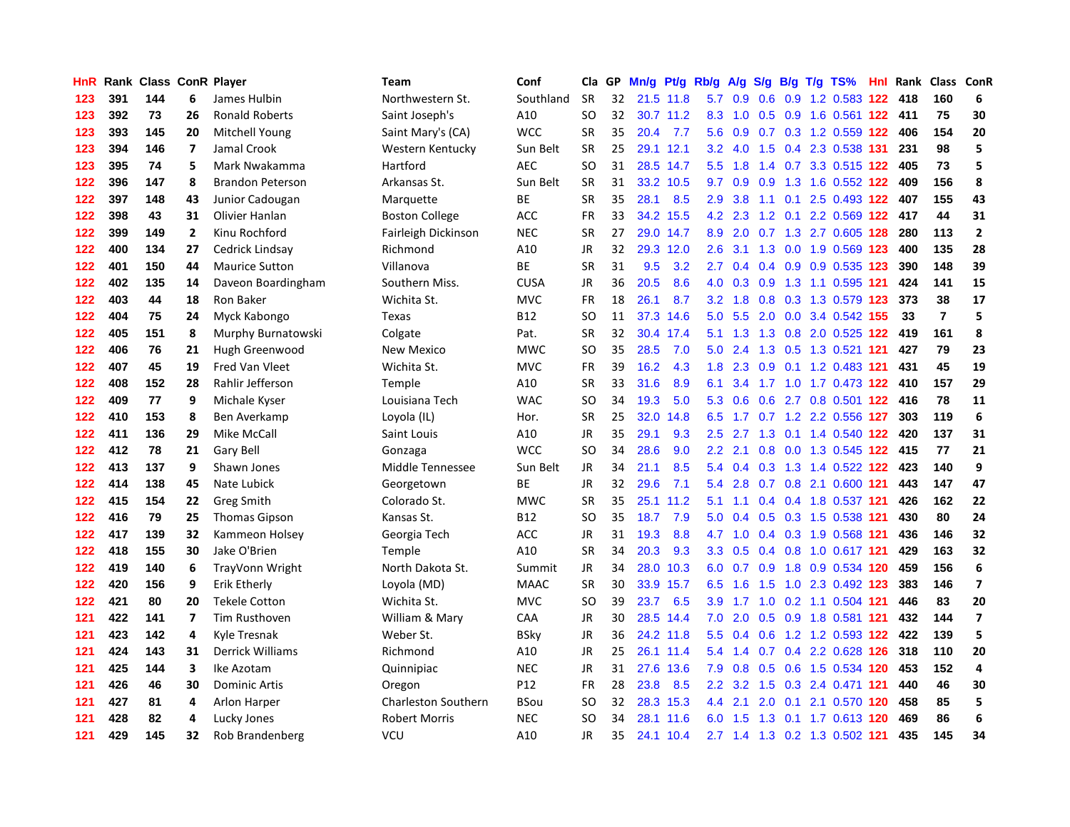| HnR |     | <b>Rank Class ConR Player</b> |                          |                         | <b>Team</b>                | Conf        | Cla       | GP. | Mn/g | Pt/g Rb/g |               | A/g         | S/g           |  | $B/g$ T/g TS%                 |     | <b>Hnl</b> Rank | Class          | ConR                    |
|-----|-----|-------------------------------|--------------------------|-------------------------|----------------------------|-------------|-----------|-----|------|-----------|---------------|-------------|---------------|--|-------------------------------|-----|-----------------|----------------|-------------------------|
| 123 | 391 | 144                           | 6                        | James Hulbin            | Northwestern St.           | Southland   | <b>SR</b> | 32  | 21.5 | 11.8      | 5.7           | 0.9         | 0.6           |  | 0.9 1.2 0.583 122             |     | 418             | 160            | 6                       |
| 123 | 392 | 73                            | 26                       | <b>Ronald Roberts</b>   | Saint Joseph's             | A10         | SO        | 32  |      | 30.7 11.2 | 8.3           | 1.0         |               |  | 0.5 0.9 1.6 0.561 122 411     |     |                 | 75             | 30                      |
| 123 | 393 | 145                           | 20                       | <b>Mitchell Young</b>   | Saint Mary's (CA)          | <b>WCC</b>  | <b>SR</b> | 35  | 20.4 | 7.7       | 5.6           |             |               |  | 0.9 0.7 0.3 1.2 0.559 122 406 |     |                 | 154            | 20                      |
| 123 | 394 | 146                           | $\overline{\mathbf{z}}$  | Jamal Crook             | Western Kentucky           | Sun Belt    | <b>SR</b> | 25  |      | 29.1 12.1 | 3.2           |             |               |  | 4.0 1.5 0.4 2.3 0.538 131     |     | 231             | 98             | 5                       |
| 123 | 395 | 74                            | 5                        | Mark Nwakamma           | Hartford                   | <b>AEC</b>  | SO        | 31  | 28.5 | 14.7      | 5.5           | 1.8         |               |  | 1.4 0.7 3.3 0.515 122         |     | 405             | 73             | 5                       |
| 122 | 396 | 147                           | 8                        | <b>Brandon Peterson</b> | Arkansas St.               | Sun Belt    | <b>SR</b> | 31  | 33.2 | 10.5      | 9.7           | 0.9         | 0.9           |  | 1.3 1.6 0.552 122             |     | 409             | 156            | 8                       |
| 122 | 397 | 148                           | 43                       | Junior Cadougan         | Marquette                  | ВE          | <b>SR</b> | 35  | 28.1 | 8.5       | 2.9           | 3.8         |               |  | 1.1 0.1 2.5 0.493 122         |     | 407             | 155            | 43                      |
| 122 | 398 | 43                            | 31                       | Olivier Hanlan          | <b>Boston College</b>      | ACC         | FR        | 33  | 34.2 | 15.5      | 4.2           | 2.3         |               |  | 1.2 0.1 2.2 0.569             | 122 | 417             | 44             | 31                      |
| 122 | 399 | 149                           | $\overline{2}$           | Kinu Rochford           | Fairleigh Dickinson        | <b>NEC</b>  | <b>SR</b> | 27  | 29.0 | 14.7      | 8.9           | 2.0         |               |  | 0.7 1.3 2.7 0.605 128         |     | 280             | 113            | $\overline{2}$          |
| 122 | 400 | 134                           | 27                       | Cedrick Lindsay         | Richmond                   | A10         | JR        | 32  |      | 29.3 12.0 | 2.6           | 3.1         |               |  | 1.3 0.0 1.9 0.569 123         |     | 400             | 135            | 28                      |
| 122 | 401 | 150                           | 44                       | <b>Maurice Sutton</b>   | Villanova                  | ВE          | <b>SR</b> | 31  | 9.5  | 3.2       | 2.7           |             |               |  | $0.4$ 0.4 0.9 0.9 0.535 123   |     | 390             | 148            | 39                      |
| 122 | 402 | 135                           | 14                       | Daveon Boardingham      | Southern Miss.             | <b>CUSA</b> | <b>JR</b> | 36  | 20.5 | 8.6       | 4.0           |             |               |  | 0.3 0.9 1.3 1.1 0.595 121     |     | 424             | 141            | 15                      |
| 122 | 403 | 44                            | 18                       | Ron Baker               | Wichita St.                | <b>MVC</b>  | <b>FR</b> | 18  | 26.1 | 8.7       | 3.2           | 1.8         |               |  | 0.8 0.3 1.3 0.579 123         |     | 373             | 38             | 17                      |
| 122 | 404 | 75                            | 24                       | Myck Kabongo            | Texas                      | <b>B12</b>  | <b>SO</b> | 11  | 37.3 | 14.6      | 5.0           | 5.5         | 2.0           |  | 0.0 3.4 0.542 155             |     | 33              | $\overline{7}$ | 5                       |
| 122 | 405 | 151                           | 8                        | Murphy Burnatowski      | Colgate                    | Pat.        | <b>SR</b> | 32  | 30.4 | 17.4      | 5.1           | 1.3         |               |  | 1.3 0.8 2.0 0.525 122         |     | 419             | 161            | $\pmb{8}$               |
| 122 | 406 | 76                            | 21                       | Hugh Greenwood          | <b>New Mexico</b>          | <b>MWC</b>  | SO        | 35  | 28.5 | 7.0       | 5.0           | 2.4         | 1.3           |  | 0.5 1.3 0.521 121             |     | 427             | 79             | 23                      |
| 122 | 407 | 45                            | 19                       | Fred Van Vleet          | Wichita St.                | <b>MVC</b>  | <b>FR</b> | 39  | 16.2 | 4.3       | 1.8           | 2.3         | 0.9           |  | 0.1 1.2 0.483 121             |     | 431             | 45             | 19                      |
| 122 | 408 | 152                           | 28                       | Rahlir Jefferson        | Temple                     | A10         | <b>SR</b> | 33  | 31.6 | 8.9       | 6.1           | 3.4         |               |  | 1.7 1.0 1.7 0.473 122         |     | 410             | 157            | 29                      |
| 122 | 409 | 77                            | 9                        | Michale Kyser           | Louisiana Tech             | <b>WAC</b>  | <b>SO</b> | 34  | 19.3 | 5.0       | 5.3           | 0.6         |               |  | 0.6 2.7 0.8 0.501 122 416     |     |                 | 78             | 11                      |
| 122 | 410 | 153                           | 8                        | Ben Averkamp            | Loyola (IL)                | Hor.        | <b>SR</b> | 25  | 32.0 | 14.8      | 6.5           |             |               |  | 1.7 0.7 1.2 2.2 0.556 127     |     | 303             | 119            | 6                       |
| 122 | 411 | 136                           | 29                       | Mike McCall             | Saint Louis                | A10         | <b>JR</b> | 35  | 29.1 | 9.3       | 2.5           |             |               |  | 2.7 1.3 0.1 1.4 0.540 122     |     | 420             | 137            | 31                      |
| 122 | 412 | 78                            | 21                       | Gary Bell               | Gonzaga                    | <b>WCC</b>  | <b>SO</b> | 34  | 28.6 | 9.0       | $2.2^{\circ}$ | 2.1         | 0.8           |  | 0.0 1.3 0.545 122 415         |     |                 | 77             | 21                      |
| 122 | 413 | 137                           | 9                        | Shawn Jones             | Middle Tennessee           | Sun Belt    | <b>JR</b> | 34  | 21.1 | 8.5       | 5.4           | 0.4         |               |  | 0.3 1.3 1.4 0.522 122         |     | 423             | 140            | 9                       |
| 122 | 414 | 138                           | 45                       | Nate Lubick             | Georgetown                 | BE          | JR        | 32  | 29.6 | 7.1       | 5.4           | 2.8         |               |  | 0.7 0.8 2.1 0.600 121         |     | 443             | 147            | 47                      |
| 122 | 415 | 154                           | 22                       | Greg Smith              | Colorado St.               | <b>MWC</b>  | <b>SR</b> | 35  | 25.1 | 11.2      | 5.1           | 1.1         |               |  | 0.4 0.4 1.8 0.537 121         |     | 426             | 162            | 22                      |
| 122 | 416 | 79                            | 25                       | <b>Thomas Gipson</b>    | Kansas St.                 | <b>B12</b>  | <b>SO</b> | 35  | 18.7 | 7.9       | 5.0           | 0.4         | 0.5           |  | 0.3 1.5 0.538 121             |     | 430             | 80             | 24                      |
| 122 | 417 | 139                           | 32                       | Kammeon Holsey          | Georgia Tech               | ACC         | JR        | 31  | 19.3 | 8.8       |               | 4.7 1.0     |               |  | 0.4 0.3 1.9 0.568 121         |     | 436             | 146            | 32                      |
| 122 | 418 | 155                           | 30                       | Jake O'Brien            | Temple                     | A10         | <b>SR</b> | 34  | 20.3 | 9.3       |               |             |               |  | 3.3 0.5 0.4 0.8 1.0 0.617 121 |     | 429             | 163            | 32                      |
| 122 | 419 | 140                           | 6                        | TrayVonn Wright         | North Dakota St.           | Summit      | <b>JR</b> | 34  | 28.0 | 10.3      | 6.0           | 0.7         |               |  | 0.9 1.8 0.9 0.534 120         |     | 459             | 156            | 6                       |
| 122 | 420 | 156                           | 9                        | Erik Etherly            | Loyola (MD)                | <b>MAAC</b> | <b>SR</b> | 30  | 33.9 | 15.7      | 6.5           | 1.6         | 1.5           |  | 1.0 2.3 0.492 123             |     | 383             | 146            | $\overline{\mathbf{z}}$ |
| 122 | 421 | 80                            | 20                       | <b>Tekele Cotton</b>    | Wichita St.                | <b>MVC</b>  | <b>SO</b> | 39  | 23.7 | 6.5       | 3.9           | 1.7         | 1.0           |  | 0.2 1.1 0.504 121             |     | 446             | 83             | 20                      |
| 121 | 422 | 141                           | $\overline{\phantom{a}}$ | Tim Rusthoven           | William & Mary             | CAA         | JR        | 30  | 28.5 | 14.4      | 7.0           | 2.0         |               |  | 0.5 0.9 1.8 0.581 121         |     | 432             | 144            | $\overline{\mathbf{z}}$ |
| 121 | 423 | 142                           | 4                        | Kyle Tresnak            | Weber St.                  | <b>BSky</b> | JR        | 36  |      | 24.2 11.8 | 5.5           | 0.4         | 0.6           |  | 1.2 1.2 0.593 122             |     | 422             | 139            | 5                       |
| 121 | 424 | 143                           | 31                       | Derrick Williams        | Richmond                   | A10         | JR        | 25  | 26.1 | 11.4      | 5.4           | 1.4         | 0.7           |  | 0.4 2.2 0.628 126             |     | 318             | 110            | 20                      |
| 121 | 425 | 144                           | 3                        | Ike Azotam              | Quinnipiac                 | <b>NEC</b>  | JR        | 31  | 27.6 | 13.6      | 7.9           | 0.8         | 0.5           |  | 0.6 1.5 0.534 120             |     | 453             | 152            | 4                       |
| 121 | 426 | 46                            | 30                       | <b>Dominic Artis</b>    | Oregon                     | P12         | FR        | 28  | 23.8 | 8.5       |               |             |               |  | 2.2 3.2 1.5 0.3 2.4 0.471 121 |     | 440             | 46             | 30                      |
| 121 | 427 | 81                            | 4                        | Arlon Harper            | <b>Charleston Southern</b> | <b>BSou</b> | SO        | 32  |      | 28.3 15.3 | 4.4           | 2.1         | $2.0^{\circ}$ |  | 0.1 2.1 0.570 120             |     | 458             | 85             | 5                       |
| 121 | 428 | 82                            | 4                        | Lucky Jones             | <b>Robert Morris</b>       | <b>NEC</b>  | SO        | 34  |      | 28.1 11.6 |               | 6.0 1.5 1.3 |               |  | 0.1 1.7 0.613 120             |     | 469             | 86             | 6                       |
| 121 | 429 | 145                           | 32                       | <b>Rob Brandenberg</b>  | VCU                        | A10         | <b>JR</b> | 35  | 24.1 | 10.4      |               |             |               |  | 2.7 1.4 1.3 0.2 1.3 0.502 121 |     | 435             | 145            | 34                      |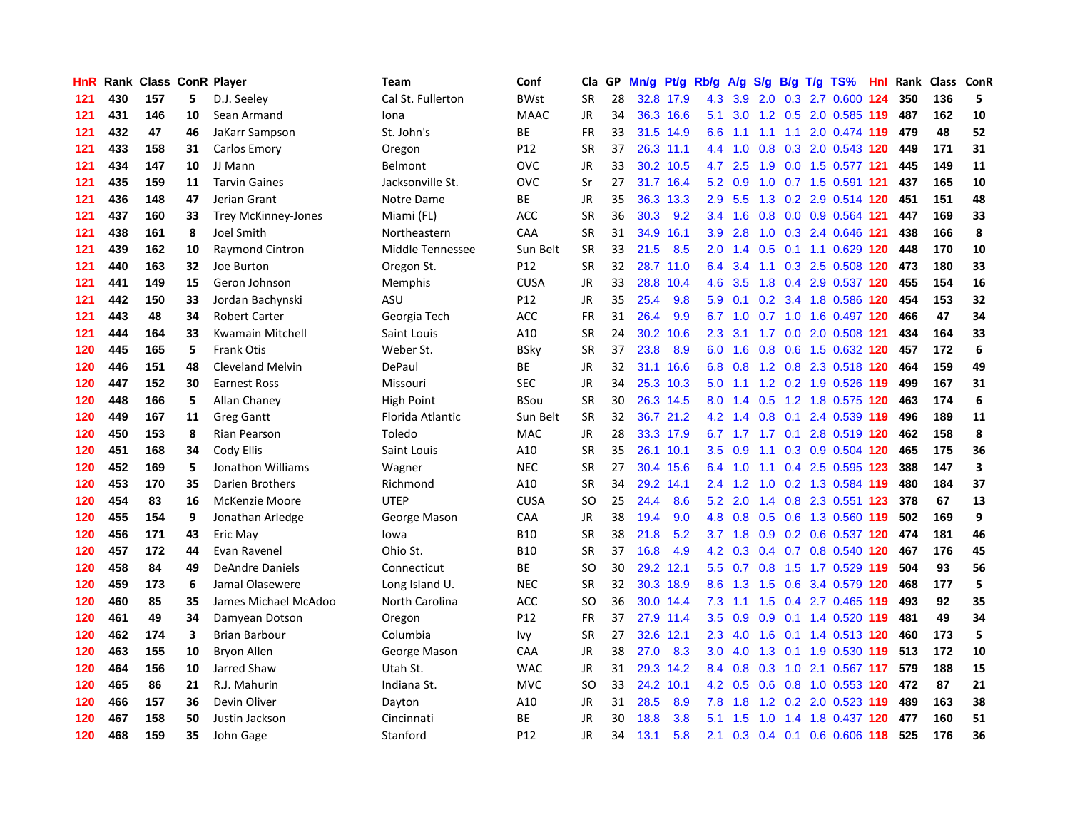| HnR |     | Rank Class ConR Player |                         |                            | <b>Team</b>       | Conf            | Cla       | GP | Mn/g | Pt/g      | Rb/g             | A/g             |     |  | $S/g$ B/g T/g TS%             | Hnl | Rank | Class ConR |                         |
|-----|-----|------------------------|-------------------------|----------------------------|-------------------|-----------------|-----------|----|------|-----------|------------------|-----------------|-----|--|-------------------------------|-----|------|------------|-------------------------|
| 121 | 430 | 157                    | 5                       | D.J. Seeley                | Cal St. Fullerton | <b>BWst</b>     | <b>SR</b> | 28 | 32.8 | 17.9      | 4.3              | 3.9             | 2.0 |  | $0.3$ 2.7 $0.600$             | 124 | 350  | 136        | 5                       |
| 121 | 431 | 146                    | 10                      | Sean Armand                | Iona              | <b>MAAC</b>     | JR        | 34 |      | 36.3 16.6 | 5.1              | 3.0             |     |  | 1.2 0.5 2.0 0.585 119         |     | 487  | 162        | 10                      |
| 121 | 432 | 47                     | 46                      | JaKarr Sampson             | St. John's        | ВE              | <b>FR</b> | 33 |      | 31.5 14.9 | 6.6              |                 |     |  | 1.1 1.1 1.1 2.0 0.474 119 479 |     |      | 48         | 52                      |
| 121 | 433 | 158                    | 31                      | Carlos Emory               | Oregon            | P12             | <b>SR</b> | 37 |      | 26.3 11.1 |                  | $4.4 \quad 1.0$ |     |  | 0.8 0.3 2.0 0.543 120         |     | 449  | 171        | 31                      |
| 121 | 434 | 147                    | 10                      | JJ Mann                    | Belmont           | OVC             | <b>JR</b> | 33 |      | 30.2 10.5 |                  | 4.7 2.5         | 1.9 |  | 0.0 1.5 0.577 121             |     | 445  | 149        | 11                      |
| 121 | 435 | 159                    | 11                      | <b>Tarvin Gaines</b>       | Jacksonville St.  | OVC             | Sr        | 27 | 31.7 | 16.4      | 5.2              | 0.9             | 1.0 |  | 0.7 1.5 0.591 121             |     | 437  | 165        | 10                      |
| 121 | 436 | 148                    | 47                      | Jerian Grant               | Notre Dame        | ВE              | JR        | 35 |      | 36.3 13.3 | 2.9              | 5.5             |     |  | 1.3 0.2 2.9 0.514 120         |     | 451  | 151        | 48                      |
| 121 | 437 | 160                    | 33                      | <b>Trey McKinney-Jones</b> | Miami (FL)        | ACC             | <b>SR</b> | 36 | 30.3 | 9.2       | 3.4              | 1.6             | 0.8 |  | 0.0 0.9 0.564 121             |     | 447  | 169        | 33                      |
| 121 | 438 | 161                    | 8                       | Joel Smith                 | Northeastern      | CAA             | <b>SR</b> | 31 | 34.9 | 16.1      | 3.9              | 2.8             | 1.0 |  | 0.3 2.4 0.646 121             |     | 438  | 166        | $\pmb{8}$               |
| 121 | 439 | 162                    | 10                      | Raymond Cintron            | Middle Tennessee  | Sun Belt        | <b>SR</b> | 33 | 21.5 | 8.5       | 2.0              | 1.4             |     |  | $0.5$ 0.1 1.1 0.629 120       |     | 448  | 170        | 10                      |
| 121 | 440 | 163                    | 32                      | Joe Burton                 | Oregon St.        | P12             | <b>SR</b> | 32 |      | 28.7 11.0 | 6.4              | 3.4             |     |  | 1.1 0.3 2.5 0.508 120 473     |     |      | 180        | 33                      |
| 121 | 441 | 149                    | 15                      | Geron Johnson              | Memphis           | <b>CUSA</b>     | JR        | 33 | 28.8 | 10.4      | 4.6              | 3.5             |     |  | 1.8 0.4 2.9 0.537 120 455     |     |      | 154        | 16                      |
| 121 | 442 | 150                    | 33                      | Jordan Bachynski           | ASU               | P <sub>12</sub> | JR        | 35 | 25.4 | 9.8       | 5.9              | 0.1             |     |  | 0.2 3.4 1.8 0.586 120         |     | 454  | 153        | 32                      |
| 121 | 443 | 48                     | 34                      | <b>Robert Carter</b>       | Georgia Tech      | <b>ACC</b>      | <b>FR</b> | 31 | 26.4 | 9.9       | 6.7              | 1.0             |     |  | 0.7 1.0 1.6 0.497 120         |     | 466  | 47         | 34                      |
| 121 | 444 | 164                    | 33                      | <b>Kwamain Mitchell</b>    | Saint Louis       | A10             | <b>SR</b> | 24 | 30.2 | 10.6      | 2.3              | 3.1             |     |  | 1.7 0.0 2.0 0.508 121         |     | 434  | 164        | 33                      |
| 120 | 445 | 165                    | 5                       | <b>Frank Otis</b>          | Weber St.         | <b>BSky</b>     | <b>SR</b> | 37 | 23.8 | 8.9       | 6.0              | 1.6             | 0.8 |  | 0.6 1.5 0.632 120             |     | 457  | 172        | 6                       |
| 120 | 446 | 151                    | 48                      | <b>Cleveland Melvin</b>    | DePaul            | <b>BE</b>       | JR        | 32 | 31.1 | 16.6      | 6.8              | 0.8             |     |  | 1.2 0.8 2.3 0.518 120         |     | 464  | 159        | 49                      |
| 120 | 447 | 152                    | 30                      | <b>Earnest Ross</b>        | Missouri          | SEC             | <b>JR</b> | 34 | 25.3 | 10.3      | 5.0              | 1.1             |     |  | 1.2 0.2 1.9 0.526 119         |     | 499  | 167        | 31                      |
| 120 | 448 | 166                    | 5                       | Allan Chaney               | High Point        | <b>BSou</b>     | <b>SR</b> | 30 |      | 26.3 14.5 | 8.0              | 1.4             |     |  | 0.5 1.2 1.8 0.575 120         |     | 463  | 174        | $\bf 6$                 |
| 120 | 449 | 167                    | 11                      | <b>Greg Gantt</b>          | Florida Atlantic  | Sun Belt        | <b>SR</b> | 32 |      | 36.7 21.2 | 4.2              | 1.4             |     |  | 0.8 0.1 2.4 0.539 119         |     | 496  | 189        | 11                      |
| 120 | 450 | 153                    | 8                       | Rian Pearson               | Toledo            | <b>MAC</b>      | JR        | 28 |      | 33.3 17.9 |                  |                 |     |  | 6.7 1.7 1.7 0.1 2.8 0.519 120 |     | 462  | 158        | 8                       |
| 120 | 451 | 168                    | 34                      | Cody Ellis                 | Saint Louis       | A10             | <b>SR</b> | 35 |      | 26.1 10.1 | 3.5              | 0.9             |     |  | 1.1 0.3 0.9 0.504 120         |     | 465  | 175        | 36                      |
| 120 | 452 | 169                    | 5                       | Jonathon Williams          | Wagner            | <b>NEC</b>      | <b>SR</b> | 27 | 30.4 | 15.6      | 6.4              | 1.0             |     |  | 1.1 0.4 2.5 0.595 123         |     | 388  | 147        | $\overline{\mathbf{3}}$ |
| 120 | 453 | 170                    | 35                      | Darien Brothers            | Richmond          | A10             | <b>SR</b> | 34 | 29.2 | 14.1      | 2.4              | 1.2             | 1.0 |  | 0.2 1.3 0.584 119             |     | 480  | 184        | 37                      |
| 120 | 454 | 83                     | 16                      | McKenzie Moore             | <b>UTEP</b>       | <b>CUSA</b>     | SO.       | 25 | 24.4 | 8.6       | 5.2              | 2.0             |     |  | 1.4 0.8 2.3 0.551 123         |     | 378  | 67         | 13                      |
| 120 | 455 | 154                    | 9                       | Jonathan Arledge           | George Mason      | CAA             | JR        | 38 | 19.4 | 9.0       | 4.8              | 0.8             | 0.5 |  | 0.6 1.3 0.560 119             |     | 502  | 169        | 9                       |
| 120 | 456 | 171                    | 43                      | Eric May                   | lowa              | <b>B10</b>      | <b>SR</b> | 38 | 21.8 | 5.2       |                  | $3.7$ 1.8       |     |  | 0.9 0.2 0.6 0.537 120         |     | 474  | 181        | 46                      |
| 120 | 457 | 172                    | 44                      | Evan Ravenel               | Ohio St.          | <b>B10</b>      | <b>SR</b> | 37 | 16.8 | 4.9       |                  |                 |     |  | 4.2 0.3 0.4 0.7 0.8 0.540 120 |     | 467  | 176        | 45                      |
| 120 | 458 | 84                     | 49                      | <b>DeAndre Daniels</b>     | Connecticut       | ВE              | SO.       | 30 | 29.2 | 12.1      | 5.5              | 0.7             |     |  | 0.8 1.5 1.7 0.529 119         |     | 504  | 93         | 56                      |
| 120 | 459 | 173                    | 6                       | Jamal Olasewere            | Long Island U.    | <b>NEC</b>      | <b>SR</b> | 32 |      | 30.3 18.9 | 8.6              |                 |     |  | 1.3 1.5 0.6 3.4 0.579 120     |     | 468  | 177        | 5                       |
| 120 | 460 | 85                     | 35                      | James Michael McAdoo       | North Carolina    | ACC             | <b>SO</b> | 36 | 30.0 | 14.4      | 7.3              | 1.1             | 1.5 |  | 0.4 2.7 0.465 119             |     | 493  | 92         | 35                      |
| 120 | 461 | 49                     | 34                      | Damyean Dotson             | Oregon            | P12             | <b>FR</b> | 37 |      | 27.9 11.4 | 3.5              | 0.9             | 0.9 |  | 0.1 1.4 0.520 119             |     | 481  | 49         | 34                      |
| 120 | 462 | 174                    | $\overline{\mathbf{3}}$ | <b>Brian Barbour</b>       | Columbia          | lvy             | <b>SR</b> | 27 | 32.6 | 12.1      | 2.3              | 4.0             | 1.6 |  | 0.1 1.4 0.513 120             |     | 460  | 173        | 5                       |
| 120 | 463 | 155                    | 10                      | <b>Bryon Allen</b>         | George Mason      | CAA             | JR        | 38 | 27.0 | 8.3       | 3.0 <sub>2</sub> | 4.0             | 1.3 |  | 0.1 1.9 0.530 119             |     | 513  | 172        | 10                      |
| 120 | 464 | 156                    | 10                      | Jarred Shaw                | Utah St.          | <b>WAC</b>      | JR        | 31 | 29.3 | 14.2      | 8.4              | 0.8             | 0.3 |  | 1.0 2.1 0.567 117             |     | 579  | 188        | 15                      |
| 120 | 465 | 86                     | 21                      | R.J. Mahurin               | Indiana St.       | <b>MVC</b>      | SO        | 33 | 24.2 | 10.1      |                  | 4.2 0.5         |     |  | 0.6 0.8 1.0 0.553 120 472     |     |      | 87         | 21                      |
| 120 | 466 | 157                    | 36                      | Devin Oliver               | Dayton            | A10             | JR        | 31 | 28.5 | 8.9       | 7.8              | 1.8             |     |  | 1.2 0.2 2.0 0.523 119         |     | 489  | 163        | 38                      |
| 120 | 467 | 158                    | 50                      | Justin Jackson             | Cincinnati        | <b>BE</b>       | JR        | 30 | 18.8 | 3.8       | 5.1              | 1.5             | 1.0 |  |                               |     | 477  | 160        | 51                      |
| 120 | 468 | 159                    | 35                      | John Gage                  | Stanford          | P <sub>12</sub> | <b>JR</b> | 34 | 13.1 | 5.8       | 2.1              | 0.3             |     |  | 0.4 0.1 0.6 0.606 118         |     | 525  | 176        | 36                      |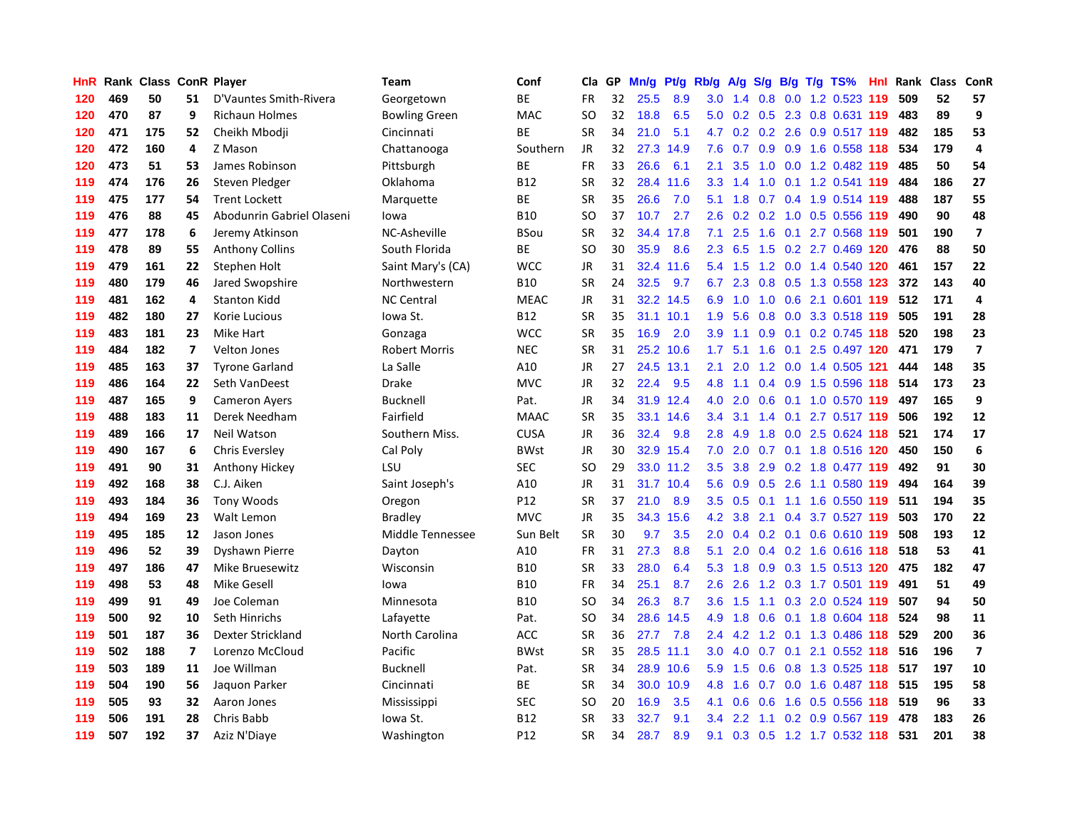| HnR | Rank |     |                         | <b>Class ConR Player</b>  | <b>Team</b>          | Conf            | Cla       | GP | Mn/g | Pt/g      | Rb/g             | A/g           |                  |     | S/g B/g T/g TS%               | Hnl | Rank | <b>Class</b> | ConR                    |
|-----|------|-----|-------------------------|---------------------------|----------------------|-----------------|-----------|----|------|-----------|------------------|---------------|------------------|-----|-------------------------------|-----|------|--------------|-------------------------|
| 120 | 469  | 50  | 51                      | D'Vauntes Smith-Rivera    | Georgetown           | <b>BE</b>       | FR        | 32 | 25.5 | 8.9       | 3.0              | 1.4           | 0.8              |     | 0.0 1.2 0.523 119             |     | 509  | 52           | 57                      |
| 120 | 470  | 87  | 9                       | <b>Richaun Holmes</b>     | <b>Bowling Green</b> | <b>MAC</b>      | SO        | 32 | 18.8 | 6.5       |                  |               |                  |     | 5.0 0.2 0.5 2.3 0.8 0.631 119 |     | 483  | 89           | 9                       |
| 120 | 471  | 175 | 52                      | Cheikh Mbodji             | Cincinnati           | <b>BE</b>       | <b>SR</b> | 34 | 21.0 | 5.1       | 4.7              |               |                  |     | 0.2 0.2 2.6 0.9 0.517 119     |     | 482  | 185          | 53                      |
| 120 | 472  | 160 | 4                       | Z Mason                   | Chattanooga          | Southern        | JR        | 32 | 27.3 | 14.9      | 7.6              | 0.7           |                  |     | 0.9 0.9 1.6 0.558 118         |     | 534  | 179          | $\overline{a}$          |
| 120 | 473  | 51  | 53                      | James Robinson            | Pittsburgh           | ВE              | <b>FR</b> | 33 | 26.6 | 6.1       | 2.1              | 3.5           | 1.0              |     | 0.0 1.2 0.482 119             |     | 485  | 50           | 54                      |
| 119 | 474  | 176 | 26                      | Steven Pledger            | Oklahoma             | <b>B12</b>      | <b>SR</b> | 32 | 28.4 | 11.6      | 3.3              | 1.4           | 1.0              |     | 0.1 1.2 0.541 119             |     | 484  | 186          | 27                      |
| 119 | 475  | 177 | 54                      | <b>Trent Lockett</b>      | Marquette            | <b>BE</b>       | <b>SR</b> | 35 | 26.6 | 7.0       | 5.1              | 1.8           |                  |     | 0.7 0.4 1.9 0.514 119         |     | 488  | 187          | 55                      |
| 119 | 476  | 88  | 45                      | Abodunrin Gabriel Olaseni | Iowa                 | <b>B10</b>      | SO        | 37 | 10.7 | 2.7       | 2.6              | 0.2           |                  |     | 0.2 1.0 0.5 0.556 119         |     | 490  | 90           | 48                      |
| 119 | 477  | 178 | 6                       | Jeremy Atkinson           | NC-Asheville         | <b>BSou</b>     | <b>SR</b> | 32 |      | 34.4 17.8 | 7.1              | 2.5           | 1.6              |     | 0.1 2.7 0.568 119             |     | 501  | 190          | $\overline{7}$          |
| 119 | 478  | 89  | 55                      | <b>Anthony Collins</b>    | South Florida        | ВE              | <b>SO</b> | 30 | 35.9 | 8.6       | 2.3              | 6.5           |                  |     | 1.5 0.2 2.7 0.469 120         |     | 476  | 88           | 50                      |
| 119 | 479  | 161 | 22                      | Stephen Holt              | Saint Mary's (CA)    | <b>WCC</b>      | JR        | 31 |      | 32.4 11.6 | 5.4              |               |                  |     | 1.5 1.2 0.0 1.4 0.540 120     |     | -461 | 157          | 22                      |
| 119 | 480  | 179 | 46                      | Jared Swopshire           | Northwestern         | <b>B10</b>      | <b>SR</b> | 24 | 32.5 | 9.7       | 6.7              | 2.3           |                  |     | 0.8 0.5 1.3 0.558 123         |     | 372  | 143          | 40                      |
| 119 | 481  | 162 | 4                       | <b>Stanton Kidd</b>       | <b>NC Central</b>    | <b>MEAC</b>     | <b>JR</b> | 31 | 32.2 | 14.5      | 6.9              | 1.0           | 1.0              |     | 0.6 2.1 0.601 119             |     | 512  | 171          | $\overline{4}$          |
| 119 | 482  | 180 | 27                      | Korie Lucious             | lowa St.             | <b>B12</b>      | <b>SR</b> | 35 | 31.1 | 10.1      | 1.9              | 5.6           | 0.8              |     | 0.0 3.3 0.518 119             |     | 505  | 191          | 28                      |
| 119 | 483  | 181 | 23                      | Mike Hart                 | Gonzaga              | <b>WCC</b>      | <b>SR</b> | 35 | 16.9 | 2.0       | 3.9              | 1.1           | 0.9 <sub>0</sub> |     | 0.1 0.2 0.745 118             |     | 520  | 198          | 23                      |
| 119 | 484  | 182 | $\overline{\mathbf{z}}$ | <b>Velton Jones</b>       | <b>Robert Morris</b> | <b>NEC</b>      | <b>SR</b> | 31 | 25.2 | 10.6      | 1.7              | 5.1           | 1.6              |     | 0.1 2.5 0.497 120             |     | 471  | 179          | $\overline{\mathbf{z}}$ |
| 119 | 485  | 163 | 37                      | <b>Tyrone Garland</b>     | La Salle             | A10             | JR        | 27 | 24.5 | 13.1      | 2.1              | 2.0           |                  |     | 1.2 0.0 1.4 0.505 121         |     | 444  | 148          | 35                      |
| 119 | 486  | 164 | 22                      | Seth VanDeest             | <b>Drake</b>         | <b>MVC</b>      | <b>JR</b> | 32 | 22.4 | 9.5       | 4.8              | 1.1           | 0.4              |     | 0.9 1.5 0.596 118             |     | 514  | 173          | 23                      |
| 119 | 487  | 165 | 9                       | <b>Cameron Ayers</b>      | <b>Bucknell</b>      | Pat.            | <b>JR</b> | 34 |      | 31.9 12.4 | 4.0              | 2.0           |                  |     | 0.6 0.1 1.0 0.570 119         |     | 497  | 165          | 9                       |
| 119 | 488  | 183 | 11                      | Derek Needham             | Fairfield            | <b>MAAC</b>     | <b>SR</b> | 35 | 33.1 | 14.6      | 3.4              | 3.1           |                  |     | 1.4 0.1 2.7 0.517 119         |     | 506  | 192          | 12                      |
| 119 | 489  | 166 | 17                      | Neil Watson               | Southern Miss.       | <b>CUSA</b>     | JR        | 36 | 32.4 | 9.8       | 2.8              | 4.9           |                  |     | 1.8 0.0 2.5 0.624 118         |     | 521  | 174          | 17                      |
| 119 | 490  | 167 | 6                       | <b>Chris Eversley</b>     | Cal Poly             | <b>BWst</b>     | <b>JR</b> | 30 | 32.9 | 15.4      | 7.0              | 2.0           |                  |     | 0.7 0.1 1.8 0.516 120         |     | 450  | 150          | $\boldsymbol{6}$        |
| 119 | 491  | 90  | 31                      | Anthony Hickey            | LSU                  | SEC             | <b>SO</b> | 29 |      | 33.0 11.2 | 3.5              | 3.8           | 2.9              |     | 0.2 1.8 0.477 119             |     | 492  | 91           | 30                      |
| 119 | 492  | 168 | 38                      | C.J. Aiken                | Saint Joseph's       | A10             | JR        | 31 | 31.7 | 10.4      | 5.6              | 0.9           | 0.5              |     | 2.6 1.1 0.580 119             |     | 494  | 164          | 39                      |
| 119 | 493  | 184 | 36                      | <b>Tony Woods</b>         | Oregon               | P12             | <b>SR</b> | 37 | 21.0 | 8.9       | 3.5              | 0.5           |                  |     | $0.1$ 1.1 1.6 0.550 119       |     | 511  | 194          | 35                      |
| 119 | 494  | 169 | 23                      | Walt Lemon                | <b>Bradley</b>       | <b>MVC</b>      | JR        | 35 | 34.3 | 15.6      | 4.2              | 3.8           |                  |     | 2.1 0.4 3.7 0.527 119         |     | 503  | 170          | 22                      |
| 119 | 495  | 185 | 12                      | Jason Jones               | Middle Tennessee     | Sun Belt        | <b>SR</b> | 30 | 9.7  | 3.5       | 2.0              | $0.4^{\circ}$ |                  |     | 0.2 0.1 0.6 0.610 119         |     | 508  | 193          | 12                      |
| 119 | 496  | 52  | 39                      | Dyshawn Pierre            | Dayton               | A10             | <b>FR</b> | 31 | 27.3 | 8.8       | 5.1              | 2.0           |                  |     | 0.4 0.2 1.6 0.616 118 518     |     |      | 53           | 41                      |
| 119 | 497  | 186 | 47                      | Mike Bruesewitz           | Wisconsin            | <b>B10</b>      | <b>SR</b> | 33 | 28.0 | 6.4       | 5.3              | 1.8           |                  |     | 0.9 0.3 1.5 0.513 120 475     |     |      | 182          | 47                      |
| 119 | 498  | 53  | 48                      | Mike Gesell               | lowa                 | <b>B10</b>      | <b>FR</b> | 34 | 25.1 | 8.7       | 2.6              | 2.6           |                  |     | 1.2 0.3 1.7 0.501 119         |     | 491  | 51           | 49                      |
| 119 | 499  | 91  | 49                      | Joe Coleman               | Minnesota            | <b>B10</b>      | <b>SO</b> | 34 | 26.3 | 8.7       | 3.6              | 1.5           | 1.1              |     | 0.3 2.0 0.524 119             |     | 507  | 94           | 50                      |
| 119 | 500  | 92  | 10                      | Seth Hinrichs             | Lafayette            | Pat.            | SO        | 34 | 28.6 | 14.5      | 4.9              | 1.8           |                  |     | 0.6 0.1 1.8 0.604 118         |     | 524  | 98           | 11                      |
| 119 | 501  | 187 | 36                      | Dexter Strickland         | North Carolina       | ACC             | <b>SR</b> | 36 | 27.7 | 7.8       | $2.4^{\circ}$    | 4.2           | 1.2              |     | 0.1 1.3 0.486 118             |     | 529  | 200          | 36                      |
| 119 | 502  | 188 | $\overline{ }$          | Lorenzo McCloud           | Pacific              | <b>BWst</b>     | <b>SR</b> | 35 | 28.5 | 11.1      | 3.0 <sub>2</sub> | 4.0           | 0.7              | 0.1 | 2.1 0.552 118                 |     | 516  | 196          | $\overline{\mathbf{z}}$ |
| 119 | 503  | 189 | 11                      | Joe Willman               | <b>Bucknell</b>      | Pat.            | <b>SR</b> | 34 | 28.9 | 10.6      | 5.9              | 1.5           | 0.6              |     | 0.8 1.3 0.525 118 517         |     |      | 197          | 10                      |
| 119 | 504  | 190 | 56                      | Jaquon Parker             | Cincinnati           | ВE              | <b>SR</b> | 34 | 30.0 | 10.9      | 4.8              | 1.6           |                  |     | 0.7 0.0 1.6 0.487 118 515     |     |      | 195          | 58                      |
| 119 | 505  | 93  | 32                      | Aaron Jones               | Mississippi          | <b>SEC</b>      | SO        | 20 | 16.9 | 3.5       | 4.1              | 0.6           |                  |     | 0.6 1.6 0.5 0.556 118 519     |     |      | 96           | 33                      |
| 119 | 506  | 191 | 28                      | Chris Babb                | lowa St.             | <b>B12</b>      | SR        | 33 | 32.7 | 9.1       | $3.4^{\circ}$    | $2.2^{\circ}$ |                  |     | 1.1 0.2 0.9 0.567 119         |     | 478  | 183          | 26                      |
| 119 | 507  | 192 | 37                      | Aziz N'Diaye              | Washington           | P <sub>12</sub> | <b>SR</b> | 34 | 28.7 | 8.9       | 9.1              | 0.3           |                  |     | 0.5 1.2 1.7 0.532 118         |     | 531  | 201          | 38                      |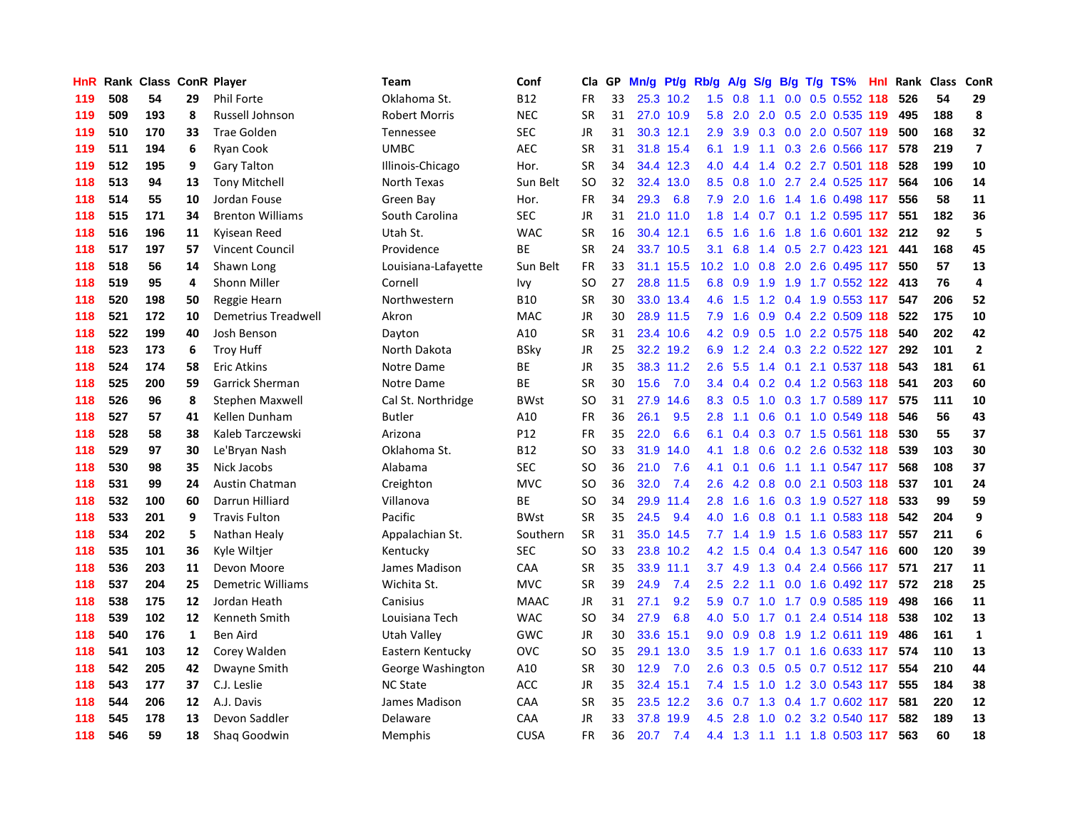| HnR |     | Rank Class ConR Player |    |                          | <b>Team</b>          | Conf        | Cla       | GP | Mn/g | Pt/g Rb/g |                  | A/g           | S/g           |  | $B/g$ T/g TS%                    | Hnl | Rank | <b>Class</b> | ConR                    |
|-----|-----|------------------------|----|--------------------------|----------------------|-------------|-----------|----|------|-----------|------------------|---------------|---------------|--|----------------------------------|-----|------|--------------|-------------------------|
| 119 | 508 | 54                     | 29 | <b>Phil Forte</b>        | Oklahoma St.         | <b>B12</b>  | <b>FR</b> | 33 |      | 25.3 10.2 | 1.5              | 0.8           | 1.1           |  | $0.0$ $0.5$ $0.552$ 118          |     | 526  | 54           | 29                      |
| 119 | 509 | 193                    | 8  | Russell Johnson          | <b>Robert Morris</b> | <b>NEC</b>  | <b>SR</b> | 31 |      | 27.0 10.9 | 5.8              | 2.0           |               |  | 2.0 0.5 2.0 0.535 119            |     | 495  | 188          | $\pmb{8}$               |
| 119 | 510 | 170                    | 33 | <b>Trae Golden</b>       | Tennessee            | SEC         | JR        | 31 |      | 30.3 12.1 | 2.9              | 3.9           |               |  | 0.3 0.0 2.0 0.507 119            |     | 500  | 168          | 32                      |
| 119 | 511 | 194                    | 6  | <b>Ryan Cook</b>         | <b>UMBC</b>          | <b>AEC</b>  | <b>SR</b> | 31 |      | 31.8 15.4 | 6.1              | 1.9           |               |  | 1.1 0.3 2.6 0.566 117            |     | 578  | 219          | $\overline{\mathbf{z}}$ |
| 119 | 512 | 195                    | 9  | <b>Gary Talton</b>       | Illinois-Chicago     | Hor.        | <b>SR</b> | 34 |      | 34.4 12.3 | 4.0              | 4.4           |               |  | 1.4 0.2 2.7 0.501 118            |     | 528  | 199          | 10                      |
| 118 | 513 | 94                     | 13 | <b>Tony Mitchell</b>     | North Texas          | Sun Belt    | <b>SO</b> | 32 | 32.4 | 13.0      | 8.5              | 0.8           | 1.0           |  | 2.7 2.4 0.525 117                |     | 564  | 106          | 14                      |
| 118 | 514 | 55                     | 10 | Jordan Fouse             | Green Bay            | Hor.        | FR        | 34 | 29.3 | 6.8       | 7.9              | 2.0           | 1.6           |  | 1.4 1.6 0.498 117                |     | 556  | 58           | ${\bf 11}$              |
| 118 | 515 | 171                    | 34 | <b>Brenton Williams</b>  | South Carolina       | SEC         | JR        | 31 | 21.0 | 11.0      | 1.8              | 1.4           | 0.7           |  | 0.1 1.2 0.595 117                |     | 551  | 182          | 36                      |
| 118 | 516 | 196                    | 11 | Kyisean Reed             | Utah St.             | <b>WAC</b>  | <b>SR</b> | 16 |      | 30.4 12.1 | 6.5              | 1.6           | 1.6           |  | 1.8 1.6 0.601 132 212            |     |      | 92           | 5                       |
| 118 | 517 | 197                    | 57 | Vincent Council          | Providence           | <b>BE</b>   | <b>SR</b> | 24 |      | 33.7 10.5 | 3.1              | 6.8           |               |  | 1.4 0.5 2.7 0.423 121            |     | 441  | 168          | 45                      |
| 118 | 518 | 56                     | 14 | Shawn Long               | Louisiana-Lafayette  | Sun Belt    | FR        | 33 |      | 31.1 15.5 |                  |               |               |  | 10.2 1.0 0.8 2.0 2.6 0.495 117   |     | 550  | 57           | 13                      |
| 118 | 519 | 95                     | 4  | <b>Shonn Miller</b>      | Cornell              | lvy         | <b>SO</b> | 27 |      | 28.8 11.5 | 6.8              | 0.9           |               |  | 1.9 1.9 1.7 0.552 <b>122 413</b> |     |      | 76           | 4                       |
| 118 | 520 | 198                    | 50 | Reggie Hearn             | Northwestern         | <b>B10</b>  | <b>SR</b> | 30 |      | 33.0 13.4 | 4.6              | 1.5           |               |  | 1.2 0.4 1.9 0.553 117            |     | 547  | 206          | 52                      |
| 118 | 521 | 172                    | 10 | Demetrius Treadwell      | Akron                | <b>MAC</b>  | JR        | 30 | 28.9 | 11.5      | 7.9              | 1.6           | 0.9           |  | 0.4 2.2 0.509 118                |     | 522  | 175          | 10                      |
| 118 | 522 | 199                    | 40 | Josh Benson              | Dayton               | A10         | <b>SR</b> | 31 | 23.4 | 10.6      | 4.2              | 0.9           | 0.5           |  | 1.0 2.2 0.575 118                |     | 540  | 202          | 42                      |
| 118 | 523 | 173                    | 6  | <b>Troy Huff</b>         | North Dakota         | <b>BSky</b> | JR        | 25 | 32.2 | 19.2      | 6.9              | 1.2           | 2.4           |  | 0.3 2.2 0.522 127                |     | 292  | 101          | $\overline{2}$          |
| 118 | 524 | 174                    | 58 | <b>Eric Atkins</b>       | Notre Dame           | <b>BE</b>   | JR        | 35 |      | 38.3 11.2 | 2.6              | 5.5           | $1.4^{\circ}$ |  | $0.1$ 2.1 0.537 118              |     | 543  | 181          | 61                      |
| 118 | 525 | 200                    | 59 | <b>Garrick Sherman</b>   | Notre Dame           | <b>BE</b>   | <b>SR</b> | 30 | 15.6 | 7.0       | 3.4              | 0.4           |               |  | 0.2 0.4 1.2 0.563 118            |     | 541  | 203          | 60                      |
| 118 | 526 | 96                     | 8  | <b>Stephen Maxwell</b>   | Cal St. Northridge   | <b>BWst</b> | <b>SO</b> | 31 | 27.9 | 14.6      | 8.3              | 0.5           |               |  | 1.0 0.3 1.7 0.589 117            |     | 575  | 111          | 10                      |
| 118 | 527 | 57                     | 41 | Kellen Dunham            | <b>Butler</b>        | A10         | <b>FR</b> | 36 | 26.1 | 9.5       | 2.8              | $-1.1$        |               |  | 0.6 0.1 1.0 0.549 118            |     | 546  | 56           | 43                      |
| 118 | 528 | 58                     | 38 | Kaleb Tarczewski         | Arizona              | P12         | <b>FR</b> | 35 | 22.0 | 6.6       | 6.1              | 0.4           |               |  | 0.3 0.7 1.5 0.561 118            |     | 530  | 55           | 37                      |
| 118 | 529 | 97                     | 30 | Le'Bryan Nash            | Oklahoma St.         | <b>B12</b>  | <b>SO</b> | 33 | 31.9 | 14.0      | 4.1              | 1.8           | 0.6           |  | 0.2 2.6 0.532 118                |     | 539  | 103          | 30                      |
| 118 | 530 | 98                     | 35 | Nick Jacobs              | Alabama              | <b>SEC</b>  | <b>SO</b> | 36 | 21.0 | 7.6       | 4.1              | 0.1           | 0.6           |  | 1.1 1.1 0.547 117                |     | 568  | 108          | 37                      |
| 118 | 531 | 99                     | 24 | <b>Austin Chatman</b>    | Creighton            | <b>MVC</b>  | <b>SO</b> | 36 | 32.0 | 7.4       | 2.6              | 4.2           | 0.8           |  | 0.0 2.1 0.503 118                |     | 537  | 101          | 24                      |
| 118 | 532 | 100                    | 60 | Darrun Hilliard          | Villanova            | <b>BE</b>   | <b>SO</b> | 34 | 29.9 | 11.4      | 2.8              | 1.6           | 1.6           |  | 0.3 1.9 0.527 118                |     | 533  | 99           | 59                      |
| 118 | 533 | 201                    | 9  | <b>Travis Fulton</b>     | Pacific              | <b>BWst</b> | <b>SR</b> | 35 | 24.5 | 9.4       | 4.0              | 1.6           | 0.8           |  | $0.1$ 1.1 0.583 118              |     | 542  | 204          | 9                       |
| 118 | 534 | 202                    | 5  | Nathan Healy             | Appalachian St.      | Southern    | <b>SR</b> | 31 |      | 35.0 14.5 | 7.7              | 1.4           |               |  | 1.9 1.5 1.6 0.583 117            |     | 557  | 211          | $\boldsymbol{6}$        |
| 118 | 535 | 101                    | 36 | Kyle Wiltjer             | Kentucky             | <b>SEC</b>  | <b>SO</b> | 33 |      | 23.8 10.2 | 4.2              | $-1.5$        |               |  | 0.4 0.4 1.3 0.547 116            |     | 600  | 120          | 39                      |
| 118 | 536 | 203                    | 11 | Devon Moore              | James Madison        | CAA         | <b>SR</b> | 35 |      | 33.9 11.1 | 3.7              | 4.9           |               |  | 1.3 0.4 2.4 0.566 117            |     | 571  | 217          | 11                      |
| 118 | 537 | 204                    | 25 | <b>Demetric Williams</b> | Wichita St.          | <b>MVC</b>  | <b>SR</b> | 39 | 24.9 | 7.4       | 2.5              | $2.2^{\circ}$ |               |  | 1.1 0.0 1.6 0.492 117            |     | 572  | 218          | 25                      |
| 118 | 538 | 175                    | 12 | Jordan Heath             | Canisius             | <b>MAAC</b> | JR        | 31 | 27.1 | 9.2       | 5.9              | 0.7           | 1.0           |  | 1.7 0.9 0.585 119                |     | 498  | 166          | 11                      |
| 118 | 539 | 102                    | 12 | Kenneth Smith            | Louisiana Tech       | <b>WAC</b>  | SO        | 34 | 27.9 | 6.8       | 4.0              | 5.0           | 1.7           |  | 0.1 2.4 0.514 118                |     | 538  | 102          | 13                      |
| 118 | 540 | 176                    | 1  | Ben Aird                 | Utah Valley          | <b>GWC</b>  | JR        | 30 | 33.6 | 15.1      | 9.0              | 0.9           | 0.8           |  | 1.9 1.2 0.611 119                |     | 486  | 161          | $\mathbf 1$             |
| 118 | 541 | 103                    | 12 | Corey Walden             | Eastern Kentucky     | <b>OVC</b>  | SO        | 35 | 29.1 | 13.0      | $3.5^{\circ}$    | 1.9           | 1.7           |  | 0.1 1.6 0.633 117                |     | 574  | 110          | 13                      |
| 118 | 542 | 205                    | 42 | Dwayne Smith             | George Washington    | A10         | <b>SR</b> | 30 | 12.9 | 7.0       | 2.6              | 0.3           | 0.5           |  | $0.5$ 0.7 0.512 117              |     | 554  | 210          | 44                      |
| 118 | 543 | 177                    | 37 | C.J. Leslie              | <b>NC State</b>      | ACC         | <b>JR</b> | 35 |      | 32.4 15.1 |                  | 7.4 1.5       |               |  | 1.0 1.2 3.0 0.543 117            |     | 555  | 184          | 38                      |
| 118 | 544 | 206                    | 12 | A.J. Davis               | James Madison        | CAA         | <b>SR</b> | 35 |      | 23.5 12.2 | 3.6 <sup>°</sup> |               |               |  | 0.7 1.3 0.4 1.7 0.602 117        |     | 581  | 220          | 12                      |
| 118 | 545 | 178                    | 13 | Devon Saddler            | Delaware             | CAA         | JR        | 33 | 37.8 | 19.9      | 4.5              | 2.8           |               |  | 1.0 0.2 3.2 0.540 117            |     | 582  | 189          | 13                      |
| 118 | 546 | 59                     | 18 | Shag Goodwin             | Memphis              | <b>CUSA</b> | <b>FR</b> | 36 | 20.7 | 7.4       |                  |               |               |  | 4.4 1.3 1.1 1.1 1.8 0.503 117    |     | 563  | 60           | 18                      |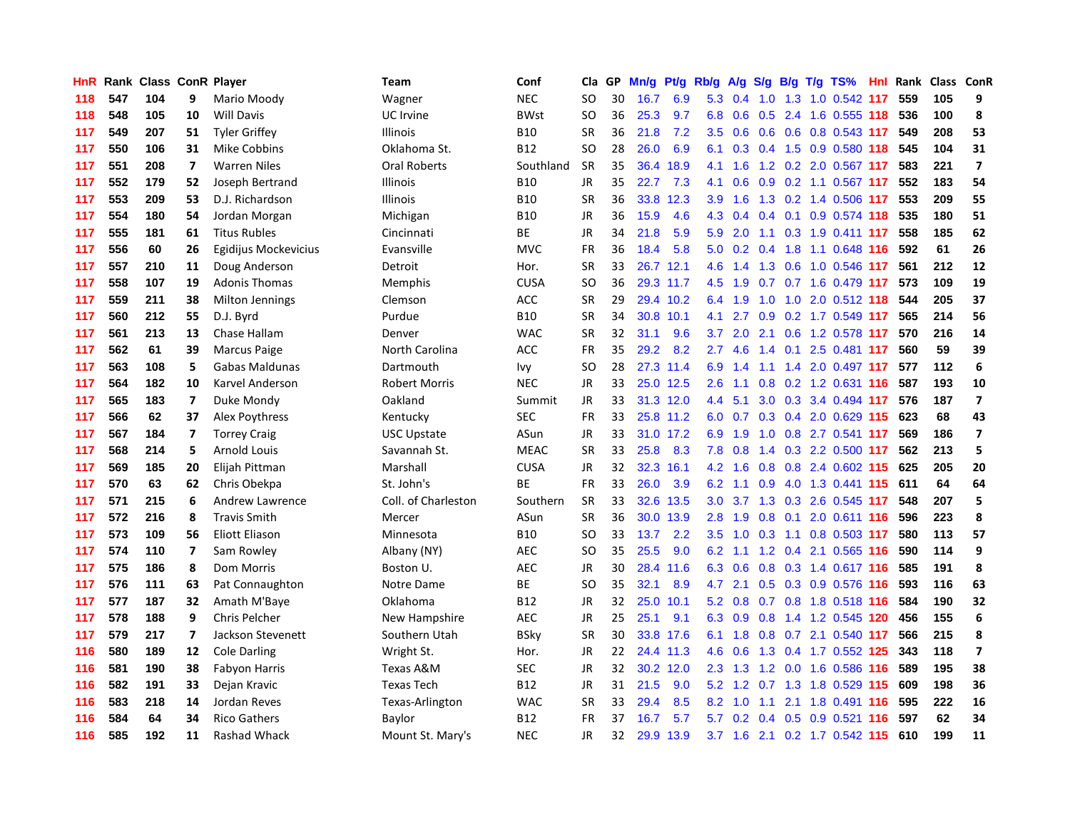| HnR | Rank |     |                         | <b>Class ConR Player</b> | Team                 | Conf        | Cla       | GP | Mn/g |           | Pt/g Rb/g     | A/g             |                  |     | $S/g$ B/g T/g TS%             | <b>Hnl</b> | Rank | Class ConR |                         |
|-----|------|-----|-------------------------|--------------------------|----------------------|-------------|-----------|----|------|-----------|---------------|-----------------|------------------|-----|-------------------------------|------------|------|------------|-------------------------|
| 118 | 547  | 104 | 9                       | Mario Moody              | Wagner               | <b>NEC</b>  | SO        | 30 | 16.7 | 6.9       | 5.3           | 0.4             | 1.0              |     | 1.3 1.0 0.542 117             |            | 559  | 105        | 9                       |
| 118 | 548  | 105 | 10                      | <b>Will Davis</b>        | UC Irvine            | <b>BWst</b> | SO        | 36 | 25.3 | 9.7       | 6.8           | 0.6             |                  |     | 0.5 2.4 1.6 0.555 118 536     |            |      | 100        | 8                       |
| 117 | 549  | 207 | 51                      | <b>Tyler Griffey</b>     | <b>Illinois</b>      | <b>B10</b>  | <b>SR</b> | 36 | 21.8 | 7.2       | 3.5           | 0.6             |                  |     | 0.6 0.6 0.8 0.543 117         |            | 549  | 208        | 53                      |
| 117 | 550  | 106 | 31                      | Mike Cobbins             | Oklahoma St.         | <b>B12</b>  | SO        | 28 | 26.0 | 6.9       | 6.1           | 0.3             |                  |     | 0.4 1.5 0.9 0.580 118         |            | 545  | 104        | 31                      |
| 117 | 551  | 208 | $\overline{ }$          | <b>Warren Niles</b>      | <b>Oral Roberts</b>  | Southland   | <b>SR</b> | 35 | 36.4 | 18.9      | 4.1           | 1.6             |                  |     | 1.2 0.2 2.0 0.567 117         |            | 583  | 221        | $\overline{7}$          |
| 117 | 552  | 179 | 52                      | Joseph Bertrand          | <b>Illinois</b>      | <b>B10</b>  | JR        | 35 | 22.7 | 7.3       | 4.1           | 0.6             | 0.9              |     | 0.2 1.1 0.567 117             |            | 552  | 183        | 54                      |
| 117 | 553  | 209 | 53                      | D.J. Richardson          | <b>Illinois</b>      | <b>B10</b>  | <b>SR</b> | 36 | 33.8 | 12.3      | 3.9           | 1.6             |                  |     | 1.3 0.2 1.4 0.506 117         |            | 553  | 209        | 55                      |
| 117 | 554  | 180 | 54                      | Jordan Morgan            | Michigan             | <b>B10</b>  | <b>JR</b> | 36 | 15.9 | 4.6       | 4.3           | 0.4             |                  |     | $0.4$ 0.1 0.9 0.574 118       |            | 535  | 180        | 51                      |
| 117 | 555  | 181 | 61                      | <b>Titus Rubles</b>      | Cincinnati           | <b>BE</b>   | JR        | 34 | 21.8 | 5.9       | 5.9           | 2.0             |                  |     | 1.1 0.3 1.9 0.411 117         |            | 558  | 185        | 62                      |
| 117 | 556  | 60  | 26                      | Egidijus Mockevicius     | Evansville           | <b>MVC</b>  | <b>FR</b> | 36 | 18.4 | 5.8       | 5.0           | 0.2             |                  |     | 0.4 1.8 1.1 0.648 116         |            | 592  | 61         | 26                      |
| 117 | 557  | 210 | 11                      | Doug Anderson            | Detroit              | Hor.        | <b>SR</b> | 33 |      | 26.7 12.1 | 4.6           |                 |                  |     | 1.4 1.3 0.6 1.0 0.546 117     |            | 561  | 212        | 12                      |
| 117 | 558  | 107 | 19                      | <b>Adonis Thomas</b>     | Memphis              | <b>CUSA</b> | SO        | 36 |      | 29.3 11.7 | 4.5           | 1.9             |                  |     | $0.7$ 0.7 1.6 0.479 117       |            | 573  | 109        | 19                      |
| 117 | 559  | 211 | 38                      | Milton Jennings          | Clemson              | ACC         | <b>SR</b> | 29 |      | 29.4 10.2 | 6.4           | 1.9             | 1.0              |     | 1.0 2.0 0.512 118             |            | 544  | 205        | 37                      |
| 117 | 560  | 212 | 55                      | D.J. Byrd                | Purdue               | <b>B10</b>  | <b>SR</b> | 34 | 30.8 | 10.1      | 4.1           | 2.7             | 0.9 <sub>0</sub> |     | 0.2 1.7 0.549 117             |            | 565  | 214        | 56                      |
| 117 | 561  | 213 | 13                      | Chase Hallam             | Denver               | <b>WAC</b>  | <b>SR</b> | 32 | 31.1 | 9.6       | 3.7           | 2.0             |                  |     | 2.1 0.6 1.2 0.578 117         |            | 570  | 216        | 14                      |
| 117 | 562  | 61  | 39                      | <b>Marcus Paige</b>      | North Carolina       | ACC         | <b>FR</b> | 35 | 29.2 | 8.2       | $2.7^{\circ}$ | 4.6             | 1.4              |     | 0.1 2.5 0.481 117             |            | 560  | 59         | 39                      |
| 117 | 563  | 108 | 5                       | Gabas Maldunas           | Dartmouth            | lvy         | <b>SO</b> | 28 |      | 27.3 11.4 | 6.9           | 1.4             |                  |     | 1.1 1.4 2.0 0.497 117         |            | 577  | 112        | $\boldsymbol{6}$        |
| 117 | 564  | 182 | 10                      | Karvel Anderson          | <b>Robert Morris</b> | <b>NEC</b>  | <b>JR</b> | 33 |      | 25.0 12.5 | 2.6           | 1.1             | 0.8              |     | 0.2 1.2 0.631 116             |            | 587  | 193        | 10                      |
| 117 | 565  | 183 | $\overline{\mathbf{z}}$ | Duke Mondy               | Oakland              | Summit      | <b>JR</b> | 33 |      | 31.3 12.0 | 4.4           | 5.1             |                  |     | 3.0 0.3 3.4 0.494 117         |            | 576  | 187        | $\overline{\mathbf{z}}$ |
| 117 | 566  | 62  | 37                      | Alex Poythress           | Kentucky             | <b>SEC</b>  | FR        | 33 |      | 25.8 11.2 |               | $6.0 \quad 0.7$ |                  |     | 0.3 0.4 2.0 0.629 115 623     |            |      | 68         | 43                      |
| 117 | 567  | 184 | 7                       | <b>Torrey Craig</b>      | <b>USC Upstate</b>   | ASun        | JR        | 33 |      | 31.0 17.2 | 6.9           | 1.9             | 1.0              |     | 0.8 2.7 0.541 117             |            | 569  | 186        | $\overline{\mathbf{z}}$ |
| 117 | 568  | 214 | 5                       | <b>Arnold Louis</b>      | Savannah St.         | <b>MEAC</b> | <b>SR</b> | 33 | 25.8 | 8.3       | 7.8           | 0.8             | 1.4              |     | 0.3 2.2 0.500                 | 117        | 562  | 213        | 5                       |
| 117 | 569  | 185 | 20                      | Elijah Pittman           | Marshall             | <b>CUSA</b> | JR        | 32 | 32.3 | 16.1      | 4.2           | 1.6             | 0.8              |     | 0.8 2.4 0.602 115             |            | 625  | 205        | 20                      |
| 117 | 570  | 63  | 62                      | Chris Obekpa             | St. John's           | <b>BE</b>   | FR        | 33 | 26.0 | 3.9       | 6.2           | 1.1             | 0.9              |     | 4.0 1.3 0.441 115             |            | 611  | 64         | 64                      |
| 117 | 571  | 215 | 6                       | Andrew Lawrence          | Coll. of Charleston  | Southern    | <b>SR</b> | 33 | 32.6 | 13.5      | 3.0           | 3.7             | 1.3              |     | 0.3 2.6 0.545 117             |            | 548  | 207        | 5                       |
| 117 | 572  | 216 | 8                       | <b>Travis Smith</b>      | Mercer               | ASun        | <b>SR</b> | 36 | 30.0 | 13.9      | 2.8           | 1.9             | 0.8              | 0.1 | 2.0 0.611 116                 |            | 596  | 223        | 8                       |
| 117 | 573  | 109 | 56                      | <b>Eliott Eliason</b>    | Minnesota            | <b>B10</b>  | <b>SO</b> | 33 | 13.7 | 2.2       | 3.5           | 1.0             |                  |     | 0.3 1.1 0.8 0.503 117         |            | 580  | 113        | 57                      |
| 117 | 574  | 110 | $\overline{ }$          | Sam Rowley               | Albany (NY)          | <b>AEC</b>  | <b>SO</b> | 35 | 25.5 | 9.0       | 6.2           | $-1.1$          |                  |     | 1.2 0.4 2.1 0.565 116         |            | 590  | 114        | 9                       |
| 117 | 575  | 186 | 8                       | Dom Morris               | Boston U.            | <b>AEC</b>  | <b>JR</b> | 30 | 28.4 | 11.6      | 6.3           | 0.6             |                  |     | 0.8 0.3 1.4 0.617 116         |            | 585  | 191        | 8                       |
| 117 | 576  | 111 | 63                      | Pat Connaughton          | Notre Dame           | <b>BE</b>   | <b>SO</b> | 35 | 32.1 | 8.9       | 4.7           | 2.1             |                  |     | 0.5 0.3 0.9 0.576 116         |            | 593  | 116        | 63                      |
| 117 | 577  | 187 | 32                      | Amath M'Baye             | Oklahoma             | <b>B12</b>  | JR        | 32 | 25.0 | 10.1      | 5.2           | 0.8             |                  |     | 0.7 0.8 1.8 0.518 116         |            | 584  | 190        | 32                      |
| 117 | 578  | 188 | 9                       | <b>Chris Pelcher</b>     | New Hampshire        | <b>AEC</b>  | JR        | 25 | 25.1 | 9.1       | 6.3           | 0.9             | 0.8              |     | 1.4 1.2 0.545 120             |            | 456  | 155        | 6                       |
| 117 | 579  | 217 | $\overline{ }$          | Jackson Stevenett        | Southern Utah        | <b>BSky</b> | <b>SR</b> | 30 |      | 33.8 17.6 | 6.1           | 1.8             | 0.8              |     | $0.7$ 2.1 0.540 117           |            | 566  | 215        | 8                       |
| 116 | 580  | 189 | 12                      | Cole Darling             | Wright St.           | Hor.        | JR        | 22 |      | 24.4 11.3 | 4.6           | 0.6             | 1.3              |     | 0.4 1.7 0.552 125             |            | 343  | 118        | $\overline{7}$          |
| 116 | 581  | 190 | 38                      | Fabyon Harris            | Texas A&M            | <b>SEC</b>  | JR        | 32 |      | 30.2 12.0 | $2.3^{\circ}$ | 1.3             | 1.2              |     | 0.0 1.6 0.586 116             |            | 589  | 195        | 38                      |
| 116 | 582  | 191 | 33                      | Dejan Kravic             | <b>Texas Tech</b>    | <b>B12</b>  | JR        | 31 | 21.5 | 9.0       |               |                 |                  |     | 5.2 1.2 0.7 1.3 1.8 0.529 115 |            | 609  | 198        | 36                      |
| 116 | 583  | 218 | 14                      | Jordan Reves             | Texas-Arlington      | <b>WAC</b>  | <b>SR</b> | 33 | 29.4 | 8.5       | 8.2           |                 |                  |     | 1.0 1.1 2.1 1.8 0.491 116     |            | 595  | 222        | 16                      |
| 116 | 584  | 64  | 34                      | <b>Rico Gathers</b>      | Baylor               | <b>B12</b>  | FR        | 37 | 16.7 | 5.7       | 5.7           | 0.2             |                  |     | 0.4 0.5 0.9 0.521 116         |            | 597  | 62         | 34                      |
| 116 | 585  | 192 | 11                      | Rashad Whack             | Mount St. Mary's     | <b>NEC</b>  | <b>JR</b> | 32 | 29.9 | 13.9      |               |                 |                  |     | 3.7 1.6 2.1 0.2 1.7 0.542 115 |            | 610  | 199        | 11                      |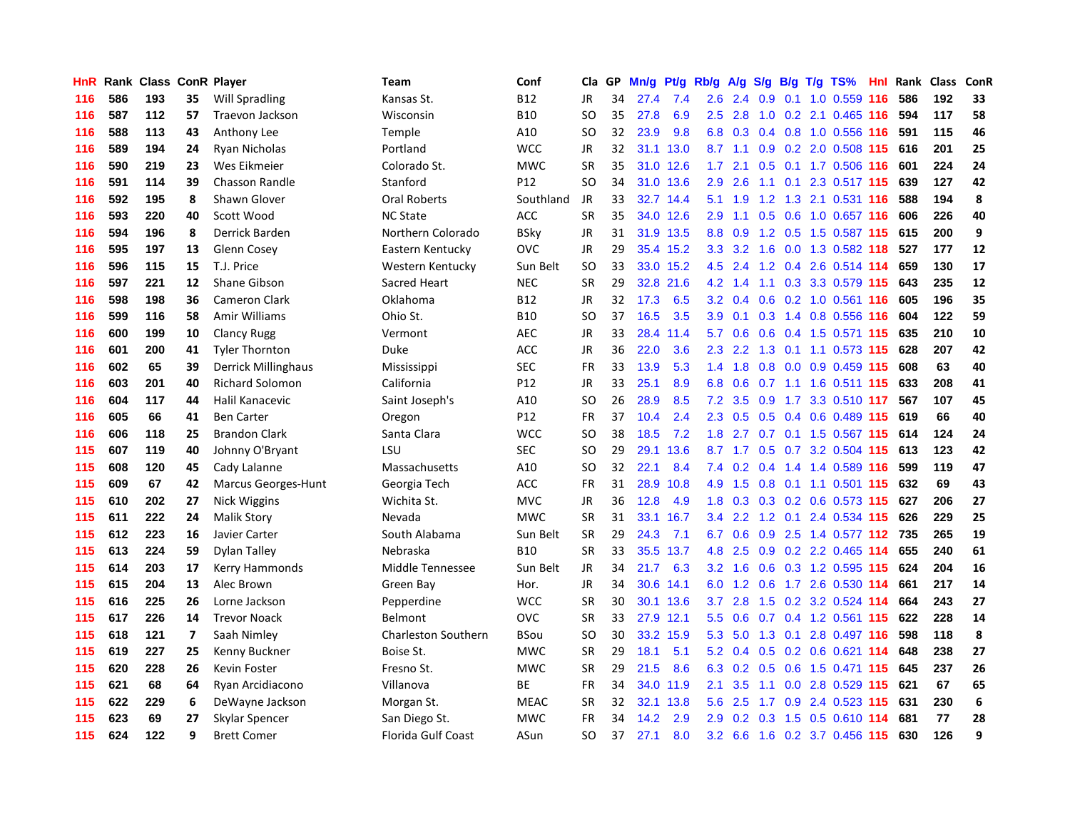| HnR | Rank |     |                          | <b>Class ConR Player</b> | <b>Team</b>                | Conf        | Cla       | GP. | Mn/g | <b>Pt/g</b> | Rb/g             | A/g             |     |     | S/g B/g T/g TS%               | Hnl | Rank | <b>Class</b> | <b>ConR</b> |
|-----|------|-----|--------------------------|--------------------------|----------------------------|-------------|-----------|-----|------|-------------|------------------|-----------------|-----|-----|-------------------------------|-----|------|--------------|-------------|
| 116 | 586  | 193 | 35                       | Will Spradling           | Kansas St.                 | <b>B12</b>  | JR        | 34  | 27.4 | 7.4         | 2.6              | 2.4             | 0.9 |     | 0.1 1.0 0.559 116             |     | 586  | 192          | 33          |
| 116 | 587  | 112 | 57                       | Traevon Jackson          | Wisconsin                  | <b>B10</b>  | SO        | 35  | 27.8 | 6.9         | 2.5              | 2.8             |     |     | 1.0 0.2 2.1 0.465 116 594     |     |      | 117          | 58          |
| 116 | 588  | 113 | 43                       | Anthony Lee              | Temple                     | A10         | SO.       | 32  | 23.9 | 9.8         | 6.8              | 0.3             |     |     | 0.4 0.8 1.0 0.556 116         |     | 591  | 115          | 46          |
| 116 | 589  | 194 | 24                       | Ryan Nicholas            | Portland                   | <b>WCC</b>  | <b>JR</b> | 32  |      | 31.1 13.0   |                  | $8.7 \quad 1.1$ |     |     | 0.9 0.2 2.0 0.508 115 616     |     |      | 201          | 25          |
| 116 | 590  | 219 | 23                       | Wes Eikmeier             | Colorado St.               | <b>MWC</b>  | <b>SR</b> | 35  | 31.0 | 12.6        | 1.7 <sub>z</sub> | 2.1             | 0.5 |     | 0.1 1.7 0.506 116             |     | 601  | 224          | 24          |
| 116 | 591  | 114 | 39                       | <b>Chasson Randle</b>    | Stanford                   | P12         | <b>SO</b> | 34  | 31.0 | 13.6        | 2.9              | 2.6             |     |     | 1.1 0.1 2.3 0.517 115         |     | 639  | 127          | 42          |
| 116 | 592  | 195 | 8                        | Shawn Glover             | <b>Oral Roberts</b>        | Southland   | JR        | 33  | 32.7 | 14.4        | 5.1              | 1.9             | 1.2 |     | 1.3 2.1 0.531 116             |     | 588  | 194          | 8           |
| 116 | 593  | 220 | 40                       | Scott Wood               | <b>NC State</b>            | ACC         | <b>SR</b> | 35  | 34.0 | 12.6        | 2.9 <sup>°</sup> | 1.1             | 0.5 |     | 0.6 1.0 0.657 116             |     | 606  | 226          | 40          |
| 116 | 594  | 196 | 8                        | Derrick Barden           | Northern Colorado          | <b>BSky</b> | JR        | 31  | 31.9 | 13.5        | 8.8              | 0.9             |     |     | 1.2 0.5 1.5 0.587 115         |     | 615  | 200          | 9           |
| 116 | 595  | 197 | 13                       | Glenn Cosey              | Eastern Kentucky           | <b>OVC</b>  | JR        | 29  |      | 35.4 15.2   |                  |                 |     |     | 3.3 3.2 1.6 0.0 1.3 0.582 118 |     | 527  | 177          | 12          |
| 116 | 596  | 115 | 15                       | T.J. Price               | Western Kentucky           | Sun Belt    | <b>SO</b> | 33  |      | 33.0 15.2   |                  |                 |     |     | 4.5 2.4 1.2 0.4 2.6 0.514 114 |     | 659  | 130          | 17          |
| 116 | 597  | 221 | 12                       | Shane Gibson             | Sacred Heart               | <b>NEC</b>  | <b>SR</b> | 29  | 32.8 | 21.6        |                  | $4.2 \quad 1.4$ |     |     | 1.1 0.3 3.3 0.579 115         |     | 643  | 235          | 12          |
| 116 | 598  | 198 | 36                       | <b>Cameron Clark</b>     | Oklahoma                   | <b>B12</b>  | <b>JR</b> | 32  | 17.3 | 6.5         | 3.2 <sub>2</sub> | 0.4             | 0.6 |     | 0.2 1.0 0.561 116             |     | 605  | 196          | 35          |
| 116 | 599  | 116 | 58                       | Amir Williams            | Ohio St.                   | <b>B10</b>  | <b>SO</b> | 37  | 16.5 | 3.5         | 3.9              | 0.1             |     |     | 0.3 1.4 0.8 0.556 116         |     | 604  | 122          | 59          |
| 116 | 600  | 199 | 10                       | <b>Clancy Rugg</b>       | Vermont                    | AEC         | <b>JR</b> | 33  | 28.4 | 11.4        | 5.7              | 0.6             |     |     | 0.6 0.4 1.5 0.571 115         |     | 635  | 210          | ${\bf 10}$  |
| 116 | 601  | 200 | 41                       | <b>Tyler Thornton</b>    | Duke                       | ACC         | <b>JR</b> | 36  | 22.0 | 3.6         | 2.3              | 2.2             |     |     | 1.3 0.1 1.1 0.573 115         |     | 628  | 207          | 42          |
| 116 | 602  | 65  | 39                       | Derrick Millinghaus      | Mississippi                | SEC         | <b>FR</b> | 33  | 13.9 | 5.3         | 1.4              | 1.8             | 0.8 |     | 0.0 0.9 0.459 115             |     | 608  | 63           | 40          |
| 116 | 603  | 201 | 40                       | <b>Richard Solomon</b>   | California                 | P12         | <b>JR</b> | 33  | 25.1 | 8.9         | 6.8              | 0.6             |     |     | $0.7$ 1.1 1.6 0.511 115       |     | 633  | 208          | 41          |
| 116 | 604  | 117 | 44                       | Halil Kanacevic          | Saint Joseph's             | A10         | <b>SO</b> | 26  | 28.9 | 8.5         | 7.2              | 3.5             |     |     | 0.9 1.7 3.3 0.510 117         |     | 567  | 107          | 45          |
| 116 | 605  | 66  | 41                       | <b>Ben Carter</b>        | Oregon                     | P12         | FR        | 37  | 10.4 | 2.4         | 2.3              |                 |     |     | 0.5 0.5 0.4 0.6 0.489 115 619 |     |      | 66           | 40          |
| 116 | 606  | 118 | 25                       | <b>Brandon Clark</b>     | Santa Clara                | <b>WCC</b>  | <b>SO</b> | 38  | 18.5 | 7.2         | 1.8              | 2.7             |     |     | 0.7 0.1 1.5 0.567 115 614     |     |      | 124          | 24          |
| 115 | 607  | 119 | 40                       | Johnny O'Bryant          | LSU                        | <b>SEC</b>  | <b>SO</b> | 29  | 29.1 | 13.6        |                  | $8.7 \quad 1.7$ | 0.5 |     | 0.7 3.2 0.504 115             |     | 613  | 123          | 42          |
| 115 | 608  | 120 | 45                       | Cady Lalanne             | Massachusetts              | A10         | <b>SO</b> | 32  | 22.1 | 8.4         | 7.4              | 0.2             |     |     | 0.4 1.4 1.4 0.589 116         |     | 599  | 119          | 47          |
| 115 | 609  | 67  | 42                       | Marcus Georges-Hunt      | Georgia Tech               | ACC         | FR        | 31  | 28.9 | 10.8        | 4.9              | 1.5             | 0.8 |     | 0.1 1.1 0.501 115             |     | 632  | 69           | 43          |
| 115 | 610  | 202 | 27                       | Nick Wiggins             | Wichita St.                | MVC         | JR        | 36  | 12.8 | 4.9         | 1.8              | 0.3             |     |     | 0.3 0.2 0.6 0.573 115         |     | 627  | 206          | 27          |
| 115 | 611  | 222 | 24                       | <b>Malik Story</b>       | Nevada                     | <b>MWC</b>  | <b>SR</b> | 31  | 33.1 | 16.7        | 3.4              | 2.2             | 1.2 |     | 0.1 2.4 0.534 115             |     | 626  | 229          | 25          |
| 115 | 612  | 223 | 16                       | Javier Carter            | South Alabama              | Sun Belt    | <b>SR</b> | 29  | 24.3 | 7.1         | 6.7              | 0.6             |     |     | 0.9 2.5 1.4 0.577 112 735     |     |      | 265          | 19          |
| 115 | 613  | 224 | 59                       | Dylan Talley             | Nebraska                   | <b>B10</b>  | <b>SR</b> | 33  | 35.5 | 13.7        | 4.8              | 2.5             |     |     | $0.9$ $0.2$ $2.2$ $0.465$ 114 |     | 655  | 240          | 61          |
| 115 | 614  | 203 | 17                       | Kerry Hammonds           | Middle Tennessee           | Sun Belt    | <b>JR</b> | 34  | 21.7 | 6.3         | 3.2 <sub>2</sub> | $-1.6$          |     |     | 0.6 0.3 1.2 0.595 115         |     | 624  | 204          | 16          |
| 115 | 615  | 204 | 13                       | Alec Brown               | Green Bay                  | Hor.        | <b>JR</b> | 34  | 30.6 | 14.1        | 6.0              | 1.2             |     |     | 0.6 1.7 2.6 0.530 114         |     | 661  | 217          | 14          |
| 115 | 616  | 225 | 26                       | Lorne Jackson            | Pepperdine                 | <b>WCC</b>  | <b>SR</b> | 30  | 30.1 | 13.6        | 3.7 <sub>2</sub> | 2.8             | 1.5 |     | 0.2 3.2 0.524 114             |     | 664  | 243          | 27          |
| 115 | 617  | 226 | 14                       | <b>Trevor Noack</b>      | Belmont                    | <b>OVC</b>  | <b>SR</b> | 33  |      | 27.9 12.1   | 5.5              | 0.6             |     |     | 0.7 0.4 1.2 0.561 115         |     | 622  | 228          | 14          |
| 115 | 618  | 121 | $\overline{\phantom{a}}$ | Saah Nimley              | <b>Charleston Southern</b> | <b>BSou</b> | <b>SO</b> | 30  | 33.2 | 15.9        | 5.3              | 5.0             | 1.3 | 0.1 | 2.8 0.497 116                 |     | 598  | 118          | 8           |
| 115 | 619  | 227 | 25                       | Kenny Buckner            | Boise St.                  | <b>MWC</b>  | <b>SR</b> | 29  | 18.1 | 5.1         | 5.2              | 0.4             | 0.5 |     | 0.2 0.6 0.621 114             |     | 648  | 238          | 27          |
| 115 | 620  | 228 | 26                       | Kevin Foster             | Fresno St.                 | <b>MWC</b>  | <b>SR</b> | 29  | 21.5 | 8.6         | 6.3              | 0.2             | 0.5 |     | 0.6 1.5 0.471 115 645         |     |      | 237          | 26          |
| 115 | 621  | 68  | 64                       | Ryan Arcidiacono         | Villanova                  | ВE          | FR        | 34  |      | 34.0 11.9   | 2.1              | 3.5             |     |     | 1.1 0.0 2.8 0.529 115 621     |     |      | 67           | 65          |
| 115 | 622  | 229 | 6                        | DeWayne Jackson          | Morgan St.                 | <b>MEAC</b> | <b>SR</b> | 32  | 32.1 | 13.8        | 5.6              | 2.5             |     |     | 1.7 0.9 2.4 0.523 115         |     | 631  | 230          | 6           |
| 115 | 623  | 69  | 27                       | Skylar Spencer           | San Diego St.              | <b>MWC</b>  | FR        | 34  | 14.2 | 2.9         | 2.9 <sup>°</sup> | 0.2             |     |     | 0.3 1.5 0.5 0.610 114         |     | 681  | 77           | 28          |
| 115 | 624  | 122 | 9                        | <b>Brett Comer</b>       | Florida Gulf Coast         | ASun        | <b>SO</b> | 37  | 27.1 | 8.0         |                  |                 |     |     | 3.2 6.6 1.6 0.2 3.7 0.456 115 |     | 630  | 126          | 9           |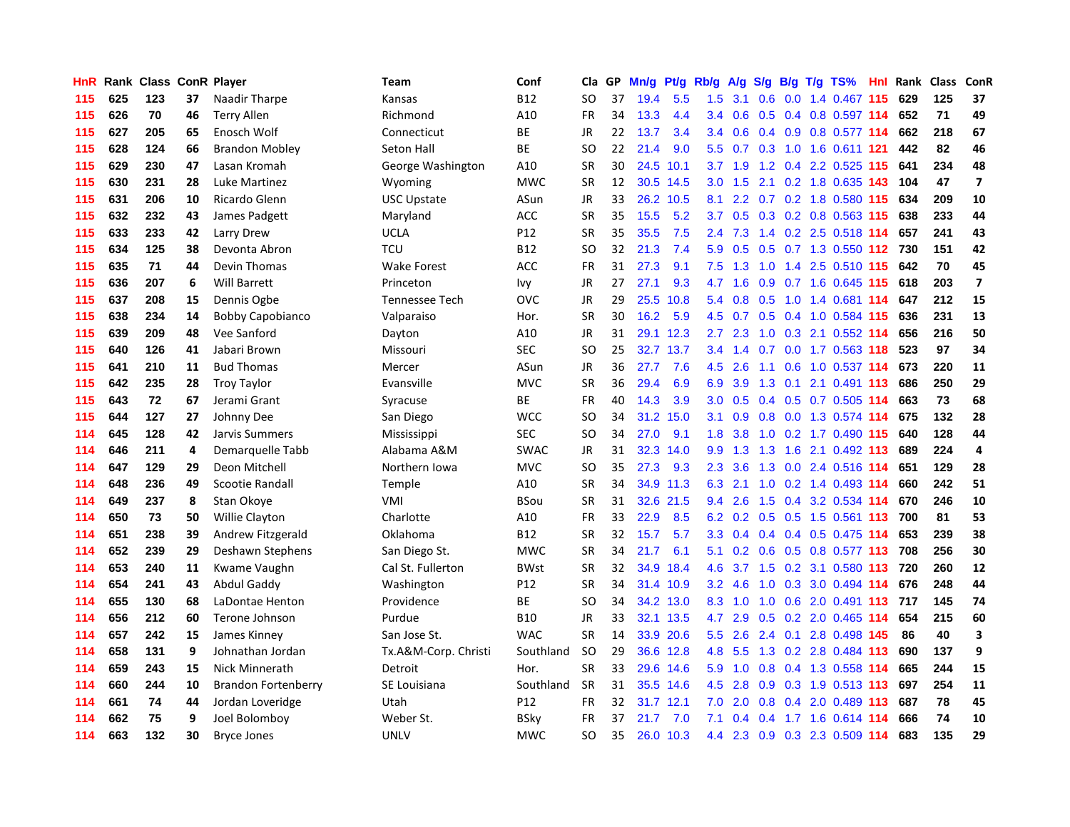| HnR | Rank | <b>Class ConR Player</b> |    |                            | Team                  | Conf        | Cla       | <b>GP</b> | Mn/g | Pt/g      | Rb/g             | A/g             |               |  | S/g B/g T/g TS%                      | Hnl | Rank | Class | <b>ConR</b>             |
|-----|------|--------------------------|----|----------------------------|-----------------------|-------------|-----------|-----------|------|-----------|------------------|-----------------|---------------|--|--------------------------------------|-----|------|-------|-------------------------|
| 115 | 625  | 123                      | 37 | Naadir Tharpe              | Kansas                | <b>B12</b>  | SO.       | 37        | 19.4 | 5.5       | 1.5              | 3.1             | 0.6           |  | 0.0 1.4 0.467 115                    |     | 629  | 125   | 37                      |
| 115 | 626  | 70                       | 46 | <b>Terry Allen</b>         | Richmond              | A10         | <b>FR</b> | 34        | 13.3 | 4.4       | $3.4^{\circ}$    |                 |               |  | 0.6 0.5 0.4 0.8 0.597 114            |     | 652  | 71    | 49                      |
| 115 | 627  | 205                      | 65 | Enosch Wolf                | Connecticut           | <b>BE</b>   | <b>JR</b> | 22        | 13.7 | 3.4       | $3.4^{\circ}$    | 0.6             |               |  | 0.4 0.9 0.8 0.577 114                |     | 662  | 218   | 67                      |
| 115 | 628  | 124                      | 66 | <b>Brandon Mobley</b>      | Seton Hall            | <b>BE</b>   | <b>SO</b> | 22        | 21.4 | 9.0       | 5.5              |                 |               |  | 0.7 0.3 1.0 1.6 0.611 121            |     | 442  | 82    | 46                      |
| 115 | 629  | 230                      | 47 | Lasan Kromah               | George Washington     | A10         | <b>SR</b> | 30        | 24.5 | 10.1      | 3.7              | 1.9             |               |  | 1.2 0.4 2.2 0.525 115                |     | 641  | 234   | 48                      |
| 115 | 630  | 231                      | 28 | Luke Martinez              | Wyoming               | <b>MWC</b>  | <b>SR</b> | 12        | 30.5 | 14.5      | 3.0 <sub>1</sub> | 1.5             |               |  | 2.1 0.2 1.8 0.635 143                |     | 104  | 47    | $\overline{\mathbf{z}}$ |
| 115 | 631  | 206                      | 10 | Ricardo Glenn              | <b>USC Upstate</b>    | ASun        | JR        | 33        | 26.2 | 10.5      | 8.1              | 2.2             |               |  | 0.7 0.2 1.8 0.580                    | 115 | 634  | 209   | 10                      |
| 115 | 632  | 232                      | 43 | James Padgett              | Maryland              | ACC         | <b>SR</b> | 35        | 15.5 | 5.2       | 3.7              | 0.5             |               |  | 0.3 0.2 0.8 0.563 115                |     | 638  | 233   | 44                      |
| 115 | 633  | 233                      | 42 | Larry Drew                 | <b>UCLA</b>           | P12         | <b>SR</b> | 35        | 35.5 | 7.5       | 2.4              | 7.3             |               |  | 1.4 0.2 2.5 0.518 114                |     | 657  | 241   | 43                      |
| 115 | 634  | 125                      | 38 | Devonta Abron              | TCU                   | <b>B12</b>  | <b>SO</b> | 32        | 21.3 | 7.4       | 5.9              | 0.5             |               |  | 0.5 0.7 1.3 0.550 112 730            |     |      | 151   | 42                      |
| 115 | 635  | 71                       | 44 | Devin Thomas               | <b>Wake Forest</b>    | <b>ACC</b>  | <b>FR</b> | 31        | 27.3 | 9.1       | 7.5              |                 |               |  | 1.3 1.0 1.4 2.5 0.510 115            |     | 642  | 70    | 45                      |
| 115 | 636  | 207                      | 6  | <b>Will Barrett</b>        | Princeton             | lvy         | JR        | 27        | 27.1 | 9.3       | 4.7              | 1.6             |               |  | 0.9 0.7 1.6 0.645 115 618            |     |      | 203   | $\overline{7}$          |
| 115 | 637  | 208                      | 15 | Dennis Ogbe                | <b>Tennessee Tech</b> | OVC         | <b>JR</b> | 29        | 25.5 | 10.8      | 5.4              | 0.8             | 0.5           |  | 1.0 1.4 0.681 114                    |     | 647  | 212   | 15                      |
| 115 | 638  | 234                      | 14 | <b>Bobby Capobianco</b>    | Valparaiso            | Hor.        | <b>SR</b> | 30        | 16.2 | 5.9       | 4.5              | 0.7             |               |  | 0.5 0.4 1.0 0.584 115                |     | 636  | 231   | 13                      |
| 115 | 639  | 209                      | 48 | Vee Sanford                | Dayton                | A10         | JR        | 31        | 29.1 | 12.3      | 2.7              | 2.3             | 1.0           |  | 0.3 2.1 0.552 114                    |     | 656  | 216   | 50                      |
| 115 | 640  | 126                      | 41 | Jabari Brown               | Missouri              | <b>SEC</b>  | SO        | 25        | 32.7 | 13.7      |                  | $3.4 \quad 1.4$ | 0.7           |  | 0.0 1.7 0.563 118                    |     | 523  | 97    | 34                      |
| 115 | 641  | 210                      | 11 | <b>Bud Thomas</b>          | Mercer                | ASun        | <b>JR</b> | 36        | 27.7 | 7.6       | 4.5              | 2.6             | 1.1           |  | 0.6 1.0 0.537 114                    |     | 673  | 220   | 11                      |
| 115 | 642  | 235                      | 28 | <b>Troy Taylor</b>         | Evansville            | <b>MVC</b>  | <b>SR</b> | 36        | 29.4 | 6.9       | 6.9              | 3.9             | 1.3           |  | $0.1$ 2.1 0.491 113                  |     | 686  | 250   | 29                      |
| 115 | 643  | 72                       | 67 | Jerami Grant               | Syracuse              | <b>BE</b>   | <b>FR</b> | 40        | 14.3 | 3.9       | 3.0 <sub>2</sub> | 0.5             |               |  | 0.4 0.5 0.7 0.505 114                |     | 663  | 73    | 68                      |
| 115 | 644  | 127                      | 27 | Johnny Dee                 | San Diego             | <b>WCC</b>  | <b>SO</b> | 34        | 31.2 | 15.0      | 3.1              | 0.9             |               |  | 0.8 0.0 1.3 0.574 114 675            |     |      | 132   | 28                      |
| 114 | 645  | 128                      | 42 | Jarvis Summers             | Mississippi           | <b>SEC</b>  | SO        | 34        | 27.0 | 9.1       | 1.8              | 3.8             |               |  | 1.0 0.2 1.7 0.490 115                |     | 640  | 128   | 44                      |
| 114 | 646  | 211                      | 4  | Demarquelle Tabb           | Alabama A&M           | <b>SWAC</b> | JR        | 31        | 32.3 | 14.0      | 9.9              | 1.3             | 1.3           |  | 1.6 2.1 0.492 113                    |     | 689  | 224   | $\overline{a}$          |
| 114 | 647  | 129                      | 29 | Deon Mitchell              | Northern Iowa         | <b>MVC</b>  | SO        | 35        | 27.3 | 9.3       | 2.3              | 3.6             |               |  | 1.3 0.0 2.4 0.516 114                |     | 651  | 129   | 28                      |
| 114 | 648  | 236                      | 49 | <b>Scootie Randall</b>     | Temple                | A10         | <b>SR</b> | 34        |      | 34.9 11.3 | 6.3              | 2.1             | 1.0           |  | 0.2 1.4 0.493 114                    |     | 660  | 242   | 51                      |
| 114 | 649  | 237                      | 8  | Stan Okoye                 | VMI                   | <b>BSou</b> | <b>SR</b> | 31        | 32.6 | 21.5      | 9.4              | 2.6             | 1.5           |  | 0.4 3.2 0.534 114                    |     | 670  | 246   | 10                      |
| 114 | 650  | 73                       | 50 | Willie Clayton             | Charlotte             | A10         | <b>FR</b> | 33        | 22.9 | 8.5       | 6.2              | 0.2             | 0.5           |  | 0.5 1.5 0.561 113                    |     | 700  | 81    | 53                      |
| 114 | 651  | 238                      | 39 | Andrew Fitzgerald          | Oklahoma              | <b>B12</b>  | <b>SR</b> | 32        | 15.7 | 5.7       | 3.3              |                 |               |  | 0.4 0.4 0.4 0.5 0.475 114            |     | 653  | 239   | 38                      |
| 114 | 652  | 239                      | 29 | Deshawn Stephens           | San Diego St.         | <b>MWC</b>  | <b>SR</b> | 34        | 21.7 | 6.1       | 5.1              |                 |               |  | 0.2 0.6 0.5 0.8 0.577 113 708        |     |      | 256   | 30                      |
| 114 | 653  | 240                      | 11 | Kwame Vaughn               | Cal St. Fullerton     | <b>BWst</b> | <b>SR</b> | 32        | 34.9 | 18.4      | 4.6              |                 |               |  | 3.7 1.5 0.2 3.1 0.580 113 720        |     |      | 260   | 12                      |
| 114 | 654  | 241                      | 43 | Abdul Gaddy                | Washington            | P12         | <b>SR</b> | 34        |      | 31.4 10.9 | 3.2              | 4.6             | 1.0           |  | 0.3 3.0 0.494 114                    |     | 676  | 248   | 44                      |
| 114 | 655  | 130                      | 68 | LaDontae Henton            | Providence            | ВE          | <b>SO</b> | 34        | 34.2 | 13.0      | 8.3              | 1.0             | 1.0           |  | 0.6 2.0 0.491 113                    |     | 717  | 145   | 74                      |
| 114 | 656  | 212                      | 60 | Terone Johnson             | Purdue                | <b>B10</b>  | JR        | 33        | 32.1 | 13.5      | 4.7              | 2.9             |               |  | 0.5 0.2 2.0 0.465 114                |     | 654  | 215   | 60                      |
| 114 | 657  | 242                      | 15 | James Kinney               | San Jose St.          | <b>WAC</b>  | <b>SR</b> | 14        | 33.9 | 20.6      | 5.5              | 2.6             | $2.4^{\circ}$ |  | 0.1 2.8 0.498 145                    |     | 86   | 40    | $\overline{\mathbf{3}}$ |
| 114 | 658  | 131                      | 9  | Johnathan Jordan           | Tx.A&M-Corp. Christi  | Southland   | <b>SO</b> | 29        | 36.6 | 12.8      | 4.8              | 5.5             | 1.3           |  | 0.2 2.8 0.484 113                    |     | 690  | 137   | 9                       |
| 114 | 659  | 243                      | 15 | Nick Minnerath             | Detroit               | Hor.        | <b>SR</b> | 33        | 29.6 | 14.6      | 5.9              | 1.0             | 0.8           |  | 0.4 1.3 0.558 114                    |     | 665  | 244   | 15                      |
| 114 | 660  | 244                      | 10 | <b>Brandon Fortenberry</b> | SE Louisiana          | Southland   | <b>SR</b> | 31        |      | 35.5 14.6 | 4.5              | 2.8             |               |  | $0.9$ $0.3$ $1.9$ $0.513$ <b>113</b> |     | 697  | 254   | 11                      |
| 114 | 661  | 74                       | 44 | Jordan Loveridge           | Utah                  | P12         | <b>FR</b> | 32        |      | 31.7 12.1 | 7.0              | 2.0             |               |  | 0.8 0.4 2.0 0.489 113                |     | 687  | 78    | 45                      |
| 114 | 662  | 75                       | 9  | Joel Bolomboy              | Weber St.             | BSky        | FR        | 37        | 21.7 | 7.0       | 7.1              | 0.4             |               |  | $0.4$ 1.7 1.6 0.614 114              |     | 666  | 74    | 10                      |
| 114 | 663  | 132                      | 30 | <b>Bryce Jones</b>         | <b>UNLV</b>           | <b>MWC</b>  | <b>SO</b> | 35        |      | 26.0 10.3 | 4.4              |                 |               |  | 2.3 0.9 0.3 2.3 0.509 114            |     | 683  | 135   | 29                      |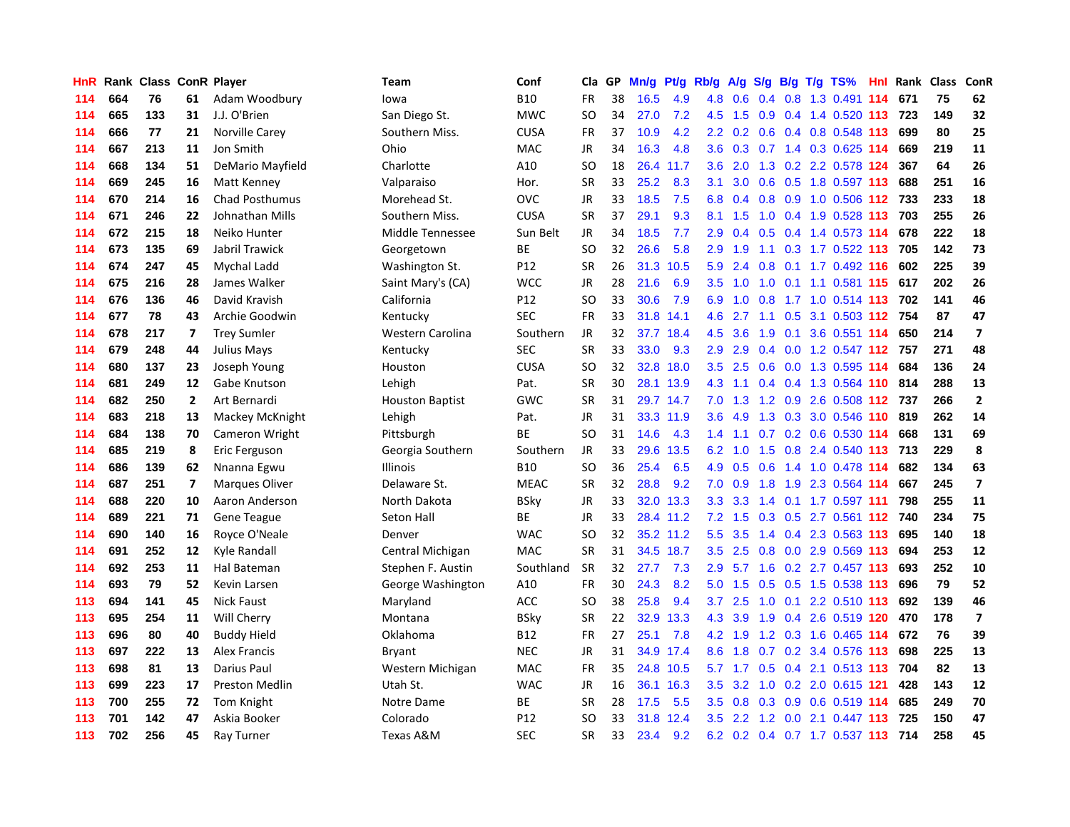| HnR | Rank | <b>Class ConR Player</b> |                         |                       | <b>Team</b>            | Conf        | Cla       | <b>GP</b> | Mn/g | Pt/g      | Rb/g          | A/g              | S/g           |  | B/g T/g TS%                   |     | Hnl Rank | Class | ConR                    |
|-----|------|--------------------------|-------------------------|-----------------------|------------------------|-------------|-----------|-----------|------|-----------|---------------|------------------|---------------|--|-------------------------------|-----|----------|-------|-------------------------|
| 114 | 664  | 76                       | 61                      | Adam Woodbury         | lowa                   | <b>B10</b>  | <b>FR</b> | 38        | 16.5 | 4.9       | 4.8           | 0.6              |               |  | 0.4 0.8 1.3 0.491 114         |     | 671      | 75    | 62                      |
| 114 | 665  | 133                      | 31                      | J.J. O'Brien          | San Diego St.          | <b>MWC</b>  | SO        | 34        | 27.0 | 7.2       | 4.5           | 1.5              |               |  | 0.9 0.4 1.4 0.520 113 723     |     |          | 149   | 32                      |
| 114 | 666  | 77                       | 21                      | Norville Carey        | Southern Miss.         | <b>CUSA</b> | <b>FR</b> | 37        | 10.9 | 4.2       | $2.2^{\circ}$ | 0.2              |               |  | 0.6 0.4 0.8 0.548 113         |     | 699      | 80    | 25                      |
| 114 | 667  | 213                      | 11                      | Jon Smith             | Ohio                   | MAC         | <b>JR</b> | 34        | 16.3 | 4.8       | 3.6           | 0.3              |               |  | 0.7 1.4 0.3 0.625 114         |     | 669      | 219   | 11                      |
| 114 | 668  | 134                      | 51                      | DeMario Mayfield      | Charlotte              | A10         | SO        | 18        | 26.4 | 11.7      | 3.6           | 2.0              | 1.3           |  | 0.2 2.2 0.578 124             |     | 367      | 64    | 26                      |
| 114 | 669  | 245                      | 16                      | Matt Kenney           | Valparaiso             | Hor.        | SR        | 33        | 25.2 | 8.3       | 3.1           | 3.0 <sub>2</sub> |               |  | $0.6$ $0.5$ 1.8 $0.597$ 113   |     | 688      | 251   | 16                      |
| 114 | 670  | 214                      | 16                      | <b>Chad Posthumus</b> | Morehead St.           | <b>OVC</b>  | JR        | 33        | 18.5 | 7.5       | 6.8           | 0.4              | 0.8           |  | 0.9 1.0 0.506 112             |     | 733      | 233   | 18                      |
| 114 | 671  | 246                      | 22                      | Johnathan Mills       | Southern Miss.         | <b>CUSA</b> | <b>SR</b> | 37        | 29.1 | 9.3       | 8.1           | 1.5              | 1.0           |  | 0.4 1.9 0.528 113             |     | 703      | 255   | 26                      |
| 114 | 672  | 215                      | 18                      | Neiko Hunter          | Middle Tennessee       | Sun Belt    | <b>JR</b> | 34        | 18.5 | 7.7       | 2.9           | 0.4              | 0.5           |  | 0.4 1.4 0.573 114             |     | 678      | 222   | 18                      |
| 114 | 673  | 135                      | 69                      | Jabril Trawick        | Georgetown             | ВE          | SO        | 32        | 26.6 | 5.8       | 2.9           | 1.9              |               |  | 1.1 0.3 1.7 0.522 113 705     |     |          | 142   | 73                      |
| 114 | 674  | 247                      | 45                      | Mychal Ladd           | Washington St.         | P12         | <b>SR</b> | 26        |      | 31.3 10.5 | 5.9           | 2.4              |               |  | 0.8 0.1 1.7 0.492 116         |     | 602      | 225   | 39                      |
| 114 | 675  | 216                      | 28                      | James Walker          | Saint Mary's (CA)      | <b>WCC</b>  | JR        | 28        | 21.6 | 6.9       | 3.5           | 1.0              | 1.0           |  | 0.1 1.1 0.581 115             |     | 617      | 202   | 26                      |
| 114 | 676  | 136                      | 46                      | David Kravish         | California             | P12         | SO        | 33        | 30.6 | 7.9       | 6.9           | 1.0              | 0.8           |  | 1.7 1.0 0.514 113             |     | 702      | 141   | 46                      |
| 114 | 677  | 78                       | 43                      | Archie Goodwin        | Kentucky               | <b>SEC</b>  | FR        | 33        | 31.8 | 14.1      | 4.6           | 2.7              |               |  | 1.1 0.5 3.1 0.503 112         |     | 754      | 87    | 47                      |
| 114 | 678  | 217                      | 7                       | <b>Trey Sumler</b>    | Western Carolina       | Southern    | <b>JR</b> | 32        | 37.7 | 18.4      | 4.5           | 3.6              | 1.9           |  | 0.1 3.6 0.551 114             |     | 650      | 214   | $\overline{\mathbf{z}}$ |
| 114 | 679  | 248                      | 44                      | Julius Mays           | Kentucky               | <b>SEC</b>  | <b>SR</b> | 33        | 33.0 | 9.3       | 2.9           | 2.9              | $0.4^{\circ}$ |  | $0.0$ 1.2 0.547 112           |     | 757      | 271   | 48                      |
| 114 | 680  | 137                      | 23                      | Joseph Young          | Houston                | <b>CUSA</b> | SO        | 32        | 32.8 | 18.0      | 3.5           | 2.5              | 0.6           |  | 0.0 1.3 0.595 114             |     | 684      | 136   | 24                      |
| 114 | 681  | 249                      | 12                      | Gabe Knutson          | Lehigh                 | Pat.        | <b>SR</b> | 30        | 28.1 | 13.9      | 4.3           | 1.1              | 0.4           |  | 0.4 1.3 0.564 110 814         |     |          | 288   | 13                      |
| 114 | 682  | 250                      | 2                       | Art Bernardi          | <b>Houston Baptist</b> | GWC         | <b>SR</b> | 31        |      | 29.7 14.7 | 7.0           |                  |               |  | 1.3 1.2 0.9 2.6 0.508 112 737 |     |          | 266   | $\overline{2}$          |
| 114 | 683  | 218                      | 13                      | Mackey McKnight       | Lehigh                 | Pat.        | JR        | 31        |      | 33.3 11.9 | 3.6           | 4.9              |               |  | 1.3 0.3 3.0 0.546 110 819     |     |          | 262   | 14                      |
| 114 | 684  | 138                      | 70                      | Cameron Wright        | Pittsburgh             | ВE          | SO        | 31        | 14.6 | 4.3       | 1.4           | 1.1              |               |  | $0.7$ 0.2 0.6 0.530 114       |     | 668      | 131   | 69                      |
| 114 | 685  | 219                      | 8                       | Eric Ferguson         | Georgia Southern       | Southern    | JR        | 33        | 29.6 | 13.5      | 6.2           | 1.0              | 1.5           |  | 0.8 2.4 0.540                 | 113 | 713      | 229   | 8                       |
| 114 | 686  | 139                      | 62                      | Nnanna Egwu           | Illinois               | B10         | <b>SO</b> | 36        | 25.4 | 6.5       | 4.9           | 0.5              | 0.6           |  | 1.4 1.0 0.478 114             |     | 682      | 134   | 63                      |
| 114 | 687  | 251                      | $\overline{\mathbf{z}}$ | <b>Marques Oliver</b> | Delaware St.           | <b>MEAC</b> | <b>SR</b> | 32        | 28.8 | 9.2       | 7.0           | 0.9              | 1.8           |  | 1.9 2.3 0.564 114             |     | 667      | 245   | $\overline{\mathbf{z}}$ |
| 114 | 688  | 220                      | 10                      | Aaron Anderson        | North Dakota           | BSky        | JR        | 33        | 32.0 | 13.3      | 3.3           | 3.3              | 1.4           |  | 0.1 1.7 0.597 111             |     | 798      | 255   | 11                      |
| 114 | 689  | 221                      | 71                      | <b>Gene Teague</b>    | Seton Hall             | ВE          | <b>JR</b> | 33        |      | 28.4 11.2 | 7.2           | 1.5              | 0.3           |  | $0.5$ 2.7 0.561 112           |     | 740      | 234   | 75                      |
| 114 | 690  | 140                      | 16                      | Royce O'Neale         | Denver                 | <b>WAC</b>  | SO        | 32        |      | 35.2 11.2 | 5.5           | 3.5              |               |  | 1.4 0.4 2.3 0.563 113         |     | 695      | 140   | 18                      |
| 114 | 691  | 252                      | 12                      | Kyle Randall          | Central Michigan       | <b>MAC</b>  | <b>SR</b> | 31        |      | 34.5 18.7 | 3.5           | 2.5              |               |  | 0.8 0.0 2.9 0.569 113         |     | 694      | 253   | 12                      |
| 114 | 692  | 253                      | 11                      | Hal Bateman           | Stephen F. Austin      | Southland   | SR        | 32        | 27.7 | 7.3       | 2.9           | 5.7              |               |  | 1.6 0.2 2.7 0.457 113         |     | 693      | 252   | 10                      |
| 114 | 693  | 79                       | 52                      | Kevin Larsen          | George Washington      | A10         | <b>FR</b> | 30        | 24.3 | 8.2       | 5.0           | 1.5              |               |  | $0.5$ $0.5$ 1.5 0.538 113     |     | 696      | 79    | 52                      |
| 113 | 694  | 141                      | 45                      | <b>Nick Faust</b>     | Maryland               | <b>ACC</b>  | <b>SO</b> | 38        | 25.8 | 9.4       | 3.7           | 2.5              | 1.0           |  | 0.1 2.2 0.510 113             |     | 692      | 139   | 46                      |
| 113 | 695  | 254                      | 11                      | Will Cherry           | Montana                | BSky        | SR        | 22        | 32.9 | 13.3      | 4.3           | 3.9              | 1.9           |  | 0.4 2.6 0.519 120             |     | 470      | 178   | $\overline{\mathbf{z}}$ |
| 113 | 696  | 80                       | 40                      | <b>Buddy Hield</b>    | Oklahoma               | <b>B12</b>  | <b>FR</b> | 27        | 25.1 | 7.8       | 4.2           | 1.9              | 1.2           |  | 0.3 1.6 0.465 114             |     | 672      | 76    | 39                      |
| 113 | 697  | 222                      | 13                      | <b>Alex Francis</b>   | <b>Bryant</b>          | <b>NEC</b>  | <b>JR</b> | 31        | 34.9 | 17.4      | 8.6           | 1.8              | 0.7           |  | 0.2 3.4 0.576 113             |     | 698      | 225   | 13                      |
| 113 | 698  | 81                       | 13                      | <b>Darius Paul</b>    | Western Michigan       | <b>MAC</b>  | <b>FR</b> | 35        | 24.8 | 10.5      | 5.7           | 1.7              | 0.5           |  | $0.4$ 2.1 0.513 113           |     | 704      | 82    | 13                      |
| 113 | 699  | 223                      | 17                      | <b>Preston Medlin</b> | Utah St.               | <b>WAC</b>  | JR        | 16        | 36.1 | 16.3      | 3.5           | 3.2              |               |  | 1.0 0.2 2.0 0.615 121         |     | 428      | 143   | 12                      |
| 113 | 700  | 255                      | 72                      | Tom Knight            | Notre Dame             | <b>BE</b>   | <b>SR</b> | 28        | 17.5 | 5.5       | 3.5           | 0.8              |               |  | 0.3 0.9 0.6 0.519 114         |     | 685      | 249   | 70                      |
| 113 | 701  | 142                      | 47                      | Askia Booker          | Colorado               | P12         | SO        | 33        | 31.8 | 12.4      | 3.5           | $2.2^{\circ}$    | 1.2           |  | $0.0$ 2.1 $0.447$ 113         |     | 725      | 150   | 47                      |
| 113 | 702  | 256                      | 45                      | Ray Turner            | Texas A&M              | <b>SEC</b>  | SR        | 33        | 23.4 | 9.2       | 6.2           |                  |               |  | 0.2 0.4 0.7 1.7 0.537 113     |     | 714      | 258   | 45                      |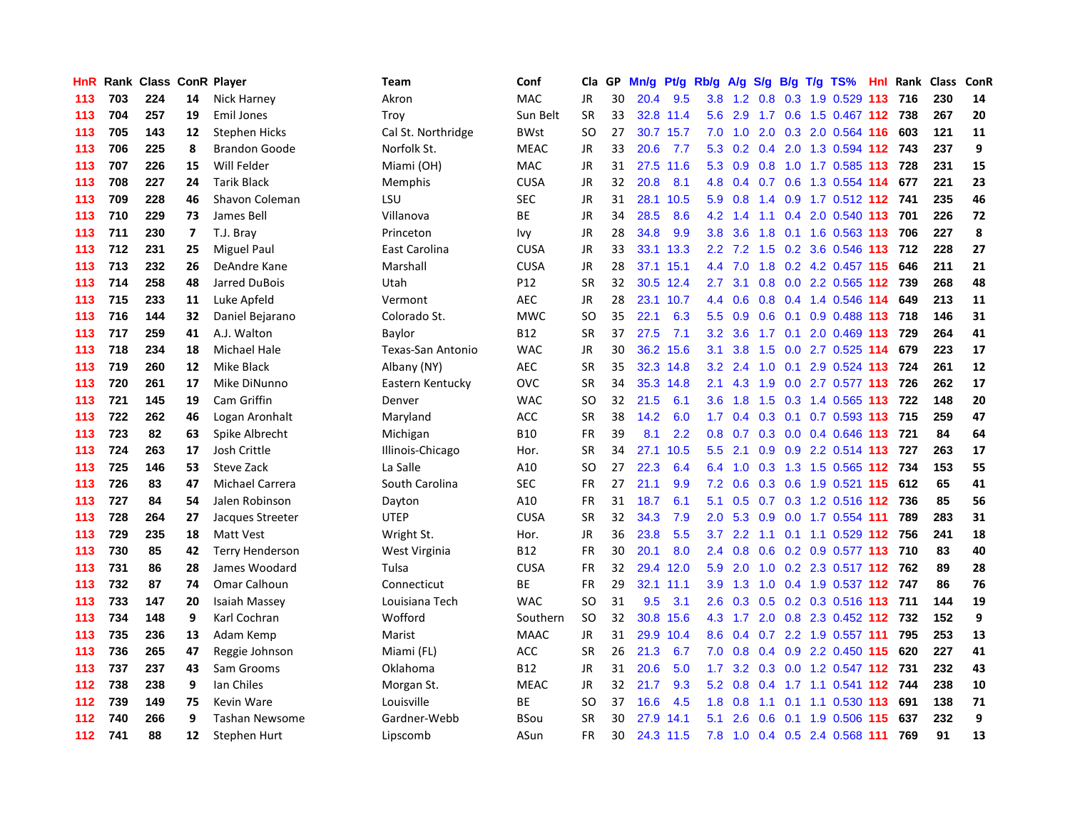| <b>HnR</b> |     | Rank Class ConR Player |    |                        | <b>Team</b>        | Conf        | Cla       | GP | Mn/g | Pt/g Rb/g |                  | A/g | S/g |  | $B/g$ T/g TS%                     | Hnl Rank | Class | ConR |
|------------|-----|------------------------|----|------------------------|--------------------|-------------|-----------|----|------|-----------|------------------|-----|-----|--|-----------------------------------|----------|-------|------|
| 113        | 703 | 224                    | 14 | Nick Harney            | Akron              | <b>MAC</b>  | <b>JR</b> | 30 | 20.4 | 9.5       | 3.8              | 1.2 | 0.8 |  | 0.3 1.9 0.529 113                 | 716      | 230   | 14   |
| 113        | 704 | 257                    | 19 | Emil Jones             | Troy               | Sun Belt    | SR        | 33 |      | 32.8 11.4 | 5.6              | 2.9 | 1.7 |  | 0.6 1.5 0.467 112 738             |          | 267   | 20   |
| 113        | 705 | 143                    | 12 | <b>Stephen Hicks</b>   | Cal St. Northridge | <b>BWst</b> | SO        | 27 |      | 30.7 15.7 | 7.0              |     |     |  | 1.0 2.0 0.3 2.0 0.564 116 603     |          | 121   | 11   |
| 113        | 706 | 225                    | 8  | <b>Brandon Goode</b>   | Norfolk St.        | <b>MEAC</b> | JR        | 33 | 20.6 | 7.7       | 5.3              | 0.2 | 0.4 |  | 2.0 1.3 0.594 112 743             |          | 237   | 9    |
| 113        | 707 | 226                    | 15 | Will Felder            | Miami (OH)         | MAC         | <b>JR</b> | 31 | 27.5 | 11.6      | 5.3              | 0.9 |     |  | 0.8 1.0 1.7 0.585 113 728         |          | 231   | 15   |
| 113        | 708 | 227                    | 24 | <b>Tarik Black</b>     | Memphis            | <b>CUSA</b> | JR        | 32 | 20.8 | 8.1       | 4.8              | 0.4 | 0.7 |  | 0.6 1.3 0.554 114                 | 677      | 221   | 23   |
| 113        | 709 | 228                    | 46 | Shavon Coleman         | LSU                | <b>SEC</b>  | JR        | 31 | 28.1 | 10.5      | 5.9              | 0.8 | 1.4 |  | 0.9 1.7 0.512 112 741             |          | 235   | 46   |
| 113        | 710 | 229                    | 73 | James Bell             | Villanova          | <b>BE</b>   | JR        | 34 | 28.5 | 8.6       | 4.2              | 1.4 | 1.1 |  | 0.4 2.0 0.540 113                 | 701      | 226   | 72   |
| 113        | 711 | 230                    | 7  | T.J. Bray              | Princeton          | Ivy         | JR        | 28 | 34.8 | 9.9       | 3.8              | 3.6 | 1.8 |  | $0.1$ 1.6 0.563 113               | 706      | 227   | 8    |
| 113        | 712 | 231                    | 25 | <b>Miguel Paul</b>     | East Carolina      | <b>CUSA</b> | JR        | 33 | 33.1 | 13.3      | $2.2^{\circ}$    | 7.2 | 1.5 |  | 0.2 3.6 0.546 113 712             |          | 228   | 27   |
| 113        | 713 | 232                    | 26 | DeAndre Kane           | Marshall           | <b>CUSA</b> | <b>JR</b> | 28 |      | 37.1 15.1 |                  |     |     |  | 4.4 7.0 1.8 0.2 4.2 0.457 115 646 |          | 211   | 21   |
| 113        | 714 | 258                    | 48 | Jarred DuBois          | Utah               | P12         | <b>SR</b> | 32 |      | 30.5 12.4 | $2.7^{\circ}$    | 3.1 |     |  | 0.8 0.0 2.2 0.565 112 739         |          | 268   | 48   |
| 113        | 715 | 233                    | 11 | Luke Apfeld            | Vermont            | <b>AEC</b>  | JR        | 28 | 23.1 | 10.7      | 4.4              | 0.6 |     |  | 0.8 0.4 1.4 0.546 114             | 649      | 213   | 11   |
| 113        | 716 | 144                    | 32 | Daniel Bejarano        | Colorado St.       | <b>MWC</b>  | SO        | 35 | 22.1 | 6.3       | 5.5              | 0.9 | 0.6 |  | 0.1 0.9 0.488 113 718             |          | 146   | 31   |
| 113        | 717 | 259                    | 41 | A.J. Walton            | Baylor             | <b>B12</b>  | SR        | 37 | 27.5 | 7.1       | 3.2              | 3.6 | 1.7 |  | $0.1$ 2.0 0.469 113               | 729      | 264   | 41   |
| 113        | 718 | 234                    | 18 | <b>Michael Hale</b>    | Texas-San Antonio  | <b>WAC</b>  | <b>JR</b> | 30 | 36.2 | 15.6      | 3.1              | 3.8 | 1.5 |  | 0.0 2.7 0.525 114                 | 679      | 223   | 17   |
| 113        | 719 | 260                    | 12 | Mike Black             | Albany (NY)        | AEC         | SR        | 35 | 32.3 | 14.8      | 3.2              | 2.4 | 1.0 |  | 0.1 2.9 0.524 113                 | 724      | 261   | 12   |
| 113        | 720 | 261                    | 17 | Mike DiNunno           | Eastern Kentucky   | OVC         | <b>SR</b> | 34 | 35.3 | 14.8      | 2.1              | 4.3 | 1.9 |  | 0.0 2.7 0.577 113 726             |          | 262   | 17   |
| 113        | 721 | 145                    | 19 | Cam Griffin            | Denver             | <b>WAC</b>  | SO        | 32 | 21.5 | 6.1       | 3.6              | 1.8 | 1.5 |  | 0.3 1.4 0.565 113 722             |          | 148   | 20   |
| 113        | 722 | 262                    | 46 | Logan Aronhalt         | Maryland           | ACC         | <b>SR</b> | 38 | 14.2 | 6.0       | 1.7              |     |     |  | 0.4 0.3 0.1 0.7 0.593 113 715     |          | 259   | 47   |
| 113        | 723 | 82                     | 63 | Spike Albrecht         | Michigan           | <b>B10</b>  | FR        | 39 | 8.1  | 2.2       | 0.8              |     |     |  | 0.7 0.3 0.0 0.4 0.646 113 721     |          | 84    | 64   |
| 113        | 724 | 263                    | 17 | Josh Crittle           | Illinois-Chicago   | Hor.        | <b>SR</b> | 34 | 27.1 | 10.5      | 5.5              | 2.1 | 0.9 |  | 0.9 2.2 0.514 113                 | 727      | 263   | 17   |
| 113        | 725 | 146                    | 53 | Steve Zack             | La Salle           | A10         | SO        | 27 | 22.3 | 6.4       | 6.4              | 1.0 |     |  | 0.3 1.3 1.5 0.565 112             | 734      | 153   | 55   |
| 113        | 726 | 83                     | 47 | <b>Michael Carrera</b> | South Carolina     | <b>SEC</b>  | <b>FR</b> | 27 | 21.1 | 9.9       | 7.2              | 0.6 | 0.3 |  | 0.6 1.9 0.521 115                 | 612      | 65    | 41   |
| 113        | 727 | 84                     | 54 | Jalen Robinson         | Dayton             | A10         | FR        | 31 | 18.7 | 6.1       | 5.1              | 0.5 | 0.7 |  | 0.3 1.2 0.516 112 736             |          | 85    | 56   |
| 113        | 728 | 264                    | 27 | Jacques Streeter       | <b>UTEP</b>        | <b>CUSA</b> | <b>SR</b> | 32 | 34.3 | 7.9       | 2.0              | 5.3 | 0.9 |  | 0.0 1.7 0.554 111                 | 789      | 283   | 31   |
| 113        | 729 | 235                    | 18 | Matt Vest              | Wright St.         | Hor.        | JR        | 36 | 23.8 | 5.5       | 3.7              |     |     |  | 2.2 1.1 0.1 1.1 0.529 112 756     |          | 241   | 18   |
| 113        | 730 | 85                     | 42 | <b>Terry Henderson</b> | West Virginia      | <b>B12</b>  | FR        | 30 | 20.1 | 8.0       | $2.4^{\circ}$    |     |     |  | 0.8 0.6 0.2 0.9 0.577 113 710     |          | 83    | 40   |
| 113        | 731 | 86                     | 28 | James Woodard          | Tulsa              | <b>CUSA</b> | FR        | 32 |      | 29.4 12.0 | 5.9              | 2.0 |     |  | 1.0 0.2 2.3 0.517 112 762         |          | 89    | 28   |
| 113        | 732 | 87                     | 74 | Omar Calhoun           | Connecticut        | BE          | FR        | 29 | 32.1 | 11.1      | 3.9 <sup>°</sup> | 1.3 | 1.0 |  | 0.4 1.9 0.537 112 747             |          | 86    | 76   |
| 113        | 733 | 147                    | 20 | Isaiah Massey          | Louisiana Tech     | <b>WAC</b>  | SO.       | 31 | 9.5  | 3.1       | 2.6              | 0.3 | 0.5 |  | 0.2 0.3 0.516 113                 | 711      | 144   | 19   |
| 113        | 734 | 148                    | 9  | Karl Cochran           | Wofford            | Southern    | SO        | 32 | 30.8 | 15.6      | 4.3              | 1.7 |     |  | 2.0 0.8 2.3 0.452 112             | 732      | 152   | 9    |
| 113        | 735 | 236                    | 13 | Adam Kemp              | Marist             | <b>MAAC</b> | <b>JR</b> | 31 | 29.9 | 10.4      | 8.6              | 0.4 | 0.7 |  | 2.2 1.9 0.557 111                 | 795      | 253   | 13   |
| 113        | 736 | 265                    | 47 | Reggie Johnson         | Miami (FL)         | ACC         | <b>SR</b> | 26 | 21.3 | 6.7       | 7.0              | 0.8 | 0.4 |  | 0.9 2.2 0.450 115                 | 620      | 227   | 41   |
| 113        | 737 | 237                    | 43 | Sam Grooms             | Oklahoma           | <b>B12</b>  | JR        | 31 | 20.6 | 5.0       | 1.7              | 3.2 |     |  | 0.3 0.0 1.2 0.547 112 731         |          | 232   | 43   |
| 112        | 738 | 238                    | 9  | lan Chiles             | Morgan St.         | <b>MEAC</b> | <b>JR</b> | 32 | 21.7 | 9.3       | 5.2              | 0.8 |     |  | 0.4 1.7 1.1 0.541 112 744         |          | 238   | 10   |
| 112        | 739 | 149                    | 75 | Kevin Ware             | Louisville         | <b>BE</b>   | SO        | 37 | 16.6 | 4.5       | 1.8              | 0.8 | 1.1 |  | $0.1$ 1.1 0.530 113               | 691      | 138   | 71   |
| 112        | 740 | 266                    | 9  | <b>Tashan Newsome</b>  | Gardner-Webb       | <b>BSou</b> | SR        | 30 | 27.9 | 14.1      | 5.1              | 2.6 | 0.6 |  | 0.1 1.9 0.506 115                 | 637      | 232   | 9    |
| $112$      | 741 | 88                     | 12 | Stephen Hurt           | Lipscomb           | ASun        | <b>FR</b> | 30 |      | 24.3 11.5 | 7.8              |     |     |  | 1.0 0.4 0.5 2.4 0.568 111         | 769      | 91    | 13   |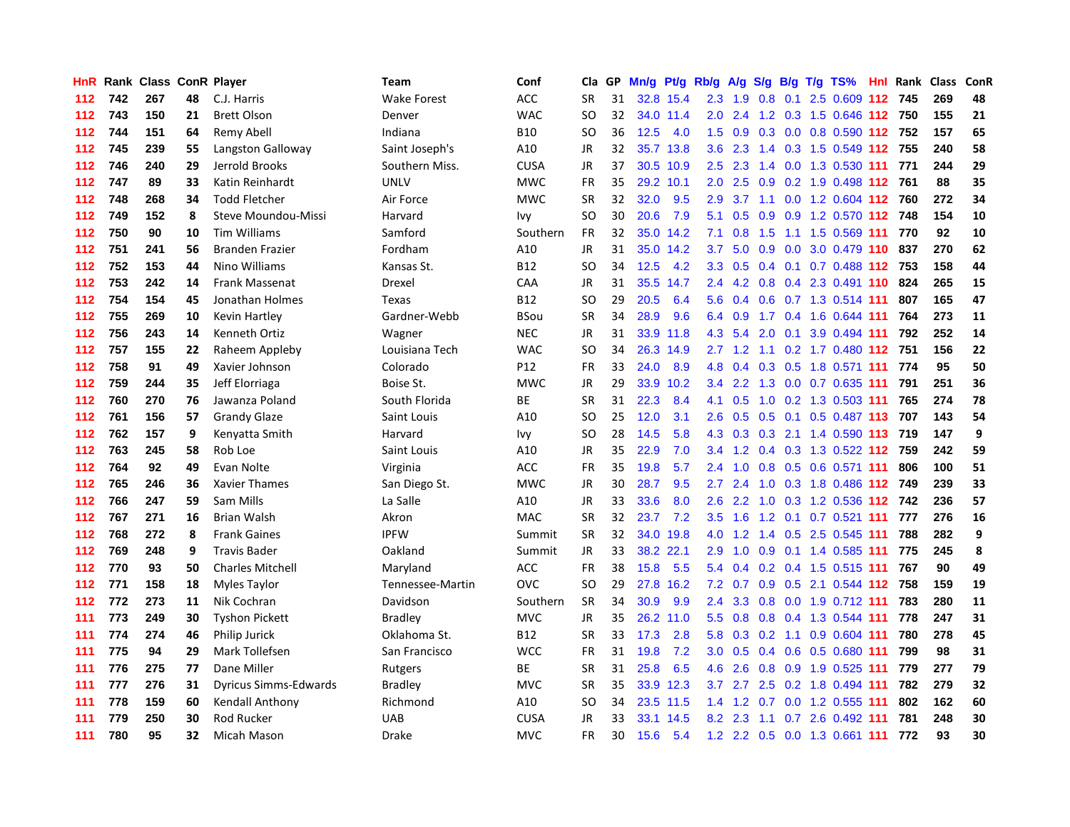| <b>HnR</b> |     | Rank Class ConR Player |    |                              | Team             | Conf        | Cla       | GP | Mn/g |           | Pt/g Rb/g        | A/g         |                  |     | S/g B/g T/g TS%                   | Hnl Rank | <b>Class</b> | <b>ConR</b> |
|------------|-----|------------------------|----|------------------------------|------------------|-------------|-----------|----|------|-----------|------------------|-------------|------------------|-----|-----------------------------------|----------|--------------|-------------|
| 112        | 742 | 267                    | 48 | C.J. Harris                  | Wake Forest      | ACC         | <b>SR</b> | 31 |      | 32.8 15.4 | 2.3              | 1.9         | 0.8              | 0.1 | 2.5 0.609 112 745                 |          | 269          | 48          |
| 112        | 743 | 150                    | 21 | <b>Brett Olson</b>           | Denver           | <b>WAC</b>  | SO        | 32 |      | 34.0 11.4 |                  | $2.0$ 2.4   |                  |     | 1.2 0.3 1.5 0.646 112 750         |          | 155          | 21          |
| 112        | 744 | 151                    | 64 | Remy Abell                   | Indiana          | <b>B10</b>  | SO.       | 36 | 12.5 | 4.0       | 1.5              |             |                  |     | 0.9 0.3 0.0 0.8 0.590 112 752     |          | 157          | 65          |
| 112        | 745 | 239                    | 55 | Langston Galloway            | Saint Joseph's   | A10         | <b>JR</b> | 32 | 35.7 | 13.8      | 3.6 <sup>°</sup> | 2.3         |                  |     | 1.4 0.3 1.5 0.549 112 755         |          | 240          | 58          |
| 112        | 746 | 240                    | 29 | Jerrold Brooks               | Southern Miss.   | <b>CUSA</b> | JR        | 37 | 30.5 | 10.9      | 2.5              | 2.3         |                  |     | 1.4 0.0 1.3 0.530 111             | 771      | 244          | 29          |
| 112        | 747 | 89                     | 33 | Katin Reinhardt              | <b>UNLV</b>      | <b>MWC</b>  | <b>FR</b> | 35 | 29.2 | 10.1      | 2.0 <sub>1</sub> | 2.5         | 0.9 <sub>0</sub> |     | 0.2 1.9 0.498 112 761             |          | 88           | 35          |
| 112        | 748 | 268                    | 34 | <b>Todd Fletcher</b>         | Air Force        | <b>MWC</b>  | <b>SR</b> | 32 | 32.0 | 9.5       | 2.9              | 3.7         |                  |     | 1.1 0.0 1.2 0.604 112             | 760      | 272          | 34          |
| 112        | 749 | 152                    | 8  | Steve Moundou-Missi          | Harvard          | lvy         | <b>SO</b> | 30 | 20.6 | 7.9       | 5.1              | 0.5         | 0.9 <sup>°</sup> |     | 0.9 1.2 0.570 112                 | 748      | 154          | 10          |
| 112        | 750 | 90                     | 10 | <b>Tim Williams</b>          | Samford          | Southern    | FR        | 32 | 35.0 | 14.2      | 7.1              | 0.8         | 1.5              |     | 1.1 1.5 0.569 111                 | 770      | 92           | 10          |
| 112        | 751 | 241                    | 56 | <b>Branden Frazier</b>       | Fordham          | A10         | <b>JR</b> | 31 |      | 35.0 14.2 | 3.7 <sub>2</sub> | 5.0         | 0.9              |     | 0.0 3.0 0.479 110 837             |          | 270          | 62          |
| 112        | 752 | 153                    | 44 | Nino Williams                | Kansas St.       | <b>B12</b>  | <b>SO</b> | 34 | 12.5 | 4.2       |                  |             |                  |     | 3.3 0.5 0.4 0.1 0.7 0.488 112 753 |          | 158          | 44          |
| 112        | 753 | 242                    | 14 | <b>Frank Massenat</b>        | Drexel           | CAA         | JR        | 31 | 35.5 | 14.7      | $2.4^{\circ}$    | 4.2         |                  |     | 0.8 0.4 2.3 0.491 110 824         |          | 265          | 15          |
| 112        | 754 | 154                    | 45 | Jonathan Holmes              | Texas            | <b>B12</b>  | <b>SO</b> | 29 | 20.5 | 6.4       | 5.6              | 0.4         |                  |     | $0.6$ 0.7 1.3 0.514 111           | 807      | 165          | 47          |
| 112        | 755 | 269                    | 10 | Kevin Hartley                | Gardner-Webb     | <b>BSou</b> | <b>SR</b> | 34 | 28.9 | 9.6       | 6.4              | 0.9         |                  |     | 1.7 0.4 1.6 0.644 111             | 764      | 273          | 11          |
| 112        | 756 | 243                    | 14 | Kenneth Ortiz                | Wagner           | <b>NEC</b>  | <b>JR</b> | 31 |      | 33.9 11.8 | 4.3              | 5.4         | 2.0              |     | 0.1 3.9 0.494 111                 | 792      | 252          | 14          |
| 112        | 757 | 155                    | 22 | Raheem Appleby               | Louisiana Tech   | <b>WAC</b>  | <b>SO</b> | 34 | 26.3 | 14.9      |                  | $2.7$ 1.2   |                  |     | 1.1 0.2 1.7 0.480 112             | 751      | 156          | 22          |
| 112        | 758 | 91                     | 49 | Xavier Johnson               | Colorado         | P12         | FR        | 33 | 24.0 | 8.9       | 4.8              | 0.4         | 0.3              |     | 0.5 1.8 0.571 111                 | 774      | 95           | 50          |
| 112        | 759 | 244                    | 35 | Jeff Elorriaga               | Boise St.        | <b>MWC</b>  | <b>JR</b> | 29 | 33.9 | 10.2      | 3.4              | 2.2         | 1.3              |     | $0.0$ 0.7 0.635 111               | 791      | 251          | 36          |
| 112        | 760 | 270                    | 76 | Jawanza Poland               | South Florida    | ВE          | <b>SR</b> | 31 | 22.3 | 8.4       | 4.1              | 0.5         |                  |     | 1.0 0.2 1.3 0.503 111             | 765      | 274          | 78          |
| 112        | 761 | 156                    | 57 | <b>Grandy Glaze</b>          | Saint Louis      | A10         | <b>SO</b> | 25 | 12.0 | 3.1       | 2.6              |             |                  |     | 0.5 0.5 0.1 0.5 0.487 113 707     |          | 143          | 54          |
| 112        | 762 | 157                    | 9  | Kenyatta Smith               | Harvard          | Ivy         | SO        | 28 | 14.5 | 5.8       | 4.3              | 0.3         |                  |     | 0.3 2.1 1.4 0.590 113 719         |          | 147          | 9           |
| 112        | 763 | 245                    | 58 | Rob Loe                      | Saint Louis      | A10         | JR        | 35 | 22.9 | 7.0       | 3.4              | 1.2         |                  |     | 0.4 0.3 1.3 0.522 112 759         |          | 242          | 59          |
| 112        | 764 | 92                     | 49 | Evan Nolte                   | Virginia         | ACC         | FR        | 35 | 19.8 | 5.7       | 2.4              | 1.0         |                  |     | 0.8 0.5 0.6 0.571 111             | 806      | 100          | 51          |
| 112        | 765 | 246                    | 36 | <b>Xavier Thames</b>         | San Diego St.    | <b>MWC</b>  | JR        | 30 | 28.7 | 9.5       | 2.7              | 2.4         | 1.0              |     | 0.3 1.8 0.486 112                 | 749      | 239          | 33          |
| 112        | 766 | 247                    | 59 | Sam Mills                    | La Salle         | A10         | JR        | 33 | 33.6 | 8.0       | 2.6              | 2.2         | 1.0              |     | 0.3 1.2 0.536 112 742             |          | 236          | 57          |
| 112        | 767 | 271                    | 16 | <b>Brian Walsh</b>           | Akron            | <b>MAC</b>  | <b>SR</b> | 32 | 23.7 | 7.2       | 3.5              | 1.6         | 1.2              |     | 0.1 0.7 0.521 111                 | 777      | 276          | 16          |
| 112        | 768 | 272                    | 8  | <b>Frank Gaines</b>          | <b>IPFW</b>      | Summit      | <b>SR</b> | 32 | 34.0 | 19.8      | 4.0              |             |                  |     | 1.2 1.4 0.5 2.5 0.545 111         | 788      | 282          | 9           |
| 112        | 769 | 248                    | 9  | <b>Travis Bader</b>          | Oakland          | Summit      | <b>JR</b> | 33 |      | 38.2 22.1 | 2.9 <sup>°</sup> |             |                  |     | 1.0 0.9 0.1 1.4 0.585 111         | 775      | 245          | 8           |
| 112        | 770 | 93                     | 50 | <b>Charles Mitchell</b>      | Maryland         | ACC         | <b>FR</b> | 38 | 15.8 | 5.5       | 5.4              | 0.4         |                  |     | 0.2 0.4 1.5 0.515 111 767         |          | 90           | 49          |
| 112        | 771 | 158                    | 18 | Myles Taylor                 | Tennessee-Martin | <b>OVC</b>  | <b>SO</b> | 29 | 27.8 | 16.2      | 7.2              | 0.7         |                  |     | 0.9 0.5 2.1 0.544 112 758         |          | 159          | 19          |
| 112        | 772 | 273                    | 11 | Nik Cochran                  | Davidson         | Southern    | <b>SR</b> | 34 | 30.9 | 9.9       | $2.4^{\circ}$    | 3.3         | 0.8              |     | $0.0$ 1.9 0.712 111               | 783      | 280          | 11          |
| 111        | 773 | 249                    | 30 | <b>Tyshon Pickett</b>        | <b>Bradley</b>   | <b>MVC</b>  | <b>JR</b> | 35 | 26.2 | 11.0      | 5.5              | 0.8         |                  |     | 0.8 0.4 1.3 0.544 111             | 778      | 247          | 31          |
| 111        | 774 | 274                    | 46 | <b>Philip Jurick</b>         | Oklahoma St.     | <b>B12</b>  | <b>SR</b> | 33 | 17.3 | 2.8       | 5.8              | 0.3         | 0.2              |     | 1.1 0.9 0.604 111                 | 780      | 278          | 45          |
| 111        | 775 | 94                     | 29 | Mark Tollefsen               | San Francisco    | <b>WCC</b>  | <b>FR</b> | 31 | 19.8 | 7.2       | 3.0 <sub>2</sub> | 0.5         | 0.4              |     | 0.6 0.5 0.680 111                 | 799      | 98           | 31          |
| 111        | 776 | 275                    | 77 | Dane Miller                  | Rutgers          | ВE          | <b>SR</b> | 31 | 25.8 | 6.5       | 4.6              | 2.6         | 0.8              |     | 0.9 1.9 0.525 111                 | 779      | 277          | 79          |
| 111        | 777 | 276                    | 31 | <b>Dyricus Simms-Edwards</b> | <b>Bradley</b>   | <b>MVC</b>  | <b>SR</b> | 35 |      | 33.9 12.3 |                  | $3.7$ $2.7$ |                  |     | 2.5 0.2 1.8 0.494 111             | 782      | 279          | 32          |
| 111        | 778 | 159                    | 60 | Kendall Anthony              | Richmond         | A10         | SO        | 34 |      | 23.5 11.5 | $1.4^{\circ}$    |             |                  |     | 1.2 0.7 0.0 1.2 0.555 111         | 802      | 162          | 60          |
| 111        | 779 | 250                    | 30 | Rod Rucker                   | <b>UAB</b>       | <b>CUSA</b> | JR        | 33 | 33.1 | 14.5      |                  |             |                  |     | 8.2 2.3 1.1 0.7 2.6 0.492 111     | 781      | 248          | 30          |
| 111        | 780 | 95                     | 32 | Micah Mason                  | Drake            | <b>MVC</b>  | <b>FR</b> | 30 | 15.6 | 5.4       |                  |             |                  |     | 1.2 2.2 0.5 0.0 1.3 0.661 111     | 772      | 93           | 30          |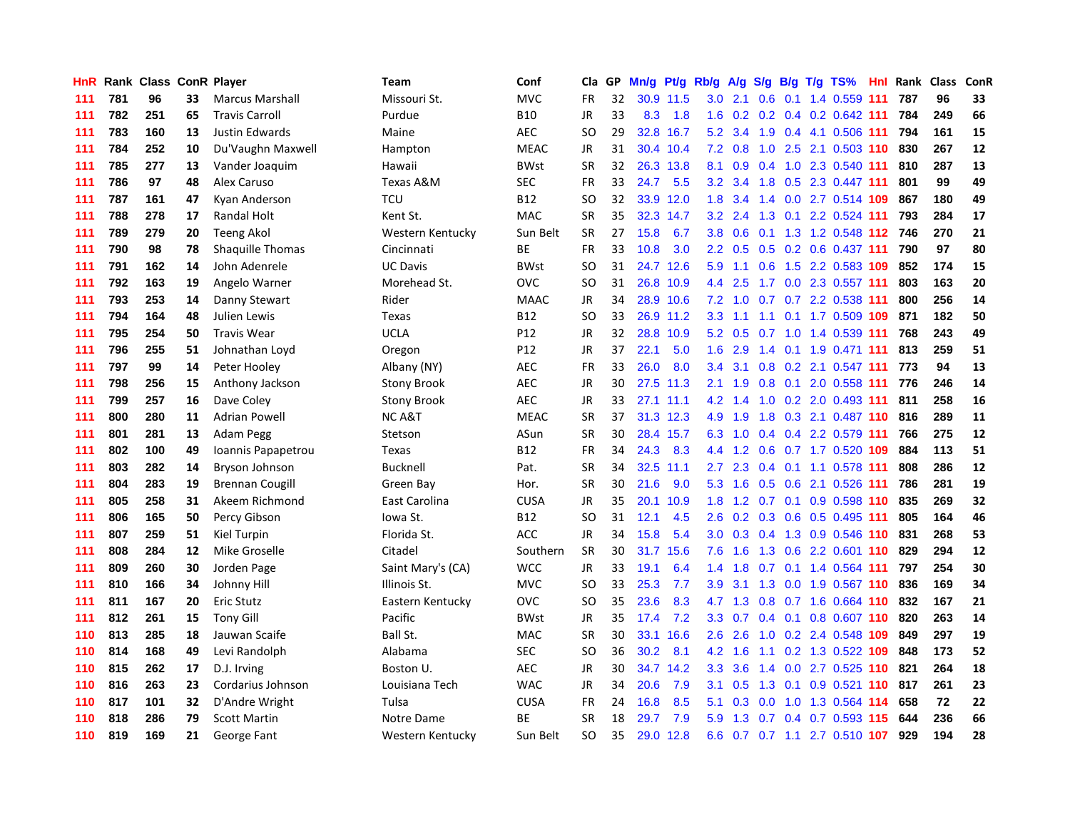| HnR |     | Rank Class ConR Player |    |                         | Team               | Conf        | Cla       | GP. | Mn/g | Pt/g Rb/g |                  | A/g       |               |  | S/g B/g T/g TS%              | Hnl | Rank | Class | <b>ConR</b> |
|-----|-----|------------------------|----|-------------------------|--------------------|-------------|-----------|-----|------|-----------|------------------|-----------|---------------|--|------------------------------|-----|------|-------|-------------|
| 111 | 781 | 96                     | 33 | <b>Marcus Marshall</b>  | Missouri St.       | <b>MVC</b>  | FR        | 32  |      | 30.9 11.5 | 3.0              | 2.1       | 0.6           |  | 0.1 1.4 0.559 111            |     | 787  | 96    | 33          |
| 111 | 782 | 251                    | 65 | <b>Travis Carroll</b>   | Purdue             | <b>B10</b>  | <b>JR</b> | 33  | 8.3  | 1.8       | 1.6              |           |               |  | 0.2 0.2 0.4 0.2 0.642 111    |     | 784  | 249   | 66          |
| 111 | 783 | 160                    | 13 | <b>Justin Edwards</b>   | Maine              | <b>AEC</b>  | SO        | 29  |      | 32.8 16.7 | 5.2              | 3.4       |               |  | 1.9 0.4 4.1 0.506 111 794    |     |      | 161   | 15          |
| 111 | 784 | 252                    | 10 | Du'Vaughn Maxwell       | Hampton            | <b>MEAC</b> | <b>JR</b> | 31  |      | 30.4 10.4 | 7.2              | 0.8       |               |  | 1.0 2.5 2.1 0.503 110        |     | 830  | 267   | 12          |
| 111 | 785 | 277                    | 13 | Vander Joaquim          | Hawaii             | <b>BWst</b> | <b>SR</b> | 32  |      | 26.3 13.8 | 8.1              | 0.9       |               |  | 0.4 1.0 2.3 0.540 111        |     | 810  | 287   | 13          |
| 111 | 786 | 97                     | 48 | Alex Caruso             | Texas A&M          | <b>SEC</b>  | <b>FR</b> | 33  | 24.7 | 5.5       | 3.2              | 3.4       | 1.8           |  | 0.5 2.3 0.447 111            |     | 801  | 99    | 49          |
| 111 | 787 | 161                    | 47 | Kyan Anderson           | <b>TCU</b>         | <b>B12</b>  | <b>SO</b> | 32  | 33.9 | 12.0      | 1.8              | 3.4       |               |  | 1.4 0.0 2.7 0.514 109        |     | 867  | 180   | 49          |
| 111 | 788 | 278                    | 17 | <b>Randal Holt</b>      | Kent St.           | <b>MAC</b>  | <b>SR</b> | 35  | 32.3 | 14.7      | 3.2              | 2.4       | 1.3           |  | $0.1$ 2.2 0.524 111          |     | 793  | 284   | 17          |
| 111 | 789 | 279                    | 20 | Teeng Akol              | Western Kentucky   | Sun Belt    | <b>SR</b> | 27  | 15.8 | 6.7       | 3.8              | 0.6       |               |  | 0.1 1.3 1.2 0.548 112 746    |     |      | 270   | 21          |
| 111 | 790 | 98                     | 78 | <b>Shaquille Thomas</b> | Cincinnati         | ВE          | <b>FR</b> | 33  | 10.8 | 3.0       | $2.2^{\circ}$    | 0.5       |               |  | $0.5$ 0.2 0.6 0.437 111      |     | 790  | 97    | 80          |
| 111 | 791 | 162                    | 14 | John Adenrele           | <b>UC Davis</b>    | <b>BWst</b> | <b>SO</b> | 31  |      | 24.7 12.6 | 5.9              |           |               |  | 1.1 0.6 1.5 2.2 0.583 109    |     | 852  | 174   | 15          |
| 111 | 792 | 163                    | 19 | Angelo Warner           | Morehead St.       | <b>OVC</b>  | SO        | 31  |      | 26.8 10.9 | $4.4^{\circ}$    | 2.5       |               |  | 1.7 0.0 2.3 0.557 111        |     | 803  | 163   | 20          |
| 111 | 793 | 253                    | 14 | Danny Stewart           | Rider              | <b>MAAC</b> | <b>JR</b> | 34  |      | 28.9 10.6 | 7.2              | 1.0       |               |  | 0.7 0.7 2.2 0.538 111        |     | 800  | 256   | 14          |
| 111 | 794 | 164                    | 48 | Julien Lewis            | Texas              | <b>B12</b>  | <b>SO</b> | 33  |      | 26.9 11.2 | 3.3              | 1.1       |               |  | 1.1 0.1 1.7 0.509 109        |     | 871  | 182   | 50          |
| 111 | 795 | 254                    | 50 | Travis Wear             | <b>UCLA</b>        | P12         | <b>JR</b> | 32  |      | 28.8 10.9 | 5.2              | 0.5       |               |  | 0.7 1.0 1.4 0.539 111        |     | 768  | 243   | 49          |
| 111 | 796 | 255                    | 51 | Johnathan Loyd          | Oregon             | P12         | <b>JR</b> | 37  | 22.1 | 5.0       | 1.6              | 2.9       |               |  | 1.4 0.1 1.9 0.471 111        |     | 813  | 259   | 51          |
| 111 | 797 | 99                     | 14 | Peter Hooley            | Albany (NY)        | <b>AEC</b>  | FR        | 33  | 26.0 | 8.0       | 3.4              | 3.1       | 0.8           |  | 0.2 2.1 0.547 111            |     | 773  | 94    | 13          |
| 111 | 798 | 256                    | 15 | Anthony Jackson         | <b>Stony Brook</b> | <b>AEC</b>  | <b>JR</b> | 30  | 27.5 | 11.3      | 2.1              | 1.9       | 0.8           |  | 0.1 2.0 0.558 111            |     | 776  | 246   | 14          |
| 111 | 799 | 257                    | 16 | Dave Coley              | <b>Stony Brook</b> | <b>AEC</b>  | <b>JR</b> | 33  |      | 27.1 11.1 |                  | $4.2$ 1.4 |               |  | 1.0 0.2 2.0 0.493 111        |     | 811  | 258   | 16          |
| 111 | 800 | 280                    | 11 | <b>Adrian Powell</b>    | <b>NCA&amp;T</b>   | <b>MEAC</b> | <b>SR</b> | 37  |      | 31.3 12.3 | 4.9              | 1.9       |               |  | 1.8 0.3 2.1 0.487 110 816    |     |      | 289   | ${\bf 11}$  |
| 111 | 801 | 281                    | 13 | Adam Pegg               | Stetson            | ASun        | <b>SR</b> | 30  |      | 28.4 15.7 | 6.3              | $-1.0$    |               |  | $0.4$ 0.4 2.2 0.579 111      |     | 766  | 275   | 12          |
| 111 | 802 | 100                    | 49 | Ioannis Papapetrou      | Texas              | <b>B12</b>  | <b>FR</b> | 34  | 24.3 | 8.3       | 4.4              | 1.2       | 0.6           |  | 0.7 1.7 0.520 109            |     | 884  | 113   | 51          |
| 111 | 803 | 282                    | 14 | Bryson Johnson          | <b>Bucknell</b>    | Pat.        | <b>SR</b> | 34  | 32.5 | 11.1      | 2.7              | 2.3       |               |  | $0.4$ 0.1 1.1 0.578 111      |     | 808  | 286   | 12          |
| 111 | 804 | 283                    | 19 | <b>Brennan Cougill</b>  | Green Bay          | Hor.        | <b>SR</b> | 30  | 21.6 | 9.0       | 5.3              | 1.6       | 0.5           |  | 0.6 2.1 0.526 111            |     | 786  | 281   | 19          |
| 111 | 805 | 258                    | 31 | Akeem Richmond          | East Carolina      | <b>CUSA</b> | JR        | 35  | 20.1 | 10.9      | 1.8              | 1.2       | 0.7           |  | 0.1 0.9 0.598 110            |     | 835  | 269   | 32          |
| 111 | 806 | 165                    | 50 | Percy Gibson            | lowa St.           | <b>B12</b>  | <b>SO</b> | 31  | 12.1 | 4.5       | 2.6              | 0.2       | 0.3           |  | 0.6 0.5 0.495 111            |     | 805  | 164   | 46          |
| 111 | 807 | 259                    | 51 | Kiel Turpin             | Florida St.        | ACC         | JR        | 34  | 15.8 | 5.4       | 3.0              | 0.3       |               |  | 0.4 1.3 0.9 0.546 110 831    |     |      | 268   | 53          |
| 111 | 808 | 284                    | 12 | Mike Groselle           | Citadel            | Southern    | <b>SR</b> | 30  | 31.7 | 15.6      | 7.6              | 1.6       |               |  | 1.3 0.6 2.2 0.601 110        |     | 829  | 294   | 12          |
| 111 | 809 | 260                    | 30 | Jorden Page             | Saint Mary's (CA)  | <b>WCC</b>  | <b>JR</b> | 33  | 19.1 | 6.4       | 1.4              | 1.8       |               |  | 0.7 0.1 1.4 0.564 111        |     | 797  | 254   | 30          |
| 111 | 810 | 166                    | 34 | Johnny Hill             | Illinois St.       | <b>MVC</b>  | <b>SO</b> | 33  | 25.3 | 7.7       | 3.9 <sup>°</sup> | 3.1       |               |  | 1.3 0.0 1.9 0.567 <b>110</b> |     | 836  | 169   | 34          |
| 111 | 811 | 167                    | 20 | Eric Stutz              | Eastern Kentucky   | <b>OVC</b>  | <b>SO</b> | 35  | 23.6 | 8.3       | 4.7              | 1.3       | 0.8           |  | 0.7 1.6 0.664 110            |     | 832  | 167   | 21          |
| 111 | 812 | 261                    | 15 | <b>Tony Gill</b>        | Pacific            | <b>BWst</b> | <b>JR</b> | 35  | 17.4 | 7.2       | 3.3 <sub>2</sub> | 0.7       |               |  | 0.4 0.1 0.8 0.607 110 820    |     |      | 263   | 14          |
| 110 | 813 | 285                    | 18 | Jauwan Scaife           | Ball St.           | <b>MAC</b>  | <b>SR</b> | 30  | 33.1 | 16.6      | 2.6              | 2.6       | 1.0           |  | 0.2 2.4 0.548 109            |     | 849  | 297   | 19          |
| 110 | 814 | 168                    | 49 | Levi Randolph           | Alabama            | <b>SEC</b>  | SO        | 36  | 30.2 | 8.1       | 4.2              | 1.6       |               |  | 1.1 0.2 1.3 0.522 109        |     | 848  | 173   | 52          |
| 110 | 815 | 262                    | 17 | D.J. Irving             | Boston U.          | <b>AEC</b>  | JR        | 30  | 34.7 | 14.2      | 3.3 <sub>2</sub> | 3.6       | $1.4^{\circ}$ |  | 0.0 2.7 0.525 110 821        |     |      | 264   | 18          |
| 110 | 816 | 263                    | 23 | Cordarius Johnson       | Louisiana Tech     | <b>WAC</b>  | <b>JR</b> | 34  | 20.6 | 7.9       | 3.1              | 0.5       |               |  | 1.3 0.1 0.9 0.521 110 817    |     |      | 261   | 23          |
| 110 | 817 | 101                    | 32 | D'Andre Wright          | Tulsa              | <b>CUSA</b> | <b>FR</b> | 24  | 16.8 | 8.5       | 5.1              | 0.3       | 0.0           |  | 1.0 1.3 0.564 114            |     | 658  | 72    | 22          |
| 110 | 818 | 286                    | 79 | <b>Scott Martin</b>     | Notre Dame         | ВE          | SR        | 18  | 29.7 | 7.9       | 5.9              | 1.3       |               |  | 0.7 0.4 0.7 0.593 115        |     | 644  | 236   | 66          |
| 110 | 819 | 169                    | 21 | George Fant             | Western Kentucky   | Sun Belt    | <b>SO</b> | 35  | 29.0 | 12.8      | 6.6              |           |               |  | 0.7 0.7 1.1 2.7 0.510 107    |     | 929  | 194   | 28          |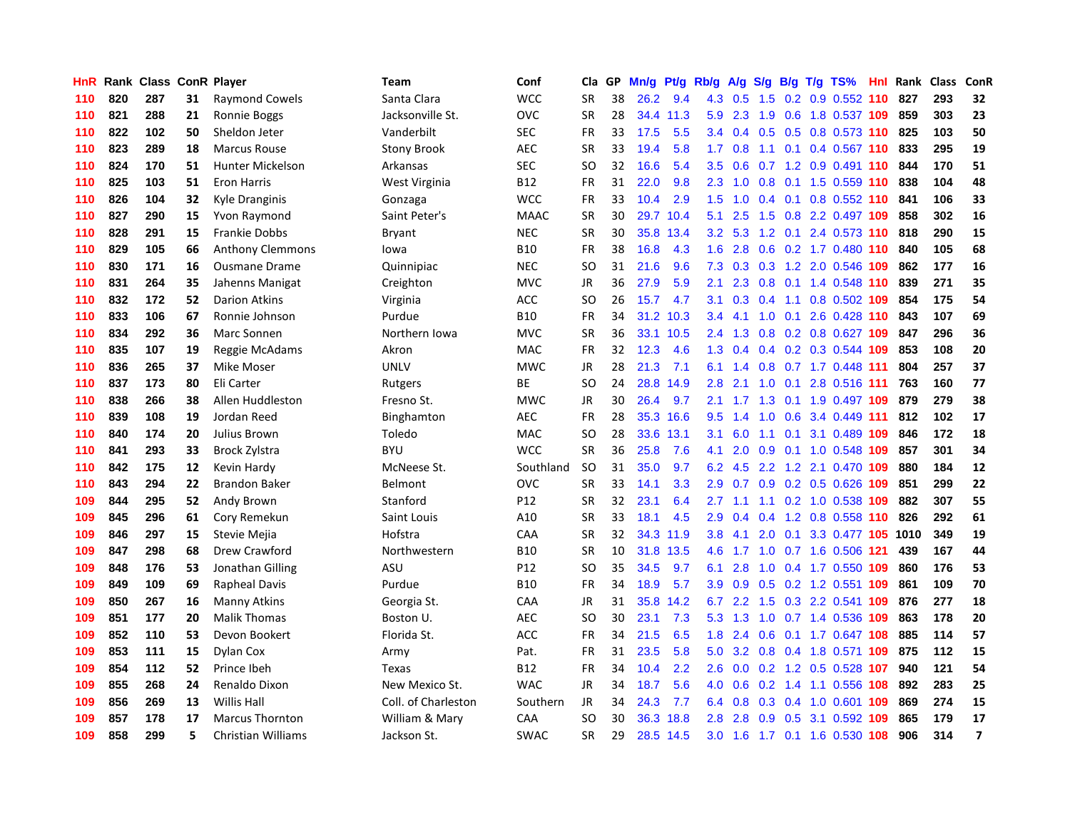| HnR | Rank | <b>Class</b> |    | <b>ConR Player</b>      | Team                | Conf        | Cla       | <b>GP</b> | Mn/g | <b>Pt/g</b> | Rb/g          | A/g | S/g           |  | B/g T/g TS%                   | Hnl | Rank | <b>Class</b> | ConR           |
|-----|------|--------------|----|-------------------------|---------------------|-------------|-----------|-----------|------|-------------|---------------|-----|---------------|--|-------------------------------|-----|------|--------------|----------------|
| 110 | 820  | 287          | 31 | <b>Raymond Cowels</b>   | Santa Clara         | <b>WCC</b>  | <b>SR</b> | 38        | 26.2 | 9.4         | 4.3           | 0.5 | 1.5           |  | $0.2$ 0.9 0.552 110           |     | 827  | 293          | 32             |
| 110 | 821  | 288          | 21 | Ronnie Boggs            | Jacksonville St.    | OVC         | <b>SR</b> | 28        |      | 34.4 11.3   | 5.9           | 2.3 |               |  | 1.9 0.6 1.8 0.537 109         |     | 859  | 303          | 23             |
| 110 | 822  | 102          | 50 | Sheldon Jeter           | Vanderbilt          | <b>SEC</b>  | FR        | 33        | 17.5 | 5.5         | $3.4^{\circ}$ | 0.4 |               |  | 0.5 0.5 0.8 0.573 110 825     |     |      | 103          | 50             |
| 110 | 823  | 289          | 18 | <b>Marcus Rouse</b>     | <b>Stony Brook</b>  | <b>AEC</b>  | <b>SR</b> | 33        | 19.4 | 5.8         | 1.7           | 0.8 |               |  | 1.1 0.1 0.4 0.567 110         |     | 833  | 295          | 19             |
| 110 | 824  | 170          | 51 | <b>Hunter Mickelson</b> | Arkansas            | <b>SEC</b>  | SO        | 32        | 16.6 | 5.4         | 3.5           | 0.6 |               |  | $0.7$ 1.2 0.9 0.491 110       |     | 844  | 170          | 51             |
| 110 | 825  | 103          | 51 | <b>Eron Harris</b>      | West Virginia       | B12         | FR        | 31        | 22.0 | 9.8         | 2.3           | 1.0 |               |  | $0.8$ 0.1 1.5 0.559 110       |     | 838  | 104          | 48             |
| 110 | 826  | 104          | 32 | Kyle Dranginis          | Gonzaga             | <b>WCC</b>  | FR        | 33        | 10.4 | 2.9         | 1.5           | 1.0 | $0.4^{\circ}$ |  | $0.1$ 0.8 0.552 110           |     | 841  | 106          | 33             |
| 110 | 827  | 290          | 15 | Yvon Raymond            | Saint Peter's       | <b>MAAC</b> | <b>SR</b> | 30        | 29.7 | 10.4        | 5.1           | 2.5 | 1.5           |  | 0.8 2.2 0.497 109             |     | 858  | 302          | 16             |
| 110 | 828  | 291          | 15 | <b>Frankie Dobbs</b>    | <b>Bryant</b>       | <b>NEC</b>  | <b>SR</b> | 30        | 35.8 | 13.4        | 3.2           | 5.3 | 1.2           |  | 0.1 2.4 0.573 110 818         |     |      | 290          | 15             |
| 110 | 829  | 105          | 66 | Anthony Clemmons        | lowa                | <b>B10</b>  | FR        | 38        | 16.8 | 4.3         | 1.6           | 2.8 |               |  | 0.6 0.2 1.7 0.480 110 840     |     |      | 105          | 68             |
| 110 | 830  | 171          | 16 | <b>Ousmane Drame</b>    | Quinnipiac          | <b>NEC</b>  | <b>SO</b> | 31        | 21.6 | 9.6         | 7.3           |     |               |  | 0.3 0.3 1.2 2.0 0.546 109     |     | 862  | 177          | 16             |
| 110 | 831  | 264          | 35 | Jahenns Manigat         | Creighton           | MVC         | JR        | 36        | 27.9 | 5.9         | 2.1           | 2.3 |               |  | $0.8$ 0.1 1.4 0.548 110       |     | 839  | 271          | 35             |
| 110 | 832  | 172          | 52 | <b>Darion Atkins</b>    | Virginia            | ACC         | <b>SO</b> | 26        | 15.7 | 4.7         | 3.1           | 0.3 | 0.4           |  | 1.1 0.8 0.502 109             |     | 854  | 175          | 54             |
| 110 | 833  | 106          | 67 | Ronnie Johnson          | Purdue              | <b>B10</b>  | FR        | 34        | 31.2 | 10.3        | 3.4           | 4.1 | 1.0           |  | 0.1 2.6 0.428 110             |     | 843  | 107          | 69             |
| 110 | 834  | 292          | 36 | Marc Sonnen             | Northern Iowa       | <b>MVC</b>  | <b>SR</b> | 36        | 33.1 | 10.5        | 2.4           | 1.3 | 0.8           |  | 0.2 0.8 0.627 109             |     | 847  | 296          | 36             |
| 110 | 835  | 107          | 19 | Reggie McAdams          | Akron               | <b>MAC</b>  | FR        | 32        | 12.3 | 4.6         | 1.3           | 0.4 |               |  | 0.4 0.2 0.3 0.544 109         |     | 853  | 108          | 20             |
| 110 | 836  | 265          | 37 | Mike Moser              | <b>UNLV</b>         | <b>MWC</b>  | <b>JR</b> | 28        | 21.3 | 7.1         | 6.1           | 1.4 | 0.8           |  | $0.7$ 1.7 0.448 111           |     | 804  | 257          | 37             |
| 110 | 837  | 173          | 80 | Eli Carter              | Rutgers             | ВE          | <b>SO</b> | 24        | 28.8 | 14.9        | 2.8           | 2.1 | 1.0           |  | $0.1$ 2.8 0.516 111           |     | 763  | 160          | 77             |
| 110 | 838  | 266          | 38 | Allen Huddleston        | Fresno St.          | <b>MWC</b>  | <b>JR</b> | 30        | 26.4 | 9.7         | 2.1           |     |               |  | 1.7 1.3 0.1 1.9 0.497 109 879 |     |      | 279          | 38             |
| 110 | 839  | 108          | 19 | Jordan Reed             | Binghamton          | AEC         | <b>FR</b> | 28        |      | 35.3 16.6   | 9.5           | 1.4 |               |  | 1.0 0.6 3.4 0.449 111         |     | 812  | 102          | 17             |
| 110 | 840  | 174          | 20 | Julius Brown            | Toledo              | <b>MAC</b>  | SO        | 28        | 33.6 | 13.1        | 3.1           | 6.0 |               |  | 1.1 0.1 3.1 0.489 109         |     | 846  | 172          | 18             |
| 110 | 841  | 293          | 33 | Brock Zylstra           | <b>BYU</b>          | <b>WCC</b>  | <b>SR</b> | 36        | 25.8 | 7.6         | 4.1           | 2.0 | 0.9           |  | 0.1 1.0 0.548 109             |     | 857  | 301          | 34             |
| 110 | 842  | 175          | 12 | Kevin Hardy             | McNeese St.         | Southland   | SO        | 31        | 35.0 | 9.7         | 6.2           | 4.5 |               |  | 2.2 1.2 2.1 0.470 109         |     | 880  | 184          | 12             |
| 110 | 843  | 294          | 22 | <b>Brandon Baker</b>    | Belmont             | OVC         | <b>SR</b> | 33        | 14.1 | 3.3         | 2.9           | 0.7 | 0.9           |  | 0.2 0.5 0.626 109             |     | 851  | 299          | 22             |
| 109 | 844  | 295          | 52 | Andy Brown              | Stanford            | P12         | <b>SR</b> | 32        | 23.1 | 6.4         | 2.7           | 1.1 |               |  | 1.1 0.2 1.0 0.538 109         |     | 882  | 307          | 55             |
| 109 | 845  | 296          | 61 | Cory Remekun            | Saint Louis         | A10         | <b>SR</b> | 33        | 18.1 | 4.5         | 2.9           | 0.4 |               |  | $0.4$ 1.2 0.8 0.558 110       |     | 826  | 292          | 61             |
| 109 | 846  | 297          | 15 | Stevie Mejia            | Hofstra             | CAA         | <b>SR</b> | 32        |      | 34.3 11.9   | 3.8           | 4.1 |               |  | 2.0 0.1 3.3 0.477 105 1010    |     |      | 349          | 19             |
| 109 | 847  | 298          | 68 | Drew Crawford           | Northwestern        | <b>B10</b>  | <b>SR</b> | 10        | 31.8 | 13.5        | 4.6           |     |               |  | 1.7 1.0 0.7 1.6 0.506 121     |     | 439  | 167          | 44             |
| 109 | 848  | 176          | 53 | Jonathan Gilling        | ASU                 | P12         | SO        | 35        | 34.5 | 9.7         | 6.1           | 2.8 |               |  | 1.0 0.4 1.7 0.550 109         |     | 860  | 176          | 53             |
| 109 | 849  | 109          | 69 | <b>Rapheal Davis</b>    | Purdue              | <b>B10</b>  | FR        | 34        | 18.9 | 5.7         | 3.9           | 0.9 |               |  | $0.5$ 0.2 1.2 0.551 109       |     | 861  | 109          | 70             |
| 109 | 850  | 267          | 16 | <b>Manny Atkins</b>     | Georgia St.         | CAA         | JR        | 31        | 35.8 | 14.2        | 6.7           | 2.2 | 1.5           |  | 0.3 2.2 0.541 109             |     | 876  | 277          | 18             |
| 109 | 851  | 177          | 20 | <b>Malik Thomas</b>     | Boston U.           | AEC         | SO        | 30        | 23.1 | 7.3         | 5.3           | 1.3 | 1.0           |  | 0.7 1.4 0.536 109             |     | 863  | 178          | 20             |
| 109 | 852  | 110          | 53 | Devon Bookert           | Florida St.         | ACC         | FR        | 34        | 21.5 | 6.5         | 1.8           | 2.4 | 0.6           |  | 0.1 1.7 0.647 108             |     | 885  | 114          | 57             |
| 109 | 853  | 111          | 15 | Dylan Cox               | Army                | Pat.        | <b>FR</b> | 31        | 23.5 | 5.8         | 5.0           | 3.2 | 0.8           |  | 0.4 1.8 0.571 109             |     | 875  | 112          | 15             |
| 109 | 854  | 112          | 52 | Prince Ibeh             | Texas               | <b>B12</b>  | <b>FR</b> | 34        | 10.4 | 2.2         | 2.6           | 0.0 |               |  | 0.2 1.2 0.5 0.528 107         |     | 940  | 121          | 54             |
| 109 | 855  | 268          | 24 | Renaldo Dixon           | New Mexico St.      | <b>WAC</b>  | <b>JR</b> | 34        | 18.7 | 5.6         | 4.0           | 0.6 |               |  | 0.2 1.4 1.1 0.556 108         |     | 892  | 283          | 25             |
| 109 | 856  | 269          | 13 | <b>Willis Hall</b>      | Coll. of Charleston | Southern    | JR        | 34        | 24.3 | 7.7         | 6.4           | 0.8 |               |  | 0.3 0.4 1.0 0.601 109         |     | 869  | 274          | 15             |
| 109 | 857  | 178          | 17 | <b>Marcus Thornton</b>  | William & Mary      | CAA         | SO        | 30        | 36.3 | 18.8        | 2.8           | 2.8 | 0.9           |  | 0.5 3.1 0.592 109             |     | 865  | 179          | 17             |
| 109 | 858  | 299          | 5. | Christian Williams      | Jackson St.         | <b>SWAC</b> | <b>SR</b> | 29        | 28.5 | 14.5        | 3.0           | 1.6 |               |  | 1.7 0.1 1.6 0.530 108         |     | 906  | 314          | $\overline{7}$ |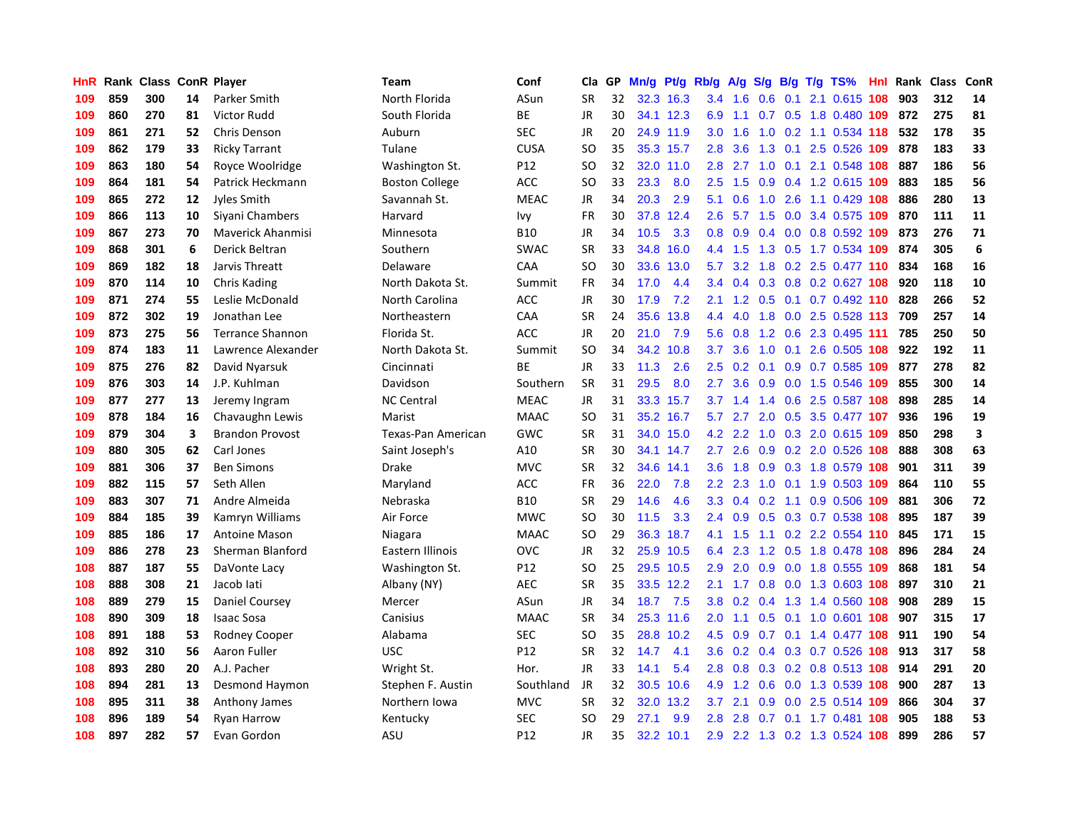| HnR | Rank |     |    | <b>Class ConR Player</b> | <b>Team</b>           | Conf            | Cla       | GP | Mn/g | <b>Pt/g</b> | Rb/g             | A/g             |                  |     | S/g B/g T/g TS%               | Hnl | Rank | <b>Class</b> | ConR                    |
|-----|------|-----|----|--------------------------|-----------------------|-----------------|-----------|----|------|-------------|------------------|-----------------|------------------|-----|-------------------------------|-----|------|--------------|-------------------------|
| 109 | 859  | 300 | 14 | Parker Smith             | North Florida         | ASun            | <b>SR</b> | 32 |      | 32.3 16.3   | 3.4              | 1.6             | 0.6              | 0.1 | 2.1 0.615 108                 |     | 903  | 312          | 14                      |
| 109 | 860  | 270 | 81 | Victor Rudd              | South Florida         | <b>BE</b>       | <b>JR</b> | 30 |      | 34.1 12.3   | 6.9              |                 |                  |     | 1.1 0.7 0.5 1.8 0.480 109 872 |     |      | 275          | 81                      |
| 109 | 861  | 271 | 52 | Chris Denson             | Auburn                | <b>SEC</b>      | <b>JR</b> | 20 |      | 24.9 11.9   | 3.0              | 1.6             |                  |     | 1.0 0.2 1.1 0.534 118         |     | 532  | 178          | 35                      |
| 109 | 862  | 179 | 33 | <b>Ricky Tarrant</b>     | Tulane                | <b>CUSA</b>     | SO        | 35 |      | 35.3 15.7   | 2.8              | 3.6             | 1.3              |     | 0.1 2.5 0.526 109             |     | 878  | 183          | 33                      |
| 109 | 863  | 180 | 54 | Royce Woolridge          | Washington St.        | P12             | <b>SO</b> | 32 | 32.0 | 11.0        | 2.8              | 2.7             | 1.0              |     | $0.1$ 2.1 0.548 108           |     | 887  | 186          | 56                      |
| 109 | 864  | 181 | 54 | Patrick Heckmann         | <b>Boston College</b> | ACC             | SO        | 33 | 23.3 | 8.0         | 2.5              | 1.5             | 0.9 <sub>0</sub> |     | 0.4 1.2 0.615 109             |     | 883  | 185          | 56                      |
| 109 | 865  | 272 | 12 | Jyles Smith              | Savannah St.          | <b>MEAC</b>     | JR        | 34 | 20.3 | 2.9         | 5.1              | 0.6             | 1.0              |     | 2.6 1.1 0.429 108             |     | 886  | 280          | 13                      |
| 109 | 866  | 113 | 10 | Siyani Chambers          | Harvard               | lvy             | FR        | 30 | 37.8 | 12.4        | 2.6              | 5.7             | 1.5              |     | 0.0 3.4 0.575 109             |     | 870  | 111          | 11                      |
| 109 | 867  | 273 | 70 | <b>Maverick Ahanmisi</b> | Minnesota             | <b>B10</b>      | JR        | 34 | 10.5 | 3.3         | 0.8              | 0.9             |                  |     | 0.4 0.0 0.8 0.592 109         |     | 873  | 276          | 71                      |
| 109 | 868  | 301 | 6  | Derick Beltran           | Southern              | <b>SWAC</b>     | <b>SR</b> | 33 | 34.8 | 16.0        |                  | 4.4 1.5         |                  |     | 1.3 0.5 1.7 0.534 109 874     |     |      | 305          | $\boldsymbol{6}$        |
| 109 | 869  | 182 | 18 | Jarvis Threatt           | Delaware              | CAA             | <b>SO</b> | 30 |      | 33.6 13.0   | 5.7              |                 |                  |     | 3.2 1.8 0.2 2.5 0.477 110 834 |     |      | 168          | 16                      |
| 109 | 870  | 114 | 10 | <b>Chris Kading</b>      | North Dakota St.      | Summit          | FR.       | 34 | 17.0 | 4.4         | $3.4^{\circ}$    | 0.4             |                  |     | 0.3 0.8 0.2 0.627 108         |     | 920  | 118          | 10                      |
| 109 | 871  | 274 | 55 | Leslie McDonald          | North Carolina        | ACC             | <b>JR</b> | 30 | 17.9 | 7.2         | 2.1              | 1.2             | 0.5              |     | $0.1$ 0.7 0.492 110           |     | 828  | 266          | 52                      |
| 109 | 872  | 302 | 19 | Jonathan Lee             | Northeastern          | CAA             | <b>SR</b> | 24 | 35.6 | 13.8        | 4.4              | 4.0             | 1.8              |     | 0.0 2.5 0.528 113             |     | 709  | 257          | 14                      |
| 109 | 873  | 275 | 56 | <b>Terrance Shannon</b>  | Florida St.           | ACC             | <b>JR</b> | 20 | 21.0 | 7.9         | 5.6              | 0.8             |                  |     | 1.2 0.6 2.3 0.495 111         |     | 785  | 250          | 50                      |
| 109 | 874  | 183 | 11 | Lawrence Alexander       | North Dakota St.      | Summit          | <b>SO</b> | 34 | 34.2 | 10.8        | 3.7              | 3.6             | 1.0              |     | 0.1 2.6 0.505 108             |     | 922  | 192          | 11                      |
| 109 | 875  | 276 | 82 | David Nyarsuk            | Cincinnati            | <b>BE</b>       | <b>JR</b> | 33 | 11.3 | 2.6         | 2.5              | 0.2             | 0.1              |     | 0.9 0.7 0.585 109             |     | 877  | 278          | 82                      |
| 109 | 876  | 303 | 14 | J.P. Kuhlman             | Davidson              | Southern        | <b>SR</b> | 31 | 29.5 | 8.0         | 2.7              | 3.6             | 0.9              |     | 0.0 1.5 0.546 109             |     | 855  | 300          | 14                      |
| 109 | 877  | 277 | 13 | Jeremy Ingram            | <b>NC Central</b>     | <b>MEAC</b>     | <b>JR</b> | 31 |      | 33.3 15.7   |                  | $3.7 \quad 1.4$ |                  |     | 1.4 0.6 2.5 0.587 108         |     | 898  | 285          | 14                      |
| 109 | 878  | 184 | 16 | Chavaughn Lewis          | Marist                | <b>MAAC</b>     | <b>SO</b> | 31 |      | 35.2 16.7   | 5.7              | 2.7             |                  |     | 2.0 0.5 3.5 0.477 107         |     | 936  | 196          | 19                      |
| 109 | 879  | 304 | 3  | <b>Brandon Provost</b>   | Texas-Pan American    | <b>GWC</b>      | <b>SR</b> | 31 | 34.0 | 15.0        | 4.2              | 2.2             |                  |     | 1.0 0.3 2.0 0.615 109         |     | 850  | 298          | $\overline{\mathbf{3}}$ |
| 109 | 880  | 305 | 62 | Carl Jones               | Saint Joseph's        | A10             | <b>SR</b> | 30 | 34.1 | 14.7        | $2.7^{\circ}$    | 2.6             | 0.9              |     | 0.2 2.0 0.526 108             |     | 888  | 308          | 63                      |
| 109 | 881  | 306 | 37 | <b>Ben Simons</b>        | Drake                 | <b>MVC</b>      | <b>SR</b> | 32 | 34.6 | 14.1        | 3.6              | 1.8             |                  |     | 0.9 0.3 1.8 0.579 108         |     | 901  | 311          | 39                      |
| 109 | 882  | 115 | 57 | Seth Allen               | Maryland              | ACC             | FR        | 36 | 22.0 | 7.8         | 2.2              | 2.3             | 1.0              |     | 0.1 1.9 0.503 109             |     | 864  | 110          | 55                      |
| 109 | 883  | 307 | 71 | Andre Almeida            | Nebraska              | <b>B10</b>      | <b>SR</b> | 29 | 14.6 | 4.6         | 3.3              | 0.4             |                  |     | $0.2$ 1.1 0.9 0.506 109       |     | 881  | 306          | 72                      |
| 109 | 884  | 185 | 39 | Kamryn Williams          | Air Force             | <b>MWC</b>      | <b>SO</b> | 30 | 11.5 | 3.3         | 2.4              | 0.9             | 0.5              |     | 0.3 0.7 0.538 108             |     | 895  | 187          | 39                      |
| 109 | 885  | 186 | 17 | <b>Antoine Mason</b>     | Niagara               | <b>MAAC</b>     | <b>SO</b> | 29 | 36.3 | 18.7        | 4.1              | 1.5             |                  |     | 1.1 0.2 2.2 0.554 110         |     | 845  | 171          | 15                      |
| 109 | 886  | 278 | 23 | Sherman Blanford         | Eastern Illinois      | OVC             | <b>JR</b> | 32 |      | 25.9 10.5   | 6.4              | 2.3             |                  |     | 1.2 0.5 1.8 0.478 108         |     | 896  | 284          | 24                      |
| 108 | 887  | 187 | 55 | DaVonte Lacy             | Washington St.        | P12             | <b>SO</b> | 25 |      | 29.5 10.5   | 2.9 <sup>°</sup> | 2.0             |                  |     | 0.9 0.0 1.8 0.555 109         |     | 868  | 181          | 54                      |
| 108 | 888  | 308 | 21 | Jacob lati               | Albany (NY)           | <b>AEC</b>      | <b>SR</b> | 35 |      | 33.5 12.2   | 2.1              | 1.7             |                  |     | 0.8 0.0 1.3 0.603 108         |     | 897  | 310          | 21                      |
| 108 | 889  | 279 | 15 | Daniel Coursey           | Mercer                | ASun            | JR        | 34 | 18.7 | 7.5         | 3.8              | 0.2             | 0.4              |     | 1.3 1.4 0.560 108             |     | 908  | 289          | 15                      |
| 108 | 890  | 309 | 18 | <b>Isaac Sosa</b>        | Canisius              | <b>MAAC</b>     | <b>SR</b> | 34 |      | 25.3 11.6   | 2.0 <sub>2</sub> | 1.1             | 0.5              |     | 0.1 1.0 0.601 108             |     | 907  | 315          | 17                      |
| 108 | 891  | 188 | 53 | Rodney Cooper            | Alabama               | <b>SEC</b>      | SO        | 35 | 28.8 | 10.2        | 4.5              | 0.9             | 0.7              |     | $0.1$ 1.4 0.477 108           |     | 911  | 190          | 54                      |
| 108 | 892  | 310 | 56 | Aaron Fuller             | <b>USC</b>            | P12             | <b>SR</b> | 32 | 14.7 | 4.1         | 3.6 <sup>°</sup> | 0.2             | 0.4              |     | 0.3 0.7 0.526 108             |     | 913  | 317          | 58                      |
| 108 | 893  | 280 | 20 | A.J. Pacher              | Wright St.            | Hor.            | <b>JR</b> | 33 | 14.1 | 5.4         | 2.8              | 0.8             | 0.3              |     | 0.2 0.8 0.513 108             |     | 914  | 291          | 20                      |
| 108 | 894  | 281 | 13 | Desmond Haymon           | Stephen F. Austin     | Southland       | <b>JR</b> | 32 | 30.5 | 10.6        |                  | 4.9 1.2         |                  |     | 0.6 0.0 1.3 0.539 108         |     | 900  | 287          | 13                      |
| 108 | 895  | 311 | 38 | Anthony James            | Northern Iowa         | <b>MVC</b>      | <b>SR</b> | 32 | 32.0 | 13.2        | 3.7 <sub>2</sub> | 2.1             | 0.9 <sup>°</sup> |     | $0.0$ 2.5 0.514 109           |     | 866  | 304          | 37                      |
| 108 | 896  | 189 | 54 | <b>Ryan Harrow</b>       | Kentucky              | SEC             | SO        | 29 | 27.1 | 9.9         | 2.8              | 2.8             |                  |     | 0.7 0.1 1.7 0.481 108         |     | 905  | 188          | 53                      |
| 108 | 897  | 282 | 57 | Evan Gordon              | ASU                   | P <sub>12</sub> | <b>JR</b> | 35 | 32.2 | 10.1        | 2.9              |                 |                  |     | 2.2 1.3 0.2 1.3 0.524 108     |     | 899  | 286          | 57                      |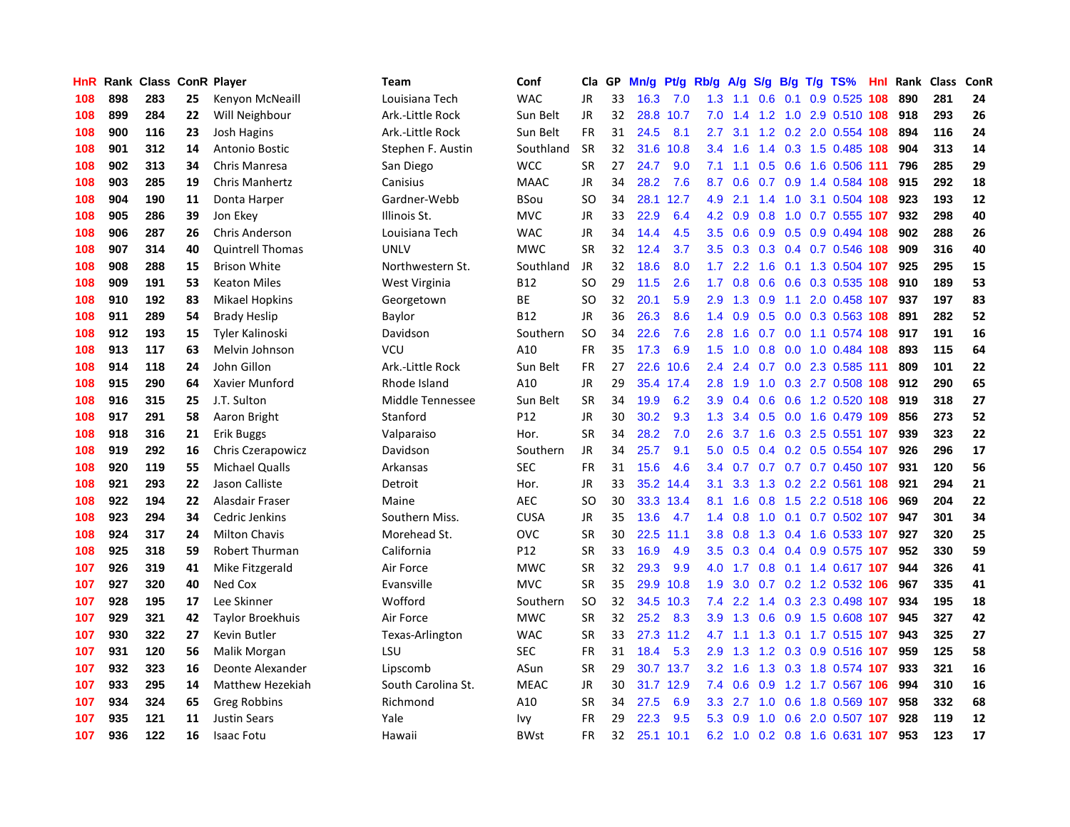| HnR |     | Rank Class ConR Player |    |                         | Team               | Conf        | Cla       | GP | Mn/g | Pt/g Rb/g |                  | A/g       | S/g           |     | $B/g$ T/g TS%                 | Hnl | Rank | <b>Class</b> | ConR |
|-----|-----|------------------------|----|-------------------------|--------------------|-------------|-----------|----|------|-----------|------------------|-----------|---------------|-----|-------------------------------|-----|------|--------------|------|
| 108 | 898 | 283                    | 25 | Kenyon McNeaill         | Louisiana Tech     | <b>WAC</b>  | <b>JR</b> | 33 | 16.3 | 7.0       | 1.3              | 1.1       | 0.6           | 0.1 | $0.9$ $0.525$                 | 108 | 890  | 281          | 24   |
| 108 | 899 | 284                    | 22 | Will Neighbour          | Ark.-Little Rock   | Sun Belt    | JR        | 32 | 28.8 | 10.7      | 7.0              | 1.4       |               |     | 1.2 1.0 2.9 0.510 108         |     | 918  | 293          | 26   |
| 108 | 900 | 116                    | 23 | <b>Josh Hagins</b>      | Ark.-Little Rock   | Sun Belt    | <b>FR</b> | 31 | 24.5 | 8.1       | $2.7^{\circ}$    | 3.1       |               |     | 1.2 0.2 2.0 0.554 108         |     | 894  | 116          | 24   |
| 108 | 901 | 312                    | 14 | Antonio Bostic          | Stephen F. Austin  | Southland   | <b>SR</b> | 32 | 31.6 | 10.8      | $3.4^{\circ}$    | 1.6       |               |     | 1.4 0.3 1.5 0.485 108         |     | 904  | 313          | 14   |
| 108 | 902 | 313                    | 34 | Chris Manresa           | San Diego          | <b>WCC</b>  | <b>SR</b> | 27 | 24.7 | 9.0       | 7.1              | 1.1       |               |     | 0.5 0.6 1.6 0.506 111         |     | 796  | 285          | 29   |
| 108 | 903 | 285                    | 19 | <b>Chris Manhertz</b>   | Canisius           | <b>MAAC</b> | JR        | 34 | 28.2 | 7.6       | 8.7              | 0.6       |               |     | 0.7 0.9 1.4 0.584 108         |     | 915  | 292          | 18   |
| 108 | 904 | 190                    | 11 | Donta Harper            | Gardner-Webb       | <b>BSou</b> | <b>SO</b> | 34 | 28.1 | 12.7      | 4.9              | 2.1       |               |     | 1.4 1.0 3.1 0.504 108         |     | 923  | 193          | 12   |
| 108 | 905 | 286                    | 39 | Jon Ekey                | Illinois St.       | <b>MVC</b>  | JR        | 33 | 22.9 | 6.4       | 4.2              | 0.9       | 0.8           |     | 1.0 0.7 0.555 107             |     | 932  | 298          | 40   |
| 108 | 906 | 287                    | 26 | <b>Chris Anderson</b>   | Louisiana Tech     | <b>WAC</b>  | JR        | 34 | 14.4 | 4.5       | 3.5              | 0.6       | 0.9           |     | 0.5 0.9 0.494 108             |     | 902  | 288          | 26   |
| 108 | 907 | 314                    | 40 | <b>Quintrell Thomas</b> | <b>UNLV</b>        | <b>MWC</b>  | <b>SR</b> | 32 | 12.4 | 3.7       | 3.5              | 0.3       |               |     | 0.3 0.4 0.7 0.546 108         |     | 909  | 316          | 40   |
| 108 | 908 | 288                    | 15 | <b>Brison White</b>     | Northwestern St.   | Southland   | JR        | 32 | 18.6 | 8.0       |                  |           |               |     | 1.7 2.2 1.6 0.1 1.3 0.504 107 |     | 925  | 295          | 15   |
| 108 | 909 | 191                    | 53 | <b>Keaton Miles</b>     | West Virginia      | <b>B12</b>  | <b>SO</b> | 29 | 11.5 | 2.6       | 1.7              | 0.8       |               |     | 0.6 0.6 0.3 0.535 108         |     | 910  | 189          | 53   |
| 108 | 910 | 192                    | 83 | <b>Mikael Hopkins</b>   | Georgetown         | ВE          | SO        | 32 | 20.1 | 5.9       | 2.9 <sup>°</sup> | 1.3       |               |     | 0.9 1.1 2.0 0.458 107         |     | 937  | 197          | 83   |
| 108 | 911 | 289                    | 54 | <b>Brady Heslip</b>     | Baylor             | <b>B12</b>  | JR        | 36 | 26.3 | 8.6       | 1.4              | 0.9       | 0.5           |     | 0.0 0.3 0.563 108             |     | 891  | 282          | 52   |
| 108 | 912 | 193                    | 15 | Tyler Kalinoski         | Davidson           | Southern    | <b>SO</b> | 34 | 22.6 | 7.6       | 2.8              | 1.6       |               |     | 0.7 0.0 1.1 0.574 108         |     | 917  | 191          | 16   |
| 108 | 913 | 117                    | 63 | Melvin Johnson          | <b>VCU</b>         | A10         | <b>FR</b> | 35 | 17.3 | 6.9       | 1.5              | 1.0       | 0.8           |     | $0.0$ 1.0 0.484 108           |     | 893  | 115          | 64   |
| 108 | 914 | 118                    | 24 | John Gillon             | Ark.-Little Rock   | Sun Belt    | <b>FR</b> | 27 | 22.6 | 10.6      | $2.4^{\circ}$    | 2.4       | 0.7           |     | $0.0$ 2.3 0.585 111           |     | 809  | 101          | 22   |
| 108 | 915 | 290                    | 64 | Xavier Munford          | Rhode Island       | A10         | JR        | 29 | 35.4 | 17.4      | 2.8              | 1.9       | 1.0           |     | 0.3 2.7 0.508 108             |     | 912  | 290          | 65   |
| 108 | 916 | 315                    | 25 | J.T. Sulton             | Middle Tennessee   | Sun Belt    | <b>SR</b> | 34 | 19.9 | 6.2       | 3.9 <sup>°</sup> | 0.4       | 0.6           |     | 0.6 1.2 0.520 108             |     | 919  | 318          | 27   |
| 108 | 917 | 291                    | 58 | Aaron Bright            | Stanford           | P12         | JR        | 30 | 30.2 | 9.3       | 1.3              | 3.4       |               |     | 0.5 0.0 1.6 0.479 109         |     | 856  | 273          | 52   |
| 108 | 918 | 316                    | 21 | Erik Buggs              | Valparaiso         | Hor.        | <b>SR</b> | 34 | 28.2 | 7.0       | 2.6              |           |               |     | 3.7 1.6 0.3 2.5 0.551 107     |     | 939  | 323          | 22   |
| 108 | 919 | 292                    | 16 | Chris Czerapowicz       | Davidson           | Southern    | <b>JR</b> | 34 | 25.7 | 9.1       | 5.0              | 0.5       |               |     | 0.4 0.2 0.5 0.554 107         |     | 926  | 296          | 17   |
| 108 | 920 | 119                    | 55 | <b>Michael Qualls</b>   | Arkansas           | <b>SEC</b>  | <b>FR</b> | 31 | 15.6 | 4.6       | $3.4^{\circ}$    | 0.7       |               |     | 0.7 0.7 0.7 0.450 107         |     | 931  | 120          | 56   |
| 108 | 921 | 293                    | 22 | Jason Calliste          | Detroit            | Hor.        | JR        | 33 | 35.2 | 14.4      | 3.1              | 3.3       | 1.3           |     | 0.2 2.2 0.561 108             |     | 921  | 294          | 21   |
| 108 | 922 | 194                    | 22 | Alasdair Fraser         | Maine              | AEC.        | SO        | 30 | 33.3 | 13.4      | 8.1              | 1.6       | 0.8           |     | 1.5 2.2 0.518 106             |     | 969  | 204          | 22   |
| 108 | 923 | 294                    | 34 | Cedric Jenkins          | Southern Miss.     | <b>CUSA</b> | JR        | 35 | 13.6 | 4.7       | 1.4              | 0.8       | 1.0           |     | $0.1$ 0.7 0.502 107           |     | 947  | 301          | 34   |
| 108 | 924 | 317                    | 24 | <b>Milton Chavis</b>    | Morehead St.       | OVC         | <b>SR</b> | 30 | 22.5 | 11.1      | 3.8 <sub>2</sub> | 0.8       |               |     | 1.3 0.4 1.6 0.533 107         |     | 927  | 320          | 25   |
| 108 | 925 | 318                    | 59 | <b>Robert Thurman</b>   | California         | P12         | <b>SR</b> | 33 | 16.9 | 4.9       | 3.5              |           |               |     | 0.3 0.4 0.4 0.9 0.575 107     |     | 952  | 330          | 59   |
| 107 | 926 | 319                    | 41 | Mike Fitzgerald         | Air Force          | <b>MWC</b>  | <b>SR</b> | 32 | 29.3 | 9.9       | 4.0              | 1.7       |               |     | 0.8 0.1 1.4 0.617 107         |     | 944  | 326          | 41   |
| 107 | 927 | 320                    | 40 | Ned Cox                 | Evansville         | <b>MVC</b>  | <b>SR</b> | 35 | 29.9 | 10.8      | 1.9              | 3.0       |               |     | $0.7$ $0.2$ 1.2 $0.532$ 106   |     | 967  | 335          | 41   |
| 107 | 928 | 195                    | 17 | Lee Skinner             | Wofford            | Southern    | <b>SO</b> | 32 | 34.5 | 10.3      | 7.4              | 2.2       | $1.4^{\circ}$ |     | 0.3 2.3 0.498 107             |     | 934  | 195          | 18   |
| 107 | 929 | 321                    | 42 | Taylor Broekhuis        | Air Force          | <b>MWC</b>  | <b>SR</b> | 32 | 25.2 | 8.3       | 3.9 <sub>2</sub> | 1.3       |               |     | 0.6 0.9 1.5 0.608 107         |     | 945  | 327          | 42   |
| 107 | 930 | 322                    | 27 | Kevin Butler            | Texas-Arlington    | <b>WAC</b>  | <b>SR</b> | 33 |      | 27.3 11.2 | 4.7              | 1.1       | 1.3           |     | 0.1 1.7 0.515 107             |     | 943  | 325          | 27   |
| 107 | 931 | 120                    | 56 | Malik Morgan            | LSU                | SEC         | FR        | 31 | 18.4 | 5.3       | 2.9 <sup>°</sup> | 1.3       | 1.2           |     | 0.3 0.9 0.516 107             |     | 959  | 125          | 58   |
| 107 | 932 | 323                    | 16 | Deonte Alexander        | Lipscomb           | ASun        | <b>SR</b> | 29 | 30.7 | 13.7      | 3.2              | 1.6       | 1.3           |     | 0.3 1.8 0.574 107             |     | 933  | 321          | 16   |
| 107 | 933 | 295                    | 14 | Matthew Hezekiah        | South Carolina St. | <b>MEAC</b> | <b>JR</b> | 30 |      | 31.7 12.9 | 7.4              | 0.6       |               |     | 0.9 1.2 1.7 0.567 106         |     | 994  | 310          | 16   |
| 107 | 934 | 324                    | 65 | <b>Greg Robbins</b>     | Richmond           | A10         | SR        | 34 | 27.5 | 6.9       | 3.3 <sub>2</sub> |           |               |     | 2.7 1.0 0.6 1.8 0.569 107     |     | 958  | 332          | 68   |
| 107 | 935 | 121                    | 11 | <b>Justin Sears</b>     | Yale               | lvy         | FR        | 29 | 22.3 | 9.5       | 5.3              | $0.9$ 1.0 |               |     | 0.6 2.0 0.507 107             |     | 928  | 119          | 12   |
| 107 | 936 | 122                    | 16 | <b>Isaac Fotu</b>       | Hawaii             | <b>BWst</b> | <b>FR</b> | 32 | 25.1 | 10.1      | 6.2              |           |               |     | 1.0 0.2 0.8 1.6 0.631 107     |     | 953  | 123          | 17   |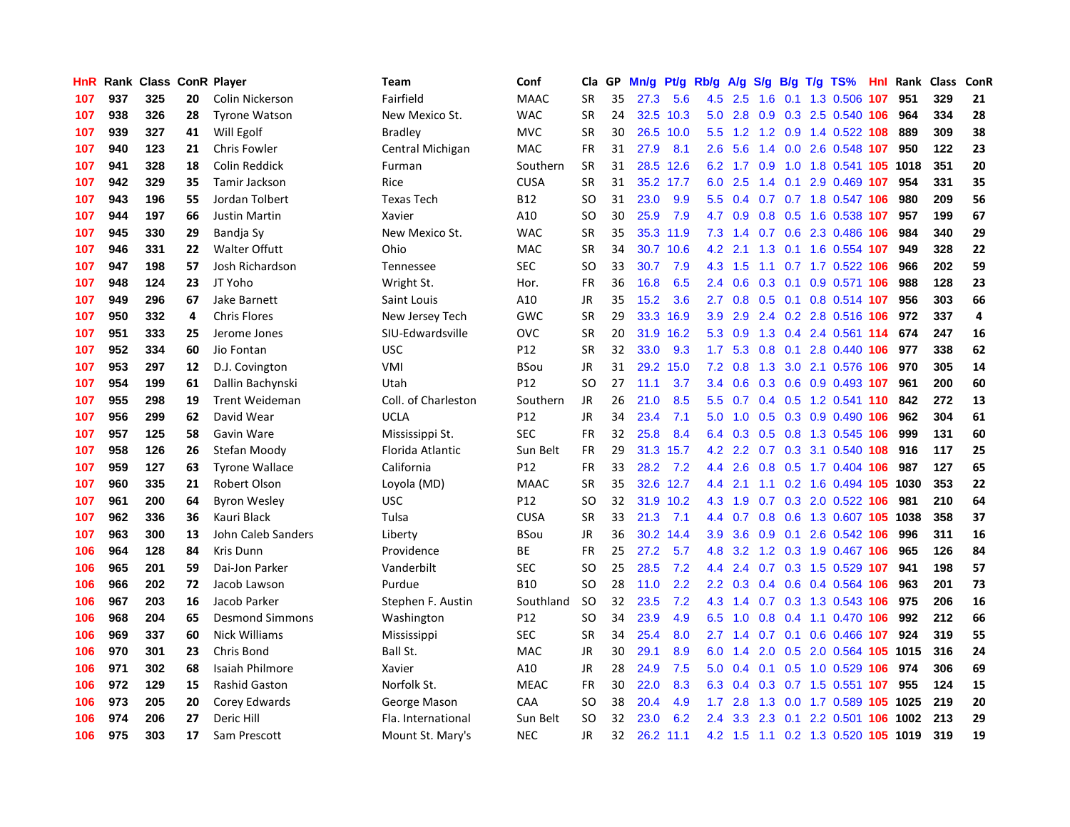| HnR | Rank |     |    | <b>Class ConR Player</b> | Team                | Conf        | Cla       | GP | Mn/g | Pt/g Rb/g |               | A/g    |               |  | S/g B/g T/g TS%                | Hnl | Rank | <b>Class</b> | <b>ConR</b>    |
|-----|------|-----|----|--------------------------|---------------------|-------------|-----------|----|------|-----------|---------------|--------|---------------|--|--------------------------------|-----|------|--------------|----------------|
| 107 | 937  | 325 | 20 | Colin Nickerson          | Fairfield           | <b>MAAC</b> | <b>SR</b> | 35 | 27.3 | 5.6       | 4.5           | 2.5    | 1.6           |  | $0.1$ 1.3 0.506                | 107 | 951  | 329          | 21             |
| 107 | 938  | 326 | 28 | <b>Tyrone Watson</b>     | New Mexico St.      | <b>WAC</b>  | <b>SR</b> | 24 |      | 32.5 10.3 | 5.0           | 2.8    |               |  | 0.9 0.3 2.5 0.540 106          |     | 964  | 334          | 28             |
| 107 | 939  | 327 | 41 | Will Egolf               | <b>Bradley</b>      | <b>MVC</b>  | <b>SR</b> | 30 |      | 26.5 10.0 | $5.5^{\circ}$ |        |               |  | 1.2 1.2 0.9 1.4 0.522 108      |     | 889  | 309          | 38             |
| 107 | 940  | 123 | 21 | <b>Chris Fowler</b>      | Central Michigan    | <b>MAC</b>  | FR        | 31 | 27.9 | 8.1       | 2.6           | 5.6    |               |  | 1.4 0.0 2.6 0.548 107          |     | 950  | 122          | 23             |
| 107 | 941  | 328 | 18 | Colin Reddick            | Furman              | Southern    | <b>SR</b> | 31 |      | 28.5 12.6 | 6.2           | 1.7    | 0.9           |  | 1.0 1.8 0.541 105 1018         |     |      | 351          | 20             |
| 107 | 942  | 329 | 35 | Tamir Jackson            | Rice                | <b>CUSA</b> | <b>SR</b> | 31 |      | 35.2 17.7 | 6.0           | 2.5    | $1.4^{\circ}$ |  | 0.1 2.9 0.469 107              |     | 954  | 331          | 35             |
| 107 | 943  | 196 | 55 | Jordan Tolbert           | <b>Texas Tech</b>   | <b>B12</b>  | <b>SO</b> | 31 | 23.0 | 9.9       | 5.5           | 0.4    |               |  | 0.7 0.7 1.8 0.547 106          |     | 980  | 209          | 56             |
| 107 | 944  | 197 | 66 | <b>Justin Martin</b>     | Xavier              | A10         | SO        | 30 | 25.9 | 7.9       | 4.7           | 0.9    | 0.8           |  | 0.5 1.6 0.538 107              |     | 957  | 199          | 67             |
| 107 | 945  | 330 | 29 | Bandja Sy                | New Mexico St.      | <b>WAC</b>  | <b>SR</b> | 35 |      | 35.3 11.9 | 7.3           | 1.4    |               |  | 0.7 0.6 2.3 0.486 106          |     | 984  | 340          | 29             |
| 107 | 946  | 331 | 22 | <b>Walter Offutt</b>     | Ohio                | <b>MAC</b>  | <b>SR</b> | 34 |      | 30.7 10.6 | 4.2           | 2.1    |               |  | 1.3 0.1 1.6 0.554 107          |     | 949  | 328          | 22             |
| 107 | 947  | 198 | 57 | Josh Richardson          | Tennessee           | <b>SEC</b>  | SO        | 33 | 30.7 | 7.9       | 4.3           | $-1.5$ |               |  | 1.1 0.7 1.7 0.522 106          |     | 966  | 202          | 59             |
| 107 | 948  | 124 | 23 | JT Yoho                  | Wright St.          | Hor.        | FR        | 36 | 16.8 | 6.5       | $2.4^{\circ}$ | 0.6    |               |  | 0.3 0.1 0.9 0.571 106          |     | 988  | 128          | 23             |
| 107 | 949  | 296 | 67 | Jake Barnett             | Saint Louis         | A10         | <b>JR</b> | 35 | 15.2 | 3.6       | 2.7           | 0.8    |               |  | 0.5 0.1 0.8 0.514 107          |     | 956  | 303          | 66             |
| 107 | 950  | 332 | 4  | <b>Chris Flores</b>      | New Jersey Tech     | GWC         | <b>SR</b> | 29 | 33.3 | 16.9      | 3.9           | 2.9    |               |  | 2.4 0.2 2.8 0.516 106          |     | 972  | 337          | $\overline{a}$ |
| 107 | 951  | 333 | 25 | Jerome Jones             | SIU-Edwardsville    | OVC         | <b>SR</b> | 20 | 31.9 | 16.2      | 5.3           | 0.9    |               |  | 1.3 0.4 2.4 0.561 114          |     | 674  | 247          | 16             |
| 107 | 952  | 334 | 60 | Jio Fontan               | <b>USC</b>          | P12         | <b>SR</b> | 32 | 33.0 | 9.3       | 1.7           | 5.3    | 0.8           |  | 0.1 2.8 0.440 106              |     | 977  | 338          | 62             |
| 107 | 953  | 297 | 12 | D.J. Covington           | VMI                 | <b>BSou</b> | JR        | 31 | 29.2 | 15.0      | 7.2           | 0.8    | 1.3           |  | 3.0 2.1 0.576 106              |     | 970  | 305          | 14             |
| 107 | 954  | 199 | 61 | Dallin Bachynski         | Utah                | P12         | <b>SO</b> | 27 | 11.1 | 3.7       | 3.4           | 0.6    | 0.3           |  | 0.6 0.9 0.493 107              |     | 961  | 200          | 60             |
| 107 | 955  | 298 | 19 | <b>Trent Weideman</b>    | Coll. of Charleston | Southern    | JR        | 26 | 21.0 | 8.5       | 5.5           | 0.7    |               |  | 0.4 0.5 1.2 0.541 110 842      |     |      | 272          | 13             |
| 107 | 956  | 299 | 62 | David Wear               | <b>UCLA</b>         | P12         | <b>JR</b> | 34 | 23.4 | 7.1       | 5.0           |        |               |  | 1.0 0.5 0.3 0.9 0.490 106      |     | 962  | 304          | 61             |
| 107 | 957  | 125 | 58 | Gavin Ware               | Mississippi St.     | <b>SEC</b>  | FR        | 32 | 25.8 | 8.4       | 6.4           | 0.3    |               |  | 0.5 0.8 1.3 0.545 106          |     | 999  | 131          | 60             |
| 107 | 958  | 126 | 26 | Stefan Moody             | Florida Atlantic    | Sun Belt    | <b>FR</b> | 29 | 31.3 | 15.7      | 4.2           | 2.2    |               |  | 0.7 0.3 3.1 0.540 108          |     | 916  | 117          | 25             |
| 107 | 959  | 127 | 63 | <b>Tyrone Wallace</b>    | California          | P12         | FR        | 33 | 28.2 | 7.2       | 4.4           | 2.6    | 0.8           |  | 0.5 1.7 0.404 106              |     | 987  | 127          | 65             |
| 107 | 960  | 335 | 21 | Robert Olson             | Loyola (MD)         | <b>MAAC</b> | <b>SR</b> | 35 | 32.6 | 12.7      | 4.4           | 2.1    |               |  | 1.1 0.2 1.6 0.494 105 1030     |     |      | 353          | 22             |
| 107 | 961  | 200 | 64 | <b>Byron Wesley</b>      | <b>USC</b>          | P12         | SO        | 32 | 31.9 | 10.2      | 4.3           | 1.9    | 0.7           |  | 0.3 2.0 0.522 106              |     | 981  | 210          | 64             |
| 107 | 962  | 336 | 36 | Kauri Black              | Tulsa               | <b>CUSA</b> | <b>SR</b> | 33 | 21.3 | 7.1       | 4.4           | 0.7    | 0.8           |  | 0.6 1.3 0.607 105 1038         |     |      | 358          | 37             |
| 107 | 963  | 300 | 13 | John Caleb Sanders       | Liberty             | <b>BSou</b> | JR        | 36 | 30.2 | 14.4      | 3.9           | 3.6    |               |  | 0.9 0.1 2.6 0.542 106          |     | 996  | 311          | 16             |
| 106 | 964  | 128 | 84 | <b>Kris Dunn</b>         | Providence          | <b>BE</b>   | <b>FR</b> | 25 | 27.2 | 5.7       | 4.8           |        |               |  | 3.2 1.2 0.3 1.9 0.467 106 965  |     |      | 126          | 84             |
| 106 | 965  | 201 | 59 | Dai-Jon Parker           | Vanderbilt          | <b>SEC</b>  | SO        | 25 | 28.5 | 7.2       | 4.4           | 2.4    |               |  | 0.7 0.3 1.5 0.529 107          |     | 941  | 198          | 57             |
| 106 | 966  | 202 | 72 | Jacob Lawson             | Purdue              | <b>B10</b>  | SO        | 28 | 11.0 | 2.2       | $2.2^{\circ}$ | 0.3    |               |  | $0.4$ 0.6 0.4 0.564 106        |     | 963  | 201          | 73             |
| 106 | 967  | 203 | 16 | Jacob Parker             | Stephen F. Austin   | Southland   | <b>SO</b> | 32 | 23.5 | 7.2       | 4.3           | 1.4    |               |  | 0.7 0.3 1.3 0.543 106          |     | 975  | 206          | 16             |
| 106 | 968  | 204 | 65 | <b>Desmond Simmons</b>   | Washington          | P12         | SO        | 34 | 23.9 | 4.9       | 6.5           | 1.0    | 0.8           |  | 0.4 1.1 0.470 106              |     | 992  | 212          | 66             |
| 106 | 969  | 337 | 60 | Nick Williams            | Mississippi         | SEC         | <b>SR</b> | 34 | 25.4 | 8.0       | 2.7           | 1.4    | 0.7           |  | $0.1$ 0.6 0.466 107            |     | 924  | 319          | 55             |
| 106 | 970  | 301 | 23 | Chris Bond               | Ball St.            | <b>MAC</b>  | <b>JR</b> | 30 | 29.1 | 8.9       | 6.0           | 1.4    | 2.0           |  | 0.5 2.0 0.564 105 1015         |     |      | 316          | 24             |
| 106 | 971  | 302 | 68 | Isaiah Philmore          | Xavier              | A10         | JR        | 28 | 24.9 | 7.5       | 5.0           | 0.4    | 0.1           |  | $0.5$ 1.0 0.529 106            |     | 974  | 306          | 69             |
| 106 | 972  | 129 | 15 | <b>Rashid Gaston</b>     | Norfolk St.         | <b>MEAC</b> | FR        | 30 | 22.0 | 8.3       | 6.3           | 0.4    |               |  | 0.3 0.7 1.5 0.551 107          |     | 955  | 124          | 15             |
| 106 | 973  | 205 | 20 | Corey Edwards            | George Mason        | CAA         | SO        | 38 | 20.4 | 4.9       | 1.7           | 2.8    |               |  | 1.3 0.0 1.7 0.589 105 1025     |     |      | 219          | 20             |
| 106 | 974  | 206 | 27 | Deric Hill               | Fla. International  | Sun Belt    | SO        | 32 | 23.0 | 6.2       | $2.4^{\circ}$ | 3.3    | 2.3           |  | 0.1 2.2 0.501 106 1002         |     |      | 213          | 29             |
| 106 | 975  | 303 | 17 | Sam Prescott             | Mount St. Mary's    | <b>NEC</b>  | <b>JR</b> | 32 | 26.2 | 11.1      | 4.2           |        |               |  | 1.5 1.1 0.2 1.3 0.520 105 1019 |     |      | 319          | 19             |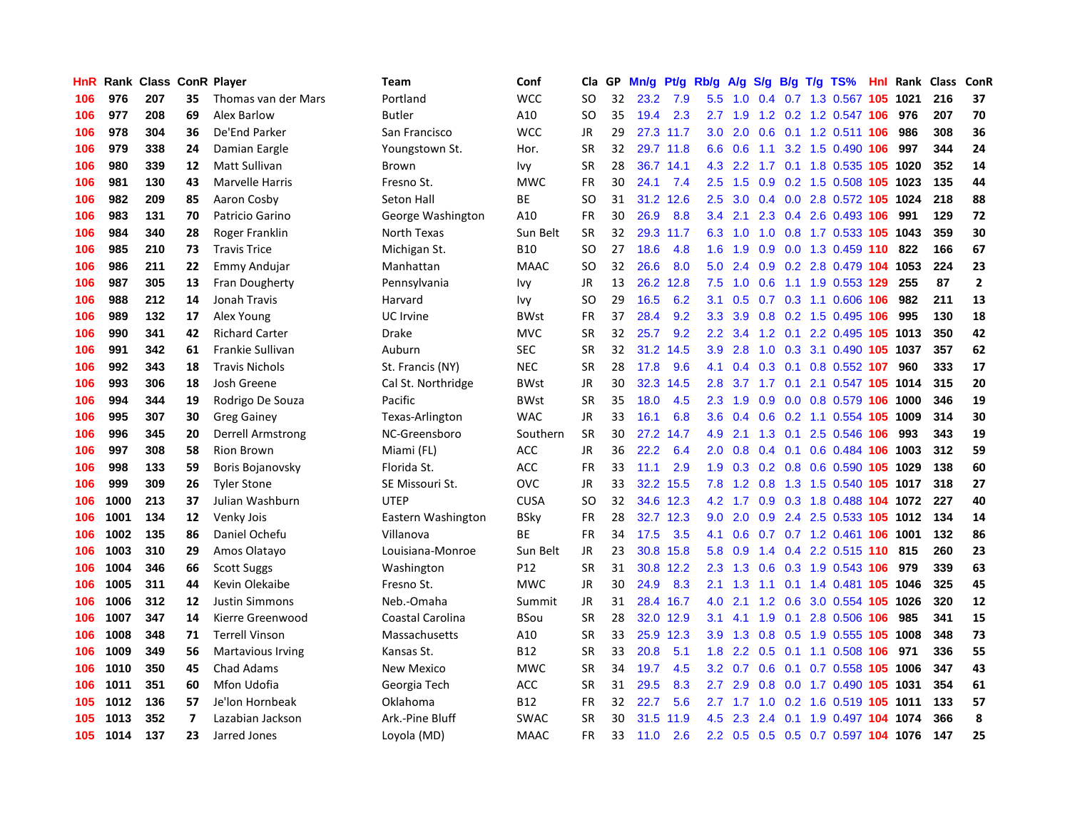| HnR | Rank | <b>Class</b> |                | <b>ConR Player</b>       | <b>Team</b>        | Conf            | Cla       | <b>GP</b> | Mn/g | <b>Pt/g</b> | Rb/g             | A/g             |                  |     | S/g B/g T/g TS%                      | Hnl | Rank | <b>Class</b> | <b>ConR</b>    |
|-----|------|--------------|----------------|--------------------------|--------------------|-----------------|-----------|-----------|------|-------------|------------------|-----------------|------------------|-----|--------------------------------------|-----|------|--------------|----------------|
| 106 | 976  | 207          | 35             | Thomas van der Mars      | Portland           | <b>WCC</b>      | <b>SO</b> | 32        | 23.2 | 7.9         | 5.5              | 1.0             |                  |     | 0.4 0.7 1.3 0.567 105 1021           |     |      | 216          | 37             |
| 106 | 977  | 208          | 69             | Alex Barlow              | <b>Butler</b>      | A10             | SO.       | 35        | 19.4 | 2.3         |                  | $2.7$ 1.9       |                  |     | 1.2 0.2 1.2 0.547 106                |     | 976  | 207          | 70             |
| 106 | 978  | 304          | 36             | De'End Parker            | San Francisco      | <b>WCC</b>      | JR        | 29        |      | 27.3 11.7   | 3.0 <sub>2</sub> | 2.0             |                  |     | 0.6 0.1 1.2 0.511 106                |     | 986  | 308          | 36             |
| 106 | 979  | 338          | 24             | Damian Eargle            | Youngstown St.     | Hor.            | <b>SR</b> | 32        |      | 29.7 11.8   | 6.6              | 0.6             | 1.1              |     | 3.2 1.5 0.490 106                    |     | 997  | 344          | 24             |
| 106 | 980  | 339          | 12             | <b>Matt Sullivan</b>     | Brown              | <b>Ivy</b>      | <b>SR</b> | 28        | 36.7 | 14.1        | 4.3              | 2.2             | 1.7              |     | 0.1 1.8 0.535 105 1020               |     |      | 352          | 14             |
| 106 | 981  | 130          | 43             | Marvelle Harris          | Fresno St.         | <b>MWC</b>      | <b>FR</b> | 30        | 24.1 | 7.4         | 2.5              | 1.5             | 0.9              |     | 0.2 1.5 0.508 105 1023               |     |      | 135          | 44             |
| 106 | 982  | 209          | 85             | Aaron Cosby              | Seton Hall         | <b>BE</b>       | SO        | 31        | 31.2 | 12.6        | 2.5              | 3.0             |                  |     | 0.4 0.0 2.8 0.572 105 1024           |     |      | 218          | 88             |
| 106 | 983  | 131          | 70             | Patricio Garino          | George Washington  | A10             | <b>FR</b> | 30        | 26.9 | 8.8         | 3.4              | 2.1             | 2.3              |     | 0.4 2.6 0.493 106                    |     | 991  | 129          | 72             |
| 106 | 984  | 340          | 28             | Roger Franklin           | North Texas        | Sun Belt        | <b>SR</b> | 32        | 29.3 | 11.7        | 6.3              | 1.0             | 1.0              |     | 0.8 1.7 0.533 105 1043               |     |      | 359          | 30             |
| 106 | 985  | 210          | 73             | <b>Travis Trice</b>      | Michigan St.       | <b>B10</b>      | <b>SO</b> | 27        | 18.6 | 4.8         | 1.6              | 1.9             |                  |     | 0.9 0.0 1.3 0.459 110 822            |     |      | 166          | 67             |
| 106 | 986  | 211          | 22             | Emmy Andujar             | Manhattan          | <b>MAAC</b>     | <b>SO</b> | 32        | 26.6 | 8.0         | 5.0              | 2.4             |                  |     | 0.9 0.2 2.8 0.479 104 1053           |     |      | 224          | 23             |
| 106 | 987  | 305          | 13             | Fran Dougherty           | Pennsylvania       | Ivy             | JR        | 13        | 26.2 | 12.8        | 7.5              | 1.0             |                  |     | 0.6 1.1 1.9 0.553 129                |     | 255  | 87           | $\overline{2}$ |
| 106 | 988  | 212          | 14             | Jonah Travis             | Harvard            | Ivy             | <b>SO</b> | 29        | 16.5 | 6.2         | 3.1              | 0.5             |                  |     | 0.7 0.3 1.1 0.606 106                |     | 982  | 211          | 13             |
| 106 | 989  | 132          | 17             | Alex Young               | UC Irvine          | <b>BWst</b>     | FR        | 37        | 28.4 | 9.2         | 3.3              | 3.9             | 0.8              |     | 0.2 1.5 0.495 106                    |     | 995  | 130          | 18             |
| 106 | 990  | 341          | 42             | <b>Richard Carter</b>    | Drake              | <b>MVC</b>      | <b>SR</b> | 32        | 25.7 | 9.2         | 2.2              | 3.4             | 1.2              |     | 0.1 2.2 0.495 105                    |     | 1013 | 350          | 42             |
| 106 | 991  | 342          | 61             | Frankie Sullivan         | Auburn             | <b>SEC</b>      | <b>SR</b> | 32        | 31.2 | 14.5        | 3.9              | 2.8             | 1.0              |     | 0.3 3.1 0.490 105                    |     | 1037 | 357          | 62             |
| 106 | 992  | 343          | 18             | <b>Travis Nichols</b>    | St. Francis (NY)   | <b>NEC</b>      | <b>SR</b> | 28        | 17.8 | 9.6         | 4.1              | 0.4             | 0.3              | 0.1 | 0.8 0.552 107                        |     | 960  | 333          | 17             |
| 106 | 993  | 306          | 18             | Josh Greene              | Cal St. Northridge | <b>BWst</b>     | JR        | 30        | 32.3 | 14.5        | 2.8              | 3.7             | 1.7              | 0.1 | 2.1 0.547 105 1014                   |     |      | 315          | 20             |
| 106 | 994  | 344          | 19             | Rodrigo De Souza         | Pacific            | <b>BWst</b>     | <b>SR</b> | 35        | 18.0 | 4.5         | 2.3              | 1.9             |                  |     | 0.9 0.0 0.8 0.579 106 1000           |     |      | 346          | 19             |
| 106 | 995  | 307          | 30             | <b>Greg Gainey</b>       | Texas-Arlington    | <b>WAC</b>      | JR        | 33        | 16.1 | 6.8         | 3.6              | 0.4             |                  |     | 0.6 0.2 1.1 0.554 105 1009           |     |      | 314          | 30             |
| 106 | 996  | 345          | 20             | Derrell Armstrong        | NC-Greensboro      | Southern        | <b>SR</b> | 30        | 27.2 | 14.7        | 4.9              | 2.1             | 1.3              |     | 0.1 2.5 0.546 106                    |     | 993  | 343          | 19             |
| 106 | 997  | 308          | 58             | <b>Rion Brown</b>        | Miami (FL)         | ACC             | JR        | 36        | 22.2 | 6.4         | 2.0              | 0.8             | $0.4^{\circ}$    | 0.1 | 0.6 0.484 106 1003                   |     |      | 312          | 59             |
| 106 | 998  | 133          | 59             | Boris Bojanovsky         | Florida St.        | <b>ACC</b>      | FR        | 33        | 11.1 | 2.9         | 1.9              | 0.3             |                  |     | 0.2 0.8 0.6 0.590 105 1029           |     |      | 138          | 60             |
| 106 | 999  | 309          | 26             | <b>Tyler Stone</b>       | SE Missouri St.    | OVC             | JR        | 33        | 32.2 | 15.5        | 7.8              | 1.2             | 0.8              |     | 1.3 1.5 0.540                        | 105 | 1017 | 318          | 27             |
| 106 | 1000 | 213          | 37             | Julian Washburn          | <b>UTEP</b>        | <b>CUSA</b>     | <b>SO</b> | 32        | 34.6 | 12.3        | 4.2              | 1.7             | 0.9 <sub>0</sub> |     | 0.3 1.8 0.488 104                    |     | 1072 | 227          | 40             |
| 106 | 1001 | 134          | 12             | Venky Jois               | Eastern Washington | <b>BSky</b>     | <b>FR</b> | 28        | 32.7 | 12.3        | 9.0              | 2.0             | 0.9 <sub>0</sub> |     | 2.4 2.5 0.533 105 1012               |     |      | 134          | 14             |
| 106 | 1002 | 135          | 86             | Daniel Ochefu            | Villanova          | <b>BE</b>       | FR        | 34        | 17.5 | 3.5         | 4.1              | 0.6             |                  |     | 0.7 0.7 1.2 0.461 106 1001           |     |      | 132          | 86             |
| 106 | 1003 | 310          | 29             | Amos Olatayo             | Louisiana-Monroe   | Sun Belt        | <b>JR</b> | 23        | 30.8 | 15.8        | 5.8              | 0.9             |                  |     | 1.4 0.4 2.2 0.515 110 815            |     |      | 260          | 23             |
| 106 | 1004 | 346          | 66             | <b>Scott Suggs</b>       | Washington         | P <sub>12</sub> | <b>SR</b> | 31        | 30.8 | 12.2        | 2.3              | 1.3             |                  |     | $0.6$ $0.3$ $1.9$ $0.543$ <b>106</b> |     | 979  | 339          | 63             |
| 106 | 1005 | 311          | 44             | Kevin Olekaibe           | Fresno St.         | <b>MWC</b>      | <b>JR</b> | 30        | 24.9 | 8.3         | 2.1              | 1.3             |                  |     | 1.1 0.1 1.4 0.481 105 1046           |     |      | 325          | 45             |
| 106 | 1006 | 312          | 12             | <b>Justin Simmons</b>    | Neb.-Omaha         | Summit          | JR        | 31        | 28.4 | 16.7        | 4.0              | 2.1             | 1.2              |     | 0.6 3.0 0.554 105 1026               |     |      | 320          | 12             |
| 106 | 1007 | 347          | 14             | Kierre Greenwood         | Coastal Carolina   | <b>BSou</b>     | <b>SR</b> | 28        |      | 32.0 12.9   | 3.1              | 4.1             | 1.9              |     | 0.1 2.8 0.506 106                    |     | 985  | 341          | 15             |
| 106 | 1008 | 348          | 71             | <b>Terrell Vinson</b>    | Massachusetts      | A10             | <b>SR</b> | 33        | 25.9 | 12.3        | 3.9 <sup>°</sup> | 1.3             | 0.8              |     | 0.5 1.9 0.555 105 1008               |     |      | 348          | 73             |
| 106 | 1009 | 349          | 56             | <b>Martavious Irving</b> | Kansas St.         | <b>B12</b>      | <b>SR</b> | 33        | 20.8 | 5.1         | 1.8              | 2.2             | 0.5              |     | 0.1 1.1 0.508 106                    |     | 971  | 336          | 55             |
| 106 | 1010 | 350          | 45             | Chad Adams               | New Mexico         | <b>MWC</b>      | <b>SR</b> | 34        | 19.7 | 4.5         | 3.2              | 0.7             | 0.6              | 0.1 | 0.7 0.558 105 1006                   |     |      | 347          | 43             |
| 106 | 1011 | 351          | 60             | Mfon Udofia              | Georgia Tech       | ACC             | <b>SR</b> | 31        | 29.5 | 8.3         | $2.7^{\circ}$    | 2.9             |                  |     | 0.8 0.0 1.7 0.490 105 1031           |     |      | 354          | 61             |
| 105 | 1012 | 136          | 57             | Je'lon Hornbeak          | Oklahoma           | <b>B12</b>      | <b>FR</b> | 32        | 22.7 | 5.6         | $2.7^{\circ}$    |                 |                  |     | 1.7 1.0 0.2 1.6 0.519 105 1011       |     |      | 133          | 57             |
| 105 | 1013 | 352          | $\overline{7}$ | Lazabian Jackson         | Ark.-Pine Bluff    | <b>SWAC</b>     | <b>SR</b> | 30        | 31.5 | 11.9        | 4.5              | 2.3             | $2.4^{\circ}$    |     | 0.1 1.9 0.497 104 1074               |     |      | 366          | 8              |
| 105 | 1014 | 137          | 23             | Jarred Jones             | Loyola (MD)        | <b>MAAC</b>     | <b>FR</b> | 33        | 11.0 | 2.6         |                  | $2.2 \quad 0.5$ |                  |     | 0.5 0.5 0.7 0.597 104 1076           |     |      | 147          | 25             |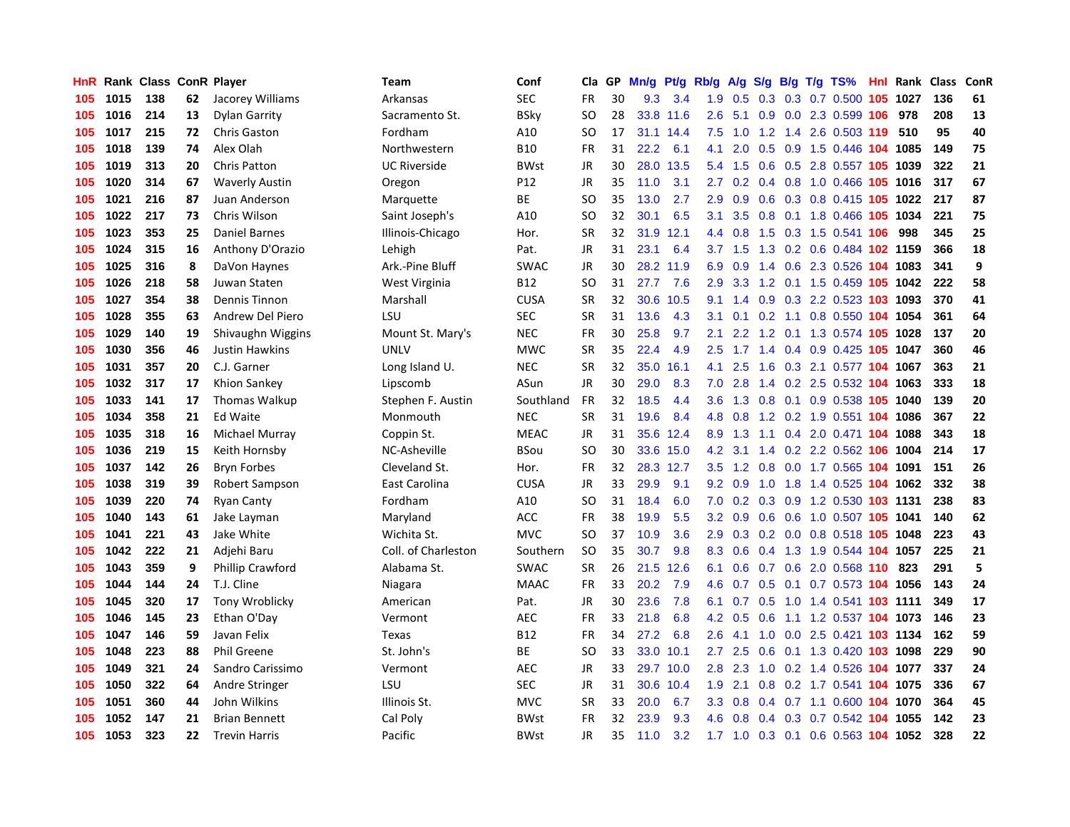| HnR. |      | <b>Rank Class</b> |    | <b>ConR Player</b>      | Team                | Conf        | Cla       | <b>GP</b> | Mn/g | <b>Pt/g</b> | Rb/g             | A/g             | S/g           |  | B/g T/g TS%                    | Hnl Rank | <b>Class</b> | <b>ConR</b> |
|------|------|-------------------|----|-------------------------|---------------------|-------------|-----------|-----------|------|-------------|------------------|-----------------|---------------|--|--------------------------------|----------|--------------|-------------|
| 105  | 1015 | 138               | 62 | Jacorey Williams        | Arkansas            | <b>SEC</b>  | <b>FR</b> | 30        | 9.3  | 3.4         | 1.9              | 0.5             |               |  | 0.3 0.3 0.7 0.500 105 1027     |          | 136          | 61          |
| 105  | 1016 | 214               | 13 | Dylan Garrity           | Sacramento St.      | <b>BSky</b> | SO        | 28        |      | 33.8 11.6   | 2.6              | 5.1             |               |  | $0.9$ $0.0$ $2.3$ $0.599$ 106  | 978      | 208          | 13          |
| 105  | 1017 | 215               | 72 | <b>Chris Gaston</b>     | Fordham             | A10         | SO        | 17        | 31.1 | 14.4        | 7.5              | 1.0             |               |  | 1.2 1.4 2.6 0.503 119 510      |          | 95           | 40          |
| 105  | 1018 | 139               | 74 | Alex Olah               | Northwestern        | <b>B10</b>  | <b>FR</b> | 31        | 22.2 | 6.1         | 4.1              | 2.0             | 0.5           |  | 0.9 1.5 0.446 104 1085         |          | 149          | 75          |
| 105  | 1019 | 313               | 20 | <b>Chris Patton</b>     | <b>UC Riverside</b> | <b>BWst</b> | JR        | 30        | 28.0 | 13.5        | 5.4              | 1.5             | 0.6           |  | 0.5 2.8 0.557 105 1039         |          | 322          | 21          |
| 105  | 1020 | 314               | 67 | <b>Waverly Austin</b>   | Oregon              | P12         | <b>JR</b> | 35        | 11.0 | 3.1         | 2.7              | 0.2             |               |  | 0.4 0.8 1.0 0.466 105 1016     |          | 317          | 67          |
| 105  | 1021 | 216               | 87 | Juan Anderson           | Marquette           | <b>BE</b>   | <b>SO</b> | 35        | 13.0 | 2.7         | 2.9              | 0.9             | 0.6           |  | 0.3 0.8 0.415 105 1022         |          | 217          | 87          |
| 105  | 1022 | 217               | 73 | Chris Wilson            | Saint Joseph's      | A10         | SO        | 32        | 30.1 | 6.5         | 3.1              | 3.5             | 0.8           |  | 0.1 1.8 0.466 105 1034         |          | 221          | 75          |
| 105  | 1023 | 353               | 25 | <b>Daniel Barnes</b>    | Illinois-Chicago    | Hor.        | <b>SR</b> | 32        | 31.9 | 12.1        | 4.4              | 0.8             | 1.5           |  | 0.3 1.5 0.541 106              | 998      | 345          | 25          |
| 105  | 1024 | 315               | 16 | Anthony D'Orazio        | Lehigh              | Pat.        | JR        | 31        | 23.1 | 6.4         |                  | $3.7 \quad 1.5$ |               |  | 1.3 0.2 0.6 0.484 102 1159     |          | 366          | 18          |
| 105  | 1025 | 316               | 8  | DaVon Haynes            | Ark.-Pine Bluff     | <b>SWAC</b> | JR        | 30        |      | 28.2 11.9   | 6.9              | 0.9             |               |  | 1.4 0.6 2.3 0.526 104 1083     |          | 341          | 9           |
| 105  | 1026 | 218               | 58 | Juwan Staten            | West Virginia       | B12         | SO        | 31        | 27.7 | 7.6         | 2.9 <sup>°</sup> |                 |               |  | 3.3 1.2 0.1 1.5 0.459 105 1042 |          | 222          | 58          |
| 105  | 1027 | 354               | 38 | <b>Dennis Tinnon</b>    | Marshall            | <b>CUSA</b> | <b>SR</b> | 32        | 30.6 | 10.5        | 9.1              | 1.4             | 0.9           |  | 0.3 2.2 0.523 103 1093         |          | 370          | 41          |
| 105  | 1028 | 355               | 63 | Andrew Del Piero        | LSU                 | <b>SEC</b>  | <b>SR</b> | 31        | 13.6 | 4.3         | 3.1              | 0.1             | 0.2           |  | 1.1 0.8 0.550 104 1054         |          | 361          | 64          |
| 105  | 1029 | 140               | 19 | Shivaughn Wiggins       | Mount St. Mary's    | <b>NEC</b>  | FR        | 30        | 25.8 | 9.7         | 2.1              | 2.2             | 1.2           |  | 0.1 1.3 0.574 105 1028         |          | 137          | 20          |
| 105  | 1030 | 356               | 46 | Justin Hawkins          | <b>UNLV</b>         | <b>MWC</b>  | <b>SR</b> | 35        | 22.4 | 4.9         | $2.5^{\circ}$    | 1.7             | 1.4           |  | 0.4 0.9 0.425 105 1047         |          | 360          | 46          |
| 105  | 1031 | 357               | 20 | C.J. Garner             | Long Island U.      | <b>NEC</b>  | <b>SR</b> | 32        | 35.0 | 16.1        | 4.1              | 2.5             | 1.6           |  | 0.3 2.1 0.577 104 1067         |          | 363          | 21          |
| 105  | 1032 | 317               | 17 | Khion Sankey            | Lipscomb            | ASun        | <b>JR</b> | 30        | 29.0 | 8.3         | 7.0              | 2.8             |               |  | 1.4 0.2 2.5 0.532 104 1063     |          | 333          | 18          |
| 105  | 1033 | 141               | 17 | <b>Thomas Walkup</b>    | Stephen F. Austin   | Southland   | <b>FR</b> | 32        | 18.5 | 4.4         | 3.6 <sup>°</sup> |                 |               |  | 1.3 0.8 0.1 0.9 0.538 105 1040 |          | 139          | 20          |
| 105  | 1034 | 358               | 21 | <b>Ed Waite</b>         | Monmouth            | <b>NEC</b>  | <b>SR</b> | 31        | 19.6 | 8.4         | 4.8              | 0.8             |               |  | 1.2 0.2 1.9 0.551 104 1086     |          | 367          | 22          |
| 105  | 1035 | 318               | 16 | Michael Murray          | Coppin St.          | <b>MEAC</b> | JR        | 31        | 35.6 | 12.4        | 8.9              | 1.3             |               |  | 1.1 0.4 2.0 0.471 104 1088     |          | 343          | 18          |
| 105  | 1036 | 219               | 15 | Keith Hornsby           | NC-Asheville        | <b>BSou</b> | SO        | 30        | 33.6 | 15.0        | 4.2              | 3.1             | $1.4^{\circ}$ |  | 0.2 2.2 0.562 106 1004         |          | 214          | 17          |
| 105  | 1037 | 142               | 26 | <b>Bryn Forbes</b>      | Cleveland St.       | Hor.        | FR        | 32        |      | 28.3 12.7   | 3.5              | 1.2             | 0.8           |  | 0.0 1.7 0.565 104 1091         |          | 151          | 26          |
| 105  | 1038 | 319               | 39 | Robert Sampson          | East Carolina       | <b>CUSA</b> | JR        | 33        | 29.9 | 9.1         | 9.2              | 0.9             | 1.0           |  | 1.8 1.4 0.525 104 1062         |          | 332          | 38          |
| 105  | 1039 | 220               | 74 | <b>Ryan Canty</b>       | Fordham             | A10         | SO        | 31        | 18.4 | 6.0         | 7.0              | 0.2             | 0.3           |  | 0.9 1.2 0.530 103 1131         |          | 238          | 83          |
| 105  | 1040 | 143               | 61 | Jake Layman             | Maryland            | ACC         | FR        | 38        | 19.9 | 5.5         | 3.2 <sub>2</sub> | 0.9             |               |  | 0.6 0.6 1.0 0.507 105 1041     |          | 140          | 62          |
| 105  | 1041 | 221               | 43 | Jake White              | Wichita St.         | <b>MVC</b>  | SO        | 37        | 10.9 | 3.6         | 2.9              |                 |               |  | 0.3 0.2 0.0 0.8 0.518 105 1048 |          | 223          | 43          |
| 105  | 1042 | 222               | 21 | Adjehi Baru             | Coll. of Charleston | Southern    | <b>SO</b> | 35        | 30.7 | 9.8         | 8.3              | 0.6             |               |  | 0.4 1.3 1.9 0.544 104 1057     |          | 225          | 21          |
| 105  | 1043 | 359               | 9  | <b>Phillip Crawford</b> | Alabama St.         | SWAC        | <b>SR</b> | 26        | 21.5 | 12.6        | 6.1              | 0.6             |               |  | 0.7 0.6 2.0 0.568 110 823      |          | 291          | 5           |
| 105  | 1044 | 144               | 24 | T.J. Cline              | Niagara             | <b>MAAC</b> | <b>FR</b> | 33        | 20.2 | 7.9         | 4.6              | 0.7             | 0.5           |  | 0.1 0.7 0.573 104 1056         |          | 143          | 24          |
| 105  | 1045 | 320               | 17 | Tony Wroblicky          | American            | Pat.        | JR        | 30        | 23.6 | 7.8         | 6.1              | 0.7             | 0.5           |  | 1.0 1.4 0.541 103 1111         |          | 349          | 17          |
| 105  | 1046 | 145               | 23 | Ethan O'Day             | Vermont             | <b>AEC</b>  | <b>FR</b> | 33        | 21.8 | 6.8         | 4.2              | 0.5             | 0.6           |  | 1.1 1.2 0.537 104 1073         |          | 146          | 23          |
| 105  | 1047 | 146               | 59 | Javan Felix             | Texas               | <b>B12</b>  | FR        | 34        | 27.2 | 6.8         | 2.6              | 4.1             | 1.0           |  | 0.0 2.5 0.421 103 1134         |          | 162          | 59          |
| 105  | 1048 | 223               | 88 | <b>Phil Greene</b>      | St. John's          | <b>BE</b>   | <b>SO</b> | 33        | 33.0 | 10.1        | $2.7^{\circ}$    | 2.5             | 0.6           |  | 0.1 1.3 0.420 103 1098         |          | 229          | 90          |
| 105  | 1049 | 321               | 24 | Sandro Carissimo        | Vermont             | AEC         | JR        | 33        | 29.7 | 10.0        | 2.8              | 2.3             |               |  | 1.0 0.2 1.4 0.526 104 1077     |          | 337          | 24          |
| 105  | 1050 | 322               | 64 | Andre Stringer          | LSU                 | SEC         | JR        | 31        | 30.6 | 10.4        | 1.9              | 2.1             |               |  | 0.8 0.2 1.7 0.541 104 1075     |          | 336          | 67          |
| 105  | 1051 | 360               | 44 | John Wilkins            | Illinois St.        | MVC         | SR        | 33        | 20.0 | 6.7         | 3.3              | 0.8             |               |  | 0.4 0.7 1.1 0.600 104 1070     |          | 364          | 45          |
| 105  | 1052 | 147               | 21 | <b>Brian Bennett</b>    | Cal Poly            | <b>BWst</b> | <b>FR</b> | 32        | 23.9 | 9.3         | 4.6              | 0.8             | 0.4           |  | 0.3 0.7 0.542 104              | 1055     | 142          | 23          |
| 105  | 1053 | 323               | 22 | <b>Trevin Harris</b>    | Pacific             | <b>BWst</b> | JR        | 35        | 11.0 | 3.2         | 1.7 <sub>2</sub> |                 |               |  | 1.0 0.3 0.1 0.6 0.563 104 1052 |          | 328          | 22          |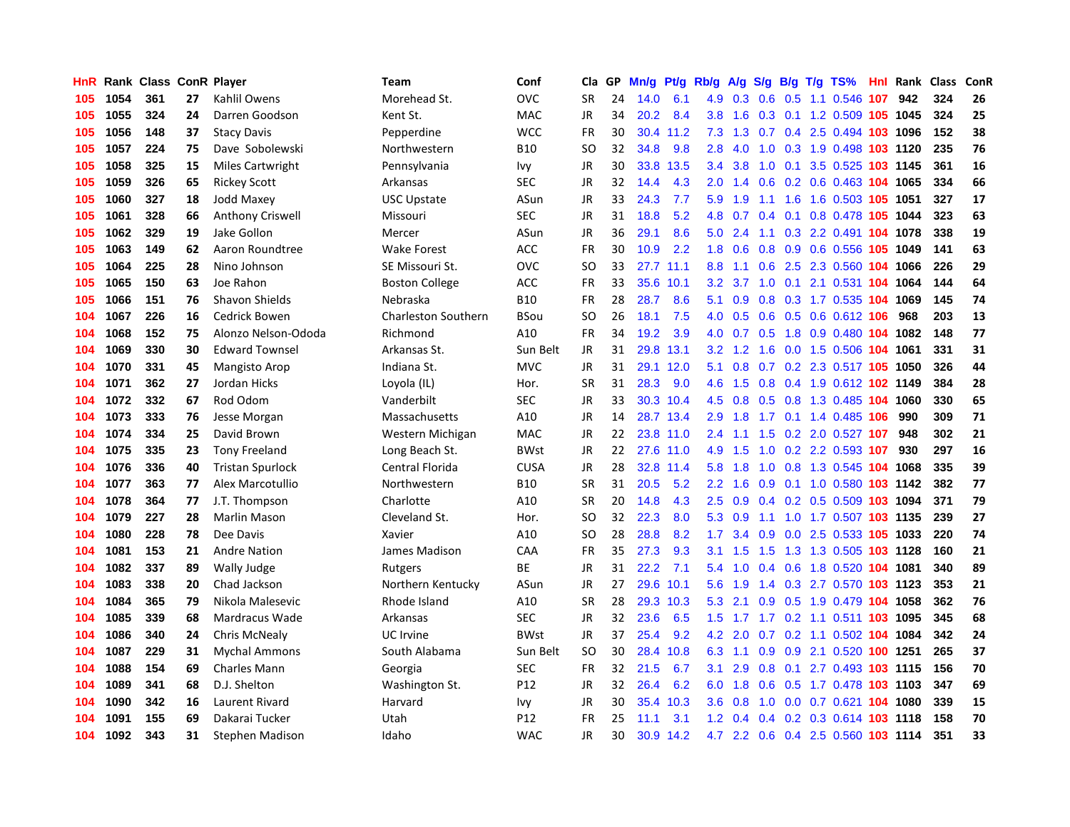| HnR |      | Rank Class ConR Player |    |                         | Team                       | Conf        | Cla       | <b>GP</b> | Mn/g | <b>Pt/g</b> | Rb/g             | A/g    | S/g              |  | $B/g$ T/g TS%                      | Hnl | Rank     | <b>Class</b> | ConR       |
|-----|------|------------------------|----|-------------------------|----------------------------|-------------|-----------|-----------|------|-------------|------------------|--------|------------------|--|------------------------------------|-----|----------|--------------|------------|
| 105 | 1054 | 361                    | 27 | Kahlil Owens            | Morehead St.               | OVC         | <b>SR</b> | 24        | 14.0 | 6.1         | 4.9              | 0.3    | 0.6              |  | 0.5 1.1 0.546 107                  |     | 942      | 324          | 26         |
| 105 | 1055 | 324                    | 24 | Darren Goodson          | Kent St.                   | <b>MAC</b>  | JR        | 34        | 20.2 | 8.4         | 3.8 <sub>2</sub> | 1.6    |                  |  | 0.3 0.1 1.2 0.509 105 1045         |     |          | 324          | 25         |
| 105 | 1056 | 148                    | 37 | <b>Stacy Davis</b>      | Pepperdine                 | <b>WCC</b>  | FR        | 30        |      | 30.4 11.2   | 7.3              | 1.3    |                  |  | 0.7 0.4 2.5 0.494 103 1096         |     |          | 152          | 38         |
| 105 | 1057 | 224                    | 75 | Dave Sobolewski         | Northwestern               | <b>B10</b>  | SO        | 32        | 34.8 | 9.8         | 2.8              | 4.0    | 1.0              |  | 0.3 1.9 0.498 103 1120             |     |          | 235          | 76         |
| 105 | 1058 | 325                    | 15 | <b>Miles Cartwright</b> | Pennsylvania               | Ivy         | JR        | 30        | 33.8 | 13.5        | $3.4^{\circ}$    | 3.8    | 1.0              |  | 0.1 3.5 0.525 103 1145             |     |          | 361          | 16         |
| 105 | 1059 | 326                    | 65 | <b>Rickey Scott</b>     | Arkansas                   | <b>SEC</b>  | JR        | 32        | 14.4 | 4.3         | 2.0 <sub>2</sub> | 1.4    | 0.6              |  | 0.2 0.6 0.463 104 1065             |     |          | 334          | 66         |
| 105 | 1060 | 327                    | 18 | Jodd Maxey              | <b>USC Upstate</b>         | ASun        | JR        | 33        | 24.3 | 7.7         | 5.9              | 1.9    |                  |  | 1.1 1.6 1.6 0.503 105 1051         |     |          | 327          | 17         |
| 105 | 1061 | 328                    | 66 | <b>Anthony Criswell</b> | Missouri                   | <b>SEC</b>  | <b>JR</b> | 31        | 18.8 | 5.2         | 4.8              | 0.7    |                  |  | 0.4 0.1 0.8 0.478 105 1044         |     |          | 323          | 63         |
| 105 | 1062 | 329                    | 19 | Jake Gollon             | Mercer                     | ASun        | JR        | 36        | 29.1 | 8.6         | 5.0              | 2.4    | 1.1              |  | 0.3 2.2 0.491 104 1078             |     |          | 338          | 19         |
| 105 | 1063 | 149                    | 62 | Aaron Roundtree         | <b>Wake Forest</b>         | ACC         | <b>FR</b> | 30        | 10.9 | 2.2         | 1.8              | 0.6    |                  |  | 0.8 0.9 0.6 0.556 105 1049         |     |          | 141          | 63         |
| 105 | 1064 | 225                    | 28 | Nino Johnson            | SE Missouri St.            | OVC         | SO        | 33        |      | 27.7 11.1   | 8.8              |        |                  |  | 1.1 0.6 2.5 2.3 0.560 104 1066     |     |          | 226          | 29         |
| 105 | 1065 | 150                    | 63 | Joe Rahon               | <b>Boston College</b>      | <b>ACC</b>  | FR        | 33        | 35.6 | 10.1        | 3.2 <sub>2</sub> |        |                  |  | 3.7 1.0 0.1 2.1 0.531 104 1064     |     |          | 144          | 64         |
| 105 | 1066 | 151                    | 76 | <b>Shavon Shields</b>   | Nebraska                   | <b>B10</b>  | <b>FR</b> | 28        | 28.7 | 8.6         | 5.1              | 0.9    | 0.8              |  | 0.3 1.7 0.535 104 1069             |     |          | 145          | 74         |
| 104 | 1067 | 226                    | 16 | <b>Cedrick Bowen</b>    | <b>Charleston Southern</b> | <b>BSou</b> | <b>SO</b> | 26        | 18.1 | 7.5         | 4.0              | 0.5    | 0.6              |  | 0.5 0.6 0.612 106                  |     | 968      | 203          | 13         |
| 104 | 1068 | 152                    | 75 | Alonzo Nelson-Ododa     | Richmond                   | A10         | FR        | 34        | 19.2 | 3.9         | 4.0              | 0.7    | 0.5              |  | 1.8 0.9 0.480 104                  |     | 1082     | 148          | 77         |
| 104 | 1069 | 330                    | 30 | <b>Edward Townsel</b>   | Arkansas St.               | Sun Belt    | JR        | 31        | 29.8 | 13.1        | 3.2              | 1.2    | 1.6              |  | 0.0 1.5 0.506 104                  |     | 1061     | 331          | 31         |
| 104 | 1070 | 331                    | 45 | Mangisto Arop           | Indiana St.                | <b>MVC</b>  | JR        | 31        | 29.1 | 12.0        | 5.1              | 0.8    | 0.7              |  | 0.2 2.3 0.517 105 1050             |     |          | 326          | 44         |
| 104 | 1071 | 362                    | 27 | Jordan Hicks            | Loyola (IL)                | Hor.        | <b>SR</b> | 31        | 28.3 | 9.0         | 4.6              | 1.5    | 0.8              |  | 0.4 1.9 0.612 102 1149             |     |          | 384          | 28         |
| 104 | 1072 | 332                    | 67 | Rod Odom                | Vanderbilt                 | SEC         | JR        | 33        |      | 30.3 10.4   | 4.5              | 0.8    |                  |  | 0.5 0.8 1.3 0.485 104 1060         |     |          | 330          | 65         |
| 104 | 1073 | 333                    | 76 | Jesse Morgan            | Massachusetts              | A10         | JR        | 14        |      | 28.7 13.4   | 2.9              | 1.8    |                  |  | 1.7 0.1 1.4 0.485 106              |     | 990      | 309          | ${\bf 71}$ |
| 104 | 1074 | 334                    | 25 | David Brown             | Western Michigan           | MAC         | JR        | 22        |      | 23.8 11.0   | $2.4^{\circ}$    | 1.1    |                  |  | 1.5 0.2 2.0 0.527 107              |     | 948      | 302          | 21         |
| 104 | 1075 | 335                    | 23 | <b>Tony Freeland</b>    | Long Beach St.             | <b>BWst</b> | <b>JR</b> | 22        |      | 27.6 11.0   | 4.9              | 1.5    | 1.0              |  | 0.2 2.2 0.593 107                  |     | 930      | 297          | 16         |
| 104 | 1076 | 336                    | 40 | <b>Tristan Spurlock</b> | Central Florida            | <b>CUSA</b> | JR        | 28        | 32.8 | 11.4        | 5.8              | 1.8    | 1.0              |  | 0.8 1.3 0.545 104 1068             |     |          | 335          | 39         |
| 104 | 1077 | 363                    | 77 | Alex Marcotullio        | Northwestern               | <b>B10</b>  | <b>SR</b> | 31        | 20.5 | 5.2         | 2.2              | 1.6    | 0.9              |  | $0.1$ 1.0 0.580                    |     | 103 1142 | 382          | 77         |
| 104 | 1078 | 364                    | 77 | J.T. Thompson           | Charlotte                  | A10         | <b>SR</b> | 20        | 14.8 | 4.3         | 2.5              | 0.9    |                  |  | 0.4 0.2 0.5 0.509 103 1094         |     |          | 371          | 79         |
| 104 | 1079 | 227                    | 28 | Marlin Mason            | Cleveland St.              | Hor.        | <b>SO</b> | 32        | 22.3 | 8.0         | 5.3              | 0.9    |                  |  | 1.1 1.0 1.7 0.507 103 1135         |     |          | 239          | 27         |
| 104 | 1080 | 228                    | 78 | Dee Davis               | Xavier                     | A10         | SO        | 28        | 28.8 | 8.2         | 1.7              | 3.4    |                  |  | 0.9 0.0 2.5 0.533 105 1033         |     |          | 220          | 74         |
| 104 | 1081 | 153                    | 21 | <b>Andre Nation</b>     | James Madison              | CAA         | <b>FR</b> | 35        | 27.3 | 9.3         | 3.1              | 1.5    |                  |  | 1.5 1.3 1.3 0.505 103 1128         |     |          | 160          | 21         |
| 104 | 1082 | 337                    | 89 | Wally Judge             | Rutgers                    | ВE          | <b>JR</b> | 31        | 22.2 | 7.1         | 5.4              | 1.0    |                  |  | 0.4 0.6 1.8 0.520 104 1081         |     |          | 340          | 89         |
| 104 | 1083 | 338                    | 20 | Chad Jackson            | Northern Kentucky          | ASun        | JR        | 27        | 29.6 | 10.1        | 5.6              | 1.9    |                  |  | 1.4 0.3 2.7 0.570 103 1123         |     |          | 353          | 21         |
| 104 | 1084 | 365                    | 79 | Nikola Malesevic        | Rhode Island               | A10         | <b>SR</b> | 28        | 29.3 | 10.3        | 5.3              | 2.1    | 0.9 <sub>0</sub> |  | 0.5 1.9 0.479 104 1058             |     |          | 362          | 76         |
| 104 | 1085 | 339                    | 68 | Mardracus Wade          | Arkansas                   | <b>SEC</b>  | <b>JR</b> | 32        | 23.6 | 6.5         | 1.5              | 1.7    |                  |  | 1.7 0.2 1.1 0.511 103 1095         |     |          | 345          | 68         |
| 104 | 1086 | 340                    | 24 | <b>Chris McNealy</b>    | UC Irvine                  | <b>BWst</b> | <b>JR</b> | 37        | 25.4 | 9.2         | 4.2              | 2.0    | 0.7              |  | 0.2 1.1 0.502 104 1084             |     |          | 342          | 24         |
| 104 | 1087 | 229                    | 31 | <b>Mychal Ammons</b>    | South Alabama              | Sun Belt    | <b>SO</b> | 30        | 28.4 | 10.8        | 6.3              | $-1.1$ | 0.9              |  | 0.9 2.1 0.520 100 1251             |     |          | 265          | 37         |
| 104 | 1088 | 154                    | 69 | <b>Charles Mann</b>     | Georgia                    | <b>SEC</b>  | <b>FR</b> | 32        | 21.5 | 6.7         | 3.1              | 2.9    | 0.8              |  | 0.1 2.7 0.493 103 1115             |     |          | 156          | 70         |
| 104 | 1089 | 341                    | 68 | D.J. Shelton            | Washington St.             | P12         | JR        | 32        | 26.4 | 6.2         | 6.0              | 1.8    |                  |  | 0.6 0.5 1.7 0.478 103 1103         |     |          | 347          | 69         |
| 104 | 1090 | 342                    | 16 | Laurent Rivard          | Harvard                    | lvy         | JR        | 30        | 35.4 | 10.3        | 3.6 <sup>°</sup> | 0.8    | 1.0              |  | 0.0 0.7 0.621 104 1080             |     |          | 339          | 15         |
| 104 | 1091 | 155                    | 69 | Dakarai Tucker          | Utah                       | P12         | FR        | 25        | 11.1 | 3.1         | 1.2 <sub>1</sub> | 0.4    |                  |  | 0.4 0.2 0.3 0.614 103 1118         |     |          | 158          | 70         |
| 104 | 1092 | 343                    | 31 | Stephen Madison         | Idaho                      | <b>WAC</b>  | <b>JR</b> | 30        | 30.9 | 14.2        |                  |        |                  |  | 4.7 2.2 0.6 0.4 2.5 0.560 103 1114 |     |          | 351          | 33         |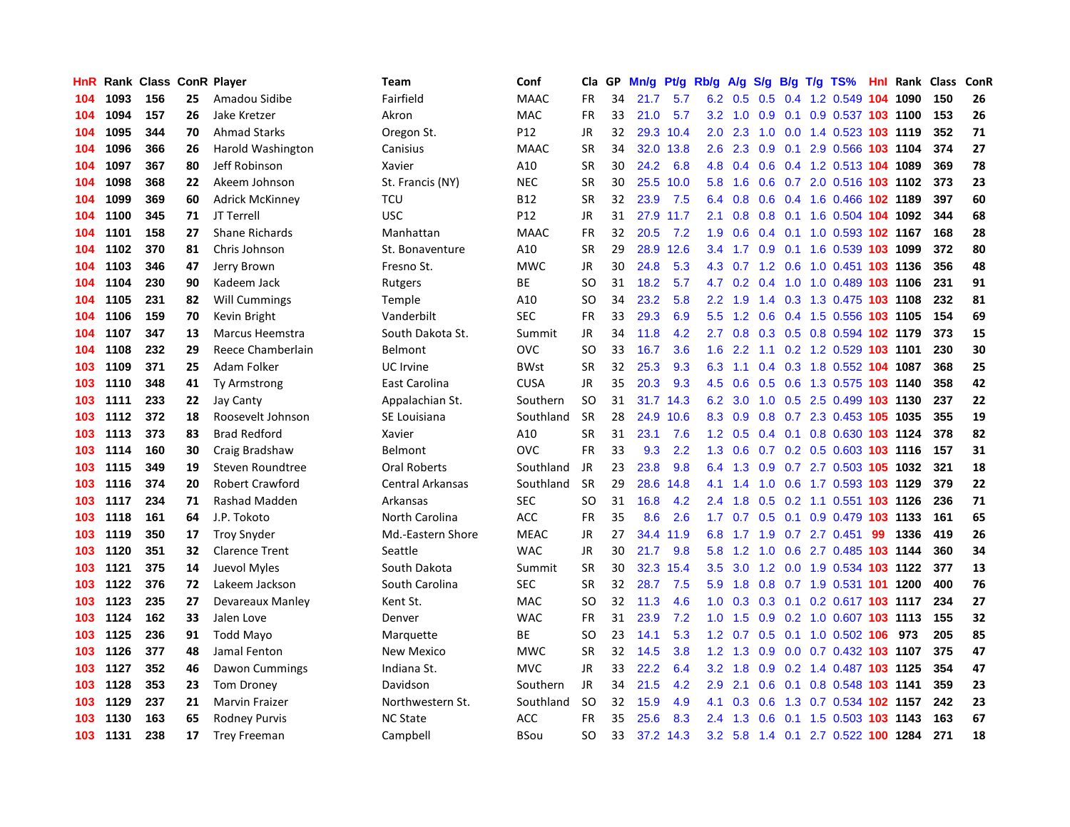| HnR |      | Rank Class ConR Player |    |                        | Team              | Conf            | Cla       | <b>GP</b> | Mn/g | Pt/g      | Rb/g             | A/g |                  |     | S/g B/g T/g TS%                    |    | <b>Hnl Rank Class</b> |     | ConR |
|-----|------|------------------------|----|------------------------|-------------------|-----------------|-----------|-----------|------|-----------|------------------|-----|------------------|-----|------------------------------------|----|-----------------------|-----|------|
| 104 | 1093 | 156                    | 25 | Amadou Sidibe          | Fairfield         | <b>MAAC</b>     | <b>FR</b> | 34        | 21.7 | 5.7       | 6.2              | 0.5 | 0.5              |     | 0.4 1.2 0.549 104 1090             |    |                       | 150 | 26   |
| 104 | 1094 | 157                    | 26 | Jake Kretzer           | Akron             | <b>MAC</b>      | <b>FR</b> | 33        | 21.0 | 5.7       |                  |     |                  |     | 3.2 1.0 0.9 0.1 0.9 0.537 103 1100 |    |                       | 153 | 26   |
| 104 | 1095 | 344                    | 70 | <b>Ahmad Starks</b>    | Oregon St.        | P <sub>12</sub> | JR        | 32        |      | 29.3 10.4 | $2.0^{\circ}$    | 2.3 |                  |     | 1.0 0.0 1.4 0.523 103 1119         |    |                       | 352 | 71   |
| 104 | 1096 | 366                    | 26 | Harold Washington      | Canisius          | <b>MAAC</b>     | <b>SR</b> | 34        | 32.0 | 13.8      | 2.6              | 2.3 |                  |     | 0.9 0.1 2.9 0.566 103 1104         |    |                       | 374 | 27   |
| 104 | 1097 | 367                    | 80 | Jeff Robinson          | Xavier            | A10             | <b>SR</b> | 30        | 24.2 | 6.8       | 4.8              | 0.4 | 0.6              |     | 0.4 1.2 0.513 104 1089             |    |                       | 369 | 78   |
| 104 | 1098 | 368                    | 22 | Akeem Johnson          | St. Francis (NY)  | <b>NEC</b>      | <b>SR</b> | 30        | 25.5 | 10.0      | 5.8              | 1.6 | 0.6              |     | 0.7 2.0 0.516 103 1102             |    |                       | 373 | 23   |
| 104 | 1099 | 369                    | 60 | <b>Adrick McKinney</b> | TCU               | <b>B12</b>      | <b>SR</b> | 32        | 23.9 | 7.5       | 6.4              | 0.8 |                  |     | 0.6 0.4 1.6 0.466 102 1189         |    |                       | 397 | 60   |
| 104 | 1100 | 345                    | 71 | JT Terrell             | <b>USC</b>        | P <sub>12</sub> | JR        | 31        | 27.9 | 11.7      | 2.1              | 0.8 | 0.8 <sub>0</sub> |     | 0.1 1.6 0.504 104 1092             |    |                       | 344 | 68   |
| 104 | 1101 | 158                    | 27 | <b>Shane Richards</b>  | Manhattan         | <b>MAAC</b>     | <b>FR</b> | 32        | 20.5 | 7.2       | 1.9              | 0.6 |                  |     | 0.4 0.1 1.0 0.593 102 1167         |    |                       | 168 | 28   |
| 104 | 1102 | 370                    | 81 | Chris Johnson          | St. Bonaventure   | A10             | <b>SR</b> | 29        | 28.9 | 12.6      | $3.4^{\circ}$    | 1.7 |                  |     | 0.9 0.1 1.6 0.539 103 1099         |    |                       | 372 | 80   |
| 104 | 1103 | 346                    | 47 | Jerry Brown            | Fresno St.        | <b>MWC</b>      | JR        | 30        | 24.8 | 5.3       |                  |     |                  |     | 4.3 0.7 1.2 0.6 1.0 0.451 103 1136 |    |                       | 356 | 48   |
| 104 | 1104 | 230                    | 90 | Kadeem Jack            | Rutgers           | <b>BE</b>       | SO.       | 31        | 18.2 | 5.7       | 4.7              | 0.2 |                  |     | 0.4 1.0 1.0 0.489 103 1106         |    |                       | 231 | 91   |
| 104 | 1105 | 231                    | 82 | <b>Will Cummings</b>   | Temple            | A10             | SO        | 34        | 23.2 | 5.8       | $2.2^{\circ}$    | 1.9 |                  |     | 1.4 0.3 1.3 0.475 103 1108         |    |                       | 232 | 81   |
| 104 | 1106 | 159                    | 70 | Kevin Bright           | Vanderbilt        | <b>SEC</b>      | <b>FR</b> | 33        | 29.3 | 6.9       | 5.5              | 1.2 | 0.6              |     | 0.4 1.5 0.556 103 1105             |    |                       | 154 | 69   |
| 104 | 1107 | 347                    | 13 | Marcus Heemstra        | South Dakota St.  | Summit          | JR        | 34        | 11.8 | 4.2       | 2.7              | 0.8 |                  |     | 0.3 0.5 0.8 0.594 102 1179         |    |                       | 373 | 15   |
| 104 | 1108 | 232                    | 29 | Reece Chamberlain      | Belmont           | OVC             | <b>SO</b> | 33        | 16.7 | 3.6       | 1.6              | 2.2 |                  |     | 1.1 0.2 1.2 0.529 103 1101         |    |                       | 230 | 30   |
| 103 | 1109 | 371                    | 25 | Adam Folker            | UC Irvine         | <b>BWst</b>     | <b>SR</b> | 32        | 25.3 | 9.3       | 6.3              | 1.1 |                  |     | 0.4 0.3 1.8 0.552 104 1087         |    |                       | 368 | 25   |
| 103 | 1110 | 348                    | 41 | Ty Armstrong           | East Carolina     | <b>CUSA</b>     | <b>JR</b> | 35        | 20.3 | 9.3       | 4.5              | 0.6 | 0.5              |     | 0.6 1.3 0.575 103 1140             |    |                       | 358 | 42   |
| 103 | 1111 | 233                    | 22 | Jay Canty              | Appalachian St.   | Southern        | <b>SO</b> | 31        | 31.7 | 14.3      | 6.2              | 3.0 |                  |     | 1.0 0.5 2.5 0.499 103 1130         |    |                       | 237 | 22   |
| 103 | 1112 | 372                    | 18 | Roosevelt Johnson      | SE Louisiana      | Southland       | <b>SR</b> | 28        | 24.9 | 10.6      | 8.3              | 0.9 |                  |     | 0.8 0.7 2.3 0.453 105 1035         |    |                       | 355 | 19   |
| 103 | 1113 | 373                    | 83 | <b>Brad Redford</b>    | Xavier            | A10             | <b>SR</b> | 31        | 23.1 | 7.6       | 1.2              | 0.5 |                  |     | 0.4 0.1 0.8 0.630 103 1124         |    |                       | 378 | 82   |
| 103 | 1114 | 160                    | 30 | Craig Bradshaw         | Belmont           | OVC             | <b>FR</b> | 33        | 9.3  | 2.2       | 1.3              | 0.6 |                  |     | 0.7 0.2 0.5 0.603 103 1116         |    |                       | 157 | 31   |
| 103 | 1115 | 349                    | 19 | Steven Roundtree       | Oral Roberts      | Southland       | JR        | 23        | 23.8 | 9.8       | 6.4              | 1.3 | 0.9              |     | 0.7 2.7 0.503 105 1032             |    |                       | 321 | 18   |
| 103 | 1116 | 374                    | 20 | Robert Crawford        | Central Arkansas  | Southland       | <b>SR</b> | 29        | 28.6 | 14.8      | 4.1              | 1.4 | 1.0              |     | 0.6 1.7 0.593 103 1129             |    |                       | 379 | 22   |
| 103 | 1117 | 234                    | 71 | Rashad Madden          | Arkansas          | SEC             | <b>SO</b> | 31        | 16.8 | 4.2       | $2.4^{\circ}$    | 1.8 | 0.5              |     | 0.2 1.1 0.551 103 1126             |    |                       | 236 | 71   |
| 103 | 1118 | 161                    | 64 | J.P. Tokoto            | North Carolina    | <b>ACC</b>      | FR        | 35        | 8.6  | 2.6       | 1.7 <sub>z</sub> | 0.7 | 0.5              | 0.1 | 0.9 0.479 103 1133                 |    |                       | 161 | 65   |
| 103 | 1119 | 350                    | 17 | <b>Troy Snyder</b>     | Md.-Eastern Shore | <b>MEAC</b>     | JR        | 27        | 34.4 | 11.9      | 6.8              |     |                  |     | 1.7 1.9 0.7 2.7 0.451              | 99 | 1336                  | 419 | 26   |
| 103 | 1120 | 351                    | 32 | <b>Clarence Trent</b>  | Seattle           | <b>WAC</b>      | JR        | 30        | 21.7 | 9.8       | 5.8              | 1.2 |                  |     | 1.0 0.6 2.7 0.485 103 1144         |    |                       | 360 | 34   |
| 103 | 1121 | 375                    | 14 | Juevol Myles           | South Dakota      | Summit          | <b>SR</b> | 30        | 32.3 | 15.4      | $3.5^{\circ}$    |     |                  |     | 3.0 1.2 0.0 1.9 0.534 103 1122     |    |                       | 377 | 13   |
| 103 | 1122 | 376                    | 72 | Lakeem Jackson         | South Carolina    | <b>SEC</b>      | <b>SR</b> | 32        | 28.7 | 7.5       | 5.9              | 1.8 |                  |     | 0.8 0.7 1.9 0.531 101 1200         |    |                       | 400 | 76   |
| 103 | 1123 | 235                    | 27 | Devareaux Manley       | Kent St.          | <b>MAC</b>      | <b>SO</b> | 32        | 11.3 | 4.6       | 1.0              | 0.3 | 0.3              |     | 0.1 0.2 0.617 103 1117             |    |                       | 234 | 27   |
| 103 | 1124 | 162                    | 33 | Jalen Love             | Denver            | <b>WAC</b>      | <b>FR</b> | 31        | 23.9 | 7.2       | 1.0              | 1.5 | 0.9              |     | 0.2 1.0 0.607 103 1113             |    |                       | 155 | 32   |
| 103 | 1125 | 236                    | 91 | <b>Todd Mayo</b>       | Marquette         | <b>BE</b>       | SO        | 23        | 14.1 | 5.3       | 1.2              | 0.7 | 0.5              |     | $0.1$ 1.0 0.502 106                |    | 973                   | 205 | 85   |
| 103 | 1126 | 377                    | 48 | Jamal Fenton           | New Mexico        | <b>MWC</b>      | <b>SR</b> | 32        | 14.5 | 3.8       | $1.2^{\circ}$    | 1.3 | 0.9              |     | 0.0 0.7 0.432 103 1107             |    |                       | 375 | 47   |
| 103 | 1127 | 352                    | 46 | Dawon Cummings         | Indiana St.       | <b>MVC</b>      | JR        | 33        | 22.2 | 6.4       | 3.2              | 1.8 | 0.9              |     | 0.2 1.4 0.487 103 1125             |    |                       | 354 | 47   |
| 103 | 1128 | 353                    | 23 | <b>Tom Droney</b>      | Davidson          | Southern        | JR        | 34        | 21.5 | 4.2       | 2.9              | 2.1 | 0.6              |     | 0.1 0.8 0.548 103 1141             |    |                       | 359 | 23   |
| 103 | 1129 | 237                    | 21 | <b>Marvin Fraizer</b>  | Northwestern St.  | Southland       | SO.       | 32        | 15.9 | 4.9       | 4.1              | 0.3 | 0.6              |     | 1.3 0.7 0.534 102 1157             |    |                       | 242 | 23   |
| 103 | 1130 | 163                    | 65 | <b>Rodney Purvis</b>   | <b>NC State</b>   | ACC             | FR        | 35        | 25.6 | 8.3       | $2.4^{\circ}$    | 1.3 |                  |     | $0.6$ 0.1 1.5 0.503 103 1143       |    |                       | 163 | 67   |
| 103 | 1131 | 238                    | 17 | <b>Trey Freeman</b>    | Campbell          | BSou            | SO.       | 33        |      | 37.2 14.3 | 3.2              |     |                  |     | 5.8 1.4 0.1 2.7 0.522 100 1284     |    |                       | 271 | 18   |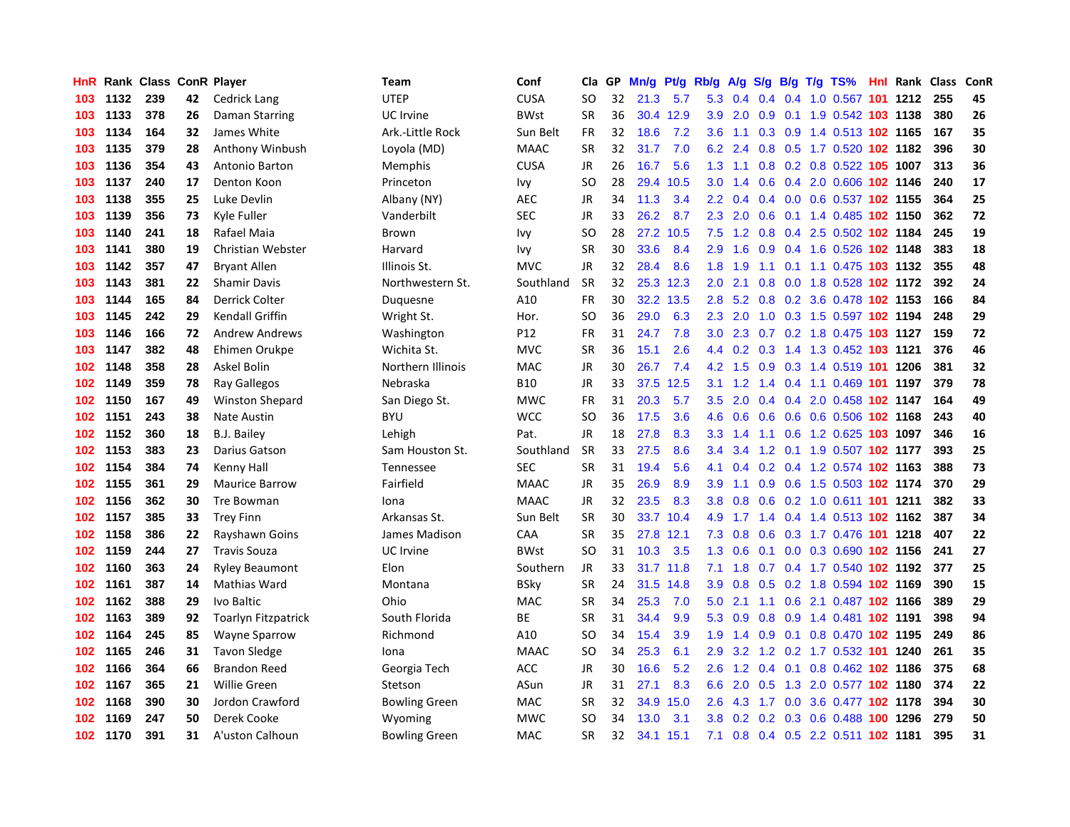| HnR |      | Rank Class ConR Player |    |                            | Team                 | Conf        | Cla       | GP. | Mn/g | Pt/g Rb/g |                  | A/g             |                  |  | S/g B/g T/g TS%                | <b>Hnl Rank Class</b> |     | ConR |
|-----|------|------------------------|----|----------------------------|----------------------|-------------|-----------|-----|------|-----------|------------------|-----------------|------------------|--|--------------------------------|-----------------------|-----|------|
| 103 | 1132 | 239                    | 42 | <b>Cedrick Lang</b>        | <b>UTEP</b>          | <b>CUSA</b> | SO        | 32  | 21.3 | 5.7       | 5.3              | 0.4             | $0.4^{\circ}$    |  | 0.4 1.0 0.567 101 1212         |                       | 255 | 45   |
| 103 | 1133 | 378                    | 26 | Daman Starring             | UC Irvine            | <b>BWst</b> | <b>SR</b> | 36  |      | 30.4 12.9 | 3.9 <sup>°</sup> | 2.0             |                  |  | 0.9 0.1 1.9 0.542 103 1138     |                       | 380 | 26   |
| 103 | 1134 | 164                    | 32 | James White                | Ark.-Little Rock     | Sun Belt    | <b>FR</b> | 32  | 18.6 | 7.2       | 3.6              | 1.1             |                  |  | 0.3 0.9 1.4 0.513 102 1165     |                       | 167 | 35   |
| 103 | 1135 | 379                    | 28 | Anthony Winbush            | Loyola (MD)          | <b>MAAC</b> | <b>SR</b> | 32  | 31.7 | 7.0       | 6.2              | 2.4             |                  |  | 0.8 0.5 1.7 0.520 102 1182     |                       | 396 | 30   |
| 103 | 1136 | 354                    | 43 | Antonio Barton             | Memphis              | CUSA        | JR        | 26  | 16.7 | 5.6       | 1.3              | 1.1             |                  |  | 0.8 0.2 0.8 0.522 105 1007     |                       | 313 | 36   |
| 103 | 1137 | 240                    | 17 | Denton Koon                | Princeton            | Ivy         | SO        | 28  | 29.4 | 10.5      | 3.0 <sub>2</sub> | 1.4             | 0.6              |  | 0.4 2.0 0.606 102 1146         |                       | 240 | 17   |
| 103 | 1138 | 355                    | 25 | Luke Devlin                | Albany (NY)          | <b>AEC</b>  | JR        | 34  | 11.3 | 3.4       | 2.2              | 0.4             |                  |  | 0.4 0.0 0.6 0.537 102 1155     |                       | 364 | 25   |
| 103 | 1139 | 356                    | 73 | Kyle Fuller                | Vanderbilt           | <b>SEC</b>  | JR        | 33  | 26.2 | 8.7       | 2.3              | 2.0             | 0.6              |  | 0.1 1.4 0.485 102 1150         |                       | 362 | 72   |
| 103 | 1140 | 241                    | 18 | Rafael Maia                | <b>Brown</b>         | lvy         | SO        | 28  | 27.2 | 10.5      | 7.5              | 1.2             | 0.8              |  | 0.4 2.5 0.502 102 1184         |                       | 245 | 19   |
| 103 | 1141 | 380                    | 19 | <b>Christian Webster</b>   | Harvard              | Ivy         | <b>SR</b> | 30  | 33.6 | 8.4       | 2.9              | 1.6             |                  |  | 0.9 0.4 1.6 0.526 102 1148     |                       | 383 | 18   |
| 103 | 1142 | 357                    | 47 | <b>Bryant Allen</b>        | Illinois St.         | <b>MVC</b>  | JR        | 32  | 28.4 | 8.6       | 1.8              | 1.9             |                  |  | 1.1 0.1 1.1 0.475 103 1132     |                       | 355 | 48   |
| 103 | 1143 | 381                    | 22 | <b>Shamir Davis</b>        | Northwestern St.     | Southland   | SR.       | 32  |      | 25.3 12.3 | $2.0^{\circ}$    | 2.1             |                  |  | 0.8 0.0 1.8 0.528 102 1172     |                       | 392 | 24   |
| 103 | 1144 | 165                    | 84 | Derrick Colter             | Duquesne             | A10         | <b>FR</b> | 30  | 32.2 | 13.5      | 2.8              | 5.2             |                  |  | 0.8 0.2 3.6 0.478 102 1153     |                       | 166 | 84   |
| 103 | 1145 | 242                    | 29 | <b>Kendall Griffin</b>     | Wright St.           | Hor.        | <b>SO</b> | 36  | 29.0 | 6.3       | 2.3              | 2.0             |                  |  | 1.0 0.3 1.5 0.597 102 1194     |                       | 248 | 29   |
| 103 | 1146 | 166                    | 72 | <b>Andrew Andrews</b>      | Washington           | P12         | FR        | 31  | 24.7 | 7.8       | 3.0 <sub>2</sub> | 2.3             |                  |  | 0.7 0.2 1.8 0.475 103 1127     |                       | 159 | 72   |
| 103 | 1147 | 382                    | 48 | Ehimen Orukpe              | Wichita St.          | <b>MVC</b>  | <b>SR</b> | 36  | 15.1 | 2.6       | 4.4              | 0.2             |                  |  | 0.3 1.4 1.3 0.452 103 1121     |                       | 376 | 46   |
| 102 | 1148 | 358                    | 28 | Askel Bolin                | Northern Illinois    | MAC         | JR        | 30  | 26.7 | 7.4       | 4.2              | 1.5             | 0.9 <sub>0</sub> |  | 0.3 1.4 0.519 101 1206         |                       | 381 | 32   |
| 102 | 1149 | 359                    | 78 | Ray Gallegos               | Nebraska             | <b>B10</b>  | <b>JR</b> | 33  | 37.5 | 12.5      | 3.1              | 1.2             | 1.4              |  | 0.4 1.1 0.469 101 1197         |                       | 379 | 78   |
| 102 | 1150 | 167                    | 49 | <b>Winston Shepard</b>     | San Diego St.        | MWC         | FR        | 31  | 20.3 | 5.7       | 3.5              | 2.0             |                  |  | 0.4 0.4 2.0 0.458 102 1147     |                       | 164 | 49   |
| 102 | 1151 | 243                    | 38 | <b>Nate Austin</b>         | <b>BYU</b>           | <b>WCC</b>  | SO        | 36  | 17.5 | 3.6       | 4.6              |                 |                  |  | 0.6 0.6 0.6 0.6 0.506 102 1168 |                       | 243 | 40   |
| 102 | 1152 | 360                    | 18 | <b>B.J. Bailey</b>         | Lehigh               | Pat.        | JR        | 18  | 27.8 | 8.3       | 3.3              |                 |                  |  | 1.4 1.1 0.6 1.2 0.625 103 1097 |                       | 346 | 16   |
| 102 | 1153 | 383                    | 23 | Darius Gatson              | Sam Houston St.      | Southland   | <b>SR</b> | 33  | 27.5 | 8.6       | 3.4              | 3.4             | 1.2              |  | 0.1 1.9 0.507 102 1177         |                       | 393 | 25   |
| 102 | 1154 | 384                    | 74 | Kenny Hall                 | Tennessee            | <b>SEC</b>  | <b>SR</b> | 31  | 19.4 | 5.6       | 4.1              | 0.4             |                  |  | 0.2 0.4 1.2 0.574 102 1163     |                       | 388 | 73   |
| 102 | 1155 | 361                    | 29 | <b>Maurice Barrow</b>      | Fairfield            | <b>MAAC</b> | JR        | 35  | 26.9 | 8.9       | 3.9              | 1.1             | 0.9              |  | 0.6 1.5 0.503 102 1174         |                       | 370 | 29   |
| 102 | 1156 | 362                    | 30 | Tre Bowman                 | Iona                 | <b>MAAC</b> | JR        | 32  | 23.5 | 8.3       | 3.8              | 0.8             | 0.6              |  | 0.2 1.0 0.611 101 1211         |                       | 382 | 33   |
| 102 | 1157 | 385                    | 33 | <b>Trey Finn</b>           | Arkansas St.         | Sun Belt    | <b>SR</b> | 30  | 33.7 | 10.4      | 4.9              | 1.7             |                  |  | 1.4 0.4 1.4 0.513 102 1162     |                       | 387 | 34   |
| 102 | 1158 | 386                    | 22 | Rayshawn Goins             | James Madison        | CAA         | <b>SR</b> | 35  |      | 27.8 12.1 | 7.3              | 0.8             |                  |  | 0.6 0.3 1.7 0.476 101 1218     |                       | 407 | 22   |
| 102 | 1159 | 244                    | 27 | <b>Travis Souza</b>        | UC Irvine            | <b>BWst</b> | <b>SO</b> | 31  | 10.3 | 3.5       |                  | $1.3 \quad 0.6$ |                  |  | 0.1 0.0 0.3 0.690 102 1156     |                       | 241 | 27   |
| 102 | 1160 | 363                    | 24 | <b>Ryley Beaumont</b>      | Elon                 | Southern    | <b>JR</b> | 33  |      | 31.7 11.8 | 7.1              | 1.8             |                  |  | 0.7 0.4 1.7 0.540 102 1192     |                       | 377 | 25   |
| 102 | 1161 | 387                    | 14 | Mathias Ward               | Montana              | <b>BSky</b> | <b>SR</b> | 24  | 31.5 | 14.8      | 3.9 <sup>°</sup> | 0.8             |                  |  | 0.5 0.2 1.8 0.594 102 1169     |                       | 390 | 15   |
| 102 | 1162 | 388                    | 29 | Ivo Baltic                 | Ohio                 | <b>MAC</b>  | <b>SR</b> | 34  | 25.3 | 7.0       | 5.0              | 2.1             | 1.1              |  | 0.6 2.1 0.487 102 1166         |                       | 389 | 29   |
| 102 | 1163 | 389                    | 92 | <b>Toarlyn Fitzpatrick</b> | South Florida        | ВE          | <b>SR</b> | 31  | 34.4 | 9.9       | 5.3              | 0.9             |                  |  | 0.8 0.9 1.4 0.481 102 1191     |                       | 398 | 94   |
| 102 | 1164 | 245                    | 85 | <b>Wayne Sparrow</b>       | Richmond             | A10         | SO        | 34  | 15.4 | 3.9       | 1.9              | 1.4             | 0.9 <sup>°</sup> |  | 0.1 0.8 0.470 102 1195         |                       | 249 | 86   |
| 102 | 1165 | 246                    | 31 | <b>Tavon Sledge</b>        | Iona                 | MAAC        | SO        | 34  | 25.3 | 6.1       | 2.9 <sup>°</sup> | $3.2^{\circ}$   | 1.2              |  | 0.2 1.7 0.532 101 1240         |                       | 261 | 35   |
| 102 | 1166 | 364                    | 66 | <b>Brandon Reed</b>        | Georgia Tech         | ACC         | JR        | 30  | 16.6 | 5.2       | 2.6              | 1.2             | 0.4              |  | 0.1 0.8 0.462 102 1186         |                       | 375 | 68   |
| 102 | 1167 | 365                    | 21 | <b>Willie Green</b>        | Stetson              | ASun        | <b>JR</b> | 31  | 27.1 | 8.3       | 6.6              | 2.0             |                  |  | 0.5 1.3 2.0 0.577 102 1180     |                       | 374 | 22   |
| 102 | 1168 | 390                    | 30 | Jordon Crawford            | <b>Bowling Green</b> | <b>MAC</b>  | SR        | 32  | 34.9 | 15.0      | 2.6              |                 |                  |  | 4.3 1.7 0.0 3.6 0.477 102 1178 |                       | 394 | 30   |
| 102 | 1169 | 247                    | 50 | Derek Cooke                | Wyoming              | <b>MWC</b>  | SO        | 34  | 13.0 | 3.1       | 3.8 <sub>2</sub> | 0.2             |                  |  | 0.2 0.3 0.6 0.488 100 1296     |                       | 279 | 50   |
| 102 | 1170 | 391                    | 31 | A'uston Calhoun            | <b>Bowling Green</b> | <b>MAC</b>  | <b>SR</b> | 32  | 34.1 | 15.1      | 7.1              | 0.8             |                  |  | 0.4 0.5 2.2 0.511 102 1181     |                       | 395 | 31   |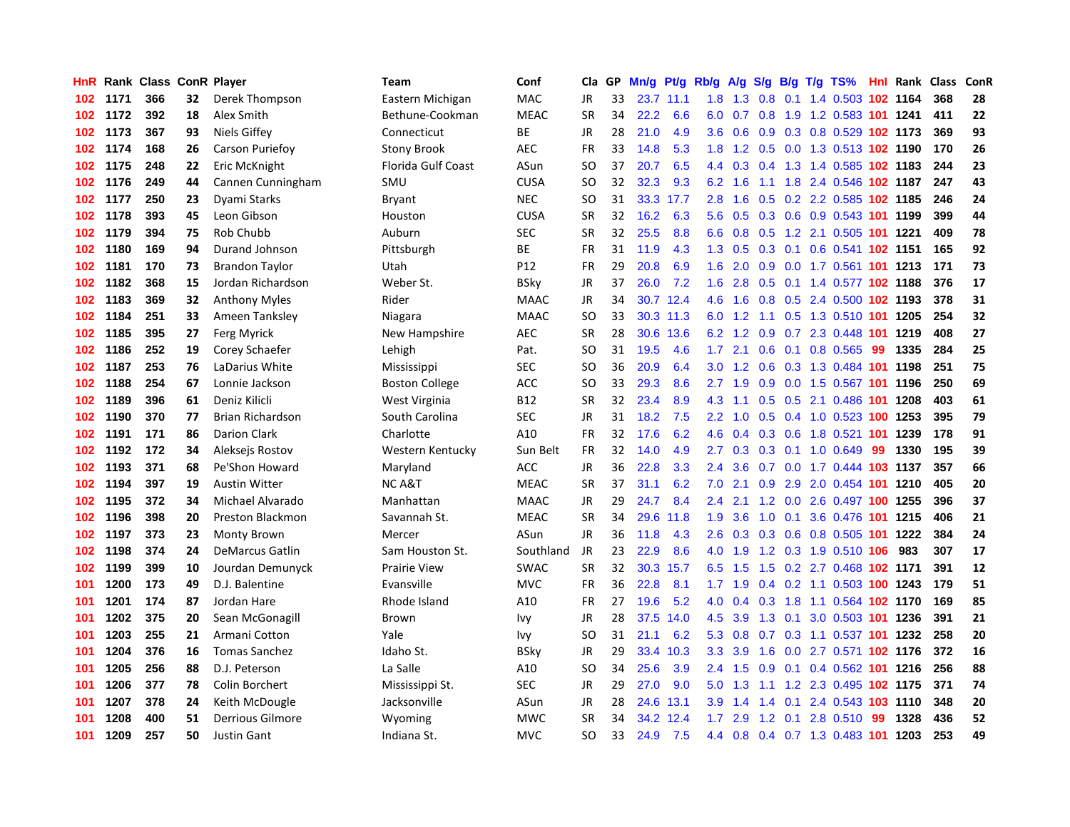| HnR. |      | <b>Rank Class</b> |    | <b>ConR Player</b>      | Team                      | Conf        | Cla       | <b>GP</b> | Mn/g | Pt/g | Rb/g             | A/g    | S/g              | B/g | $T/g$ TS%                  |     | Hnl Rank | <b>Class</b> | ConR |
|------|------|-------------------|----|-------------------------|---------------------------|-------------|-----------|-----------|------|------|------------------|--------|------------------|-----|----------------------------|-----|----------|--------------|------|
| 102  | 1171 | 366               | 32 | Derek Thompson          | Eastern Michigan          | <b>MAC</b>  | <b>JR</b> | 33        | 23.7 | 11.1 | 1.8              | 1.3    | 0.8              |     | 0.1 1.4 0.503 102 1164     |     |          | 368          | 28   |
| 102  | 1172 | 392               | 18 | Alex Smith              | Bethune-Cookman           | <b>MEAC</b> | <b>SR</b> | 34        | 22.2 | 6.6  | 6.0              | 0.7    |                  |     | 0.8 1.9 1.2 0.583 101 1241 |     |          | 411          | 22   |
| 102  | 1173 | 367               | 93 | Niels Giffey            | Connecticut               | ВE          | <b>JR</b> | 28        | 21.0 | 4.9  | 3.6 <sup>°</sup> | 0.6    |                  |     | 0.9 0.3 0.8 0.529 102 1173 |     |          | 369          | 93   |
| 102  | 1174 | 168               | 26 | Carson Puriefoy         | <b>Stony Brook</b>        | <b>AEC</b>  | FR        | 33        | 14.8 | 5.3  | 1.8              | 1.2    |                  |     | 0.5 0.0 1.3 0.513 102 1190 |     |          | 170          | 26   |
| 102  | 1175 | 248               | 22 | Eric McKnight           | <b>Florida Gulf Coast</b> | ASun        | <b>SO</b> | 37        | 20.7 | 6.5  | 4.4              | 0.3    | $0.4^{\circ}$    |     | 1.3 1.4 0.585 102 1183     |     |          | 244          | 23   |
| 102  | 1176 | 249               | 44 | Cannen Cunningham       | SMU                       | <b>CUSA</b> | SO        | 32        | 32.3 | 9.3  | 6.2              | 1.6    |                  |     | 1.1 1.8 2.4 0.546 102 1187 |     |          | 247          | 43   |
| 102  | 1177 | 250               | 23 | Dyami Starks            | <b>Bryant</b>             | <b>NEC</b>  | SO        | 31        | 33.3 | 17.7 | 2.8              | 1.6    | 0.5              |     | 0.2 2.2 0.585 102 1185     |     |          | 246          | 24   |
| 102  | 1178 | 393               | 45 | Leon Gibson             | Houston                   | <b>CUSA</b> | <b>SR</b> | 32        | 16.2 | 6.3  | 5.6              | 0.5    | 0.3              |     | 0.6 0.9 0.543 101 1199     |     |          | 399          | 44   |
| 102  | 1179 | 394               | 75 | Rob Chubb               | Auburn                    | SEC         | <b>SR</b> | 32        | 25.5 | 8.8  | 6.6              | 0.8    | 0.5              |     | 1.2 2.1 0.505 101 1221     |     |          | 409          | 78   |
| 102  | 1180 | 169               | 94 | Durand Johnson          | Pittsburgh                | ВE          | FR        | 31        | 11.9 | 4.3  | 1.3              | 0.5    |                  |     | 0.3 0.1 0.6 0.541 102 1151 |     |          | 165          | 92   |
| 102  | 1181 | 170               | 73 | <b>Brandon Taylor</b>   | Utah                      | P12         | <b>FR</b> | 29        | 20.8 | 6.9  | 1.6              | 2.0    |                  |     | 0.9 0.0 1.7 0.561 101 1213 |     |          | 171          | 73   |
| 102  | 1182 | 368               | 15 | Jordan Richardson       | Weber St.                 | <b>BSky</b> | JR        | 37        | 26.0 | 7.2  | 1.6              | 2.8    |                  |     | 0.5 0.1 1.4 0.577 102 1188 |     |          | 376          | 17   |
| 102  | 1183 | 369               | 32 | <b>Anthony Myles</b>    | Rider                     | <b>MAAC</b> | <b>JR</b> | 34        | 30.7 | 12.4 | 4.6              | 1.6    | 0.8              |     | 0.5 2.4 0.500 102 1193     |     |          | 378          | 31   |
| 102  | 1184 | 251               | 33 | Ameen Tanksley          | Niagara                   | <b>MAAC</b> | <b>SO</b> | 33        | 30.3 | 11.3 | 6.0              | 1.2    |                  |     | 1.1 0.5 1.3 0.510 101 1205 |     |          | 254          | 32   |
| 102  | 1185 | 395               | 27 | Ferg Myrick             | New Hampshire             | <b>AEC</b>  | <b>SR</b> | 28        | 30.6 | 13.6 | 6.2              | 1.2    | 0.9              |     | 0.7 2.3 0.448 101          |     | 1219     | 408          | 27   |
| 102  | 1186 | 252               | 19 | Corey Schaefer          | Lehigh                    | Pat.        | SO        | 31        | 19.5 | 4.6  | 1.7              | 2.1    | 0.6              |     | $0.1$ 0.8 0.565            | 99  | 1335     | 284          | 25   |
| 102  | 1187 | 253               | 76 | LaDarius White          | Mississippi               | <b>SEC</b>  | SO        | 36        | 20.9 | 6.4  | 3.0 <sub>2</sub> | 1.2    | 0.6              |     | 0.3 1.3 0.484 101 1198     |     |          | 251          | 75   |
| 102  | 1188 | 254               | 67 | Lonnie Jackson          | <b>Boston College</b>     | ACC         | <b>SO</b> | 33        | 29.3 | 8.6  | $2.7^{\circ}$    | 1.9    | 0.9 <sup>°</sup> |     | 0.0 1.5 0.567 101 1196     |     |          | 250          | 69   |
| 102  | 1189 | 396               | 61 | Deniz Kilicli           | West Virginia             | <b>B12</b>  | <b>SR</b> | 32        | 23.4 | 8.9  | 4.3              | $-1.1$ |                  |     | 0.5 0.5 2.1 0.486 101 1208 |     |          | 403          | 61   |
| 102  | 1190 | 370               | 77 | <b>Brian Richardson</b> | South Carolina            | <b>SEC</b>  | <b>JR</b> | 31        | 18.2 | 7.5  | $2.2^{\circ}$    | 1.0    |                  |     | 0.5 0.4 1.0 0.523 100 1253 |     |          | 395          | 79   |
| 102  | 1191 | 171               | 86 | <b>Darion Clark</b>     | Charlotte                 | A10         | FR        | 32        | 17.6 | 6.2  | 4.6              | 0.4    |                  |     | 0.3 0.6 1.8 0.521 101 1239 |     |          | 178          | 91   |
| 102  | 1192 | 172               | 34 | Aleksejs Rostov         | Western Kentucky          | Sun Belt    | <b>FR</b> | 32        | 14.0 | 4.9  | $2.7^{\circ}$    | 0.3    | 0.3              |     | $0.1$ 1.0 0.649            | -99 | 1330     | 195          | 39   |
| 102  | 1193 | 371               | 68 | Pe'Shon Howard          | Maryland                  | <b>ACC</b>  | <b>JR</b> | 36        | 22.8 | 3.3  | $2.4^{\circ}$    | 3.6    |                  |     | 0.7 0.0 1.7 0.444 103 1137 |     |          | 357          | 66   |
| 102  | 1194 | 397               | 19 | <b>Austin Witter</b>    | <b>NCA&amp;T</b>          | <b>MEAC</b> | <b>SR</b> | 37        | 31.1 | 6.2  | 7.0              | 2.1    | 0.9              |     | 2.9 2.0 0.454 101          |     | 1210     | 405          | 20   |
| 102  | 1195 | 372               | 34 | Michael Alvarado        | Manhattan                 | <b>MAAC</b> | JR        | 29        | 24.7 | 8.4  | 2.4              | 2.1    | 1.2              |     | 0.0 2.6 0.497 100 1255     |     |          | 396          | 37   |
| 102  | 1196 | 398               | 20 | Preston Blackmon        | Savannah St.              | <b>MEAC</b> | <b>SR</b> | 34        | 29.6 | 11.8 | 1.9              | 3.6    | 1.0              |     | 0.1 3.6 0.476 101 1215     |     |          | 406          | 21   |
| 102  | 1197 | 373               | 23 | <b>Monty Brown</b>      | Mercer                    | ASun        | JR        | 36        | 11.8 | 4.3  | 2.6              | 0.3    |                  |     | 0.3 0.6 0.8 0.505 101 1222 |     |          | 384          | 24   |
| 102  | 1198 | 374               | 24 | <b>DeMarcus Gatlin</b>  | Sam Houston St.           | Southland   | JR        | 23        | 22.9 | 8.6  | 4.0              | 1.9    |                  |     | 1.2 0.3 1.9 0.510 106      |     | 983      | 307          | 17   |
| 102  | 1199 | 399               | 10 | Jourdan Demunyck        | <b>Prairie View</b>       | SWAC        | <b>SR</b> | 32        | 30.3 | 15.7 | 6.5              | 1.5    |                  |     | 1.5 0.2 2.7 0.468 102 1171 |     |          | 391          | 12   |
| 101  | 1200 | 173               | 49 | D.J. Balentine          | Evansville                | <b>MVC</b>  | FR        | 36        | 22.8 | 8.1  | 1.7 <sub>2</sub> | 1.9    |                  |     | 0.4 0.2 1.1 0.503 100 1243 |     |          | 179          | 51   |
| 101  | 1201 | 174               | 87 | Jordan Hare             | Rhode Island              | A10         | FR        | 27        | 19.6 | 5.2  | 4.0              | 0.4    | 0.3              |     | 1.8 1.1 0.564 102 1170     |     |          | 169          | 85   |
| 101  | 1202 | 375               | 20 | Sean McGonagill         | Brown                     | lvy         | JR        | 28        | 37.5 | 14.0 | 4.5              | 3.9    | 1.3              |     | 0.1 3.0 0.503 101 1236     |     |          | 391          | 21   |
| 101  | 1203 | 255               | 21 | Armani Cotton           | Yale                      | Ivy         | SO        | 31        | 21.1 | 6.2  | 5.3              | 0.8    | 0.7              |     | 0.3 1.1 0.537 101 1232     |     |          | 258          | 20   |
| 101  | 1204 | 376               | 16 | <b>Tomas Sanchez</b>    | Idaho St.                 | BSky        | JR        | 29        | 33.4 | 10.3 | 3.3              | 3.9    | 1.6              |     | 0.0 2.7 0.571 102 1176     |     |          | 372          | 16   |
| 101  | 1205 | 256               | 88 | D.J. Peterson           | La Salle                  | A10         | <b>SO</b> | 34        | 25.6 | 3.9  | $2.4^{\circ}$    | 1.5    | 0.9              |     | 0.1 0.4 0.562 101 1216     |     |          | 256          | 88   |
| 101  | 1206 | 377               | 78 | Colin Borchert          | Mississippi St.           | <b>SEC</b>  | <b>JR</b> | 29        | 27.0 | 9.0  | 5.0              | 1.3    |                  |     | 1.1 1.2 2.3 0.495 102 1175 |     |          | 371          | 74   |
| 101  | 1207 | 378               | 24 | Keith McDougle          | Jacksonville              | ASun        | JR        | 28        | 24.6 | 13.1 | 3.9 <sup>°</sup> | 1.4    | $1.4^{\circ}$    |     | 0.1 2.4 0.543 103 1110     |     |          | 348          | 20   |
| 101  | 1208 | 400               | 51 | Derrious Gilmore        | Wyoming                   | <b>MWC</b>  | SR        | 34        | 34.2 | 12.4 | 1.7 <sub>2</sub> | 2.9    |                  |     | 1.2 0.1 2.8 0.510          | -99 | 1328     | 436          | 52   |
| 101  | 1209 | 257               | 50 | <b>Justin Gant</b>      | Indiana St.               | <b>MVC</b>  | <b>SO</b> | 33        | 24.9 | 7.5  | 4.4              | 0.8    |                  |     | 0.4 0.7 1.3 0.483 101 1203 |     |          | 253          | 49   |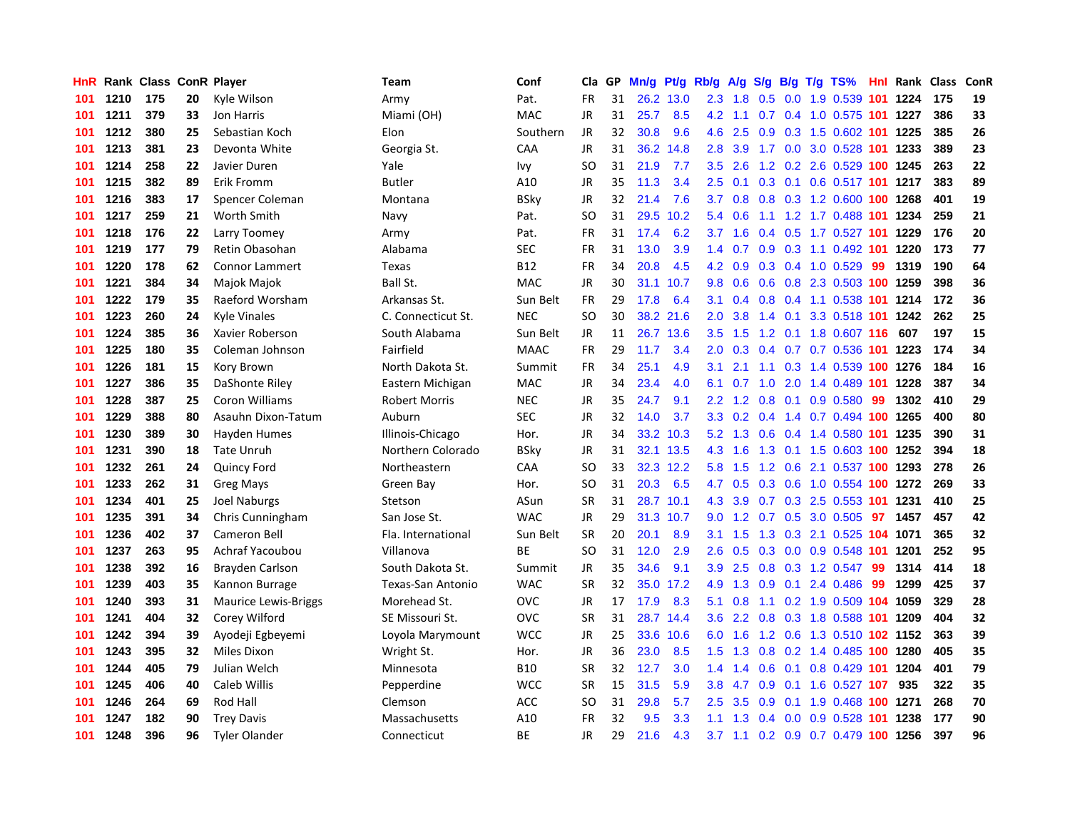| <b>HnR</b> |      | Rank Class ConR Player |    |                             | Team                 | Conf        | Cla       | GP | Mn/g | Pt/g | Rb/g             | A/g             | S/g              |     | $B/g$ T/g TS%                      |     | <b>Hnl Rank Class</b> |     | ConR |
|------------|------|------------------------|----|-----------------------------|----------------------|-------------|-----------|----|------|------|------------------|-----------------|------------------|-----|------------------------------------|-----|-----------------------|-----|------|
| 101        | 1210 | 175                    | 20 | Kyle Wilson                 | Army                 | Pat.        | <b>FR</b> | 31 | 26.2 | 13.0 | 2.3              | 1.8             | 0.5              | 0.0 | 1.9 0.539 101                      |     | 1224                  | 175 | 19   |
| 101        | 1211 | 379                    | 33 | Jon Harris                  | Miami (OH)           | MAC         | JR        | 31 | 25.7 | 8.5  | 4.2              | $-1.1$          |                  |     | 0.7 0.4 1.0 0.575 101 1227         |     |                       | 386 | 33   |
| 101        | 1212 | 380                    | 25 | Sebastian Koch              | Elon                 | Southern    | JR        | 32 | 30.8 | 9.6  | 4.6              | 2.5             |                  |     | 0.9 0.3 1.5 0.602 101 1225         |     |                       | 385 | 26   |
| 101        | 1213 | 381                    | 23 | Devonta White               | Georgia St.          | CAA         | JR        | 31 | 36.2 | 14.8 | 2.8              | 3.9             |                  |     | 1.7 0.0 3.0 0.528 101 1233         |     |                       | 389 | 23   |
| 101        | 1214 | 258                    | 22 | Javier Duren                | Yale                 | Ivy         | SO        | 31 | 21.9 | 7.7  | 3.5              | 2.6             |                  |     | 1.2 0.2 2.6 0.529 100 1245         |     |                       | 263 | 22   |
| 101        | 1215 | 382                    | 89 | Erik Fromm                  | <b>Butler</b>        | A10         | JR        | 35 | 11.3 | 3.4  | 2.5              | 0.1             | 0.3              |     | 0.1 0.6 0.517 101 1217             |     |                       | 383 | 89   |
| 101        | 1216 | 383                    | 17 | Spencer Coleman             | Montana              | <b>BSky</b> | JR        | 32 | 21.4 | 7.6  | 3.7              | 0.8             |                  |     | 0.8 0.3 1.2 0.600 100 1268         |     |                       | 401 | 19   |
| 101        | 1217 | 259                    | 21 | Worth Smith                 | Navy                 | Pat.        | SO        | 31 | 29.5 | 10.2 | 5.4              | 0.6             |                  |     | 1.1 1.2 1.7 0.488 101 1234         |     |                       | 259 | 21   |
| 101        | 1218 | 176                    | 22 | Larry Toomey                | Army                 | Pat.        | FR        | 31 | 17.4 | 6.2  | 3.7              | $-1.6$          |                  |     | 0.4 0.5 1.7 0.527 101 1229         |     |                       | 176 | 20   |
| 101        | 1219 | 177                    | 79 | Retin Obasohan              | Alabama              | <b>SEC</b>  | FR        | 31 | 13.0 | 3.9  | 1.4              | 0.7             | 0.9              |     | 0.3 1.1 0.492 101 1220             |     |                       | 173 | 77   |
| 101        | 1220 | 178                    | 62 | <b>Connor Lammert</b>       | <b>Texas</b>         | <b>B12</b>  | FR        | 34 | 20.8 | 4.5  |                  | 4.2 0.9         |                  |     | 0.3 0.4 1.0 0.529 99               |     | 1319                  | 190 | 64   |
| 101        | 1221 | 384                    | 34 | Majok Majok                 | Ball St.             | <b>MAC</b>  | JR        | 30 | 31.1 | 10.7 | 9.8              | 0.6             |                  |     | 0.6 0.8 2.3 0.503 100 1259         |     |                       | 398 | 36   |
| 101        | 1222 | 179                    | 35 | Raeford Worsham             | Arkansas St.         | Sun Belt    | <b>FR</b> | 29 | 17.8 | 6.4  | 3.1              | 0.4             |                  |     | 0.8 0.4 1.1 0.538 101 1214         |     |                       | 172 | 36   |
| 101        | 1223 | 260                    | 24 | <b>Kyle Vinales</b>         | C. Connecticut St.   | <b>NEC</b>  | <b>SO</b> | 30 | 38.2 | 21.6 | 2.0              | 3.8             | 1.4              |     | 0.1 3.3 0.518 101 1242             |     |                       | 262 | 25   |
| 101        | 1224 | 385                    | 36 | Xavier Roberson             | South Alabama        | Sun Belt    | JR        | 11 | 26.7 | 13.6 | 3.5              | 1.5             |                  |     | 1.2 0.1 1.8 0.607 116              |     | 607                   | 197 | 15   |
| 101        | 1225 | 180                    | 35 | Coleman Johnson             | Fairfield            | <b>MAAC</b> | <b>FR</b> | 29 | 11.7 | 3.4  | 2.0              | 0.3             | $0.4^{\circ}$    |     | $0.7$ 0.7 0.536 101                |     | 1223                  | 174 | 34   |
| 101        | 1226 | 181                    | 15 | Kory Brown                  | North Dakota St.     | Summit      | <b>FR</b> | 34 | 25.1 | 4.9  | 3.1              | 2.1             | $-1.1$           |     | 0.3 1.4 0.539 100 1276             |     |                       | 184 | 16   |
| 101        | 1227 | 386                    | 35 | DaShonte Riley              | Eastern Michigan     | <b>MAC</b>  | <b>JR</b> | 34 | 23.4 | 4.0  | 6.1              | 0.7             | 1.0              |     | 2.0 1.4 0.489 101 1228             |     |                       | 387 | 34   |
| 101        | 1228 | 387                    | 25 | Coron Williams              | <b>Robert Morris</b> | <b>NEC</b>  | JR        | 35 | 24.7 | 9.1  | 2.2              | 1.2             |                  |     | $0.8$ 0.1 0.9 0.580                | -99 | 1302                  | 410 | 29   |
| 101        | 1229 | 388                    | 80 | Asauhn Dixon-Tatum          | Auburn               | <b>SEC</b>  | JR        | 32 | 14.0 | 3.7  |                  |                 |                  |     | 3.3 0.2 0.4 1.4 0.7 0.494 100 1265 |     |                       | 400 | 80   |
| 101        | 1230 | 389                    | 30 | Hayden Humes                | Illinois-Chicago     | Hor.        | JR        | 34 | 33.2 | 10.3 | 5.2              | 1.3             |                  |     | 0.6 0.4 1.4 0.580 101 1235         |     |                       | 390 | 31   |
| 101        | 1231 | 390                    | 18 | <b>Tate Unruh</b>           | Northern Colorado    | <b>BSky</b> | JR        | 31 | 32.1 | 13.5 | 4.3              | 1.6             | 1.3              |     | 0.1 1.5 0.603 100 1252             |     |                       | 394 | 18   |
| 101        | 1232 | 261                    | 24 | Quincy Ford                 | Northeastern         | CAA         | SO.       | 33 | 32.3 | 12.2 | 5.8              | 1.5             | 1.2              |     | 0.6 2.1 0.537 100 1293             |     |                       | 278 | 26   |
| 101        | 1233 | 262                    | 31 | <b>Greg Mays</b>            | Green Bay            | Hor.        | <b>SO</b> | 31 | 20.3 | 6.5  | 4.7              | 0.5             | 0.3              |     | 0.6 1.0 0.554 100 1272             |     |                       | 269 | 33   |
| 101        | 1234 | 401                    | 25 | <b>Joel Naburgs</b>         | Stetson              | ASun        | <b>SR</b> | 31 | 28.7 | 10.1 | 4.3              | 3.9             | 0.7              | 0.3 | 2.5 0.553 101                      |     | 1231                  | 410 | 25   |
| 101        | 1235 | 391                    | 34 | Chris Cunningham            | San Jose St.         | <b>WAC</b>  | JR        | 29 | 31.3 | 10.7 | 9.0              | 1.2             |                  |     | 0.7 0.5 3.0 0.505                  | 97  | 1457                  | 457 | 42   |
| 101        | 1236 | 402                    | 37 | Cameron Bell                | Fla. International   | Sun Belt    | <b>SR</b> | 20 | 20.1 | 8.9  | 3.1              | 1.5             |                  |     | 1.3 0.3 2.1 0.525 104 1071         |     |                       | 365 | 32   |
| 101        | 1237 | 263                    | 95 | Achraf Yacoubou             | Villanova            | <b>BE</b>   | <b>SO</b> | 31 | 12.0 | 2.9  | 2.6              | 0.5             |                  |     | 0.3 0.0 0.9 0.548 101 1201         |     |                       | 252 | 95   |
| 101        | 1238 | 392                    | 16 | Brayden Carlson             | South Dakota St.     | Summit      | JR        | 35 | 34.6 | 9.1  | 3.9 <sup>°</sup> | 2.5             |                  |     | 0.8 0.3 1.2 0.547 99               |     | 1314                  | 414 | 18   |
| 101        | 1239 | 403                    | 35 | Kannon Burrage              | Texas-San Antonio    | <b>WAC</b>  | <b>SR</b> | 32 | 35.0 | 17.2 | 4.9              | 1.3             | 0.9              |     | $0.1$ 2.4 0.486                    | -99 | 1299                  | 425 | 37   |
| 101        | 1240 | 393                    | 31 | <b>Maurice Lewis-Briggs</b> | Morehead St.         | OVC         | JR        | 17 | 17.9 | 8.3  | 5.1              | 0.8             | 1.1              |     | 0.2 1.9 0.509 104 1059             |     |                       | 329 | 28   |
| 101        | 1241 | 404                    | 32 | Corey Wilford               | SE Missouri St.      | OVC         | <b>SR</b> | 31 | 28.7 | 14.4 | 3.6              | $2.2^{\circ}$   | 0.8              |     | 0.3 1.8 0.588 101 1209             |     |                       | 404 | 32   |
| 101        | 1242 | 394                    | 39 | Ayodeji Egbeyemi            | Loyola Marymount     | <b>WCC</b>  | JR        | 25 | 33.6 | 10.6 | 6.0              | 1.6             |                  |     | 1.2 0.6 1.3 0.510 102 1152         |     |                       | 363 | 39   |
| 101        | 1243 | 395                    | 32 | Miles Dixon                 | Wright St.           | Hor.        | JR        | 36 | 23.0 | 8.5  | 1.5              | 1.3             | 0.8 <sub>0</sub> |     | 0.2 1.4 0.485 100 1280             |     |                       | 405 | 35   |
| 101        | 1244 | 405                    | 79 | Julian Welch                | Minnesota            | <b>B10</b>  | <b>SR</b> | 32 | 12.7 | 3.0  | 1.4              | 1.4             | 0.6              | 0.1 | 0.8 0.429 101 1204                 |     |                       | 401 | 79   |
| 101        | 1245 | 406                    | 40 | Caleb Willis                | Pepperdine           | <b>WCC</b>  | <b>SR</b> | 15 | 31.5 | 5.9  | 3.8 <sub>2</sub> | 4.7             | 0.9              |     | 0.1 1.6 0.527 107                  |     | 935                   | 322 | 35   |
| 101        | 1246 | 264                    | 69 | <b>Rod Hall</b>             | Clemson              | <b>ACC</b>  | SO        | 31 | 29.8 | 5.7  | $2.5^{\circ}$    | 3.5             | 0.9              |     | 0.1 1.9 0.468 100 1271             |     |                       | 268 | 70   |
| 101        | 1247 | 182                    | 90 | <b>Trey Davis</b>           | Massachusetts        | A10         | FR        | 32 | 9.5  | 3.3  | 1.1              | 1.3             |                  |     | $0.4$ 0.0 0.9 0.528 101 1238       |     |                       | 177 | 90   |
| 101        | 1248 | 396                    | 96 | <b>Tyler Olander</b>        | Connecticut          | <b>BE</b>   | <b>JR</b> | 29 | 21.6 | 4.3  |                  | $3.7 \quad 1.1$ |                  |     | 0.2 0.9 0.7 0.479 100 1256         |     |                       | 397 | 96   |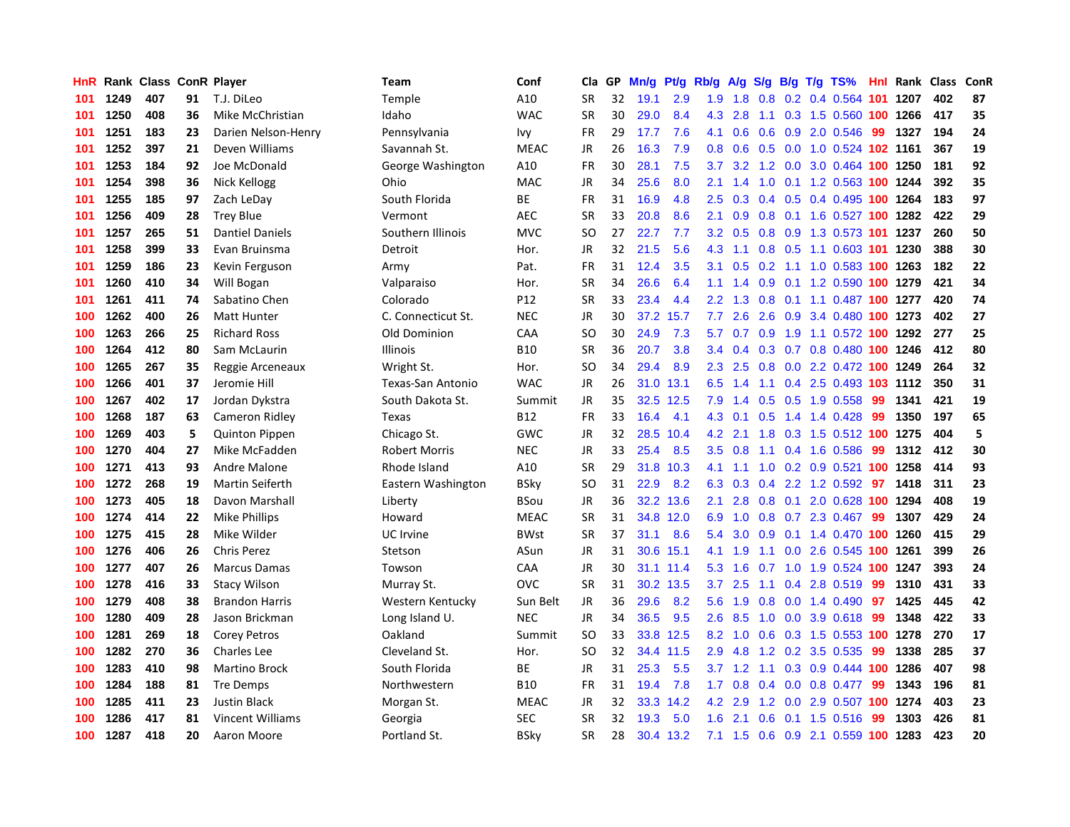| HnR |      | Rank Class ConR Player |    |                         | Team                 | Conf        | Cla       | <b>GP</b> | Mn/g | <b>Pt/g</b> | Rb/g             | A/g |                  |     | S/g B/g T/g TS%            | Hnl | Rank | Class | <b>ConR</b> |
|-----|------|------------------------|----|-------------------------|----------------------|-------------|-----------|-----------|------|-------------|------------------|-----|------------------|-----|----------------------------|-----|------|-------|-------------|
| 101 | 1249 | 407                    | 91 | T.J. DiLeo              | Temple               | A10         | <b>SR</b> | 32        | 19.1 | 2.9         | 1.9              | 1.8 | 0.8              |     | 0.2 0.4 0.564 101 1207     |     |      | 402   | 87          |
| 101 | 1250 | 408                    | 36 | Mike McChristian        | Idaho                | <b>WAC</b>  | <b>SR</b> | 30        | 29.0 | 8.4         | 4.3              | 2.8 |                  |     | 1.1 0.3 1.5 0.560 100 1266 |     |      | 417   | 35          |
| 101 | 1251 | 183                    | 23 | Darien Nelson-Henry     | Pennsylvania         | Ivy         | <b>FR</b> | 29        | 17.7 | 7.6         | 4.1              | 0.6 |                  |     | $0.6$ $0.9$ $2.0$ $0.546$  | 99  | 1327 | 194   | 24          |
| 101 | 1252 | 397                    | 21 | Deven Williams          | Savannah St.         | <b>MEAC</b> | JR        | 26        | 16.3 | 7.9         | 0.8              | 0.6 |                  |     | 0.5 0.0 1.0 0.524 102 1161 |     |      | 367   | 19          |
| 101 | 1253 | 184                    | 92 | Joe McDonald            | George Washington    | A10         | FR        | 30        | 28.1 | 7.5         | 3.7              | 3.2 | 1.2              |     | 0.0 3.0 0.464 100 1250     |     |      | 181   | 92          |
| 101 | 1254 | 398                    | 36 | Nick Kellogg            | Ohio                 | MAC         | JR        | 34        | 25.6 | 8.0         | 2.1              | 1.4 | 1.0              |     | 0.1 1.2 0.563 100 1244     |     |      | 392   | 35          |
| 101 | 1255 | 185                    | 97 | Zach LeDay              | South Florida        | ВE          | <b>FR</b> | 31        | 16.9 | 4.8         | 2.5              | 0.3 |                  |     | 0.4 0.5 0.4 0.495 100 1264 |     |      | 183   | 97          |
| 101 | 1256 | 409                    | 28 | <b>Trey Blue</b>        | Vermont              | <b>AEC</b>  | <b>SR</b> | 33        | 20.8 | 8.6         | 2.1              | 0.9 | 0.8              |     | 0.1 1.6 0.527 100 1282     |     |      | 422   | 29          |
| 101 | 1257 | 265                    | 51 | <b>Dantiel Daniels</b>  | Southern Illinois    | <b>MVC</b>  | <b>SO</b> | 27        | 22.7 | 7.7         | 3.2              | 0.5 | 0.8              |     | 0.9 1.3 0.573 101 1237     |     |      | 260   | 50          |
| 101 | 1258 | 399                    | 33 | Evan Bruinsma           | Detroit              | Hor.        | JR        | 32        | 21.5 | 5.6         | 4.3              | 1.1 |                  |     | 0.8 0.5 1.1 0.603 101 1230 |     |      | 388   | 30          |
| 101 | 1259 | 186                    | 23 | Kevin Ferguson          | Army                 | Pat.        | FR        | 31        | 12.4 | 3.5         | 3.1              | 0.5 |                  |     | 0.2 1.1 1.0 0.583 100 1263 |     |      | 182   | 22          |
| 101 | 1260 | 410                    | 34 | Will Bogan              | Valparaiso           | Hor.        | <b>SR</b> | 34        | 26.6 | 6.4         | 1.1              | 1.4 | 0.9              |     | 0.1 1.2 0.590 100 1279     |     |      | 421   | 34          |
| 101 | 1261 | 411                    | 74 | Sabatino Chen           | Colorado             | P12         | <b>SR</b> | 33        | 23.4 | 4.4         | $2.2\phantom{0}$ | 1.3 | 0.8              |     | 0.1 1.1 0.487 100 1277     |     |      | 420   | 74          |
| 100 | 1262 | 400                    | 26 | <b>Matt Hunter</b>      | C. Connecticut St.   | <b>NEC</b>  | JR        | 30        | 37.2 | 15.7        | 7.7              | 2.6 | 2.6              |     | 0.9 3.4 0.480 100 1273     |     |      | 402   | 27          |
| 100 | 1263 | 266                    | 25 | <b>Richard Ross</b>     | Old Dominion         | CAA         | <b>SO</b> | 30        | 24.9 | 7.3         | 5.7              | 0.7 | 0.9 <sub>0</sub> |     | 1.9 1.1 0.572 100 1292     |     |      | 277   | 25          |
| 100 | 1264 | 412                    | 80 | Sam McLaurin            | Illinois             | <b>B10</b>  | <b>SR</b> | 36        | 20.7 | 3.8         | $3.4^{\circ}$    | 0.4 | 0.3              |     | 0.7 0.8 0.480 100 1246     |     |      | 412   | 80          |
| 100 | 1265 | 267                    | 35 | Reggie Arceneaux        | Wright St.           | Hor.        | <b>SO</b> | 34        | 29.4 | 8.9         | 2.3              | 2.5 | 0.8              |     | 0.0 2.2 0.472 100 1249     |     |      | 264   | 32          |
| 100 | 1266 | 401                    | 37 | Jeromie Hill            | Texas-San Antonio    | <b>WAC</b>  | <b>JR</b> | 26        | 31.0 | 13.1        | 6.5              | 1.4 | 1.1              |     | 0.4 2.5 0.493 103 1112     |     |      | 350   | 31          |
| 100 | 1267 | 402                    | 17 | Jordan Dykstra          | South Dakota St.     | Summit      | <b>JR</b> | 35        |      | 32.5 12.5   | 7.9              | 1.4 |                  |     | $0.5$ 0.5 1.9 0.558        | -99 | 1341 | 421   | 19          |
| 100 | 1268 | 187                    | 63 | Cameron Ridley          | Texas                | <b>B12</b>  | <b>FR</b> | 33        | 16.4 | 4.1         | 4.3              | 0.1 |                  |     | $0.5$ 1.4 1.4 0.428        | -99 | 1350 | 197   | 65          |
| 100 | 1269 | 403                    | 5  | <b>Quinton Pippen</b>   | Chicago St.          | GWC         | <b>JR</b> | 32        | 28.5 | 10.4        | 4.2              | 2.1 | 1.8              |     | 0.3 1.5 0.512 100 1275     |     |      | 404   | 5           |
| 100 | 1270 | 404                    | 27 | Mike McFadden           | <b>Robert Morris</b> | <b>NEC</b>  | JR        | 33        | 25.4 | 8.5         | 3.5              | 0.8 | 1.1              |     | 0.4 1.6 0.586              | 99  | 1312 | 412   | 30          |
| 100 | 1271 | 413                    | 93 | Andre Malone            | Rhode Island         | A10         | <b>SR</b> | 29        | 31.8 | 10.3        | 4.1              | 1.1 |                  |     | 1.0 0.2 0.9 0.521 100 1258 |     |      | 414   | 93          |
| 100 | 1272 | 268                    | 19 | Martin Seiferth         | Eastern Washington   | <b>BSky</b> | <b>SO</b> | 31        | 22.9 | 8.2         | 6.3              | 0.3 | 0.4              |     | 2.2 1.2 0.592              | 97  | 1418 | 311   | 23          |
| 100 | 1273 | 405                    | 18 | Davon Marshall          | Liberty              | <b>BSou</b> | JR        | 36        | 32.2 | 13.6        | 2.1              | 2.8 | 0.8              | 0.1 | 2.0 0.628 100 1294         |     |      | 408   | 19          |
| 100 | 1274 | 414                    | 22 | <b>Mike Phillips</b>    | Howard               | <b>MEAC</b> | <b>SR</b> | 31        | 34.8 | 12.0        | 6.9              | 1.0 |                  |     | 0.8 0.7 2.3 0.467          | -99 | 1307 | 429   | 24          |
| 100 | 1275 | 415                    | 28 | Mike Wilder             | UC Irvine            | <b>BWst</b> | <b>SR</b> | 37        | 31.1 | 8.6         | 5.4              | 3.0 |                  |     | 0.9 0.1 1.4 0.470 100 1260 |     |      | 415   | 29          |
| 100 | 1276 | 406                    | 26 | <b>Chris Perez</b>      | Stetson              | ASun        | JR        | 31        | 30.6 | 15.1        | 4.1              | 1.9 |                  |     | 1.1 0.0 2.6 0.545 100 1261 |     |      | 399   | 26          |
| 100 | 1277 | 407                    | 26 | <b>Marcus Damas</b>     | Towson               | CAA         | JR        | 30        | 31.1 | 11.4        | 5.3              | 1.6 |                  |     | 0.7 1.0 1.9 0.524 100 1247 |     |      | 393   | 24          |
| 100 | 1278 | 416                    | 33 | <b>Stacy Wilson</b>     | Murray St.           | OVC         | <b>SR</b> | 31        | 30.2 | 13.5        | 3.7 <sub>2</sub> | 2.5 | 1.1              |     | 0.4 2.8 0.519              | 99  | 1310 | 431   | 33          |
| 100 | 1279 | 408                    | 38 | <b>Brandon Harris</b>   | Western Kentucky     | Sun Belt    | JR        | 36        | 29.6 | 8.2         | 5.6              | 1.9 | 0.8              |     | $0.0$ 1.4 $0.490$          | 97  | 1425 | 445   | 42          |
| 100 | 1280 | 409                    | 28 | Jason Brickman          | Long Island U.       | <b>NEC</b>  | <b>JR</b> | 34        | 36.5 | 9.5         | 2.6              | 8.5 | 1.0              |     | $0.0$ 3.9 $0.618$          | 99  | 1348 | 422   | 33          |
| 100 | 1281 | 269                    | 18 | <b>Corey Petros</b>     | Oakland              | Summit      | <b>SO</b> | 33        | 33.8 | 12.5        | 8.2              | 1.0 | 0.6              |     | 0.3 1.5 0.553 100 1278     |     |      | 270   | 17          |
| 100 | 1282 | 270                    | 36 | <b>Charles Lee</b>      | Cleveland St.        | Hor.        | <b>SO</b> | 32        | 34.4 | 11.5        | 2.9              | 4.8 | 1.2              |     | 0.2 3.5 0.535              | 99  | 1338 | 285   | 37          |
| 100 | 1283 | 410                    | 98 | <b>Martino Brock</b>    | South Florida        | ВE          | JR        | 31        | 25.3 | 5.5         | 3.7              | 1.2 |                  |     | 1.1 0.3 0.9 0.444 100 1286 |     |      | 407   | 98          |
| 100 | 1284 | 188                    | 81 | Tre Demps               | Northwestern         | <b>B10</b>  | <b>FR</b> | 31        | 19.4 | 7.8         | 1.7 <sub>z</sub> | 0.8 |                  |     | $0.4$ 0.0 0.8 0.477        | 99  | 1343 | 196   | 81          |
| 100 | 1285 | 411                    | 23 | Justin Black            | Morgan St.           | <b>MEAC</b> | JR        | 32        | 33.3 | 14.2        | 4.2              | 2.9 |                  |     | 1.2 0.0 2.9 0.507 100 1274 |     |      | 403   | 23          |
| 100 | 1286 | 417                    | 81 | <b>Vincent Williams</b> | Georgia              | <b>SEC</b>  | <b>SR</b> | 32        | 19.3 | 5.0         | 1.6              | 2.1 | 0.6              |     | $0.1$ 1.5 0.516            | 99  | 1303 | 426   | 81          |
| 100 | 1287 | 418                    | 20 | Aaron Moore             | Portland St.         | <b>BSky</b> | SR        | 28        |      | 30.4 13.2   | 7.1              | 1.5 |                  |     | 0.6 0.9 2.1 0.559 100 1283 |     |      | 423   | 20          |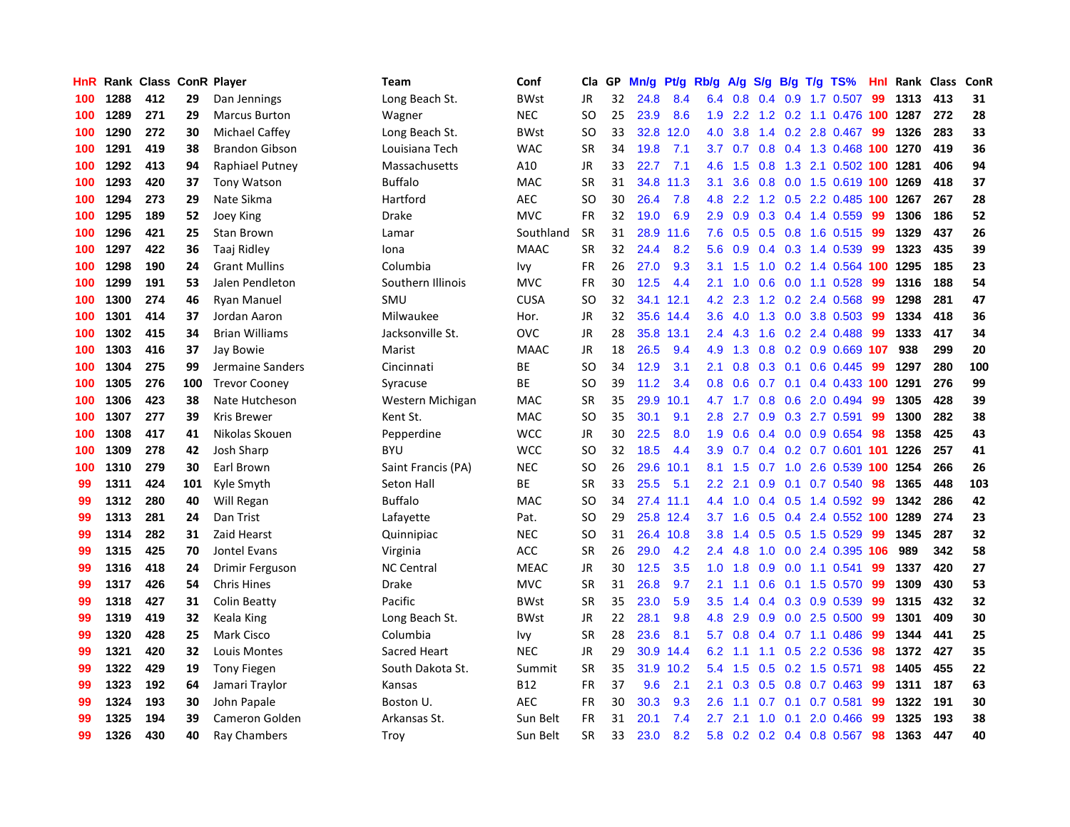| HnR |      | Rank Class ConR Player |     |                       | Team               | Conf        | Cla       | GP | Mn/g | <b>Pt/g</b> | Rb/g             | A/g |                  |     | S/g B/g T/g TS%                | Hnl | Rank | Class | ConR |
|-----|------|------------------------|-----|-----------------------|--------------------|-------------|-----------|----|------|-------------|------------------|-----|------------------|-----|--------------------------------|-----|------|-------|------|
| 100 | 1288 | 412                    | 29  | Dan Jennings          | Long Beach St.     | <b>BWst</b> | JR        | 32 | 24.8 | 8.4         | 6.4              | 0.8 | 0.4              |     | $0.9$ 1.7 0.507                | 99  | 1313 | 413   | 31   |
| 100 | 1289 | 271                    | 29  | <b>Marcus Burton</b>  | Wagner             | <b>NEC</b>  | SO        | 25 | 23.9 | 8.6         | 1.9              |     |                  |     | 2.2 1.2 0.2 1.1 0.476 100 1287 |     |      | 272   | 28   |
| 100 | 1290 | 272                    | 30  | Michael Caffey        | Long Beach St.     | <b>BWst</b> | <b>SO</b> | 33 |      | 32.8 12.0   | 4.0              | 3.8 |                  |     | 1.4 0.2 2.8 0.467 99           |     | 1326 | 283   | 33   |
| 100 | 1291 | 419                    | 38  | <b>Brandon Gibson</b> | Louisiana Tech     | <b>WAC</b>  | SR        | 34 | 19.8 | 7.1         | 3.7              | 0.7 |                  |     | 0.8 0.4 1.3 0.468 100 1270     |     |      | 419   | 36   |
| 100 | 1292 | 413                    | 94  | Raphiael Putney       | Massachusetts      | A10         | JR        | 33 | 22.7 | 7.1         | 4.6              | 1.5 | 0.8              |     | 1.3 2.1 0.502 100 1281         |     |      | 406   | 94   |
| 100 | 1293 | 420                    | 37  | <b>Tony Watson</b>    | <b>Buffalo</b>     | <b>MAC</b>  | <b>SR</b> | 31 | 34.8 | 11.3        | 3.1              | 3.6 |                  |     | 0.8 0.0 1.5 0.619 100 1269     |     |      | 418   | 37   |
| 100 | 1294 | 273                    | 29  | Nate Sikma            | Hartford           | AEC         | SO        | 30 | 26.4 | 7.8         | 4.8              | 2.2 |                  |     | 1.2 0.5 2.2 0.485 100          |     | 1267 | 267   | 28   |
| 100 | 1295 | 189                    | 52  | Joey King             | Drake              | <b>MVC</b>  | <b>FR</b> | 32 | 19.0 | 6.9         | 2.9              | 0.9 |                  |     | 0.3 0.4 1.4 0.559              | -99 | 1306 | 186   | 52   |
| 100 | 1296 | 421                    | 25  | Stan Brown            | Lamar              | Southland   | <b>SR</b> | 31 | 28.9 | 11.6        | 7.6              | 0.5 | 0.5              |     | 0.8 1.6 0.515                  | -99 | 1329 | 437   | 26   |
| 100 | 1297 | 422                    | 36  | Taaj Ridley           | Iona               | <b>MAAC</b> | <b>SR</b> | 32 | 24.4 | 8.2         | 5.6              | 0.9 |                  |     | $0.4$ 0.3 1.4 0.539            | -99 | 1323 | 435   | 39   |
| 100 | 1298 | 190                    | 24  | <b>Grant Mullins</b>  | Columbia           | Ivy         | <b>FR</b> | 26 | 27.0 | 9.3         | 3.1              | 1.5 |                  |     | 1.0 0.2 1.4 0.564 100 1295     |     |      | 185   | 23   |
| 100 | 1299 | 191                    | 53  | Jalen Pendleton       | Southern Illinois  | <b>MVC</b>  | <b>FR</b> | 30 | 12.5 | 4.4         | 2.1              | 1.0 |                  |     | $0.6$ 0.0 1.1 0.528            | -99 | 1316 | 188   | 54   |
| 100 | 1300 | 274                    | 46  | <b>Ryan Manuel</b>    | SMU                | <b>CUSA</b> | <b>SO</b> | 32 | 34.1 | 12.1        | 4.2              | 2.3 |                  |     | 1.2 0.2 2.4 0.568              | 99  | 1298 | 281   | 47   |
| 100 | 1301 | 414                    | 37  | Jordan Aaron          | Milwaukee          | Hor.        | JR        | 32 | 35.6 | 14.4        | 3.6              | 4.0 |                  |     | 1.3 0.0 3.8 0.503              | -99 | 1334 | 418   | 36   |
| 100 | 1302 | 415                    | 34  | <b>Brian Williams</b> | Jacksonville St.   | <b>OVC</b>  | JR        | 28 | 35.8 | 13.1        | 2.4              | 4.3 | 1.6              |     | $0.2$ 2.4 0.488                | 99  | 1333 | 417   | 34   |
| 100 | 1303 | 416                    | 37  | Jay Bowie             | Marist             | MAAC        | JR        | 18 | 26.5 | 9.4         | 4.9              | 1.3 | 0.8 <sub>0</sub> |     | 0.2 0.9 0.669 107              |     | 938  | 299   | 20   |
| 100 | 1304 | 275                    | 99  | Jermaine Sanders      | Cincinnati         | <b>BE</b>   | <b>SO</b> | 34 | 12.9 | 3.1         | 2.1              | 0.8 | 0.3              | 0.1 | $0.6$ 0.445                    | -99 | 1297 | 280   | 100  |
| 100 | 1305 | 276                    | 100 | <b>Trevor Cooney</b>  | Syracuse           | ВE          | SO        | 39 | 11.2 | 3.4         | 0.8              | 0.6 |                  |     | 0.7 0.1 0.4 0.433 100 1291     |     |      | 276   | 99   |
| 100 | 1306 | 423                    | 38  | Nate Hutcheson        | Western Michigan   | <b>MAC</b>  | <b>SR</b> | 35 | 29.9 | 10.1        | 4.7              |     |                  |     | 1.7 0.8 0.6 2.0 0.494          | -99 | 1305 | 428   | 39   |
| 100 | 1307 | 277                    | 39  | <b>Kris Brewer</b>    | Kent St.           | <b>MAC</b>  | SO        | 35 | 30.1 | 9.1         | 2.8              | 2.7 |                  |     | $0.9$ $0.3$ 2.7 $0.591$        | -99 | 1300 | 282   | 38   |
| 100 | 1308 | 417                    | 41  | Nikolas Skouen        | Pepperdine         | <b>WCC</b>  | JR        | 30 | 22.5 | 8.0         | 1.9              | 0.6 |                  |     | $0.4$ 0.0 0.9 0.654            | 98  | 1358 | 425   | 43   |
| 100 | 1309 | 278                    | 42  | Josh Sharp            | <b>BYU</b>         | <b>WCC</b>  | <b>SO</b> | 32 | 18.5 | 4.4         | 3.9              | 0.7 |                  |     | 0.4 0.2 0.7 0.601 101 1226     |     |      | 257   | 41   |
| 100 | 1310 | 279                    | 30  | Earl Brown            | Saint Francis (PA) | <b>NEC</b>  | SO        | 26 | 29.6 | 10.1        | 8.1              | 1.5 | 0.7              |     | 1.0 2.6 0.539 100 1254         |     |      | 266   | 26   |
| 99  | 1311 | 424                    | 101 | Kyle Smyth            | Seton Hall         | <b>BE</b>   | <b>SR</b> | 33 | 25.5 | 5.1         | $2.2\phantom{0}$ | 2.1 | 0.9 <sup>°</sup> |     | $0.1$ 0.7 0.540                | 98  | 1365 | 448   | 103  |
| 99  | 1312 | 280                    | 40  | Will Regan            | <b>Buffalo</b>     | <b>MAC</b>  | <b>SO</b> | 34 |      | 27.4 11.1   | 4.4              | 1.0 |                  |     | $0.4$ 0.5 1.4 0.592            | -99 | 1342 | 286   | 42   |
| 99  | 1313 | 281                    | 24  | Dan Trist             | Lafayette          | Pat.        | <b>SO</b> | 29 |      | 25.8 12.4   | 3.7 <sub>2</sub> | 1.6 |                  |     | $0.5$ 0.4 2.4 0.552 100 1289   |     |      | 274   | 23   |
| 99  | 1314 | 282                    | 31  | Zaid Hearst           | Quinnipiac         | <b>NEC</b>  | SO        | 31 |      | 26.4 10.8   | 3.8 <sub>2</sub> | 1.4 |                  |     | $0.5$ 0.5 1.5 0.529            | -99 | 1345 | 287   | 32   |
| 99  | 1315 | 425                    | 70  | Jontel Evans          | Virginia           | <b>ACC</b>  | <b>SR</b> | 26 | 29.0 | 4.2         | $2.4^{\circ}$    | 4.8 |                  |     | 1.0 0.0 2.4 0.395 106          |     | 989  | 342   | 58   |
| 99  | 1316 | 418                    | 24  | Drimir Ferguson       | <b>NC Central</b>  | <b>MEAC</b> | JR        | 30 | 12.5 | 3.5         | 1.0              | 1.8 | 0.9              |     | $0.0$ 1.1 0.541                | -99 | 1337 | 420   | 27   |
| 99  | 1317 | 426                    | 54  | <b>Chris Hines</b>    | Drake              | <b>MVC</b>  | <b>SR</b> | 31 | 26.8 | 9.7         | 2.1              | 1.1 | 0.6              |     | $0.1$ 1.5 0.570                | -99 | 1309 | 430   | 53   |
| 99  | 1318 | 427                    | 31  | Colin Beatty          | Pacific            | <b>BWst</b> | <b>SR</b> | 35 | 23.0 | 5.9         | 3.5              | 1.4 |                  |     | 0.4 0.3 0.9 0.539              | -99 | 1315 | 432   | 32   |
| 99  | 1319 | 419                    | 32  | Keala King            | Long Beach St.     | <b>BWst</b> | JR        | 22 | 28.1 | 9.8         | 4.8              | 2.9 | 0.9 <sub>0</sub> |     | $0.0$ 2.5 $0.500$              | 99  | 1301 | 409   | 30   |
| 99  | 1320 | 428                    | 25  | Mark Cisco            | Columbia           | Ivy         | <b>SR</b> | 28 | 23.6 | 8.1         | 5.7              | 0.8 |                  |     | $0.4$ 0.7 1.1 0.486            | 99  | 1344 | 441   | 25   |
| 99  | 1321 | 420                    | 32  | Louis Montes          | Sacred Heart       | <b>NEC</b>  | JR        | 29 | 30.9 | 14.4        | 6.2              | 1.1 | 1.1              |     | 0.5 2.2 0.536                  | 98  | 1372 | 427   | 35   |
| 99  | 1322 | 429                    | 19  | <b>Tony Fiegen</b>    | South Dakota St.   | Summit      | <b>SR</b> | 35 |      | 31.9 10.2   | 5.4              | 1.5 |                  |     | $0.5$ 0.2 1.5 0.571            | 98  | 1405 | 455   | 22   |
| 99  | 1323 | 192                    | 64  | Jamari Traylor        | Kansas             | <b>B12</b>  | <b>FR</b> | 37 | 9.6  | 2.1         | 2.1              | 0.3 |                  |     | $0.5$ 0.8 0.7 0.463            | -99 | 1311 | 187   | 63   |
| 99  | 1324 | 193                    | 30  | John Papale           | Boston U.          | <b>AEC</b>  | FR        | 30 | 30.3 | 9.3         | 2.6              | 1.1 |                  |     | 0.7 0.1 0.7 0.581              | -99 | 1322 | 191   | 30   |
| 99  | 1325 | 194                    | 39  | Cameron Golden        | Arkansas St.       | Sun Belt    | <b>FR</b> | 31 | 20.1 | 7.4         | 2.7              | 2.1 | 1.0              | 0.1 | 2.0 0.466                      | 99  | 1325 | 193   | 38   |
| 99  | 1326 | 430                    | 40  | Ray Chambers          | Troy               | Sun Belt    | <b>SR</b> | 33 | 23.0 | 8.2         | 5.8              |     |                  |     | $0.2$ 0.2 0.4 0.8 0.567        | 98  | 1363 | 447   | 40   |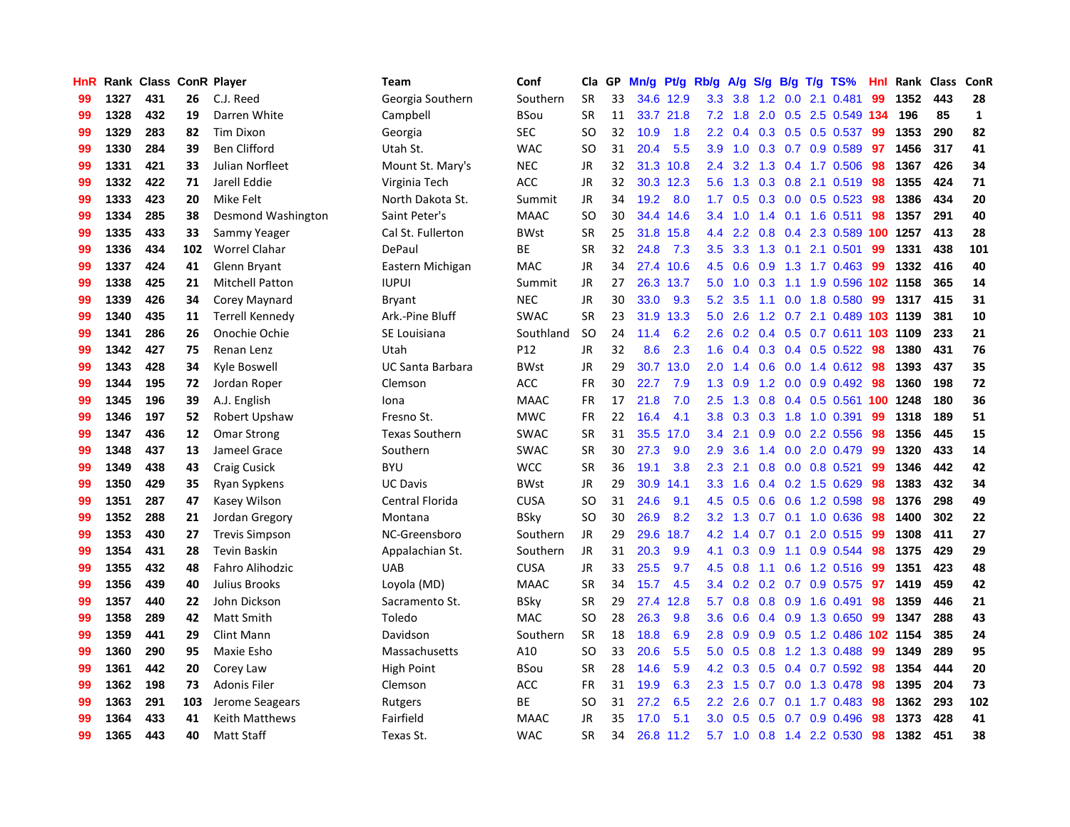| HnR |      | Rank Class ConR Player |     |                        | <b>Team</b>             | Conf        | Cla       | GP. | Mn/g | Pt/g      | Rb/g             | A/g | S/g              |     | $B/g$ T/g TS%              | Hnl | Rank | <b>Class</b> | ConR         |
|-----|------|------------------------|-----|------------------------|-------------------------|-------------|-----------|-----|------|-----------|------------------|-----|------------------|-----|----------------------------|-----|------|--------------|--------------|
| 99  | 1327 | 431                    | 26  | C.J. Reed              | Georgia Southern        | Southern    | <b>SR</b> | 33  | 34.6 | 12.9      | 3.3              | 3.8 | 1.2              | 0.0 | 2.1 0.481                  | 99  | 1352 | 443          | 28           |
| 99  | 1328 | 432                    | 19  | Darren White           | Campbell                | <b>BSou</b> | <b>SR</b> | 11  |      | 33.7 21.8 | 7.2              | 1.8 |                  |     | 2.0 0.5 2.5 0.549 134      |     | 196  | 85           | $\mathbf{1}$ |
| 99  | 1329 | 283                    | 82  | <b>Tim Dixon</b>       | Georgia                 | SEC         | <b>SO</b> | 32  | 10.9 | 1.8       | 2.2              |     |                  |     | 0.4 0.3 0.5 0.5 0.537 99   |     | 1353 | 290          | 82           |
| 99  | 1330 | 284                    | 39  | <b>Ben Clifford</b>    | Utah St.                | <b>WAC</b>  | SO        | 31  | 20.4 | 5.5       | 3.9              | 1.0 |                  |     | $0.3$ 0.7 0.9 0.589        | 97  | 1456 | 317          | 41           |
| 99  | 1331 | 421                    | 33  | Julian Norfleet        | Mount St. Mary's        | <b>NEC</b>  | JR        | 32  | 31.3 | 10.8      | 2.4              | 3.2 |                  |     | 1.3 0.4 1.7 0.506          | -98 | 1367 | 426          | 34           |
| 99  | 1332 | 422                    | 71  | Jarell Eddie           | Virginia Tech           | <b>ACC</b>  | JR        | 32  | 30.3 | 12.3      | 5.6              | 1.3 |                  |     | 0.3 0.8 2.1 0.519          | 98  | 1355 | 424          | 71           |
| 99  | 1333 | 423                    | 20  | Mike Felt              | North Dakota St.        | Summit      | JR        | 34  | 19.2 | 8.0       | 1.7              | 0.5 |                  |     | 0.3 0.0 0.5 0.523          | -98 | 1386 | 434          | 20           |
| 99  | 1334 | 285                    | 38  | Desmond Washington     | Saint Peter's           | <b>MAAC</b> | <b>SO</b> | 30  | 34.4 | 14.6      | $3.4^{\circ}$    | 1.0 |                  |     | 1.4 0.1 1.6 0.511          | 98  | 1357 | 291          | 40           |
| 99  | 1335 | 433                    | 33  | Sammy Yeager           | Cal St. Fullerton       | <b>BWst</b> | <b>SR</b> | 25  | 31.8 | 15.8      | 4.4              | 2.2 | 0.8              |     | 0.4 2.3 0.589 100 1257     |     |      | 413          | 28           |
| 99  | 1336 | 434                    | 102 | <b>Worrel Clahar</b>   | DePaul                  | BE          | <b>SR</b> | 32  | 24.8 | 7.3       | 3.5              | 3.3 |                  |     | 1.3 0.1 2.1 0.501          | 99  | 1331 | 438          | 101          |
| 99  | 1337 | 424                    | 41  | Glenn Bryant           | Eastern Michigan        | MAC         | JR        | 34  |      | 27.4 10.6 | 4.5              | 0.6 |                  |     | 0.9 1.3 1.7 0.463 99       |     | 1332 | 416          | 40           |
| 99  | 1338 | 425                    | 21  | <b>Mitchell Patton</b> | <b>IUPUI</b>            | Summit      | JR        | 27  |      | 26.3 13.7 | 5.0              | 1.0 |                  |     | 0.3 1.1 1.9 0.596 102 1158 |     |      | 365          | 14           |
| 99  | 1339 | 426                    | 34  | Corey Maynard          | <b>Bryant</b>           | <b>NEC</b>  | JR        | 30  | 33.0 | 9.3       | 5.2              | 3.5 |                  |     | 1.1 0.0 1.8 0.580          | 99  | 1317 | 415          | 31           |
| 99  | 1340 | 435                    | 11  | <b>Terrell Kennedy</b> | Ark.-Pine Bluff         | <b>SWAC</b> | <b>SR</b> | 23  | 31.9 | 13.3      | 5.0              | 2.6 |                  |     | 1.2 0.7 2.1 0.489 103 1139 |     |      | 381          | 10           |
| 99  | 1341 | 286                    | 26  | Onochie Ochie          | SE Louisiana            | Southland   | <b>SO</b> | 24  | 11.4 | 6.2       | 2.6              | 0.2 |                  |     | 0.4 0.5 0.7 0.611 103 1109 |     |      | 233          | 21           |
| 99  | 1342 | 427                    | 75  | Renan Lenz             | Utah                    | P12         | JR        | 32  | 8.6  | 2.3       | 1.6              | 0.4 |                  |     | $0.3$ 0.4 0.5 0.522        | -98 | 1380 | 431          | 76           |
| 99  | 1343 | 428                    | 34  | Kyle Boswell           | <b>UC Santa Barbara</b> | <b>BWst</b> | JR        | 29  | 30.7 | 13.0      | 2.0 <sub>1</sub> | 1.4 | 0.6              |     | $0.0$ 1.4 0.612            | -98 | 1393 | 437          | 35           |
| 99  | 1344 | 195                    | 72  | Jordan Roper           | Clemson                 | <b>ACC</b>  | <b>FR</b> | 30  | 22.7 | 7.9       | 1.3              | 0.9 | 1.2              |     | $0.0$ 0.9 0.492            | 98  | 1360 | 198          | 72           |
| 99  | 1345 | 196                    | 39  | A.J. English           | Iona                    | <b>MAAC</b> | <b>FR</b> | 17  | 21.8 | 7.0       | 2.5              | 1.3 |                  |     | 0.8 0.4 0.5 0.561 100 1248 |     |      | 180          | 36           |
| 99  | 1346 | 197                    | 52  | Robert Upshaw          | Fresno St.              | <b>MWC</b>  | <b>FR</b> | 22  | 16.4 | 4.1       | 3.8              | 0.3 |                  |     | $0.3$ 1.8 1.0 0.391        | 99  | 1318 | 189          | 51           |
| 99  | 1347 | 436                    | 12  | <b>Omar Strong</b>     | <b>Texas Southern</b>   | <b>SWAC</b> | <b>SR</b> | 31  | 35.5 | 17.0      | $3.4^{\circ}$    | 2.1 |                  |     | $0.9$ 0.0 2.2 0.556        | -98 | 1356 | 445          | 15           |
| 99  | 1348 | 437                    | 13  | Jameel Grace           | Southern                | <b>SWAC</b> | <b>SR</b> | 30  | 27.3 | 9.0       | 2.9              | 3.6 |                  |     | 1.4 0.0 2.0 0.479          | 99  | 1320 | 433          | 14           |
| 99  | 1349 | 438                    | 43  | <b>Craig Cusick</b>    | <b>BYU</b>              | WCC         | <b>SR</b> | 36  | 19.1 | 3.8       | 2.3              | 2.1 |                  |     | $0.8$ 0.0 0.8 0.521        | 99  | 1346 | 442          | 42           |
| 99  | 1350 | 429                    | 35  | Ryan Sypkens           | <b>UC Davis</b>         | <b>BWst</b> | JR        | 29  | 30.9 | 14.1      | 3.3 <sub>2</sub> | 1.6 |                  |     | 0.4 0.2 1.5 0.629          | 98  | 1383 | 432          | 34           |
| 99  | 1351 | 287                    | 47  | Kasey Wilson           | Central Florida         | <b>CUSA</b> | SO.       | 31  | 24.6 | 9.1       | 4.5              | 0.5 | 0.6              |     | 0.6 1.2 0.598              | 98  | 1376 | 298          | 49           |
| 99  | 1352 | 288                    | 21  | Jordan Gregory         | Montana                 | <b>BSky</b> | <b>SO</b> | 30  | 26.9 | 8.2       | 3.2              | 1.3 |                  |     | $0.7$ $0.1$ $1.0$ $0.636$  | -98 | 1400 | 302          | 22           |
| 99  | 1353 | 430                    | 27  | <b>Trevis Simpson</b>  | NC-Greensboro           | Southern    | JR        | 29  | 29.6 | 18.7      | 4.2              | 1.4 |                  |     | 0.7 0.1 2.0 0.515 99       |     | 1308 | 411          | 27           |
| 99  | 1354 | 431                    | 28  | Tevin Baskin           | Appalachian St.         | Southern    | JR        | 31  | 20.3 | 9.9       | 4.1              |     |                  |     | 0.3 0.9 1.1 0.9 0.544 98   |     | 1375 | 429          | 29           |
| 99  | 1355 | 432                    | 48  | Fahro Alihodzic        | <b>UAB</b>              | <b>CUSA</b> | JR        | 33  | 25.5 | 9.7       | 4.5              | 0.8 |                  |     | 1.1 0.6 1.2 0.516          | -99 | 1351 | 423          | 48           |
| 99  | 1356 | 439                    | 40  | Julius Brooks          | Loyola (MD)             | <b>MAAC</b> | <b>SR</b> | 34  | 15.7 | 4.5       | $3.4^{\circ}$    | 0.2 |                  |     | $0.2$ 0.7 0.9 0.575        | 97  | 1419 | 459          | 42           |
| 99  | 1357 | 440                    | 22  | John Dickson           | Sacramento St.          | <b>BSky</b> | <b>SR</b> | 29  | 27.4 | 12.8      | 5.7              | 0.8 | 0.8              |     | $0.9$ 1.6 $0.491$          | 98  | 1359 | 446          | 21           |
| 99  | 1358 | 289                    | 42  | Matt Smith             | Toledo                  | <b>MAC</b>  | SO        | 28  | 26.3 | 9.8       | 3.6              | 0.6 |                  |     | 0.4 0.9 1.3 0.650          | -99 | 1347 | 288          | 43           |
| 99  | 1359 | 441                    | 29  | <b>Clint Mann</b>      | Davidson                | Southern    | <b>SR</b> | 18  | 18.8 | 6.9       | 2.8              | 0.9 | 0.9 <sub>0</sub> |     | 0.5 1.2 0.486 102 1154     |     |      | 385          | 24           |
| 99  | 1360 | 290                    | 95  | Maxie Esho             | Massachusetts           | A10         | SO        | 33  | 20.6 | 5.5       | 5.0              | 0.5 | 0.8              |     | 1.2 1.3 0.488              | -99 | 1349 | 289          | 95           |
| 99  | 1361 | 442                    | 20  | Corey Law              | High Point              | <b>BSou</b> | <b>SR</b> | 28  | 14.6 | 5.9       | 4.2              | 0.3 | 0.5              |     | 0.4 0.7 0.592              | 98  | 1354 | 444          | 20           |
| 99  | 1362 | 198                    | 73  | Adonis Filer           | Clemson                 | ACC         | <b>FR</b> | 31  | 19.9 | 6.3       | 2.3              | 1.5 |                  |     | 0.7 0.0 1.3 0.478          | -98 | 1395 | 204          | 73           |
| 99  | 1363 | 291                    | 103 | Jerome Seagears        | Rutgers                 | <b>BE</b>   | SO        | 31  | 27.2 | 6.5       | $2.2^{\circ}$    | 2.6 |                  |     | $0.7$ 0.1 1.7 0.483        | -98 | 1362 | 293          | 102          |
| 99  | 1364 | 433                    | 41  | Keith Matthews         | Fairfield               | <b>MAAC</b> | JR        | 35  | 17.0 | 5.1       | 3.0 <sub>2</sub> | 0.5 |                  |     | $0.5$ 0.7 0.9 0.496        | -98 | 1373 | 428          | 41           |
| 99  | 1365 | 443                    | 40  | <b>Matt Staff</b>      | Texas St.               | <b>WAC</b>  | <b>SR</b> | 34  | 26.8 | 11.2      | 5.7              |     |                  |     | 1.0 0.8 1.4 2.2 0.530      | 98  | 1382 | 451          | 38           |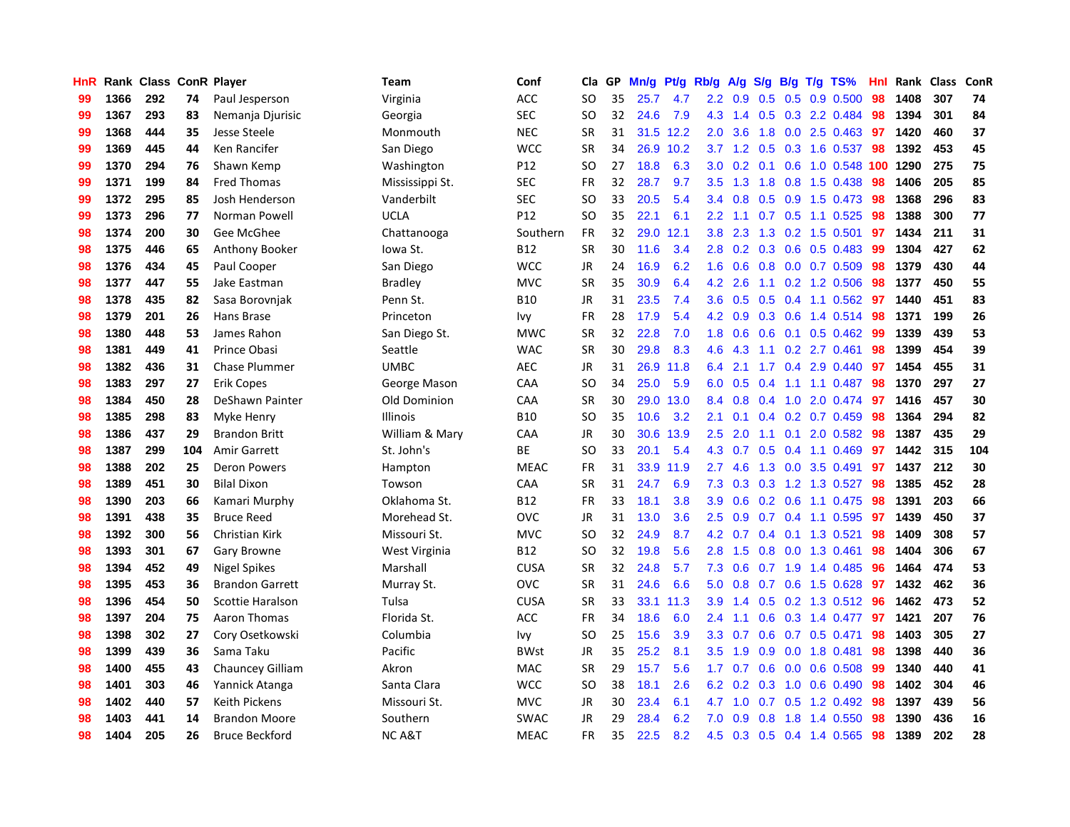| HnR |      | Rank Class ConR Player |     |                         | Team             | Conf        | Cla       | GP | Mn/g | <b>Pt/g</b> | Rb/g             | A/g             | S/g |     | B/g T/g TS%                  | Hnl | Rank | <b>Class</b> | ConR |
|-----|------|------------------------|-----|-------------------------|------------------|-------------|-----------|----|------|-------------|------------------|-----------------|-----|-----|------------------------------|-----|------|--------------|------|
| 99  | 1366 | 292                    | 74  | Paul Jesperson          | Virginia         | <b>ACC</b>  | <b>SO</b> | 35 | 25.7 | 4.7         |                  | $2.2 \quad 0.9$ | 0.5 |     | 0.5 0.9 0.500                | 98  | 1408 | 307          | 74   |
| 99  | 1367 | 293                    | 83  | Nemanja Djurisic        | Georgia          | <b>SEC</b>  | SO.       | 32 | 24.6 | 7.9         |                  |                 |     |     | 4.3 1.4 0.5 0.3 2.2 0.484    | -98 | 1394 | 301          | 84   |
| 99  | 1368 | 444                    | 35  | Jesse Steele            | Monmouth         | <b>NEC</b>  | <b>SR</b> | 31 |      | 31.5 12.2   | $2.0^{\circ}$    | 3.6             |     |     | 1.8 0.0 2.5 0.463            | 97  | 1420 | 460          | 37   |
| 99  | 1369 | 445                    | 44  | Ken Rancifer            | San Diego        | <b>WCC</b>  | <b>SR</b> | 34 | 26.9 | 10.2        |                  | $3.7 \quad 1.2$ | 0.5 |     | 0.3 1.6 0.537                | -98 | 1392 | 453          | 45   |
| 99  | 1370 | 294                    | 76  | Shawn Kemp              | Washington       | P12         | <b>SO</b> | 27 | 18.8 | 6.3         | 3.0 <sub>2</sub> | 0.2             | 0.1 |     | 0.6 1.0 0.548 100 1290       |     |      | 275          | 75   |
| 99  | 1371 | 199                    | 84  | <b>Fred Thomas</b>      | Mississippi St.  | <b>SEC</b>  | FR        | 32 | 28.7 | 9.7         | 3.5              | 1.3             | 1.8 |     | 0.8 1.5 0.438                | 98  | 1406 | 205          | 85   |
| 99  | 1372 | 295                    | 85  | Josh Henderson          | Vanderbilt       | <b>SEC</b>  | <b>SO</b> | 33 | 20.5 | 5.4         | 3.4              | 0.8             | 0.5 |     | 0.9 1.5 0.473                | 98  | 1368 | 296          | 83   |
| 99  | 1373 | 296                    | 77  | Norman Powell           | <b>UCLA</b>      | P12         | <b>SO</b> | 35 | 22.1 | 6.1         | $2.2\phantom{0}$ | 1.1             |     |     | 0.7 0.5 1.1 0.525            | 98  | 1388 | 300          | 77   |
| 98  | 1374 | 200                    | 30  | Gee McGhee              | Chattanooga      | Southern    | <b>FR</b> | 32 | 29.0 | 12.1        | 3.8              | 2.3             | 1.3 |     | 0.2 1.5 0.501                | 97  | 1434 | 211          | 31   |
| 98  | 1375 | 446                    | 65  | Anthony Booker          | Iowa St.         | B12         | <b>SR</b> | 30 | 11.6 | 3.4         |                  |                 |     |     | 2.8 0.2 0.3 0.6 0.5 0.483 99 |     | 1304 | 427          | 62   |
| 98  | 1376 | 434                    | 45  | Paul Cooper             | San Diego        | <b>WCC</b>  | <b>JR</b> | 24 | 16.9 | 6.2         | 1.6              | 0.6             |     |     | $0.8$ 0.0 0.7 0.509          | 98  | 1379 | 430          | 44   |
| 98  | 1377 | 447                    | 55  | Jake Eastman            | <b>Bradley</b>   | <b>MVC</b>  | <b>SR</b> | 35 | 30.9 | 6.4         | 4.2              | 2.6             |     |     | 1.1 0.2 1.2 0.506            | 98  | 1377 | 450          | 55   |
| 98  | 1378 | 435                    | 82  | Sasa Borovnjak          | Penn St.         | <b>B10</b>  | JR        | 31 | 23.5 | 7.4         | 3.6              | 0.5             | 0.5 |     | 0.4 1.1 0.562                | -97 | 1440 | 451          | 83   |
| 98  | 1379 | 201                    | 26  | Hans Brase              | Princeton        | Ivy         | FR        | 28 | 17.9 | 5.4         |                  | 4.2 0.9         |     |     | $0.3$ 0.6 1.4 0.514          | 98  | 1371 | 199          | 26   |
| 98  | 1380 | 448                    | 53  | James Rahon             | San Diego St.    | <b>MWC</b>  | <b>SR</b> | 32 | 22.8 | 7.0         | 1.8              | 0.6             | 0.6 |     | $0.1$ 0.5 0.462              | -99 | 1339 | 439          | 53   |
| 98  | 1381 | 449                    | 41  | Prince Obasi            | Seattle          | <b>WAC</b>  | <b>SR</b> | 30 | 29.8 | 8.3         | 4.6              | 4.3             | 1.1 |     | $0.2$ 2.7 0.461              | 98  | 1399 | 454          | 39   |
| 98  | 1382 | 436                    | 31  | <b>Chase Plummer</b>    | <b>UMBC</b>      | AEC         | <b>JR</b> | 31 | 26.9 | 11.8        | 6.4              | 2.1             | 1.7 |     | 0.4 2.9 0.440                | 97  | 1454 | 455          | 31   |
| 98  | 1383 | 297                    | 27  | <b>Erik Copes</b>       | George Mason     | CAA         | <b>SO</b> | 34 | 25.0 | 5.9         | 6.0              | 0.5             |     |     | $0.4$ 1.1 1.1 0.487          | 98  | 1370 | 297          | 27   |
| 98  | 1384 | 450                    | 28  | DeShawn Painter         | Old Dominion     | CAA         | <b>SR</b> | 30 | 29.0 | 13.0        | 8.4              | 0.8             |     |     | 0.4 1.0 2.0 0.474 97         |     | 1416 | 457          | 30   |
| 98  | 1385 | 298                    | 83  | Myke Henry              | <b>Illinois</b>  | <b>B10</b>  | <b>SO</b> | 35 | 10.6 | 3.2         | 2.1              | 0.1             |     |     | $0.4$ 0.2 0.7 0.459          | 98  | 1364 | 294          | 82   |
| 98  | 1386 | 437                    | 29  | <b>Brandon Britt</b>    | William & Mary   | CAA         | <b>JR</b> | 30 | 30.6 | 13.9        | $2.5\,$          | 2.0             | 1.1 | 0.1 | 2.0 0.582                    | 98  | 1387 | 435          | 29   |
| 98  | 1387 | 299                    | 104 | Amir Garrett            | St. John's       | ВE          | <b>SO</b> | 33 | 20.1 | 5.4         | 4.3              | 0.7             | 0.5 |     | $0.4$ 1.1 0.469              | 97  | 1442 | 315          | 104  |
| 98  | 1388 | 202                    | 25  | <b>Deron Powers</b>     | Hampton          | <b>MEAC</b> | <b>FR</b> | 31 | 33.9 | 11.9        | 2.7              | 4.6             | 1.3 |     | $0.0$ 3.5 0.491              | 97  | 1437 | 212          | 30   |
| 98  | 1389 | 451                    | 30  | <b>Bilal Dixon</b>      | Towson           | CAA         | <b>SR</b> | 31 | 24.7 | 6.9         | 7.3              | 0.3             | 0.3 |     | 1.2 1.3 0.527                | 98  | 1385 | 452          | 28   |
| 98  | 1390 | 203                    | 66  | Kamari Murphy           | Oklahoma St.     | <b>B12</b>  | <b>FR</b> | 33 | 18.1 | 3.8         | 3.9              | 0.6             |     |     | $0.2$ 0.6 1.1 0.475          | 98  | 1391 | 203          | 66   |
| 98  | 1391 | 438                    | 35  | <b>Bruce Reed</b>       | Morehead St.     | <b>OVC</b>  | JR        | 31 | 13.0 | 3.6         | 2.5              | 0.9             |     |     | 0.7 0.4 1.1 0.595 97         |     | 1439 | 450          | 37   |
| 98  | 1392 | 300                    | 56  | Christian Kirk          | Missouri St.     | <b>MVC</b>  | <b>SO</b> | 32 | 24.9 | 8.7         |                  |                 |     |     | 4.2 0.7 0.4 0.1 1.3 0.521    | -98 | 1409 | 308          | 57   |
| 98  | 1393 | 301                    | 67  | <b>Gary Browne</b>      | West Virginia    | <b>B12</b>  | SO        | 32 | 19.8 | 5.6         | 2.8              | 1.5             |     |     | $0.8$ 0.0 1.3 0.461          | 98  | 1404 | 306          | 67   |
| 98  | 1394 | 452                    | 49  | <b>Nigel Spikes</b>     | Marshall         | <b>CUSA</b> | <b>SR</b> | 32 | 24.8 | 5.7         | 7.3              | 0.6             |     |     | $0.7$ 1.9 1.4 0.485          | 96  | 1464 | 474          | 53   |
| 98  | 1395 | 453                    | 36  | <b>Brandon Garrett</b>  | Murray St.       | <b>OVC</b>  | <b>SR</b> | 31 | 24.6 | 6.6         | 5.0              | 0.8             | 0.7 |     | 0.6 1.5 0.628                | 97  | 1432 | 462          | 36   |
| 98  | 1396 | 454                    | 50  | Scottie Haralson        | Tulsa            | <b>CUSA</b> | <b>SR</b> | 33 | 33.1 | 11.3        | 3.9              | 1.4             |     |     | 0.5 0.2 1.3 0.512 96         |     | 1462 | 473          | 52   |
| 98  | 1397 | 204                    | 75  | Aaron Thomas            | Florida St.      | <b>ACC</b>  | <b>FR</b> | 34 | 18.6 | 6.0         | $2.4^{\circ}$    | 1.1             | 0.6 |     | 0.3 1.4 0.477                | 97  | 1421 | 207          | 76   |
| 98  | 1398 | 302                    | 27  | Cory Osetkowski         | Columbia         | Ivy         | <b>SO</b> | 25 | 15.6 | 3.9         | 3.3 <sub>2</sub> | 0.7             | 0.6 |     | $0.7$ 0.5 0.471              | 98  | 1403 | 305          | 27   |
| 98  | 1399 | 439                    | 36  | Sama Taku               | Pacific          | <b>BWst</b> | JR        | 35 | 25.2 | 8.1         | 3.5              | 1.9             | 0.9 |     | $0.0$ 1.8 $0.481$            | 98  | 1398 | 440          | 36   |
| 98  | 1400 | 455                    | 43  | <b>Chauncey Gilliam</b> | Akron            | <b>MAC</b>  | <b>SR</b> | 29 | 15.7 | 5.6         |                  |                 |     |     | 1.7 0.7 0.6 0.0 0.6 0.508    | -99 | 1340 | 440          | 41   |
| 98  | 1401 | 303                    | 46  | Yannick Atanga          | Santa Clara      | <b>WCC</b>  | <b>SO</b> | 38 | 18.1 | 2.6         |                  | $6.2 \quad 0.2$ |     |     | 0.3 1.0 0.6 0.490            | 98  | 1402 | 304          | 46   |
| 98  | 1402 | 440                    | 57  | Keith Pickens           | Missouri St.     | <b>MVC</b>  | JR        | 30 | 23.4 | 6.1         | 4.7              | 1.0             |     |     | $0.7$ $0.5$ 1.2 $0.492$      | 98  | 1397 | 439          | 56   |
| 98  | 1403 | 441                    | 14  | <b>Brandon Moore</b>    | Southern         | <b>SWAC</b> | <b>JR</b> | 29 | 28.4 | 6.2         | 7.0              | 0.9             | 0.8 | 1.8 | 1.4 0.550                    | 98  | 1390 | 436          | 16   |
| 98  | 1404 | 205                    | 26  | <b>Bruce Beckford</b>   | <b>NCA&amp;T</b> | <b>MEAC</b> | <b>FR</b> | 35 | 22.5 | 8.2         | 4.5              |                 |     |     | 0.3 0.5 0.4 1.4 0.565        | 98  | 1389 | 202          | 28   |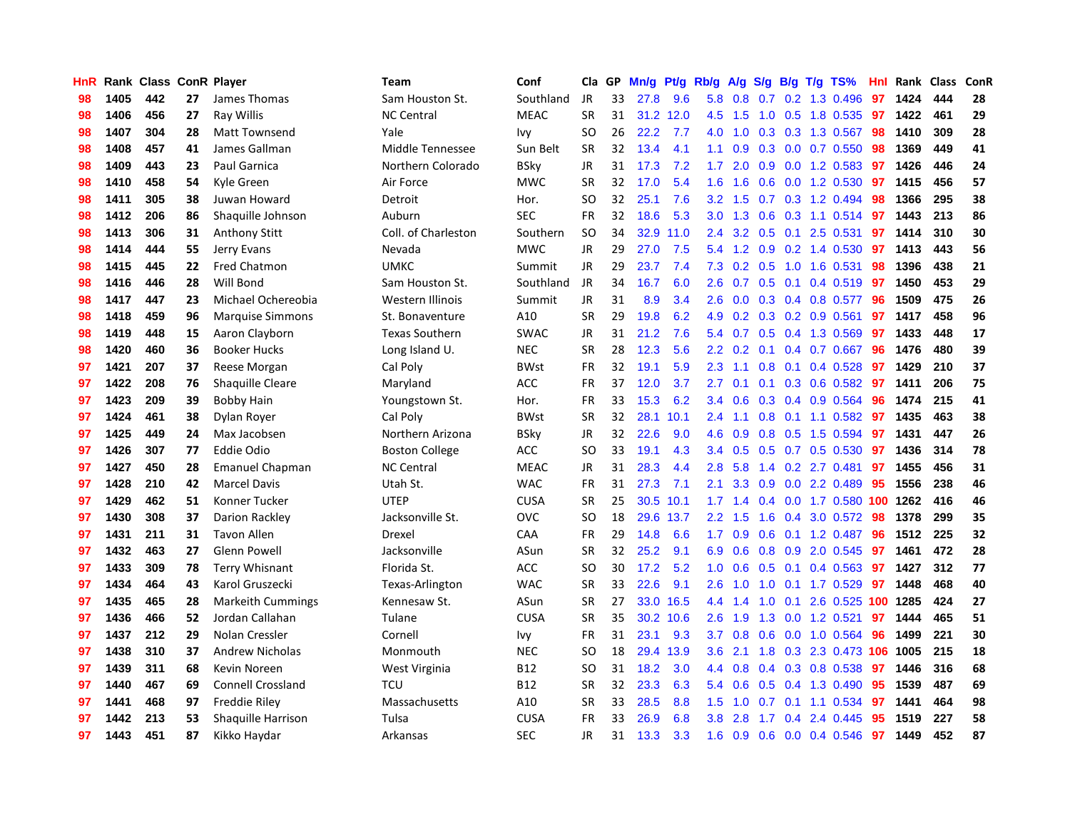| <b>HnR</b> |      | Rank Class ConR Player |    |                           | <b>Team</b>           | Conf        | Cla       | GP. | Mn/g | Pf/g      | Rb/g             | A/g     | S/g |     | $B/g$ T/g TS%                | Hnl | Rank Class |     | ConR |
|------------|------|------------------------|----|---------------------------|-----------------------|-------------|-----------|-----|------|-----------|------------------|---------|-----|-----|------------------------------|-----|------------|-----|------|
| 98         | 1405 | 442                    | 27 | James Thomas              | Sam Houston St.       | Southland   | <b>JR</b> | 33  | 27.8 | 9.6       | 5.8              | 0.8     | 0.7 |     | 0.2 1.3 0.496                | 97  | 1424       | 444 | 28   |
| 98         | 1406 | 456                    | 27 | Ray Willis                | <b>NC Central</b>     | <b>MEAC</b> | <b>SR</b> | 31  |      | 31.2 12.0 | 4.5              | 1.5     |     |     | 1.0 0.5 1.8 0.535 97         |     | 1422       | 461 | 29   |
| 98         | 1407 | 304                    | 28 | Matt Townsend             | Yale                  | Ivy         | <b>SO</b> | 26  | 22.2 | 7.7       | 4.0              | 1.0     |     |     | 0.3 0.3 1.3 0.567 98         |     | 1410       | 309 | 28   |
| 98         | 1408 | 457                    | 41 | James Gallman             | Middle Tennessee      | Sun Belt    | <b>SR</b> | 32  | 13.4 | 4.1       | 1.1              | 0.9     |     |     | $0.3$ 0.0 0.7 0.550          | -98 | 1369       | 449 | 41   |
| 98         | 1409 | 443                    | 23 | Paul Garnica              | Northern Colorado     | <b>BSky</b> | <b>JR</b> | 31  | 17.3 | 7.2       | 1.7 <sub>z</sub> | 2.0     |     |     | 0.9 0.0 1.2 0.583            | 97  | 1426       | 446 | 24   |
| 98         | 1410 | 458                    | 54 | Kyle Green                | Air Force             | <b>MWC</b>  | <b>SR</b> | 32  | 17.0 | 5.4       | 1.6              | 1.6     | 0.6 |     | 0.0 1.2 0.530                | 97  | 1415       | 456 | 57   |
| 98         | 1411 | 305                    | 38 | Juwan Howard              | Detroit               | Hor.        | <b>SO</b> | 32  | 25.1 | 7.6       | 3.2              | 1.5     |     |     | 0.7 0.3 1.2 0.494            | 98  | 1366       | 295 | 38   |
| 98         | 1412 | 206                    | 86 | Shaquille Johnson         | Auburn                | <b>SEC</b>  | <b>FR</b> | 32  | 18.6 | 5.3       | 3.0 <sub>1</sub> | 1.3     | 0.6 |     | 0.3 1.1 0.514                | 97  | 1443       | 213 | 86   |
| 98         | 1413 | 306                    | 31 | Anthony Stitt             | Coll. of Charleston   | Southern    | <b>SO</b> | 34  | 32.9 | 11.0      | 2.4              | 3.2     | 0.5 | 0.1 | 2.5 0.531                    | 97  | 1414       | 310 | 30   |
| 98         | 1414 | 444                    | 55 | Jerry Evans               | Nevada                | <b>MWC</b>  | <b>JR</b> | 29  | 27.0 | 7.5       | 5.4              | 1.2     |     |     | $0.9$ 0.2 1.4 0.530          | -97 | 1413       | 443 | 56   |
| 98         | 1415 | 445                    | 22 | Fred Chatmon              | <b>UMKC</b>           | Summit      | JR        | 29  | 23.7 | 7.4       |                  |         |     |     | 7.3 0.2 0.5 1.0 1.6 0.531    | -98 | 1396       | 438 | 21   |
| 98         | 1416 | 446                    | 28 | Will Bond                 | Sam Houston St.       | Southland   | <b>JR</b> | 34  | 16.7 | 6.0       | $2.6^{\circ}$    |         |     |     | 0.7 0.5 0.1 0.4 0.519 97     |     | 1450       | 453 | 29   |
| 98         | 1417 | 447                    | 23 | Michael Ochereobia        | Western Illinois      | Summit      | <b>JR</b> | 31  | 8.9  | 3.4       | 2.6              | 0.0     |     |     | 0.3 0.4 0.8 0.577 96         |     | 1509       | 475 | 26   |
| 98         | 1418 | 459                    | 96 | <b>Marquise Simmons</b>   | St. Bonaventure       | A10         | <b>SR</b> | 29  | 19.8 | 6.2       | 4.9              | 0.2     |     |     | $0.3$ 0.2 0.9 0.561          | 97  | 1417       | 458 | 96   |
| 98         | 1419 | 448                    | 15 | Aaron Clayborn            | <b>Texas Southern</b> | <b>SWAC</b> | <b>JR</b> | 31  | 21.2 | 7.6       | 5.4              | 0.7     |     |     | 0.5 0.4 1.3 0.569            | 97  | 1433       | 448 | 17   |
| 98         | 1420 | 460                    | 36 | <b>Booker Hucks</b>       | Long Island U.        | <b>NEC</b>  | <b>SR</b> | 28  | 12.3 | 5.6       | $2.2^{\circ}$    | 0.2     | 0.1 |     | $0.4$ 0.7 0.667              | 96  | 1476       | 480 | 39   |
| 97         | 1421 | 207                    | 37 | Reese Morgan              | Cal Poly              | <b>BWst</b> | <b>FR</b> | 32  | 19.1 | 5.9       | 2.3              | $-1.1$  | 0.8 |     | $0.1$ 0.4 0.528              | 97  | 1429       | 210 | 37   |
| 97         | 1422 | 208                    | 76 | <b>Shaquille Cleare</b>   | Maryland              | <b>ACC</b>  | <b>FR</b> | 37  | 12.0 | 3.7       | 2.7              | 0.1     | 0.1 |     | $0.3$ 0.6 0.582              | 97  | 1411       | 206 | 75   |
| 97         | 1423 | 209                    | 39 | <b>Bobby Hain</b>         | Youngstown St.        | Hor.        | <b>FR</b> | 33  | 15.3 | 6.2       | $3.4^{\circ}$    | 0.6     |     |     | $0.3$ 0.4 0.9 0.564          | -96 | 1474       | 215 | 41   |
| 97         | 1424 | 461                    | 38 | Dylan Royer               | Cal Poly              | <b>BWst</b> | <b>SR</b> | 32  | 28.1 | 10.1      | $2.4^{\circ}$    | 1.1     |     |     | 0.8 0.1 1.1 0.582 97         |     | 1435       | 463 | 38   |
| 97         | 1425 | 449                    | 24 | Max Jacobsen              | Northern Arizona      | <b>BSky</b> | <b>JR</b> | 32  | 22.6 | 9.0       | 4.6              | 0.9     |     |     | $0.8$ 0.5 1.5 0.594          | 97  | 1431       | 447 | 26   |
| 97         | 1426 | 307                    | 77 | <b>Eddie Odio</b>         | <b>Boston College</b> | ACC         | <b>SO</b> | 33  | 19.1 | 4.3       | $3.4^{\circ}$    | 0.5     |     |     | $0.5$ 0.7 0.5 0.530          | 97  | 1436       | 314 | 78   |
| 97         | 1427 | 450                    | 28 | <b>Emanuel Chapman</b>    | <b>NC Central</b>     | <b>MEAC</b> | <b>JR</b> | 31  | 28.3 | 4.4       | 2.8              | 5.8     |     |     | 1.4 0.2 2.7 0.481            | 97  | 1455       | 456 | 31   |
| 97         | 1428 | 210                    | 42 | <b>Marcel Davis</b>       | Utah St.              | <b>WAC</b>  | <b>FR</b> | 31  | 27.3 | 7.1       | 2.1              | 3.3     | 0.9 |     | 0.0 2.2 0.489                | 95  | 1556       | 238 | 46   |
| 97         | 1429 | 462                    | 51 | Konner Tucker             | <b>UTEP</b>           | <b>CUSA</b> | <b>SR</b> | 25  | 30.5 | 10.1      | 1.7 <sub>z</sub> | 1.4     |     |     | $0.4$ 0.0 1.7 0.580 100 1262 |     |            | 416 | 46   |
| 97         | 1430 | 308                    | 37 | Darion Rackley            | Jacksonville St.      | <b>OVC</b>  | <b>SO</b> | 18  | 29.6 | 13.7      | $2.2^{\circ}$    | 1.5     | 1.6 |     | 0.4 3.0 0.572 98             |     | 1378       | 299 | 35   |
| 97         | 1431 | 211                    | 31 | <b>Tavon Allen</b>        | Drexel                | <b>CAA</b>  | <b>FR</b> | 29  | 14.8 | 6.6       | 1.7              | 0.9     |     |     | $0.6$ 0.1 1.2 0.487          | -96 | 1512       | 225 | 32   |
| 97         | 1432 | 463                    | 27 | <b>Glenn Powell</b>       | Jacksonville          | ASun        | <b>SR</b> | 32  | 25.2 | 9.1       |                  | 6.9 0.6 |     |     | 0.8 0.9 2.0 0.545 97         |     | 1461       | 472 | 28   |
| 97         | 1433 | 309                    | 78 | <b>Terry Whisnant</b>     | Florida St.           | ACC         | SO        | 30  | 17.2 | 5.2       | 1.0 <sub>1</sub> | 0.6     |     |     | 0.5 0.1 0.4 0.563 97         |     | 1427       | 312 | 77   |
| 97         | 1434 | 464                    | 43 | Karol Gruszecki           | Texas-Arlington       | <b>WAC</b>  | <b>SR</b> | 33  | 22.6 | 9.1       | 2.6              | 1.0     | 1.0 |     | $0.1$ 1.7 0.529              | 97  | 1448       | 468 | 40   |
| 97         | 1435 | 465                    | 28 | <b>Markeith Cummings</b>  | Kennesaw St.          | ASun        | <b>SR</b> | 27  | 33.0 | 16.5      | $4.4^{\circ}$    | 1.4     | 1.0 | 0.1 | 2.6 0.525 100 1285           |     |            | 424 | 27   |
| 97         | 1436 | 466                    | 52 | Jordan Callahan           | Tulane                | CUSA        | <b>SR</b> | 35  |      | 30.2 10.6 | 2.6              | 1.9     | 1.3 |     | 0.0 1.2 0.521                | 97  | 1444       | 465 | 51   |
| 97         | 1437 | 212                    | 29 | Nolan Cressler            | Cornell               | Ivy         | <b>FR</b> | 31  | 23.1 | 9.3       | 3.7 <sub>2</sub> | 0.8     | 0.6 |     | $0.0$ 1.0 $0.564$            | -96 | 1499       | 221 | 30   |
| 97         | 1438 | 310                    | 37 | <b>Andrew Nicholas</b>    | Monmouth              | <b>NEC</b>  | SO        | 18  | 29.4 | 13.9      | 3.6 <sup>°</sup> | 2.1     | 1.8 |     | 0.3 2.3 0.473 106 1005       |     |            | 215 | 18   |
| 97         | 1439 | 311                    | 68 | Kevin Noreen              | West Virginia         | <b>B12</b>  | <b>SO</b> | 31  | 18.2 | 3.0       | 4.4              | 0.8     |     |     | 0.4 0.3 0.8 0.538            | 97  | 1446       | 316 | 68   |
| 97         | 1440 | 467                    | 69 | <b>Connell Crossland</b>  | <b>TCU</b>            | <b>B12</b>  | <b>SR</b> | 32  | 23.3 | 6.3       | 5.4              | 0.6     |     |     | $0.5$ 0.4 1.3 0.490          | 95  | 1539       | 487 | 69   |
| 97         | 1441 | 468                    | 97 | <b>Freddie Riley</b>      | Massachusetts         | A10         | <b>SR</b> | 33  | 28.5 | 8.8       | 1.5              | 1.0     |     |     | $0.7$ 0.1 1.1 0.534          | -97 | 1441       | 464 | 98   |
| 97         | 1442 | 213                    | 53 | <b>Shaquille Harrison</b> | Tulsa                 | <b>CUSA</b> | FR        | 33  | 26.9 | 6.8       | 3.8 <sub>2</sub> | 2.8     |     |     | 1.7 0.4 2.4 0.445            | 95  | 1519       | 227 | 58   |
| 97         | 1443 | 451                    | 87 | Kikko Haydar              | Arkansas              | <b>SEC</b>  | <b>JR</b> | 31  | 13.3 | 3.3       | 1.6              | 0.9     |     |     | $0.6$ $0.0$ $0.4$ $0.546$    | 97  | 1449       | 452 | 87   |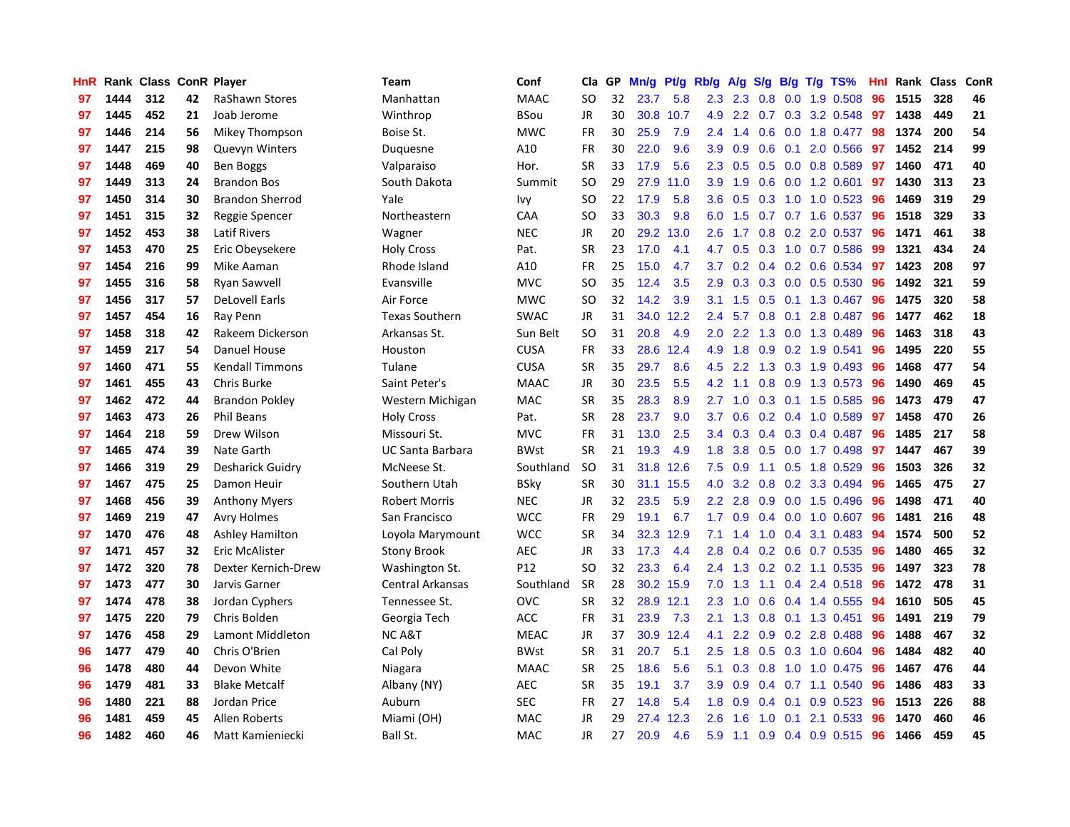| HnR |      | Rank Class ConR Player |    |                         | Team                    | Conf            | Cla       | <b>GP</b> | Mn/g | <b>Pt/g</b> | Rb/g             | A/g           |     |     | $S/g$ B/g T/g TS%               | Hnl | Rank | Class | ConR |
|-----|------|------------------------|----|-------------------------|-------------------------|-----------------|-----------|-----------|------|-------------|------------------|---------------|-----|-----|---------------------------------|-----|------|-------|------|
| 97  | 1444 | 312                    | 42 | RaShawn Stores          | Manhattan               | <b>MAAC</b>     | SO        | 32        | 23.7 | 5.8         |                  | $2.3$ $2.3$   | 0.8 | 0.0 | 1.9 0.508                       | 96  | 1515 | 328   | 46   |
| 97  | 1445 | 452                    | 21 | Joab Jerome             | Winthrop                | <b>BSou</b>     | JR        | 30        |      | 30.8 10.7   |                  |               |     |     | 4.9 2.2 0.7 0.3 3.2 0.548 97    |     | 1438 | 449   | 21   |
| 97  | 1446 | 214                    | 56 | Mikey Thompson          | Boise St.               | <b>MWC</b>      | <b>FR</b> | 30        | 25.9 | 7.9         | $2.4^{\circ}$    | 1.4           |     |     | 0.6 0.0 1.8 0.477               | -98 | 1374 | 200   | 54   |
| 97  | 1447 | 215                    | 98 | <b>Quevyn Winters</b>   | Duguesne                | A10             | <b>FR</b> | 30        | 22.0 | 9.6         | 3.9 <sup>°</sup> | 0.9           | 0.6 |     | $0.1$ 2.0 $0.566$               | 97  | 1452 | 214   | 99   |
| 97  | 1448 | 469                    | 40 | Ben Boggs               | Valparaiso              | Hor.            | <b>SR</b> | 33        | 17.9 | 5.6         | 2.3              | 0.5           | 0.5 |     | 0.0 0.8 0.589                   | 97  | 1460 | 471   | 40   |
| 97  | 1449 | 313                    | 24 | <b>Brandon Bos</b>      | South Dakota            | Summit          | <b>SO</b> | 29        | 27.9 | 11.0        | 3.9              | 1.9           | 0.6 |     | $0.0$ 1.2 0.601                 | 97  | 1430 | 313   | 23   |
| 97  | 1450 | 314                    | 30 | <b>Brandon Sherrod</b>  | Yale                    | Ivy             | <b>SO</b> | 22        | 17.9 | 5.8         | 3.6 <sup>°</sup> | 0.5           |     |     | $0.3$ 1.0 1.0 0.523             | -96 | 1469 | 319   | 29   |
| 97  | 1451 | 315                    | 32 | Reggie Spencer          | Northeastern            | CAA             | SO        | 33        | 30.3 | 9.8         | 6.0              | 1.5           |     |     | $0.7$ $0.7$ 1.6 $0.537$         | 96  | 1518 | 329   | 33   |
| 97  | 1452 | 453                    | 38 | <b>Latif Rivers</b>     | Wagner                  | <b>NEC</b>      | JR.       | 20        | 29.2 | 13.0        | 2.6              | 1.7           | 0.8 |     | $0.2$ 2.0 $0.537$               | 96  | 1471 | 461   | 38   |
| 97  | 1453 | 470                    | 25 | Eric Obeysekere         | <b>Holy Cross</b>       | Pat.            | <b>SR</b> | 23        | 17.0 | 4.1         | 4.7              | 0.5           |     |     | 0.3 1.0 0.7 0.586               | -99 | 1321 | 434   | 24   |
| 97  | 1454 | 216                    | 99 | Mike Aaman              | Rhode Island            | A10             | <b>FR</b> | 25        | 15.0 | 4.7         |                  |               |     |     | 3.7 0.2 0.4 0.2 0.6 0.534 97    |     | 1423 | 208   | 97   |
| 97  | 1455 | 316                    | 58 | Ryan Sawvell            | Evansville              | <b>MVC</b>      | SO        | 35        | 12.4 | 3.5         | 2.9 <sup>°</sup> |               |     |     | $0.3$ $0.3$ $0.0$ $0.5$ $0.530$ | -96 | 1492 | 321   | 59   |
| 97  | 1456 | 317                    | 57 | <b>DeLovell Earls</b>   | Air Force               | <b>MWC</b>      | <b>SO</b> | 32        | 14.2 | 3.9         | 3.1              | 1.5           | 0.5 |     | $0.1$ 1.3 0.467                 | -96 | 1475 | 320   | 58   |
| 97  | 1457 | 454                    | 16 | Ray Penn                | <b>Texas Southern</b>   | <b>SWAC</b>     | JR.       | 31        | 34.0 | 12.2        | 2.4              | 5.7           | 0.8 |     | $0.1$ 2.8 $0.487$               | 96  | 1477 | 462   | 18   |
| 97  | 1458 | 318                    | 42 | Rakeem Dickerson        | Arkansas St.            | Sun Belt        | <b>SO</b> | 31        | 20.8 | 4.9         | 2.0 <sub>1</sub> | 2.2           |     |     | 1.3 0.0 1.3 0.489               | 96  | 1463 | 318   | 43   |
| 97  | 1459 | 217                    | 54 | <b>Danuel House</b>     | Houston                 | <b>CUSA</b>     | <b>FR</b> | 33        | 28.6 | 12.4        | 4.9              | 1.8           | 0.9 |     | $0.2$ 1.9 0.541                 | 96  | 1495 | 220   | 55   |
| 97  | 1460 | 471                    | 55 | <b>Kendall Timmons</b>  | Tulane                  | <b>CUSA</b>     | <b>SR</b> | 35        | 29.7 | 8.6         | 4.5              | 2.2           | 1.3 |     | 0.3 1.9 0.493                   | 96  | 1468 | 477   | 54   |
| 97  | 1461 | 455                    | 43 | Chris Burke             | Saint Peter's           | <b>MAAC</b>     | <b>JR</b> | 30        | 23.5 | 5.5         | 4.2              | 1.1           | 0.8 |     | 0.9 1.3 0.573                   | 96  | 1490 | 469   | 45   |
| 97  | 1462 | 472                    | 44 | <b>Brandon Pokley</b>   | Western Michigan        | <b>MAC</b>      | <b>SR</b> | 35        | 28.3 | 8.9         | $2.7^{\circ}$    | 1.0           |     |     | 0.3 0.1 1.5 0.585               | 96  | 1473 | 479   | 47   |
| 97  | 1463 | 473                    | 26 | <b>Phil Beans</b>       | <b>Holy Cross</b>       | Pat.            | <b>SR</b> | 28        | 23.7 | 9.0         | 3.7              | 0.6           |     |     | 0.2 0.4 1.0 0.589               | 97  | 1458 | 470   | 26   |
| 97  | 1464 | 218                    | 59 | Drew Wilson             | Missouri St.            | <b>MVC</b>      | FR        | 31        | 13.0 | 2.5         | 3.4              | 0.3           |     |     | 0.4 0.3 0.4 0.487               | -96 | 1485 | 217   | 58   |
| 97  | 1465 | 474                    | 39 | Nate Garth              | <b>UC Santa Barbara</b> | <b>BWst</b>     | <b>SR</b> | 21        | 19.3 | 4.9         | 1.8              | 3.8           | 0.5 |     | $0.0$ 1.7 $0.498$               | 97  | 1447 | 467   | 39   |
| 97  | 1466 | 319                    | 29 | <b>Desharick Guidry</b> | McNeese St.             | Southland       | <b>SO</b> | 31        |      | 31.8 12.6   | 7.5              | 0.9           | 1.1 |     | $0.5$ 1.8 0.529                 | 96  | 1503 | 326   | 32   |
| 97  | 1467 | 475                    | 25 | Damon Heuir             | Southern Utah           | <b>BSky</b>     | <b>SR</b> | 30        | 31.1 | 15.5        | 4.0              | 3.2           | 0.8 |     | 0.2 3.3 0.494                   | 96  | 1465 | 475   | 27   |
| 97  | 1468 | 456                    | 39 | <b>Anthony Myers</b>    | <b>Robert Morris</b>    | <b>NEC</b>      | JR        | 32        | 23.5 | 5.9         | $2.2\phantom{0}$ | 2.8           | 0.9 |     | $0.0$ 1.5 0.496                 | -96 | 1498 | 471   | 40   |
| 97  | 1469 | 219                    | 47 | <b>Avry Holmes</b>      | San Francisco           | <b>WCC</b>      | <b>FR</b> | 29        | 19.1 | 6.7         | 1.7              | 0.9           | 0.4 |     | $0.0$ 1.0 $0.607$               | 96  | 1481 | 216   | 48   |
| 97  | 1470 | 476                    | 48 | <b>Ashley Hamilton</b>  | Loyola Marymount        | <b>WCC</b>      | <b>SR</b> | 34        | 32.3 | 12.9        | 7.1              | 1.4           |     |     | 1.0 0.4 3.1 0.483               | -94 | 1574 | 500   | 52   |
| 97  | 1471 | 457                    | 32 | Eric McAlister          | <b>Stony Brook</b>      | <b>AEC</b>      | JR        | 33        | 17.3 | 4.4         | 2.8              |               |     |     | $0.4$ 0.2 0.6 0.7 0.535         | -96 | 1480 | 465   | 32   |
| 97  | 1472 | 320                    | 78 | Dexter Kernich-Drew     | Washington St.          | P <sub>12</sub> | <b>SO</b> | 32        | 23.3 | 6.4         | $2.4^{\circ}$    | 1.3           |     |     | $0.2$ 0.2 1.1 0.535             | -96 | 1497 | 323   | 78   |
| 97  | 1473 | 477                    | 30 | Jarvis Garner           | Central Arkansas        | Southland       | <b>SR</b> | 28        |      | 30.2 15.9   | 7.0              | 1.3           |     |     | $1.1$ 0.4 2.4 0.518             | -96 | 1472 | 478   | 31   |
| 97  | 1474 | 478                    | 38 | Jordan Cyphers          | Tennessee St.           | <b>OVC</b>      | <b>SR</b> | 32        | 28.9 | 12.1        | 2.3              | 1.0           | 0.6 |     | $0.4$ 1.4 0.555                 | 94  | 1610 | 505   | 45   |
| 97  | 1475 | 220                    | 79 | Chris Bolden            | Georgia Tech            | <b>ACC</b>      | FR        | 31        | 23.9 | 7.3         | 2.1              | 1.3           | 0.8 |     | 0.1 1.3 0.451                   | 96  | 1491 | 219   | 79   |
| 97  | 1476 | 458                    | 29 | Lamont Middleton        | NC A&T                  | <b>MEAC</b>     | JR        | 37        | 30.9 | 12.4        | 4.1              | 2.2           | 0.9 |     | 0.2 2.8 0.488                   | -96 | 1488 | 467   | 32   |
| 96  | 1477 | 479                    | 40 | Chris O'Brien           | Cal Poly                | <b>BWst</b>     | <b>SR</b> | 31        | 20.7 | 5.1         | 2.5              | 1.8           | 0.5 |     | 0.3 1.0 0.604                   | -96 | 1484 | 482   | 40   |
| 96  | 1478 | 480                    | 44 | Devon White             | Niagara                 | <b>MAAC</b>     | <b>SR</b> | 25        | 18.6 | 5.6         | 5.1              | 0.3           | 0.8 |     | 1.0 1.0 0.475                   | -96 | 1467 | 476   | 44   |
| 96  | 1479 | 481                    | 33 | <b>Blake Metcalf</b>    | Albany (NY)             | <b>AEC</b>      | <b>SR</b> | 35        | 19.1 | 3.7         |                  | $3.9\quad0.9$ |     |     | $0.4$ 0.7 1.1 0.540             | -96 | 1486 | 483   | 33   |
| 96  | 1480 | 221                    | 88 | Jordan Price            | Auburn                  | <b>SEC</b>      | <b>FR</b> | 27        | 14.8 | 5.4         | 1.8              | 0.9           | 0.4 |     | $0.1$ 0.9 0.523                 | 96  | 1513 | 226   | 88   |
| 96  | 1481 | 459                    | 45 | Allen Roberts           | Miami (OH)              | <b>MAC</b>      | JR        | 29        | 27.4 | 12.3        | 2.6              | 1.6           | 1.0 | 0.1 | 2.1 0.533                       | 96  | 1470 | 460   | 46   |
| 96  | 1482 | 460                    | 46 | Matt Kamieniecki        | Ball St.                | <b>MAC</b>      | <b>JR</b> | 27        | 20.9 | 4.6         | 5.9              | 1.1           | 0.9 |     | 0.4 0.9 0.515                   | 96  | 1466 | 459   | 45   |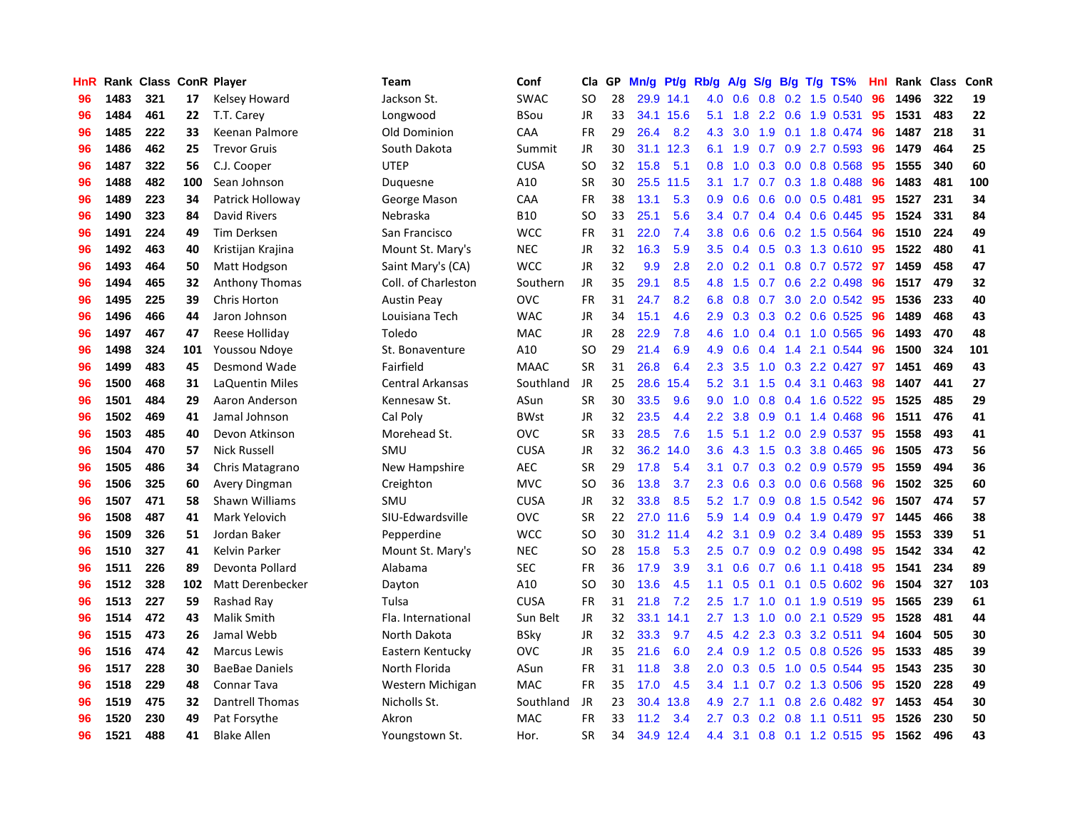| <b>HnR</b> |      | Rank Class ConR Player |     |                        | Team                    | Conf        | Cla       | GP | Mn/g | <b>Pt/g</b> | Rb/g             | A/g |     |     | S/g B/g T/g TS%          | Hnl | Rank | <b>Class</b> | <b>ConR</b> |
|------------|------|------------------------|-----|------------------------|-------------------------|-------------|-----------|----|------|-------------|------------------|-----|-----|-----|--------------------------|-----|------|--------------|-------------|
| 96         | 1483 | 321                    | 17  | Kelsey Howard          | Jackson St.             | <b>SWAC</b> | <b>SO</b> | 28 |      | 29.9 14.1   | 4.0              | 0.6 | 0.8 |     | $0.2$ 1.5 $0.540$        | 96  | 1496 | 322          | 19          |
| 96         | 1484 | 461                    | 22  | T.T. Carey             | Longwood                | <b>BSou</b> | JR        | 33 |      | 34.1 15.6   | 5.1              | 1.8 |     |     | 2.2 0.6 1.9 0.531        | -95 | 1531 | 483          | 22          |
| 96         | 1485 | 222                    | 33  | Keenan Palmore         | Old Dominion            | CAA         | <b>FR</b> | 29 | 26.4 | 8.2         | 4.3              | 3.0 |     |     | 1.9 0.1 1.8 0.474        | -96 | 1487 | 218          | 31          |
| 96         | 1486 | 462                    | 25  | <b>Trevor Gruis</b>    | South Dakota            | Summit      | JR        | 30 |      | 31.1 12.3   | 6.1              | 1.9 |     |     | $0.7$ $0.9$ 2.7 $0.593$  | -96 | 1479 | 464          | 25          |
| 96         | 1487 | 322                    | 56  | C.J. Cooper            | <b>UTEP</b>             | <b>CUSA</b> | <b>SO</b> | 32 | 15.8 | 5.1         | 0.8              | 1.0 |     |     | $0.3$ 0.0 0.8 0.568      | 95  | 1555 | 340          | 60          |
| 96         | 1488 | 482                    | 100 | Sean Johnson           | Duguesne                | A10         | <b>SR</b> | 30 | 25.5 | 11.5        | 3.1              | 1.7 |     |     | 0.7 0.3 1.8 0.488        | 96  | 1483 | 481          | 100         |
| 96         | 1489 | 223                    | 34  | Patrick Holloway       | George Mason            | CAA         | <b>FR</b> | 38 | 13.1 | 5.3         | 0.9 <sub>0</sub> | 0.6 | 0.6 |     | $0.0$ 0.5 0.481          | 95  | 1527 | 231          | 34          |
| 96         | 1490 | 323                    | 84  | David Rivers           | Nebraska                | <b>B10</b>  | SO        | 33 | 25.1 | 5.6         | $3.4^{\circ}$    | 0.7 |     |     | $0.4$ 0.4 0.6 0.445      | -95 | 1524 | 331          | 84          |
| 96         | 1491 | 224                    | 49  | Tim Derksen            | San Francisco           | <b>WCC</b>  | FR        | 31 | 22.0 | 7.4         | 3.8 <sub>1</sub> | 0.6 | 0.6 |     | 0.2 1.5 0.564            | -96 | 1510 | 224          | 49          |
| 96         | 1492 | 463                    | 40  | Kristijan Krajina      | Mount St. Mary's        | <b>NEC</b>  | JR        | 32 | 16.3 | 5.9         | $3.5^{\circ}$    |     |     |     | 0.4 0.5 0.3 1.3 0.610 95 |     | 1522 | 480          | 41          |
| 96         | 1493 | 464                    | 50  | Matt Hodgson           | Saint Mary's (CA)       | <b>WCC</b>  | JR        | 32 | 9.9  | 2.8         | 2.0 <sub>1</sub> |     |     |     | 0.2 0.1 0.8 0.7 0.572 97 |     | 1459 | 458          | 47          |
| 96         | 1494 | 465                    | 32  | Anthony Thomas         | Coll. of Charleston     | Southern    | <b>JR</b> | 35 | 29.1 | 8.5         | 4.8              | 1.5 |     |     | $0.7$ $0.6$ 2.2 $0.498$  | -96 | 1517 | 479          | 32          |
| 96         | 1495 | 225                    | 39  | Chris Horton           | <b>Austin Peay</b>      | <b>OVC</b>  | <b>FR</b> | 31 | 24.7 | 8.2         | 6.8              | 0.8 | 0.7 |     | 3.0 2.0 0.542 95         |     | 1536 | 233          | 40          |
| 96         | 1496 | 466                    | 44  | Jaron Johnson          | Louisiana Tech          | <b>WAC</b>  | JR        | 34 | 15.1 | 4.6         | 2.9 <sup>°</sup> | 0.3 |     |     | 0.3 0.2 0.6 0.525        | 96  | 1489 | 468          | 43          |
| 96         | 1497 | 467                    | 47  | Reese Holliday         | Toledo                  | MAC         | <b>JR</b> | 28 | 22.9 | 7.8         | 4.6              | 1.0 |     |     | 0.4 0.1 1.0 0.565        | 96  | 1493 | 470          | 48          |
| 96         | 1498 | 324                    | 101 | Youssou Ndoye          | St. Bonaventure         | A10         | <b>SO</b> | 29 | 21.4 | 6.9         | 4.9              | 0.6 | 0.4 | 1.4 | 2.1 0.544                | 96  | 1500 | 324          | 101         |
| 96         | 1499 | 483                    | 45  | Desmond Wade           | Fairfield               | <b>MAAC</b> | <b>SR</b> | 31 | 26.8 | 6.4         | 2.3              | 3.5 | 1.0 |     | 0.3 2.2 0.427            | 97  | 1451 | 469          | 43          |
| 96         | 1500 | 468                    | 31  | LaQuentin Miles        | <b>Central Arkansas</b> | Southland   | <b>JR</b> | 25 | 28.6 | 15.4        | 5.2              | 3.1 | 1.5 |     | 0.4 3.1 0.463            | 98  | 1407 | 441          | 27          |
| 96         | 1501 | 484                    | 29  | Aaron Anderson         | Kennesaw St.            | ASun        | <b>SR</b> | 30 | 33.5 | 9.6         | 9.0 <sub>1</sub> | 1.0 |     |     | 0.8 0.4 1.6 0.522 95     |     | 1525 | 485          | 29          |
| 96         | 1502 | 469                    | 41  | Jamal Johnson          | Cal Poly                | <b>BWst</b> | <b>JR</b> | 32 | 23.5 | 4.4         | 2.2              | 3.8 |     |     | 0.9 0.1 1.4 0.468        | -96 | 1511 | 476          | 41          |
| 96         | 1503 | 485                    | 40  | Devon Atkinson         | Morehead St.            | <b>OVC</b>  | <b>SR</b> | 33 | 28.5 | 7.6         | 1.5              | 5.1 |     |     | 1.2 0.0 2.9 0.537        | -95 | 1558 | 493          | 41          |
| 96         | 1504 | 470                    | 57  | <b>Nick Russell</b>    | SMU                     | <b>CUSA</b> | <b>JR</b> | 32 | 36.2 | 14.0        | 3.6              | 4.3 | 1.5 |     | 0.3 3.8 0.465            | 96  | 1505 | 473          | 56          |
| 96         | 1505 | 486                    | 34  | Chris Matagrano        | New Hampshire           | <b>AEC</b>  | <b>SR</b> | 29 | 17.8 | 5.4         | 3.1              | 0.7 |     |     | $0.3$ 0.2 0.9 0.579      | 95  | 1559 | 494          | 36          |
| 96         | 1506 | 325                    | 60  | Avery Dingman          | Creighton               | <b>MVC</b>  | <b>SO</b> | 36 | 13.8 | 3.7         | 2.3              | 0.6 | 0.3 |     | $0.0$ 0.6 0.568          | 96  | 1502 | 325          | 60          |
| 96         | 1507 | 471                    | 58  | Shawn Williams         | SMU                     | <b>CUSA</b> | JR        | 32 | 33.8 | 8.5         | 5.2              | 1.7 | 0.9 |     | 0.8 1.5 0.542            | -96 | 1507 | 474          | 57          |
| 96         | 1508 | 487                    | 41  | Mark Yelovich          | SIU-Edwardsville        | <b>OVC</b>  | <b>SR</b> | 22 | 27.0 | 11.6        | 5.9              | 1.4 | 0.9 |     | 0.4 1.9 0.479            | 97  | 1445 | 466          | 38          |
| 96         | 1509 | 326                    | 51  | Jordan Baker           | Pepperdine              | <b>WCC</b>  | <b>SO</b> | 30 |      | 31.2 11.4   | 4.2              | 3.1 |     |     | $0.9$ 0.2 3.4 0.489      | -95 | 1553 | 339          | 51          |
| 96         | 1510 | 327                    | 41  | Kelvin Parker          | Mount St. Mary's        | <b>NEC</b>  | <b>SO</b> | 28 | 15.8 | 5.3         | 2.5              |     |     |     | 0.7 0.9 0.2 0.9 0.498 95 |     | 1542 | 334          | 42          |
| 96         | 1511 | 226                    | 89  | Devonta Pollard        | Alabama                 | <b>SEC</b>  | FR.       | 36 | 17.9 | 3.9         | 3.1              | 0.6 |     |     | 0.7 0.6 1.1 0.418 95     |     | 1541 | 234          | 89          |
| 96         | 1512 | 328                    | 102 | Matt Derenbecker       | Dayton                  | A10         | <b>SO</b> | 30 | 13.6 | 4.5         | 1.1              | 0.5 |     |     | 0.1 0.1 0.5 0.602 96     |     | 1504 | 327          | 103         |
| 96         | 1513 | 227                    | 59  | Rashad Ray             | Tulsa                   | <b>CUSA</b> | <b>FR</b> | 31 | 21.8 | 7.2         | 2.5              | 1.7 | 1.0 |     | $0.1$ 1.9 $0.519$        | -95 | 1565 | 239          | 61          |
| 96         | 1514 | 472                    | 43  | Malik Smith            | Fla. International      | Sun Belt    | JR        | 32 | 33.1 | 14.1        | $2.7^{\circ}$    | 1.3 | 1.0 |     | $0.0$ 2.1 $0.529$        | 95  | 1528 | 481          | 44          |
| 96         | 1515 | 473                    | 26  | Jamal Webb             | North Dakota            | <b>BSky</b> | JR        | 32 | 33.3 | 9.7         | 4.5              | 4.2 | 2.3 |     | 0.3 3.2 0.511            | -94 | 1604 | 505          | 30          |
| 96         | 1516 | 474                    | 42  | <b>Marcus Lewis</b>    | Eastern Kentucky        | <b>OVC</b>  | JR        | 35 | 21.6 | 6.0         | $2.4^{\circ}$    | 0.9 | 1.2 |     | 0.5 0.8 0.526            | -95 | 1533 | 485          | 39          |
| 96         | 1517 | 228                    | 30  | <b>BaeBae Daniels</b>  | North Florida           | ASun        | <b>FR</b> | 31 | 11.8 | 3.8         | 2.0 <sub>1</sub> | 0.3 | 0.5 |     | 1.0 0.5 0.544            | -95 | 1543 | 235          | 30          |
| 96         | 1518 | 229                    | 48  | <b>Connar Tava</b>     | Western Michigan        | <b>MAC</b>  | <b>FR</b> | 35 | 17.0 | 4.5         | $3.4^{\circ}$    | 1.1 |     |     | 0.7 0.2 1.3 0.506 95     |     | 1520 | 228          | 49          |
| 96         | 1519 | 475                    | 32  | <b>Dantrell Thomas</b> | Nicholls St.            | Southland   | JR        | 23 | 30.4 | 13.8        | 4.9              | 2.7 |     |     | $1.1$ 0.8 2.6 0.482      | -97 | 1453 | 454          | 30          |
| 96         | 1520 | 230                    | 49  | Pat Forsythe           | Akron                   | MAC         | FR        | 33 | 11.2 | 3.4         | $2.7^{\circ}$    | 0.3 |     |     | $0.2$ 0.8 1.1 0.511      | 95  | 1526 | 230          | 50          |
| 96         | 1521 | 488                    | 41  | <b>Blake Allen</b>     | Youngstown St.          | Hor.        | <b>SR</b> | 34 |      | 34.9 12.4   | 4.4              | 3.1 |     |     | 0.8 0.1 1.2 0.515        | 95  | 1562 | 496          | 43          |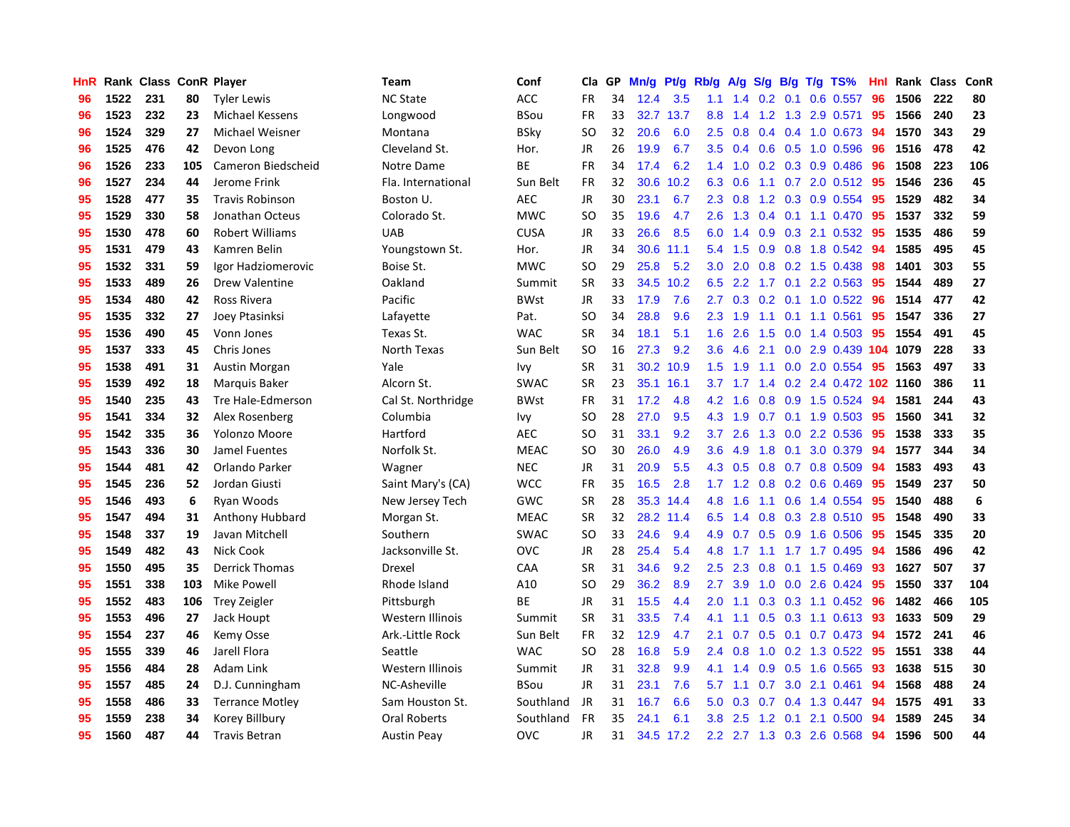| HnR |      | Rank Class ConR Player |     |                        | <b>Team</b>        | Conf        | Cla           | <b>GP</b> | Mn/g | <b>Pt/g</b> | Rb/g          | A/g       |     |                 | S/g B/g T/g TS%           | Hnl | Rank | <b>Class</b> | ConR    |
|-----|------|------------------------|-----|------------------------|--------------------|-------------|---------------|-----------|------|-------------|---------------|-----------|-----|-----------------|---------------------------|-----|------|--------------|---------|
| 96  | 1522 | 231                    | 80  | <b>Tyler Lewis</b>     | <b>NC State</b>    | <b>ACC</b>  | <b>FR</b>     | 34        | 12.4 | 3.5         | 1.1           | 1.4       |     | $0.2 \quad 0.1$ | $0.6$ 0.557               | 96  | 1506 | 222          | 80      |
| 96  | 1523 | 232                    | 23  | Michael Kessens        | Longwood           | BSou        | FR            | 33        |      | 32.7 13.7   | 8.8           | 1.4       |     |                 | 1.2 1.3 2.9 0.571         | -95 | 1566 | 240          | 23      |
| 96  | 1524 | 329                    | 27  | Michael Weisner        | Montana            | BSky        | SO            | 32        | 20.6 | 6.0         | 2.5           | 0.8       |     |                 | $0.4$ 0.4 1.0 0.673       | -94 | 1570 | 343          | 29      |
| 96  | 1525 | 476                    | 42  | Devon Long             | Cleveland St.      | Hor.        | JR            | 26        | 19.9 | 6.7         | 3.5           | 0.4       |     |                 | $0.6$ $0.5$ 1.0 $0.596$   | 96  | 1516 | 478          | 42      |
| 96  | 1526 | 233                    | 105 | Cameron Biedscheid     | Notre Dame         | ВE          | FR            | 34        | 17.4 | 6.2         | 1.4           | 1.0       |     |                 | 0.2 0.3 0.9 0.486         | 96  | 1508 | 223          | 106     |
| 96  | 1527 | 234                    | 44  | Jerome Frink           | Fla. International | Sun Belt    | FR            | 32        | 30.6 | 10.2        | 6.3           | 0.6       |     |                 | 1.1 0.7 2.0 0.512 95      |     | 1546 | 236          | 45      |
| 95  | 1528 | 477                    | 35  | <b>Travis Robinson</b> | Boston U.          | <b>AEC</b>  | <b>JR</b>     | 30        | 23.1 | 6.7         | 2.3           | 0.8       |     |                 | 1.2 0.3 0.9 0.554         | 95  | 1529 | 482          | 34      |
| 95  | 1529 | 330                    | 58  | Jonathan Octeus        | Colorado St.       | <b>MWC</b>  | SO            | 35        | 19.6 | 4.7         | 2.6           | 1.3       |     |                 | $0.4$ 0.1 1.1 0.470       | 95  | 1537 | 332          | 59      |
| 95  | 1530 | 478                    | 60  | <b>Robert Williams</b> | <b>UAB</b>         | <b>CUSA</b> | JR            | 33        | 26.6 | 8.5         | 6.0           | 1.4       | 0.9 |                 | 0.3 2.1 0.532             | -95 | 1535 | 486          | 59      |
| 95  | 1531 | 479                    | 43  | Kamren Belin           | Youngstown St.     | Hor.        | JR            | 34        | 30.6 | 11.1        | 5.4           | 1.5       |     |                 | 0.9 0.8 1.8 0.542 94      |     | 1585 | 495          | 45      |
| 95  | 1532 | 331                    | 59  | Igor Hadziomerovic     | Boise St.          | <b>MWC</b>  | <sub>SO</sub> | 29        | 25.8 | 5.2         | 3.0           | 2.0       |     |                 | 0.8 0.2 1.5 0.438 98      |     | 1401 | 303          | 55      |
| 95  | 1533 | 489                    | 26  | <b>Drew Valentine</b>  | Oakland            | Summit      | <b>SR</b>     | 33        | 34.5 | 10.2        | 6.5           |           |     |                 | 2.2 1.7 0.1 2.2 0.563     | -95 | 1544 | 489          | 27      |
| 95  | 1534 | 480                    | 42  | Ross Rivera            | Pacific            | <b>BWst</b> | JR            | 33        | 17.9 | 7.6         | $2.7^{\circ}$ | 0.3       | 0.2 |                 | $0.1$ 1.0 0.522           | 96  | 1514 | 477          | 42      |
| 95  | 1535 | 332                    | 27  | Joey Ptasinksi         | Lafayette          | Pat.        | SO            | 34        | 28.8 | 9.6         | 2.3           | 1.9       | 1.1 |                 | $0.1$ 1.1 0.561           | 95  | 1547 | 336          | 27      |
| 95  | 1536 | 490                    | 45  | Vonn Jones             | Texas St.          | <b>WAC</b>  | <b>SR</b>     | 34        | 18.1 | 5.1         | 1.6           | 2.6       | 1.5 |                 | $0.0$ 1.4 $0.503$         | 95  | 1554 | 491          | 45      |
| 95  | 1537 | 333                    | 45  | Chris Jones            | North Texas        | Sun Belt    | <b>SO</b>     | 16        | 27.3 | 9.2         | 3.6           | 4.6       | 2.1 |                 | $0.0$ 2.9 0.439 104       |     | 1079 | 228          | 33      |
| 95  | 1538 | 491                    | 31  | Austin Morgan          | Yale               | Ivy         | <b>SR</b>     | 31        | 30.2 | 10.9        | 1.5           | 1.9       | 1.1 |                 | 0.0 2.0 0.554             | 95  | 1563 | 497          | 33      |
| 95  | 1539 | 492                    | 18  | Marquis Baker          | Alcorn St.         | SWAC        | <b>SR</b>     | 23        | 35.1 | 16.1        |               | $3.7$ 1.7 | 1.4 |                 | 0.2 2.4 0.472 102 1160    |     |      | 386          | 11      |
| 95  | 1540 | 235                    | 43  | Tre Hale-Edmerson      | Cal St. Northridge | BWst        | <b>FR</b>     | 31        | 17.2 | 4.8         | 4.2           | 1.6       |     |                 | 0.8 0.9 1.5 0.524 94      |     | 1581 | 244          | 43      |
| 95  | 1541 | 334                    | 32  | Alex Rosenberg         | Columbia           | Ivy         | <sub>SO</sub> | 28        | 27.0 | 9.5         |               | 4.3 1.9   |     |                 | $0.7$ 0.1 1.9 0.503       | -95 | 1560 | 341          | 32      |
| 95  | 1542 | 335                    | 36  | Yolonzo Moore          | Hartford           | <b>AEC</b>  | SO            | 31        | 33.1 | 9.2         | 3.7           | 2.6       |     |                 | 1.3 0.0 2.2 0.536         | -95 | 1538 | 333          | 35      |
| 95  | 1543 | 336                    | 30  | Jamel Fuentes          | Norfolk St.        | <b>MEAC</b> | <b>SO</b>     | 30        | 26.0 | 4.9         | 3.6           | 4.9       | 1.8 | 0.1             | 3.0 0.379                 | 94  | 1577 | 344          | 34      |
| 95  | 1544 | 481                    | 42  | Orlando Parker         | Wagner             | <b>NEC</b>  | JR            | 31        | 20.9 | 5.5         |               | 4.3 0.5   |     |                 | 0.8 0.7 0.8 0.509         | 94  | 1583 | 493          | 43      |
| 95  | 1545 | 236                    | 52  | Jordan Giusti          | Saint Mary's (CA)  | <b>WCC</b>  | <b>FR</b>     | 35        | 16.5 | 2.8         | 1.7           | 1.2       | 0.8 |                 | $0.2$ 0.6 0.469           | 95  | 1549 | 237          | 50      |
| 95  | 1546 | 493                    | 6   | Ryan Woods             | New Jersey Tech    | GWC         | <b>SR</b>     | 28        | 35.3 | 14.4        | 4.8           | 1.6       |     |                 | 1.1 0.6 1.4 0.554         | 95  | 1540 | 488          | $\bf 6$ |
| 95  | 1547 | 494                    | 31  | Anthony Hubbard        | Morgan St.         | <b>MEAC</b> | <b>SR</b>     | 32        | 28.2 | 11.4        | 6.5           | 1.4       |     |                 | 0.8 0.3 2.8 0.510 95      |     | 1548 | 490          | 33      |
| 95  | 1548 | 337                    | 19  | Javan Mitchell         | Southern           | <b>SWAC</b> | <sub>SO</sub> | 33        | 24.6 | 9.4         | 4.9           | 0.7       |     |                 | 0.5 0.9 1.6 0.506 95      |     | 1545 | 335          | 20      |
| 95  | 1549 | 482                    | 43  | Nick Cook              | Jacksonville St.   | <b>OVC</b>  | <b>JR</b>     | 28        | 25.4 | 5.4         | 4.8           | 1.7       |     |                 | 1.1 1.7 1.7 0.495         | -94 | 1586 | 496          | 42      |
| 95  | 1550 | 495                    | 35  | <b>Derrick Thomas</b>  | Drexel             | CAA         | <b>SR</b>     | 31        | 34.6 | 9.2         | 2.5           | 2.3       | 0.8 |                 | $0.1$ 1.5 0.469           | -93 | 1627 | 507          | 37      |
| 95  | 1551 | 338                    | 103 | <b>Mike Powell</b>     | Rhode Island       | A10         | <sub>SO</sub> | 29        | 36.2 | 8.9         | 2.7           | 3.9       | 1.0 |                 | $0.0$ 2.6 $0.424$         | 95  | 1550 | 337          | 104     |
| 95  | 1552 | 483                    | 106 | <b>Trey Zeigler</b>    | Pittsburgh         | <b>BE</b>   | JR            | 31        | 15.5 | 4.4         | 2.0           | 1.1       | 0.3 |                 | 0.3 1.1 0.452 96          |     | 1482 | 466          | 105     |
| 95  | 1553 | 496                    | 27  | Jack Houpt             | Western Illinois   | Summit      | <b>SR</b>     | 31        | 33.5 | 7.4         | 4.1           | 1.1       | 0.5 |                 | $0.3$ 1.1 0.613           | 93  | 1633 | 509          | 29      |
| 95  | 1554 | 237                    | 46  | Kemy Osse              | Ark.-Little Rock   | Sun Belt    | <b>FR</b>     | 32        | 12.9 | 4.7         | 2.1           | 0.7       | 0.5 | 0.1             | $0.7$ 0.473               | 94  | 1572 | 241          | 46      |
| 95  | 1555 | 339                    | 46  | Jarell Flora           | Seattle            | <b>WAC</b>  | <sub>SO</sub> | 28        | 16.8 | 5.9         | 2.4           | 0.8       | 1.0 |                 | 0.2 1.3 0.522             | 95  | 1551 | 338          | 44      |
| 95  | 1556 | 484                    | 28  | Adam Link              | Western Illinois   | Summit      | JR            | 31        | 32.8 | 9.9         | 4.1           | 1.4       |     |                 | 0.9 0.5 1.6 0.565         | -93 | 1638 | 515          | 30      |
| 95  | 1557 | 485                    | 24  | D.J. Cunningham        | NC-Asheville       | BSou        | <b>JR</b>     | 31        | 23.1 | 7.6         | 5.7           | 1.1       | 0.7 |                 | $3.0$ 2.1 $0.461$         | -94 | 1568 | 488          | 24      |
| 95  | 1558 | 486                    | 33  | <b>Terrance Motley</b> | Sam Houston St.    | Southland   | JR            | 31        | 16.7 | 6.6         | 5.0           | 0.3       |     |                 | $0.7$ 0.4 1.3 0.447       | 94  | 1575 | 491          | 33      |
| 95  | 1559 | 238                    | 34  | Korey Billbury         | Oral Roberts       | Southland   | <b>FR</b>     | 35        | 24.1 | 6.1         | 3.8           | 2.5       | 1.2 | 0.1             | 2.1 0.500                 | 94  | 1589 | 245          | 34      |
| 95  | 1560 | 487                    | 44  | <b>Travis Betran</b>   | <b>Austin Peav</b> | <b>OVC</b>  | JR            | 31        |      | 34.5 17.2   |               |           |     |                 | 2.2 2.7 1.3 0.3 2.6 0.568 | 94  | 1596 | 500          | 44      |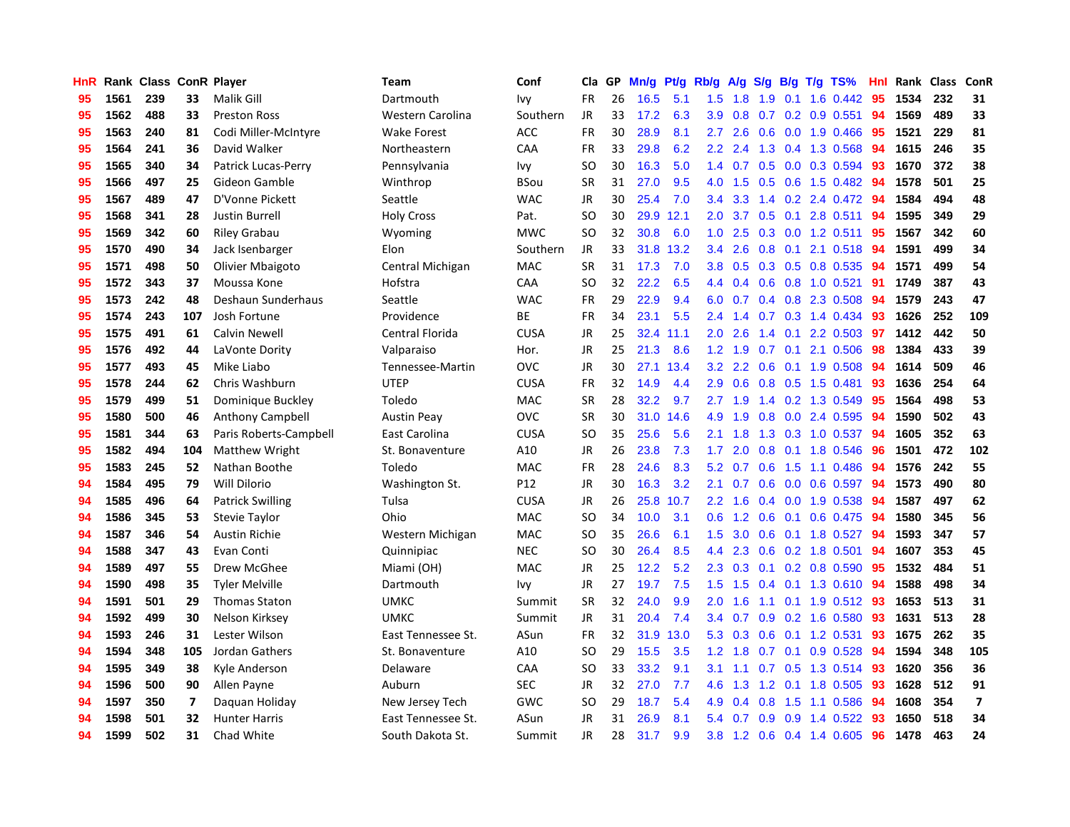| <b>HnR</b> |      | Rank Class ConR Player |     |                         | Team               | Conf        | Cla       | GP | Mn/g | Pt/g | Rb/g             | A/g           | S/g           |     | $B/g$ T/g TS%             | Hnl |      | Rank Class | ConR                     |
|------------|------|------------------------|-----|-------------------------|--------------------|-------------|-----------|----|------|------|------------------|---------------|---------------|-----|---------------------------|-----|------|------------|--------------------------|
| 95         | 1561 | 239                    | 33  | Malik Gill              | Dartmouth          | Ivy         | <b>FR</b> | 26 | 16.5 | 5.1  | 1.5              | 1.8           | 1.9           | 0.1 | 1.6 0.442                 | 95  | 1534 | 232        | 31                       |
| 95         | 1562 | 488                    | 33  | <b>Preston Ross</b>     | Western Carolina   | Southern    | JR        | 33 | 17.2 | 6.3  | 3.9              | 0.8           |               |     | $0.7$ $0.2$ $0.9$ $0.551$ | 94  | 1569 | 489        | 33                       |
| 95         | 1563 | 240                    | 81  | Codi Miller-McIntyre    | <b>Wake Forest</b> | <b>ACC</b>  | <b>FR</b> | 30 | 28.9 | 8.1  | $2.7^{\circ}$    | 2.6           |               |     | $0.6$ 0.0 1.9 0.466       | -95 | 1521 | 229        | 81                       |
| 95         | 1564 | 241                    | 36  | David Walker            | Northeastern       | CAA         | FR        | 33 | 29.8 | 6.2  | $2.2\phantom{0}$ | 2.4           |               |     | 1.3 0.4 1.3 0.568         | 94  | 1615 | 246        | 35                       |
| 95         | 1565 | 340                    | 34  | Patrick Lucas-Perry     | Pennsylvania       | lvy         | <b>SO</b> | 30 | 16.3 | 5.0  | 1.4              | 0.7           |               |     | 0.5 0.0 0.3 0.594         | -93 | 1670 | 372        | 38                       |
| 95         | 1566 | 497                    | 25  | Gideon Gamble           | Winthrop           | <b>BSou</b> | <b>SR</b> | 31 | 27.0 | 9.5  | 4.0              | 1.5           | 0.5           |     | 0.6 1.5 0.482             | 94  | 1578 | 501        | 25                       |
| 95         | 1567 | 489                    | 47  | D'Vonne Pickett         | Seattle            | <b>WAC</b>  | JR        | 30 | 25.4 | 7.0  | 3.4              | 3.3           |               |     | 1.4 0.2 2.4 0.472         | 94  | 1584 | 494        | 48                       |
| 95         | 1568 | 341                    | 28  | Justin Burrell          | <b>Holy Cross</b>  | Pat.        | <b>SO</b> | 30 | 29.9 | 12.1 | 2.0 <sub>1</sub> | 3.7           | 0.5           | 0.1 | 2.8 0.511                 | 94  | 1595 | 349        | 29                       |
| 95         | 1569 | 342                    | 60  | <b>Riley Grabau</b>     | Wyoming            | <b>MWC</b>  | <b>SO</b> | 32 | 30.8 | 6.0  | 1.0              | 2.5           | 0.3           |     | $0.0$ 1.2 0.511           | 95  | 1567 | 342        | 60                       |
| 95         | 1570 | 490                    | 34  | Jack Isenbarger         | Elon               | Southern    | JR        | 33 | 31.8 | 13.2 | 3.4              | 2.6           | 0.8           |     | $0.1$ 2.1 0.518           | -94 | 1591 | 499        | 34                       |
| 95         | 1571 | 498                    | 50  | Olivier Mbaigoto        | Central Michigan   | <b>MAC</b>  | <b>SR</b> | 31 | 17.3 | 7.0  | 3.8 <sub>1</sub> | 0.5           |               |     | 0.3 0.5 0.8 0.535 94      |     | 1571 | 499        | 54                       |
| 95         | 1572 | 343                    | 37  | Moussa Kone             | Hofstra            | CAA         | <b>SO</b> | 32 | 22.2 | 6.5  | 4.4              | 0.4           |               |     | $0.6$ $0.8$ 1.0 $0.521$   | -91 | 1749 | 387        | 43                       |
| 95         | 1573 | 242                    | 48  | Deshaun Sunderhaus      | Seattle            | <b>WAC</b>  | <b>FR</b> | 29 | 22.9 | 9.4  | 6.0              | 0.7           |               |     | $0.4$ 0.8 2.3 0.508       | -94 | 1579 | 243        | 47                       |
| 95         | 1574 | 243                    | 107 | Josh Fortune            | Providence         | <b>BE</b>   | <b>FR</b> | 34 | 23.1 | 5.5  | 2.4              | 1.4           | 0.7           |     | $0.3$ 1.4 0.434           | 93  | 1626 | 252        | 109                      |
| 95         | 1575 | 491                    | 61  | Calvin Newell           | Central Florida    | <b>CUSA</b> | JR        | 25 | 32.4 | 11.1 | 2.0 <sub>1</sub> | 2.6           | $1.4^{\circ}$ | 0.1 | 2.2 0.503                 | 97  | 1412 | 442        | 50                       |
| 95         | 1576 | 492                    | 44  | LaVonte Dority          | Valparaiso         | Hor.        | JR        | 25 | 21.3 | 8.6  | 1.2              | 1.9           | 0.7           | 0.1 | 2.1 0.506                 | 98  | 1384 | 433        | 39                       |
| 95         | 1577 | 493                    | 45  | Mike Liabo              | Tennessee-Martin   | <b>OVC</b>  | JR        | 30 | 27.1 | 13.4 | 3.2              | $2.2^{\circ}$ | 0.6           |     | $0.1$ 1.9 0.508           | 94  | 1614 | 509        | 46                       |
| 95         | 1578 | 244                    | 62  | Chris Washburn          | <b>UTEP</b>        | <b>CUSA</b> | <b>FR</b> | 32 | 14.9 | 4.4  | 2.9 <sup>°</sup> | 0.6           | 0.8           |     | $0.5$ 1.5 0.481           | 93  | 1636 | 254        | 64                       |
| 95         | 1579 | 499                    | 51  | Dominique Buckley       | Toledo             | <b>MAC</b>  | <b>SR</b> | 28 | 32.2 | 9.7  | $2.7^{\circ}$    | 1.9           |               |     | 1.4 0.2 1.3 0.549         | -95 | 1564 | 498        | 53                       |
| 95         | 1580 | 500                    | 46  | Anthony Campbell        | <b>Austin Peav</b> | <b>OVC</b>  | <b>SR</b> | 30 | 31.0 | 14.6 | 4.9              | 1.9           |               |     | $0.8$ 0.0 2.4 0.595       | -94 | 1590 | 502        | 43                       |
| 95         | 1581 | 344                    | 63  | Paris Roberts-Campbell  | East Carolina      | <b>CUSA</b> | SO        | 35 | 25.6 | 5.6  | 2.1              | 1.8           |               |     | 1.3 0.3 1.0 0.537         | -94 | 1605 | 352        | 63                       |
| 95         | 1582 | 494                    | 104 | Matthew Wright          | St. Bonaventure    | A10         | JR        | 26 | 23.8 | 7.3  | 1.7 <sub>2</sub> | 2.0           | 0.8           |     | 0.1 1.8 0.546             | 96  | 1501 | 472        | 102                      |
| 95         | 1583 | 245                    | 52  | Nathan Boothe           | Toledo             | <b>MAC</b>  | <b>FR</b> | 28 | 24.6 | 8.3  | 5.2              | 0.7           | 0.6           |     | 1.5 1.1 0.486             | 94  | 1576 | 242        | 55                       |
| 94         | 1584 | 495                    | 79  | Will Dilorio            | Washington St.     | P12         | <b>JR</b> | 30 | 16.3 | 3.2  | 2.1              | 0.7           | 0.6           |     | $0.0\quad 0.6\quad 0.597$ | 94  | 1573 | 490        | 80                       |
| 94         | 1585 | 496                    | 64  | <b>Patrick Swilling</b> | Tulsa              | <b>CUSA</b> | JR        | 26 | 25.8 | 10.7 | $2.2^{\circ}$    | 1.6           |               |     | $0.4$ 0.0 1.9 0.538       | 94  | 1587 | 497        | 62                       |
| 94         | 1586 | 345                    | 53  | <b>Stevie Taylor</b>    | Ohio               | <b>MAC</b>  | <b>SO</b> | 34 | 10.0 | 3.1  | 0.6              | 1.2           | 0.6           | 0.1 | $0.6$ 0.475               | -94 | 1580 | 345        | 56                       |
| 94         | 1587 | 346                    | 54  | Austin Richie           | Western Michigan   | <b>MAC</b>  | SO        | 35 | 26.6 | 6.1  | 1.5              | 3.0           |               |     | 0.6 0.1 1.8 0.527 94      |     | 1593 | 347        | 57                       |
| 94         | 1588 | 347                    | 43  | Evan Conti              | Quinnipiac         | <b>NEC</b>  | <b>SO</b> | 30 | 26.4 | 8.5  | 4.4              | 2.3           |               |     | $0.6$ 0.2 1.8 0.501       | 94  | 1607 | 353        | 45                       |
| 94         | 1589 | 497                    | 55  | Drew McGhee             | Miami (OH)         | <b>MAC</b>  | JR        | 25 | 12.2 | 5.2  | $2.3^{\circ}$    | 0.3           |               |     | $0.1$ 0.2 0.8 0.590       | -95 | 1532 | 484        | 51                       |
| 94         | 1590 | 498                    | 35  | <b>Tyler Melville</b>   | Dartmouth          | Ivy         | JR        | 27 | 19.7 | 7.5  | 1.5              | 1.5           |               |     | $0.4$ 0.1 1.3 0.610       | -94 | 1588 | 498        | 34                       |
| 94         | 1591 | 501                    | 29  | <b>Thomas Staton</b>    | <b>UMKC</b>        | Summit      | <b>SR</b> | 32 | 24.0 | 9.9  | 2.0              | 1.6           | 1.1           |     | 0.1 1.9 0.512 93          |     | 1653 | 513        | 31                       |
| 94         | 1592 | 499                    | 30  | Nelson Kirksey          | <b>UMKC</b>        | Summit      | JR        | 31 | 20.4 | 7.4  | $3.4^{\circ}$    | 0.7           | 0.9           |     | 0.2 1.6 0.580             | -93 | 1631 | 513        | 28                       |
| 94         | 1593 | 246                    | 31  | Lester Wilson           | East Tennessee St. | ASun        | <b>FR</b> | 32 | 31.9 | 13.0 | 5.3              | 0.3           | 0.6           |     | 0.1 1.2 0.531             | 93  | 1675 | 262        | 35                       |
| 94         | 1594 | 348                    | 105 | Jordan Gathers          | St. Bonaventure    | A10         | SO        | 29 | 15.5 | 3.5  | 1.2              | 1.8           | 0.7           | 0.1 | $0.9$ 0.528               | -94 | 1594 | 348        | 105                      |
| 94         | 1595 | 349                    | 38  | Kyle Anderson           | Delaware           | CAA         | <b>SO</b> | 33 | 33.2 | 9.1  | 3.1              | 1.1           | 0.7           |     | 0.5 1.3 0.514 93          |     | 1620 | 356        | 36                       |
| 94         | 1596 | 500                    | 90  | Allen Payne             | Auburn             | <b>SEC</b>  | JR        | 32 | 27.0 | 7.7  | 4.6              | 1.3           |               |     | 1.2 0.1 1.8 0.505         | -93 | 1628 | 512        | 91                       |
| 94         | 1597 | 350                    | 7   | Daquan Holiday          | New Jersey Tech    | GWC         | SO        | 29 | 18.7 | 5.4  | 4.9              | 0.4           | 0.8           |     | 1.5 1.1 0.586             | -94 | 1608 | 354        | $\overline{\phantom{a}}$ |
| 94         | 1598 | 501                    | 32  | <b>Hunter Harris</b>    | East Tennessee St. | ASun        | JR        | 31 | 26.9 | 8.1  | 5.4              | 0.7           |               |     | 0.9 0.9 1.4 0.522         | 93  | 1650 | 518        | 34                       |
| 94         | 1599 | 502                    | 31  | Chad White              | South Dakota St.   | Summit      | <b>JR</b> | 28 | 31.7 | 9.9  | 3.8              |               |               |     | 1.2 0.6 0.4 1.4 0.605     | 96  | 1478 | 463        | 24                       |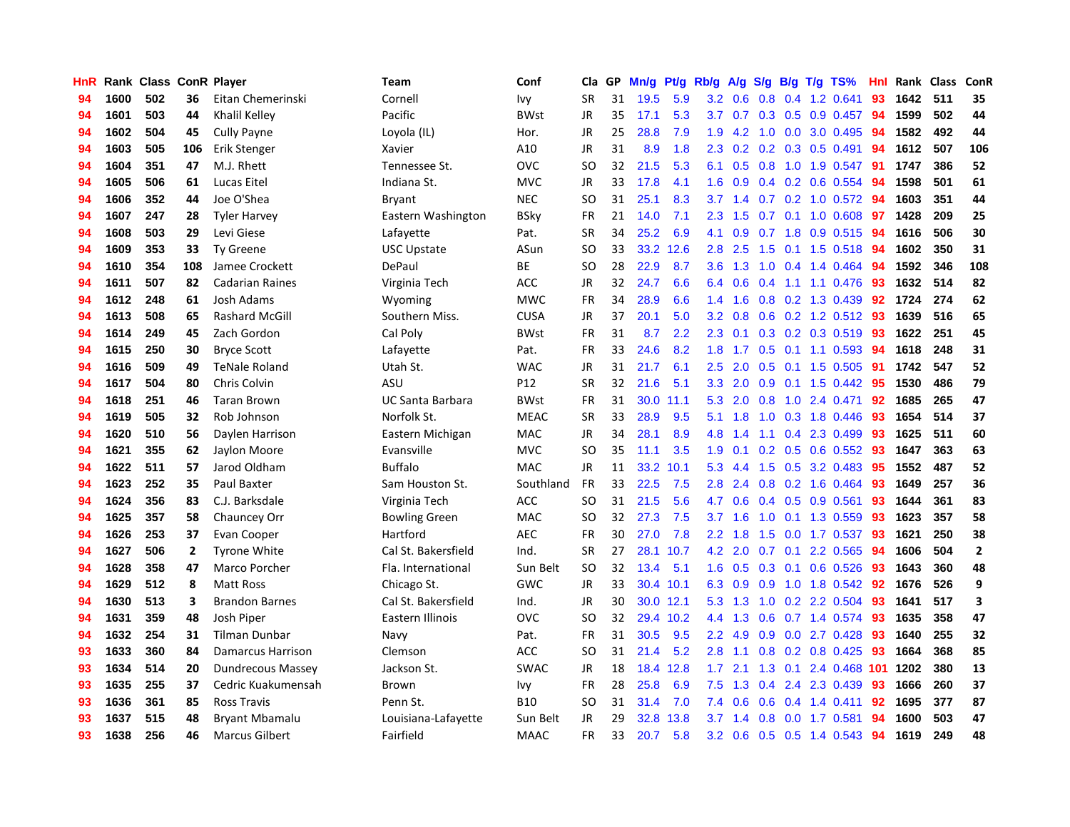| HnR |      | Rank Class ConR Player |     |                        | <b>Team</b>             | Conf        | Cla       | <b>GP</b> | Mn/g | <b>Pt/g</b> | Rb/g             | A/g             | S/g              |     | B/g T/g TS%                  | Hnl | Rank | <b>Class</b> | <b>ConR</b>    |
|-----|------|------------------------|-----|------------------------|-------------------------|-------------|-----------|-----------|------|-------------|------------------|-----------------|------------------|-----|------------------------------|-----|------|--------------|----------------|
| 94  | 1600 | 502                    | 36  | Eitan Chemerinski      | Cornell                 | Ivy         | <b>SR</b> | 31        | 19.5 | 5.9         |                  | $3.2 \quad 0.6$ | 0.8              |     | 0.4 1.2 0.641                | 93  | 1642 | 511          | 35             |
| 94  | 1601 | 503                    | 44  | Khalil Kelley          | Pacific                 | <b>BWst</b> | <b>JR</b> | 35        | 17.1 | 5.3         |                  |                 |                  |     | 3.7 0.7 0.3 0.5 0.9 0.457 94 |     | 1599 | 502          | 44             |
| 94  | 1602 | 504                    | 45  | <b>Cully Payne</b>     | Loyola (IL)             | Hor.        | JR        | 25        | 28.8 | 7.9         | 1.9 <sup>°</sup> | 4.2             |                  |     | 1.0 0.0 3.0 0.495            | -94 | 1582 | 492          | 44             |
| 94  | 1603 | 505                    | 106 | Erik Stenger           | Xavier                  | A10         | JR        | 31        | 8.9  | 1.8         | $2.3^{\circ}$    | 0.2             |                  |     | $0.2$ 0.3 0.5 0.491          | 94  | 1612 | 507          | 106            |
| 94  | 1604 | 351                    | 47  | M.J. Rhett             | Tennessee St.           | <b>OVC</b>  | <b>SO</b> | 32        | 21.5 | 5.3         | 6.1              | 0.5             | 0.8              |     | 1.0 1.9 0.547                | -91 | 1747 | 386          | 52             |
| 94  | 1605 | 506                    | 61  | Lucas Eitel            | Indiana St.             | <b>MVC</b>  | JR        | 33        | 17.8 | 4.1         | 1.6              | 0.9             |                  |     | $0.4$ 0.2 0.6 0.554          | -94 | 1598 | 501          | 61             |
| 94  | 1606 | 352                    | 44  | Joe O'Shea             | Bryant                  | <b>NEC</b>  | SO.       | 31        | 25.1 | 8.3         | 3.7 <sub>2</sub> | 1.4             | 0.7              |     | $0.2$ 1.0 0.572              | -94 | 1603 | 351          | 44             |
| 94  | 1607 | 247                    | 28  | <b>Tyler Harvey</b>    | Eastern Washington      | <b>BSky</b> | FR        | 21        | 14.0 | 7.1         | 2.3              | 1.5             | 0.7              |     | $0.1$ 1.0 0.608              | 97  | 1428 | 209          | 25             |
| 94  | 1608 | 503                    | 29  | Levi Giese             | Lafayette               | Pat.        | <b>SR</b> | 34        | 25.2 | 6.9         | 4.1              | 0.9             | 0.7              |     | 1.8 0.9 0.515                | -94 | 1616 | 506          | 30             |
| 94  | 1609 | 353                    | 33  | Ty Greene              | <b>USC Upstate</b>      | ASun        | <b>SO</b> | 33        |      | 33.2 12.6   | 2.8              | 2.5             |                  |     | 1.5 0.1 1.5 0.518 94         |     | 1602 | 350          | 31             |
| 94  | 1610 | 354                    | 108 | Jamee Crockett         | DePaul                  | <b>BE</b>   | <b>SO</b> | 28        | 22.9 | 8.7         | 3.6 <sup>°</sup> | 1.3             |                  |     | 1.0 0.4 1.4 0.464 94         |     | 1592 | 346          | 108            |
| 94  | 1611 | 507                    | 82  | <b>Cadarian Raines</b> | Virginia Tech           | <b>ACC</b>  | JR        | 32        | 24.7 | 6.6         | 6.4              | 0.6             |                  |     | 0.4 1.1 1.1 0.476 93         |     | 1632 | 514          | 82             |
| 94  | 1612 | 248                    | 61  | Josh Adams             | Wyoming                 | <b>MWC</b>  | <b>FR</b> | 34        | 28.9 | 6.6         | 1.4              | 1.6             |                  |     | 0.8 0.2 1.3 0.439            | 92  | 1724 | 274          | 62             |
| 94  | 1613 | 508                    | 65  | <b>Rashard McGill</b>  | Southern Miss.          | <b>CUSA</b> | JR        | 37        | 20.1 | 5.0         | 3.2              | 0.8             |                  |     | 0.6 0.2 1.2 0.512 93         |     | 1639 | 516          | 65             |
| 94  | 1614 | 249                    | 45  | Zach Gordon            | Cal Poly                | <b>BWst</b> | FR        | 31        | 8.7  | 2.2         | 2.3              | 0.1             |                  |     | $0.3$ 0.2 0.3 0.519          | 93  | 1622 | 251          | 45             |
| 94  | 1615 | 250                    | 30  | <b>Bryce Scott</b>     | Lafayette               | Pat.        | <b>FR</b> | 33        | 24.6 | 8.2         | 1.8              | 1.7             |                  |     | $0.5$ 0.1 1.1 0.593          | -94 | 1618 | 248          | 31             |
| 94  | 1616 | 509                    | 49  | <b>TeNale Roland</b>   | Utah St.                | <b>WAC</b>  | <b>JR</b> | 31        | 21.7 | 6.1         | 2.5              | 2.0             | 0.5              |     | $0.1$ 1.5 0.505              | -91 | 1742 | 547          | 52             |
| 94  | 1617 | 504                    | 80  | <b>Chris Colvin</b>    | ASU                     | P12         | <b>SR</b> | 32        | 21.6 | 5.1         | 3.3 <sub>2</sub> | 2.0             | 0.9              |     | $0.1$ 1.5 $0.442$            | -95 | 1530 | 486          | 79             |
| 94  | 1618 | 251                    | 46  | <b>Taran Brown</b>     | <b>UC Santa Barbara</b> | <b>BWst</b> | <b>FR</b> | 31        | 30.0 | 11.1        | 5.3              | 2.0             |                  |     | $0.8$ 1.0 2.4 0.471          | 92  | 1685 | 265          | 47             |
| 94  | 1619 | 505                    | 32  | Rob Johnson            | Norfolk St.             | <b>MEAC</b> | <b>SR</b> | 33        | 28.9 | 9.5         | 5.1              | 1.8             |                  |     | 1.0 0.3 1.8 0.446            | -93 | 1654 | 514          | 37             |
| 94  | 1620 | 510                    | 56  | Daylen Harrison        | Eastern Michigan        | <b>MAC</b>  | <b>JR</b> | 34        | 28.1 | 8.9         | 4.8              | 1.4             |                  |     | 1.1 0.4 2.3 0.499            | -93 | 1625 | 511          | 60             |
| 94  | 1621 | 355                    | 62  | Jaylon Moore           | Evansville              | <b>MVC</b>  | <b>SO</b> | 35        | 11.1 | 3.5         | 1.9              | 0.1             |                  |     | $0.2$ 0.5 0.6 0.552          | -93 | 1647 | 363          | 63             |
| 94  | 1622 | 511                    | 57  | Jarod Oldham           | <b>Buffalo</b>          | <b>MAC</b>  | JR        | 11        | 33.2 | 10.1        | 5.3              | 4.4             | 1.5              |     | $0.5$ 3.2 0.483              | -95 | 1552 | 487          | 52             |
| 94  | 1623 | 252                    | 35  | <b>Paul Baxter</b>     | Sam Houston St.         | Southland   | <b>FR</b> | 33        | 22.5 | 7.5         | 2.8              | 2.4             | 0.8              |     | 0.2 1.6 0.464                | 93  | 1649 | 257          | 36             |
| 94  | 1624 | 356                    | 83  | C.J. Barksdale         | Virginia Tech           | <b>ACC</b>  | <b>SO</b> | 31        | 21.5 | 5.6         | 4.7              | 0.6             |                  |     | $0.4$ 0.5 0.9 0.561          | 93  | 1644 | 361          | 83             |
| 94  | 1625 | 357                    | 58  | Chauncey Orr           | <b>Bowling Green</b>    | <b>MAC</b>  | <b>SO</b> | 32        | 27.3 | 7.5         | 3.7              | 1.6             | 1.0              |     | $0.1$ 1.3 0.559              | 93  | 1623 | 357          | 58             |
| 94  | 1626 | 253                    | 37  | Evan Cooper            | Hartford                | <b>AEC</b>  | FR        | 30        | 27.0 | 7.8         | $2.2^{\circ}$    | 1.8             |                  |     | 1.5 0.0 1.7 0.537            | -93 | 1621 | 250          | 38             |
| 94  | 1627 | 506                    | 2   | <b>Tyrone White</b>    | Cal St. Bakersfield     | Ind.        | <b>SR</b> | 27        | 28.1 | 10.7        | 4.2              | 2.0             |                  |     | 0.7 0.1 2.2 0.565 94         |     | 1606 | 504          | $\overline{2}$ |
| 94  | 1628 | 358                    | 47  | Marco Porcher          | Fla. International      | Sun Belt    | <b>SO</b> | 32        | 13.4 | 5.1         | 1.6              |                 |                  |     | 0.5 0.3 0.1 0.6 0.526 93     |     | 1643 | 360          | 48             |
| 94  | 1629 | 512                    | 8   | Matt Ross              | Chicago St.             | GWC         | JR        | 33        |      | 30.4 10.1   | 6.3              | 0.9             |                  |     | 0.9 1.0 1.8 0.542            | -92 | 1676 | 526          | 9              |
| 94  | 1630 | 513                    | 3   | <b>Brandon Barnes</b>  | Cal St. Bakersfield     | Ind.        | JR        | 30        |      | 30.0 12.1   | 5.3              | 1.3             | 1.0              |     | 0.2 2.2 0.504                | 93  | 1641 | 517          | 3              |
| 94  | 1631 | 359                    | 48  | Josh Piper             | Eastern Illinois        | <b>OVC</b>  | SO        | 32        | 29.4 | 10.2        | 4.4              | 1.3             | 0.6              |     | $0.7$ 1.4 0.574              | -93 | 1635 | 358          | 47             |
| 94  | 1632 | 254                    | 31  | Tilman Dunbar          | Navy                    | Pat.        | <b>FR</b> | 31        | 30.5 | 9.5         | $2.2^{\circ}$    | 4.9             | 0.9 <sup>°</sup> |     | $0.0$ 2.7 $0.428$            | 93  | 1640 | 255          | 32             |
| 93  | 1633 | 360                    | 84  | Damarcus Harrison      | Clemson                 | ACC         | <b>SO</b> | 31        | 21.4 | 5.2         | 2.8              | $-1.1$          | 0.8              |     | 0.2 0.8 0.425                | -93 | 1664 | 368          | 85             |
| 93  | 1634 | 514                    | 20  | Dundrecous Massey      | Jackson St.             | <b>SWAC</b> | <b>JR</b> | 18        | 18.4 | 12.8        | 1.7 <sub>2</sub> | 2.1             | 1.3              | 0.1 | 2.4 0.468 101                |     | 1202 | 380          | 13             |
| 93  | 1635 | 255                    | 37  | Cedric Kuakumensah     | <b>Brown</b>            | Ivy         | <b>FR</b> | 28        | 25.8 | 6.9         | 7.5              | 1.3             |                  |     | 0.4 2.4 2.3 0.439            | -93 | 1666 | 260          | 37             |
| 93  | 1636 | 361                    | 85  | <b>Ross Travis</b>     | Penn St.                | <b>B10</b>  | SO        | 31        | 31.4 | 7.0         | 7.4              | 0.6             |                  |     | $0.6$ 0.4 1.4 0.411          | -92 | 1695 | 377          | 87             |
| 93  | 1637 | 515                    | 48  | <b>Bryant Mbamalu</b>  | Louisiana-Lafayette     | Sun Belt    | JR        | 29        | 32.8 | 13.8        | 3.7 <sub>2</sub> | 1.4             | 0.8              |     | $0.0$ 1.7 0.581              | 94  | 1600 | 503          | 47             |
| 93  | 1638 | 256                    | 46  | <b>Marcus Gilbert</b>  | Fairfield               | <b>MAAC</b> | FR.       | 33        | 20.7 | 5.8         |                  | $3.2 \quad 0.6$ |                  |     | $0.5$ $0.5$ 1.4 $0.543$      | 94  | 1619 | 249          | 48             |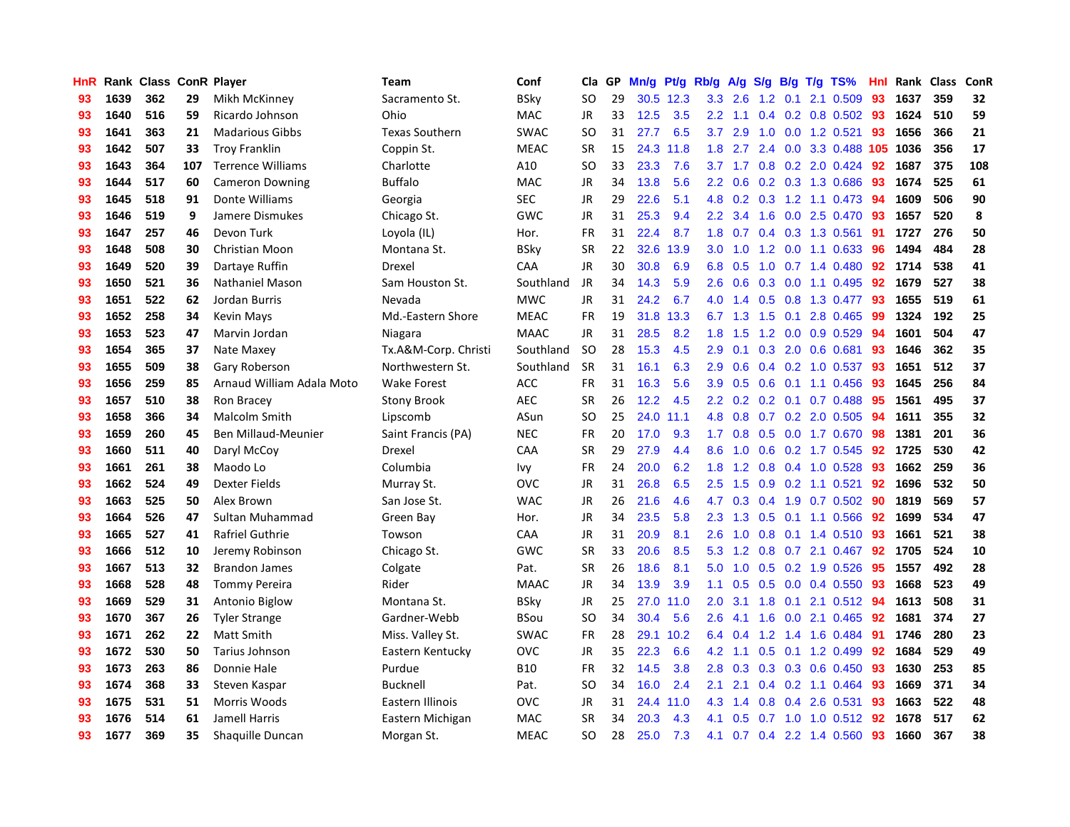| HnR | Rank | <b>Class ConR Player</b> |     |                           | Team                  | Conf        | <b>Cla</b> | <b>GP</b> | Mn/g | <b>Pt/g</b> | Rb/g             | A/g             |     |     | S/g B/g T/g TS%              | Hnl |      | Rank Class | <b>ConR</b> |
|-----|------|--------------------------|-----|---------------------------|-----------------------|-------------|------------|-----------|------|-------------|------------------|-----------------|-----|-----|------------------------------|-----|------|------------|-------------|
| 93  | 1639 | 362                      | 29  | Mikh McKinney             | Sacramento St.        | <b>BSky</b> | SO         | 29        |      | 30.5 12.3   |                  | $3.3$ $2.6$     | 1.2 | 0.1 | 2.1 0.509                    | 93  | 1637 | 359        | 32          |
| 93  | 1640 | 516                      | 59  | Ricardo Johnson           | Ohio                  | MAC         | JR         | 33        | 12.5 | 3.5         | $2.2\phantom{0}$ | 1.1             |     |     | 0.4 0.2 0.8 0.502 93         |     | 1624 | 510        | 59          |
| 93  | 1641 | 363                      | 21  | <b>Madarious Gibbs</b>    | <b>Texas Southern</b> | SWAC        | SO.        | 31        | 27.7 | 6.5         | 3.7              | 2.9             |     |     | 1.0 0.0 1.2 0.521            | -93 | 1656 | 366        | 21          |
| 93  | 1642 | 507                      | 33  | <b>Troy Franklin</b>      | Coppin St.            | <b>MEAC</b> | <b>SR</b>  | 15        | 24.3 | 11.8        | 1.8              | 2.7             |     |     | 2.4 0.0 3.3 0.488 105 1036   |     |      | 356        | 17          |
| 93  | 1643 | 364                      | 107 | <b>Terrence Williams</b>  | Charlotte             | A10         | <b>SO</b>  | 33        | 23.3 | 7.6         |                  | $3.7 \quad 1.7$ |     |     | 0.8 0.2 2.0 0.424            | -92 | 1687 | 375        | 108         |
| 93  | 1644 | 517                      | 60  | <b>Cameron Downing</b>    | <b>Buffalo</b>        | MAC         | JR         | 34        | 13.8 | 5.6         | $2.2\phantom{0}$ | 0.6             |     |     | 0.2 0.3 1.3 0.686            | -93 | 1674 | 525        | 61          |
| 93  | 1645 | 518                      | 91  | Donte Williams            | Georgia               | SEC         | JR         | 29        | 22.6 | 5.1         | 4.8              | 0.2             |     |     | $0.3$ 1.2 1.1 0.473          | 94  | 1609 | 506        | 90          |
| 93  | 1646 | 519                      | 9   | Jamere Dismukes           | Chicago St.           | GWC         | JR         | 31        | 25.3 | 9.4         | $2.2^{\circ}$    | 3.4             | 1.6 |     | $0.0$ 2.5 $0.470$            | -93 | 1657 | 520        | 8           |
| 93  | 1647 | 257                      | 46  | Devon Turk                | Loyola (IL)           | Hor.        | <b>FR</b>  | 31        | 22.4 | 8.7         | 1.8              | 0.7             |     |     | 0.4 0.3 1.3 0.561            | 91  | 1727 | 276        | 50          |
| 93  | 1648 | 508                      | 30  | Christian Moon            | Montana St.           | <b>BSky</b> | <b>SR</b>  | 22        | 32.6 | 13.9        | 3.0 <sub>1</sub> | 1.0             |     |     | 1.2 0.0 1.1 0.633            | -96 | 1494 | 484        | 28          |
| 93  | 1649 | 520                      | 39  | Dartaye Ruffin            | Drexel                | CAA         | JR.        | 30        | 30.8 | 6.9         |                  | 6.8 0.5         |     |     | 1.0 0.7 1.4 0.480 92         |     | 1714 | 538        | 41          |
| 93  | 1650 | 521                      | 36  | Nathaniel Mason           | Sam Houston St.       | Southland   | JR.        | 34        | 14.3 | 5.9         | 2.6              | 0.6             |     |     | $0.3$ 0.0 1.1 0.495          | 92  | 1679 | 527        | 38          |
| 93  | 1651 | 522                      | 62  | Jordan Burris             | Nevada                | <b>MWC</b>  | <b>JR</b>  | 31        | 24.2 | 6.7         | 4.0              | 1.4             |     |     | 0.5 0.8 1.3 0.477            | -93 | 1655 | 519        | 61          |
| 93  | 1652 | 258                      | 34  | <b>Kevin Mays</b>         | Md.-Eastern Shore     | <b>MEAC</b> | <b>FR</b>  | 19        | 31.8 | 13.3        | 6.7              | 1.3             | 1.5 |     | $0.1$ 2.8 0.465              | -99 | 1324 | 192        | 25          |
| 93  | 1653 | 523                      | 47  | Marvin Jordan             | Niagara               | <b>MAAC</b> | JR.        | 31        | 28.5 | 8.2         | 1.8              | 1.5             | 1.2 |     | $0.0$ 0.9 0.529              | 94  | 1601 | 504        | 47          |
| 93  | 1654 | 365                      | 37  | Nate Maxey                | Tx.A&M-Corp. Christi  | Southland   | <b>SO</b>  | 28        | 15.3 | 4.5         | 2.9 <sup>°</sup> | 0.1             | 0.3 |     | 2.0 0.6 0.681                | 93  | 1646 | 362        | 35          |
| 93  | 1655 | 509                      | 38  | Gary Roberson             | Northwestern St.      | Southland   | <b>SR</b>  | 31        | 16.1 | 6.3         | 2.9 <sup>°</sup> | 0.6             | 0.4 |     | $0.2$ 1.0 0.537              | -93 | 1651 | 512        | 37          |
| 93  | 1656 | 259                      | 85  | Arnaud William Adala Moto | <b>Wake Forest</b>    | <b>ACC</b>  | <b>FR</b>  | 31        | 16.3 | 5.6         | 3.9 <sup>°</sup> | 0.5             | 0.6 | 0.1 | 1.1 0.456                    | 93  | 1645 | 256        | 84          |
| 93  | 1657 | 510                      | 38  | Ron Bracey                | <b>Stony Brook</b>    | <b>AEC</b>  | <b>SR</b>  | 26        | 12.2 | 4.5         |                  |                 |     |     | 2.2 0.2 0.2 0.1 0.7 0.488 95 |     | 1561 | 495        | 37          |
| 93  | 1658 | 366                      | 34  | <b>Malcolm Smith</b>      | Lipscomb              | ASun        | SO.        | 25        | 24.0 | 11.1        | 4.8              | 0.8             |     |     | $0.7$ $0.2$ $2.0$ $0.505$    | -94 | 1611 | 355        | 32          |
| 93  | 1659 | 260                      | 45  | Ben Millaud-Meunier       | Saint Francis (PA)    | <b>NEC</b>  | <b>FR</b>  | 20        | 17.0 | 9.3         | 1.7 <sub>z</sub> | 0.8             |     |     | $0.5$ 0.0 1.7 0.670          | 98  | 1381 | 201        | 36          |
| 93  | 1660 | 511                      | 40  | Daryl McCoy               | Drexel                | CAA         | <b>SR</b>  | 29        | 27.9 | 4.4         | 8.6              | 1.0             | 0.6 |     | $0.2$ 1.7 $0.545$            | 92  | 1725 | 530        | 42          |
| 93  | 1661 | 261                      | 38  | Maodo Lo                  | Columbia              | Ivy         | FR         | 24        | 20.0 | 6.2         | 1.8              | 1.2             |     |     | 0.8 0.4 1.0 0.528            | -93 | 1662 | 259        | 36          |
| 93  | 1662 | 524                      | 49  | Dexter Fields             | Murray St.            | <b>OVC</b>  | JR         | 31        | 26.8 | 6.5         | 2.5              | 1.5             | 0.9 |     | $0.2$ 1.1 0.521              | 92  | 1696 | 532        | 50          |
| 93  | 1663 | 525                      | 50  | Alex Brown                | San Jose St.          | <b>WAC</b>  | JR         | 26        | 21.6 | 4.6         | 4.7              | 0.3             | 0.4 |     | 1.9 0.7 0.502                | -90 | 1819 | 569        | 57          |
| 93  | 1664 | 526                      | 47  | Sultan Muhammad           | Green Bay             | Hor.        | JR         | 34        | 23.5 | 5.8         | $2.3^{\circ}$    | 1.3             | 0.5 |     | $0.1$ 1.1 0.566              | -92 | 1699 | 534        | 47          |
| 93  | 1665 | 527                      | 41  | <b>Rafriel Guthrie</b>    | Towson                | CAA         | JR         | 31        | 20.9 | 8.1         | 2.6              | 1.0             |     |     | 0.8 0.1 1.4 0.510 93         |     | 1661 | 521        | 38          |
| 93  | 1666 | 512                      | 10  | Jeremy Robinson           | Chicago St.           | GWC         | <b>SR</b>  | 33        | 20.6 | 8.5         | 5.3              | 1.2             |     |     | 0.8 0.7 2.1 0.467 92         |     | 1705 | 524        | 10          |
| 93  | 1667 | 513                      | 32  | Brandon James             | Colgate               | Pat.        | <b>SR</b>  | 26        | 18.6 | 8.1         | 5.0              | 1.0             |     |     | $0.5$ 0.2 1.9 0.526          | -95 | 1557 | 492        | 28          |
| 93  | 1668 | 528                      | 48  | <b>Tommy Pereira</b>      | Rider                 | <b>MAAC</b> | JR.        | 34        | 13.9 | 3.9         | 1.1              | 0.5             |     |     | $0.5$ 0.0 0.4 0.550          | 93  | 1668 | 523        | 49          |
| 93  | 1669 | 529                      | 31  | Antonio Biglow            | Montana St.           | <b>BSky</b> | JR         | 25        | 27.0 | 11.0        | 2.0              | 3.1             | 1.8 |     | 0.1 2.1 0.512 94             |     | 1613 | 508        | 31          |
| 93  | 1670 | 367                      | 26  | <b>Tyler Strange</b>      | Gardner-Webb          | <b>BSou</b> | SO         | 34        | 30.4 | 5.6         | 2.6              | 4.1             | 1.6 |     | $0.0$ 2.1 $0.465$            | 92  | 1681 | 374        | 27          |
| 93  | 1671 | 262                      | 22  | <b>Matt Smith</b>         | Miss. Valley St.      | <b>SWAC</b> | <b>FR</b>  | 28        | 29.1 | 10.2        | 6.4              | 0.4             |     |     | 1.2 1.4 1.6 0.484            | -91 | 1746 | 280        | 23          |
| 93  | 1672 | 530                      | 50  | Tarius Johnson            | Eastern Kentucky      | OVC         | <b>JR</b>  | 35        | 22.3 | 6.6         | 4.2              | $-1.1$          | 0.5 |     | $0.1$ 1.2 0.499              | 92  | 1684 | 529        | 49          |
| 93  | 1673 | 263                      | 86  | Donnie Hale               | Purdue                | <b>B10</b>  | <b>FR</b>  | 32        | 14.5 | 3.8         | 2.8              | 0.3             |     |     | 0.3 0.3 0.6 0.450            | -93 | 1630 | 253        | 85          |
| 93  | 1674 | 368                      | 33  | Steven Kaspar             | <b>Bucknell</b>       | Pat.        | <b>SO</b>  | 34        | 16.0 | 2.4         | 2.1              | 2.1             |     |     | $0.4$ 0.2 1.1 0.464          | 93  | 1669 | 371        | 34          |
| 93  | 1675 | 531                      | 51  | Morris Woods              | Eastern Illinois      | <b>OVC</b>  | JR         | 31        | 24.4 | 11.0        | 4.3              | 1.4             |     |     | 0.8 0.4 2.6 0.531            | -93 | 1663 | 522        | 48          |
| 93  | 1676 | 514                      | 61  | Jamell Harris             | Eastern Michigan      | <b>MAC</b>  | <b>SR</b>  | 34        | 20.3 | 4.3         | 4.1              | 0.5             |     |     | 0.7 1.0 1.0 0.512            | -92 | 1678 | 517        | 62          |
| 93  | 1677 | 369                      | 35  | Shaquille Duncan          | Morgan St.            | <b>MEAC</b> | <b>SO</b>  | 28        | 25.0 | 7.3         |                  |                 |     |     | 4.1 0.7 0.4 2.2 1.4 0.560    | 93  | 1660 | 367        | 38          |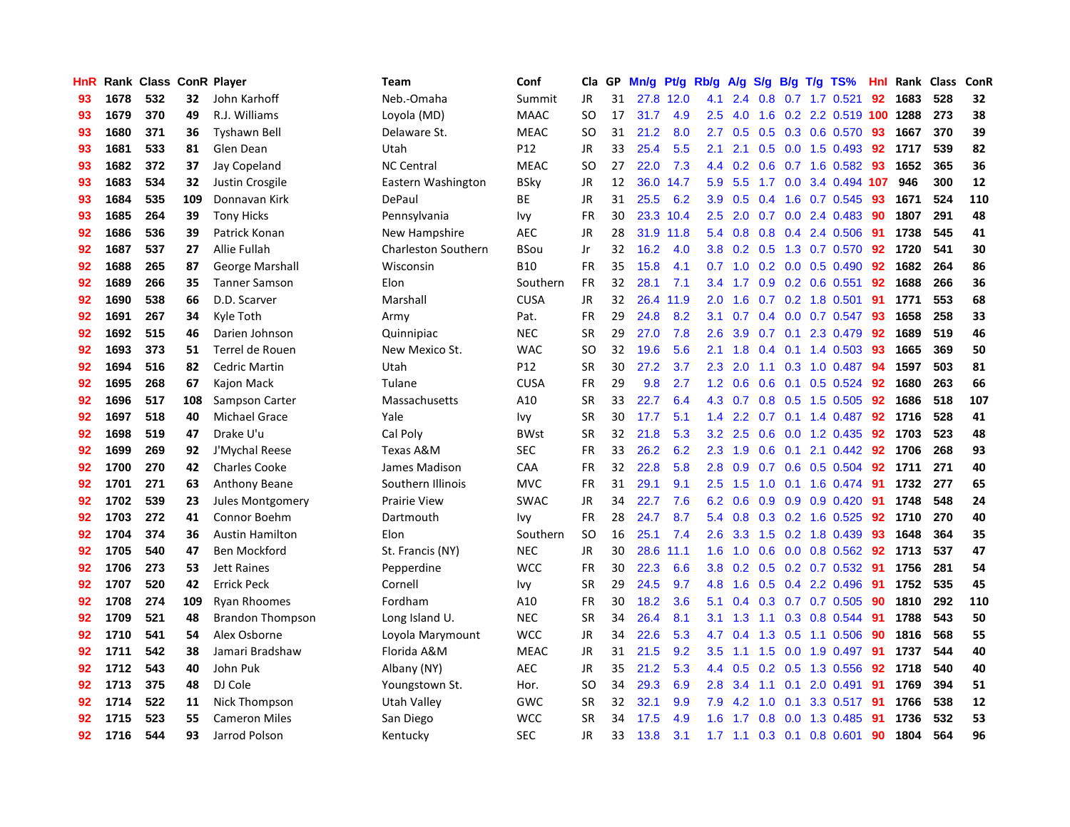| HnR |      | Rank Class ConR Player |     |                         | <b>Team</b>                | Conf            | Cla           | GP | Mn/g | Pt/g | Rb/g             | A/g         |     |                 | $S/g$ B/g T/g TS%           | Hnl | Rank Class |     | ConR |
|-----|------|------------------------|-----|-------------------------|----------------------------|-----------------|---------------|----|------|------|------------------|-------------|-----|-----------------|-----------------------------|-----|------------|-----|------|
| 93  | 1678 | 532                    | 32  | John Karhoff            | Neb.-Omaha                 | Summit          | <b>JR</b>     | 31 | 27.8 | 12.0 | 4.1              | 2.4         | 0.8 |                 | $0.7$ 1.7 $0.521$           | 92  | 1683       | 528 | 32   |
| 93  | 1679 | 370                    | 49  | R.J. Williams           | Loyola (MD)                | <b>MAAC</b>     | <b>SO</b>     | 17 | 31.7 | 4.9  | 2.5              | 4.0         | 1.6 |                 | 0.2 2.2 0.519 100 1288      |     |            | 273 | 38   |
| 93  | 1680 | 371                    | 36  | Tyshawn Bell            | Delaware St.               | <b>MEAC</b>     | <b>SO</b>     | 31 | 21.2 | 8.0  | 2.7              | 0.5         |     |                 | 0.5 0.3 0.6 0.570 93        |     | 1667       | 370 | 39   |
| 93  | 1681 | 533                    | 81  | Glen Dean               | Utah                       | P12             | JR            | 33 | 25.4 | 5.5  | 2.1              | 2.1         |     |                 | $0.5$ 0.0 1.5 0.493         | 92  | 1717       | 539 | 82   |
| 93  | 1682 | 372                    | 37  | Jay Copeland            | <b>NC Central</b>          | <b>MEAC</b>     | <sub>SO</sub> | 27 | 22.0 | 7.3  | 4.4              | 0.2         | 0.6 |                 | $0.7$ 1.6 0.582             | -93 | 1652       | 365 | 36   |
| 93  | 1683 | 534                    | 32  | Justin Crosgile         | Eastern Washington         | BSky            | JR            | 12 | 36.0 | 14.7 | 5.9              | 5.5         | 1.7 |                 | 0.0 3.4 0.494 107           |     | 946        | 300 | 12   |
| 93  | 1684 | 535                    | 109 | Donnavan Kirk           | DePaul                     | ВE              | JR            | 31 | 25.5 | 6.2  | 3.9              | 0.5         | 0.4 |                 | 1.6 0.7 0.545               | 93  | 1671       | 524 | 110  |
| 93  | 1685 | 264                    | 39  | <b>Tony Hicks</b>       | Pennsylvania               | Ivy             | <b>FR</b>     | 30 | 23.3 | 10.4 | 2.5              | 2.0         | 0.7 |                 | $0.0$ 2.4 $0.483$           | 90  | 1807       | 291 | 48   |
| 92  | 1686 | 536                    | 39  | Patrick Konan           | New Hampshire              | <b>AEC</b>      | JR            | 28 | 31.9 | 11.8 | 5.4              | 0.8         | 0.8 |                 | 0.4 2.4 0.506               | -91 | 1738       | 545 | 41   |
| 92  | 1687 | 537                    | 27  | Allie Fullah            | <b>Charleston Southern</b> | BSou            | Jr            | 32 | 16.2 | 4.0  | 3.8 <sub>2</sub> | 0.2         |     |                 | $0.5$ 1.3 0.7 0.570         | 92  | 1720       | 541 | 30   |
| 92  | 1688 | 265                    | 87  | <b>George Marshall</b>  | Wisconsin                  | <b>B10</b>      | FR            | 35 | 15.8 | 4.1  |                  |             |     |                 | $0.7$ 1.0 0.2 0.0 0.5 0.490 | 92  | 1682       | 264 | 86   |
| 92  | 1689 | 266                    | 35  | <b>Tanner Samson</b>    | Elon                       | Southern        | <b>FR</b>     | 32 | 28.1 | 7.1  | 3.4              | 1.7         |     |                 | $0.9$ 0.2 0.6 0.551         | -92 | 1688       | 266 | 36   |
| 92  | 1690 | 538                    | 66  | D.D. Scarver            | Marshall                   | <b>CUSA</b>     | JR            | 32 | 26.4 | 11.9 | 2.0              | 1.6         |     |                 | $0.7$ $0.2$ 1.8 $0.501$     | -91 | 1771       | 553 | 68   |
| 92  | 1691 | 267                    | 34  | Kyle Toth               | Army                       | Pat.            | <b>FR</b>     | 29 | 24.8 | 8.2  | 3.1              | 0.7         |     |                 | $0.4$ 0.0 0.7 0.547         | -93 | 1658       | 258 | 33   |
| 92  | 1692 | 515                    | 46  | Darien Johnson          | Quinnipiac                 | <b>NEC</b>      | <b>SR</b>     | 29 | 27.0 | 7.8  | 2.6              | 3.9         |     | $0.7 \quad 0.1$ | 2.3 0.479                   | -92 | 1689       | 519 | 46   |
| 92  | 1693 | 373                    | 51  | Terrel de Rouen         | New Mexico St.             | <b>WAC</b>      | <b>SO</b>     | 32 | 19.6 | 5.6  | 2.1              | 1.8         | 0.4 |                 | $0.1$ 1.4 0.503             | -93 | 1665       | 369 | 50   |
| 92  | 1694 | 516                    | 82  | <b>Cedric Martin</b>    | Utah                       | P <sub>12</sub> | <b>SR</b>     | 30 | 27.2 | 3.7  | 2.3              | 2.0         | 1.1 |                 | $0.3$ 1.0 $0.487$           | 94  | 1597       | 503 | 81   |
| 92  | 1695 | 268                    | 67  | Kajon Mack              | Tulane                     | <b>CUSA</b>     | <b>FR</b>     | 29 | 9.8  | 2.7  | 1.2              | 0.6         | 0.6 | 0.1             | $0.5 \ 0.524$               | 92  | 1680       | 263 | 66   |
| 92  | 1696 | 517                    | 108 | Sampson Carter          | Massachusetts              | A10             | <b>SR</b>     | 33 | 22.7 | 6.4  | 4.3              | 0.7         |     |                 | 0.8 0.5 1.5 0.505 92        |     | 1686       | 518 | 107  |
| 92  | 1697 | 518                    | 40  | <b>Michael Grace</b>    | Yale                       | Ivy             | <b>SR</b>     | 30 | 17.7 | 5.1  | 1.4              | 2.2         |     |                 | $0.7$ 0.1 1.4 0.487         | 92  | 1716       | 528 | 41   |
| 92  | 1698 | 519                    | 47  | Drake U'u               | Cal Poly                   | <b>BWst</b>     | <b>SR</b>     | 32 | 21.8 | 5.3  | 3.2              | 2.5         |     |                 | $0.6$ $0.0$ 1.2 $0.435$     | 92  | 1703       | 523 | 48   |
| 92  | 1699 | 269                    | 92  | J'Mychal Reese          | Texas A&M                  | <b>SEC</b>      | <b>FR</b>     | 33 | 26.2 | 6.2  | 2.3              | 1.9         | 0.6 | 0.1             | 2.1 0.442                   | 92  | 1706       | 268 | 93   |
| 92  | 1700 | 270                    | 42  | <b>Charles Cooke</b>    | James Madison              | <b>CAA</b>      | <b>FR</b>     | 32 | 22.8 | 5.8  | 2.8              | 0.9         |     |                 | 0.7 0.6 0.5 0.504 92        |     | 1711       | 271 | 40   |
| 92  | 1701 | 271                    | 63  | <b>Anthony Beane</b>    | Southern Illinois          | <b>MVC</b>      | <b>FR</b>     | 31 | 29.1 | 9.1  | 2.5              | 1.5         | 1.0 |                 | $0.1$ 1.6 0.474             | 91  | 1732       | 277 | 65   |
| 92  | 1702 | 539                    | 23  | <b>Jules Montgomery</b> | <b>Prairie View</b>        | <b>SWAC</b>     | JR            | 34 | 22.7 | 7.6  | 6.2              | 0.6         | 0.9 |                 | $0.9$ 0.9 0.420             | 91  | 1748       | 548 | 24   |
| 92  | 1703 | 272                    | 41  | Connor Boehm            | Dartmouth                  | Ivy             | <b>FR</b>     | 28 | 24.7 | 8.7  | 5.4              | 0.8         |     |                 | 0.3 0.2 1.6 0.525           | 92  | 1710       | 270 | 40   |
| 92  | 1704 | 374                    | 36  | <b>Austin Hamilton</b>  | Elon                       | Southern        | <sub>SO</sub> | 16 | 25.1 | 7.4  | 2.6              | 3.3         |     |                 | 1.5 0.2 1.8 0.439           | -93 | 1648       | 364 | 35   |
| 92  | 1705 | 540                    | 47  | <b>Ben Mockford</b>     | St. Francis (NY)           | <b>NEC</b>      | <b>JR</b>     | 30 | 28.6 | 11.1 | 1.6              | 1.0         |     |                 | 0.6 0.0 0.8 0.562 92        |     | 1713       | 537 | 47   |
| 92  | 1706 | 273                    | 53  | <b>Jett Raines</b>      | Pepperdine                 | <b>WCC</b>      | <b>FR</b>     | 30 | 22.3 | 6.6  | 3.8 <sub>1</sub> | 0.2         |     |                 | $0.5$ $0.2$ $0.7$ $0.532$   | -91 | 1756       | 281 | 54   |
| 92  | 1707 | 520                    | 42  | <b>Errick Peck</b>      | Cornell                    | Ivy             | <b>SR</b>     | 29 | 24.5 | 9.7  | 4.8              | 1.6         |     |                 | $0.5$ 0.4 2.2 0.496         | -91 | 1752       | 535 | 45   |
| 92  | 1708 | 274                    | 109 | <b>Ryan Rhoomes</b>     | Fordham                    | A10             | <b>FR</b>     | 30 | 18.2 | 3.6  | 5.1              | 0.4         |     |                 | $0.3$ 0.7 0.7 0.505         | 90  | 1810       | 292 | 110  |
| 92  | 1709 | 521                    | 48  | <b>Brandon Thompson</b> | Long Island U.             | <b>NEC</b>      | <b>SR</b>     | 34 | 26.4 | 8.1  | 3.1              | 1.3         |     |                 | 1.1 0.3 0.8 0.544           | -91 | 1788       | 543 | 50   |
| 92  | 1710 | 541                    | 54  | Alex Osborne            | Loyola Marymount           | <b>WCC</b>      | <b>JR</b>     | 34 | 22.6 | 5.3  | 4.7              | 0.4         | 1.3 |                 | $0.5$ 1.1 0.506             | -90 | 1816       | 568 | 55   |
| 92  | 1711 | 542                    | 38  | Jamari Bradshaw         | Florida A&M                | <b>MEAC</b>     | JR            | 31 | 21.5 | 9.2  | 3.5              | 1.1         | 1.5 |                 | $0.0$ 1.9 0.497             | -91 | 1737       | 544 | 40   |
| 92  | 1712 | 543                    | 40  | John Puk                | Albany (NY)                | <b>AEC</b>      | <b>JR</b>     | 35 | 21.2 | 5.3  | 4.4              | 0.5         |     |                 | $0.2$ $0.5$ 1.3 $0.556$     | 92  | 1718       | 540 | 40   |
| 92  | 1713 | 375                    | 48  | DJ Cole                 | Youngstown St.             | Hor.            | SO            | 34 | 29.3 | 6.9  | 2.8              | 3.4         |     |                 | 1.1 0.1 2.0 0.491           | 91  | 1769       | 394 | 51   |
| 92  | 1714 | 522                    | 11  | Nick Thompson           | <b>Utah Valley</b>         | GWC             | <b>SR</b>     | 32 | 32.1 | 9.9  | 7.9              | 4.2         | 1.0 |                 | $0.1$ 3.3 0.517             | -91 | 1766       | 538 | 12   |
| 92  | 1715 | 523                    | 55  | <b>Cameron Miles</b>    | San Diego                  | <b>WCC</b>      | SR            | 34 | 17.5 | 4.9  | 1.6              | 1.7         | 0.8 |                 | $0.0$ 1.3 0.485             | -91 | 1736       | 532 | 53   |
| 92  | 1716 | 544                    | 93  | Jarrod Polson           | Kentucky                   | <b>SEC</b>      | <b>JR</b>     | 33 | 13.8 | 3.1  |                  | $1.7$ $1.1$ |     |                 | 0.3 0.1 0.8 0.601           | 90  | 1804       | 564 | 96   |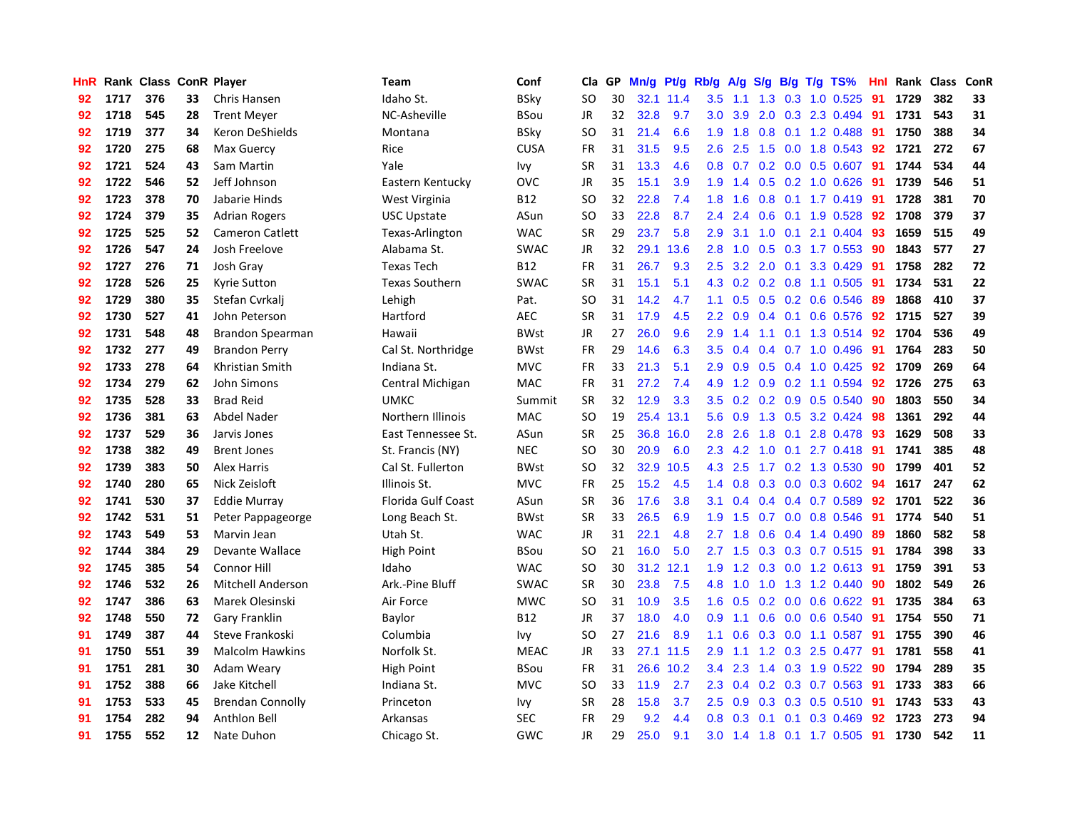| HnR |      | Rank Class ConR Player |    |                         | Team                  | Conf        | Cla           | <b>GP</b> | Mn/g | <b>Pt/g</b> | Rb/g             | A/g       |     |     | S/g B/g T/g TS%          | Hnl | Rank | Class | <b>ConR</b> |
|-----|------|------------------------|----|-------------------------|-----------------------|-------------|---------------|-----------|------|-------------|------------------|-----------|-----|-----|--------------------------|-----|------|-------|-------------|
| 92  | 1717 | 376                    | 33 | Chris Hansen            | Idaho St.             | BSky        | <b>SO</b>     | 30        |      | 32.1 11.4   | 3.5              | 1.1       | 1.3 |     | 0.3 1.0 0.525            | 91  | 1729 | 382   | 33          |
| 92  | 1718 | 545                    | 28 | <b>Trent Meyer</b>      | NC-Asheville          | BSou        | JR            | 32        | 32.8 | 9.7         | 3.0 <sub>2</sub> | 3.9       |     |     | 2.0 0.3 2.3 0.494 91     |     | 1731 | 543   | 31          |
| 92  | 1719 | 377                    | 34 | Keron DeShields         | Montana               | BSky        | SO            | 31        | 21.4 | 6.6         | 1.9              | 1.8       |     |     | 0.8 0.1 1.2 0.488        | -91 | 1750 | 388   | 34          |
| 92  | 1720 | 275                    | 68 | Max Guercy              | Rice                  | <b>CUSA</b> | FR            | 31        | 31.5 | 9.5         | 2.6              | 2.5       |     |     | 1.5 0.0 1.8 0.543        | 92  | 1721 | 272   | 67          |
| 92  | 1721 | 524                    | 43 | Sam Martin              | Yale                  | Ivy         | <b>SR</b>     | 31        | 13.3 | 4.6         | 0.8              |           |     |     | 0.7 0.2 0.0 0.5 0.607    | 91  | 1744 | 534   | 44          |
| 92  | 1722 | 546                    | 52 | Jeff Johnson            | Eastern Kentucky      | <b>OVC</b>  | JR            | 35        | 15.1 | 3.9         | 1.9              | 1.4       |     |     | $0.5$ 0.2 1.0 0.626      | -91 | 1739 | 546   | 51          |
| 92  | 1723 | 378                    | 70 | Jabarie Hinds           | West Virginia         | <b>B12</b>  | <b>SO</b>     | 32        | 22.8 | 7.4         | 1.8              | 1.6       |     |     | 0.8 0.1 1.7 0.419        | 91  | 1728 | 381   | 70          |
| 92  | 1724 | 379                    | 35 | <b>Adrian Rogers</b>    | <b>USC Upstate</b>    | ASun        | SO            | 33        | 22.8 | 8.7         | $2.4^{\circ}$    | 2.4       | 0.6 |     | $0.1$ 1.9 0.528          | 92  | 1708 | 379   | 37          |
| 92  | 1725 | 525                    | 52 | <b>Cameron Catlett</b>  | Texas-Arlington       | <b>WAC</b>  | <b>SR</b>     | 29        | 23.7 | 5.8         | 2.9              | 3.1       | 1.0 | 0.1 | 2.1 0.404                | 93  | 1659 | 515   | 49          |
| 92  | 1726 | 547                    | 24 | Josh Freelove           | Alabama St.           | <b>SWAC</b> | JR            | 32        | 29.1 | 13.6        | 2.8              | 1.0       |     |     | 0.5 0.3 1.7 0.553 90     |     | 1843 | 577   | 27          |
| 92  | 1727 | 276                    | 71 | Josh Gray               | <b>Texas Tech</b>     | <b>B12</b>  | <b>FR</b>     | 31        | 26.7 | 9.3         | 2.5              |           |     |     | 3.2 2.0 0.1 3.3 0.429 91 |     | 1758 | 282   | 72          |
| 92  | 1728 | 526                    | 25 | Kyrie Sutton            | <b>Texas Southern</b> | <b>SWAC</b> | <b>SR</b>     | 31        | 15.1 | 5.1         | 4.3              | 0.2       |     |     | 0.2 0.8 1.1 0.505        | -91 | 1734 | 531   | 22          |
| 92  | 1729 | 380                    | 35 | Stefan Cvrkalj          | Lehigh                | Pat.        | <b>SO</b>     | 31        | 14.2 | 4.7         | 1.1              | 0.5       |     |     | 0.5 0.2 0.6 0.546        | 89  | 1868 | 410   | 37          |
| 92  | 1730 | 527                    | 41 | John Peterson           | Hartford              | <b>AEC</b>  | <b>SR</b>     | 31        | 17.9 | 4.5         | 2.2              | 0.9       |     |     | $0.4$ 0.1 0.6 0.576      | 92  | 1715 | 527   | 39          |
| 92  | 1731 | 548                    | 48 | Brandon Spearman        | Hawaii                | <b>BWst</b> | JR            | 27        | 26.0 | 9.6         | 2.9              | 1.4       |     |     | 1.1 0.1 1.3 0.514        | 92  | 1704 | 536   | 49          |
| 92  | 1732 | 277                    | 49 | <b>Brandon Perry</b>    | Cal St. Northridge    | <b>BWst</b> | FR            | 29        | 14.6 | 6.3         | 3.5              | 0.4       |     |     | $0.4$ 0.7 1.0 0.496      | -91 | 1764 | 283   | 50          |
| 92  | 1733 | 278                    | 64 | Khristian Smith         | Indiana St.           | <b>MVC</b>  | FR            | 33        | 21.3 | 5.1         | 2.9              | 0.9       |     |     | 0.5 0.4 1.0 0.425        | 92  | 1709 | 269   | 64          |
| 92  | 1734 | 279                    | 62 | <b>John Simons</b>      | Central Michigan      | <b>MAC</b>  | <b>FR</b>     | 31        | 27.2 | 7.4         | 4.9              | 1.2       |     |     | 0.9 0.2 1.1 0.594 92     |     | 1726 | 275   | 63          |
| 92  | 1735 | 528                    | 33 | <b>Brad Reid</b>        | <b>UMKC</b>           | Summit      | <b>SR</b>     | 32        | 12.9 | 3.3         | 3.5              |           |     |     | 0.2 0.2 0.9 0.5 0.540    | 90  | 1803 | 550   | 34          |
| 92  | 1736 | 381                    | 63 | <b>Abdel Nader</b>      | Northern Illinois     | <b>MAC</b>  | <b>SO</b>     | 19        |      | 25.4 13.1   | 5.6              | 0.9       |     |     | 1.3 0.5 3.2 0.424 98     |     | 1361 | 292   | 44          |
| 92  | 1737 | 529                    | 36 | Jarvis Jones            | East Tennessee St.    | ASun        | <b>SR</b>     | 25        | 36.8 | 16.0        | 2.8              | 2.6       | 1.8 |     | 0.1 2.8 0.478            | -93 | 1629 | 508   | 33          |
| 92  | 1738 | 382                    | 49 | <b>Brent Jones</b>      | St. Francis (NY)      | <b>NEC</b>  | <b>SO</b>     | 30        | 20.9 | 6.0         | 2.3              | 4.2       | 1.0 |     | $0.1$ 2.7 0.418          | 91  | 1741 | 385   | 48          |
| 92  | 1739 | 383                    | 50 | Alex Harris             | Cal St. Fullerton     | <b>BWst</b> | <b>SO</b>     | 32        | 32.9 | 10.5        | 4.3              | 2.5       |     |     | 1.7 0.2 1.3 0.530        | 90  | 1799 | 401   | 52          |
| 92  | 1740 | 280                    | 65 | Nick Zeisloft           | Illinois St.          | <b>MVC</b>  | <b>FR</b>     | 25        | 15.2 | 4.5         | 1.4              | 0.8       |     |     | 0.3 0.0 0.3 0.602        | -94 | 1617 | 247   | 62          |
| 92  | 1741 | 530                    | 37 | <b>Eddie Murray</b>     | Florida Gulf Coast    | ASun        | <b>SR</b>     | 36        | 17.6 | 3.8         | 3.1              | 0.4       |     |     | 0.4 0.4 0.7 0.589        | 92  | 1701 | 522   | 36          |
| 92  | 1742 | 531                    | 51 | Peter Pappageorge       | Long Beach St.        | <b>BWst</b> | <b>SR</b>     | 33        | 26.5 | 6.9         | 1.9              | 1.5       |     |     | 0.7 0.0 0.8 0.546        | 91  | 1774 | 540   | 51          |
| 92  | 1743 | 549                    | 53 | Marvin Jean             | Utah St.              | <b>WAC</b>  | JR            | 31        | 22.1 | 4.8         |                  | $2.7$ 1.8 |     |     | 0.6 0.4 1.4 0.490 89     |     | 1860 | 582   | 58          |
| 92  | 1744 | 384                    | 29 | Devante Wallace         | High Point            | BSou        | <b>SO</b>     | 21        | 16.0 | 5.0         |                  | $2.7$ 1.5 |     |     | 0.3 0.3 0.7 0.515 91     |     | 1784 | 398   | 33          |
| 92  | 1745 | 385                    | 54 | <b>Connor Hill</b>      | Idaho                 | <b>WAC</b>  | <sub>SO</sub> | 30        | 31.2 | 12.1        | 1.9              | 1.2       |     |     | 0.3 0.0 1.2 0.613 91     |     | 1759 | 391   | 53          |
| 92  | 1746 | 532                    | 26 | Mitchell Anderson       | Ark.-Pine Bluff       | <b>SWAC</b> | <b>SR</b>     | 30        | 23.8 | 7.5         | 4.8              | 1.0       | 1.0 |     | 1.3 1.2 0.440            | 90  | 1802 | 549   | 26          |
| 92  | 1747 | 386                    | 63 | Marek Olesinski         | Air Force             | <b>MWC</b>  | <b>SO</b>     | 31        | 10.9 | 3.5         | 1.6              | 0.5       |     |     | 0.2 0.0 0.6 0.622 91     |     | 1735 | 384   | 63          |
| 92  | 1748 | 550                    | 72 | <b>Gary Franklin</b>    | Baylor                | <b>B12</b>  | <b>JR</b>     | 37        | 18.0 | 4.0         | 0.9              | 1.1       | 0.6 |     | 0.0 0.6 0.540            | 91  | 1754 | 550   | ${\bf 71}$  |
| 91  | 1749 | 387                    | 44 | Steve Frankoski         | Columbia              | Ivy         | SO            | 27        | 21.6 | 8.9         | 1.1              | 0.6       |     |     | 0.3 0.0 1.1 0.587        | -91 | 1755 | 390   | 46          |
| 91  | 1750 | 551                    | 39 | <b>Malcolm Hawkins</b>  | Norfolk St.           | <b>MEAC</b> | <b>JR</b>     | 33        | 27.1 | 11.5        | 2.9              | 1.1       |     |     | 1.2 0.3 2.5 0.477        | 91  | 1781 | 558   | 41          |
| 91  | 1751 | 281                    | 30 | Adam Weary              | <b>High Point</b>     | BSou        | <b>FR</b>     | 31        | 26.6 | 10.2        | 3.4              | 2.3       |     |     | 1.4 0.3 1.9 0.522 90     |     | 1794 | 289   | 35          |
| 91  | 1752 | 388                    | 66 | Jake Kitchell           | Indiana St.           | <b>MVC</b>  | <sub>SO</sub> | 33        | 11.9 | 2.7         | 2.3              | 0.4       |     |     | 0.2 0.3 0.7 0.563 91     |     | 1733 | 383   | 66          |
| 91  | 1753 | 533                    | 45 | <b>Brendan Connolly</b> | Princeton             | Ivy         | SR            | 28        | 15.8 | 3.7         | 2.5              | 0.9       |     |     | $0.3$ 0.3 0.5 0.510      | 91  | 1743 | 533   | 43          |
| 91  | 1754 | 282                    | 94 | Anthlon Bell            | Arkansas              | <b>SEC</b>  | <b>FR</b>     | 29        | 9.2  | 4.4         | 0.8              | 0.3       | 0.1 | 0.1 | 0.3 0.469                | 92  | 1723 | 273   | 94          |
| 91  | 1755 | 552                    | 12 | Nate Duhon              | Chicago St.           | GWC         | JR            | 29        | 25.0 | 9.1         | 3.0 <sub>2</sub> |           |     |     | 1.4 1.8 0.1 1.7 0.505 91 |     | 1730 | 542   | 11          |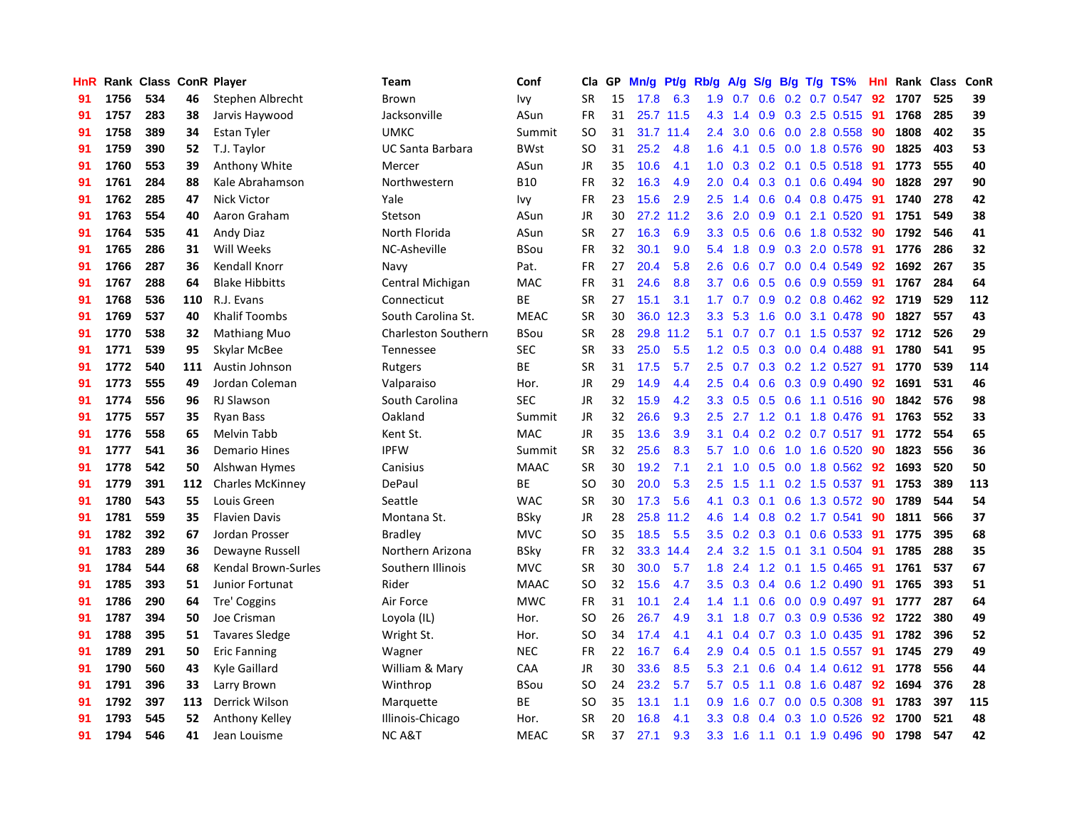| HnR |      | Rank Class ConR Player |     |                         | Team                       | Conf        | Cla           | <b>GP</b> | Mn/g | <b>Pt/g</b> | Rb/g             | A/g             | S/g |     | B/g T/g TS%             | Hnl | Rank | <b>Class</b> | ConR |
|-----|------|------------------------|-----|-------------------------|----------------------------|-------------|---------------|-----------|------|-------------|------------------|-----------------|-----|-----|-------------------------|-----|------|--------------|------|
| 91  | 1756 | 534                    | 46  | Stephen Albrecht        | Brown                      | Ivy         | <b>SR</b>     | 15        | 17.8 | 6.3         |                  | $1.9 \quad 0.7$ | 0.6 |     | $0.2$ 0.7 0.547         | -92 | 1707 | 525          | 39   |
| 91  | 1757 | 283                    | 38  | Jarvis Haywood          | Jacksonville               | ASun        | <b>FR</b>     | 31        |      | 25.7 11.5   | 4.3              | 1.4             |     |     | 0.9 0.3 2.5 0.515 91    |     | 1768 | 285          | 39   |
| 91  | 1758 | 389                    | 34  | Estan Tyler             | <b>UMKC</b>                | Summit      | SO            | 31        |      | 31.7 11.4   | $2.4^{\circ}$    | 3.0             |     |     | $0.6$ $0.0$ 2.8 $0.558$ | -90 | 1808 | 402          | 35   |
| 91  | 1759 | 390                    | 52  | T.J. Taylor             | UC Santa Barbara           | <b>BWst</b> | <sub>SO</sub> | 31        | 25.2 | 4.8         | 1.6              | 4.1             |     |     | $0.5$ 0.0 1.8 0.576     | -90 | 1825 | 403          | 53   |
| 91  | 1760 | 553                    | 39  | Anthony White           | Mercer                     | ASun        | <b>JR</b>     | 35        | 10.6 | 4.1         | 1.0              | 0.3             |     |     | $0.2$ 0.1 0.5 0.518     | -91 | 1773 | 555          | 40   |
| 91  | 1761 | 284                    | 88  | Kale Abrahamson         | Northwestern               | <b>B10</b>  | FR            | 32        | 16.3 | 4.9         | 2.0              | 0.4             |     |     | $0.3$ 0.1 0.6 0.494     | -90 | 1828 | 297          | 90   |
| 91  | 1762 | 285                    | 47  | <b>Nick Victor</b>      | Yale                       | Ivy         | <b>FR</b>     | 23        | 15.6 | 2.9         | 2.5              | 1.4             | 0.6 |     | 0.4 0.8 0.475           | -91 | 1740 | 278          | 42   |
| 91  | 1763 | 554                    | 40  | Aaron Graham            | Stetson                    | ASun        | <b>JR</b>     | 30        | 27.2 | 11.2        | 3.6              | 2.0             | 0.9 | 0.1 | 2.1 0.520               | -91 | 1751 | 549          | 38   |
| 91  | 1764 | 535                    | 41  | <b>Andy Diaz</b>        | North Florida              | ASun        | <b>SR</b>     | 27        | 16.3 | 6.9         | 3.3 <sub>2</sub> | 0.5             | 0.6 |     | 0.6 1.8 0.532           | 90  | 1792 | 546          | 41   |
| 91  | 1765 | 286                    | 31  | Will Weeks              | NC-Asheville               | BSou        | FR            | 32        | 30.1 | 9.0         | 5.4              | 1.8             |     |     | 0.9 0.3 2.0 0.578 91    |     | 1776 | 286          | 32   |
| 91  | 1766 | 287                    | 36  | Kendall Knorr           | Navy                       | Pat.        | <b>FR</b>     | 27        | 20.4 | 5.8         | 2.6              | 0.6             |     |     | $0.7$ 0.0 0.4 0.549     | -92 | 1692 | 267          | 35   |
| 91  | 1767 | 288                    | 64  | <b>Blake Hibbitts</b>   | Central Michigan           | <b>MAC</b>  | FR            | 31        | 24.6 | 8.8         | 3.7              | 0.6             |     |     | $0.5$ 0.6 0.9 0.559     | -91 | 1767 | 284          | 64   |
| 91  | 1768 | 536                    | 110 | R.J. Evans              | Connecticut                | ВE          | <b>SR</b>     | 27        | 15.1 | 3.1         | 1.7 <sup>2</sup> | 0.7             |     |     | 0.9 0.2 0.8 0.462 92    |     | 1719 | 529          | 112  |
| 91  | 1769 | 537                    | 40  | <b>Khalif Toombs</b>    | South Carolina St.         | <b>MEAC</b> | <b>SR</b>     | 30        | 36.0 | 12.3        | 3.3              | 5.3             | 1.6 |     | $0.0$ 3.1 $0.478$       | 90  | 1827 | 557          | 43   |
| 91  | 1770 | 538                    | 32  | <b>Mathiang Muo</b>     | <b>Charleston Southern</b> | BSou        | <b>SR</b>     | 28        | 29.8 | 11.2        | 5.1              | 0.7             |     |     | 0.7 0.1 1.5 0.537       | 92  | 1712 | 526          | 29   |
| 91  | 1771 | 539                    | 95  | Skylar McBee            | Tennessee                  | <b>SEC</b>  | <b>SR</b>     | 33        | 25.0 | 5.5         | 1.2 <sub>1</sub> | 0.5             |     |     | $0.3$ 0.0 0.4 0.488     | 91  | 1780 | 541          | 95   |
| 91  | 1772 | 540                    | 111 | Austin Johnson          | Rutgers                    | BE          | <b>SR</b>     | 31        | 17.5 | 5.7         | 2.5              | 0.7             | 0.3 |     | $0.2$ 1.2 0.527         | -91 | 1770 | 539          | 114  |
| 91  | 1773 | 555                    | 49  | Jordan Coleman          | Valparaiso                 | Hor.        | JR            | 29        | 14.9 | 4.4         | 2.5              | 0.4             | 0.6 |     | 0.3 0.9 0.490           | 92  | 1691 | 531          | 46   |
| 91  | 1774 | 556                    | 96  | <b>RJ Slawson</b>       | South Carolina             | <b>SEC</b>  | JR            | 32        | 15.9 | 4.2         | 3.3 <sub>2</sub> | 0.5             |     |     | 0.5 0.6 1.1 0.516 90    |     | 1842 | 576          | 98   |
| 91  | 1775 | 557                    | 35  | <b>Ryan Bass</b>        | Oakland                    | Summit      | JR            | 32        | 26.6 | 9.3         | $2.5^{\circ}$    | 2.7             |     |     | 1.2 0.1 1.8 0.476 91    |     | 1763 | 552          | 33   |
| 91  | 1776 | 558                    | 65  | Melvin Tabb             | Kent St.                   | <b>MAC</b>  | JR            | 35        | 13.6 | 3.9         | 3.1              | 0.4             |     |     | 0.2 0.2 0.7 0.517 91    |     | 1772 | 554          | 65   |
| 91  | 1777 | 541                    | 36  | <b>Demario Hines</b>    | <b>IPFW</b>                | Summit      | <b>SR</b>     | 32        | 25.6 | 8.3         | 5.7              | 1.0             | 0.6 |     | 1.0 1.6 0.520           | 90  | 1823 | 556          | 36   |
| 91  | 1778 | 542                    | 50  | Alshwan Hymes           | Canisius                   | MAAC        | <b>SR</b>     | 30        | 19.2 | 7.1         | 2.1              | 1.0             |     |     | 0.5 0.0 1.8 0.562       | 92  | 1693 | 520          | 50   |
| 91  | 1779 | 391                    | 112 | <b>Charles McKinney</b> | DePaul                     | <b>BE</b>   | SO.           | 30        | 20.0 | 5.3         | 2.5              | 1.5             |     |     | 1.1 0.2 1.5 0.537       | 91  | 1753 | 389          | 113  |
| 91  | 1780 | 543                    | 55  | Louis Green             | Seattle                    | <b>WAC</b>  | <b>SR</b>     | 30        | 17.3 | 5.6         | 4.1              | 0.3             |     |     | 0.1 0.6 1.3 0.572       | -90 | 1789 | 544          | 54   |
| 91  | 1781 | 559                    | 35  | <b>Flavien Davis</b>    | Montana St.                | BSky        | JR            | 28        | 25.8 | 11.2        | 4.6              | 1.4             | 0.8 |     | $0.2$ 1.7 $0.541$       | 90  | 1811 | 566          | 37   |
| 91  | 1782 | 392                    | 67  | Jordan Prosser          | <b>Bradley</b>             | <b>MVC</b>  | SO            | 35        | 18.5 | 5.5         | 3.5              | 0.2             |     |     | 0.3 0.1 0.6 0.533 91    |     | 1775 | 395          | 68   |
| 91  | 1783 | 289                    | 36  | Dewayne Russell         | Northern Arizona           | <b>BSky</b> | FR            | 32        | 33.3 | 14.4        | $2.4^{\circ}$    | 3.2             |     |     | 1.5 0.1 3.1 0.504 91    |     | 1785 | 288          | 35   |
| 91  | 1784 | 544                    | 68  | Kendal Brown-Surles     | Southern Illinois          | <b>MVC</b>  | <b>SR</b>     | 30        | 30.0 | 5.7         | 1.8              | 2.4             |     |     | 1.2 0.1 1.5 0.465 91    |     | 1761 | 537          | 67   |
| 91  | 1785 | 393                    | 51  | Junior Fortunat         | Rider                      | <b>MAAC</b> | <b>SO</b>     | 32        | 15.6 | 4.7         | 3.5              | 0.3             |     |     | 0.4 0.6 1.2 0.490       | -91 | 1765 | 393          | 51   |
| 91  | 1786 | 290                    | 64  | Tre' Coggins            | Air Force                  | <b>MWC</b>  | FR            | 31        | 10.1 | 2.4         | 1.4              | 1.1             | 0.6 |     | $0.0$ $0.9$ $0.497$     | -91 | 1777 | 287          | 64   |
| 91  | 1787 | 394                    | 50  | Joe Crisman             | Loyola (IL)                | Hor.        | SO            | 26        | 26.7 | 4.9         | 3.1              | 1.8             |     |     | 0.7 0.3 0.9 0.536       | 92  | 1722 | 380          | 49   |
| 91  | 1788 | 395                    | 51  | <b>Tavares Sledge</b>   | Wright St.                 | Hor.        | <b>SO</b>     | 34        | 17.4 | 4.1         | 4.1              | 0.4             | 0.7 |     | $0.3$ 1.0 0.435         | -91 | 1782 | 396          | 52   |
| 91  | 1789 | 291                    | 50  | <b>Eric Fanning</b>     | Wagner                     | NEC         | <b>FR</b>     | 22        | 16.7 | 6.4         | 2.9              | 0.4             | 0.5 |     | $0.1$ 1.5 0.557         | -91 | 1745 | 279          | 49   |
| 91  | 1790 | 560                    | 43  | Kyle Gaillard           | William & Mary             | CAA         | <b>JR</b>     | 30        | 33.6 | 8.5         | 5.3              | 2.1             | 0.6 |     | 0.4 1.4 0.612 91        |     | 1778 | 556          | 44   |
| 91  | 1791 | 396                    | 33  | Larry Brown             | Winthrop                   | BSou        | SO            | 24        | 23.2 | 5.7         | 5.7              | 0.5             |     |     | 1.1 0.8 1.6 0.487 92    |     | 1694 | 376          | 28   |
| 91  | 1792 | 397                    | 113 | Derrick Wilson          | Marquette                  | <b>BE</b>   | SO            | 35        | 13.1 | 1.1         | 0.9              | 1.6             |     |     | $0.7$ 0.0 0.5 0.308     | -91 | 1783 | 397          | 115  |
| 91  | 1793 | 545                    | 52  | Anthony Kelley          | Illinois-Chicago           | Hor.        | SR            | 20        | 16.8 | 4.1         | 3.3 <sub>2</sub> | 0.8             |     |     | $0.4$ 0.3 1.0 0.526     | 92  | 1700 | 521          | 48   |
| 91  | 1794 | 546                    | 41  | Jean Louisme            | NC A&T                     | <b>MEAC</b> | <b>SR</b>     | 37        | 27.1 | 9.3         | 3.3              | 1.6             |     |     | 1.1 0.1 1.9 0.496       | 90  | 1798 | 547          | 42   |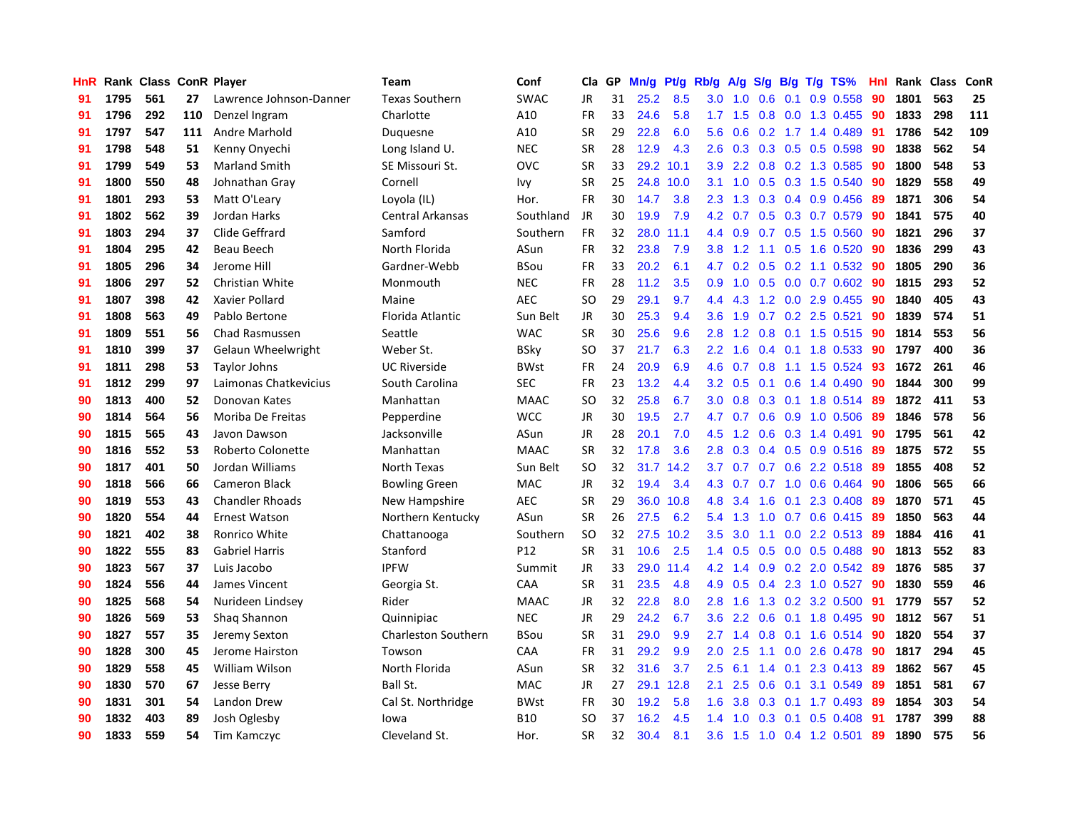| <b>HnR</b> |      | Rank Class ConR Player |     |                         | Team                       | Conf            | <b>Cla</b> | GP | Mn/g | Pt/g | Rb/g             | A/g             |     |                  | S/g B/g T/g TS%              | Hnl | Rank | <b>Class</b> | ConR |
|------------|------|------------------------|-----|-------------------------|----------------------------|-----------------|------------|----|------|------|------------------|-----------------|-----|------------------|------------------------------|-----|------|--------------|------|
| 91         | 1795 | 561                    | 27  | Lawrence Johnson-Danner | <b>Texas Southern</b>      | SWAC            | JR.        | 31 | 25.2 | 8.5  | 3.0              | 1.0             | 0.6 | 0.1              | 0.9 0.558                    | 90  | 1801 | 563          | 25   |
| 91         | 1796 | 292                    | 110 | Denzel Ingram           | Charlotte                  | A10             | <b>FR</b>  | 33 | 24.6 | 5.8  |                  | $1.7$ $1.5$     |     |                  | 0.8 0.0 1.3 0.455            | -90 | 1833 | 298          | 111  |
| 91         | 1797 | 547                    | 111 | Andre Marhold           | Duquesne                   | A10             | <b>SR</b>  | 29 | 22.8 | 6.0  | 5.6              | 0.6             |     |                  | $0.2$ 1.7 1.4 0.489          | -91 | 1786 | 542          | 109  |
| 91         | 1798 | 548                    | 51  | Kenny Onyechi           | Long Island U.             | <b>NEC</b>      | <b>SR</b>  | 28 | 12.9 | 4.3  | 2.6              | 0.3             |     |                  | $0.3$ 0.5 0.5 0.598          | -90 | 1838 | 562          | 54   |
| 91         | 1799 | 549                    | 53  | <b>Marland Smith</b>    | SE Missouri St.            | <b>OVC</b>      | <b>SR</b>  | 33 | 29.2 | 10.1 | 3.9 <sup>°</sup> | $2.2^{\circ}$   |     |                  | 0.8 0.2 1.3 0.585            | 90  | 1800 | 548          | 53   |
| 91         | 1800 | 550                    | 48  | Johnathan Gray          | Cornell                    | Ivy             | <b>SR</b>  | 25 | 24.8 | 10.0 | 3.1              | 1.0             |     |                  | $0.5$ 0.3 1.5 0.540          | -90 | 1829 | 558          | 49   |
| 91         | 1801 | 293                    | 53  | Matt O'Leary            | Loyola (IL)                | Hor.            | <b>FR</b>  | 30 | 14.7 | 3.8  | 2.3              | 1.3             |     |                  | $0.3$ 0.4 0.9 0.456          | -89 | 1871 | 306          | 54   |
| 91         | 1802 | 562                    | 39  | Jordan Harks            | Central Arkansas           | Southland       | JR.        | 30 | 19.9 | 7.9  | 4.2              | 0.7             | 0.5 |                  | $0.3$ 0.7 0.579              | -90 | 1841 | 575          | 40   |
| 91         | 1803 | 294                    | 37  | Clide Geffrard          | Samford                    | Southern        | <b>FR</b>  | 32 | 28.0 | 11.1 | 4.4              | 0.9             |     |                  | $0.7$ $0.5$ 1.5 $0.560$      | 90  | 1821 | 296          | 37   |
| 91         | 1804 | 295                    | 42  | Beau Beech              | North Florida              | ASun            | <b>FR</b>  | 32 | 23.8 | 7.9  | 3.8 <sub>1</sub> | 1.2             | 1.1 |                  | $0.5$ 1.6 0.520              | -90 | 1836 | 299          | 43   |
| 91         | 1805 | 296                    | 34  | Jerome Hill             | Gardner-Webb               | <b>BSou</b>     | <b>FR</b>  | 33 | 20.2 | 6.1  |                  |                 |     |                  | 4.7 0.2 0.5 0.2 1.1 0.532 90 |     | 1805 | 290          | 36   |
| 91         | 1806 | 297                    | 52  | Christian White         | Monmouth                   | <b>NEC</b>      | <b>FR</b>  | 28 | 11.2 | 3.5  | 0.9 <sup>°</sup> | 1.0             |     |                  | 0.5 0.0 0.7 0.602 90         |     | 1815 | 293          | 52   |
| 91         | 1807 | 398                    | 42  | Xavier Pollard          | Maine                      | <b>AEC</b>      | SO         | 29 | 29.1 | 9.7  | 4.4              | 4.3             |     |                  | 1.2 0.0 2.9 0.455            | -90 | 1840 | 405          | 43   |
| 91         | 1808 | 563                    | 49  | Pablo Bertone           | Florida Atlantic           | Sun Belt        | JR         | 30 | 25.3 | 9.4  | 3.6              | 1.9             |     |                  | $0.7$ $0.2$ $2.5$ $0.521$    | 90  | 1839 | 574          | 51   |
| 91         | 1809 | 551                    | 56  | <b>Chad Rasmussen</b>   | Seattle                    | <b>WAC</b>      | <b>SR</b>  | 30 | 25.6 | 9.6  | 2.8              | 1.2             |     |                  | 0.8 0.1 1.5 0.515            | 90  | 1814 | 553          | 56   |
| 91         | 1810 | 399                    | 37  | Gelaun Wheelwright      | Weber St.                  | <b>BSky</b>     | <b>SO</b>  | 37 | 21.7 | 6.3  |                  | $2.2$ 1.6       |     |                  | 0.4 0.1 1.8 0.533            | 90  | 1797 | 400          | 36   |
| 91         | 1811 | 298                    | 53  | <b>Taylor Johns</b>     | <b>UC Riverside</b>        | <b>BWst</b>     | <b>FR</b>  | 24 | 20.9 | 6.9  | 4.6              | 0.7             | 0.8 |                  | 1.1 1.5 0.524                | 93  | 1672 | 261          | 46   |
| 91         | 1812 | 299                    | 97  | Laimonas Chatkevicius   | South Carolina             | <b>SEC</b>      | <b>FR</b>  | 23 | 13.2 | 4.4  | 3.2              | 0.5             | 0.1 |                  | 0.6 1.4 0.490                | 90  | 1844 | 300          | 99   |
| 90         | 1813 | 400                    | 52  | Donovan Kates           | Manhattan                  | <b>MAAC</b>     | <b>SO</b>  | 32 | 25.8 | 6.7  |                  | $3.0 \quad 0.8$ |     |                  | 0.3 0.1 1.8 0.514 89         |     | 1872 | 411          | 53   |
| 90         | 1814 | 564                    | 56  | Moriba De Freitas       | Pepperdine                 | <b>WCC</b>      | JR         | 30 | 19.5 | 2.7  |                  |                 |     |                  | 4.7 0.7 0.6 0.9 1.0 0.506    | -89 | 1846 | 578          | 56   |
| 90         | 1815 | 565                    | 43  | Javon Dawson            | Jacksonville               | ASun            | JR         | 28 | 20.1 | 7.0  | 4.5              | 1.2             |     |                  | $0.6$ $0.3$ 1.4 $0.491$      | -90 | 1795 | 561          | 42   |
| 90         | 1816 | 552                    | 53  | Roberto Colonette       | Manhattan                  | <b>MAAC</b>     | <b>SR</b>  | 32 | 17.8 | 3.6  | 2.8              | 0.3             |     |                  | 0.4 0.5 0.9 0.516            | -89 | 1875 | 572          | 55   |
| 90         | 1817 | 401                    | 50  | Jordan Williams         | North Texas                | Sun Belt        | <b>SO</b>  | 32 | 31.7 | 14.2 | 3.7              | 0.7             |     |                  | 0.7 0.6 2.2 0.518            | -89 | 1855 | 408          | 52   |
| 90         | 1818 | 566                    | 66  | <b>Cameron Black</b>    | <b>Bowling Green</b>       | MAC             | JR         | 32 | 19.4 | 3.4  | 4.3              | 0.7             | 0.7 |                  | 1.0 0.6 0.464                | 90  | 1806 | 565          | 66   |
| 90         | 1819 | 553                    | 43  | <b>Chandler Rhoads</b>  | New Hampshire              | <b>AEC</b>      | <b>SR</b>  | 29 | 36.0 | 10.8 | 4.8              | 3.4             | 1.6 |                  | $0.1$ 2.3 0.408              | -89 | 1870 | 571          | 45   |
| 90         | 1820 | 554                    | 44  | <b>Ernest Watson</b>    | Northern Kentucky          | ASun            | <b>SR</b>  | 26 | 27.5 | 6.2  | 5.4              | 1.3             | 1.0 |                  | $0.7$ 0.6 0.415              | -89 | 1850 | 563          | 44   |
| 90         | 1821 | 402                    | 38  | Ronrico White           | Chattanooga                | Southern        | <b>SO</b>  | 32 | 27.5 | 10.2 | 3.5              | 3.0             | 1.1 |                  | 0.0 2.2 0.513 89             |     | 1884 | 416          | 41   |
| 90         | 1822 | 555                    | 83  | <b>Gabriel Harris</b>   | Stanford                   | P <sub>12</sub> | <b>SR</b>  | 31 | 10.6 | 2.5  |                  | $1.4 \quad 0.5$ |     |                  | 0.5 0.0 0.5 0.488 90         |     | 1813 | 552          | 83   |
| 90         | 1823 | 567                    | 37  | Luis Jacobo             | <b>IPFW</b>                | Summit          | JR.        | 33 | 29.0 | 11.4 |                  | $4.2 \quad 1.4$ |     |                  | 0.9 0.2 2.0 0.542 89         |     | 1876 | 585          | 37   |
| 90         | 1824 | 556                    | 44  | James Vincent           | Georgia St.                | CAA             | <b>SR</b>  | 31 | 23.5 | 4.8  | 4.9              | 0.5             | 0.4 |                  | 2.3 1.0 0.527                | -90 | 1830 | 559          | 46   |
| 90         | 1825 | 568                    | 54  | Nurideen Lindsey        | Rider                      | <b>MAAC</b>     | JR         | 32 | 22.8 | 8.0  | 2.8              | 1.6             | 1.3 |                  | 0.2 3.2 0.500                | -91 | 1779 | 557          | 52   |
| 90         | 1826 | 569                    | 53  | Shag Shannon            | Quinnipiac                 | <b>NEC</b>      | JR         | 29 | 24.2 | 6.7  | 3.6 <sup>°</sup> | 2.2             | 0.6 |                  | 0.1 1.8 0.495                | -90 | 1812 | 567          | 51   |
| 90         | 1827 | 557                    | 35  | Jeremy Sexton           | <b>Charleston Southern</b> | <b>BSou</b>     | <b>SR</b>  | 31 | 29.0 | 9.9  | 2.7              | 1.4             | 0.8 |                  | $0.1$ 1.6 0.514              | -90 | 1820 | 554          | 37   |
| 90         | 1828 | 300                    | 45  | Jerome Hairston         | Towson                     | CAA             | FR         | 31 | 29.2 | 9.9  | 2.0 <sub>1</sub> | 2.5             | 1.1 | 0.0 <sub>1</sub> | 2.6 0.478                    | -90 | 1817 | 294          | 45   |
| 90         | 1829 | 558                    | 45  | <b>William Wilson</b>   | North Florida              | ASun            | <b>SR</b>  | 32 | 31.6 | 3.7  | 2.5              | 6.1             | 1.4 | 0.1              | 2.3 0.413 89                 |     | 1862 | 567          | 45   |
| 90         | 1830 | 570                    | 67  | <b>Jesse Berry</b>      | Ball St.                   | <b>MAC</b>      | JR         | 27 | 29.1 | 12.8 | 2.1              | 2.5             | 0.6 |                  | 0.1 3.1 0.549                | -89 | 1851 | 581          | 67   |
| 90         | 1831 | 301                    | 54  | Landon Drew             | Cal St. Northridge         | <b>BWst</b>     | <b>FR</b>  | 30 | 19.2 | 5.8  | 1.6              | 3.8             |     |                  | $0.3$ 0.1 1.7 0.493          | -89 | 1854 | 303          | 54   |
| 90         | 1832 | 403                    | 89  | Josh Oglesby            | lowa                       | <b>B10</b>      | SO         | 37 | 16.2 | 4.5  | $1.4^{\circ}$    | 1.0             |     |                  | $0.3$ 0.1 0.5 0.408          | -91 | 1787 | 399          | 88   |
| 90         | 1833 | 559                    | 54  | Tim Kamczyc             | Cleveland St.              | Hor.            | <b>SR</b>  | 32 | 30.4 | 8.1  | 3.6 <sup>°</sup> | 1.5             |     |                  | 1.0 0.4 1.2 0.501            | 89  | 1890 | 575          | 56   |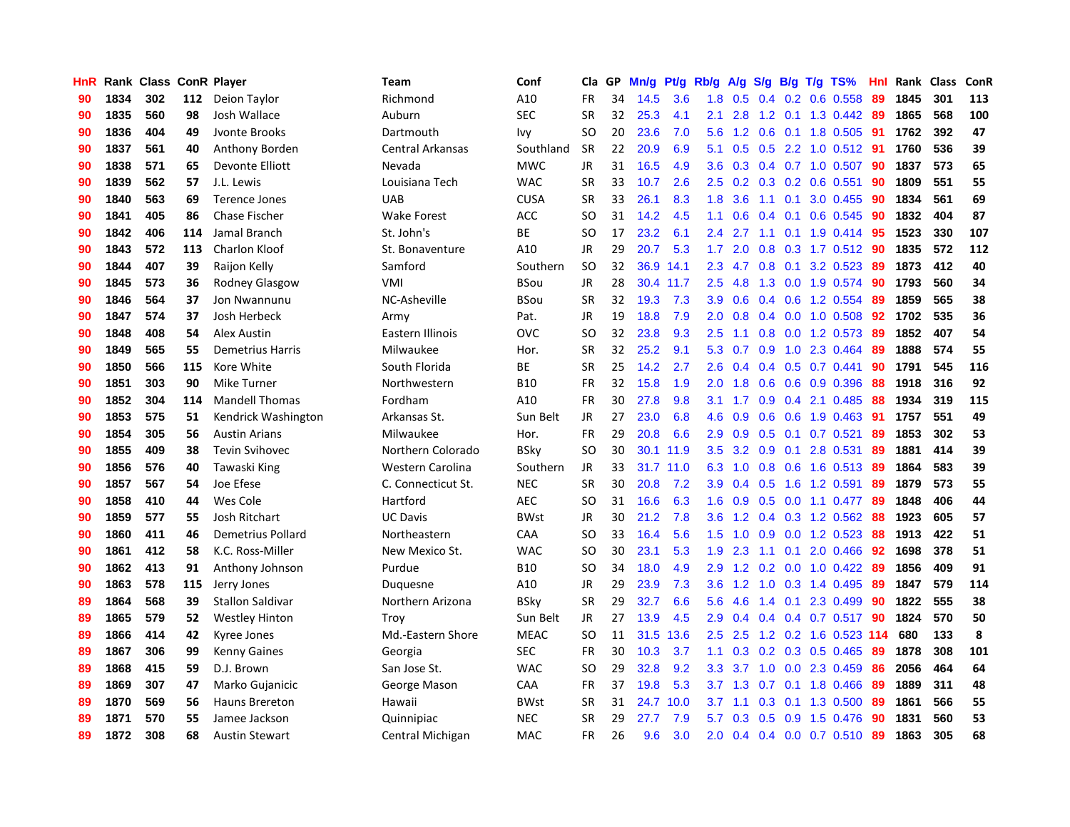| HnR |      | Rank Class ConR Player |     |                          | Team               | Conf        | Cla           | GP | Mn/g | Pt/g      | Rb/g             | A/g       | S/g              |                 | $B/g$ T/g TS%           | Hnl |      | Rank Class | ConR |
|-----|------|------------------------|-----|--------------------------|--------------------|-------------|---------------|----|------|-----------|------------------|-----------|------------------|-----------------|-------------------------|-----|------|------------|------|
| 90  | 1834 | 302                    | 112 | Deion Taylor             | Richmond           | A10         | <b>FR</b>     | 34 | 14.5 | 3.6       | 1.8              | 0.5       | 0.4              |                 | $0.2$ 0.6 0.558         | 89  | 1845 | 301        | 113  |
| 90  | 1835 | 560                    | 98  | Josh Wallace             | Auburn             | <b>SEC</b>  | <b>SR</b>     | 32 | 25.3 | 4.1       | 2.1              | 2.8       |                  |                 | 1.2 0.1 1.3 0.442 89    |     | 1865 | 568        | 100  |
| 90  | 1836 | 404                    | 49  | Jvonte Brooks            | Dartmouth          | Ivy         | <sub>SO</sub> | 20 | 23.6 | 7.0       | 5.6              | 1.2       |                  |                 | 0.6 0.1 1.8 0.505 91    |     | 1762 | 392        | 47   |
| 90  | 1837 | 561                    | 40  | Anthony Borden           | Central Arkansas   | Southland   | <b>SR</b>     | 22 | 20.9 | 6.9       | 5.1              | 0.5       |                  |                 | 0.5 2.2 1.0 0.512 91    |     | 1760 | 536        | 39   |
| 90  | 1838 | 571                    | 65  | Devonte Elliott          | Nevada             | <b>MWC</b>  | JR            | 31 | 16.5 | 4.9       | 3.6              | 0.3       |                  |                 | $0.4$ 0.7 1.0 0.507     | -90 | 1837 | 573        | 65   |
| 90  | 1839 | 562                    | 57  | J.L. Lewis               | Louisiana Tech     | <b>WAC</b>  | <b>SR</b>     | 33 | 10.7 | 2.6       | 2.5              | 0.2       |                  |                 | 0.3 0.2 0.6 0.551       | 90  | 1809 | 551        | 55   |
| 90  | 1840 | 563                    | 69  | <b>Terence Jones</b>     | <b>UAB</b>         | <b>CUSA</b> | <b>SR</b>     | 33 | 26.1 | 8.3       | 1.8              | 3.6       |                  | $1.1 \quad 0.1$ | 3.0 0.455               | -90 | 1834 | 561        | 69   |
| 90  | 1841 | 405                    | 86  | Chase Fischer            | Wake Forest        | <b>ACC</b>  | <b>SO</b>     | 31 | 14.2 | 4.5       | 1.1              | 0.6       | 0.4              |                 | $0.1$ 0.6 0.545         | -90 | 1832 | 404        | 87   |
| 90  | 1842 | 406                    | 114 | Jamal Branch             | St. John's         | BE          | <sub>SO</sub> | 17 | 23.2 | 6.1       | 2.4              | 2.7       | 1.1              |                 | 0.1 1.9 0.414 95        |     | 1523 | 330        | 107  |
| 90  | 1843 | 572                    | 113 | <b>Charlon Kloof</b>     | St. Bonaventure    | A10         | JR            | 29 | 20.7 | 5.3       | 1.7              | 2.0       | 0.8              |                 | 0.3 1.7 0.512 90        |     | 1835 | 572        | 112  |
| 90  | 1844 | 407                    | 39  | Raijon Kelly             | Samford            | Southern    | <sub>SO</sub> | 32 |      | 36.9 14.1 |                  | $2.3$ 4.7 |                  |                 | 0.8 0.1 3.2 0.523 89    |     | 1873 | 412        | 40   |
| 90  | 1845 | 573                    | 36  | Rodney Glasgow           | VMI                | BSou        | <b>JR</b>     | 28 |      | 30.4 11.7 | $2.5^{\circ}$    | 4.8       |                  |                 | 1.3 0.0 1.9 0.574 90    |     | 1793 | 560        | 34   |
| 90  | 1846 | 564                    | 37  | <b>Jon Nwannunu</b>      | NC-Asheville       | BSou        | <b>SR</b>     | 32 | 19.3 | 7.3       | 3.9              | 0.6       |                  |                 | 0.4 0.6 1.2 0.554       | -89 | 1859 | 565        | 38   |
| 90  | 1847 | 574                    | 37  | Josh Herbeck             | Army               | Pat.        | JR            | 19 | 18.8 | 7.9       | 2.0              | 0.8       | $0.4^{\circ}$    |                 | $0.0$ 1.0 0.508         | -92 | 1702 | 535        | 36   |
| 90  | 1848 | 408                    | 54  | Alex Austin              | Eastern Illinois   | OVC         | SO            | 32 | 23.8 | 9.3       | 2.5              | 1.1       |                  |                 | 0.8 0.0 1.2 0.573       | -89 | 1852 | 407        | 54   |
| 90  | 1849 | 565                    | 55  | <b>Demetrius Harris</b>  | Milwaukee          | Hor.        | <b>SR</b>     | 32 | 25.2 | 9.1       | 5.3              | 0.7       | 0.9 <sub>0</sub> |                 | 1.0 2.3 0.464           | -89 | 1888 | 574        | 55   |
| 90  | 1850 | 566                    | 115 | Kore White               | South Florida      | <b>BE</b>   | <b>SR</b>     | 25 | 14.2 | 2.7       | 2.6              | 0.4       |                  |                 | $0.4$ 0.5 0.7 0.441     | 90  | 1791 | 545        | 116  |
| 90  | 1851 | 303                    | 90  | Mike Turner              | Northwestern       | <b>B10</b>  | <b>FR</b>     | 32 | 15.8 | 1.9       | 2.0              | 1.8       | 0.6              |                 | 0.6 0.9 0.396           | 88  | 1918 | 316        | 92   |
| 90  | 1852 | 304                    | 114 | <b>Mandell Thomas</b>    | Fordham            | A10         | <b>FR</b>     | 30 | 27.8 | 9.8       | 3.1              | 1.7       |                  |                 | $0.9$ 0.4 2.1 0.485     | -88 | 1934 | 319        | 115  |
| 90  | 1853 | 575                    | 51  | Kendrick Washington      | Arkansas St.       | Sun Belt    | JR            | 27 | 23.0 | 6.8       | 4.6              | 0.9       |                  |                 | 0.6 0.6 1.9 0.463 91    |     | 1757 | 551        | 49   |
| 90  | 1854 | 305                    | 56  | <b>Austin Arians</b>     | Milwaukee          | Hor.        | <b>FR</b>     | 29 | 20.8 | 6.6       | 2.9              | 0.9       |                  |                 | $0.5$ 0.1 0.7 0.521     | 89  | 1853 | 302        | 53   |
| 90  | 1855 | 409                    | 38  | <b>Tevin Svihovec</b>    | Northern Colorado  | BSky        | <sub>SO</sub> | 30 | 30.1 | 11.9      | 3.5              | 3.2       | 0.9              | 0.1             | 2.8 0.531               | -89 | 1881 | 414        | 39   |
| 90  | 1856 | 576                    | 40  | Tawaski King             | Western Carolina   | Southern    | JR            | 33 | 31.7 | 11.0      | 6.3              | 1.0       | 0.8              |                 | 0.6 1.6 0.513 89        |     | 1864 | 583        | 39   |
| 90  | 1857 | 567                    | 54  | Joe Efese                | C. Connecticut St. | <b>NEC</b>  | <b>SR</b>     | 30 | 20.8 | 7.2       | 3.9 <sup>°</sup> | 0.4       | 0.5              |                 | 1.6 1.2 0.591           | 89  | 1879 | 573        | 55   |
| 90  | 1858 | 410                    | 44  | Wes Cole                 | Hartford           | <b>AEC</b>  | SO.           | 31 | 16.6 | 6.3       | 1.6              | 0.9       | 0.5              |                 | $0.0$ 1.1 $0.477$       | -89 | 1848 | 406        | 44   |
| 90  | 1859 | 577                    | 55  | Josh Ritchart            | <b>UC Davis</b>    | <b>BWst</b> | JR            | 30 | 21.2 | 7.8       | 3.6              | 1.2       |                  |                 | $0.4$ 0.3 1.2 0.562     | -88 | 1923 | 605        | 57   |
| 90  | 1860 | 411                    | 46  | <b>Demetrius Pollard</b> | Northeastern       | CAA         | SO            | 33 | 16.4 | 5.6       | $1.5^{\circ}$    | 1.0       |                  |                 | $0.9$ 0.0 1.2 0.523     | -88 | 1913 | 422        | 51   |
| 90  | 1861 | 412                    | 58  | K.C. Ross-Miller         | New Mexico St.     | <b>WAC</b>  | SO.           | 30 | 23.1 | 5.3       | 1.9              | 2.3       |                  |                 | 1.1 0.1 2.0 0.466 92    |     | 1698 | 378        | 51   |
| 90  | 1862 | 413                    | 91  | Anthony Johnson          | Purdue             | <b>B10</b>  | SO            | 34 | 18.0 | 4.9       | 2.9              | 1.2       |                  |                 | 0.2 0.0 1.0 0.422 89    |     | 1856 | 409        | 91   |
| 90  | 1863 | 578                    | 115 | Jerry Jones              | Duguesne           | A10         | JR            | 29 | 23.9 | 7.3       | 3.6              |           |                  |                 | 1.2 1.0 0.3 1.4 0.495   | -89 | 1847 | 579        | 114  |
| 89  | 1864 | 568                    | 39  | <b>Stallon Saldivar</b>  | Northern Arizona   | BSky        | <b>SR</b>     | 29 | 32.7 | 6.6       | 5.6              | 4.6       | 1.4              | 0.1             | 2.3 0.499               | -90 | 1822 | 555        | 38   |
| 89  | 1865 | 579                    | 52  | <b>Westley Hinton</b>    | Troy               | Sun Belt    | JR            | 27 | 13.9 | 4.5       | 2.9              | 0.4       |                  |                 | 0.4 0.4 0.7 0.517       | 90  | 1824 | 570        | 50   |
| 89  | 1866 | 414                    | 42  | Kyree Jones              | Md.-Eastern Shore  | <b>MEAC</b> | <b>SO</b>     | 11 | 31.5 | 13.6      | 2.5              | 2.5       |                  |                 | 1.2 0.2 1.6 0.523 114   |     | 680  | 133        | 8    |
| 89  | 1867 | 306                    | 99  | <b>Kenny Gaines</b>      | Georgia            | <b>SEC</b>  | <b>FR</b>     | 30 | 10.3 | 3.7       | 1.1              | 0.3       | 0.2              |                 | 0.3 0.5 0.465           | 89  | 1878 | 308        | 101  |
| 89  | 1868 | 415                    | 59  | D.J. Brown               | San Jose St.       | <b>WAC</b>  | SO            | 29 | 32.8 | 9.2       | 3.3 <sub>2</sub> | 3.7       | 1.0              |                 | $0.0$ 2.3 0.459         | -86 | 2056 | 464        | 64   |
| 89  | 1869 | 307                    | 47  | Marko Gujanicic          | George Mason       | CAA         | <b>FR</b>     | 37 | 19.8 | 5.3       |                  | $3.7$ 1.3 |                  |                 | 0.7 0.1 1.8 0.466       | -89 | 1889 | 311        | 48   |
| 89  | 1870 | 569                    | 56  | <b>Hauns Brereton</b>    | Hawaii             | <b>BWst</b> | <b>SR</b>     | 31 | 24.7 | 10.0      | 3.7              | 1.1       |                  |                 | $0.3$ 0.1 1.3 0.500     | -89 | 1861 | 566        | 55   |
| 89  | 1871 | 570                    | 55  | Jamee Jackson            | Quinnipiac         | <b>NEC</b>  | SR            | 29 | 27.7 | 7.9       | 5.7              | 0.3       |                  |                 | $0.5$ 0.9 1.5 0.476     | -90 | 1831 | 560        | 53   |
| 89  | 1872 | 308                    | 68  | <b>Austin Stewart</b>    | Central Michigan   | <b>MAC</b>  | <b>FR</b>     | 26 | 9.6  | 3.0       | 2.0              |           |                  |                 | $0.4$ 0.4 0.0 0.7 0.510 | 89  | 1863 | 305        | 68   |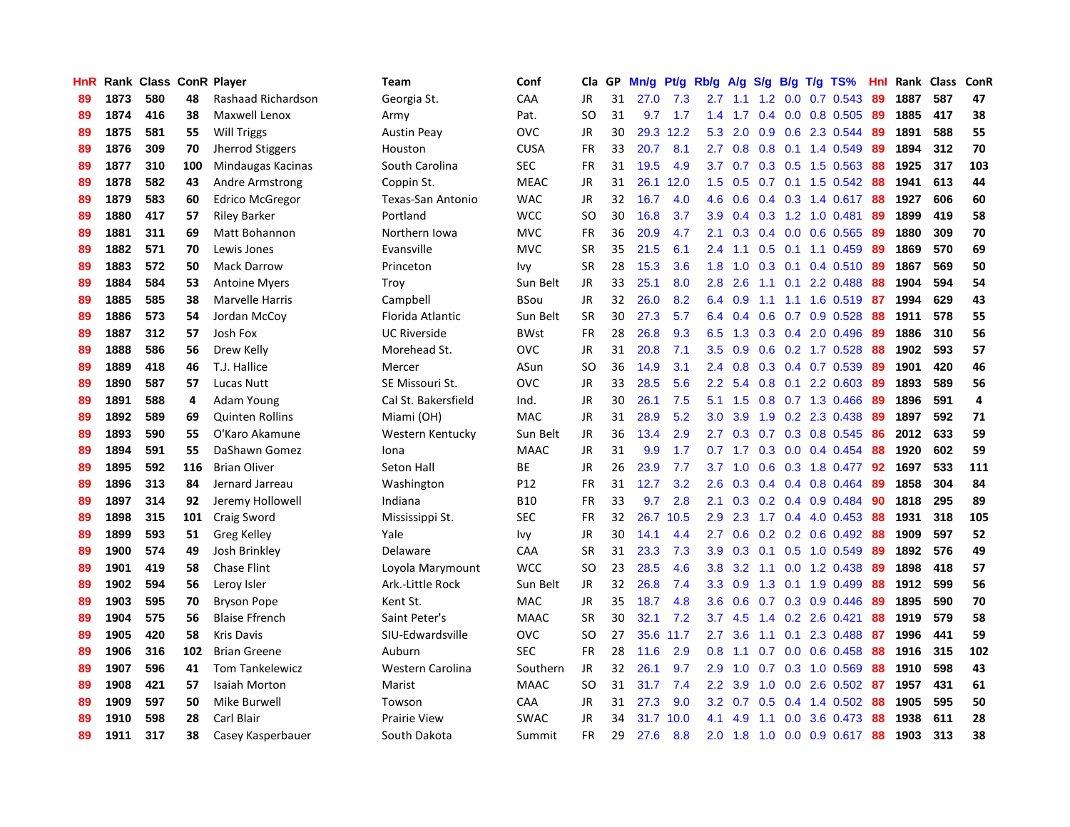| HnR |      | Rank Class ConR Player |     |                        | Team                | Conf        | Cla       | GP | Mn/g | <b>Pt/g</b> | Rb/g             | A/g    | S/g           |     | B/g T/g TS%             | Hnl | Rank | <b>Class</b> | ConR |
|-----|------|------------------------|-----|------------------------|---------------------|-------------|-----------|----|------|-------------|------------------|--------|---------------|-----|-------------------------|-----|------|--------------|------|
| 89  | 1873 | 580                    | 48  | Rashaad Richardson     | Georgia St.         | CAA         | JR        | 31 | 27.0 | 7.3         | 2.7              | $-1.1$ | 1.2           |     | $0.0$ 0.7 0.543         | -89 | 1887 | 587          | 47   |
| 89  | 1874 | 416                    | 38  | Maxwell Lenox          | Army                | Pat.        | SO.       | 31 | 9.7  | 1.7         | 1.4              |        |               |     | 1.7 0.4 0.0 0.8 0.505   | -89 | 1885 | 417          | 38   |
| 89  | 1875 | 581                    | 55  | <b>Will Triggs</b>     | <b>Austin Peav</b>  | <b>OVC</b>  | JR        | 30 | 29.3 | 12.2        | 5.3              | 2.0    |               |     | $0.9$ $0.6$ 2.3 $0.544$ | -89 | 1891 | 588          | 55   |
| 89  | 1876 | 309                    | 70  | Jherrod Stiggers       | Houston             | <b>CUSA</b> | <b>FR</b> | 33 | 20.7 | 8.1         | 2.7              | 0.8    | 0.8           |     | $0.1$ 1.4 0.549         | -89 | 1894 | 312          | 70   |
| 89  | 1877 | 310                    | 100 | Mindaugas Kacinas      | South Carolina      | <b>SEC</b>  | <b>FR</b> | 31 | 19.5 | 4.9         | 3.7 <sub>2</sub> | 0.7    |               |     | $0.3$ $0.5$ 1.5 $0.563$ | 88  | 1925 | 317          | 103  |
| 89  | 1878 | 582                    | 43  | Andre Armstrong        | Coppin St.          | <b>MEAC</b> | JR        | 31 | 26.1 | 12.0        | 1.5              | 0.5    |               |     | $0.7$ 0.1 1.5 0.542     | -88 | 1941 | 613          | 44   |
| 89  | 1879 | 583                    | 60  | <b>Edrico McGregor</b> | Texas-San Antonio   | <b>WAC</b>  | JR        | 32 | 16.7 | 4.0         | 4.6              | 0.6    |               |     | $0.4$ 0.3 1.4 0.617     | -88 | 1927 | 606          | 60   |
| 89  | 1880 | 417                    | 57  | <b>Riley Barker</b>    | Portland            | <b>WCC</b>  | <b>SO</b> | 30 | 16.8 | 3.7         | 3.9 <sup>°</sup> | 0.4    |               |     | 0.3 1.2 1.0 0.481       | 89  | 1899 | 419          | 58   |
| 89  | 1881 | 311                    | 69  | Matt Bohannon          | Northern Iowa       | <b>MVC</b>  | <b>FR</b> | 36 | 20.9 | 4.7         | 2.1              | 0.3    |               |     | 0.4 0.0 0.6 0.565       | -89 | 1880 | 309          | 70   |
| 89  | 1882 | 571                    | 70  | Lewis Jones            | Evansville          | <b>MVC</b>  | <b>SR</b> | 35 | 21.5 | 6.1         | $2.4^{\circ}$    | 1.1    |               |     | $0.5$ 0.1 1.1 0.459     | -89 | 1869 | 570          | 69   |
| 89  | 1883 | 572                    | 50  | <b>Mack Darrow</b>     | Princeton           | Ivy         | <b>SR</b> | 28 | 15.3 | 3.6         | 1.8              | 1.0    |               |     | 0.3 0.1 0.4 0.510 89    |     | 1867 | 569          | 50   |
| 89  | 1884 | 584                    | 53  | <b>Antoine Myers</b>   | Troy                | Sun Belt    | JR        | 33 | 25.1 | 8.0         | 2.8              | 2.6    |               |     | $1.1$ 0.1 2.2 0.488     | -88 | 1904 | 594          | 54   |
| 89  | 1885 | 585                    | 38  | Marvelle Harris        | Campbell            | <b>BSou</b> | <b>JR</b> | 32 | 26.0 | 8.2         | 6.4              | 0.9    | 1.1           |     | 1.1 1.6 0.519           | -87 | 1994 | 629          | 43   |
| 89  | 1886 | 573                    | 54  | Jordan McCoy           | Florida Atlantic    | Sun Belt    | <b>SR</b> | 30 | 27.3 | 5.7         | 6.4              | 0.4    | 0.6           |     | $0.7$ 0.9 0.528         | -88 | 1911 | 578          | 55   |
| 89  | 1887 | 312                    | 57  | Josh Fox               | <b>UC Riverside</b> | BWst        | <b>FR</b> | 28 | 26.8 | 9.3         | 6.5              | 1.3    |               |     | 0.3 0.4 2.0 0.496       | 89  | 1886 | 310          | 56   |
| 89  | 1888 | 586                    | 56  | Drew Kelly             | Morehead St.        | <b>OVC</b>  | <b>JR</b> | 31 | 20.8 | 7.1         | 3.5              | 0.9    | 0.6           |     | $0.2$ 1.7 0.528         | -88 | 1902 | 593          | 57   |
| 89  | 1889 | 418                    | 46  | T.J. Hallice           | Mercer              | ASun        | <b>SO</b> | 36 | 14.9 | 3.1         | $2.4^{\circ}$    | 0.8    | 0.3           |     | $0.4$ 0.7 0.539         | -89 | 1901 | 420          | 46   |
| 89  | 1890 | 587                    | 57  | Lucas Nutt             | SE Missouri St.     | <b>OVC</b>  | JR        | 33 | 28.5 | 5.6         | $2.2^{\circ}$    | 5.4    | 0.8           |     | $0.1$ 2.2 0.603         | -89 | 1893 | 589          | 56   |
| 89  | 1891 | 588                    | 4   | Adam Young             | Cal St. Bakersfield | Ind.        | JR        | 30 | 26.1 | 7.5         | 5.1              | 1.5    |               |     | 0.8 0.7 1.3 0.466       | -89 | 1896 | 591          | 4    |
| 89  | 1892 | 589                    | 69  | <b>Quinten Rollins</b> | Miami (OH)          | <b>MAC</b>  | <b>JR</b> | 31 | 28.9 | 5.2         | 3.0              | 3.9    |               |     | 1.9 0.2 2.3 0.438       | -89 | 1897 | 592          | 71   |
| 89  | 1893 | 590                    | 55  | O'Karo Akamune         | Western Kentucky    | Sun Belt    | JR        | 36 | 13.4 | 2.9         | $2.7^{\circ}$    | 0.3    |               |     | 0.7 0.3 0.8 0.545       | 86  | 2012 | 633          | 59   |
| 89  | 1894 | 591                    | 55  | DaShawn Gomez          | Iona                | <b>MAAC</b> | JR        | 31 | 9.9  | 1.7         | 0.7              | 1.7    |               |     | 0.3 0.0 0.4 0.454       | 88  | 1920 | 602          | 59   |
| 89  | 1895 | 592                    | 116 | <b>Brian Oliver</b>    | Seton Hall          | BE          | JR        | 26 | 23.9 | 7.7         | 3.7              | 1.0    | 0.6           |     | 0.3 1.8 0.477           | -92 | 1697 | 533          | 111  |
| 89  | 1896 | 313                    | 84  | Jernard Jarreau        | Washington          | P12         | <b>FR</b> | 31 | 12.7 | 3.2         | 2.6              | 0.3    | 0.4           |     | 0.4 0.8 0.464           | 89  | 1858 | 304          | 84   |
| 89  | 1897 | 314                    | 92  | Jeremy Hollowell       | Indiana             | <b>B10</b>  | <b>FR</b> | 33 | 9.7  | 2.8         | 2.1              | 0.3    | 0.2           |     | $0.4$ 0.9 0.484         | -90 | 1818 | 295          | 89   |
| 89  | 1898 | 315                    | 101 | Craig Sword            | Mississippi St.     | <b>SEC</b>  | <b>FR</b> | 32 | 26.7 | 10.5        | 2.9              | 2.3    |               |     | 1.7 0.4 4.0 0.453       | -88 | 1931 | 318          | 105  |
| 89  | 1899 | 593                    | 51  | Greg Kelley            | Yale                | Ivy         | JR        | 30 | 14.1 | 4.4         | $2.7^{\circ}$    | 0.6    |               |     | $0.2$ 0.2 0.6 0.492     | -88 | 1909 | 597          | 52   |
| 89  | 1900 | 574                    | 49  | Josh Brinkley          | Delaware            | CAA         | <b>SR</b> | 31 | 23.3 | 7.3         | 3.9 <sup>°</sup> | 0.3    |               |     | $0.1$ $0.5$ 1.0 $0.549$ | -89 | 1892 | 576          | 49   |
| 89  | 1901 | 419                    | 58  | <b>Chase Flint</b>     | Loyola Marymount    | <b>WCC</b>  | SO        | 23 | 28.5 | 4.6         | 3.8 <sub>1</sub> | 3.2    |               |     | 1.1 0.0 1.2 0.438       | -89 | 1898 | 418          | 57   |
| 89  | 1902 | 594                    | 56  | Leroy Isler            | Ark.-Little Rock    | Sun Belt    | JR        | 32 | 26.8 | 7.4         | 3.3 <sub>2</sub> | 0.9    | 1.3           |     | $0.1$ 1.9 0.499         | 88  | 1912 | 599          | 56   |
| 89  | 1903 | 595                    | 70  | <b>Bryson Pope</b>     | Kent St.            | MAC         | JR        | 35 | 18.7 | 4.8         | 3.6              | 0.6    | 0.7           |     | 0.3 0.9 0.446           | -89 | 1895 | 590          | 70   |
| 89  | 1904 | 575                    | 56  | <b>Blaise Ffrench</b>  | Saint Peter's       | <b>MAAC</b> | <b>SR</b> | 30 | 32.1 | 7.2         | 3.7              | 4.5    | $1.4^{\circ}$ |     | $0.2$ 2.6 0.421         | 88  | 1919 | 579          | 58   |
| 89  | 1905 | 420                    | 58  | <b>Kris Davis</b>      | SIU-Edwardsville    | <b>OVC</b>  | <b>SO</b> | 27 | 35.6 | 11.7        | 2.7              | 3.6    | 1.1           | 0.1 | 2.3 0.488               | -87 | 1996 | 441          | 59   |
| 89  | 1906 | 316                    | 102 | <b>Brian Greene</b>    | Auburn              | <b>SEC</b>  | <b>FR</b> | 28 | 11.6 | 2.9         | 0.8              | 1.1    | 0.7           |     | $0.0$ 0.6 0.458         | -88 | 1916 | 315          | 102  |
| 89  | 1907 | 596                    | 41  | <b>Tom Tankelewicz</b> | Western Carolina    | Southern    | <b>JR</b> | 32 | 26.1 | 9.7         | 2.9              | 1.0    | 0.7           |     | $0.3$ 1.0 $0.569$       | 88  | 1910 | 598          | 43   |
| 89  | 1908 | 421                    | 57  | <b>Isaiah Morton</b>   | Marist              | <b>MAAC</b> | <b>SO</b> | 31 | 31.7 | 7.4         | $2.2^{\circ}$    | 3.9    | 1.0           |     | $0.0$ 2.6 0.502 87      |     | 1957 | 431          | 61   |
| 89  | 1909 | 597                    | 50  | Mike Burwell           | Towson              | CAA         | JR        | 31 | 27.3 | 9.0         | 3.2 <sub>2</sub> | 0.7    | 0.5           |     | 0.4 1.4 0.502           | -88 | 1905 | 595          | 50   |
| 89  | 1910 | 598                    | 28  | Carl Blair             | <b>Prairie View</b> | <b>SWAC</b> | JR        | 34 | 31.7 | 10.0        | 4.1              | 4.9    | 1.1           |     | 0.0 3.6 0.473           | -88 | 1938 | 611          | 28   |
| 89  | 1911 | 317                    | 38  | Casey Kasperbauer      | South Dakota        | Summit      | <b>FR</b> | 29 | 27.6 | 8.8         | 2.0              | 1.8    | 1.0           |     | $0.0$ 0.9 0.617         | 88  | 1903 | 313          | 38   |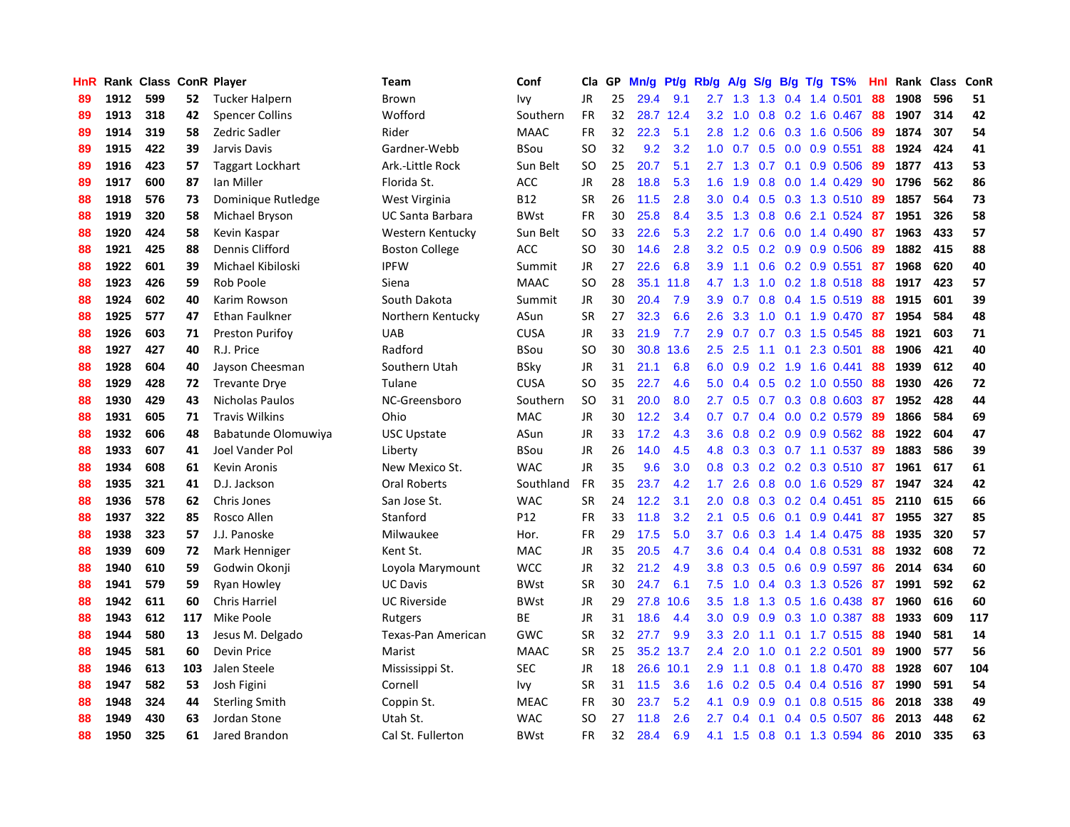| <b>HnR</b> |      | Rank Class ConR Player |     |                         | Team                    | Conf            | Cla       | GP | Mn/g | Pt/g      | Rb/g             | A/g       |     |     | $S/g$ B/g T/g TS%          | Hnl |      | Rank Class | ConR |
|------------|------|------------------------|-----|-------------------------|-------------------------|-----------------|-----------|----|------|-----------|------------------|-----------|-----|-----|----------------------------|-----|------|------------|------|
| 89         | 1912 | 599                    | 52  | <b>Tucker Halpern</b>   | Brown                   | Ivy             | <b>JR</b> | 25 | 29.4 | 9.1       | 2.7              | 1.3       | 1.3 |     | 0.4 1.4 0.501              | 88  | 1908 | 596        | 51   |
| 89         | 1913 | 318                    | 42  | <b>Spencer Collins</b>  | Wofford                 | Southern        | FR        | 32 |      | 28.7 12.4 | 3.2              | 1.0       |     |     | $0.8$ 0.2 1.6 0.467        | -88 | 1907 | 314        | 42   |
| 89         | 1914 | 319                    | 58  | Zedric Sadler           | Rider                   | <b>MAAC</b>     | <b>FR</b> | 32 | 22.3 | 5.1       | 2.8              |           |     |     | 1.2 0.6 0.3 1.6 0.506      | -89 | 1874 | 307        | 54   |
| 89         | 1915 | 422                    | 39  | Jarvis Davis            | Gardner-Webb            | <b>BSou</b>     | <b>SO</b> | 32 | 9.2  | 3.2       | 1.0              | 0.7       |     |     | 0.5 0.0 0.9 0.551          | -88 | 1924 | 424        | 41   |
| 89         | 1916 | 423                    | 57  | <b>Taggart Lockhart</b> | Ark.-Little Rock        | Sun Belt        | <b>SO</b> | 25 | 20.7 | 5.1       |                  | $2.7$ 1.3 |     |     | 0.7 0.1 0.9 0.506          | -89 | 1877 | 413        | 53   |
| 89         | 1917 | 600                    | 87  | Ian Miller              | Florida St.             | <b>ACC</b>      | JR        | 28 | 18.8 | 5.3       | 1.6              | 1.9       | 0.8 |     | $0.0$ 1.4 $0.429$          | 90  | 1796 | 562        | 86   |
| 88         | 1918 | 576                    | 73  | Dominique Rutledge      | West Virginia           | <b>B12</b>      | <b>SR</b> | 26 | 11.5 | 2.8       | 3.0 <sub>1</sub> | 0.4       |     |     | 0.5 0.3 1.3 0.510          | -89 | 1857 | 564        | 73   |
| 88         | 1919 | 320                    | 58  | Michael Bryson          | <b>UC Santa Barbara</b> | <b>BWst</b>     | <b>FR</b> | 30 | 25.8 | 8.4       | 3.5              | 1.3       | 0.8 |     | 0.6 2.1 0.524              | -87 | 1951 | 326        | 58   |
| 88         | 1920 | 424                    | 58  | Kevin Kaspar            | Western Kentucky        | Sun Belt        | <b>SO</b> | 33 | 22.6 | 5.3       | $2.2\phantom{0}$ | 1.7       | 0.6 |     | $0.0$ 1.4 $0.490$          | 87  | 1963 | 433        | 57   |
| 88         | 1921 | 425                    | 88  | Dennis Clifford         | <b>Boston College</b>   | <b>ACC</b>      | <b>SO</b> | 30 | 14.6 | 2.8       | 3.2              | 0.5       |     |     | $0.2$ 0.9 0.9 0.506        | -89 | 1882 | 415        | 88   |
| 88         | 1922 | 601                    | 39  | Michael Kibiloski       | <b>IPFW</b>             | Summit          | JR        | 27 | 22.6 | 6.8       |                  | $3.9$ 1.1 |     |     | 0.6 0.2 0.9 0.551 87       |     | 1968 | 620        | 40   |
| 88         | 1923 | 426                    | 59  | Rob Poole               | Siena                   | <b>MAAC</b>     | <b>SO</b> | 28 | 35.1 | 11.8      |                  | $4.7$ 1.3 |     |     | 1.0 0.2 1.8 0.518 88       |     | 1917 | 423        | 57   |
| 88         | 1924 | 602                    | 40  | Karim Rowson            | South Dakota            | Summit          | <b>JR</b> | 30 | 20.4 | 7.9       | 3.9 <sup>°</sup> | 0.7       |     |     | $0.8$ 0.4 1.5 0.519        | -88 | 1915 | 601        | 39   |
| 88         | 1925 | 577                    | 47  | Ethan Faulkner          | Northern Kentucky       | ASun            | <b>SR</b> | 27 | 32.3 | 6.6       | 2.6              | 3.3       | 1.0 |     | 0.1 1.9 0.470              | -87 | 1954 | 584        | 48   |
| 88         | 1926 | 603                    | 71  | <b>Preston Purifoy</b>  | <b>UAB</b>              | <b>CUSA</b>     | JR        | 33 | 21.9 | 7.7       | 2.9 <sup>°</sup> | 0.7       |     |     | $0.7$ $0.3$ $1.5$ $0.545$  | 88  | 1921 | 603        | 71   |
| 88         | 1927 | 427                    | 40  | R.J. Price              | Radford                 | <b>BSou</b>     | SO        | 30 | 30.8 | 13.6      | 2.5              | 2.5       | 1.1 | 0.1 | 2.3 0.501                  | -88 | 1906 | 421        | 40   |
| 88         | 1928 | 604                    | 40  | Jayson Cheesman         | Southern Utah           | BSky            | JR        | 31 | 21.1 | 6.8       | 6.0              | 0.9       |     |     | $0.2$ 1.9 1.6 0.441        | 88  | 1939 | 612        | 40   |
| 88         | 1929 | 428                    | 72  | <b>Trevante Drye</b>    | Tulane                  | <b>CUSA</b>     | <b>SO</b> | 35 | 22.7 | 4.6       | 5.0              | 0.4       |     |     | $0.5$ 0.2 1.0 0.550        | 88  | 1930 | 426        | 72   |
| 88         | 1930 | 429                    | 43  | Nicholas Paulos         | NC-Greensboro           | Southern        | <b>SO</b> | 31 | 20.0 | 8.0       | $2.7^{\circ}$    | 0.5       |     |     | 0.7 0.3 0.8 0.603 87       |     | 1952 | 428        | 44   |
| 88         | 1931 | 605                    | 71  | <b>Travis Wilkins</b>   | Ohio                    | <b>MAC</b>      | JR        | 30 | 12.2 | 3.4       | 0.7              |           |     |     | $0.7$ 0.4 0.0 0.2 0.579 89 |     | 1866 | 584        | 69   |
| 88         | 1932 | 606                    | 48  | Babatunde Olomuwiya     | <b>USC Upstate</b>      | ASun            | JR        | 33 | 17.2 | 4.3       | 3.6 <sup>°</sup> | 0.8       |     |     | $0.2$ 0.9 0.9 0.562        | -88 | 1922 | 604        | 47   |
| 88         | 1933 | 607                    | 41  | Joel Vander Pol         | Liberty                 | <b>BSou</b>     | JR        | 26 | 14.0 | 4.5       | 4.8              | 0.3       |     |     | $0.3$ 0.7 1.1 0.537        | -89 | 1883 | 586        | 39   |
| 88         | 1934 | 608                    | 61  | Kevin Aronis            | New Mexico St.          | <b>WAC</b>      | JR        | 35 | 9.6  | 3.0       | 0.8              | 0.3       |     |     | $0.2$ 0.2 0.3 0.510        | -87 | 1961 | 617        | 61   |
| 88         | 1935 | 321                    | 41  | D.J. Jackson            | <b>Oral Roberts</b>     | Southland       | <b>FR</b> | 35 | 23.7 | 4.2       | 1.7 <sub>z</sub> | 2.6       |     |     | $0.8$ 0.0 1.6 0.529        | 87  | 1947 | 324        | 42   |
| 88         | 1936 | 578                    | 62  | Chris Jones             | San Jose St.            | <b>WAC</b>      | <b>SR</b> | 24 | 12.2 | 3.1       | 2.0 <sub>1</sub> | 0.8       |     |     | $0.3$ 0.2 0.4 0.451        | 85  | 2110 | 615        | 66   |
| 88         | 1937 | 322                    | 85  | Rosco Allen             | Stanford                | P <sub>12</sub> | <b>FR</b> | 33 | 11.8 | 3.2       | 2.1              | 0.5       | 0.6 |     | $0.1$ 0.9 0.441            | 87  | 1955 | 327        | 85   |
| 88         | 1938 | 323                    | 57  | J.J. Panoske            | Milwaukee               | Hor.            | <b>FR</b> | 29 | 17.5 | 5.0       | 3.7 <sub>2</sub> | 0.6       |     |     | 0.3 1.4 1.4 0.475 88       |     | 1935 | 320        | 57   |
| 88         | 1939 | 609                    | 72  | Mark Henniger           | Kent St.                | <b>MAC</b>      | JR        | 35 | 20.5 | 4.7       | 3.6 <sup>°</sup> |           |     |     | 0.4 0.4 0.4 0.8 0.531 88   |     | 1932 | 608        | 72   |
| 88         | 1940 | 610                    | 59  | Godwin Okonji           | Loyola Marymount        | <b>WCC</b>      | JR        | 32 | 21.2 | 4.9       | 3.8 <sub>1</sub> | 0.3       |     |     | 0.5 0.6 0.9 0.597 86       |     | 2014 | 634        | 60   |
| 88         | 1941 | 579                    | 59  | Ryan Howley             | <b>UC Davis</b>         | <b>BWst</b>     | <b>SR</b> | 30 | 24.7 | 6.1       | 7.5              | 1.0       |     |     | $0.4$ 0.3 1.3 0.526        | -87 | 1991 | 592        | 62   |
| 88         | 1942 | 611                    | 60  | <b>Chris Harriel</b>    | <b>UC Riverside</b>     | <b>BWst</b>     | JR        | 29 | 27.8 | 10.6      | $3.5^{\circ}$    | 1.8       | 1.3 |     | 0.5 1.6 0.438              | -87 | 1960 | 616        | 60   |
| 88         | 1943 | 612                    | 117 | Mike Poole              | Rutgers                 | ВE              | JR        | 31 | 18.6 | 4.4       | 3.0 <sub>1</sub> | 0.9       | 0.9 |     | $0.3$ 1.0 $0.387$          | -88 | 1933 | 609        | 117  |
| 88         | 1944 | 580                    | 13  | Jesus M. Delgado        | Texas-Pan American      | GWC             | <b>SR</b> | 32 | 27.7 | 9.9       | 3.3 <sub>2</sub> | 2.0       | 1.1 |     | $0.1$ 1.7 0.515            | -88 | 1940 | 581        | 14   |
| 88         | 1945 | 581                    | 60  | Devin Price             | Marist                  | MAAC            | <b>SR</b> | 25 | 35.2 | 13.7      | $2.4^{\circ}$    | 2.0       | 1.0 | 0.1 | 2.2 0.501                  | 89  | 1900 | 577        | 56   |
| 88         | 1946 | 613                    | 103 | Jalen Steele            | Mississippi St.         | <b>SEC</b>      | JR        | 18 | 26.6 | 10.1      | 2.9 <sup>°</sup> | 1.1       | 0.8 |     | $0.1$ 1.8 0.470            | -88 | 1928 | 607        | 104  |
| 88         | 1947 | 582                    | 53  | Josh Figini             | Cornell                 | Ivy             | <b>SR</b> | 31 | 11.5 | 3.6       | 1.6              |           |     |     | 0.2 0.5 0.4 0.4 0.516 87   |     | 1990 | 591        | 54   |
| 88         | 1948 | 324                    | 44  | <b>Sterling Smith</b>   | Coppin St.              | <b>MEAC</b>     | FR.       | 30 | 23.7 | 5.2       | 4.1              | 0.9       |     |     | 0.9 0.1 0.8 0.515 86       |     | 2018 | 338        | 49   |
| 88         | 1949 | 430                    | 63  | Jordan Stone            | Utah St.                | <b>WAC</b>      | SO        | 27 | 11.8 | 2.6       | $2.7^{\circ}$    | 0.4       |     |     | $0.1$ 0.4 0.5 0.507        | -86 | 2013 | 448        | 62   |
| 88         | 1950 | 325                    | 61  | Jared Brandon           | Cal St. Fullerton       | <b>BWst</b>     | FR.       | 32 | 28.4 | 6.9       | 4.1              | 1.5       |     |     | 0.8 0.1 1.3 0.594          | 86  | 2010 | 335        | 63   |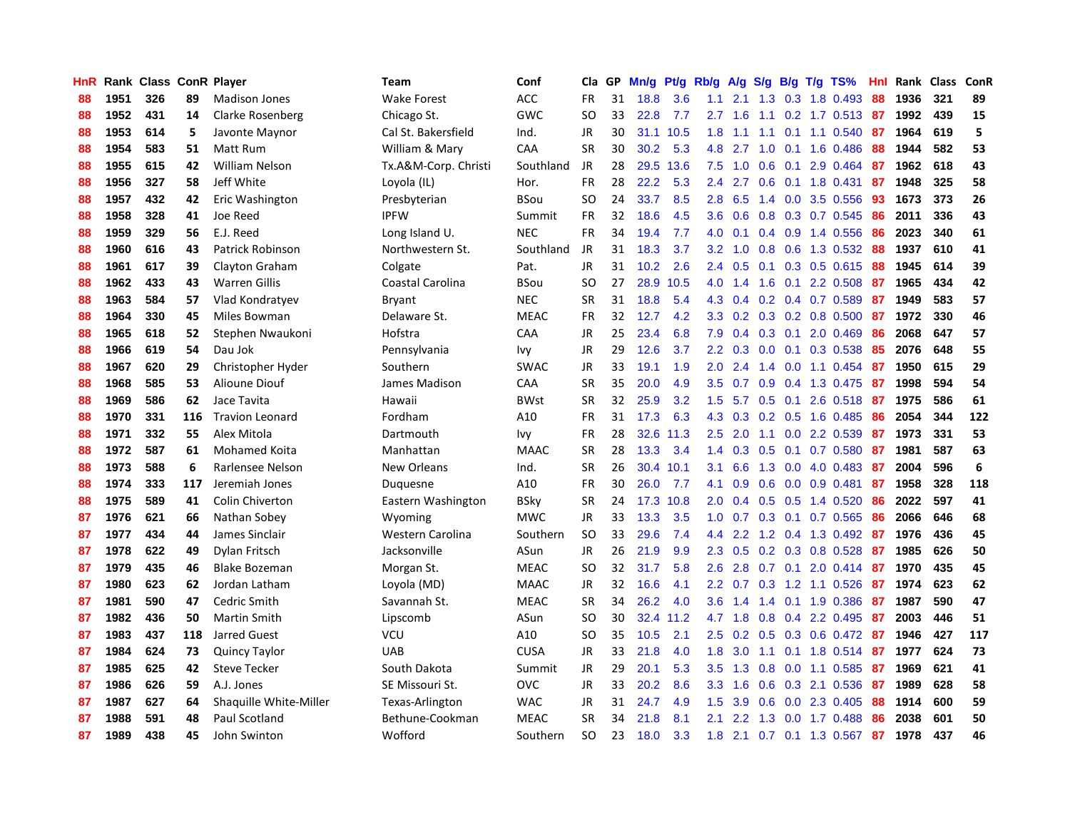| <b>HnR</b> |      | Rank Class ConR Player |     |                        | <b>Team</b>          | Conf        | Cla       | GP | Mn/g | Pt/g | Rb/g             | A/g             | S/g           |                 | $B/g$ T/g TS%          | Hnl | Rank | <b>Class</b> | ConR |
|------------|------|------------------------|-----|------------------------|----------------------|-------------|-----------|----|------|------|------------------|-----------------|---------------|-----------------|------------------------|-----|------|--------------|------|
| 88         | 1951 | 326                    | 89  | <b>Madison Jones</b>   | <b>Wake Forest</b>   | ACC         | <b>FR</b> | 31 | 18.8 | 3.6  | 1.1              | 2.1             | 1.3           | 0.3             | 1.8 0.493              | 88  | 1936 | 321          | 89   |
| 88         | 1952 | 431                    | 14  | Clarke Rosenberg       | Chicago St.          | GWC         | <b>SO</b> | 33 | 22.8 | 7.7  | $2.7^{\circ}$    | 1.6             | 1.1           |                 | 0.2 1.7 0.513 87       |     | 1992 | 439          | 15   |
| 88         | 1953 | 614                    | 5   | Javonte Maynor         | Cal St. Bakersfield  | Ind.        | <b>JR</b> | 30 | 31.1 | 10.5 | 1.8              | 1.1             |               |                 | 1.1 0.1 1.1 0.540      | -87 | 1964 | 619          | 5    |
| 88         | 1954 | 583                    | 51  | Matt Rum               | William & Mary       | CAA         | <b>SR</b> | 30 | 30.2 | 5.3  | 4.8              | 2.7             | 1.0           |                 | $0.1$ 1.6 0.486        | 88  | 1944 | 582          | 53   |
| 88         | 1955 | 615                    | 42  | William Nelson         | Tx.A&M-Corp. Christi | Southland   | <b>JR</b> | 28 | 29.5 | 13.6 | 7.5              | 1.0             | 0.6           | 0.1             | 2.9 0.464              | 87  | 1962 | 618          | 43   |
| 88         | 1956 | 327                    | 58  | Jeff White             | Loyola (IL)          | Hor.        | <b>FR</b> | 28 | 22.2 | 5.3  | 2.4              | 2.7             | 0.6           |                 | $0.1$ 1.8 0.431        | 87  | 1948 | 325          | 58   |
| 88         | 1957 | 432                    | 42  | Eric Washington        | Presbyterian         | <b>BSou</b> | <b>SO</b> | 24 | 33.7 | 8.5  | 2.8              | 6.5             | $1.4^{\circ}$ |                 | 0.0 3.5 0.556          | 93  | 1673 | 373          | 26   |
| 88         | 1958 | 328                    | 41  | Joe Reed               | <b>IPFW</b>          | Summit      | <b>FR</b> | 32 | 18.6 | 4.5  | 3.6 <sup>°</sup> | 0.6             | 0.8           |                 | 0.3 0.7 0.545          | 86  | 2011 | 336          | 43   |
| 88         | 1959 | 329                    | 56  | E.J. Reed              | Long Island U.       | <b>NEC</b>  | <b>FR</b> | 34 | 19.4 | 7.7  | 4.0              | 0.1             | 0.4           |                 | 0.9 1.4 0.556          | 86  | 2023 | 340          | 61   |
| 88         | 1960 | 616                    | 43  | Patrick Robinson       | Northwestern St.     | Southland   | JR        | 31 | 18.3 | 3.7  | 3.2              | 1.0             | 0.8           |                 | 0.6 1.3 0.532          | -88 | 1937 | 610          | 41   |
| 88         | 1961 | 617                    | 39  | Clayton Graham         | Colgate              | Pat.        | JR        | 31 | 10.2 | 2.6  | $2.4^{\circ}$    | 0.5             |               |                 | 0.1 0.3 0.5 0.615 88   |     | 1945 | 614          | 39   |
| 88         | 1962 | 433                    | 43  | <b>Warren Gillis</b>   | Coastal Carolina     | <b>BSou</b> | <b>SO</b> | 27 | 28.9 | 10.5 | 4.0              | 1.4             |               |                 | 1.6 0.1 2.2 0.508      | -87 | 1965 | 434          | 42   |
| 88         | 1963 | 584                    | 57  | Vlad Kondratyev        | Bryant               | <b>NEC</b>  | <b>SR</b> | 31 | 18.8 | 5.4  | 4.3              | 0.4             |               |                 | $0.2$ 0.4 0.7 0.589    | 87  | 1949 | 583          | 57   |
| 88         | 1964 | 330                    | 45  | Miles Bowman           | Delaware St.         | <b>MEAC</b> | <b>FR</b> | 32 | 12.7 | 4.2  | 3.3 <sub>2</sub> | 0.2             |               |                 | $0.3$ 0.2 0.8 0.500    | -87 | 1972 | 330          | 46   |
| 88         | 1965 | 618                    | 52  | Stephen Nwaukoni       | Hofstra              | <b>CAA</b>  | JR        | 25 | 23.4 | 6.8  | 7.9              | 0.4             |               | $0.3 \quad 0.1$ | 2.0 0.469              | 86  | 2068 | 647          | 57   |
| 88         | 1966 | 619                    | 54  | Dau Jok                | Pennsylvania         | Ivy         | <b>JR</b> | 29 | 12.6 | 3.7  | $2.2^{\circ}$    | 0.3             | 0.0           | 0.1             | 0.3 0.538              | 85  | 2076 | 648          | 55   |
| 88         | 1967 | 620                    | 29  | Christopher Hyder      | Southern             | <b>SWAC</b> | <b>JR</b> | 33 | 19.1 | 1.9  | 2.0 <sub>1</sub> | 2.4             | 1.4           |                 | $0.0$ 1.1 $0.454$      | -87 | 1950 | 615          | 29   |
| 88         | 1968 | 585                    | 53  | Alioune Diouf          | James Madison        | CAA         | <b>SR</b> | 35 | 20.0 | 4.9  | 3.5              | 0.7             | 0.9           |                 | 0.4 1.3 0.475          | 87  | 1998 | 594          | 54   |
| 88         | 1969 | 586                    | 62  | Jace Tavita            | Hawaii               | <b>BWst</b> | <b>SR</b> | 32 | 25.9 | 3.2  | 1.5              | 5.7             |               |                 | 0.5 0.1 2.6 0.518 87   |     | 1975 | 586          | 61   |
| 88         | 1970 | 331                    | 116 | <b>Travion Leonard</b> | Fordham              | A10         | <b>FR</b> | 31 | 17.3 | 6.3  |                  | $4.3 \quad 0.3$ |               |                 | $0.2$ 0.5 1.6 0.485    | 86  | 2054 | 344          | 122  |
| 88         | 1971 | 332                    | 55  | Alex Mitola            | Dartmouth            | Ivy         | FR        | 28 | 32.6 | 11.3 | 2.5              | 2.0             | 1.1           |                 | $0.0$ 2.2 0.539        | 87  | 1973 | 331          | 53   |
| 88         | 1972 | 587                    | 61  | Mohamed Koita          | Manhattan            | <b>MAAC</b> | SR        | 28 | 13.3 | 3.4  | $1.4^{\circ}$    | 0.3             | 0.5           |                 | $0.1$ 0.7 0.580        | 87  | 1981 | 587          | 63   |
| 88         | 1973 | 588                    | 6   | Rarlensee Nelson       | New Orleans          | Ind.        | <b>SR</b> | 26 | 30.4 | 10.1 | 3.1              | 6.6             | 1.3           |                 | $0.0$ 4.0 0.483        | 87  | 2004 | 596          | 6    |
| 88         | 1974 | 333                    | 117 | Jeremiah Jones         | Duquesne             | A10         | <b>FR</b> | 30 | 26.0 | 7.7  | 4.1              | 0.9             | 0.6           |                 | $0.0$ $0.9$ $0.481$    | 87  | 1958 | 328          | 118  |
| 88         | 1975 | 589                    | 41  | <b>Colin Chiverton</b> | Eastern Washington   | <b>BSky</b> | <b>SR</b> | 24 | 17.3 | 10.8 | 2.0 <sub>1</sub> | 0.4             | 0.5           |                 | $0.5$ 1.4 0.520        | 86  | 2022 | 597          | 41   |
| 87         | 1976 | 621                    | 66  | Nathan Sobey           | Wyoming              | <b>MWC</b>  | JR        | 33 | 13.3 | 3.5  | 1.0              | 0.7             | 0.3           | 0.1             | 0.7 0.565              | 86  | 2066 | 646          | 68   |
| 87         | 1977 | 434                    | 44  | James Sinclair         | Western Carolina     | Southern    | <b>SO</b> | 33 | 29.6 | 7.4  | $4.4^{\circ}$    | 2.2             |               |                 | 1.2 0.4 1.3 0.492      | -87 | 1976 | 436          | 45   |
| 87         | 1978 | 622                    | 49  | Dylan Fritsch          | Jacksonville         | ASun        | JR        | 26 | 21.9 | 9.9  | $2.3^{\circ}$    | 0.5             |               |                 | $0.2$ 0.3 0.8 0.528    | -87 | 1985 | 626          | 50   |
| 87         | 1979 | 435                    | 46  | <b>Blake Bozeman</b>   | Morgan St.           | <b>MEAC</b> | SO        | 32 | 31.7 | 5.8  | 2.6              | 2.8             |               |                 | $0.7$ 0.1 2.0 0.414 87 |     | 1970 | 435          | 45   |
| 87         | 1980 | 623                    | 62  | Jordan Latham          | Loyola (MD)          | <b>MAAC</b> | JR        | 32 | 16.6 | 4.1  | $2.2^{\circ}$    | 0.7             |               |                 | $0.3$ 1.2 1.1 0.526    | -87 | 1974 | 623          | 62   |
| 87         | 1981 | 590                    | 47  | Cedric Smith           | Savannah St.         | <b>MEAC</b> | <b>SR</b> | 34 | 26.2 | 4.0  | 3.6              | 1.4             | 1.4           |                 | 0.1 1.9 0.386          | 87  | 1987 | 590          | 47   |
| 87         | 1982 | 436                    | 50  | Martin Smith           | Lipscomb             | ASun        | SO        | 30 | 32.4 | 11.2 | 4.7              | 1.8             | 0.8           |                 | 0.4 2.2 0.495          | 87  | 2003 | 446          | 51   |
| 87         | 1983 | 437                    | 118 | Jarred Guest           | <b>VCU</b>           | A10         | <b>SO</b> | 35 | 10.5 | 2.1  | 2.5              | 0.2             | 0.5           |                 | $0.3$ 0.6 0.472        | -87 | 1946 | 427          | 117  |
| 87         | 1984 | 624                    | 73  | <b>Quincy Taylor</b>   | <b>UAB</b>           | <b>CUSA</b> | JR        | 33 | 21.8 | 4.0  | 1.8              | 3.0             | 1.1           |                 | $0.1$ 1.8 $0.514$      | 87  | 1977 | 624          | 73   |
| 87         | 1985 | 625                    | 42  | <b>Steve Tecker</b>    | South Dakota         | Summit      | JR        | 29 | 20.1 | 5.3  | $3.5^{\circ}$    | 1.3             | 0.8           |                 | $0.0$ 1.1 0.585        | -87 | 1969 | 621          | 41   |
| 87         | 1986 | 626                    | 59  | A.J. Jones             | SE Missouri St.      | <b>OVC</b>  | <b>JR</b> | 33 | 20.2 | 8.6  | 3.3 <sub>2</sub> | 1.6             | 0.6           |                 | 0.3 2.1 0.536          | -87 | 1989 | 628          | 58   |
| 87         | 1987 | 627                    | 64  | Shaquille White-Miller | Texas-Arlington      | <b>WAC</b>  | JR        | 31 | 24.7 | 4.9  | 1.5              | 3.9             | 0.6           |                 | 0.0 2.3 0.405          | -88 | 1914 | 600          | 59   |
| 87         | 1988 | 591                    | 48  | Paul Scotland          | Bethune-Cookman      | MEAC        | <b>SR</b> | 34 | 21.8 | 8.1  | 2.1              | 2.2             | 1.3           |                 | $0.0$ 1.7 0.488        | 86  | 2038 | 601          | 50   |
| 87         | 1989 | 438                    | 45  | John Swinton           | Wofford              | Southern    | <b>SO</b> | 23 | 18.0 | 3.3  | 1.8              | 2.1             |               |                 | 0.7 0.1 1.3 0.567      | 87  | 1978 | 437          | 46   |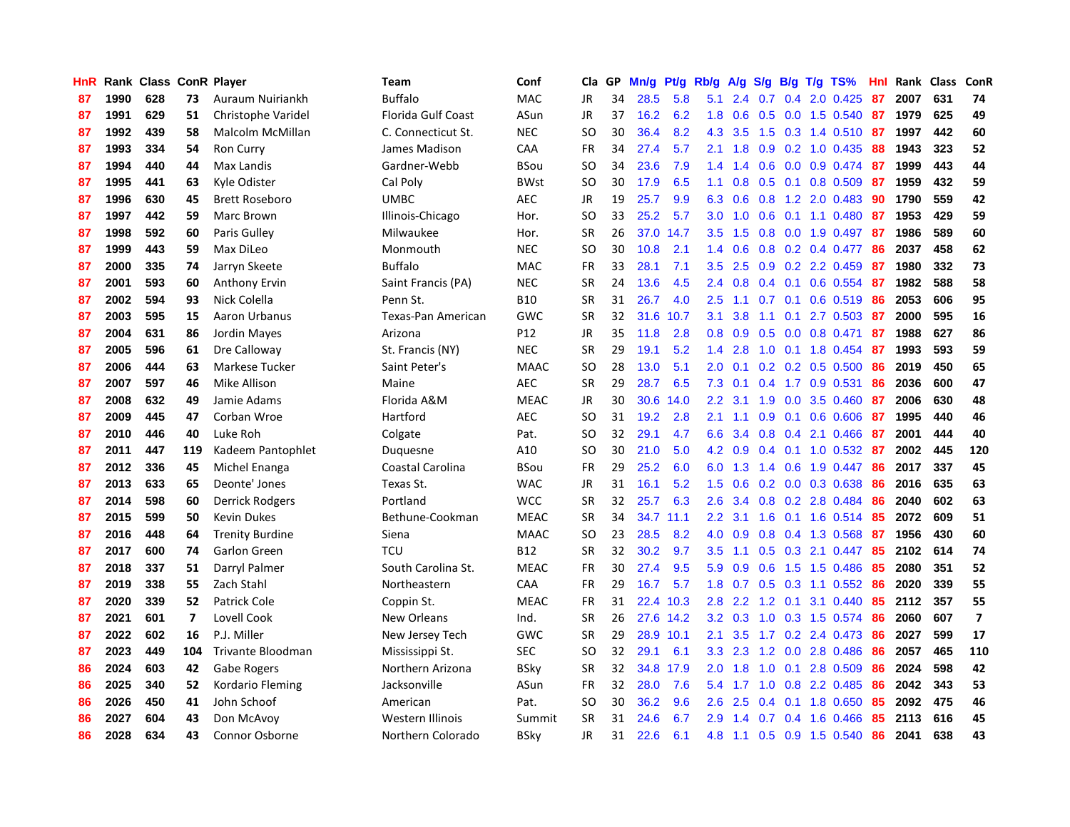| HnR |      | Rank Class ConR Player |                |                        | Team                      | Conf        | Cla       | <b>GP</b> | Mn/g | <b>Pt/g</b> | Rb/g             | A/g |     |     | S/g B/g T/g TS%         | Hnl | Rank | <b>Class</b> | ConR                    |
|-----|------|------------------------|----------------|------------------------|---------------------------|-------------|-----------|-----------|------|-------------|------------------|-----|-----|-----|-------------------------|-----|------|--------------|-------------------------|
| 87  | 1990 | 628                    | 73             | Auraum Nuiriankh       | <b>Buffalo</b>            | <b>MAC</b>  | JR        | 34        | 28.5 | 5.8         | 5.1              | 2.4 | 0.7 | 0.4 | 2.0 0.425               | 87  | 2007 | 631          | 74                      |
| 87  | 1991 | 629                    | 51             | Christophe Varidel     | <b>Florida Gulf Coast</b> | ASun        | JR        | 37        | 16.2 | 6.2         | 1.8              | 0.6 |     |     | $0.5$ 0.0 1.5 0.540     | -87 | 1979 | 625          | 49                      |
| 87  | 1992 | 439                    | 58             | Malcolm McMillan       | C. Connecticut St.        | <b>NEC</b>  | SO.       | 30        | 36.4 | 8.2         | 4.3              | 3.5 |     |     | 1.5 0.3 1.4 0.510 87    |     | 1997 | 442          | 60                      |
| 87  | 1993 | 334                    | 54             | Ron Curry              | James Madison             | CAA         | <b>FR</b> | 34        | 27.4 | 5.7         | 2.1              | 1.8 |     |     | $0.9$ $0.2$ 1.0 $0.435$ | 88  | 1943 | 323          | 52                      |
| 87  | 1994 | 440                    | 44             | Max Landis             | Gardner-Webb              | <b>BSou</b> | <b>SO</b> | 34        | 23.6 | 7.9         | 1.4              | 1.4 | 0.6 |     | $0.0$ $0.9$ $0.474$     | -87 | 1999 | 443          | 44                      |
| 87  | 1995 | 441                    | 63             | Kyle Odister           | Cal Poly                  | <b>BWst</b> | SO.       | 30        | 17.9 | 6.5         | 1.1              | 0.8 |     |     | $0.5$ 0.1 0.8 0.509     | 87  | 1959 | 432          | 59                      |
| 87  | 1996 | 630                    | 45             | <b>Brett Roseboro</b>  | <b>UMBC</b>               | <b>AEC</b>  | JR        | 19        | 25.7 | 9.9         | 6.3              | 0.6 | 0.8 |     | 1.2 2.0 0.483           | 90  | 1790 | 559          | 42                      |
| 87  | 1997 | 442                    | 59             | Marc Brown             | Illinois-Chicago          | Hor.        | SO.       | 33        | 25.2 | 5.7         | 3.0 <sub>2</sub> | 1.0 | 0.6 |     | $0.1$ 1.1 0.480         | 87  | 1953 | 429          | 59                      |
| 87  | 1998 | 592                    | 60             | Paris Gulley           | Milwaukee                 | Hor.        | <b>SR</b> | 26        | 37.0 | 14.7        | 3.5              | 1.5 | 0.8 |     | $0.0$ 1.9 0.497         | -87 | 1986 | 589          | 60                      |
| 87  | 1999 | 443                    | 59             | Max DiLeo              | Monmouth                  | <b>NEC</b>  | SO.       | 30        | 10.8 | 2.1         | 1.4              | 0.6 |     |     | $0.8$ 0.2 0.4 0.477     | -86 | 2037 | 458          | 62                      |
| 87  | 2000 | 335                    | 74             | Jarryn Skeete          | <b>Buffalo</b>            | <b>MAC</b>  | <b>FR</b> | 33        | 28.1 | 7.1         | 3.5              | 2.5 |     |     | $0.9$ 0.2 2.2 0.459     | -87 | 1980 | 332          | 73                      |
| 87  | 2001 | 593                    | 60             | <b>Anthony Ervin</b>   | Saint Francis (PA)        | <b>NEC</b>  | <b>SR</b> | 24        | 13.6 | 4.5         | $2.4^{\circ}$    | 0.8 |     |     | $0.4$ 0.1 0.6 0.554 87  |     | 1982 | 588          | 58                      |
| 87  | 2002 | 594                    | 93             | Nick Colella           | Penn St.                  | <b>B10</b>  | <b>SR</b> | 31        | 26.7 | 4.0         | 2.5              | 1.1 |     |     | $0.7$ 0.1 0.6 0.519     | -86 | 2053 | 606          | 95                      |
| 87  | 2003 | 595                    | 15             | Aaron Urbanus          | Texas-Pan American        | <b>GWC</b>  | <b>SR</b> | 32        | 31.6 | 10.7        | 3.1              | 3.8 | 1.1 |     | $0.1$ 2.7 0.503 87      |     | 2000 | 595          | 16                      |
| 87  | 2004 | 631                    | 86             | Jordin Mayes           | Arizona                   | P12         | JR        | 35        | 11.8 | 2.8         | 0.8              | 0.9 | 0.5 |     | $0.0$ 0.8 0.471         | 87  | 1988 | 627          | 86                      |
| 87  | 2005 | 596                    | 61             | Dre Calloway           | St. Francis (NY)          | <b>NEC</b>  | <b>SR</b> | 29        | 19.1 | 5.2         | 1.4              | 2.8 | 1.0 |     | 0.1 1.8 0.454           | 87  | 1993 | 593          | 59                      |
| 87  | 2006 | 444                    | 63             | Markese Tucker         | Saint Peter's             | <b>MAAC</b> | <b>SO</b> | 28        | 13.0 | 5.1         | 2.0              | 0.1 |     |     | $0.2$ 0.2 0.5 0.500     | -86 | 2019 | 450          | 65                      |
| 87  | 2007 | 597                    | 46             | Mike Allison           | Maine                     | <b>AEC</b>  | <b>SR</b> | 29        | 28.7 | 6.5         | 7.3              | 0.1 | 0.4 |     | 1.7 0.9 0.531           | 86  | 2036 | 600          | 47                      |
| 87  | 2008 | 632                    | 49             | Jamie Adams            | Florida A&M               | <b>MEAC</b> | JR        | 30        | 30.6 | 14.0        | 2.2              | 3.1 | 1.9 |     | $0.0$ 3.5 $0.460$       | 87  | 2006 | 630          | 48                      |
| 87  | 2009 | 445                    | 47             | Corban Wroe            | Hartford                  | AEC         | <b>SO</b> | 31        | 19.2 | 2.8         | 2.1              | 1.1 |     |     | 0.9 0.1 0.6 0.606 87    |     | 1995 | 440          | 46                      |
| 87  | 2010 | 446                    | 40             | Luke Roh               | Colgate                   | Pat.        | <b>SO</b> | 32        | 29.1 | 4.7         | 6.6              | 3.4 |     |     | $0.8$ 0.4 2.1 0.466     | -87 | 2001 | 444          | 40                      |
| 87  | 2011 | 447                    | 119            | Kadeem Pantophlet      | Duquesne                  | A10         | <b>SO</b> | 30        | 21.0 | 5.0         | 4.2              | 0.9 |     |     | $0.4$ 0.1 1.0 0.532     | -87 | 2002 | 445          | 120                     |
| 87  | 2012 | 336                    | 45             | Michel Enanga          | Coastal Carolina          | <b>BSou</b> | FR        | 29        | 25.2 | 6.0         | 6.0              | 1.3 |     |     | 1.4 0.6 1.9 0.447       | 86  | 2017 | 337          | 45                      |
| 87  | 2013 | 633                    | 65             | Deonte' Jones          | Texas St.                 | <b>WAC</b>  | JR        | 31        | 16.1 | 5.2         | 1.5              | 0.6 |     |     | 0.2 0.0 0.3 0.638       | 86  | 2016 | 635          | 63                      |
| 87  | 2014 | 598                    | 60             | Derrick Rodgers        | Portland                  | <b>WCC</b>  | <b>SR</b> | 32        | 25.7 | 6.3         | 2.6              | 3.4 | 0.8 |     | 0.2 2.8 0.484           | -86 | 2040 | 602          | 63                      |
| 87  | 2015 | 599                    | 50             | Kevin Dukes            | Bethune-Cookman           | <b>MEAC</b> | <b>SR</b> | 34        | 34.7 | 11.1        | 2.2              | 3.1 | 1.6 |     | $0.1$ 1.6 0.514         | -85 | 2072 | 609          | 51                      |
| 87  | 2016 | 448                    | 64             | <b>Trenity Burdine</b> | Siena                     | <b>MAAC</b> | <b>SO</b> | 23        | 28.5 | 8.2         | 4.0              | 0.9 |     |     | 0.8 0.4 1.3 0.568       | -87 | 1956 | 430          | 60                      |
| 87  | 2017 | 600                    | 74             | Garlon Green           | <b>TCU</b>                | <b>B12</b>  | <b>SR</b> | 32        | 30.2 | 9.7         | 3.5              | 1.1 |     |     | $0.5$ $0.3$ 2.1 $0.447$ | -85 | 2102 | 614          | 74                      |
| 87  | 2018 | 337                    | 51             | Darryl Palmer          | South Carolina St.        | <b>MEAC</b> | <b>FR</b> | 30        | 27.4 | 9.5         | 5.9              | 0.9 |     |     | $0.6$ 1.5 1.5 0.486     | -85 | 2080 | 351          | 52                      |
| 87  | 2019 | 338                    | 55             | Zach Stahl             | Northeastern              | <b>CAA</b>  | <b>FR</b> | 29        | 16.7 | 5.7         | 1.8              | 0.7 |     |     | $0.5$ 0.3 1.1 0.552     | -86 | 2020 | 339          | 55                      |
| 87  | 2020 | 339                    | 52             | <b>Patrick Cole</b>    | Coppin St.                | <b>MEAC</b> | <b>FR</b> | 31        | 22.4 | 10.3        | 2.8              | 2.2 | 1.2 | 0.1 | 3.1 0.440               | -85 | 2112 | 357          | 55                      |
| 87  | 2021 | 601                    | $\overline{7}$ | Lovell Cook            | New Orleans               | Ind.        | <b>SR</b> | 26        |      | 27.6 14.2   | 3.2              | 0.3 | 1.0 |     | 0.3 1.5 0.574           | -86 | 2060 | 607          | $\overline{\mathbf{z}}$ |
| 87  | 2022 | 602                    | 16             | P.J. Miller            | New Jersey Tech           | GWC         | <b>SR</b> | 29        | 28.9 | 10.1        | 2.1              | 3.5 | 1.7 |     | 0.2 2.4 0.473           | -86 | 2027 | 599          | 17                      |
| 87  | 2023 | 449                    | 104            | Trivante Bloodman      | Mississippi St.           | <b>SEC</b>  | SO        | 32        | 29.1 | 6.1         | 3.3 <sub>2</sub> | 2.3 | 1.2 |     | 0.0 2.8 0.486           | 86  | 2057 | 465          | 110                     |
| 86  | 2024 | 603                    | 42             | Gabe Rogers            | Northern Arizona          | <b>BSky</b> | <b>SR</b> | 32        | 34.8 | 17.9        | 2.0              | 1.8 | 1.0 | 0.1 | 2.8 0.509               | -86 | 2024 | 598          | 42                      |
| 86  | 2025 | 340                    | 52             | Kordario Fleming       | Jacksonville              | ASun        | <b>FR</b> | 32        | 28.0 | 7.6         | 5.4              | 1.7 |     |     | 1.0 0.8 2.2 0.485       | -86 | 2042 | 343          | 53                      |
| 86  | 2026 | 450                    | 41             | John Schoof            | American                  | Pat.        | SO        | 30        | 36.2 | 9.6         | 2.6              | 2.5 |     |     | $0.4$ 0.1 1.8 0.650     | -85 | 2092 | 475          | 46                      |
| 86  | 2027 | 604                    | 43             | Don McAvoy             | Western Illinois          | Summit      | <b>SR</b> | 31        | 24.6 | 6.7         | 2.9 <sup>°</sup> | 1.4 |     |     | $0.7$ 0.4 1.6 0.466     | 85  | 2113 | 616          | 45                      |
| 86  | 2028 | 634                    | 43             | <b>Connor Osborne</b>  | Northern Colorado         | <b>BSkv</b> | <b>JR</b> | 31        | 22.6 | 6.1         | 4.8              | 1.1 |     |     | 0.5 0.9 1.5 0.540       | 86  | 2041 | 638          | 43                      |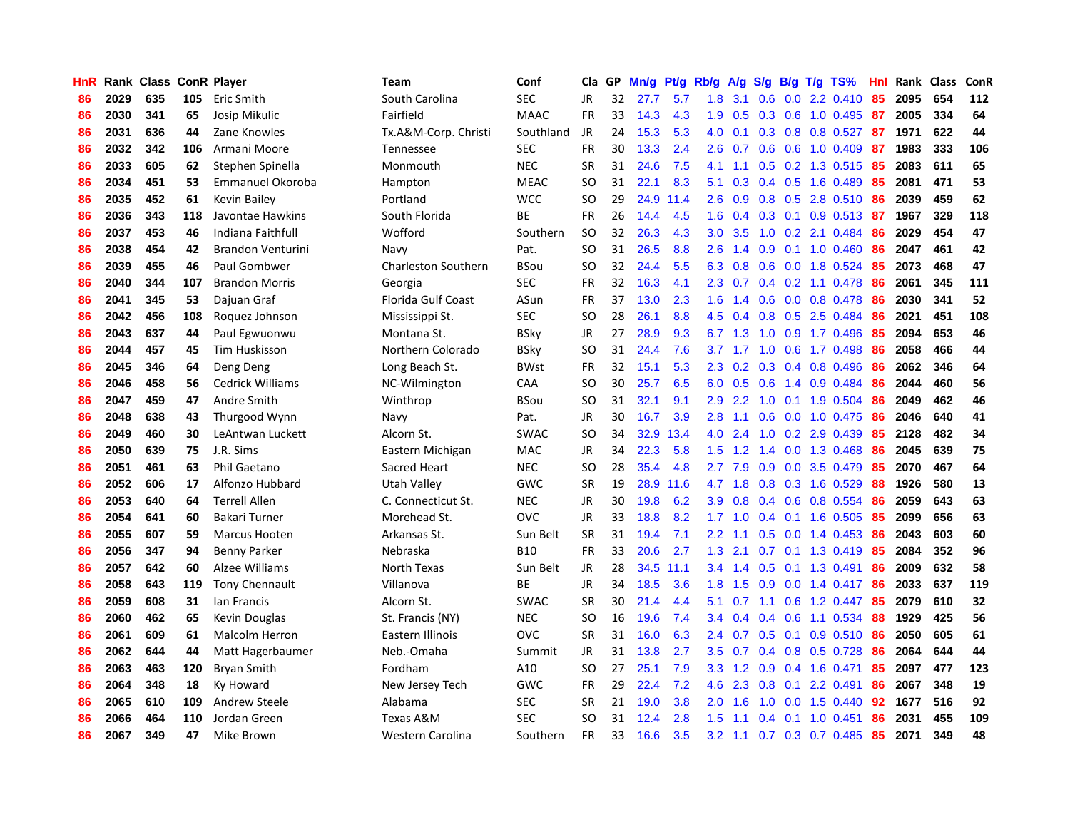| HnR |      | Rank Class ConR Player |     |                          | Team                 | Conf        | Cla       | GP | Mn/g | <b>Pt/g</b> | Rb/g             | A/g    | S/g |     | $B/g$ T/g TS%             | Hnl | Rank | <b>Class</b> | ConR |
|-----|------|------------------------|-----|--------------------------|----------------------|-------------|-----------|----|------|-------------|------------------|--------|-----|-----|---------------------------|-----|------|--------------|------|
| 86  | 2029 | 635                    | 105 | Eric Smith               | South Carolina       | SEC         | <b>JR</b> | 32 | 27.7 | 5.7         | 1.8              | 3.1    | 0.6 |     | $0.0$ 2.2 $0.410$         | 85  | 2095 | 654          | 112  |
| 86  | 2030 | 341                    | 65  | Josip Mikulic            | Fairfield            | <b>MAAC</b> | <b>FR</b> | 33 | 14.3 | 4.3         | 1.9              | 0.5    |     |     | 0.3 0.6 1.0 0.495 87      |     | 2005 | 334          | 64   |
| 86  | 2031 | 636                    | 44  | Zane Knowles             | Tx.A&M-Corp. Christi | Southland   | JR        | 24 | 15.3 | 5.3         | 4.0              | 0.1    |     |     | 0.3 0.8 0.8 0.527 87      |     | 1971 | 622          | 44   |
| 86  | 2032 | 342                    | 106 | Armani Moore             | Tennessee            | SEC         | FR        | 30 | 13.3 | 2.4         | 2.6              | 0.7    |     |     | $0.6$ $0.6$ 1.0 $0.409$   | 87  | 1983 | 333          | 106  |
| 86  | 2033 | 605                    | 62  | Stephen Spinella         | Monmouth             | <b>NEC</b>  | <b>SR</b> | 31 | 24.6 | 7.5         | 4.1              | 1.1    |     |     | 0.5 0.2 1.3 0.515         | -85 | 2083 | 611          | 65   |
| 86  | 2034 | 451                    | 53  | Emmanuel Okoroba         | Hampton              | <b>MEAC</b> | <b>SO</b> | 31 | 22.1 | 8.3         | 5.1              | 0.3    |     |     | 0.4 0.5 1.6 0.489         | 85  | 2081 | 471          | 53   |
| 86  | 2035 | 452                    | 61  | Kevin Bailey             | Portland             | <b>WCC</b>  | <b>SO</b> | 29 | 24.9 | 11.4        | 2.6              | 0.9    |     |     | 0.8 0.5 2.8 0.510         | 86  | 2039 | 459          | 62   |
| 86  | 2036 | 343                    | 118 | Javontae Hawkins         | South Florida        | <b>BE</b>   | <b>FR</b> | 26 | 14.4 | 4.5         | 1.6              | 0.4    | 0.3 |     | $0.1$ 0.9 0.513           | 87  | 1967 | 329          | 118  |
| 86  | 2037 | 453                    | 46  | Indiana Faithfull        | Wofford              | Southern    | <b>SO</b> | 32 | 26.3 | 4.3         | 3.0 <sub>2</sub> | 3.5    | 1.0 |     | 0.2 2.1 0.484             | 86  | 2029 | 454          | 47   |
| 86  | 2038 | 454                    | 42  | <b>Brandon Venturini</b> | Navy                 | Pat.        | <b>SO</b> | 31 | 26.5 | 8.8         | 2.6              | 1.4    | 0.9 |     | $0.1$ 1.0 0.460           | 86  | 2047 | 461          | 42   |
| 86  | 2039 | 455                    | 46  | Paul Gombwer             | Charleston Southern  | <b>BSou</b> | SO        | 32 | 24.4 | 5.5         | 6.3              | 0.8    |     |     | 0.6 0.0 1.8 0.524         | -85 | 2073 | 468          | 47   |
| 86  | 2040 | 344                    | 107 | <b>Brandon Morris</b>    | Georgia              | <b>SEC</b>  | <b>FR</b> | 32 | 16.3 | 4.1         | 2.3              | 0.7    |     |     | 0.4 0.2 1.1 0.478 86      |     | 2061 | 345          | 111  |
| 86  | 2041 | 345                    | 53  | Dajuan Graf              | Florida Gulf Coast   | ASun        | <b>FR</b> | 37 | 13.0 | 2.3         | 1.6              | 1.4    |     |     | $0.6$ 0.0 0.8 0.478       | -86 | 2030 | 341          | 52   |
| 86  | 2042 | 456                    | 108 | Roquez Johnson           | Mississippi St.      | <b>SEC</b>  | <b>SO</b> | 28 | 26.1 | 8.8         | 4.5              | 0.4    | 0.8 |     | 0.5 2.5 0.484             | -86 | 2021 | 451          | 108  |
| 86  | 2043 | 637                    | 44  | Paul Egwuonwu            | Montana St.          | <b>BSky</b> | JR        | 27 | 28.9 | 9.3         | 6.7              | 1.3    | 1.0 |     | $0.9$ 1.7 0.496           | 85  | 2094 | 653          | 46   |
| 86  | 2044 | 457                    | 45  | <b>Tim Huskisson</b>     | Northern Colorado    | <b>BSky</b> | SO.       | 31 | 24.4 | 7.6         | 3.7              | 1.7    | 1.0 |     | $0.6$ 1.7 0.498           | 86  | 2058 | 466          | 44   |
| 86  | 2045 | 346                    | 64  | Deng Deng                | Long Beach St.       | <b>BWst</b> | <b>FR</b> | 32 | 15.1 | 5.3         | 2.3              | 0.2    | 0.3 |     | $0.4$ 0.8 0.496           | 86  | 2062 | 346          | 64   |
| 86  | 2046 | 458                    | 56  | <b>Cedrick Williams</b>  | NC-Wilmington        | CAA         | <b>SO</b> | 30 | 25.7 | 6.5         | 6.0              | 0.5    | 0.6 | 1.4 | $0.9$ 0.484               | 86  | 2044 | 460          | 56   |
| 86  | 2047 | 459                    | 47  | Andre Smith              | Winthrop             | <b>BSou</b> | <b>SO</b> | 31 | 32.1 | 9.1         | 2.9              | 2.2    |     |     | 1.0 0.1 1.9 0.504         | -86 | 2049 | 462          | 46   |
| 86  | 2048 | 638                    | 43  | Thurgood Wynn            | Navy                 | Pat.        | JR        | 30 | 16.7 | 3.9         | 2.8              | 1.1    |     |     | $0.6$ $0.0$ $1.0$ $0.475$ | -86 | 2046 | 640          | 41   |
| 86  | 2049 | 460                    | 30  | LeAntwan Luckett         | Alcorn St.           | <b>SWAC</b> | SO.       | 34 | 32.9 | 13.4        | 4.0              | 2.4    |     |     | $1.0$ $0.2$ $2.9$ $0.439$ | 85  | 2128 | 482          | 34   |
| 86  | 2050 | 639                    | 75  | J.R. Sims                | Eastern Michigan     | <b>MAC</b>  | JR        | 34 | 22.3 | 5.8         | 1.5              | 1.2    |     |     | 1.4 0.0 1.3 0.468         | 86  | 2045 | 639          | 75   |
| 86  | 2051 | 461                    | 63  | <b>Phil Gaetano</b>      | Sacred Heart         | <b>NEC</b>  | SO.       | 28 | 35.4 | 4.8         | 2.7              | 7.9    | 0.9 |     | $0.0$ 3.5 $0.479$         | 85  | 2070 | 467          | 64   |
| 86  | 2052 | 606                    | 17  | Alfonzo Hubbard          | <b>Utah Valley</b>   | GWC         | <b>SR</b> | 19 | 28.9 | 11.6        | 4.7              | 1.8    | 0.8 |     | 0.3 1.6 0.529             | 88  | 1926 | 580          | 13   |
| 86  | 2053 | 640                    | 64  | <b>Terrell Allen</b>     | C. Connecticut St.   | <b>NEC</b>  | JR        | 30 | 19.8 | 6.2         | 3.9 <sup>°</sup> | 0.8    |     |     | $0.4$ 0.6 0.8 0.554       | 86  | 2059 | 643          | 63   |
| 86  | 2054 | 641                    | 60  | Bakari Turner            | Morehead St.         | OVC         | JR        | 33 | 18.8 | 8.2         | 1.7              | 1.0    |     |     | $0.4$ 0.1 1.6 0.505       | 85  | 2099 | 656          | 63   |
| 86  | 2055 | 607                    | 59  | <b>Marcus Hooten</b>     | Arkansas St.         | Sun Belt    | <b>SR</b> | 31 | 19.4 | 7.1         | $2.2^{\circ}$    | 1.1    |     |     | $0.5$ 0.0 1.4 0.453       | -86 | 2043 | 603          | 60   |
| 86  | 2056 | 347                    | 94  | <b>Benny Parker</b>      | Nebraska             | <b>B10</b>  | <b>FR</b> | 33 | 20.6 | 2.7         | 1.3              | 2.1    |     |     | $0.7$ 0.1 1.3 0.419       | -85 | 2084 | 352          | 96   |
| 86  | 2057 | 642                    | 60  | Alzee Williams           | North Texas          | Sun Belt    | JR        | 28 | 34.5 | 11.1        | $3.4^{\circ}$    | 1.4    |     |     | $0.5$ 0.1 1.3 0.491       | -86 | 2009 | 632          | 58   |
| 86  | 2058 | 643                    | 119 | <b>Tony Chennault</b>    | Villanova            | BE          | JR        | 34 | 18.5 | 3.6         | 1.8              | 1.5    |     |     | $0.9$ $0.0$ 1.4 $0.417$   | -86 | 2033 | 637          | 119  |
| 86  | 2059 | 608                    | 31  | lan Francis              | Alcorn St.           | <b>SWAC</b> | <b>SR</b> | 30 | 21.4 | 4.4         | 5.1              | 0.7    | 1.1 |     | $0.6$ 1.2 0.447           | 85  | 2079 | 610          | 32   |
| 86  | 2060 | 462                    | 65  | Kevin Douglas            | St. Francis (NY)     | <b>NEC</b>  | SO        | 16 | 19.6 | 7.4         | 3.4              | 0.4    |     |     | $0.4$ 0.6 1.1 0.534       | 88  | 1929 | 425          | 56   |
| 86  | 2061 | 609                    | 61  | Malcolm Herron           | Eastern Illinois     | OVC         | <b>SR</b> | 31 | 16.0 | 6.3         | $2.4^{\circ}$    | 0.7    | 0.5 |     | $0.1$ 0.9 0.510           | 86  | 2050 | 605          | 61   |
| 86  | 2062 | 644                    | 44  | Matt Hagerbaumer         | Neb.-Omaha           | Summit      | JR        | 31 | 13.8 | 2.7         | 3.5              | 0.7    | 0.4 |     | 0.8 0.5 0.728             | 86  | 2064 | 644          | 44   |
| 86  | 2063 | 463                    | 120 | <b>Bryan Smith</b>       | Fordham              | A10         | <b>SO</b> | 27 | 25.1 | 7.9         | 3.3 <sub>2</sub> | 1.2    | 0.9 |     | 0.4 1.6 0.471             | 85  | 2097 | 477          | 123  |
| 86  | 2064 | 348                    | 18  | Ky Howard                | New Jersey Tech      | GWC         | <b>FR</b> | 29 | 22.4 | 7.2         | 4.6              | 2.3    |     |     | 0.8 0.1 2.2 0.491         | 86  | 2067 | 348          | 19   |
| 86  | 2065 | 610                    | 109 | Andrew Steele            | Alabama              | <b>SEC</b>  | <b>SR</b> | 21 | 19.0 | 3.8         | 2.0 <sub>1</sub> | 1.6    | 1.0 |     | 0.0 1.5 0.440             | 92  | 1677 | 516          | 92   |
| 86  | 2066 | 464                    | 110 | Jordan Green             | Texas A&M            | <b>SEC</b>  | SO        | 31 | 12.4 | 2.8         | 1.5              | 1.1    | 0.4 |     | $0.1$ 1.0 0.451           | 86  | 2031 | 455          | 109  |
| 86  | 2067 | 349                    | 47  | Mike Brown               | Western Carolina     | Southern    | <b>FR</b> | 33 | 16.6 | 3.5         | 3.2              | $-1.1$ |     |     | 0.7 0.3 0.7 0.485         | 85  | 2071 | 349          | 48   |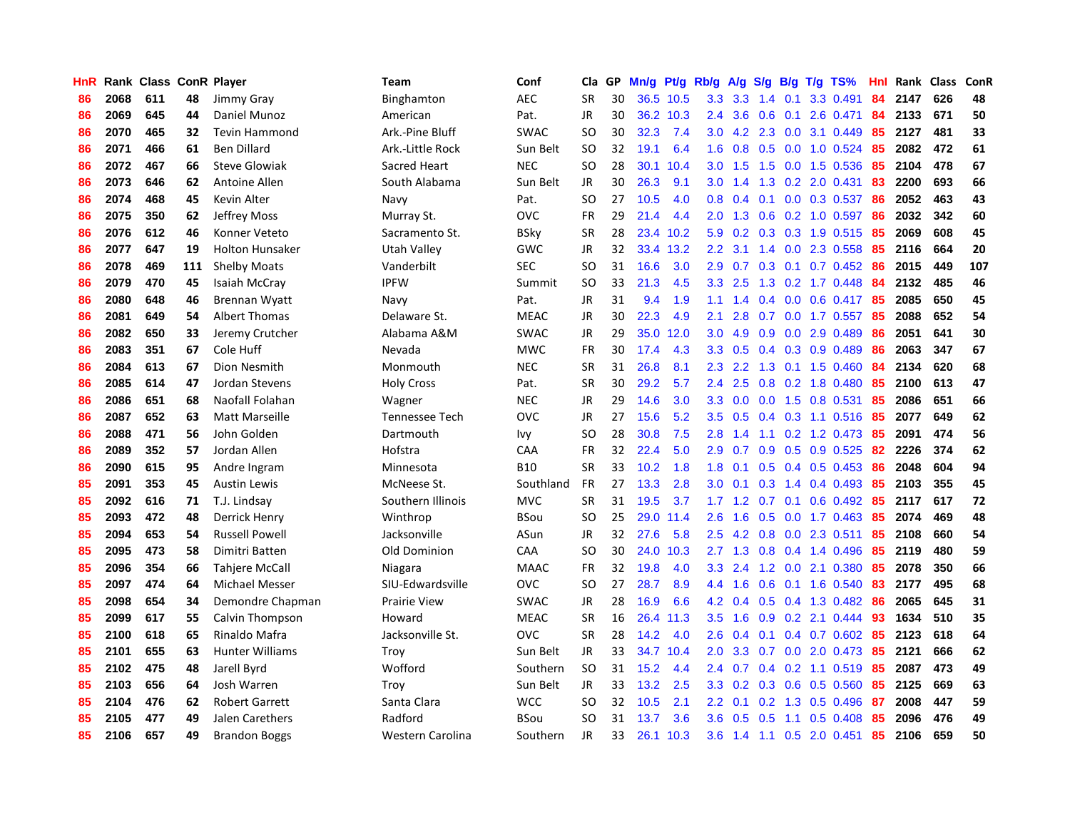| HnR |      | Rank Class ConR Player |     |                        | Team                | Conf        | Cla           | GP | Mn/g | Pt/g      | Rb/g             | A/g | S/g              |     | $B/g$ T/g TS%             | Hnl |      | Rank Class | ConR |
|-----|------|------------------------|-----|------------------------|---------------------|-------------|---------------|----|------|-----------|------------------|-----|------------------|-----|---------------------------|-----|------|------------|------|
| 86  | 2068 | 611                    | 48  | Jimmy Gray             | Binghamton          | <b>AEC</b>  | <b>SR</b>     | 30 |      | 36.5 10.5 | 3.3              | 3.3 | 1.4              | 0.1 | 3.3 0.491                 | 84  | 2147 | 626        | 48   |
| 86  | 2069 | 645                    | 44  | Daniel Munoz           | American            | Pat.        | JR            | 30 |      | 36.2 10.3 | $2.4^{\circ}$    | 3.6 | 0.6              |     | $0.1$ 2.6 0.471           | 84  | 2133 | 671        | 50   |
| 86  | 2070 | 465                    | 32  | <b>Tevin Hammond</b>   | Ark.-Pine Bluff     | <b>SWAC</b> | <sub>SO</sub> | 30 | 32.3 | 7.4       | 3.0 <sub>2</sub> |     |                  |     | 4.2 2.3 0.0 3.1 0.449     | 85  | 2127 | 481        | 33   |
| 86  | 2071 | 466                    | 61  | <b>Ben Dillard</b>     | Ark.-Little Rock    | Sun Belt    | <b>SO</b>     | 32 | 19.1 | 6.4       | 1.6              | 0.8 |                  |     | $0.5$ 0.0 1.0 0.524       | -85 | 2082 | 472        | 61   |
| 86  | 2072 | 467                    | 66  | <b>Steve Glowiak</b>   | Sacred Heart        | <b>NEC</b>  | SO            | 28 | 30.1 | 10.4      | 3.0 <sub>2</sub> | 1.5 | 1.5              |     | 0.0 1.5 0.536             | 85  | 2104 | 478        | 67   |
| 86  | 2073 | 646                    | 62  | Antoine Allen          | South Alabama       | Sun Belt    | JR            | 30 | 26.3 | 9.1       | 3.0              | 1.4 | 1.3              |     | $0.2$ 2.0 $0.431$         | 83  | 2200 | 693        | 66   |
| 86  | 2074 | 468                    | 45  | Kevin Alter            | Navy                | Pat.        | SO            | 27 | 10.5 | 4.0       | 0.8              | 0.4 |                  |     | 0.1 0.0 0.3 0.537         | 86  | 2052 | 463        | 43   |
| 86  | 2075 | 350                    | 62  | Jeffrey Moss           | Murray St.          | ovc         | <b>FR</b>     | 29 | 21.4 | 4.4       | 2.0              | 1.3 | 0.6              |     | $0.2$ 1.0 0.597           | -86 | 2032 | 342        | 60   |
| 86  | 2076 | 612                    | 46  | Konner Veteto          | Sacramento St.      | BSky        | <b>SR</b>     | 28 | 23.4 | 10.2      | 5.9              | 0.2 | 0.3              |     | 0.3 1.9 0.515             | -85 | 2069 | 608        | 45   |
| 86  | 2077 | 647                    | 19  | <b>Holton Hunsaker</b> | Utah Valley         | GWC         | JR            | 32 | 33.4 | 13.2      | 2.2              | 3.1 |                  |     | 1.4 0.0 2.3 0.558         | -85 | 2116 | 664        | 20   |
| 86  | 2078 | 469                    | 111 | <b>Shelby Moats</b>    | Vanderbilt          | <b>SEC</b>  | SO            | 31 | 16.6 | 3.0       | 2.9              | 0.7 |                  |     | 0.3 0.1 0.7 0.452 86      |     | 2015 | 449        | 107  |
| 86  | 2079 | 470                    | 45  | Isaiah McCray          | <b>IPFW</b>         | Summit      | <b>SO</b>     | 33 | 21.3 | 4.5       | 3.3 <sub>2</sub> | 2.5 |                  |     | 1.3 0.2 1.7 0.448 84      |     | 2132 | 485        | 46   |
| 86  | 2080 | 648                    | 46  | <b>Brennan Wyatt</b>   | Navy                | Pat.        | <b>JR</b>     | 31 | 9.4  | 1.9       | 1.1              | 1.4 |                  |     | 0.4 0.0 0.6 0.417 85      |     | 2085 | 650        | 45   |
| 86  | 2081 | 649                    | 54  | Albert Thomas          | Delaware St.        | <b>MEAC</b> | <b>JR</b>     | 30 | 22.3 | 4.9       | 2.1              | 2.8 | 0.7              |     | $0.0$ 1.7 0.557           | -85 | 2088 | 652        | 54   |
| 86  | 2082 | 650                    | 33  | Jeremy Crutcher        | Alabama A&M         | <b>SWAC</b> | <b>JR</b>     | 29 | 35.0 | 12.0      | 3.0 <sub>2</sub> | 4.9 | 0.9              |     | $0.0$ 2.9 $0.489$         | 86  | 2051 | 641        | 30   |
| 86  | 2083 | 351                    | 67  | Cole Huff              | Nevada              | <b>MWC</b>  | <b>FR</b>     | 30 | 17.4 | 4.3       | 3.3 <sub>2</sub> | 0.5 | $0.4^{\circ}$    |     | $0.3$ 0.9 0.489           | 86  | 2063 | 347        | 67   |
| 86  | 2084 | 613                    | 67  | Dion Nesmith           | Monmouth            | <b>NEC</b>  | <b>SR</b>     | 31 | 26.8 | 8.1       | 2.3              | 2.2 | 1.3              |     | $0.1$ 1.5 0.460           | 84  | 2134 | 620        | 68   |
| 86  | 2085 | 614                    | 47  | Jordan Stevens         | <b>Holy Cross</b>   | Pat.        | <b>SR</b>     | 30 | 29.2 | 5.7       | $2.4^{\circ}$    | 2.5 | 0.8              |     | 0.2 1.8 0.480             | 85  | 2100 | 613        | 47   |
| 86  | 2086 | 651                    | 68  | Naofall Folahan        | Wagner              | <b>NEC</b>  | <b>JR</b>     | 29 | 14.6 | 3.0       | 3.3 <sub>2</sub> | 0.0 |                  |     | $0.0$ 1.5 0.8 0.531       | 85  | 2086 | 651        | 66   |
| 86  | 2087 | 652                    | 63  | Matt Marseille         | Tennessee Tech      | OVC         | <b>JR</b>     | 27 | 15.6 | 5.2       | 3.5              | 0.5 |                  |     | 0.4 0.3 1.1 0.516 85      |     | 2077 | 649        | 62   |
| 86  | 2088 | 471                    | 56  | John Golden            | Dartmouth           | lvy         | SO            | 28 | 30.8 | 7.5       | 2.8              | 1.4 |                  |     | $1.1 \t0.2 \t1.2 \t0.473$ | -85 | 2091 | 474        | 56   |
| 86  | 2089 | 352                    | 57  | Jordan Allen           | Hofstra             | CAA         | FR            | 32 | 22.4 | 5.0       | 2.9              | 0.7 | 0.9 <sup>°</sup> |     | 0.5 0.9 0.525             | 82  | 2226 | 374        | 62   |
| 86  | 2090 | 615                    | 95  | Andre Ingram           | Minnesota           | <b>B10</b>  | <b>SR</b>     | 33 | 10.2 | 1.8       | 1.8              | 0.1 |                  |     | $0.5$ 0.4 0.5 0.453       | 86  | 2048 | 604        | 94   |
| 85  | 2091 | 353                    | 45  | <b>Austin Lewis</b>    | McNeese St.         | Southland   | <b>FR</b>     | 27 | 13.3 | 2.8       | 3.0 <sub>2</sub> | 0.1 | 0.3              |     | 1.4 0.4 0.493             | 85  | 2103 | 355        | 45   |
| 85  | 2092 | 616                    | 71  | T.J. Lindsay           | Southern Illinois   | <b>MVC</b>  | <b>SR</b>     | 31 | 19.5 | 3.7       | 1.7 <sup>2</sup> | 1.2 | 0.7              | 0.1 | $0.6$ 0.492               | -85 | 2117 | 617        | 72   |
| 85  | 2093 | 472                    | 48  | Derrick Henry          | Winthrop            | BSou        | SO            | 25 | 29.0 | 11.4      | 2.6              | 1.6 | 0.5              |     | $0.0$ 1.7 $0.463$         | -85 | 2074 | 469        | 48   |
| 85  | 2094 | 653                    | 54  | <b>Russell Powell</b>  | Jacksonville        | ASun        | JR            | 32 | 27.6 | 5.8       | $2.5^{\circ}$    | 4.2 |                  |     | 0.8 0.0 2.3 0.511         | 85  | 2108 | 660        | 54   |
| 85  | 2095 | 473                    | 58  | Dimitri Batten         | Old Dominion        | <b>CAA</b>  | SO            | 30 |      | 24.0 10.3 | $2.7^{\circ}$    |     |                  |     | 1.3 0.8 0.4 1.4 0.496     | -85 | 2119 | 480        | 59   |
| 85  | 2096 | 354                    | 66  | Tahjere McCall         | Niagara             | <b>MAAC</b> | <b>FR</b>     | 32 | 19.8 | 4.0       | 3.3 <sub>2</sub> | 2.4 |                  |     | 1.2 0.0 2.1 0.380         | -85 | 2078 | 350        | 66   |
| 85  | 2097 | 474                    | 64  | <b>Michael Messer</b>  | SIU-Edwardsville    | <b>OVC</b>  | SO            | 27 | 28.7 | 8.9       | 4.4              | 1.6 |                  |     | $0.6$ 0.1 1.6 0.540       | 83  | 2177 | 495        | 68   |
| 85  | 2098 | 654                    | 34  | Demondre Chapman       | <b>Prairie View</b> | <b>SWAC</b> | JR            | 28 | 16.9 | 6.6       | 4.2              | 0.4 | 0.5              |     | 0.4 1.3 0.482             | -86 | 2065 | 645        | 31   |
| 85  | 2099 | 617                    | 55  | Calvin Thompson        | Howard              | <b>MEAC</b> | <b>SR</b>     | 16 | 26.4 | 11.3      | 3.5              | 1.6 | 0.9              |     | $0.2$ 2.1 $0.444$         | -93 | 1634 | 510        | 35   |
| 85  | 2100 | 618                    | 65  | Rinaldo Mafra          | Jacksonville St.    | <b>OVC</b>  | <b>SR</b>     | 28 | 14.2 | 4.0       | 2.6              | 0.4 | 0.1              |     | $0.4$ 0.7 0.602           | -85 | 2123 | 618        | 64   |
| 85  | 2101 | 655                    | 63  | <b>Hunter Williams</b> | Troy                | Sun Belt    | JR            | 33 | 34.7 | 10.4      | 2.0              | 3.3 | 0.7              | 0.0 | 2.0 0.473                 | 85  | 2121 | 666        | 62   |
| 85  | 2102 | 475                    | 48  | Jarell Byrd            | Wofford             | Southern    | <b>SO</b>     | 31 | 15.2 | 4.4       | $2.4^{\circ}$    | 0.7 | 0.4              |     | $0.2$ 1.1 0.519           | -85 | 2087 | 473        | 49   |
| 85  | 2103 | 656                    | 64  | Josh Warren            | Trov                | Sun Belt    | <b>JR</b>     | 33 | 13.2 | 2.5       | 3.3 <sub>2</sub> | 0.2 |                  |     | 0.3 0.6 0.5 0.560         | 85  | 2125 | 669        | 63   |
| 85  | 2104 | 476                    | 62  | <b>Robert Garrett</b>  | Santa Clara         | <b>WCC</b>  | SO            | 32 | 10.5 | 2.1       | $2.2^{\circ}$    | 0.1 |                  |     | $0.2$ 1.3 0.5 0.496       | -87 | 2008 | 447        | 59   |
| 85  | 2105 | 477                    | 49  | Jalen Carethers        | Radford             | BSou        | SO            | 31 | 13.7 | 3.6       | 3.6              | 0.5 | 0.5              | 1.1 | $0.5$ 0.408               | -85 | 2096 | 476        | 49   |
| 85  | 2106 | 657                    | 49  | <b>Brandon Boggs</b>   | Western Carolina    | Southern    | <b>JR</b>     | 33 | 26.1 | 10.3      | $3.6^{\circ}$    |     |                  |     | 1.4 1.1 0.5 2.0 0.451     | 85  | 2106 | 659        | 50   |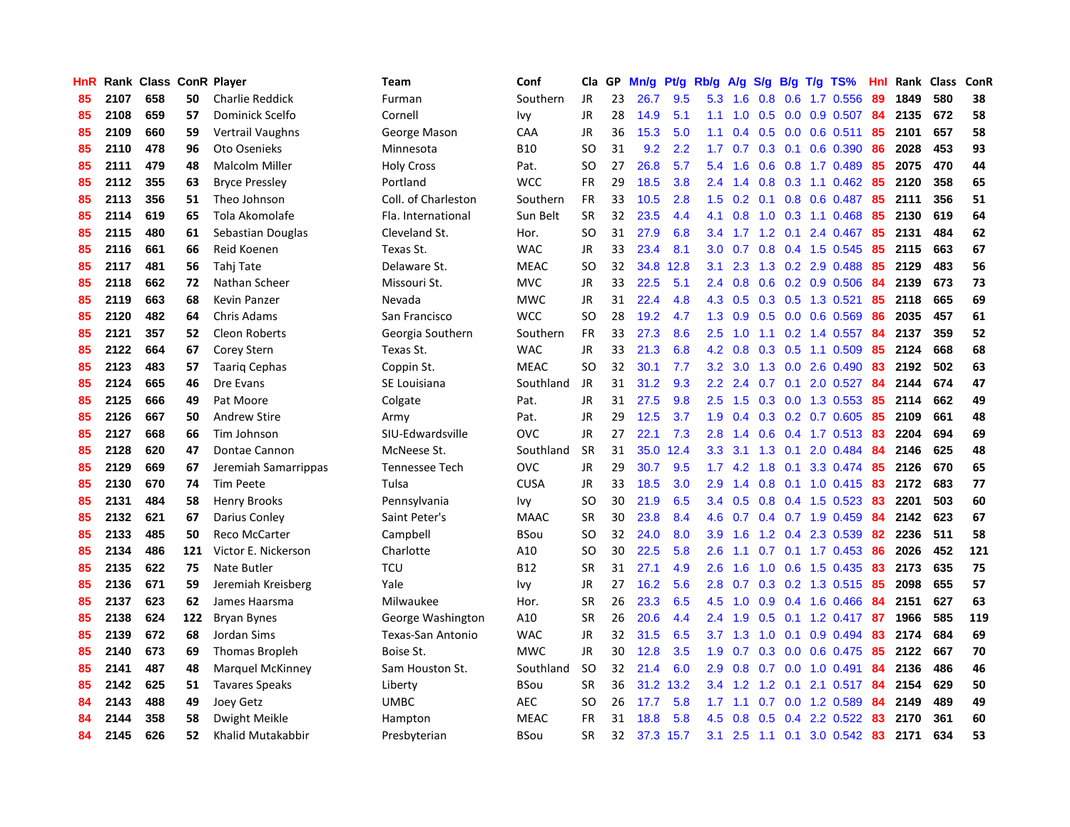| HnR |      | Rank Class ConR Player |     |                         | <b>Team</b>           | Conf        | Cla           | GP | Mn/g | Pt/g      | Rb/g             | A/g             |                  |     | $S/g$ B/g T/g TS%         | Hnl |      | Rank Class | ConR |
|-----|------|------------------------|-----|-------------------------|-----------------------|-------------|---------------|----|------|-----------|------------------|-----------------|------------------|-----|---------------------------|-----|------|------------|------|
| 85  | 2107 | 658                    | 50  | <b>Charlie Reddick</b>  | Furman                | Southern    | <b>JR</b>     | 23 | 26.7 | 9.5       | 5.3              | 1.6             | 0.8              | 0.6 | 1.7 0.556                 | 89  | 1849 | 580        | 38   |
| 85  | 2108 | 659                    | 57  | Dominick Scelfo         | Cornell               | Ivy         | JR            | 28 | 14.9 | 5.1       | 1.1              | 1.0             |                  |     | 0.5 0.0 0.9 0.507 84      |     | 2135 | 672        | 58   |
| 85  | 2109 | 660                    | 59  | <b>Vertrail Vaughns</b> | George Mason          | CAA         | JR            | 36 | 15.3 | 5.0       | 1.1              | 0.4             |                  |     | $0.5$ 0.0 0.6 0.511       | 85  | 2101 | 657        | 58   |
| 85  | 2110 | 478                    | 96  | Oto Osenieks            | Minnesota             | <b>B10</b>  | <sub>SO</sub> | 31 | 9.2  | 2.2       | 1.7 <sub>z</sub> | 0.7             |                  |     | $0.3$ 0.1 0.6 0.390       | 86  | 2028 | 453        | 93   |
| 85  | 2111 | 479                    | 48  | <b>Malcolm Miller</b>   | <b>Holy Cross</b>     | Pat.        | <sub>SO</sub> | 27 | 26.8 | 5.7       | 5.4              | 1.6             |                  |     | 0.6 0.8 1.7 0.489         | 85  | 2075 | 470        | 44   |
| 85  | 2112 | 355                    | 63  | <b>Bryce Pressley</b>   | Portland              | <b>WCC</b>  | <b>FR</b>     | 29 | 18.5 | 3.8       | 2.4              | 1.4             | 0.8              |     | $0.3$ 1.1 0.462           | 85  | 2120 | 358        | 65   |
| 85  | 2113 | 356                    | 51  | Theo Johnson            | Coll. of Charleston   | Southern    | FR            | 33 | 10.5 | 2.8       | 1.5              | 0.2             |                  |     | 0.1 0.8 0.6 0.487         | 85  | 2111 | 356        | 51   |
| 85  | 2114 | 619                    | 65  | Tola Akomolafe          | Fla. International    | Sun Belt    | <b>SR</b>     | 32 | 23.5 | 4.4       | 4.1              | 0.8             | 1.0              |     | $0.3$ 1.1 $0.468$         | 85  | 2130 | 619        | 64   |
| 85  | 2115 | 480                    | 61  | Sebastian Douglas       | Cleveland St.         | Hor.        | <b>SO</b>     | 31 | 27.9 | 6.8       | 3.4              | 1.7             | 1.2              | 0.1 | 2.4 0.467                 | 85  | 2131 | 484        | 62   |
| 85  | 2116 | 661                    | 66  | Reid Koenen             | Texas St.             | <b>WAC</b>  | JR            | 33 | 23.4 | 8.1       | 3.0 <sub>2</sub> | 0.7             |                  |     | 0.8 0.4 1.5 0.545         | -85 | 2115 | 663        | 67   |
| 85  | 2117 | 481                    | 56  | Tahj Tate               | Delaware St.          | <b>MEAC</b> | <sub>SO</sub> | 32 | 34.8 | 12.8      | 3.1              | 2.3             |                  |     | 1.3 0.2 2.9 0.488         | 85  | 2129 | 483        | 56   |
| 85  | 2118 | 662                    | 72  | Nathan Scheer           | Missouri St.          | <b>MVC</b>  | JR            | 33 | 22.5 | 5.1       | $2.4^{\circ}$    | 0.8             |                  |     | $0.6$ $0.2$ $0.9$ $0.506$ | -84 | 2139 | 673        | 73   |
| 85  | 2119 | 663                    | 68  | Kevin Panzer            | Nevada                | <b>MWC</b>  | <b>JR</b>     | 31 | 22.4 | 4.8       | 4.3              | 0.5             |                  |     | 0.3 0.5 1.3 0.521         | 85  | 2118 | 665        | 69   |
| 85  | 2120 | 482                    | 64  | Chris Adams             | San Francisco         | <b>WCC</b>  | <b>SO</b>     | 28 | 19.2 | 4.7       | 1.3              | 0.9             |                  |     | $0.5$ 0.0 0.6 0.569       | 86  | 2035 | 457        | 61   |
| 85  | 2121 | 357                    | 52  | <b>Cleon Roberts</b>    | Georgia Southern      | Southern    | <b>FR</b>     | 33 | 27.3 | 8.6       | 2.5              | 1.0             |                  |     | 1.1 0.2 1.4 0.557         | 84  | 2137 | 359        | 52   |
| 85  | 2122 | 664                    | 67  | <b>Corey Stern</b>      | Texas St.             | <b>WAC</b>  | <b>JR</b>     | 33 | 21.3 | 6.8       | 4.2              | 0.8             | 0.3              |     | $0.5$ 1.1 0.509           | 85  | 2124 | 668        | 68   |
| 85  | 2123 | 483                    | 57  | <b>Taarig Cephas</b>    | Coppin St.            | <b>MEAC</b> | <sub>SO</sub> | 32 | 30.1 | 7.7       | 3.2              | 3.0             | 1.3              |     | $0.0$ 2.6 $0.490$         | 83  | 2192 | 502        | 63   |
| 85  | 2124 | 665                    | 46  | Dre Evans               | SE Louisiana          | Southland   | <b>JR</b>     | 31 | 31.2 | 9.3       | $2.2^{\circ}$    | 2.4             | 0.7              | 0.1 | 2.0 0.527                 | 84  | 2144 | 674        | 47   |
| 85  | 2125 | 666                    | 49  | Pat Moore               | Colgate               | Pat.        | JR            | 31 | 27.5 | 9.8       | 2.5              | 1.5             |                  |     | $0.3$ 0.0 1.3 0.553       | 85  | 2114 | 662        | 49   |
| 85  | 2126 | 667                    | 50  | <b>Andrew Stire</b>     | Army                  | Pat.        | <b>JR</b>     | 29 | 12.5 | 3.7       | 1.9              | 0.4             |                  |     | $0.3$ 0.2 0.7 0.605       | -85 | 2109 | 661        | 48   |
| 85  | 2127 | 668                    | 66  | Tim Johnson             | SIU-Edwardsville      | <b>OVC</b>  | JR            | 27 | 22.1 | 7.3       | 2.8              | 1.4             |                  |     | $0.6$ 0.4 1.7 0.513       | -83 | 2204 | 694        | 69   |
| 85  | 2128 | 620                    | 47  | Dontae Cannon           | McNeese St.           | Southland   | <b>SR</b>     | 31 | 35.0 | 12.4      | 3.3              | 3.1             | 1.3              | 0.1 | 2.0 0.484                 | 84  | 2146 | 625        | 48   |
| 85  | 2129 | 669                    | 67  | Jeremiah Samarrippas    | <b>Tennessee Tech</b> | <b>OVC</b>  | JR            | 29 | 30.7 | 9.5       | 1.7              | 4.2             | 1.8              |     | $0.1$ 3.3 0.474           | -85 | 2126 | 670        | 65   |
| 85  | 2130 | 670                    | 74  | <b>Tim Peete</b>        | Tulsa                 | <b>CUSA</b> | JR            | 33 | 18.5 | 3.0       | 2.9              | 1.4             | 0.8              |     | $0.1$ 1.0 0.415           | 83  | 2172 | 683        | 77   |
| 85  | 2131 | 484                    | 58  | <b>Henry Brooks</b>     | Pennsylvania          | Ivy         | <sub>SO</sub> | 30 | 21.9 | 6.5       | 3.4              | 0.5             |                  |     | 0.8 0.4 1.5 0.523         | 83  | 2201 | 503        | 60   |
| 85  | 2132 | 621                    | 67  | Darius Conley           | Saint Peter's         | <b>MAAC</b> | <b>SR</b>     | 30 | 23.8 | 8.4       | 4.6              | 0.7             |                  |     | 0.4 0.7 1.9 0.459         | 84  | 2142 | 623        | 67   |
| 85  | 2133 | 485                    | 50  | Reco McCarter           | Campbell              | BSou        | <sub>SO</sub> | 32 | 24.0 | 8.0       | 3.9              | 1.6             |                  |     | 1.2 0.4 2.3 0.539         | -82 | 2236 | 511        | 58   |
| 85  | 2134 | 486                    | 121 | Victor E. Nickerson     | Charlotte             | A10         | <b>SO</b>     | 30 | 22.5 | 5.8       | 2.6              | 1.1             |                  |     | 0.7 0.1 1.7 0.453 86      |     | 2026 | 452        | 121  |
| 85  | 2135 | 622                    | 75  | Nate Butler             | <b>TCU</b>            | <b>B12</b>  | <b>SR</b>     | 31 | 27.1 | 4.9       | 2.6              | 1.6             |                  |     | 1.0 0.6 1.5 0.435 83      |     | 2173 | 635        | 75   |
| 85  | 2136 | 671                    | 59  | Jeremiah Kreisberg      | Yale                  | Ivy         | <b>JR</b>     | 27 | 16.2 | 5.6       | 2.8              | 0.7             |                  |     | 0.3 0.2 1.3 0.515         | -85 | 2098 | 655        | 57   |
| 85  | 2137 | 623                    | 62  | James Haarsma           | Milwaukee             | Hor.        | <b>SR</b>     | 26 | 23.3 | 6.5       | 4.5              | 1.0             | 0.9 <sub>0</sub> |     | 0.4 1.6 0.466             | -84 | 2151 | 627        | 63   |
| 85  | 2138 | 624                    | 122 | <b>Bryan Bynes</b>      | George Washington     | A10         | <b>SR</b>     | 26 | 20.6 | 4.4       | 2.4              | 1.9             | 0.5              |     | $0.1$ 1.2 0.417           | 87  | 1966 | 585        | 119  |
| 85  | 2139 | 672                    | 68  | Jordan Sims             | Texas-San Antonio     | <b>WAC</b>  | JR            | 32 | 31.5 | 6.5       |                  | $3.7 \quad 1.3$ | 1.0              | 0.1 | $0.9$ 0.494               | 83  | 2174 | 684        | 69   |
| 85  | 2140 | 673                    | 69  | <b>Thomas Bropleh</b>   | Boise St.             | <b>MWC</b>  | <b>JR</b>     | 30 | 12.8 | 3.5       | 1.9              | 0.7             | 0.3              |     | 0.0 0.6 0.475             | 85  | 2122 | 667        | 70   |
| 85  | 2141 | 487                    | 48  | <b>Marquel McKinney</b> | Sam Houston St.       | Southland   | <b>SO</b>     | 32 | 21.4 | 6.0       | 2.9              | 0.8             |                  |     | $0.7$ 0.0 1.0 0.491       | -84 | 2136 | 486        | 46   |
| 85  | 2142 | 625                    | 51  | <b>Tavares Speaks</b>   | Liberty               | BSou        | <b>SR</b>     | 36 | 31.2 | 13.2      | $3.4^{\circ}$    | 1.2             |                  |     | 1.2 0.1 2.1 0.517 84      |     | 2154 | 629        | 50   |
| 84  | 2143 | 488                    | 49  | Joey Getz               | UMBC                  | <b>AEC</b>  | SO            | 26 | 17.7 | 5.8       | 1.7              | 1.1             |                  |     | 0.7 0.0 1.2 0.589         | -84 | 2149 | 489        | 49   |
| 84  | 2144 | 358                    | 58  | Dwight Meikle           | Hampton               | <b>MEAC</b> | <b>FR</b>     | 31 | 18.8 | 5.8       | 4.5              | 0.8             | 0.5              | 0.4 | 2.2 0.522                 | 83  | 2170 | 361        | 60   |
| 84  | 2145 | 626                    | 52  | Khalid Mutakabbir       | Presbyterian          | BSou        | <b>SR</b>     | 32 |      | 37.3 15.7 | 3.1              | 2.5             |                  |     | 1.1 0.1 3.0 0.542 83      |     | 2171 | 634        | 53   |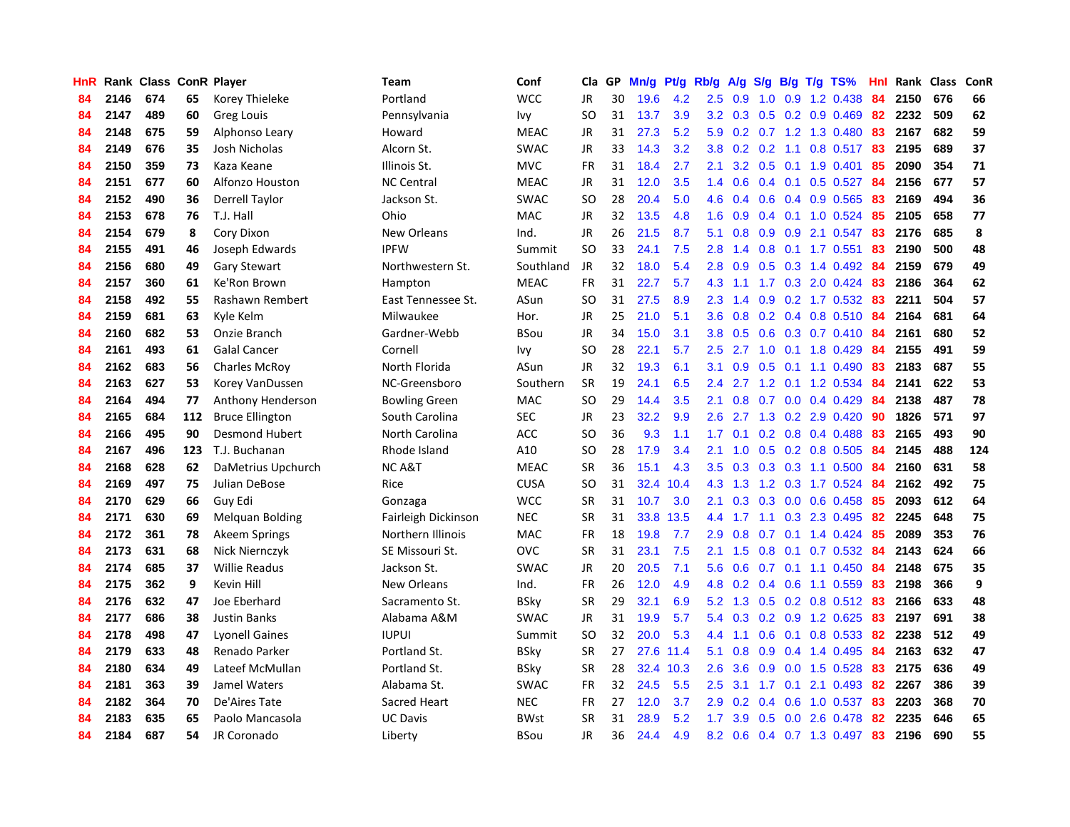| <b>HnR</b> |      | Rank Class ConR Player |     |                        | Team                 | Conf        | Cla       | GP | Mn/g | Pt/g | Rb/g             | A/g             |                  |  | $S/g$ B/g T/g TS%         | Hnl | Rank Class |     | ConR |
|------------|------|------------------------|-----|------------------------|----------------------|-------------|-----------|----|------|------|------------------|-----------------|------------------|--|---------------------------|-----|------------|-----|------|
| 84         | 2146 | 674                    | 65  | Korey Thieleke         | Portland             | <b>WCC</b>  | JR        | 30 | 19.6 | 4.2  | 2.5              | 0.9             | 1.0              |  | 0.9 1.2 0.438             | -84 | 2150       | 676 | 66   |
| 84         | 2147 | 489                    | 60  | Greg Louis             | Pennsylvania         | Ivy         | <b>SO</b> | 31 | 13.7 | 3.9  |                  |                 |                  |  | 3.2 0.3 0.5 0.2 0.9 0.469 | -82 | 2232       | 509 | 62   |
| 84         | 2148 | 675                    | 59  | Alphonso Leary         | Howard               | <b>MEAC</b> | JR        | 31 | 27.3 | 5.2  | 5.9              |                 |                  |  | 0.2 0.7 1.2 1.3 0.480     | 83  | 2167       | 682 | 59   |
| 84         | 2149 | 676                    | 35  | Josh Nicholas          | Alcorn St.           | <b>SWAC</b> | JR        | 33 | 14.3 | 3.2  | 3.8              | 0.2             |                  |  | $0.2$ 1.1 0.8 0.517       | -83 | 2195       | 689 | 37   |
| 84         | 2150 | 359                    | 73  | Kaza Keane             | Illinois St.         | <b>MVC</b>  | <b>FR</b> | 31 | 18.4 | 2.7  | 2.1              | 3.2             |                  |  | $0.5$ 0.1 1.9 0.401       | 85  | 2090       | 354 | 71   |
| 84         | 2151 | 677                    | 60  | Alfonzo Houston        | <b>NC Central</b>    | <b>MEAC</b> | JR        | 31 | 12.0 | 3.5  | 1.4              | 0.6             |                  |  | $0.4$ 0.1 0.5 0.527       | 84  | 2156       | 677 | 57   |
| 84         | 2152 | 490                    | 36  | <b>Derrell Taylor</b>  | Jackson St.          | <b>SWAC</b> | <b>SO</b> | 28 | 20.4 | 5.0  | 4.6              | 0.4             |                  |  | 0.6 0.4 0.9 0.565         | 83  | 2169       | 494 | 36   |
| 84         | 2153 | 678                    | 76  | T.J. Hall              | Ohio                 | <b>MAC</b>  | JR        | 32 | 13.5 | 4.8  | 1.6              | 0.9             |                  |  | $0.4$ 0.1 1.0 0.524       | -85 | 2105       | 658 | 77   |
| 84         | 2154 | 679                    | 8   | Cory Dixon             | <b>New Orleans</b>   | Ind.        | <b>JR</b> | 26 | 21.5 | 8.7  | 5.1              | 0.8             | 0.9 <sub>0</sub> |  | 0.9 2.1 0.547             | 83  | 2176       | 685 | 8    |
| 84         | 2155 | 491                    | 46  | Joseph Edwards         | <b>IPFW</b>          | Summit      | <b>SO</b> | 33 | 24.1 | 7.5  | 2.8              | 1.4             |                  |  | 0.8 0.1 1.7 0.551         | 83  | 2190       | 500 | 48   |
| 84         | 2156 | 680                    | 49  | <b>Gary Stewart</b>    | Northwestern St.     | Southland   | JR        | 32 | 18.0 | 5.4  | 2.8              | 0.9             |                  |  | 0.5 0.3 1.4 0.492 84      |     | 2159       | 679 | 49   |
| 84         | 2157 | 360                    | 61  | Ke'Ron Brown           | Hampton              | <b>MEAC</b> | <b>FR</b> | 31 | 22.7 | 5.7  | 4.3              | 1.1             |                  |  | 1.7 0.3 2.0 0.424 83      |     | 2186       | 364 | 62   |
| 84         | 2158 | 492                    | 55  | Rashawn Rembert        | East Tennessee St.   | ASun        | <b>SO</b> | 31 | 27.5 | 8.9  | 2.3              | 1.4             | 0.9              |  | 0.2 1.7 0.532 83          |     | 2211       | 504 | 57   |
| 84         | 2159 | 681                    | 63  | Kyle Kelm              | Milwaukee            | Hor.        | JR        | 25 | 21.0 | 5.1  | 3.6              | 0.8             |                  |  | $0.2$ 0.4 0.8 0.510       | -84 | 2164       | 681 | 64   |
| 84         | 2160 | 682                    | 53  | Onzie Branch           | Gardner-Webb         | <b>BSou</b> | JR        | 34 | 15.0 | 3.1  | 3.8 <sub>1</sub> | 0.5             |                  |  | 0.6 0.3 0.7 0.410         | -84 | 2161       | 680 | 52   |
| 84         | 2161 | 493                    | 61  | <b>Galal Cancer</b>    | Cornell              | Ivy         | <b>SO</b> | 28 | 22.1 | 5.7  | $2.5\,$          |                 | $2.7 \t1.0$      |  | $0.1$ 1.8 $0.429$         | 84  | 2155       | 491 | 59   |
| 84         | 2162 | 683                    | 56  | <b>Charles McRoy</b>   | North Florida        | ASun        | JR        | 32 | 19.3 | 6.1  | 3.1              | 0.9             | 0.5              |  | $0.1$ 1.1 0.490           | 83  | 2183       | 687 | 55   |
| 84         | 2163 | 627                    | 53  | Korey VanDussen        | NC-Greensboro        | Southern    | <b>SR</b> | 19 | 24.1 | 6.5  | $2.4^{\circ}$    | 2.7             |                  |  | 1.2 0.1 1.2 0.534         | -84 | 2141       | 622 | 53   |
| 84         | 2164 | 494                    | 77  | Anthony Henderson      | <b>Bowling Green</b> | MAC         | <b>SO</b> | 29 | 14.4 | 3.5  | 2.1              | 0.8             |                  |  | $0.7$ 0.0 0.4 0.429       | -84 | 2138       | 487 | 78   |
| 84         | 2165 | 684                    | 112 | <b>Bruce Ellington</b> | South Carolina       | <b>SEC</b>  | JR        | 23 | 32.2 | 9.9  | 2.6              |                 |                  |  | 2.7 1.3 0.2 2.9 0.420     | 90  | 1826       | 571 | 97   |
| 84         | 2166 | 495                    | 90  | <b>Desmond Hubert</b>  | North Carolina       | <b>ACC</b>  | <b>SO</b> | 36 | 9.3  | 1.1  | 1.7 <sub>z</sub> | 0.1             |                  |  | 0.2 0.8 0.4 0.488         | 83  | 2165       | 493 | 90   |
| 84         | 2167 | 496                    | 123 | T.J. Buchanan          | Rhode Island         | A10         | <b>SO</b> | 28 | 17.9 | 3.4  | 2.1              | 1.0             |                  |  | $0.5$ 0.2 0.8 0.505       | -84 | 2145       | 488 | 124  |
| 84         | 2168 | 628                    | 62  | DaMetrius Upchurch     | <b>NC A&amp;T</b>    | <b>MEAC</b> | <b>SR</b> | 36 | 15.1 | 4.3  |                  | $3.5 \quad 0.3$ |                  |  | 0.3 0.3 1.1 0.500         | 84  | 2160       | 631 | 58   |
| 84         | 2169 | 497                    | 75  | Julian DeBose          | Rice                 | <b>CUSA</b> | <b>SO</b> | 31 | 32.4 | 10.4 |                  | $4.3$ $1.3$     |                  |  | 1.2 0.3 1.7 0.524         | -84 | 2162       | 492 | 75   |
| 84         | 2170 | 629                    | 66  | Guy Edi                | Gonzaga              | <b>WCC</b>  | <b>SR</b> | 31 | 10.7 | 3.0  | 2.1              | 0.3             |                  |  | 0.3 0.0 0.6 0.458         | 85  | 2093       | 612 | 64   |
| 84         | 2171 | 630                    | 69  | Melquan Bolding        | Fairleigh Dickinson  | <b>NEC</b>  | <b>SR</b> | 31 | 33.8 | 13.5 | $4.4^{\circ}$    | 1.7             |                  |  | 1.1 0.3 2.3 0.495         | 82  | 2245       | 648 | 75   |
| 84         | 2172 | 361                    | 78  | Akeem Springs          | Northern Illinois    | MAC         | FR        | 18 | 19.8 | 7.7  | 2.9 <sup>°</sup> | 0.8             |                  |  | 0.7 0.1 1.4 0.424 85      |     | 2089       | 353 | 76   |
| 84         | 2173 | 631                    | 68  | Nick Niernczyk         | SE Missouri St.      | <b>OVC</b>  | <b>SR</b> | 31 | 23.1 | 7.5  | 2.1              | 1.5             |                  |  | 0.8 0.1 0.7 0.532 84      |     | 2143       | 624 | 66   |
| 84         | 2174 | 685                    | 37  | Willie Readus          | Jackson St.          | <b>SWAC</b> | <b>JR</b> | 20 | 20.5 | 7.1  | 5.6              | 0.6             |                  |  | $0.7$ 0.1 1.1 0.450       | 84  | 2148       | 675 | 35   |
| 84         | 2175 | 362                    | 9   | Kevin Hill             | New Orleans          | Ind.        | <b>FR</b> | 26 | 12.0 | 4.9  | 4.8              | 0.2             |                  |  | $0.4$ 0.6 1.1 0.559       | 83  | 2198       | 366 | 9    |
| 84         | 2176 | 632                    | 47  | Joe Eberhard           | Sacramento St.       | <b>BSky</b> | <b>SR</b> | 29 | 32.1 | 6.9  | 5.2              | 1.3             |                  |  | 0.5 0.2 0.8 0.512 83      |     | 2166       | 633 | 48   |
| 84         | 2177 | 686                    | 38  | <b>Justin Banks</b>    | Alabama A&M          | <b>SWAC</b> | JR        | 31 | 19.9 | 5.7  | 5.4              | 0.3             |                  |  | 0.2 0.9 1.2 0.625         | 83  | 2197       | 691 | 38   |
| 84         | 2178 | 498                    | 47  | <b>Lyonell Gaines</b>  | <b>IUPUI</b>         | Summit      | <b>SO</b> | 32 | 20.0 | 5.3  | $4.4^{\circ}$    | 1.1             | 0.6              |  | $0.1$ 0.8 0.533           | 82  | 2238       | 512 | 49   |
| 84         | 2179 | 633                    | 48  | Renado Parker          | Portland St.         | <b>BSky</b> | <b>SR</b> | 27 | 27.6 | 11.4 | 5.1              | 0.8             | 0.9              |  | 0.4 1.4 0.495             | 84  | 2163       | 632 | 47   |
| 84         | 2180 | 634                    | 49  | Lateef McMullan        | Portland St.         | <b>BSky</b> | <b>SR</b> | 28 | 32.4 | 10.3 | 2.6              | 3.6             | 0.9              |  | $0.0$ 1.5 $0.528$         | 83  | 2175       | 636 | 49   |
| 84         | 2181 | 363                    | 39  | Jamel Waters           | Alabama St.          | <b>SWAC</b> | <b>FR</b> | 32 | 24.5 | 5.5  | 2.5              | 3.1             |                  |  | 1.7 0.1 2.1 0.493 82      |     | 2267       | 386 | 39   |
| 84         | 2182 | 364                    | 70  | De'Aires Tate          | Sacred Heart         | <b>NEC</b>  | <b>FR</b> | 27 | 12.0 | 3.7  | 2.9              | 0.2             |                  |  | $0.4$ 0.6 1.0 0.537       | 83  | 2203       | 368 | 70   |
| 84         | 2183 | 635                    | 65  | Paolo Mancasola        | <b>UC Davis</b>      | <b>BWst</b> | <b>SR</b> | 31 | 28.9 | 5.2  | 1.7 <sub>2</sub> | 3.9             | 0.5              |  | $0.0$ 2.6 $0.478$         | 82  | 2235       | 646 | 65   |
| 84         | 2184 | 687                    | 54  | JR Coronado            | Liberty              | <b>BSou</b> | <b>JR</b> | 36 | 24.4 | 4.9  |                  |                 |                  |  | 8.2 0.6 0.4 0.7 1.3 0.497 | 83  | 2196       | 690 | 55   |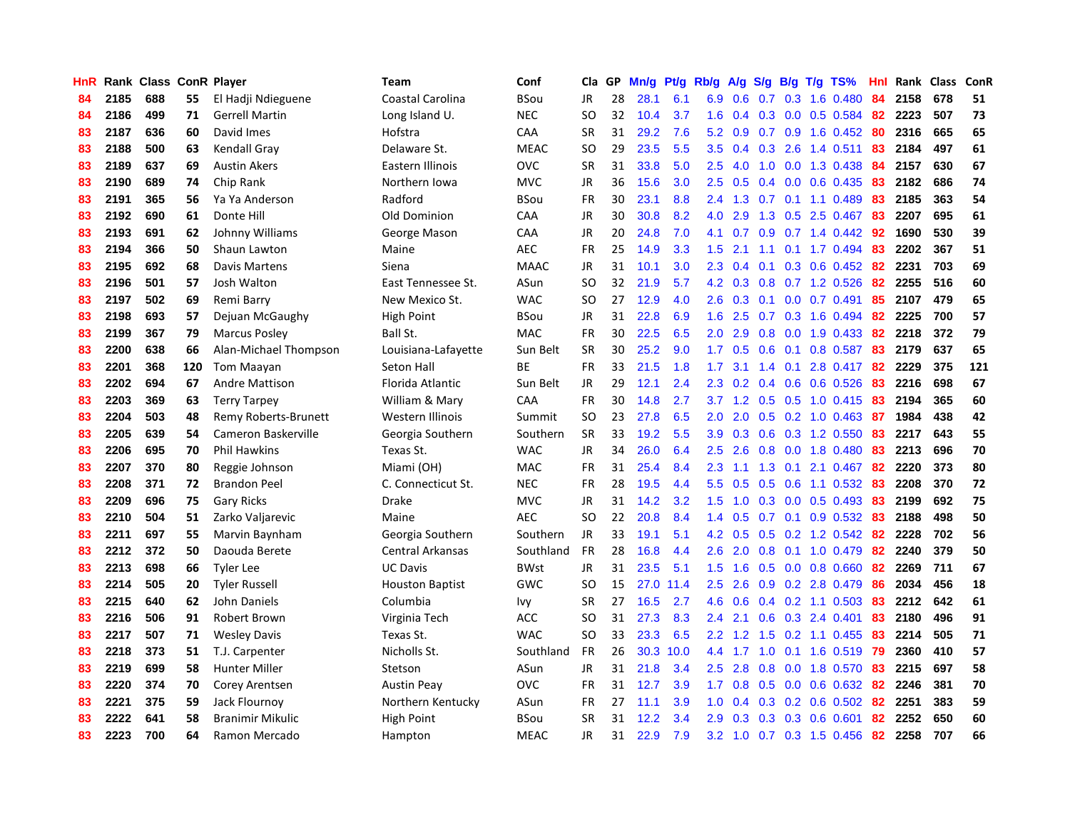| <b>HnR</b> |      | Rank Class ConR Player |     |                         | Team                   | Conf        | Cla       | GP | Mn/g | <b>Pt/g</b> | Rb/g             | A/g     |     |     | S/g B/g T/g TS%              | Hnl | Rank | Class | ConR |
|------------|------|------------------------|-----|-------------------------|------------------------|-------------|-----------|----|------|-------------|------------------|---------|-----|-----|------------------------------|-----|------|-------|------|
| 84         | 2185 | 688                    | 55  | El Hadji Ndieguene      | Coastal Carolina       | <b>BSou</b> | JR        | 28 | 28.1 | 6.1         | 6.9              | 0.6     | 0.7 |     | 0.3 1.6 0.480                | 84  | 2158 | 678   | 51   |
| 84         | 2186 | 499                    | 71  | <b>Gerrell Martin</b>   | Long Island U.         | <b>NEC</b>  | <b>SO</b> | 32 | 10.4 | 3.7         | 1.6              |         |     |     | 0.4 0.3 0.0 0.5 0.584 82     |     | 2223 | 507   | 73   |
| 83         | 2187 | 636                    | 60  | David Imes              | Hofstra                | CAA         | <b>SR</b> | 31 | 29.2 | 7.6         | 5.2              | 0.9     |     |     | $0.7$ $0.9$ 1.6 $0.452$      | -80 | 2316 | 665   | 65   |
| 83         | 2188 | 500                    | 63  | Kendall Gray            | Delaware St.           | <b>MEAC</b> | SO        | 29 | 23.5 | 5.5         | 3.5              | 0.4     | 0.3 |     | 2.6 1.4 0.511                | 83  | 2184 | 497   | 61   |
| 83         | 2189 | 637                    | 69  | <b>Austin Akers</b>     | Eastern Illinois       | <b>OVC</b>  | <b>SR</b> | 31 | 33.8 | 5.0         | 2.5              | 4.0     | 1.0 |     | 0.0 1.3 0.438                | -84 | 2157 | 630   | 67   |
| 83         | 2190 | 689                    | 74  | Chip Rank               | Northern Iowa          | <b>MVC</b>  | <b>JR</b> | 36 | 15.6 | 3.0         | 2.5              | 0.5     |     |     | $0.4$ 0.0 0.6 0.435          | 83  | 2182 | 686   | 74   |
| 83         | 2191 | 365                    | 56  | Ya Ya Anderson          | Radford                | <b>BSou</b> | <b>FR</b> | 30 | 23.1 | 8.8         | $2.4^{\circ}$    | 1.3     |     |     | $0.7$ 0.1 1.1 0.489          | 83  | 2185 | 363   | 54   |
| 83         | 2192 | 690                    | 61  | Donte Hill              | Old Dominion           | <b>CAA</b>  | <b>JR</b> | 30 | 30.8 | 8.2         | 4.0              | 2.9     | 1.3 |     | $0.5$ 2.5 0.467              | 83  | 2207 | 695   | 61   |
| 83         | 2193 | 691                    | 62  | Johnny Williams         | George Mason           | CAA         | <b>JR</b> | 20 | 24.8 | 7.0         | 4.1              | 0.7     | 0.9 |     | $0.7$ 1.4 $0.442$            | -92 | 1690 | 530   | 39   |
| 83         | 2194 | 366                    | 50  | Shaun Lawton            | Maine                  | <b>AEC</b>  | <b>FR</b> | 25 | 14.9 | 3.3         | 1.5              | 2.1     |     |     | 1.1 0.1 1.7 0.494            | -83 | 2202 | 367   | 51   |
| 83         | 2195 | 692                    | 68  | Davis Martens           | Siena                  | <b>MAAC</b> | <b>JR</b> | 31 | 10.1 | 3.0         |                  |         |     |     | 2.3 0.4 0.1 0.3 0.6 0.452 82 |     | 2231 | 703   | 69   |
| 83         | 2196 | 501                    | 57  | <b>Josh Walton</b>      | East Tennessee St.     | ASun        | SO        | 32 | 21.9 | 5.7         |                  | 4.2 0.3 |     |     | 0.8 0.7 1.2 0.526            | -82 | 2255 | 516   | 60   |
| 83         | 2197 | 502                    | 69  | Remi Barry              | New Mexico St.         | <b>WAC</b>  | <b>SO</b> | 27 | 12.9 | 4.0         | 2.6              | 0.3     |     |     | $0.1$ 0.0 0.7 0.491          | 85  | 2107 | 479   | 65   |
| 83         | 2198 | 693                    | 57  | Dejuan McGaughy         | <b>High Point</b>      | <b>BSou</b> | <b>JR</b> | 31 | 22.8 | 6.9         | 1.6              | 2.5     |     |     | 0.7 0.3 1.6 0.494            | 82  | 2225 | 700   | 57   |
| 83         | 2199 | 367                    | 79  | <b>Marcus Posley</b>    | Ball St.               | <b>MAC</b>  | <b>FR</b> | 30 | 22.5 | 6.5         | 2.0 <sub>1</sub> | 2.9     | 0.8 |     | $0.0$ 1.9 0.433              | 82  | 2218 | 372   | 79   |
| 83         | 2200 | 638                    | 66  | Alan-Michael Thompson   | Louisiana-Lafayette    | Sun Belt    | <b>SR</b> | 30 | 25.2 | 9.0         | 1.7 <sub>z</sub> | 0.5     | 0.6 | 0.1 | 0.8 0.587                    | 83  | 2179 | 637   | 65   |
| 83         | 2201 | 368                    | 120 | Tom Maayan              | Seton Hall             | <b>BE</b>   | <b>FR</b> | 33 | 21.5 | 1.8         | 1.7              | 3.1     | 1.4 | 0.1 | 2.8 0.417                    | 82  | 2229 | 375   | 121  |
| 83         | 2202 | 694                    | 67  | <b>Andre Mattison</b>   | Florida Atlantic       | Sun Belt    | <b>JR</b> | 29 | 12.1 | 2.4         | 2.3              | 0.2     | 0.4 |     | $0.6$ $0.6$ $0.526$          | 83  | 2216 | 698   | 67   |
| 83         | 2203 | 369                    | 63  | <b>Terry Tarpey</b>     | William & Mary         | <b>CAA</b>  | <b>FR</b> | 30 | 14.8 | 2.7         |                  |         |     |     | 3.7 1.2 0.5 0.5 1.0 0.415    | -83 | 2194 | 365   | 60   |
| 83         | 2204 | 503                    | 48  | Remy Roberts-Brunett    | Western Illinois       | Summit      | <b>SO</b> | 23 | 27.8 | 6.5         | 2.0 <sub>1</sub> | 2.0     |     |     | 0.5 0.2 1.0 0.463 87         |     | 1984 | 438   | 42   |
| 83         | 2205 | 639                    | 54  | Cameron Baskerville     | Georgia Southern       | Southern    | <b>SR</b> | 33 | 19.2 | 5.5         | 3.9 <sup>°</sup> | 0.3     |     |     | $0.6$ $0.3$ 1.2 $0.550$      | 83  | 2217 | 643   | 55   |
| 83         | 2206 | 695                    | 70  | <b>Phil Hawkins</b>     | Texas St.              | <b>WAC</b>  | <b>JR</b> | 34 | 26.0 | 6.4         | $2.5\,$          | 2.6     |     |     | 0.8 0.0 1.8 0.480            | 83  | 2213 | 696   | 70   |
| 83         | 2207 | 370                    | 80  | Reggie Johnson          | Miami (OH)             | MAC         | FR        | 31 | 25.4 | 8.4         | 2.3              | 1.1     | 1.3 |     | $0.1$ 2.1 $0.467$            | 82  | 2220 | 373   | 80   |
| 83         | 2208 | 371                    | 72  | <b>Brandon Peel</b>     | C. Connecticut St.     | <b>NEC</b>  | <b>FR</b> | 28 | 19.5 | 4.4         | 5.5              | 0.5     | 0.5 |     | 0.6 1.1 0.532                | 83  | 2208 | 370   | 72   |
| 83         | 2209 | 696                    | 75  | <b>Gary Ricks</b>       | Drake                  | <b>MVC</b>  | JR        | 31 | 14.2 | 3.2         | 1.5              | 1.0     | 0.3 |     | $0.0$ 0.5 0.493              | 83  | 2199 | 692   | 75   |
| 83         | 2210 | 504                    | 51  | Zarko Valjarevic        | Maine                  | <b>AEC</b>  | <b>SO</b> | 22 | 20.8 | 8.4         | 1.4              | 0.5     |     |     | $0.7$ 0.1 0.9 0.532          | -83 | 2188 | 498   | 50   |
| 83         | 2211 | 697                    | 55  | Marvin Baynham          | Georgia Southern       | Southern    | JR        | 33 | 19.1 | 5.1         |                  | 4.2 0.5 |     |     | 0.5 0.2 1.2 0.542 82         |     | 2228 | 702   | 56   |
| 83         | 2212 | 372                    | 50  | Daouda Berete           | Central Arkansas       | Southland   | <b>FR</b> | 28 | 16.8 | 4.4         | 2.6              | 2.0     |     |     | 0.8 0.1 1.0 0.479 82         |     | 2240 | 379   | 50   |
| 83         | 2213 | 698                    | 66  | Tyler Lee               | <b>UC Davis</b>        | <b>BWst</b> | <b>JR</b> | 31 | 23.5 | 5.1         | 1.5              | 1.6     |     |     | $0.5$ 0.0 0.8 0.660          | -82 | 2269 | 711   | 67   |
| 83         | 2214 | 505                    | 20  | <b>Tyler Russell</b>    | <b>Houston Baptist</b> | <b>GWC</b>  | <b>SO</b> | 15 | 27.0 | 11.4        | 2.5              | 2.6     |     |     | $0.9$ $0.2$ 2.8 $0.479$      | -86 | 2034 | 456   | 18   |
| 83         | 2215 | 640                    | 62  | John Daniels            | Columbia               | Ivy         | <b>SR</b> | 27 | 16.5 | 2.7         | 4.6              | 0.6     |     |     | 0.4 0.2 1.1 0.503            | -83 | 2212 | 642   | 61   |
| 83         | 2216 | 506                    | 91  | Robert Brown            | Virginia Tech          | <b>ACC</b>  | SO.       | 31 | 27.3 | 8.3         | $2.4^{\circ}$    | 2.1     | 0.6 |     | $0.3$ 2.4 0.401              | 83  | 2180 | 496   | 91   |
| 83         | 2217 | 507                    | 71  | <b>Wesley Davis</b>     | Texas St.              | <b>WAC</b>  | <b>SO</b> | 33 | 23.3 | 6.5         | $2.2^{\circ}$    | 1.2     | 1.5 |     | $0.2$ 1.1 $0.455$            | -83 | 2214 | 505   | 71   |
| 83         | 2218 | 373                    | 51  | T.J. Carpenter          | Nicholls St.           | Southland   | <b>FR</b> | 26 | 30.3 | 10.0        |                  | 4.4 1.7 | 1.0 |     | $0.1$ 1.6 0.519              | -79 | 2360 | 410   | 57   |
| 83         | 2219 | 699                    | 58  | <b>Hunter Miller</b>    | Stetson                | ASun        | <b>JR</b> | 31 | 21.8 | 3.4         | 2.5              | 2.8     | 0.8 |     | 0.0 1.8 0.570                | -83 | 2215 | 697   | 58   |
| 83         | 2220 | 374                    | 70  | Corey Arentsen          | <b>Austin Peay</b>     | <b>OVC</b>  | <b>FR</b> | 31 | 12.7 | 3.9         | 1.7 <sub>z</sub> | 0.8     |     |     | 0.5 0.0 0.6 0.632 82         |     | 2246 | 381   | 70   |
| 83         | 2221 | 375                    | 59  | Jack Flournov           | Northern Kentucky      | ASun        | <b>FR</b> | 27 | 11.1 | 3.9         | 1.0              | 0.4     |     |     | $0.3$ 0.2 0.6 0.502          | -82 | 2251 | 383   | 59   |
| 83         | 2222 | 641                    | 58  | <b>Branimir Mikulic</b> | <b>High Point</b>      | BSou        | <b>SR</b> | 31 | 12.2 | 3.4         | 2.9 <sup>°</sup> | 0.3     |     |     | 0.3 0.3 0.6 0.601            | 82  | 2252 | 650   | 60   |
| 83         | 2223 | 700                    | 64  | Ramon Mercado           | Hampton                | <b>MEAC</b> | <b>JR</b> | 31 | 22.9 | 7.9         | 3.2              | 1.0     |     |     | 0.7 0.3 1.5 0.456            | 82  | 2258 | 707   | 66   |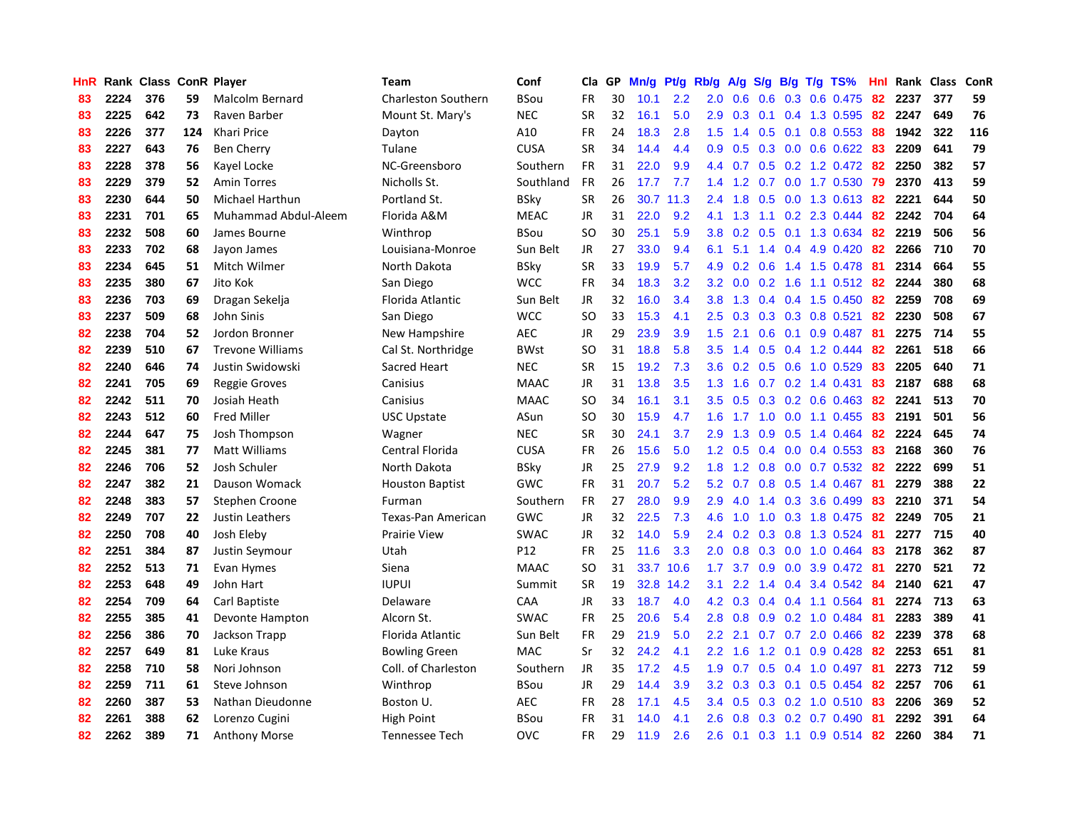| HnR |      | Rank Class ConR Player |     |                         | <b>Team</b>                | Conf        | Cla           | GP | Mn/g | Pt/g | Rb/g             | A/g |               |     | $S/g$ B/g T/g TS%            | Hnl |      | Rank Class | ConR |
|-----|------|------------------------|-----|-------------------------|----------------------------|-------------|---------------|----|------|------|------------------|-----|---------------|-----|------------------------------|-----|------|------------|------|
| 83  | 2224 | 376                    | 59  | Malcolm Bernard         | <b>Charleston Southern</b> | <b>BSou</b> | <b>FR</b>     | 30 | 10.1 | 2.2  | 2.0              | 0.6 | 0.6           |     | 0.3 0.6 0.475                | 82  | 2237 | 377        | 59   |
| 83  | 2225 | 642                    | 73  | Raven Barber            | Mount St. Mary's           | <b>NEC</b>  | <b>SR</b>     | 32 | 16.1 | 5.0  | 2.9              | 0.3 |               |     | $0.1$ 0.4 1.3 0.595          | 82  | 2247 | 649        | 76   |
| 83  | 2226 | 377                    | 124 | Khari Price             | Dayton                     | A10         | <b>FR</b>     | 24 | 18.3 | 2.8  | 1.5              |     |               |     | 1.4 0.5 0.1 0.8 0.553 88     |     | 1942 | 322        | 116  |
| 83  | 2227 | 643                    | 76  | Ben Cherry              | Tulane                     | <b>CUSA</b> | <b>SR</b>     | 34 | 14.4 | 4.4  | 0.9              | 0.5 |               |     | 0.3 0.0 0.6 0.622 83         |     | 2209 | 641        | 79   |
| 83  | 2228 | 378                    | 56  | Kayel Locke             | NC-Greensboro              | Southern    | FR            | 31 | 22.0 | 9.9  | 4.4              | 0.7 |               |     | $0.5$ 0.2 1.2 0.472          | -82 | 2250 | 382        | 57   |
| 83  | 2229 | 379                    | 52  | <b>Amin Torres</b>      | Nicholls St.               | Southland   | <b>FR</b>     | 26 | 17.7 | 7.7  | 1.4              | 1.2 | 0.7           |     | 0.0 1.7 0.530                | 79  | 2370 | 413        | 59   |
| 83  | 2230 | 644                    | 50  | Michael Harthun         | Portland St.               | BSky        | <b>SR</b>     | 26 | 30.7 | 11.3 | 2.4              | 1.8 |               |     | 0.5 0.0 1.3 0.613            | -82 | 2221 | 644        | 50   |
| 83  | 2231 | 701                    | 65  | Muhammad Abdul-Aleem    | Florida A&M                | <b>MEAC</b> | JR            | 31 | 22.0 | 9.2  | 4.1              | 1.3 |               |     | 1.1 0.2 2.3 0.444            | 82  | 2242 | 704        | 64   |
| 83  | 2232 | 508                    | 60  | James Bourne            | Winthrop                   | BSou        | <sub>SO</sub> | 30 | 25.1 | 5.9  | 3.8              | 0.2 | 0.5           |     | 0.1 1.3 0.634                | 82  | 2219 | 506        | 56   |
| 83  | 2233 | 702                    | 68  | Jayon James             | Louisiana-Monroe           | Sun Belt    | JR            | 27 | 33.0 | 9.4  | 6.1              | 5.1 |               |     | 1.4 0.4 4.9 0.420            | 82  | 2266 | 710        | 70   |
| 83  | 2234 | 645                    | 51  | Mitch Wilmer            | North Dakota               | BSky        | <b>SR</b>     | 33 | 19.9 | 5.7  | 4.9              |     |               |     | 0.2 0.6 1.4 1.5 0.478 81     |     | 2314 | 664        | 55   |
| 83  | 2235 | 380                    | 67  | Jito Kok                | San Diego                  | <b>WCC</b>  | <b>FR</b>     | 34 | 18.3 | 3.2  | 3.2              | 0.0 |               |     | 0.2 1.6 1.1 0.512 82         |     | 2244 | 380        | 68   |
| 83  | 2236 | 703                    | 69  | Dragan Sekelja          | Florida Atlantic           | Sun Belt    | JR            | 32 | 16.0 | 3.4  | 3.8 <sub>2</sub> | 1.3 |               |     | $0.4$ 0.4 1.5 0.450          | -82 | 2259 | 708        | 69   |
| 83  | 2237 | 509                    | 68  | John Sinis              | San Diego                  | <b>WCC</b>  | <b>SO</b>     | 33 | 15.3 | 4.1  | $2.5^{\circ}$    | 0.3 |               |     | $0.3$ 0.3 0.8 0.521          | 82  | 2230 | 508        | 67   |
| 82  | 2238 | 704                    | 52  | Jordon Bronner          | New Hampshire              | AEC         | JR            | 29 | 23.9 | 3.9  | 1.5              | 2.1 | 0.6           |     | $0.1$ 0.9 0.487              | -81 | 2275 | 714        | 55   |
| 82  | 2239 | 510                    | 67  | <b>Trevone Williams</b> | Cal St. Northridge         | <b>BWst</b> | <b>SO</b>     | 31 | 18.8 | 5.8  | 3.5              | 1.4 | 0.5           |     | 0.4 1.2 0.444                | 82  | 2261 | 518        | 66   |
| 82  | 2240 | 646                    | 74  | Justin Swidowski        | Sacred Heart               | <b>NEC</b>  | <b>SR</b>     | 15 | 19.2 | 7.3  | 3.6              | 0.2 |               |     | $0.5$ 0.6 1.0 0.529          | 83  | 2205 | 640        | 71   |
| 82  | 2241 | 705                    | 69  | <b>Reggie Groves</b>    | Canisius                   | <b>MAAC</b> | <b>JR</b>     | 31 | 13.8 | 3.5  | 1.3              | 1.6 |               |     | $0.7$ $0.2$ 1.4 $0.431$      | 83  | 2187 | 688        | 68   |
| 82  | 2242 | 511                    | 70  | Josiah Heath            | Canisius                   | <b>MAAC</b> | <sub>SO</sub> | 34 | 16.1 | 3.1  | 3.5              | 0.5 |               |     | $0.3$ 0.2 0.6 0.463          | -82 | 2241 | 513        | 70   |
| 82  | 2243 | 512                    | 60  | Fred Miller             | USC Upstate                | ASun        | <sub>SO</sub> | 30 | 15.9 | 4.7  | 1.6              |     |               |     | 1.7 1.0 0.0 1.1 0.455        | -83 | 2191 | 501        | 56   |
| 82  | 2244 | 647                    | 75  | Josh Thompson           | Wagner                     | <b>NEC</b>  | <b>SR</b>     | 30 | 24.1 | 3.7  | 2.9              | 1.3 |               |     | $0.9$ $0.5$ 1.4 $0.464$      | -82 | 2224 | 645        | 74   |
| 82  | 2245 | 381                    | 77  | Matt Williams           | Central Florida            | <b>CUSA</b> | <b>FR</b>     | 26 | 15.6 | 5.0  | 1.2              | 0.5 |               |     | $0.4$ 0.0 0.4 0.553          | -83 | 2168 | 360        | 76   |
| 82  | 2246 | 706                    | 52  | Josh Schuler            | North Dakota               | <b>BSky</b> | JR            | 25 | 27.9 | 9.2  | 1.8              | 1.2 |               |     | $0.8$ 0.0 0.7 0.532          | -82 | 2222 | 699        | 51   |
| 82  | 2247 | 382                    | 21  | Dauson Womack           | <b>Houston Baptist</b>     | GWC         | <b>FR</b>     | 31 | 20.7 | 5.2  | 5.2              | 0.7 |               |     | $0.8$ 0.5 1.4 0.467          | 81  | 2279 | 388        | 22   |
| 82  | 2248 | 383                    | 57  | Stephen Croone          | Furman                     | Southern    | <b>FR</b>     | 27 | 28.0 | 9.9  | 2.9              | 4.0 |               |     | 1.4 0.3 3.6 0.499            | 83  | 2210 | 371        | 54   |
| 82  | 2249 | 707                    | 22  | Justin Leathers         | Texas-Pan American         | <b>GWC</b>  | JR            | 32 | 22.5 | 7.3  | 4.6              | 1.0 | 1.0           |     | 0.3 1.8 0.475                | -82 | 2249 | 705        | 21   |
| 82  | 2250 | 708                    | 40  | Josh Eleby              | <b>Prairie View</b>        | <b>SWAC</b> | JR            | 32 | 14.0 | 5.9  | $2.4^{\circ}$    | 0.2 |               |     | 0.3 0.8 1.3 0.524 81         |     | 2277 | 715        | 40   |
| 82  | 2251 | 384                    | 87  | Justin Seymour          | Utah                       | P12         | <b>FR</b>     | 25 | 11.6 | 3.3  | 2.0              | 0.8 |               |     | 0.3 0.0 1.0 0.464 83         |     | 2178 | 362        | 87   |
| 82  | 2252 | 513                    | 71  | Evan Hymes              | Siena                      | <b>MAAC</b> | SO            | 31 | 33.7 | 10.6 | 1.7 <sup>2</sup> | 3.7 |               |     | $0.9$ $0.0$ $3.9$ $0.472$ 81 |     | 2270 | 521        | 72   |
| 82  | 2253 | 648                    | 49  | John Hart               | <b>IUPUI</b>               | Summit      | <b>SR</b>     | 19 | 32.8 | 14.2 | 3.1              | 2.2 |               |     | 1.4 0.4 3.4 0.542            | -84 | 2140 | 621        | 47   |
| 82  | 2254 | 709                    | 64  | Carl Baptiste           | Delaware                   | CAA         | <b>JR</b>     | 33 | 18.7 | 4.0  | 4.2              | 0.3 | $0.4^{\circ}$ |     | $0.4$ 1.1 0.564              | -81 | 2274 | 713        | 63   |
| 82  | 2255 | 385                    | 41  | Devonte Hampton         | Alcorn St.                 | <b>SWAC</b> | <b>FR</b>     | 25 | 20.6 | 5.4  | 2.8              | 0.8 | 0.9           |     | $0.2$ 1.0 0.484              | -81 | 2283 | 389        | 41   |
| 82  | 2256 | 386                    | 70  | Jackson Trapp           | Florida Atlantic           | Sun Belt    | <b>FR</b>     | 29 | 21.9 | 5.0  | 2.2              | 2.1 | 0.7           |     | $0.7$ 2.0 0.466              | -82 | 2239 | 378        | 68   |
| 82  | 2257 | 649                    | 81  | Luke Kraus              | <b>Bowling Green</b>       | <b>MAC</b>  | Sr            | 32 | 24.2 | 4.1  | $2.2^{\circ}$    | 1.6 | 1.2           | 0.1 | $0.9$ 0.428                  | 82  | 2253 | 651        | 81   |
| 82  | 2258 | 710                    | 58  | Nori Johnson            | Coll. of Charleston        | Southern    | JR            | 35 | 17.2 | 4.5  | 1.9              | 0.7 | 0.5           |     | $0.4$ 1.0 0.497              | 81  | 2273 | 712        | 59   |
| 82  | 2259 | 711                    | 61  | Steve Johnson           | Winthrop                   | BSou        | <b>JR</b>     | 29 | 14.4 | 3.9  | 3.2              | 0.3 |               |     | $0.3$ 0.1 0.5 0.454          | -82 | 2257 | 706        | 61   |
| 82  | 2260 | 387                    | 53  | Nathan Dieudonne        | Boston U.                  | <b>AEC</b>  | <b>FR</b>     | 28 | 17.1 | 4.5  | $3.4^{\circ}$    | 0.5 |               |     | $0.3$ 0.2 1.0 0.510          | -83 | 2206 | 369        | 52   |
| 82  | 2261 | 388                    | 62  | Lorenzo Cugini          | High Point                 | BSou        | FR            | 31 | 14.0 | 4.1  | 2.6              | 0.8 |               |     | $0.3$ 0.2 0.7 0.490          | -81 | 2292 | 391        | 64   |
| 82  | 2262 | 389                    | 71  | <b>Anthony Morse</b>    | Tennessee Tech             | OVC         | <b>FR</b>     | 29 | 11.9 | 2.6  | 2.6              | 0.1 |               |     | 0.3 1.1 0.9 0.514 82         |     | 2260 | 384        | 71   |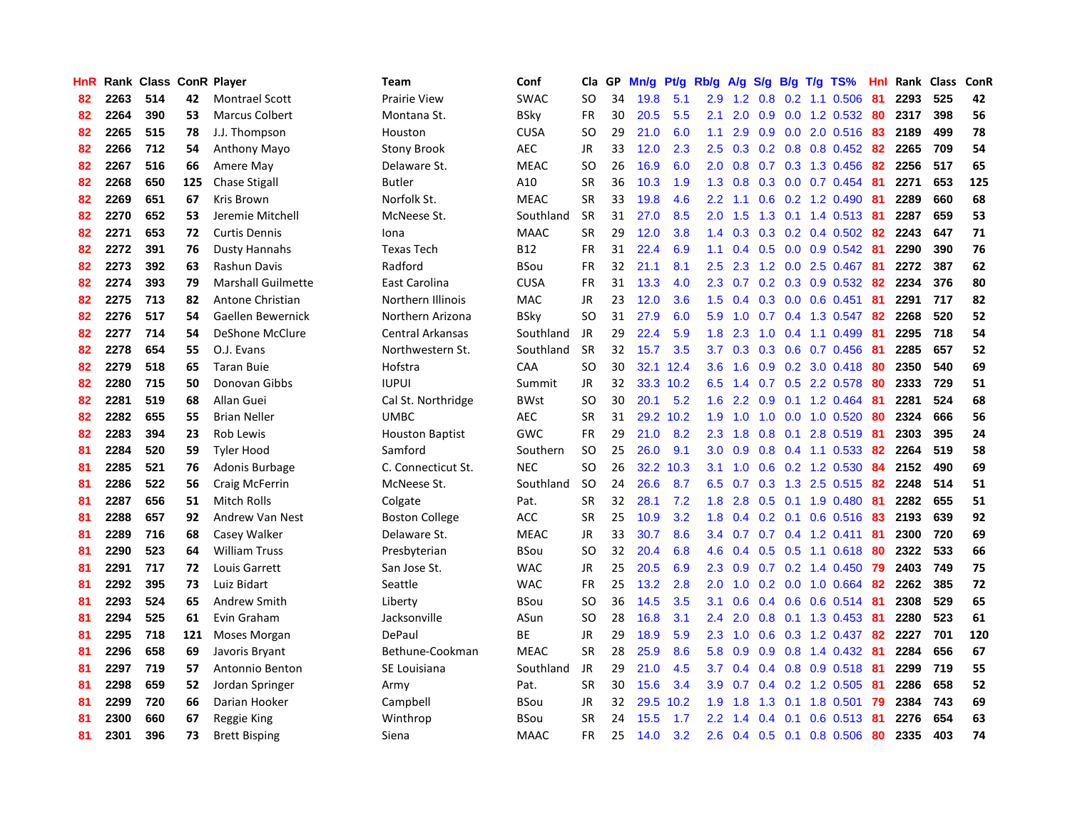| HnR |      | Rank Class ConR Player |     |                           | Team                   | Conf        | Cla           | GP | Mn/g | Pt/g      | Rb/g          | A/g             | S/g              |                 | $B/g$ T/g TS%           | Hnl |      | Rank Class | ConR |
|-----|------|------------------------|-----|---------------------------|------------------------|-------------|---------------|----|------|-----------|---------------|-----------------|------------------|-----------------|-------------------------|-----|------|------------|------|
| 82  | 2263 | 514                    | 42  | <b>Montrael Scott</b>     | Prairie View           | <b>SWAC</b> | SO            | 34 | 19.8 | 5.1       | 2.9           | 1.2             | 0.8              |                 | 0.2 1.1 0.506           | 81  | 2293 | 525        | 42   |
| 82  | 2264 | 390                    | 53  | <b>Marcus Colbert</b>     | Montana St.            | BSky        | FR            | 30 | 20.5 | 5.5       | 2.1           | 2.0             |                  |                 | 0.9 0.0 1.2 0.532 80    |     | 2317 | 398        | 56   |
| 82  | 2265 | 515                    | 78  | J.J. Thompson             | Houston                | <b>CUSA</b> | <sub>SO</sub> | 29 | 21.0 | 6.0       | 1.1           | 2.9             |                  |                 | 0.9 0.0 2.0 0.516 83    |     | 2189 | 499        | 78   |
| 82  | 2266 | 712                    | 54  | Anthony Mayo              | <b>Stony Brook</b>     | <b>AEC</b>  | JR            | 33 | 12.0 | 2.3       | 2.5           | 0.3             |                  |                 | $0.2$ 0.8 0.8 0.452     | -82 | 2265 | 709        | 54   |
| 82  | 2267 | 516                    | 66  | Amere May                 | Delaware St.           | <b>MEAC</b> | <sub>SO</sub> | 26 | 16.9 | 6.0       | 2.0           | 0.8             |                  |                 | 0.7 0.3 1.3 0.456       | 82  | 2256 | 517        | 65   |
| 82  | 2268 | 650                    | 125 | <b>Chase Stigall</b>      | <b>Butler</b>          | A10         | <b>SR</b>     | 36 | 10.3 | 1.9       | 1.3           | 0.8             |                  |                 | 0.3 0.0 0.7 0.454       | -81 | 2271 | 653        | 125  |
| 82  | 2269 | 651                    | 67  | Kris Brown                | Norfolk St.            | <b>MEAC</b> | <b>SR</b>     | 33 | 19.8 | 4.6       | 2.2           | 1.1             |                  |                 | 0.6 0.2 1.2 0.490       | 81  | 2289 | 660        | 68   |
| 82  | 2270 | 652                    | 53  | Jeremie Mitchell          | McNeese St.            | Southland   | <b>SR</b>     | 31 | 27.0 | 8.5       | 2.0           | 1.5             | 1.3              |                 | $0.1$ 1.4 $0.513$       | -81 | 2287 | 659        | 53   |
| 82  | 2271 | 653                    | 72  | <b>Curtis Dennis</b>      | Iona                   | <b>MAAC</b> | <b>SR</b>     | 29 | 12.0 | 3.8       | 1.4           | 0.3             | 0.3              |                 | $0.2$ 0.4 0.502         | -82 | 2243 | 647        | 71   |
| 82  | 2272 | 391                    | 76  | <b>Dusty Hannahs</b>      | <b>Texas Tech</b>      | <b>B12</b>  | <b>FR</b>     | 31 | 22.4 | 6.9       | 1.1           | 0.4             |                  |                 | $0.5$ 0.0 0.9 0.542     | -81 | 2290 | 390        | 76   |
| 82  | 2273 | 392                    | 63  | Rashun Davis              | Radford                | <b>BSou</b> | <b>FR</b>     | 32 | 21.1 | 8.1       | 2.5           | 2.3             |                  |                 | 1.2 0.0 2.5 0.467 81    |     | 2272 | 387        | 62   |
| 82  | 2274 | 393                    | 79  | <b>Marshall Guilmette</b> | East Carolina          | <b>CUSA</b> | <b>FR</b>     | 31 | 13.3 | 4.0       | 2.3           | 0.7             |                  |                 | 0.2 0.3 0.9 0.532 82    |     | 2234 | 376        | 80   |
| 82  | 2275 | 713                    | 82  | Antone Christian          | Northern Illinois      | <b>MAC</b>  | JR            | 23 | 12.0 | 3.6       | 1.5           | 0.4             |                  |                 | $0.3$ 0.0 0.6 0.451     | 81  | 2291 | 717        | 82   |
| 82  | 2276 | 517                    | 54  | Gaellen Bewernick         | Northern Arizona       | <b>BSky</b> | <b>SO</b>     | 31 | 27.9 | 6.0       | 5.9           | 1.0             | 0.7              |                 | 0.4 1.3 0.547           | 82  | 2268 | 520        | 52   |
| 82  | 2277 | 714                    | 54  | DeShone McClure           | Central Arkansas       | Southland   | JR            | 29 | 22.4 | 5.9       | 1.8           | 2.3             | 1.0              |                 | $0.4$ 1.1 0.499         | -81 | 2295 | 718        | 54   |
| 82  | 2278 | 654                    | 55  | O.J. Evans                | Northwestern St.       | Southland   | <b>SR</b>     | 32 | 15.7 | 3.5       | 3.7           | 0.3             | 0.3              |                 | 0.6 0.7 0.456           | -81 | 2285 | 657        | 52   |
| 82  | 2279 | 518                    | 65  | <b>Taran Buie</b>         | Hofstra                | CAA         | <sub>SO</sub> | 30 | 32.1 | 12.4      | 3.6           | 1.6             | 0.9 <sub>0</sub> |                 | $0.2$ 3.0 0.418         | -80 | 2350 | 540        | 69   |
| 82  | 2280 | 715                    | 50  | Donovan Gibbs             | <b>IUPUI</b>           | Summit      | <b>JR</b>     | 32 | 33.3 | 10.2      | 6.5           | 1.4             | 0.7              |                 | 0.5 2.2 0.578           | -80 | 2333 | 729        | 51   |
| 82  | 2281 | 519                    | 68  | Allan Guei                | Cal St. Northridge     | <b>BWst</b> | <sub>SO</sub> | 30 | 20.1 | 5.2       | 1.6           | $2.2^{\circ}$   |                  |                 | 0.9 0.1 1.2 0.464 81    |     | 2281 | 524        | 68   |
| 82  | 2282 | 655                    | 55  | <b>Brian Neller</b>       | UMBC                   | <b>AEC</b>  | <b>SR</b>     | 31 |      | 29.2 10.2 | 1.9           | 1.0             |                  |                 | 1.0 0.0 1.0 0.520       | -80 | 2324 | 666        | 56   |
| 82  | 2283 | 394                    | 23  | <b>Rob Lewis</b>          | <b>Houston Baptist</b> | GWC         | <b>FR</b>     | 29 | 21.0 | 8.2       | 2.3           | 1.8             |                  |                 | $0.8$ 0.1 2.8 0.519     | -81 | 2303 | 395        | 24   |
| 81  | 2284 | 520                    | 59  | <b>Tyler Hood</b>         | Samford                | Southern    | <b>SO</b>     | 25 | 26.0 | 9.1       | 3.0           | 0.9             | 0.8              |                 | 0.4 1.1 0.533           | 82  | 2264 | 519        | 58   |
| 81  | 2285 | 521                    | 76  | Adonis Burbage            | C. Connecticut St.     | <b>NEC</b>  | <b>SO</b>     | 26 | 32.2 | 10.3      | 3.1           | 1.0             |                  |                 | $0.6$ $0.2$ 1.2 $0.530$ | 84  | 2152 | 490        | 69   |
| 81  | 2286 | 522                    | 56  | Craig McFerrin            | McNeese St.            | Southland   | <b>SO</b>     | 24 | 26.6 | 8.7       | 6.5           | 0.7             | 0.3              |                 | 1.3 2.5 0.515           | 82  | 2248 | 514        | 51   |
| 81  | 2287 | 656                    | 51  | Mitch Rolls               | Colgate                | Pat.        | <b>SR</b>     | 32 | 28.1 | 7.2       | 1.8           | 2.8             | 0.5              |                 | $0.1$ 1.9 $0.480$       | 81  | 2282 | 655        | 51   |
| 81  | 2288 | 657                    | 92  | Andrew Van Nest           | <b>Boston College</b>  | <b>ACC</b>  | <b>SR</b>     | 25 | 10.9 | 3.2       | 1.8           | 0.4             |                  | $0.2 \quad 0.1$ | $0.6$ $0.516$           | -83 | 2193 | 639        | 92   |
| 81  | 2289 | 716                    | 68  | Casey Walker              | Delaware St.           | <b>MEAC</b> | JR            | 33 | 30.7 | 8.6       | 3.4           | 0.7             |                  |                 | $0.7$ 0.4 1.2 0.411     | -81 | 2300 | 720        | 69   |
| 81  | 2290 | 523                    | 64  | <b>William Truss</b>      | Presbyterian           | <b>BSou</b> | <sub>SO</sub> | 32 | 20.4 | 6.8       | 4.6           | 0.4             |                  |                 | 0.5 0.5 1.1 0.618 80    |     | 2322 | 533        | 66   |
| 81  | 2291 | 717                    | 72  | Louis Garrett             | San Jose St.           | <b>WAC</b>  | JR            | 25 | 20.5 | 6.9       | 2.3           | 0.9             |                  |                 | $0.7$ $0.2$ 1.4 $0.450$ | -79 | 2403 | 749        | 75   |
| 81  | 2292 | 395                    | 73  | Luiz Bidart               | Seattle                | <b>WAC</b>  | FR            | 25 | 13.2 | 2.8       | $2.0^{\circ}$ | 1.0             |                  |                 | 0.2 0.0 1.0 0.664       | 82  | 2262 | 385        | 72   |
| 81  | 2293 | 524                    | 65  | Andrew Smith              | Liberty                | <b>BSou</b> | <b>SO</b>     | 36 | 14.5 | 3.5       | 3.1           | 0.6             |                  |                 | 0.4 0.6 0.6 0.514 81    |     | 2308 | 529        | 65   |
| 81  | 2294 | 525                    | 61  | Evin Graham               | Jacksonville           | ASun        | <b>SO</b>     | 28 | 16.8 | 3.1       | $2.4^{\circ}$ | 2.0             |                  |                 | 0.8 0.1 1.3 0.453       | -81 | 2280 | 523        | 61   |
| 81  | 2295 | 718                    | 121 | Moses Morgan              | DePaul                 | <b>BE</b>   | JR            | 29 | 18.9 | 5.9       | 2.3           | 1.0             | 0.6              |                 | $0.3$ 1.2 0.437         | 82  | 2227 | 701        | 120  |
| 81  | 2296 | 658                    | 69  | Javoris Bryant            | Bethune-Cookman        | <b>MEAC</b> | <b>SR</b>     | 28 | 25.9 | 8.6       | 5.8           | 0.9             | 0.9              |                 | 0.8 1.4 0.432           | -81 | 2284 | 656        | 67   |
| 81  | 2297 | 719                    | 57  | Antonnio Benton           | SE Louisiana           | Southland   | <b>JR</b>     | 29 | 21.0 | 4.5       | 3.7           | 0.4             |                  |                 | 0.4 0.8 0.9 0.518 81    |     | 2299 | 719        | 55   |
| 81  | 2298 | 659                    | 52  | Jordan Springer           | Army                   | Pat.        | <b>SR</b>     | 30 | 15.6 | 3.4       |               | $3.9 \quad 0.7$ |                  |                 | 0.4 0.2 1.2 0.505 81    |     | 2286 | 658        | 52   |
| 81  | 2299 | 720                    | 66  | Darian Hooker             | Campbell               | <b>BSou</b> | <b>JR</b>     | 32 | 29.5 | 10.2      | 1.9           | 1.8             | 1.3              |                 | $0.1$ 1.8 0.501         | -79 | 2384 | 743        | 69   |
| 81  | 2300 | 660                    | 67  | Reggie King               | Winthrop               | BSou        | <b>SR</b>     | 24 | 15.5 | 1.7       | 2.2           | 1.4             | 0.4              | 0.1             | $0.6$ $0.513$           | -81 | 2276 | 654        | 63   |
| 81  | 2301 | 396                    | 73  | <b>Brett Bisping</b>      | Siena                  | <b>MAAC</b> | FR            | 25 | 14.0 | 3.2       | 2.6           |                 |                  |                 | 0.4 0.5 0.1 0.8 0.506   | -80 | 2335 | 403        | 74   |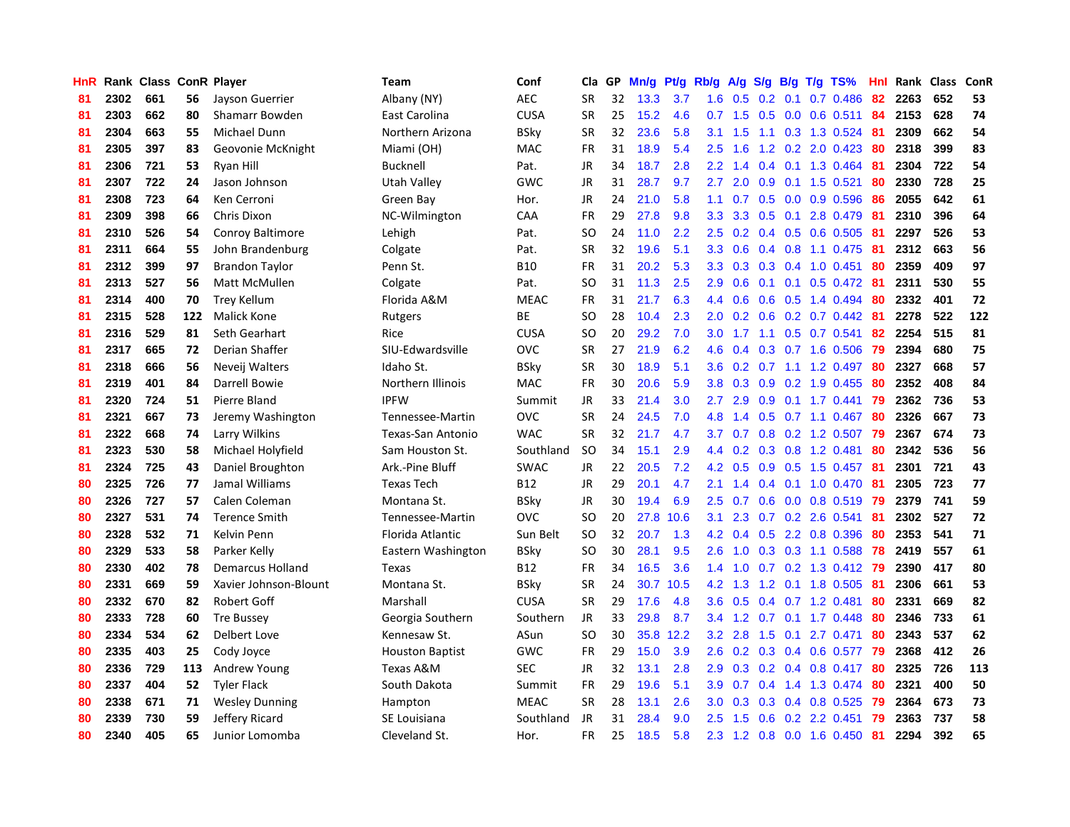| <b>HnR</b> |      | Rank Class ConR Player |     |                         | Team                   | Conf        | Cla           | GP | Mn/g | <b>Pt/g</b> | Rb/g             | A/g             |     |     | S/g B/g T/g TS%           | Hnl | Rank | <b>Class</b> | ConR |
|------------|------|------------------------|-----|-------------------------|------------------------|-------------|---------------|----|------|-------------|------------------|-----------------|-----|-----|---------------------------|-----|------|--------------|------|
| 81         | 2302 | 661                    | 56  | Jayson Guerrier         | Albany (NY)            | <b>AEC</b>  | <b>SR</b>     | 32 | 13.3 | 3.7         | 1.6              | 0.5             | 0.2 | 0.1 | $0.7$ 0.486               | 82  | 2263 | 652          | 53   |
| 81         | 2303 | 662                    | 80  | Shamarr Bowden          | East Carolina          | <b>CUSA</b> | <b>SR</b>     | 25 | 15.2 | 4.6         |                  | $0.7$ 1.5       |     |     | $0.5$ 0.0 0.6 0.511       | 84  | 2153 | 628          | 74   |
| 81         | 2304 | 663                    | 55  | Michael Dunn            | Northern Arizona       | <b>BSky</b> | <b>SR</b>     | 32 | 23.6 | 5.8         | 3.1              | 1.5             |     |     | 1.1 0.3 1.3 0.524         | -81 | 2309 | 662          | 54   |
| 81         | 2305 | 397                    | 83  | Geovonie McKnight       | Miami (OH)             | <b>MAC</b>  | <b>FR</b>     | 31 | 18.9 | 5.4         | 2.5              | 1.6             |     |     | 1.2 0.2 2.0 0.423         | 80  | 2318 | 399          | 83   |
| 81         | 2306 | 721                    | 53  | Ryan Hill               | Bucknell               | Pat.        | <b>JR</b>     | 34 | 18.7 | 2.8         | $2.2^{\circ}$    | 1.4             |     |     | 0.4 0.1 1.3 0.464         | 81  | 2304 | 722          | 54   |
| 81         | 2307 | 722                    | 24  | Jason Johnson           | Utah Valley            | GWC         | JR            | 31 | 28.7 | 9.7         | $2.7^{\circ}$    | 2.0             | 0.9 |     | $0.1$ 1.5 0.521           | 80  | 2330 | 728          | 25   |
| 81         | 2308 | 723                    | 64  | Ken Cerroni             | Green Bay              | Hor.        | <b>JR</b>     | 24 | 21.0 | 5.8         | 1.1              | 0.7             |     |     | $0.5$ 0.0 0.9 0.596       | 86  | 2055 | 642          | 61   |
| 81         | 2309 | 398                    | 66  | Chris Dixon             | NC-Wilmington          | CAA         | <b>FR</b>     | 29 | 27.8 | 9.8         | 3.3 <sub>2</sub> | 3.3             |     |     | $0.5$ 0.1 2.8 0.479       | -81 | 2310 | 396          | 64   |
| 81         | 2310 | 526                    | 54  | <b>Conroy Baltimore</b> | Lehigh                 | Pat.        | <b>SO</b>     | 24 | 11.0 | 2.2         | 2.5              | 0.2             |     |     | 0.4 0.5 0.6 0.505         | -81 | 2297 | 526          | 53   |
| 81         | 2311 | 664                    | 55  | John Brandenburg        | Colgate                | Pat.        | <b>SR</b>     | 32 | 19.6 | 5.1         | 3.3 <sub>2</sub> | 0.6             |     |     | 0.4 0.8 1.1 0.475 81      |     | 2312 | 663          | 56   |
| 81         | 2312 | 399                    | 97  | <b>Brandon Taylor</b>   | Penn St.               | <b>B10</b>  | <b>FR</b>     | 31 | 20.2 | 5.3         |                  | $3.3 \quad 0.3$ |     |     | 0.3 0.4 1.0 0.451 80      |     | 2359 | 409          | 97   |
| 81         | 2313 | 527                    | 56  | Matt McMullen           | Colgate                | Pat.        | SO            | 31 | 11.3 | 2.5         | 2.9 <sup>°</sup> | 0.6             |     |     | 0.1 0.1 0.5 0.472 81      |     | 2311 | 530          | 55   |
| 81         | 2314 | 400                    | 70  | <b>Trey Kellum</b>      | Florida A&M            | <b>MEAC</b> | <b>FR</b>     | 31 | 21.7 | 6.3         | $4.4^{\circ}$    | 0.6             |     |     | $0.6$ $0.5$ 1.4 $0.494$   | 80  | 2332 | 401          | 72   |
| 81         | 2315 | 528                    | 122 | <b>Malick Kone</b>      | Rutgers                | <b>BE</b>   | <b>SO</b>     | 28 | 10.4 | 2.3         | 2.0 <sub>1</sub> | 0.2             |     |     | 0.6 0.2 0.7 0.442 81      |     | 2278 | 522          | 122  |
| 81         | 2316 | 529                    | 81  | Seth Gearhart           | Rice                   | <b>CUSA</b> | <b>SO</b>     | 20 | 29.2 | 7.0         | 3.0 <sub>2</sub> | 1.7             |     |     | 1.1 0.5 0.7 0.541         | 82  | 2254 | 515          | 81   |
| 81         | 2317 | 665                    | 72  | Derian Shaffer          | SIU-Edwardsville       | <b>OVC</b>  | <b>SR</b>     | 27 | 21.9 | 6.2         | 4.6              | 0.4             |     |     | 0.3 0.7 1.6 0.506         | 79  | 2394 | 680          | 75   |
| 81         | 2318 | 666                    | 56  | Neveij Walters          | Idaho St.              | BSky        | <b>SR</b>     | 30 | 18.9 | 5.1         | 3.6 <sup>°</sup> | 0.2             |     |     | 0.7 1.1 1.2 0.497         | 80  | 2327 | 668          | 57   |
| 81         | 2319 | 401                    | 84  | Darrell Bowie           | Northern Illinois      | <b>MAC</b>  | <b>FR</b>     | 30 | 20.6 | 5.9         | 3.8 <sub>2</sub> | 0.3             | 0.9 |     | 0.2 1.9 0.455             | -80 | 2352 | 408          | 84   |
| 81         | 2320 | 724                    | 51  | Pierre Bland            | <b>IPFW</b>            | Summit      | JR            | 33 | 21.4 | 3.0         | $2.7^{\circ}$    | 2.9             |     |     | $0.9$ 0.1 1.7 0.441       | 79  | 2362 | 736          | 53   |
| 81         | 2321 | 667                    | 73  | Jeremy Washington       | Tennessee-Martin       | <b>OVC</b>  | <b>SR</b>     | 24 | 24.5 | 7.0         | 4.8              | 1.4             |     |     | 0.5 0.7 1.1 0.467 80      |     | 2326 | 667          | 73   |
| 81         | 2322 | 668                    | 74  | Larry Wilkins           | Texas-San Antonio      | <b>WAC</b>  | <b>SR</b>     | 32 | 21.7 | 4.7         | 3.7 <sub>2</sub> | 0.7             |     |     | 0.8 0.2 1.2 0.507 79      |     | 2367 | 674          | 73   |
| 81         | 2323 | 530                    | 58  | Michael Holyfield       | Sam Houston St.        | Southland   | <sub>SO</sub> | 34 | 15.1 | 2.9         | $4.4^{\circ}$    | 0.2             |     |     | 0.3 0.8 1.2 0.481         | 80  | 2342 | 536          | 56   |
| 81         | 2324 | 725                    | 43  | Daniel Broughton        | Ark.-Pine Bluff        | <b>SWAC</b> | JR            | 22 | 20.5 | 7.2         | 4.2              | 0.5             |     |     | 0.9 0.5 1.5 0.457         | -81 | 2301 | 721          | 43   |
| 80         | 2325 | 726                    | 77  | Jamal Williams          | <b>Texas Tech</b>      | <b>B12</b>  | JR            | 29 | 20.1 | 4.7         | 2.1              | 1.4             | 0.4 |     | $0.1$ 1.0 0.470           | 81  | 2305 | 723          | 77   |
| 80         | 2326 | 727                    | 57  | Calen Coleman           | Montana St.            | BSky        | JR            | 30 | 19.4 | 6.9         | $2.5\,$          | 0.7             | 0.6 |     | $0.0$ 0.8 0.519           | 79  | 2379 | 741          | 59   |
| 80         | 2327 | 531                    | 74  | <b>Terence Smith</b>    | Tennessee-Martin       | <b>OVC</b>  | <b>SO</b>     | 20 | 27.8 | 10.6        | 3.1              | 2.3             |     |     | $0.7$ $0.2$ $2.6$ $0.541$ | -81 | 2302 | 527          | 72   |
| 80         | 2328 | 532                    | 71  | Kelvin Penn             | Florida Atlantic       | Sun Belt    | <b>SO</b>     | 32 | 20.7 | 1.3         | 4.2              | 0.4             |     |     | $0.5$ 2.2 0.8 0.396       | 80  | 2353 | 541          | 71   |
| 80         | 2329 | 533                    | 58  | Parker Kelly            | Eastern Washington     | BSky        | <b>SO</b>     | 30 | 28.1 | 9.5         | 2.6              | 1.0             |     |     | 0.3 0.3 1.1 0.588 78      |     | 2419 | 557          | 61   |
| 80         | 2330 | 402                    | 78  | <b>Demarcus Holland</b> | Texas                  | <b>B12</b>  | <b>FR</b>     | 34 | 16.5 | 3.6         | $1.4^{\circ}$    | 1.0             |     |     | 0.7 0.2 1.3 0.412 79      |     | 2390 | 417          | 80   |
| 80         | 2331 | 669                    | 59  | Xavier Johnson-Blount   | Montana St.            | <b>BSky</b> | <b>SR</b>     | 24 | 30.7 | 10.5        |                  | $4.2 \quad 1.3$ |     |     | 1.2 0.1 1.8 0.505         | -81 | 2306 | 661          | 53   |
| 80         | 2332 | 670                    | 82  | Robert Goff             | Marshall               | <b>CUSA</b> | <b>SR</b>     | 29 | 17.6 | 4.8         | 3.6 <sup>°</sup> | 0.5             |     |     | $0.4$ 0.7 1.2 0.481       | 80  | 2331 | 669          | 82   |
| 80         | 2333 | 728                    | 60  | <b>Tre Bussey</b>       | Georgia Southern       | Southern    | JR            | 33 | 29.8 | 8.7         | $3.4^{\circ}$    | 1.2             | 0.7 |     | $0.1$ 1.7 0.448           | -80 | 2346 | 733          | 61   |
| 80         | 2334 | 534                    | 62  | Delbert Love            | Kennesaw St.           | ASun        | <b>SO</b>     | 30 | 35.8 | 12.2        | 3.2              | 2.8             | 1.5 | 0.1 | 2.7 0.471                 | 80  | 2343 | 537          | 62   |
| 80         | 2335 | 403                    | 25  | Cody Joyce              | <b>Houston Baptist</b> | GWC         | <b>FR</b>     | 29 | 15.0 | 3.9         | 2.6              | 0.2             | 0.3 |     | 0.4 0.6 0.577             | -79 | 2368 | 412          | 26   |
| 80         | 2336 | 729                    | 113 | Andrew Young            | Texas A&M              | <b>SEC</b>  | JR            | 32 | 13.1 | 2.8         | 2.9 <sup>°</sup> | 0.3             |     |     | $0.2$ 0.4 0.8 0.417       | -80 | 2325 | 726          | 113  |
| 80         | 2337 | 404                    | 52  | <b>Tyler Flack</b>      | South Dakota           | Summit      | <b>FR</b>     | 29 | 19.6 | 5.1         |                  | $3.9\quad 0.7$  |     |     | $0.4$ 1.4 1.3 0.474       | -80 | 2321 | 400          | 50   |
| 80         | 2338 | 671                    | 71  | <b>Wesley Dunning</b>   | Hampton                | <b>MEAC</b> | <b>SR</b>     | 28 | 13.1 | 2.6         | 3.0 <sub>1</sub> | 0.3             |     |     | $0.3$ 0.4 0.8 0.525       | -79 | 2364 | 673          | 73   |
| 80         | 2339 | 730                    | 59  | Jeffery Ricard          | SE Louisiana           | Southland   | <b>JR</b>     | 31 | 28.4 | 9.0         | 2.5              | 1.5             |     |     | $0.6$ $0.2$ $2.2$ $0.451$ | 79  | 2363 | 737          | 58   |
| 80         | 2340 | 405                    | 65  | Junior Lomomba          | Cleveland St.          | Hor.        | <b>FR</b>     | 25 | 18.5 | 5.8         |                  |                 |     |     | 2.3 1.2 0.8 0.0 1.6 0.450 | 81  | 2294 | 392          | 65   |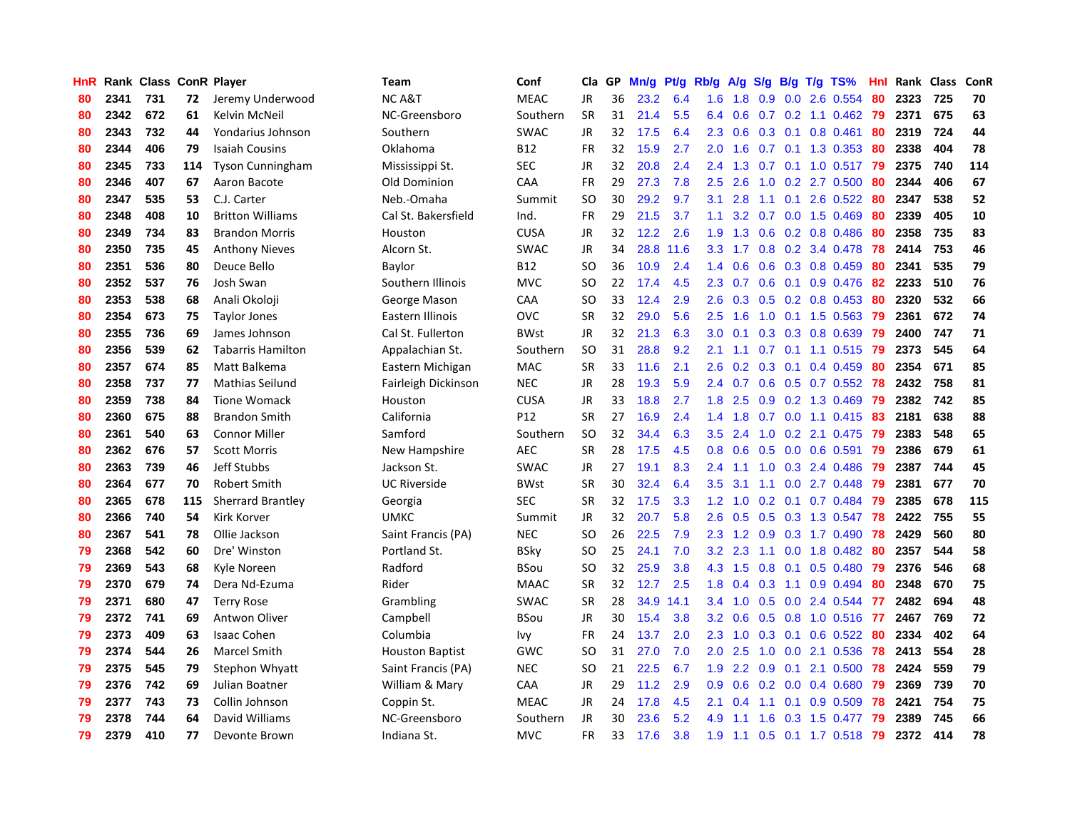| HnR |      | Rank Class ConR Player |     |                          | Team                   | Conf        | Cla       | GP | Mn/g | <b>Pt/g</b> | Rb/g             | A/g     | S/g |                 | $B/g$ T/g TS%             | Hnl |      | Rank Class | ConR |
|-----|------|------------------------|-----|--------------------------|------------------------|-------------|-----------|----|------|-------------|------------------|---------|-----|-----------------|---------------------------|-----|------|------------|------|
| 80  | 2341 | 731                    | 72  | Jeremy Underwood         | <b>NCA&amp;T</b>       | <b>MEAC</b> | <b>JR</b> | 36 | 23.2 | 6.4         | 1.6              | 1.8     | 0.9 | 0.0             | 2.6 0.554                 | 80  | 2323 | 725        | 70   |
| 80  | 2342 | 672                    | 61  | Kelvin McNeil            | NC-Greensboro          | Southern    | <b>SR</b> | 31 | 21.4 | 5.5         | 6.4              | 0.6     |     |                 | 0.7 0.2 1.1 0.462 79      |     | 2371 | 675        | 63   |
| 80  | 2343 | 732                    | 44  | Yondarius Johnson        | Southern               | <b>SWAC</b> | JR        | 32 | 17.5 | 6.4         | 2.3              | 0.6     |     |                 | $0.3$ 0.1 0.8 0.461       | -80 | 2319 | 724        | 44   |
| 80  | 2344 | 406                    | 79  | <b>Isaiah Cousins</b>    | Oklahoma               | <b>B12</b>  | FR        | 32 | 15.9 | 2.7         | $2.0^{\circ}$    | 1.6     |     |                 | $0.7$ 0.1 1.3 0.353       | -80 | 2338 | 404        | 78   |
| 80  | 2345 | 733                    | 114 | <b>Tyson Cunningham</b>  | Mississippi St.        | <b>SEC</b>  | JR        | 32 | 20.8 | 2.4         | 2.4              | 1.3     |     |                 | $0.7$ 0.1 1.0 0.517       | -79 | 2375 | 740        | 114  |
| 80  | 2346 | 407                    | 67  | Aaron Bacote             | Old Dominion           | CAA         | FR        | 29 | 27.3 | 7.8         | 2.5              | 2.6     | 1.0 |                 | 0.2 2.7 0.500             | 80  | 2344 | 406        | 67   |
| 80  | 2347 | 535                    | 53  | C.J. Carter              | Neb.-Omaha             | Summit      | <b>SO</b> | 30 | 29.2 | 9.7         | 3.1              | 2.8     |     | $1.1 \quad 0.1$ | 2.6 0.522                 | 80  | 2347 | 538        | 52   |
| 80  | 2348 | 408                    | 10  | <b>Britton Williams</b>  | Cal St. Bakersfield    | Ind.        | FR        | 29 | 21.5 | 3.7         | 1.1              | 3.2     | 0.7 |                 | $0.0$ 1.5 $0.469$         | 80  | 2339 | 405        | 10   |
| 80  | 2349 | 734                    | 83  | <b>Brandon Morris</b>    | Houston                | <b>CUSA</b> | JR        | 32 | 12.2 | 2.6         | 1.9              | 1.3     | 0.6 |                 | 0.2 0.8 0.486             | 80  | 2358 | 735        | 83   |
| 80  | 2350 | 735                    | 45  | <b>Anthony Nieves</b>    | Alcorn St.             | <b>SWAC</b> | JR        | 34 | 28.8 | 11.6        | 3.3 <sub>2</sub> | 1.7     |     |                 | 0.8 0.2 3.4 0.478         | -78 | 2414 | 753        | 46   |
| 80  | 2351 | 536                    | 80  | Deuce Bello              | Baylor                 | <b>B12</b>  | SO        | 36 | 10.9 | 2.4         | 1.4              | 0.6     |     |                 | $0.6$ $0.3$ $0.8$ $0.459$ | -80 | 2341 | 535        | 79   |
| 80  | 2352 | 537                    | 76  | Josh Swan                | Southern Illinois      | <b>MVC</b>  | <b>SO</b> | 22 | 17.4 | 4.5         | 2.3              | 0.7     |     |                 | 0.6 0.1 0.9 0.476 82      |     | 2233 | 510        | 76   |
| 80  | 2353 | 538                    | 68  | Anali Okoloji            | George Mason           | CAA         | SO        | 33 | 12.4 | 2.9         | 2.6              | 0.3     |     |                 | $0.5$ 0.2 0.8 0.453       | -80 | 2320 | 532        | 66   |
| 80  | 2354 | 673                    | 75  | <b>Taylor Jones</b>      | Eastern Illinois       | OVC         | <b>SR</b> | 32 | 29.0 | 5.6         | 2.5              | 1.6     | 1.0 |                 | $0.1$ 1.5 0.563           | 79  | 2361 | 672        | 74   |
| 80  | 2355 | 736                    | 69  | James Johnson            | Cal St. Fullerton      | <b>BWst</b> | JR        | 32 | 21.3 | 6.3         | 3.0 <sub>2</sub> | 0.1     | 0.3 |                 | 0.3 0.8 0.639             | -79 | 2400 | 747        | 71   |
| 80  | 2356 | 539                    | 62  | <b>Tabarris Hamilton</b> | Appalachian St.        | Southern    | <b>SO</b> | 31 | 28.8 | 9.2         | 2.1              | 1.1     | 0.7 |                 | $0.1$ 1.1 0.515           | 79  | 2373 | 545        | 64   |
| 80  | 2357 | 674                    | 85  | Matt Balkema             | Eastern Michigan       | <b>MAC</b>  | <b>SR</b> | 33 | 11.6 | 2.1         | 2.6              | 0.2     | 0.3 | 0.1             | 0.4 0.459                 | 80  | 2354 | 671        | 85   |
| 80  | 2358 | 737                    | 77  | <b>Mathias Seilund</b>   | Fairleigh Dickinson    | <b>NEC</b>  | <b>JR</b> | 28 | 19.3 | 5.9         | 2.4              | 0.7     | 0.6 |                 | $0.5$ 0.7 0.552           | 78  | 2432 | 758        | 81   |
| 80  | 2359 | 738                    | 84  | <b>Tione Womack</b>      | Houston                | <b>CUSA</b> | JR        | 33 | 18.8 | 2.7         | 1.8              | 2.5     |     |                 | $0.9$ $0.2$ $1.3$ $0.469$ | -79 | 2382 | 742        | 85   |
| 80  | 2360 | 675                    | 88  | <b>Brandon Smith</b>     | California             | P12         | <b>SR</b> | 27 | 16.9 | 2.4         | 1.4              | 1.8     |     |                 | 0.7 0.0 1.1 0.415 83      |     | 2181 | 638        | 88   |
| 80  | 2361 | 540                    | 63  | <b>Connor Miller</b>     | Samford                | Southern    | <b>SO</b> | 32 | 34.4 | 6.3         | $3.5^{\circ}$    | 2.4     |     |                 | $1.0$ $0.2$ $2.1$ $0.475$ | -79 | 2383 | 548        | 65   |
| 80  | 2362 | 676                    | 57  | <b>Scott Morris</b>      | New Hampshire          | <b>AEC</b>  | <b>SR</b> | 28 | 17.5 | 4.5         | 0.8              | 0.6     |     |                 | $0.5$ 0.0 0.6 0.591       | 79  | 2386 | 679        | 61   |
| 80  | 2363 | 739                    | 46  | Jeff Stubbs              | Jackson St.            | <b>SWAC</b> | JR        | 27 | 19.1 | 8.3         | 2.4              | 1.1     | 1.0 |                 | 0.3 2.4 0.486             | -79 | 2387 | 744        | 45   |
| 80  | 2364 | 677                    | 70  | <b>Robert Smith</b>      | <b>UC Riverside</b>    | <b>BWst</b> | <b>SR</b> | 30 | 32.4 | 6.4         | 3.5              | 3.1     |     |                 | $1.1$ 0.0 2.7 0.448       | 79  | 2381 | 677        | 70   |
| 80  | 2365 | 678                    | 115 | <b>Sherrard Brantley</b> | Georgia                | <b>SEC</b>  | <b>SR</b> | 32 | 17.5 | 3.3         | 1.2              | 1.0     | 0.2 |                 | $0.1$ 0.7 0.484           | 79  | 2385 | 678        | 115  |
| 80  | 2366 | 740                    | 54  | Kirk Korver              | <b>UMKC</b>            | Summit      | JR        | 32 | 20.7 | 5.8         | 2.6              | 0.5     | 0.5 |                 | 0.3 1.3 0.547             | 78  | 2422 | 755        | 55   |
| 80  | 2367 | 541                    | 78  | Ollie Jackson            | Saint Francis (PA)     | <b>NEC</b>  | SO.       | 26 | 22.5 | 7.9         | 2.3              | 1.2     |     |                 | $0.9$ $0.3$ 1.7 $0.490$   | -78 | 2429 | 560        | 80   |
| 79  | 2368 | 542                    | 60  | Dre' Winston             | Portland St.           | <b>BSky</b> | <b>SO</b> | 25 | 24.1 | 7.0         | 3.2              | 2.3     |     |                 | 1.1 0.0 1.8 0.482 80      |     | 2357 | 544        | 58   |
| 79  | 2369 | 543                    | 68  | Kyle Noreen              | Radford                | <b>BSou</b> | SO.       | 32 | 25.9 | 3.8         |                  | 4.3 1.5 | 0.8 |                 | $0.1$ 0.5 0.480           | -79 | 2376 | 546        | 68   |
| 79  | 2370 | 679                    | 74  | Dera Nd-Ezuma            | Rider                  | <b>MAAC</b> | <b>SR</b> | 32 | 12.7 | 2.5         | 1.8              | 0.4     | 0.3 |                 | 1.1 0.9 0.494             | 80  | 2348 | 670        | 75   |
| 79  | 2371 | 680                    | 47  | <b>Terry Rose</b>        | Grambling              | <b>SWAC</b> | <b>SR</b> | 28 | 34.9 | 14.1        | 3.4              | 1.0     | 0.5 |                 | $0.0$ 2.4 $0.544$         | -77 | 2482 | 694        | 48   |
| 79  | 2372 | 741                    | 69  | Antwon Oliver            | Campbell               | BSou        | JR        | 30 | 15.4 | 3.8         | 3.2              | 0.6     | 0.5 |                 | $0.8$ 1.0 $0.516$         | -77 | 2467 | 769        | 72   |
| 79  | 2373 | 409                    | 63  | <b>Isaac Cohen</b>       | Columbia               | Ivy         | <b>FR</b> | 24 | 13.7 | 2.0         | 2.3              | 1.0     | 0.3 | 0.1             | $0.6$ 0.522               | -80 | 2334 | 402        | 64   |
| 79  | 2374 | 544                    | 26  | <b>Marcel Smith</b>      | <b>Houston Baptist</b> | GWC         | SO        | 31 | 27.0 | 7.0         | 2.0 <sub>2</sub> | 2.5     | 1.0 | 0.0             | 2.1 0.536                 | 78  | 2413 | 554        | 28   |
| 79  | 2375 | 545                    | 79  | Stephon Whyatt           | Saint Francis (PA)     | <b>NEC</b>  | SO        | 21 | 22.5 | 6.7         | 1.9              | 2.2     | 0.9 | 0.1             | 2.1 0.500                 | 78  | 2424 | 559        | 79   |
| 79  | 2376 | 742                    | 69  | Julian Boatner           | William & Mary         | CAA         | JR        | 29 | 11.2 | 2.9         | 0.9 <sub>0</sub> | 0.6     |     |                 | $0.2$ 0.0 0.4 0.680       | 79  | 2369 | 739        | 70   |
| 79  | 2377 | 743                    | 73  | Collin Johnson           | Coppin St.             | <b>MEAC</b> | JR        | 24 | 17.8 | 4.5         | 2.1              | 0.4     |     |                 | 1.1 0.1 0.9 0.509         | 78  | 2421 | 754        | 75   |
| 79  | 2378 | 744                    | 64  | David Williams           | NC-Greensboro          | Southern    | <b>JR</b> | 30 | 23.6 | 5.2         | 4.9              | 1.1     | 1.6 |                 | $0.3$ 1.5 0.477           | 79  | 2389 | 745        | 66   |
| 79  | 2379 | 410                    | 77  | Devonte Brown            | Indiana St.            | <b>MVC</b>  | <b>FR</b> | 33 | 17.6 | 3.8         | 1.9              | 1.1     |     |                 | $0.5$ 0.1 1.7 0.518       | 79  | 2372 | 414        | 78   |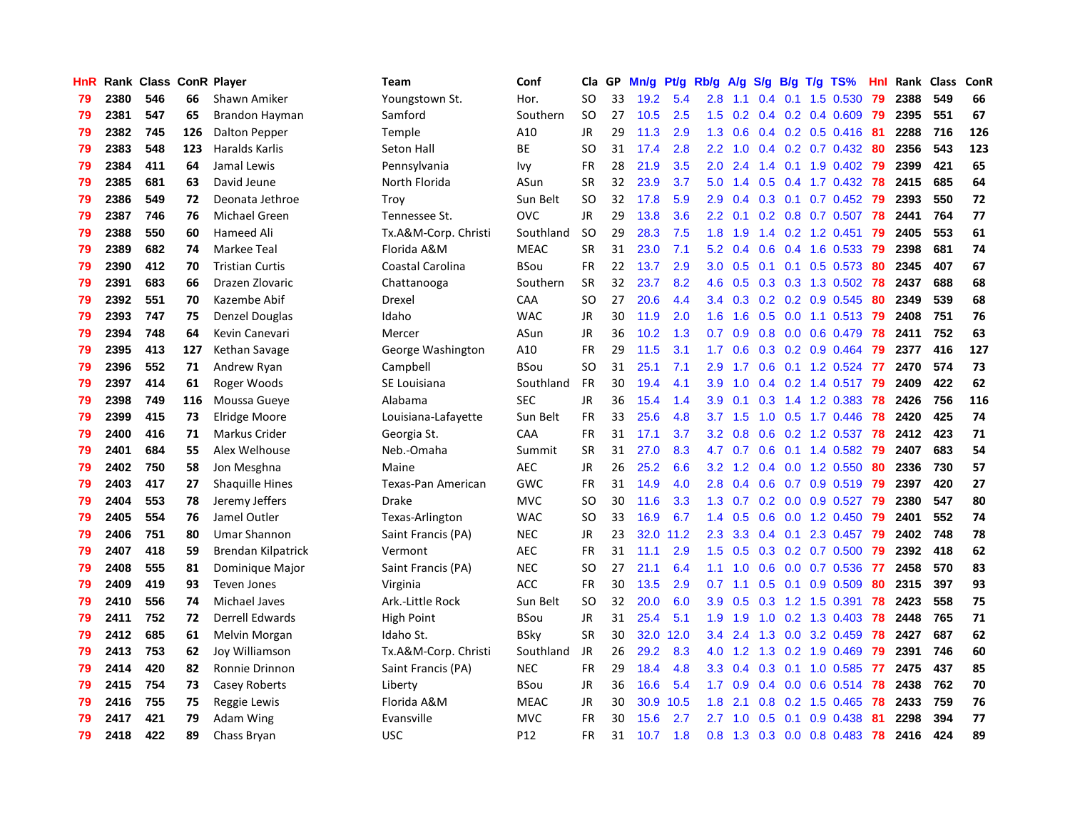| HnR |      | Rank Class ConR Player |     |                        | Team                 | Conf            | Cla           | GP | Mn/g | Pt/g | Rb/g             | A/g | S/g           |     | $B/g$ T/g TS%             | Hnl | Rank | <b>Class</b> | ConR |
|-----|------|------------------------|-----|------------------------|----------------------|-----------------|---------------|----|------|------|------------------|-----|---------------|-----|---------------------------|-----|------|--------------|------|
| 79  | 2380 | 546                    | 66  | Shawn Amiker           | Youngstown St.       | Hor.            | SO.           | 33 | 19.2 | 5.4  | 2.8              | 1.1 | 0.4           | 0.1 | 1.5 0.530                 | 79  | 2388 | 549          | 66   |
| 79  | 2381 | 547                    | 65  | Brandon Hayman         | Samford              | Southern        | SO            | 27 | 10.5 | 2.5  | 1.5              | 0.2 |               |     | $0.4$ 0.2 0.4 0.609       | 79  | 2395 | 551          | 67   |
| 79  | 2382 | 745                    | 126 | <b>Dalton Pepper</b>   | Temple               | A10             | <b>JR</b>     | 29 | 11.3 | 2.9  | 1.3              | 0.6 |               |     | 0.4 0.2 0.5 0.416 81      |     | 2288 | 716          | 126  |
| 79  | 2383 | 548                    | 123 | Haralds Karlis         | Seton Hall           | ВE              | <sub>SO</sub> | 31 | 17.4 | 2.8  | 2.2              | 1.0 |               |     | $0.4$ 0.2 0.7 0.432       | -80 | 2356 | 543          | 123  |
| 79  | 2384 | 411                    | 64  | Jamal Lewis            | Pennsylvania         | Ivy             | FR            | 28 | 21.9 | 3.5  | 2.0              | 2.4 |               |     | 1.4 0.1 1.9 0.402         | -79 | 2399 | 421          | 65   |
| 79  | 2385 | 681                    | 63  | David Jeune            | North Florida        | ASun            | <b>SR</b>     | 32 | 23.9 | 3.7  | 5.0              | 1.4 | 0.5           |     | $0.4$ 1.7 0.432           | 78  | 2415 | 685          | 64   |
| 79  | 2386 | 549                    | 72  | Deonata Jethroe        | Troy                 | Sun Belt        | <b>SO</b>     | 32 | 17.8 | 5.9  | 2.9              | 0.4 |               |     | $0.3$ 0.1 0.7 0.452       | -79 | 2393 | 550          | 72   |
| 79  | 2387 | 746                    | 76  | Michael Green          | Tennessee St.        | OVC             | JR.           | 29 | 13.8 | 3.6  | 2.2              | 0.1 |               |     | 0.2 0.8 0.7 0.507         | 78  | 2441 | 764          | 77   |
| 79  | 2388 | 550                    | 60  | Hameed Ali             | Tx.A&M-Corp. Christi | Southland       | <b>SO</b>     | 29 | 28.3 | 7.5  | 1.8              | 1.9 |               |     | 1.4 0.2 1.2 0.451         | 79  | 2405 | 553          | 61   |
| 79  | 2389 | 682                    | 74  | Markee Teal            | Florida A&M          | <b>MEAC</b>     | <b>SR</b>     | 31 | 23.0 | 7.1  | 5.2              | 0.4 | 0.6           |     | 0.4 1.6 0.533             | -79 | 2398 | 681          | 74   |
| 79  | 2390 | 412                    | 70  | <b>Tristian Curtis</b> | Coastal Carolina     | BSou            | FR            | 22 | 13.7 | 2.9  | 3.0 <sub>1</sub> | 0.5 |               |     | 0.1 0.1 0.5 0.573 80      |     | 2345 | 407          | 67   |
| 79  | 2391 | 683                    | 66  | Drazen Zlovaric        | Chattanooga          | Southern        | <b>SR</b>     | 32 | 23.7 | 8.2  | 4.6              | 0.5 |               |     | 0.3 0.3 1.3 0.502 78      |     | 2437 | 688          | 68   |
| 79  | 2392 | 551                    | 70  | Kazembe Abif           | Drexel               | CAA             | <sub>SO</sub> | 27 | 20.6 | 4.4  | $3.4^{\circ}$    | 0.3 |               |     | 0.2 0.2 0.9 0.545         | 80  | 2349 | 539          | 68   |
| 79  | 2393 | 747                    | 75  | Denzel Douglas         | Idaho                | <b>WAC</b>      | JR            | 30 | 11.9 | 2.0  | 1.6              | 1.6 | 0.5           |     | $0.0$ 1.1 0.513           | 79  | 2408 | 751          | 76   |
| 79  | 2394 | 748                    | 64  | Kevin Canevari         | Mercer               | ASun            | JR            | 36 | 10.2 | 1.3  | 0.7              | 0.9 | 0.8           |     | $0.0$ 0.6 0.479           | 78  | 2411 | 752          | 63   |
| 79  | 2395 | 413                    | 127 | Kethan Savage          | George Washington    | A10             | <b>FR</b>     | 29 | 11.5 | 3.1  | 1.7              | 0.6 |               |     | $0.3$ 0.2 0.9 0.464       | 79  | 2377 | 416          | 127  |
| 79  | 2396 | 552                    | 71  | Andrew Ryan            | Campbell             | BSou            | <sub>SO</sub> | 31 | 25.1 | 7.1  | 2.9              | 1.7 | 0.6           |     | $0.1$ 1.2 0.524           | 77  | 2470 | 574          | 73   |
| 79  | 2397 | 414                    | 61  | Roger Woods            | SE Louisiana         | Southland       | <b>FR</b>     | 30 | 19.4 | 4.1  | 3.9              | 1.0 | $0.4^{\circ}$ |     | $0.2$ 1.4 $0.517$         | 79  | 2409 | 422          | 62   |
| 79  | 2398 | 749                    | 116 | Moussa Gueye           | Alabama              | <b>SEC</b>      | <b>JR</b>     | 36 | 15.4 | 1.4  | 3.9 <sup>°</sup> | 0.1 |               |     | 0.3 1.4 1.2 0.383         | 78  | 2426 | 756          | 116  |
| 79  | 2399 | 415                    | 73  | <b>Elridge Moore</b>   | Louisiana-Lafayette  | Sun Belt        | <b>FR</b>     | 33 | 25.6 | 4.8  | 3.7              | 1.5 |               |     | 1.0 0.5 1.7 0.446         | 78  | 2420 | 425          | 74   |
| 79  | 2400 | 416                    | 71  | Markus Crider          | Georgia St.          | CAA             | <b>FR</b>     | 31 | 17.1 | 3.7  | 3.2              | 0.8 |               |     | $0.6$ $0.2$ 1.2 $0.537$   | 78  | 2412 | 423          | 71   |
| 79  | 2401 | 684                    | 55  | Alex Welhouse          | Neb.-Omaha           | Summit          | SR            | 31 | 27.0 | 8.3  | 4.7              | 0.7 | 0.6           |     | $0.1$ 1.4 0.582           | -79 | 2407 | 683          | 54   |
| 79  | 2402 | 750                    | 58  | Jon Mesghna            | Maine                | <b>AEC</b>      | <b>JR</b>     | 26 | 25.2 | 6.6  | 3.2              | 1.2 |               |     | $0.4$ 0.0 1.2 0.550       | 80  | 2336 | 730          | 57   |
| 79  | 2403 | 417                    | 27  | <b>Shaquille Hines</b> | Texas-Pan American   | GWC             | <b>FR</b>     | 31 | 14.9 | 4.0  | 2.8              | 0.4 |               |     | $0.6$ 0.7 0.9 0.519       | 79  | 2397 | 420          | 27   |
| 79  | 2404 | 553                    | 78  | Jeremy Jeffers         | Drake                | <b>MVC</b>      | SO            | 30 | 11.6 | 3.3  | 1.3              | 0.7 |               |     | $0.2$ 0.0 0.9 0.527       | 79  | 2380 | 547          | 80   |
| 79  | 2405 | 554                    | 76  | Jamel Outler           | Texas-Arlington      | <b>WAC</b>      | SO            | 33 | 16.9 | 6.7  | 1.4              | 0.5 | 0.6           |     | 0.0 1.2 0.450             | 79  | 2401 | 552          | 74   |
| 79  | 2406 | 751                    | 80  | <b>Umar Shannon</b>    | Saint Francis (PA)   | <b>NEC</b>      | JR            | 23 | 32.0 | 11.2 | 2.3              | 3.3 |               |     | $0.4$ 0.1 2.3 0.457       | -79 | 2402 | 748          | 78   |
| 79  | 2407 | 418                    | 59  | Brendan Kilpatrick     | Vermont              | <b>AEC</b>      | <b>FR</b>     | 31 | 11.1 | 2.9  | $1.5^{\circ}$    | 0.5 |               |     | 0.3 0.2 0.7 0.500 79      |     | 2392 | 418          | 62   |
| 79  | 2408 | 555                    | 81  | Dominique Major        | Saint Francis (PA)   | <b>NEC</b>      | SO            | 27 | 21.1 | 6.4  | 1.1              | 1.0 |               |     | $0.6$ $0.0$ $0.7$ $0.536$ | -77 | 2458 | 570          | 83   |
| 79  | 2409 | 419                    | 93  | <b>Teven Jones</b>     | Virginia             | <b>ACC</b>      | <b>FR</b>     | 30 | 13.5 | 2.9  | 0.7              | 1.1 |               |     | $0.5$ 0.1 0.9 0.509       | 80  | 2315 | 397          | 93   |
| 79  | 2410 | 556                    | 74  | Michael Javes          | Ark.-Little Rock     | Sun Belt        | <b>SO</b>     | 32 | 20.0 | 6.0  | 3.9              | 0.5 | 0.3           |     | 1.2 1.5 0.391             | 78  | 2423 | 558          | 75   |
| 79  | 2411 | 752                    | 72  | Derrell Edwards        | High Point           | BSou            | JR            | 31 | 25.4 | 5.1  | 1.9              | 1.9 | 1.0           |     | 0.2 1.3 0.403             | 78  | 2448 | 765          | 71   |
| 79  | 2412 | 685                    | 61  | Melvin Morgan          | Idaho St.            | BSky            | <b>SR</b>     | 30 | 32.0 | 12.0 | 3.4              | 2.4 | 1.3           |     | 0.0 3.2 0.459             | 78  | 2427 | 687          | 62   |
| 79  | 2413 | 753                    | 62  | Joy Williamson         | Tx.A&M-Corp. Christi | Southland       | JR            | 26 | 29.2 | 8.3  | 4.0              | 1.2 | 1.3           |     | 0.2 1.9 0.469             | 79  | 2391 | 746          | 60   |
| 79  | 2414 | 420                    | 82  | Ronnie Drinnon         | Saint Francis (PA)   | <b>NEC</b>      | <b>FR</b>     | 29 | 18.4 | 4.8  | 3.3 <sub>2</sub> | 0.4 | 0.3           |     | $0.1$ 1.0 0.585           | -77 | 2475 | 437          | 85   |
| 79  | 2415 | 754                    | 73  | Casey Roberts          | Liberty              | BSou            | JR            | 36 | 16.6 | 5.4  | 1.7 <sub>z</sub> | 0.9 |               |     | $0.4$ 0.0 0.6 0.514       | 78  | 2438 | 762          | 70   |
| 79  | 2416 | 755                    | 75  | Reggie Lewis           | Florida A&M          | <b>MEAC</b>     | JR            | 30 | 30.9 | 10.5 | 1.8              | 2.1 |               |     | $0.8$ 0.2 1.5 0.465       | -78 | 2433 | 759          | 76   |
| 79  | 2417 | 421                    | 79  | Adam Wing              | Evansville           | <b>MVC</b>      | FR            | 30 | 15.6 | 2.7  | $2.7^{\circ}$    | 1.0 | 0.5           | 0.1 | $0.9$ 0.438               | -81 | 2298 | 394          | 77   |
| 79  | 2418 | 422                    | 89  | Chass Bryan            | <b>USC</b>           | P <sub>12</sub> | <b>FR</b>     | 31 | 10.7 | 1.8  | 0.8              | 1.3 |               |     | $0.3$ 0.0 0.8 0.483       | 78  | 2416 | 424          | 89   |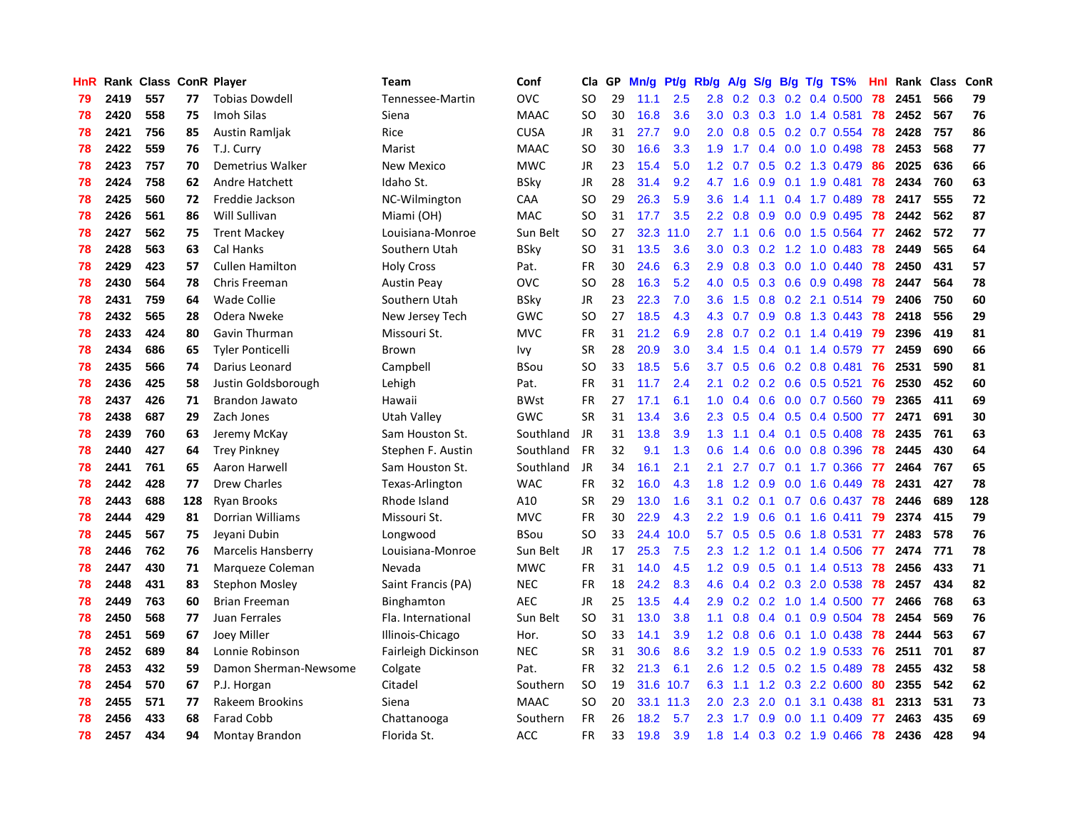| <b>HnR</b> |      | Rank Class ConR Player |     |                         | Team                | Conf        | Cla       | GP | Mn/g | <b>Pt/g</b> | Rb/g             | A/g             |                  |  | S/g B/g T/g TS%           | Hnl | Rank | Class | ConR |
|------------|------|------------------------|-----|-------------------------|---------------------|-------------|-----------|----|------|-------------|------------------|-----------------|------------------|--|---------------------------|-----|------|-------|------|
| 79         | 2419 | 557                    | 77  | <b>Tobias Dowdell</b>   | Tennessee-Martin    | <b>OVC</b>  | <b>SO</b> | 29 | 11.1 | 2.5         | 2.8              | 0.2             |                  |  | $0.3$ 0.2 0.4 0.500       | 78  | 2451 | 566   | 79   |
| 78         | 2420 | 558                    | 75  | Imoh Silas              | Siena               | <b>MAAC</b> | <b>SO</b> | 30 | 16.8 | 3.6         |                  |                 |                  |  | 3.0 0.3 0.3 1.0 1.4 0.581 | 78  | 2452 | 567   | 76   |
| 78         | 2421 | 756                    | 85  | Austin Ramljak          | Rice                | <b>CUSA</b> | <b>JR</b> | 31 | 27.7 | 9.0         | $2.0^{\circ}$    | 0.8             |                  |  | $0.5$ 0.2 0.7 0.554       | 78  | 2428 | 757   | 86   |
| 78         | 2422 | 559                    | 76  | T.J. Curry              | Marist              | <b>MAAC</b> | <b>SO</b> | 30 | 16.6 | 3.3         | 1.9 <sup>°</sup> | 1.7             |                  |  | 0.4 0.0 1.0 0.498         | 78  | 2453 | 568   | 77   |
| 78         | 2423 | 757                    | 70  | Demetrius Walker        | New Mexico          | <b>MWC</b>  | <b>JR</b> | 23 | 15.4 | 5.0         | 1.2 <sub>1</sub> | 0.7             |                  |  | 0.5 0.2 1.3 0.479         | 86  | 2025 | 636   | 66   |
| 78         | 2424 | 758                    | 62  | Andre Hatchett          | Idaho St.           | BSkv        | <b>JR</b> | 28 | 31.4 | 9.2         | 4.7              | 1.6             | 0.9              |  | $0.1$ 1.9 0.481           | 78  | 2434 | 760   | 63   |
| 78         | 2425 | 560                    | 72  | Freddie Jackson         | NC-Wilmington       | CAA         | <b>SO</b> | 29 | 26.3 | 5.9         | 3.6 <sup>°</sup> | 1.4             |                  |  | 1.1 0.4 1.7 0.489         | 78  | 2417 | 555   | 72   |
| 78         | 2426 | 561                    | 86  | Will Sullivan           | Miami (OH)          | <b>MAC</b>  | <b>SO</b> | 31 | 17.7 | 3.5         |                  | $2.2 \quad 0.8$ | 0.9 <sup>°</sup> |  | $0.0$ 0.9 0.495           | 78  | 2442 | 562   | 87   |
| 78         | 2427 | 562                    | 75  | <b>Trent Mackey</b>     | Louisiana-Monroe    | Sun Belt    | <b>SO</b> | 27 | 32.3 | 11.0        |                  | $2.7$ 1.1       | 0.6              |  | $0.0$ 1.5 0.564           | -77 | 2462 | 572   | 77   |
| 78         | 2428 | 563                    | 63  | Cal Hanks               | Southern Utah       | <b>BSky</b> | SO        | 31 | 13.5 | 3.6         | 3.0 <sub>1</sub> | 0.3             |                  |  | 0.2 1.2 1.0 0.483 78      |     | 2449 | 565   | 64   |
| 78         | 2429 | 423                    | 57  | <b>Cullen Hamilton</b>  | <b>Holy Cross</b>   | Pat.        | <b>FR</b> | 30 | 24.6 | 6.3         |                  | $2.9$ 0.8       |                  |  | 0.3 0.0 1.0 0.440 78      |     | 2450 | 431   | 57   |
| 78         | 2430 | 564                    | 78  | Chris Freeman           | <b>Austin Peay</b>  | <b>OVC</b>  | SO        | 28 | 16.3 | 5.2         | 4.0              | 0.5             |                  |  | 0.3 0.6 0.9 0.498 78      |     | 2447 | 564   | 78   |
| 78         | 2431 | 759                    | 64  | <b>Wade Collie</b>      | Southern Utah       | <b>BSky</b> | <b>JR</b> | 23 | 22.3 | 7.0         | 3.6 <sup>°</sup> | 1.5             |                  |  | 0.8 0.2 2.1 0.514 79      |     | 2406 | 750   | 60   |
| 78         | 2432 | 565                    | 28  | Odera Nweke             | New Jersey Tech     | GWC         | <b>SO</b> | 27 | 18.5 | 4.3         | 4.3              | 0.7             |                  |  | 0.9 0.8 1.3 0.443         | 78  | 2418 | 556   | 29   |
| 78         | 2433 | 424                    | 80  | Gavin Thurman           | Missouri St.        | <b>MVC</b>  | <b>FR</b> | 31 | 21.2 | 6.9         | 2.8              | 0.7             |                  |  | $0.2$ 0.1 1.4 0.419       | 79  | 2396 | 419   | 81   |
| 78         | 2434 | 686                    | 65  | <b>Tyler Ponticelli</b> | Brown               | Ivy         | <b>SR</b> | 28 | 20.9 | 3.0         | 3.4              | 1.5             |                  |  | $0.4$ 0.1 1.4 0.579       | 77  | 2459 | 690   | 66   |
| 78         | 2435 | 566                    | 74  | Darius Leonard          | Campbell            | BSou        | <b>SO</b> | 33 | 18.5 | 5.6         | 3.7              | 0.5             | 0.6              |  | $0.2$ 0.8 0.481           | 76  | 2531 | 590   | 81   |
| 78         | 2436 | 425                    | 58  | Justin Goldsborough     | Lehigh              | Pat.        | <b>FR</b> | 31 | 11.7 | 2.4         | 2.1              | 0.2             |                  |  | $0.2$ 0.6 0.5 0.521       | 76  | 2530 | 452   | 60   |
| 78         | 2437 | 426                    | 71  | <b>Brandon Jawato</b>   | Hawaii              | <b>BWst</b> | FR        | 27 | 17.1 | 6.1         | 1.0              |                 |                  |  | 0.4 0.6 0.0 0.7 0.560     | 79  | 2365 | 411   | 69   |
| 78         | 2438 | 687                    | 29  | Zach Jones              | Utah Valley         | GWC         | <b>SR</b> | 31 | 13.4 | 3.6         | 2.3              | 0.5             |                  |  | $0.4$ 0.5 0.4 0.500       | 77  | 2471 | 691   | 30   |
| 78         | 2439 | 760                    | 63  | Jeremy McKay            | Sam Houston St.     | Southland   | JR        | 31 | 13.8 | 3.9         | 1.3              | 1.1             |                  |  | $0.4$ 0.1 0.5 0.408       | 78  | 2435 | 761   | 63   |
| 78         | 2440 | 427                    | 64  | <b>Trey Pinkney</b>     | Stephen F. Austin   | Southland   | <b>FR</b> | 32 | 9.1  | 1.3         | 0.6              | 1.4             | 0.6              |  | $0.0$ 0.8 0.396           | 78  | 2445 | 430   | 64   |
| 78         | 2441 | 761                    | 65  | Aaron Harwell           | Sam Houston St.     | Southland   | JR        | 34 | 16.1 | 2.1         | 2.1              | 2.7             | 0.7              |  | $0.1$ 1.7 0.366           | -77 | 2464 | 767   | 65   |
| 78         | 2442 | 428                    | 77  | <b>Drew Charles</b>     | Texas-Arlington     | <b>WAC</b>  | <b>FR</b> | 32 | 16.0 | 4.3         | 1.8              | 1.2             | 0.9              |  | $0.0$ 1.6 $0.449$         | 78  | 2431 | 427   | 78   |
| 78         | 2443 | 688                    | 128 | <b>Ryan Brooks</b>      | Rhode Island        | A10         | <b>SR</b> | 29 | 13.0 | 1.6         | 3.1              | 0.2             |                  |  | $0.1$ 0.7 0.6 0.437       | 78  | 2446 | 689   | 128  |
| 78         | 2444 | 429                    | 81  | Dorrian Williams        | Missouri St.        | <b>MVC</b>  | FR        | 30 | 22.9 | 4.3         | $2.2\phantom{0}$ | 1.9             | 0.6              |  | $0.1$ 1.6 0.411           | 79  | 2374 | 415   | 79   |
| 78         | 2445 | 567                    | 75  | Jeyani Dubin            | Longwood            | <b>BSou</b> | <b>SO</b> | 33 | 24.4 | 10.0        | 5.7              | 0.5             |                  |  | 0.5 0.6 1.8 0.531         | 77  | 2483 | 578   | 76   |
| 78         | 2446 | 762                    | 76  | Marcelis Hansberry      | Louisiana-Monroe    | Sun Belt    | <b>JR</b> | 17 | 25.3 | 7.5         | 2.3              |                 |                  |  | 1.2 1.2 0.1 1.4 0.506 77  |     | 2474 | 771   | 78   |
| 78         | 2447 | 430                    | 71  | Marqueze Coleman        | Nevada              | <b>MWC</b>  | <b>FR</b> | 31 | 14.0 | 4.5         | 1.2 <sub>1</sub> | 0.9             |                  |  | 0.5 0.1 1.4 0.513 78      |     | 2456 | 433   | 71   |
| 78         | 2448 | 431                    | 83  | <b>Stephon Mosley</b>   | Saint Francis (PA)  | <b>NEC</b>  | <b>FR</b> | 18 | 24.2 | 8.3         | 4.6              | 0.4             |                  |  | $0.2$ $0.3$ $2.0$ $0.538$ | 78  | 2457 | 434   | 82   |
| 78         | 2449 | 763                    | 60  | <b>Brian Freeman</b>    | Binghamton          | <b>AEC</b>  | <b>JR</b> | 25 | 13.5 | 4.4         | 2.9 <sup>°</sup> | 0.2             | 0.2              |  | 1.0 1.4 0.500             | -77 | 2466 | 768   | 63   |
| 78         | 2450 | 568                    | 77  | Juan Ferrales           | Fla. International  | Sun Belt    | <b>SO</b> | 31 | 13.0 | 3.8         | 1.1              | 0.8             |                  |  | $0.4$ 0.1 0.9 0.504       | 78  | 2454 | 569   | 76   |
| 78         | 2451 | 569                    | 67  | Joey Miller             | Illinois-Chicago    | Hor.        | <b>SO</b> | 33 | 14.1 | 3.9         | 1.2              | 0.8             | 0.6              |  | $0.1$ 1.0 0.438           | 78  | 2444 | 563   | 67   |
| 78         | 2452 | 689                    | 84  | Lonnie Robinson         | Fairleigh Dickinson | <b>NEC</b>  | <b>SR</b> | 31 | 30.6 | 8.6         |                  | $3.2 \quad 1.9$ | 0.5              |  | 0.2 1.9 0.533             | 76  | 2511 | 701   | 87   |
| 78         | 2453 | 432                    | 59  | Damon Sherman-Newsome   | Colgate             | Pat.        | <b>FR</b> | 32 | 21.3 | 6.1         | 2.6              | 1.2             |                  |  | 0.5 0.2 1.5 0.489         | 78  | 2455 | 432   | 58   |
| 78         | 2454 | 570                    | 67  | P.J. Horgan             | Citadel             | Southern    | <b>SO</b> | 19 |      | 31.6 10.7   | 6.3              | 1.1             |                  |  | 1.2 0.3 2.2 0.600         | -80 | 2355 | 542   | 62   |
| 78         | 2455 | 571                    | 77  | Rakeem Brookins         | Siena               | <b>MAAC</b> | <b>SO</b> | 20 |      | 33.1 11.3   | $2.0^{\circ}$    | 2.3             | 2.0              |  | $0.1$ 3.1 0.438           | -81 | 2313 | 531   | 73   |
| 78         | 2456 | 433                    | 68  | <b>Farad Cobb</b>       | Chattanooga         | Southern    | FR        | 26 | 18.2 | 5.7         | $2.3^{\circ}$    | 1.7             |                  |  | $0.9$ 0.0 1.1 0.409       | -77 | 2463 | 435   | 69   |
| 78         | 2457 | 434                    | 94  | Montay Brandon          | Florida St.         | <b>ACC</b>  | <b>FR</b> | 33 | 19.8 | 3.9         | 1.8              |                 |                  |  | 1.4 0.3 0.2 1.9 0.466     | 78  | 2436 | 428   | 94   |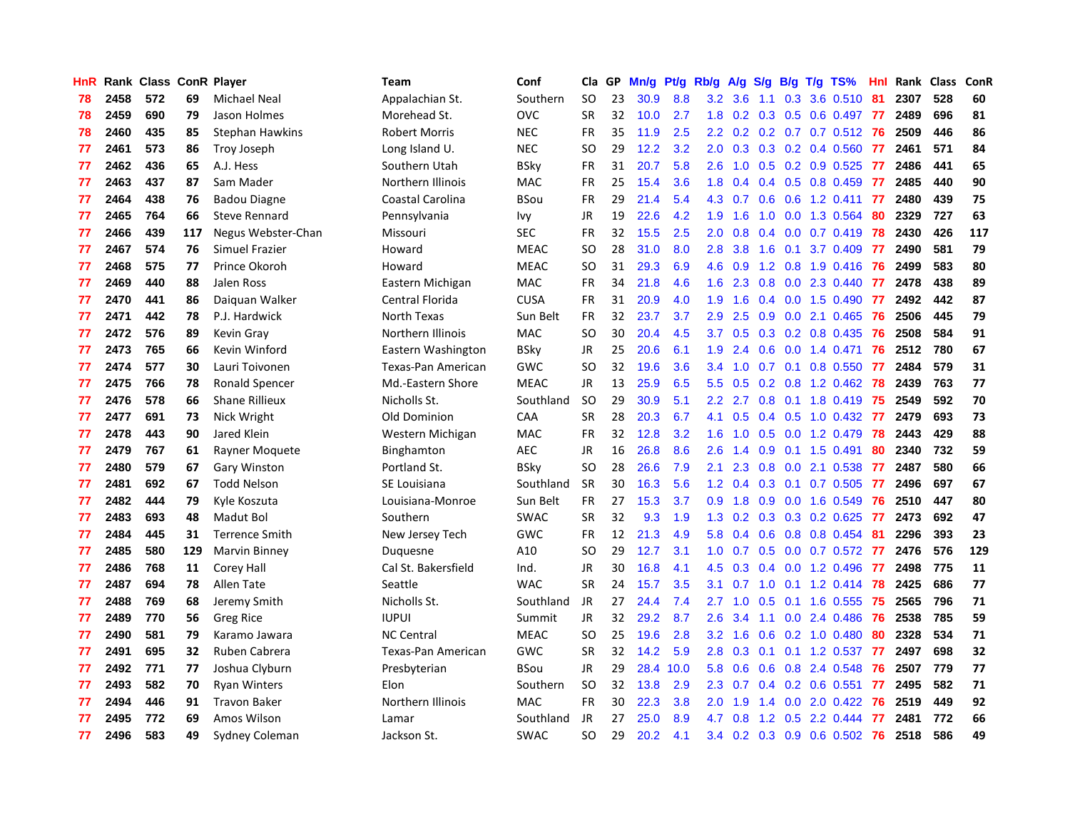| <b>HnR</b> |      | Rank Class ConR Player |     |                        | <b>Team</b>          | Conf        | Cla       | GP | Mn/g | Pf/g | Rb/g             | A/g            | S/g |     | $B/g$ T/g TS%                | Hnl |      | Rank Class | ConR |
|------------|------|------------------------|-----|------------------------|----------------------|-------------|-----------|----|------|------|------------------|----------------|-----|-----|------------------------------|-----|------|------------|------|
| 78         | 2458 | 572                    | 69  | Michael Neal           | Appalachian St.      | Southern    | <b>SO</b> | 23 | 30.9 | 8.8  | 3.2              | 3.6            | 1.1 | 0.3 | 3.6 0.510                    | 81  | 2307 | 528        | 60   |
| 78         | 2459 | 690                    | 79  | Jason Holmes           | Morehead St.         | <b>OVC</b>  | <b>SR</b> | 32 | 10.0 | 2.7  |                  |                |     |     | 1.8 0.2 0.3 0.5 0.6 0.497 77 |     | 2489 | 696        | 81   |
| 78         | 2460 | 435                    | 85  | <b>Stephan Hawkins</b> | <b>Robert Morris</b> | <b>NEC</b>  | <b>FR</b> | 35 | 11.9 | 2.5  |                  |                |     |     | 2.2 0.2 0.2 0.7 0.7 0.512 76 |     | 2509 | 446        | 86   |
| 77         | 2461 | 573                    | 86  | Troy Joseph            | Long Island U.       | <b>NEC</b>  | SO        | 29 | 12.2 | 3.2  | 2.0 <sub>1</sub> | 0.3            |     |     | $0.3$ 0.2 0.4 0.560          | -77 | 2461 | 571        | 84   |
| 77         | 2462 | 436                    | 65  | A.J. Hess              | Southern Utah        | <b>BSky</b> | FR        | 31 | 20.7 | 5.8  | 2.6              | 1.0            |     |     | 0.5 0.2 0.9 0.525            | -77 | 2486 | 441        | 65   |
| 77         | 2463 | 437                    | 87  | Sam Mader              | Northern Illinois    | MAC         | <b>FR</b> | 25 | 15.4 | 3.6  | 1.8              | 0.4            |     |     | $0.4$ 0.5 0.8 0.459          | -77 | 2485 | 440        | 90   |
| 77         | 2464 | 438                    | 76  | <b>Badou Diagne</b>    | Coastal Carolina     | <b>BSou</b> | FR        | 29 | 21.4 | 5.4  |                  | 4.3 0.7        | 0.6 |     | 0.6 1.2 0.411                | 77  | 2480 | 439        | 75   |
| 77         | 2465 | 764                    | 66  | Steve Rennard          | Pennsylvania         | Ivy         | JR        | 19 | 22.6 | 4.2  | 1.9              | 1.6            | 1.0 |     | 0.0 1.3 0.564                | -80 | 2329 | 727        | 63   |
| 77         | 2466 | 439                    | 117 | Negus Webster-Chan     | Missouri             | <b>SEC</b>  | FR        | 32 | 15.5 | 2.5  | 2.0 <sub>1</sub> | 0.8            | 0.4 |     | $0.0$ 0.7 0.419              | 78  | 2430 | 426        | 117  |
| 77         | 2467 | 574                    | 76  | <b>Simuel Frazier</b>  | Howard               | <b>MEAC</b> | <b>SO</b> | 28 | 31.0 | 8.0  | 2.8              | 3.8            | 1.6 |     | $0.1$ 3.7 $0.409$            | -77 | 2490 | 581        | 79   |
| 77         | 2468 | 575                    | 77  | Prince Okoroh          | Howard               | <b>MEAC</b> | <b>SO</b> | 31 | 29.3 | 6.9  |                  | 4.6 0.9        |     |     | 1.2 0.8 1.9 0.416 76         |     | 2499 | 583        | 80   |
| 77         | 2469 | 440                    | 88  | Jalen Ross             | Eastern Michigan     | <b>MAC</b>  | <b>FR</b> | 34 | 21.8 | 4.6  | 1.6              | 2.3            |     |     | $0.8$ 0.0 2.3 0.440          | -77 | 2478 | 438        | 89   |
| 77         | 2470 | 441                    | 86  | Daiguan Walker         | Central Florida      | <b>CUSA</b> | <b>FR</b> | 31 | 20.9 | 4.0  | 1.9              | 1.6            |     |     | $0.4$ 0.0 1.5 0.490          | -77 | 2492 | 442        | 87   |
| 77         | 2471 | 442                    | 78  | P.J. Hardwick          | North Texas          | Sun Belt    | <b>FR</b> | 32 | 23.7 | 3.7  | 2.9 <sup>°</sup> | 2.5            | 0.9 |     | $0.0$ 2.1 $0.465$            | -76 | 2506 | 445        | 79   |
| 77         | 2472 | 576                    | 89  | Kevin Gray             | Northern Illinois    | <b>MAC</b>  | <b>SO</b> | 30 | 20.4 | 4.5  | 3.7 <sub>2</sub> | 0.5            |     |     | 0.3 0.2 0.8 0.435            | -76 | 2508 | 584        | 91   |
| 77         | 2473 | 765                    | 66  | Kevin Winford          | Eastern Washington   | <b>BSky</b> | <b>JR</b> | 25 | 20.6 | 6.1  | 1.9              | 2.4            | 0.6 |     | $0.0$ 1.4 $0.471$            | 76  | 2512 | 780        | 67   |
| 77         | 2474 | 577                    | 30  | Lauri Toivonen         | Texas-Pan American   | GWC         | <b>SO</b> | 32 | 19.6 | 3.6  | $3.4^{\circ}$    | 1.0            | 0.7 |     | $0.1$ 0.8 0.550              | 77  | 2484 | 579        | 31   |
| 77         | 2475 | 766                    | 78  | <b>Ronald Spencer</b>  | Md.-Eastern Shore    | <b>MEAC</b> | <b>JR</b> | 13 | 25.9 | 6.5  | 5.5              | 0.5            | 0.2 |     | $0.8$ 1.2 0.462              | 78  | 2439 | 763        | 77   |
| 77         | 2476 | 578                    | 66  | <b>Shane Rillieux</b>  | Nicholls St.         | Southland   | <b>SO</b> | 29 | 30.9 | 5.1  |                  | $2.2$ 2.7      |     |     | 0.8 0.1 1.8 0.419 75         |     | 2549 | 592        | 70   |
| 77         | 2477 | 691                    | 73  | Nick Wright            | Old Dominion         | CAA         | <b>SR</b> | 28 | 20.3 | 6.7  | 4.1              | 0.5            |     |     | 0.4 0.5 1.0 0.432 77         |     | 2479 | 693        | 73   |
| 77         | 2478 | 443                    | 90  | Jared Klein            | Western Michigan     | <b>MAC</b>  | <b>FR</b> | 32 | 12.8 | 3.2  | 1.6              | 1.0            |     |     | $0.5$ 0.0 1.2 0.479          | 78  | 2443 | 429        | 88   |
| 77         | 2479 | 767                    | 61  | Rayner Moguete         | Binghamton           | <b>AEC</b>  | <b>JR</b> | 16 | 26.8 | 8.6  | 2.6              | 1.4            | 0.9 |     | $0.1$ 1.5 0.491              | 80  | 2340 | 732        | 59   |
| 77         | 2480 | 579                    | 67  | <b>Gary Winston</b>    | Portland St.         | <b>BSky</b> | <b>SO</b> | 28 | 26.6 | 7.9  | 2.1              | 2.3            | 0.8 |     | $0.0$ 2.1 0.538              | 77  | 2487 | 580        | 66   |
| 77         | 2481 | 692                    | 67  | <b>Todd Nelson</b>     | SE Louisiana         | Southland   | <b>SR</b> | 30 | 16.3 | 5.6  | 1.2              | 0.4            | 0.3 |     | $0.1$ 0.7 0.505              | 77  | 2496 | 697        | 67   |
| 77         | 2482 | 444                    | 79  | Kyle Koszuta           | Louisiana-Monroe     | Sun Belt    | <b>FR</b> | 27 | 15.3 | 3.7  | 0.9 <sup>°</sup> | 1.8            | 0.9 |     | $0.0$ 1.6 $0.549$            | 76  | 2510 | 447        | 80   |
| 77         | 2483 | 693                    | 48  | Madut Bol              | Southern             | <b>SWAC</b> | <b>SR</b> | 32 | 9.3  | 1.9  | 1.3              | 0.2            | 0.3 |     | 0.3 0.2 0.625                | -77 | 2473 | 692        | 47   |
| 77         | 2484 | 445                    | 31  | <b>Terrence Smith</b>  | New Jersey Tech      | <b>GWC</b>  | <b>FR</b> | 12 | 21.3 | 4.9  | 5.8              | 0.4            |     |     | 0.6 0.8 0.8 0.454            | -81 | 2296 | 393        | 23   |
| 77         | 2485 | 580                    | 129 | Marvin Binney          | Duguesne             | A10         | <b>SO</b> | 29 | 12.7 | 3.1  |                  |                |     |     | 1.0 0.7 0.5 0.0 0.7 0.572 77 |     | 2476 | 576        | 129  |
| 77         | 2486 | 768                    | 11  | Corey Hall             | Cal St. Bakersfield  | Ind.        | JR        | 30 | 16.8 | 4.1  | 4.5              | 0.3            |     |     | 0.4 0.0 1.2 0.496 77         |     | 2498 | 775        | 11   |
| 77         | 2487 | 694                    | 78  | Allen Tate             | Seattle              | <b>WAC</b>  | <b>SR</b> | 24 | 15.7 | 3.5  | 3.1              | 0.7            | 1.0 |     | $0.1$ 1.2 0.414 78           |     | 2425 | 686        | 77   |
| 77         | 2488 | 769                    | 68  | Jeremy Smith           | Nicholls St.         | Southland   | <b>JR</b> | 27 | 24.4 | 7.4  | 2.7              | 1.0            | 0.5 |     | $0.1$ 1.6 0.555              | -75 | 2565 | 796        | 71   |
| 77         | 2489 | 770                    | 56  | <b>Greg Rice</b>       | <b>IUPUI</b>         | Summit      | <b>JR</b> | 32 | 29.2 | 8.7  | 2.6              | 3.4            | 1.1 |     | $0.0$ 2.4 0.486              | -76 | 2538 | 785        | 59   |
| 77         | 2490 | 581                    | 79  | Karamo Jawara          | <b>NC Central</b>    | <b>MEAC</b> | <b>SO</b> | 25 | 19.6 | 2.8  | 3.2              | 1.6            | 0.6 |     | $0.2$ 1.0 0.480              | 80  | 2328 | 534        | 71   |
| 77         | 2491 | 695                    | 32  | Ruben Cabrera          | Texas-Pan American   | <b>GWC</b>  | <b>SR</b> | 32 | 14.2 | 5.9  | 2.8 <sub>1</sub> | 0.3            | 0.1 |     | $0.1$ 1.2 0.537              | -77 | 2497 | 698        | 32   |
| 77         | 2492 | 771                    | 77  | Joshua Clyburn         | Presbyterian         | <b>BSou</b> | <b>JR</b> | 29 | 28.4 | 10.0 | 5.8              | 0.6            | 0.6 |     | 0.8 2.4 0.548                | -76 | 2507 | 779        | 77   |
| 77         | 2493 | 582                    | 70  | <b>Ryan Winters</b>    | Elon                 | Southern    | SO        | 32 | 13.8 | 2.9  |                  | $2.3\quad 0.7$ |     |     | $0.4$ 0.2 0.6 0.551          | 77  | 2495 | 582        | 71   |
| 77         | 2494 | 446                    | 91  | <b>Travon Baker</b>    | Northern Illinois    | <b>MAC</b>  | <b>FR</b> | 30 | 22.3 | 3.8  | 2.0 <sub>1</sub> | 1.9            |     |     | 1.4 0.0 2.0 0.422            | -76 | 2519 | 449        | 92   |
| 77         | 2495 | 772                    | 69  | Amos Wilson            | Lamar                | Southland   | JR        | 27 | 25.0 | 8.9  | 4.7              | 0.8            | 1.2 |     | $0.5$ 2.2 0.444              | 77  | 2481 | 772        | 66   |
| 77         | 2496 | 583                    | 49  | Sydney Coleman         | Jackson St.          | <b>SWAC</b> | <b>SO</b> | 29 | 20.2 | 4.1  | $3.4^{\circ}$    |                |     |     | 0.2 0.3 0.9 0.6 0.502 76     |     | 2518 | 586        | 49   |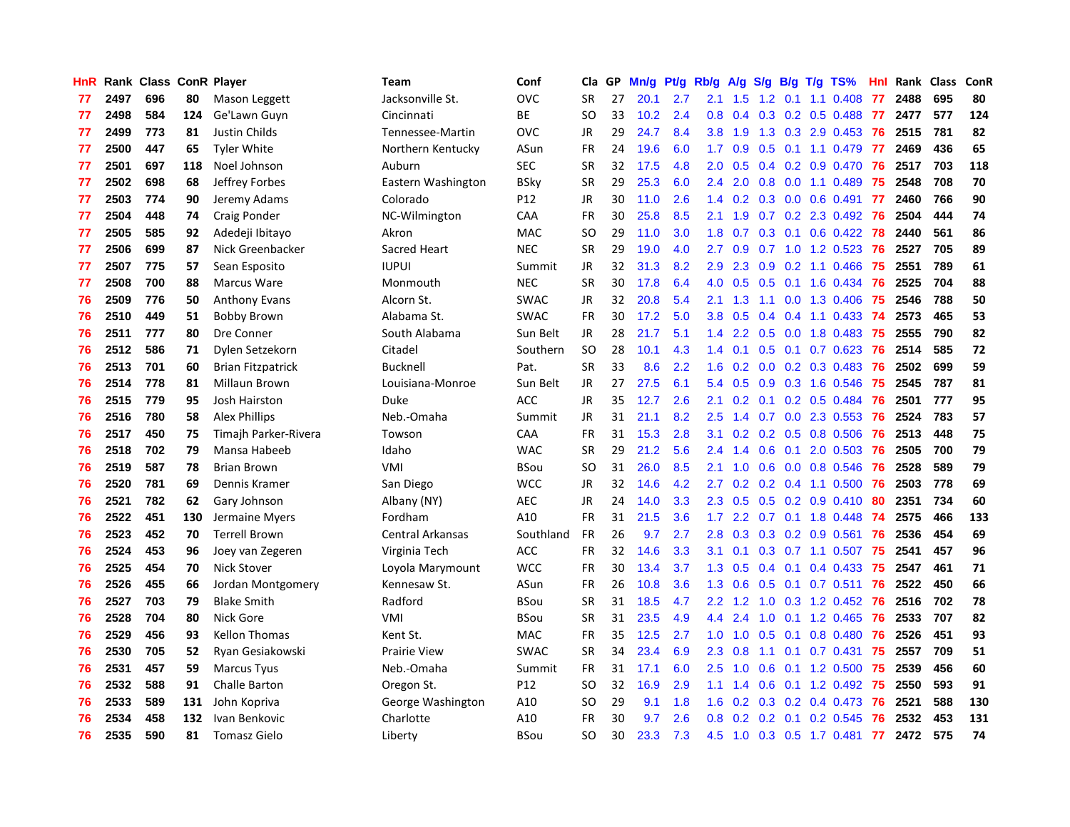| <b>HnR</b> |      | Rank Class ConR Player |     |                          | <b>Team</b>         | Conf        | Cla       | GP | Mn/g | Pt/g | Rb/g             | A/g           | S/g |     | $B/g$ T/g TS%             | Hnl |      | Rank Class | ConR |
|------------|------|------------------------|-----|--------------------------|---------------------|-------------|-----------|----|------|------|------------------|---------------|-----|-----|---------------------------|-----|------|------------|------|
| 77         | 2497 | 696                    | 80  | Mason Leggett            | Jacksonville St.    | <b>OVC</b>  | <b>SR</b> | 27 | 20.1 | 2.7  | 2.1              | 1.5           | 1.2 | 0.1 | $1.1 \quad 0.408$         | 77  | 2488 | 695        | 80   |
| 77         | 2498 | 584                    | 124 | Ge'Lawn Guyn             | Cincinnati          | ВE          | <b>SO</b> | 33 | 10.2 | 2.4  | 0.8              | 0.4           |     |     | $0.3$ 0.2 0.5 0.488       | 77  | 2477 | 577        | 124  |
| 77         | 2499 | 773                    | 81  | Justin Childs            | Tennessee-Martin    | <b>OVC</b>  | <b>JR</b> | 29 | 24.7 | 8.4  | 3.8 <sub>2</sub> | 1.9           |     |     | 1.3 0.3 2.9 0.453 76      |     | 2515 | 781        | 82   |
| 77         | 2500 | 447                    | 65  | <b>Tyler White</b>       | Northern Kentucky   | ASun        | FR        | 24 | 19.6 | 6.0  | 1.7 <sub>z</sub> | 0.9           |     |     | $0.5$ 0.1 1.1 0.479       | -77 | 2469 | 436        | 65   |
| 77         | 2501 | 697                    | 118 | Noel Johnson             | Auburn              | <b>SEC</b>  | <b>SR</b> | 32 | 17.5 | 4.8  | 2.0 <sub>1</sub> | 0.5           |     |     | 0.4 0.2 0.9 0.470         | -76 | 2517 | 703        | 118  |
| 77         | 2502 | 698                    | 68  | Jeffrey Forbes           | Eastern Washington  | <b>BSky</b> | <b>SR</b> | 29 | 25.3 | 6.0  | $2.4^{\circ}$    | 2.0           | 0.8 |     | $0.0$ 1.1 $0.489$         | 75  | 2548 | 708        | 70   |
| 77         | 2503 | 774                    | 90  | Jeremy Adams             | Colorado            | P12         | JR        | 30 | 11.0 | 2.6  | 1.4              | 0.2           |     |     | $0.3$ 0.0 0.6 0.491       | 77  | 2460 | 766        | 90   |
| 77         | 2504 | 448                    | 74  | Craig Ponder             | NC-Wilmington       | CAA         | <b>FR</b> | 30 | 25.8 | 8.5  | 2.1              | 1.9           | 0.7 |     | 0.2 2.3 0.492             | 76  | 2504 | 444        | 74   |
| 77         | 2505 | 585                    | 92  | Adedeji Ibitayo          | Akron               | <b>MAC</b>  | <b>SO</b> | 29 | 11.0 | 3.0  | 1.8              | 0.7           | 0.3 |     | $0.1$ 0.6 0.422           | 78  | 2440 | 561        | 86   |
| 77         | 2506 | 699                    | 87  | Nick Greenbacker         | Sacred Heart        | <b>NEC</b>  | <b>SR</b> | 29 | 19.0 | 4.0  | $2.7^{\circ}$    | 0.9           |     |     | 0.7 1.0 1.2 0.523         | -76 | 2527 | 705        | 89   |
| 77         | 2507 | 775                    | 57  | Sean Esposito            | <b>IUPUI</b>        | Summit      | JR        | 32 | 31.3 | 8.2  | 2.9              | 2.3           |     |     | 0.9 0.2 1.1 0.466 75      |     | 2551 | 789        | 61   |
| 77         | 2508 | 700                    | 88  | Marcus Ware              | Monmouth            | <b>NEC</b>  | <b>SR</b> | 30 | 17.8 | 6.4  | 4.0              | 0.5           |     |     | 0.5 0.1 1.6 0.434 76      |     | 2525 | 704        | 88   |
| 76         | 2509 | 776                    | 50  | <b>Anthony Evans</b>     | Alcorn St.          | <b>SWAC</b> | <b>JR</b> | 32 | 20.8 | 5.4  | 2.1              | 1.3           |     |     | 1.1 0.0 1.3 0.406         | -75 | 2546 | 788        | 50   |
| 76         | 2510 | 449                    | 51  | <b>Bobby Brown</b>       | Alabama St.         | <b>SWAC</b> | <b>FR</b> | 30 | 17.2 | 5.0  | 3.8              | 0.5           | 0.4 |     | $0.4$ 1.1 0.433           | -74 | 2573 | 465        | 53   |
| 76         | 2511 | 777                    | 80  | Dre Conner               | South Alabama       | Sun Belt    | <b>JR</b> | 28 | 21.7 | 5.1  | 1.4              | $2.2^{\circ}$ | 0.5 |     | $0.0$ 1.8 0.483           | -75 | 2555 | 790        | 82   |
| 76         | 2512 | 586                    | 71  | Dylen Setzekorn          | Citadel             | Southern    | <b>SO</b> | 28 | 10.1 | 4.3  | 1.4              | 0.1           | 0.5 |     | $0.1$ 0.7 0.623           | 76  | 2514 | 585        | 72   |
| 76         | 2513 | 701                    | 60  | <b>Brian Fitzpatrick</b> | Bucknell            | Pat.        | <b>SR</b> | 33 | 8.6  | 2.2  | 1.6              | 0.2           | 0.0 |     | $0.2$ 0.3 0.483           | 76  | 2502 | 699        | 59   |
| 76         | 2514 | 778                    | 81  | Millaun Brown            | Louisiana-Monroe    | Sun Belt    | <b>JR</b> | 27 | 27.5 | 6.1  | 5.4              | 0.5           | 0.9 |     | 0.3 1.6 0.546             | 75  | 2545 | 787        | 81   |
| 76         | 2515 | 779                    | 95  | Josh Hairston            | Duke                | <b>ACC</b>  | <b>JR</b> | 35 | 12.7 | 2.6  | 2.1              | 0.2           |     |     | $0.1$ 0.2 0.5 0.484       | -76 | 2501 | 777        | 95   |
| 76         | 2516 | 780                    | 58  | <b>Alex Phillips</b>     | Neb.-Omaha          | Summit      | <b>JR</b> | 31 | 21.1 | 8.2  | 2.5              |               |     |     | 1.4 0.7 0.0 2.3 0.553 76  |     | 2524 | 783        | 57   |
| 76         | 2517 | 450                    | 75  | Timajh Parker-Rivera     | Towson              | CAA         | <b>FR</b> | 31 | 15.3 | 2.8  | 3.1              | 0.2           |     |     | $0.2$ 0.5 0.8 0.506       | -76 | 2513 | 448        | 75   |
| 76         | 2518 | 702                    | 79  | Mansa Habeeb             | Idaho               | <b>WAC</b>  | <b>SR</b> | 29 | 21.2 | 5.6  | $2.4^{\circ}$    | 1.4           | 0.6 | 0.1 | 2.0 0.503                 | -76 | 2505 | 700        | 79   |
| 76         | 2519 | 587                    | 78  | <b>Brian Brown</b>       | <b>VMI</b>          | <b>BSou</b> | SO        | 31 | 26.0 | 8.5  | 2.1              | 1.0           | 0.6 |     | $0.0$ 0.8 0.546           | 76  | 2528 | 589        | 79   |
| 76         | 2520 | 781                    | 69  | Dennis Kramer            | San Diego           | <b>WCC</b>  | <b>JR</b> | 32 | 14.6 | 4.2  | $2.7^{\circ}$    | 0.2           |     |     | $0.2$ 0.4 1.1 0.500       | 76  | 2503 | 778        | 69   |
| 76         | 2521 | 782                    | 62  | Gary Johnson             | Albany (NY)         | <b>AEC</b>  | <b>JR</b> | 24 | 14.0 | 3.3  | 2.3              | 0.5           |     |     | $0.5$ $0.2$ $0.9$ $0.410$ | -80 | 2351 | 734        | 60   |
| 76         | 2522 | 451                    | 130 | Jermaine Myers           | Fordham             | A10         | <b>FR</b> | 31 | 21.5 | 3.6  | 1.7 <sup>2</sup> | 2.2           |     |     | $0.7$ 0.1 1.8 0.448       | -74 | 2575 | 466        | 133  |
| 76         | 2523 | 452                    | 70  | <b>Terrell Brown</b>     | Central Arkansas    | Southland   | <b>FR</b> | 26 | 9.7  | 2.7  | 2.8              | 0.3           |     |     | $0.3$ 0.2 0.9 0.561       | 76  | 2536 | 454        | 69   |
| 76         | 2524 | 453                    | 96  | Joey van Zegeren         | Virginia Tech       | <b>ACC</b>  | <b>FR</b> | 32 | 14.6 | 3.3  | 3.1              | 0.1           |     |     | 0.3 0.7 1.1 0.507 75      |     | 2541 | 457        | 96   |
| 76         | 2525 | 454                    | 70  | <b>Nick Stover</b>       | Loyola Marymount    | <b>WCC</b>  | FR        | 30 | 13.4 | 3.7  | 1.3              | 0.5           |     |     | $0.4$ 0.1 0.4 0.433       | -75 | 2547 | 461        | 71   |
| 76         | 2526 | 455                    | 66  | Jordan Montgomery        | Kennesaw St.        | ASun        | <b>FR</b> | 26 | 10.8 | 3.6  | 1.3              | 0.6           |     |     | $0.5$ 0.1 0.7 0.511       | 76  | 2522 | 450        | 66   |
| 76         | 2527 | 703                    | 79  | <b>Blake Smith</b>       | Radford             | <b>BSou</b> | <b>SR</b> | 31 | 18.5 | 4.7  | $2.2^{\circ}$    | 1.2           | 1.0 |     | $0.3$ 1.2 0.452           | -76 | 2516 | 702        | 78   |
| 76         | 2528 | 704                    | 80  | Nick Gore                | <b>VMI</b>          | <b>BSou</b> | <b>SR</b> | 31 | 23.5 | 4.9  | $4.4^{\circ}$    | 2.4           | 1.0 |     | $0.1$ 1.2 0.465           | 76  | 2533 | 707        | 82   |
| 76         | 2529 | 456                    | 93  | <b>Kellon Thomas</b>     | Kent St.            | <b>MAC</b>  | <b>FR</b> | 35 | 12.5 | 2.7  | 1.0              | 1.0           | 0.5 | 0.1 | 0.8 0.480                 | 76  | 2526 | 451        | 93   |
| 76         | 2530 | 705                    | 52  | Ryan Gesiakowski         | <b>Prairie View</b> | <b>SWAC</b> | <b>SR</b> | 34 | 23.4 | 6.9  | $2.3^{\circ}$    | 0.8           | 1.1 | 0.1 | $0.7$ 0.431               | 75  | 2557 | 709        | 51   |
| 76         | 2531 | 457                    | 59  | <b>Marcus Tyus</b>       | Neb.-Omaha          | Summit      | <b>FR</b> | 31 | 17.1 | 6.0  | 2.5              | 1.0           | 0.6 |     | $0.1$ 1.2 0.500           | -75 | 2539 | 456        | 60   |
| 76         | 2532 | 588                    | 91  | <b>Challe Barton</b>     | Oregon St.          | P12         | SO        | 32 | 16.9 | 2.9  | 1.1              | 1.4           | 0.6 |     | $0.1$ 1.2 0.492           | -75 | 2550 | 593        | 91   |
| 76         | 2533 | 589                    | 131 | John Kopriva             | George Washington   | A10         | SO        | 29 | 9.1  | 1.8  | 1.6              | 0.2           |     |     | $0.3$ 0.2 0.4 0.473       | -76 | 2521 | 588        | 130  |
| 76         | 2534 | 458                    | 132 | Ivan Benkovic            | Charlotte           | A10         | FR        | 30 | 9.7  | 2.6  | 0.8              | 0.2           | 0.2 |     | $0.1$ 0.2 0.545           | 76  | 2532 | 453        | 131  |
| 76         | 2535 | 590                    | 81  | Tomasz Gielo             | Liberty             | <b>BSou</b> | <b>SO</b> | 30 | 23.3 | 7.3  | 4.5              | 1.0           |     |     | $0.3$ $0.5$ 1.7 $0.481$   | 77  | 2472 | 575        | 74   |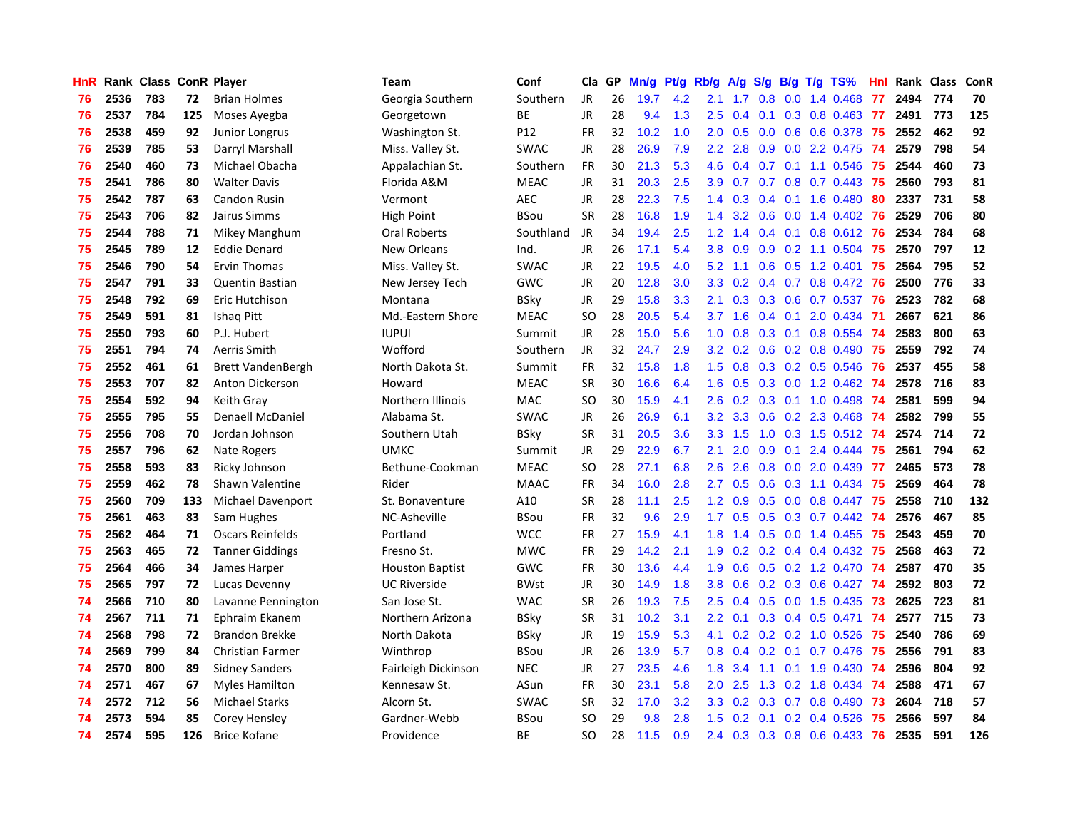| HnR |      | Rank Class ConR Player |     |                          | <b>Team</b>            | Conf        | Cla           | GP | Mn/g | Pt/g | Rb/g             | A/g       | S/g |                 | $B/g$ T/g TS%            | Hnl |      | Rank Class | ConR |
|-----|------|------------------------|-----|--------------------------|------------------------|-------------|---------------|----|------|------|------------------|-----------|-----|-----------------|--------------------------|-----|------|------------|------|
| 76  | 2536 | 783                    | 72  | <b>Brian Holmes</b>      | Georgia Southern       | Southern    | <b>JR</b>     | 26 | 19.7 | 4.2  | 2.1              | 1.7       | 0.8 | 0.0             | 1.4 0.468                | 77  | 2494 | 774        | 70   |
| 76  | 2537 | 784                    | 125 | Moses Ayegba             | Georgetown             | ВE          | JR            | 28 | 9.4  | 1.3  | 2.5              | 0.4       |     |                 | 0.1 0.3 0.8 0.463 77     |     | 2491 | 773        | 125  |
| 76  | 2538 | 459                    | 92  | Junior Longrus           | Washington St.         | P12         | <b>FR</b>     | 32 | 10.2 | 1.0  | 2.0              | 0.5       |     |                 | 0.0 0.6 0.6 0.378 75     |     | 2552 | 462        | 92   |
| 76  | 2539 | 785                    | 53  | Darryl Marshall          | Miss. Valley St.       | <b>SWAC</b> | JR            | 28 | 26.9 | 7.9  | 2.2              | 2.8       |     |                 | $0.9$ $0.0$ 2.2 $0.475$  | -74 | 2579 | 798        | 54   |
| 76  | 2540 | 460                    | 73  | Michael Obacha           | Appalachian St.        | Southern    | FR            | 30 | 21.3 | 5.3  | 4.6              | 0.4       |     |                 | $0.7$ 0.1 1.1 0.546      | 75  | 2544 | 460        | 73   |
| 75  | 2541 | 786                    | 80  | <b>Walter Davis</b>      | Florida A&M            | <b>MEAC</b> | JR            | 31 | 20.3 | 2.5  | 3.9              | 0.7       | 0.7 |                 | $0.8$ 0.7 0.443          | 75  | 2560 | 793        | 81   |
| 75  | 2542 | 787                    | 63  | Candon Rusin             | Vermont                | <b>AEC</b>  | JR            | 28 | 22.3 | 7.5  | 1.4              | 0.3       |     |                 | $0.4$ 0.1 1.6 0.480      | 80  | 2337 | 731        | 58   |
| 75  | 2543 | 706                    | 82  | Jairus Simms             | High Point             | BSou        | <b>SR</b>     | 28 | 16.8 | 1.9  | 1.4              | 3.2       | 0.6 |                 | $0.0$ 1.4 $0.402$        | -76 | 2529 | 706        | 80   |
| 75  | 2544 | 788                    | 71  | Mikey Manghum            | Oral Roberts           | Southland   | JR            | 34 | 19.4 | 2.5  | 1.2              | 1.4       |     | $0.4 \quad 0.1$ | $0.8$ 0.612              | -76 | 2534 | 784        | 68   |
| 75  | 2545 | 789                    | 12  | <b>Eddie Denard</b>      | New Orleans            | Ind.        | <b>JR</b>     | 26 | 17.1 | 5.4  | 3.8              | 0.9       | 0.9 |                 | 0.2 1.1 0.504 75         |     | 2570 | 797        | 12   |
| 75  | 2546 | 790                    | 54  | <b>Ervin Thomas</b>      | Miss. Valley St.       | <b>SWAC</b> | JR            | 22 | 19.5 | 4.0  |                  | $5.2$ 1.1 |     |                 | 0.6 0.5 1.2 0.401 75     |     | 2564 | 795        | 52   |
| 75  | 2547 | 791                    | 33  | <b>Quentin Bastian</b>   | New Jersey Tech        | GWC         | JR            | 20 | 12.8 | 3.0  | 3.3 <sub>2</sub> | 0.2       |     |                 | 0.4 0.7 0.8 0.472 76     |     | 2500 | 776        | 33   |
| 75  | 2548 | 792                    | 69  | Eric Hutchison           | Montana                | BSky        | JR            | 29 | 15.8 | 3.3  | 2.1              | 0.3       |     |                 | 0.3 0.6 0.7 0.537 76     |     | 2523 | 782        | 68   |
| 75  | 2549 | 591                    | 81  | Ishaq Pitt               | Md.-Eastern Shore      | <b>MEAC</b> | <b>SO</b>     | 28 | 20.5 | 5.4  | 3.7              | 1.6       | 0.4 | 0.1             | 2.0 0.434                | -71 | 2667 | 621        | 86   |
| 75  | 2550 | 793                    | 60  | P.J. Hubert              | <b>IUPUI</b>           | Summit      | JR            | 28 | 15.0 | 5.6  | 1.0              | 0.8       | 0.3 |                 | 0.1 0.8 0.554            | -74 | 2583 | 800        | 63   |
| 75  | 2551 | 794                    | 74  | Aerris Smith             | Wofford                | Southern    | JR            | 32 | 24.7 | 2.9  | 3.2              | 0.2       | 0.6 |                 | $0.2$ 0.8 0.490          | 75  | 2559 | 792        | 74   |
| 75  | 2552 | 461                    | 61  | <b>Brett VandenBergh</b> | North Dakota St.       | Summit      | <b>FR</b>     | 32 | 15.8 | 1.8  | $1.5^{\circ}$    | 0.8       | 0.3 |                 | $0.2$ 0.5 0.546          | 76  | 2537 | 455        | 58   |
| 75  | 2553 | 707                    | 82  | Anton Dickerson          | Howard                 | <b>MEAC</b> | <b>SR</b>     | 30 | 16.6 | 6.4  | 1.6              | 0.5       | 0.3 |                 | $0.0$ 1.2 0.462          | -74 | 2578 | 716        | 83   |
| 75  | 2554 | 592                    | 94  | Keith Gray               | Northern Illinois      | <b>MAC</b>  | <sub>SO</sub> | 30 | 15.9 | 4.1  | 2.6              | 0.2       |     |                 | 0.3 0.1 1.0 0.498 74     |     | 2581 | 599        | 94   |
| 75  | 2555 | 795                    | 55  | Denaell McDaniel         | Alabama St.            | <b>SWAC</b> | JR            | 26 | 26.9 | 6.1  | 3.2              | 3.3       |     |                 | 0.6 0.2 2.3 0.468 74     |     | 2582 | 799        | 55   |
| 75  | 2556 | 708                    | 70  | Jordan Johnson           | Southern Utah          | BSky        | <b>SR</b>     | 31 | 20.5 | 3.6  | 3.3 <sub>2</sub> | 1.5       |     |                 | 1.0 0.3 1.5 0.512 74     |     | 2574 | 714        | 72   |
| 75  | 2557 | 796                    | 62  | Nate Rogers              | <b>UMKC</b>            | Summit      | <b>JR</b>     | 29 | 22.9 | 6.7  | 2.1              | 2.0       | 0.9 | 0.1             | 2.4 0.444                | -75 | 2561 | 794        | 62   |
| 75  | 2558 | 593                    | 83  | Ricky Johnson            | Bethune-Cookman        | <b>MEAC</b> | SO.           | 28 | 27.1 | 6.8  | 2.6              | 2.6       | 0.8 |                 | $0.0$ 2.0 0.439          | 77  | 2465 | 573        | 78   |
| 75  | 2559 | 462                    | 78  | Shawn Valentine          | Rider                  | <b>MAAC</b> | <b>FR</b>     | 34 | 16.0 | 2.8  | 2.7              | 0.5       | 0.6 |                 | $0.3$ 1.1 0.434          | 75  | 2569 | 464        | 78   |
| 75  | 2560 | 709                    | 133 | Michael Davenport        | St. Bonaventure        | A10         | <b>SR</b>     | 28 | 11.1 | 2.5  | 1.2              | 0.9       | 0.5 |                 | $0.0$ 0.8 0.447          | 75  | 2558 | 710        | 132  |
| 75  | 2561 | 463                    | 83  | Sam Hughes               | NC-Asheville           | BSou        | <b>FR</b>     | 32 | 9.6  | 2.9  | 1.7              | 0.5       | 0.5 |                 | $0.3$ 0.7 0.442          | -74 | 2576 | 467        | 85   |
| 75  | 2562 | 464                    | 71  | Oscars Reinfelds         | Portland               | <b>WCC</b>  | <b>FR</b>     | 27 | 15.9 | 4.1  | 1.8              | 1.4       |     |                 | 0.5 0.0 1.4 0.455 75     |     | 2543 | 459        | 70   |
| 75  | 2563 | 465                    | 72  | <b>Tanner Giddings</b>   | Fresno St.             | <b>MWC</b>  | <b>FR</b>     | 29 | 14.2 | 2.1  | 1.9 <sup>°</sup> |           |     |                 | 0.2 0.2 0.4 0.4 0.432 75 |     | 2568 | 463        | 72   |
| 75  | 2564 | 466                    | 34  | James Harper             | <b>Houston Baptist</b> | <b>GWC</b>  | <b>FR</b>     | 30 | 13.6 | 4.4  | 1.9              | 0.6       |     |                 | 0.5 0.2 1.2 0.470 74     |     | 2587 | 470        | 35   |
| 75  | 2565 | 797                    | 72  | Lucas Devenny            | <b>UC Riverside</b>    | <b>BWst</b> | JR            | 30 | 14.9 | 1.8  | 3.8 <sub>2</sub> | 0.6       |     |                 | 0.2 0.3 0.6 0.427 74     |     | 2592 | 803        | 72   |
| 74  | 2566 | 710                    | 80  | Lavanne Pennington       | San Jose St.           | <b>WAC</b>  | <b>SR</b>     | 26 | 19.3 | 7.5  | 2.5              | 0.4       | 0.5 |                 | $0.0$ 1.5 $0.435$        | 73  | 2625 | 723        | 81   |
| 74  | 2567 | 711                    | 71  | Ephraim Ekanem           | Northern Arizona       | <b>BSky</b> | SR            | 31 | 10.2 | 3.1  | $2.2^{\circ}$    | 0.1       |     |                 | $0.3$ 0.4 0.5 0.471      | 74  | 2577 | 715        | 73   |
| 74  | 2568 | 798                    | 72  | <b>Brandon Brekke</b>    | North Dakota           | <b>BSky</b> | JR            | 19 | 15.9 | 5.3  | 4.1              | 0.2       |     |                 | 0.2 0.2 1.0 0.526        | 75  | 2540 | 786        | 69   |
| 74  | 2569 | 799                    | 84  | Christian Farmer         | Winthrop               | BSou        | JR            | 26 | 13.9 | 5.7  | 0.8              | 0.4       | 0.2 | 0.1             | 0.7 0.476                | 75  | 2556 | 791        | 83   |
| 74  | 2570 | 800                    | 89  | <b>Sidney Sanders</b>    | Fairleigh Dickinson    | <b>NEC</b>  | <b>JR</b>     | 27 | 23.5 | 4.6  | 1.8              | 3.4       | 1.1 |                 | $0.1$ 1.9 0.430          | -74 | 2596 | 804        | 92   |
| 74  | 2571 | 467                    | 67  | Myles Hamilton           | Kennesaw St.           | ASun        | <b>FR</b>     | 30 | 23.1 | 5.8  | 2.0 <sub>1</sub> | 2.5       |     |                 | 1.3 0.2 1.8 0.434        | -74 | 2588 | 471        | 67   |
| 74  | 2572 | 712                    | 56  | <b>Michael Starks</b>    | Alcorn St.             | <b>SWAC</b> | <b>SR</b>     | 32 | 17.0 | 3.2  | 3.3 <sub>2</sub> | 0.2       |     |                 | $0.3$ 0.7 0.8 0.490      | -73 | 2604 | 718        | 57   |
| 74  | 2573 | 594                    | 85  | Corey Hensley            | Gardner-Webb           | BSou        | SO            | 29 | 9.8  | 2.8  | $1.5^{\circ}$    | 0.2       |     |                 | $0.1$ 0.2 0.4 0.526      | 75  | 2566 | 597        | 84   |
| 74  | 2574 | 595                    | 126 | <b>Brice Kofane</b>      | Providence             | <b>BE</b>   | <b>SO</b>     | 28 | 11.5 | 0.9  | 2.4              | 0.3       |     |                 | $0.3$ 0.8 0.6 0.433      | 76  | 2535 | 591        | 126  |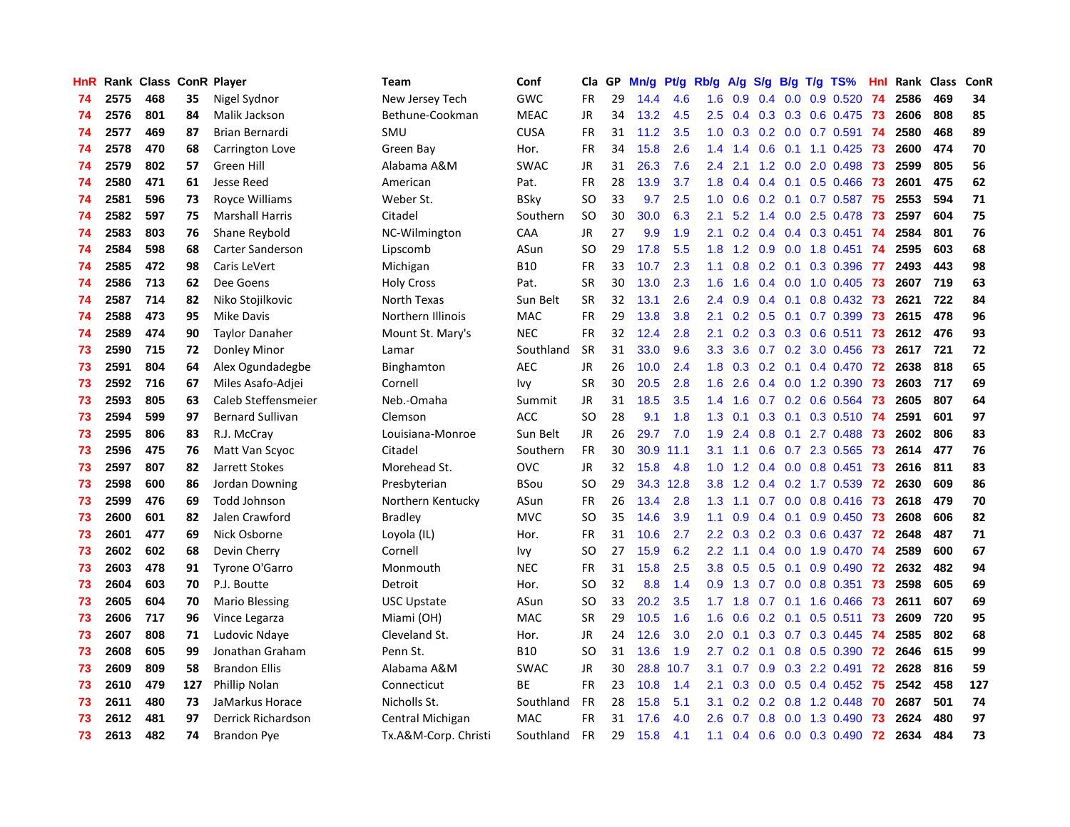| HnR |      | Rank Class ConR Player |     |                         | Team                 | Conf        | Cla           | <b>GP</b> | Mn/g | <b>Pt/g</b> | Rb/g             | A/g |     |                 | S/g B/g T/g TS%          | Hnl | Rank | <b>Class</b> | ConR |
|-----|------|------------------------|-----|-------------------------|----------------------|-------------|---------------|-----------|------|-------------|------------------|-----|-----|-----------------|--------------------------|-----|------|--------------|------|
| 74  | 2575 | 468                    | 35  | Nigel Sydnor            | New Jersey Tech      | GWC         | <b>FR</b>     | 29        | 14.4 | 4.6         | 1.6              | 0.9 | 0.4 |                 | $0.0$ $0.9$ $0.520$      | -74 | 2586 | 469          | 34   |
| 74  | 2576 | 801                    | 84  | Malik Jackson           | Bethune-Cookman      | <b>MEAC</b> | <b>JR</b>     | 34        | 13.2 | 4.5         | 2.5              |     |     |                 | 0.4 0.3 0.3 0.6 0.475 73 |     | 2606 | 808          | 85   |
| 74  | 2577 | 469                    | 87  | Brian Bernardi          | SMU                  | <b>CUSA</b> | <b>FR</b>     | 31        | 11.2 | 3.5         | 1.0              | 0.3 |     |                 | 0.2 0.0 0.7 0.591 74     |     | 2580 | 468          | 89   |
| 74  | 2578 | 470                    | 68  | Carrington Love         | Green Bay            | Hor.        | <b>FR</b>     | 34        | 15.8 | 2.6         | 1.4              | 1.4 |     |                 | $0.6$ 0.1 1.1 0.425      | -73 | 2600 | 474          | 70   |
| 74  | 2579 | 802                    | 57  | Green Hill              | Alabama A&M          | <b>SWAC</b> | JR            | 31        | 26.3 | 7.6         | 2.4              | 2.1 | 1.2 |                 | $0.0$ 2.0 0.498          | -73 | 2599 | 805          | 56   |
| 74  | 2580 | 471                    | 61  | Jesse Reed              | American             | Pat.        | <b>FR</b>     | 28        | 13.9 | 3.7         | 1.8              | 0.4 |     |                 | $0.4$ 0.1 0.5 0.466      | 73  | 2601 | 475          | 62   |
| 74  | 2581 | 596                    | 73  | Royce Williams          | Weber St.            | <b>BSky</b> | <sub>SO</sub> | 33        | 9.7  | 2.5         | 1.0              | 0.6 |     |                 | $0.2$ 0.1 0.7 0.587      | 75  | 2553 | 594          | 71   |
| 74  | 2582 | 597                    | 75  | <b>Marshall Harris</b>  | Citadel              | Southern    | SO            | 30        | 30.0 | 6.3         | 2.1              | 5.2 |     |                 | 1.4 0.0 2.5 0.478        | 73  | 2597 | 604          | 75   |
| 74  | 2583 | 803                    | 76  | Shane Reybold           | NC-Wilmington        | CAA         | <b>JR</b>     | 27        | 9.9  | 1.9         | 2.1              | 0.2 |     |                 | $0.4$ 0.4 0.3 0.451      | 74  | 2584 | 801          | 76   |
| 74  | 2584 | 598                    | 68  | Carter Sanderson        | Lipscomb             | ASun        | SO            | 29        | 17.8 | 5.5         | 1.8              | 1.2 |     |                 | $0.9$ 0.0 1.8 0.451      | -74 | 2595 | 603          | 68   |
| 74  | 2585 | 472                    | 98  | Caris LeVert            | Michigan             | <b>B10</b>  | <b>FR</b>     | 33        | 10.7 | 2.3         | 1.1              | 0.8 |     |                 | 0.2 0.1 0.3 0.396 77     |     | 2493 | 443          | 98   |
| 74  | 2586 | 713                    | 62  | Dee Goens               | <b>Holy Cross</b>    | Pat.        | <b>SR</b>     | 30        | 13.0 | 2.3         | 1.6              | 1.6 |     |                 | $0.4$ 0.0 1.0 0.405 73   |     | 2607 | 719          | 63   |
| 74  | 2587 | 714                    | 82  | Niko Stojilkovic        | North Texas          | Sun Belt    | <b>SR</b>     | 32        | 13.1 | 2.6         | 2.4              | 0.9 |     | $0.4 \quad 0.1$ | 0.8 0.432 73             |     | 2621 | 722          | 84   |
| 74  | 2588 | 473                    | 95  | <b>Mike Davis</b>       | Northern Illinois    | <b>MAC</b>  | <b>FR</b>     | 29        | 13.8 | 3.8         | 2.1              | 0.2 | 0.5 |                 | $0.1$ 0.7 0.399          | 73  | 2615 | 478          | 96   |
| 74  | 2589 | 474                    | 90  | <b>Taylor Danaher</b>   | Mount St. Mary's     | <b>NEC</b>  | <b>FR</b>     | 32        | 12.4 | 2.8         | 2.1              | 0.2 |     |                 | 0.3 0.3 0.6 0.511        | 73  | 2612 | 476          | 93   |
| 73  | 2590 | 715                    | 72  | Donley Minor            | Lamar                | Southland   | <b>SR</b>     | 31        | 33.0 | 9.6         | 3.3 <sub>2</sub> | 3.6 |     |                 | 0.7 0.2 3.0 0.456        | 73  | 2617 | 721          | 72   |
| 73  | 2591 | 804                    | 64  | Alex Ogundadegbe        | Binghamton           | <b>AEC</b>  | <b>JR</b>     | 26        | 10.0 | 2.4         | 1.8              | 0.3 | 0.2 | 0.1             | 0.4 0.470                | 72  | 2638 | 818          | 65   |
| 73  | 2592 | 716                    | 67  | Miles Asafo-Adjei       | Cornell              | lvy         | <b>SR</b>     | 30        | 20.5 | 2.8         | 1.6              | 2.6 |     |                 | 0.4 0.0 1.2 0.390        | 73  | 2603 | 717          | 69   |
| 73  | 2593 | 805                    | 63  | Caleb Steffensmeier     | Neb.-Omaha           | Summit      | JR            | 31        | 18.5 | 3.5         | 1.4              | 1.6 |     |                 | 0.7 0.2 0.6 0.564        | 73  | 2605 | 807          | 64   |
| 73  | 2594 | 599                    | 97  | <b>Bernard Sullivan</b> | Clemson              | <b>ACC</b>  | <sub>SO</sub> | 28        | 9.1  | 1.8         | 1.3              | 0.1 |     |                 | 0.3 0.1 0.3 0.510 74     |     | 2591 | 601          | 97   |
| 73  | 2595 | 806                    | 83  | R.J. McCray             | Louisiana-Monroe     | Sun Belt    | JR            | 26        | 29.7 | 7.0         | 1.9              | 2.4 |     |                 | $0.8$ 0.1 2.7 0.488      | -73 | 2602 | 806          | 83   |
| 73  | 2596 | 475                    | 76  | Matt Van Scyoc          | Citadel              | Southern    | <b>FR</b>     | 30        | 30.9 | 11.1        | 3.1              | 1.1 | 0.6 |                 | 0.7 2.3 0.565            | 73  | 2614 | 477          | 76   |
| 73  | 2597 | 807                    | 82  | Jarrett Stokes          | Morehead St.         | ovc         | JR            | 32        | 15.8 | 4.8         | 1.0              | 1.2 |     |                 | $0.4$ 0.0 0.8 0.451      | 73  | 2616 | 811          | 83   |
| 73  | 2598 | 600                    | 86  | Jordan Downing          | Presbyterian         | <b>BSou</b> | <b>SO</b>     | 29        | 34.3 | 12.8        | 3.8              | 1.2 |     |                 | 0.4 0.2 1.7 0.539        | 72  | 2630 | 609          | 86   |
| 73  | 2599 | 476                    | 69  | Todd Johnson            | Northern Kentucky    | ASun        | FR            | 26        | 13.4 | 2.8         | 1.3              | 1.1 |     |                 | $0.7$ 0.0 0.8 0.416      | 73  | 2618 | 479          | 70   |
| 73  | 2600 | 601                    | 82  | Jalen Crawford          | <b>Bradley</b>       | <b>MVC</b>  | <sub>SO</sub> | 35        | 14.6 | 3.9         | 1.1              | 0.9 |     | $0.4 \quad 0.1$ | $0.9$ 0.450              | 73  | 2608 | 606          | 82   |
| 73  | 2601 | 477                    | 69  | Nick Osborne            | Loyola (IL)          | Hor.        | FR            | 31        | 10.6 | 2.7         | $2.2^{\circ}$    | 0.3 |     |                 | 0.2 0.3 0.6 0.437 72     |     | 2648 | 487          | 71   |
| 73  | 2602 | 602                    | 68  | Devin Cherry            | Cornell              | Ivy         | <b>SO</b>     | 27        | 15.9 | 6.2         | 2.2              | 1.1 |     |                 | 0.4 0.0 1.9 0.470 74     |     | 2589 | 600          | 67   |
| 73  | 2603 | 478                    | 91  | Tyrone O'Garro          | Monmouth             | <b>NEC</b>  | <b>FR</b>     | 31        | 15.8 | 2.5         | 3.8 <sub>2</sub> | 0.5 |     |                 | $0.5$ 0.1 0.9 0.490      | 72  | 2632 | 482          | 94   |
| 73  | 2604 | 603                    | 70  | P.J. Boutte             | Detroit              | Hor.        | SO            | 32        | 8.8  | 1.4         | 0.9 <sup>°</sup> | 1.3 |     |                 | $0.7$ 0.0 0.8 0.351      | -73 | 2598 | 605          | 69   |
| 73  | 2605 | 604                    | 70  | <b>Mario Blessing</b>   | USC Upstate          | ASun        | <b>SO</b>     | 33        | 20.2 | 3.5         | 1.7              | 1.8 | 0.7 |                 | $0.1$ 1.6 0.466          | -73 | 2611 | 607          | 69   |
| 73  | 2606 | 717                    | 96  | Vince Legarza           | Miami (OH)           | <b>MAC</b>  | <b>SR</b>     | 29        | 10.5 | 1.6         | 1.6              | 0.6 |     |                 | $0.2$ 0.1 0.5 0.511      | 73  | 2609 | 720          | 95   |
| 73  | 2607 | 808                    | 71  | Ludovic Ndaye           | Cleveland St.        | Hor.        | <b>JR</b>     | 24        | 12.6 | 3.0         | 2.0              | 0.1 | 0.3 |                 | $0.7$ $0.3$ $0.445$      | 74  | 2585 | 802          | 68   |
| 73  | 2608 | 605                    | 99  | Jonathan Graham         | Penn St.             | <b>B10</b>  | SO            | 31        | 13.6 | 1.9         | 2.7              | 0.2 | 0.1 |                 | 0.8 0.5 0.390            | 72  | 2646 | 615          | 99   |
| 73  | 2609 | 809                    | 58  | <b>Brandon Ellis</b>    | Alabama A&M          | <b>SWAC</b> | JR            | 30        | 28.8 | 10.7        | 3.1              | 0.7 | 0.9 |                 | 0.3 2.2 0.491            | 72  | 2628 | 816          | 59   |
| 73  | 2610 | 479                    | 127 | Phillip Nolan           | Connecticut          | ВE          | <b>FR</b>     | 23        | 10.8 | 1.4         | 2.1              | 0.3 | 0.0 |                 | $0.5$ 0.4 0.452          | -75 | 2542 | 458          | 127  |
| 73  | 2611 | 480                    | 73  | JaMarkus Horace         | Nicholls St.         | Southland   | <b>FR</b>     | 28        | 15.8 | 5.1         | 3.1              | 0.2 |     |                 | $0.2$ 0.8 1.2 0.448      | 70  | 2687 | 501          | 74   |
| 73  | 2612 | 481                    | 97  | Derrick Richardson      | Central Michigan     | <b>MAC</b>  | FR            | 31        | 17.6 | 4.0         | $2.6\,$          | 0.7 | 0.8 |                 | $0.0$ 1.3 0.490          | 73  | 2624 | 480          | 97   |
| 73  | 2613 | 482                    | 74  | Brandon Pye             | Tx.A&M-Corp. Christi | Southland   | <b>FR</b>     | 29        | 15.8 | 4.1         | 1.1              | 0.4 |     |                 | 0.6 0.0 0.3 0.490        | 72  | 2634 | 484          | 73   |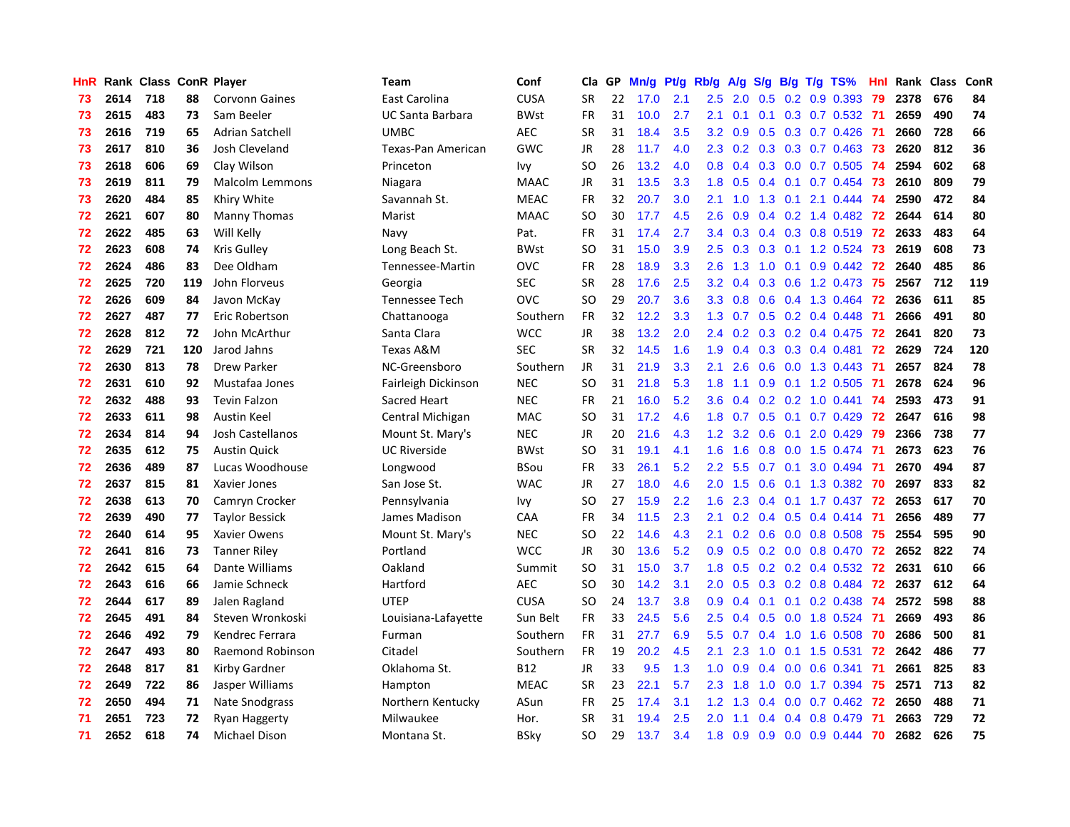| <b>HnR</b> |      | Rank Class ConR Player |     |                        | Team                    | Conf        | Cla       | GP | Mn/g | Pt/g | Rb/g             | A/g             |                  |     | S/g B/g T/g TS%           | Hnl | Rank | Class | ConR |
|------------|------|------------------------|-----|------------------------|-------------------------|-------------|-----------|----|------|------|------------------|-----------------|------------------|-----|---------------------------|-----|------|-------|------|
| 73         | 2614 | 718                    | 88  | <b>Corvonn Gaines</b>  | East Carolina           | <b>CUSA</b> | <b>SR</b> | 22 | 17.0 | 2.1  | $2.5\,$          | 2.0             | 0.5              |     | $0.2$ 0.9 0.393           | 79  | 2378 | 676   | 84   |
| 73         | 2615 | 483                    | 73  | Sam Beeler             | <b>UC Santa Barbara</b> | <b>BWst</b> | <b>FR</b> | 31 | 10.0 | 2.7  | 2.1              | 0.1             |                  |     | 0.1 0.3 0.7 0.532 71      |     | 2659 | 490   | 74   |
| 73         | 2616 | 719                    | 65  | Adrian Satchell        | <b>UMBC</b>             | <b>AEC</b>  | <b>SR</b> | 31 | 18.4 | 3.5  | 3.2              | 0.9             |                  |     | 0.5 0.3 0.7 0.426 71      |     | 2660 | 728   | 66   |
| 73         | 2617 | 810                    | 36  | Josh Cleveland         | Texas-Pan American      | GWC         | <b>JR</b> | 28 | 11.7 | 4.0  | $2.3^{\circ}$    | 0.2             |                  |     | $0.3$ $0.3$ $0.7$ $0.463$ | -73 | 2620 | 812   | 36   |
| 73         | 2618 | 606                    | 69  | Clay Wilson            | Princeton               | Ivy         | <b>SO</b> | 26 | 13.2 | 4.0  | 0.8              | 0.4             |                  |     | $0.3$ 0.0 0.7 0.505       | -74 | 2594 | 602   | 68   |
| 73         | 2619 | 811                    | 79  | <b>Malcolm Lemmons</b> | Niagara                 | <b>MAAC</b> | <b>JR</b> | 31 | 13.5 | 3.3  | 1.8              | 0.5             |                  |     | $0.4$ 0.1 0.7 0.454       | -73 | 2610 | 809   | 79   |
| 73         | 2620 | 484                    | 85  | Khiry White            | Savannah St.            | <b>MEAC</b> | <b>FR</b> | 32 | 20.7 | 3.0  | 2.1              | 1.0             | 1.3              |     | $0.1$ 2.1 0.444           | 74  | 2590 | 472   | 84   |
| 72         | 2621 | 607                    | 80  | Manny Thomas           | Marist                  | <b>MAAC</b> | SO        | 30 | 17.7 | 4.5  | 2.6              | 0.9             |                  |     | $0.4$ 0.2 1.4 0.482       | 72  | 2644 | 614   | 80   |
| 72         | 2622 | 485                    | 63  | Will Kelly             | Navy                    | Pat.        | <b>FR</b> | 31 | 17.4 | 2.7  | $3.4^{\circ}$    | 0.3             |                  |     | $0.4$ 0.3 0.8 0.519       | 72  | 2633 | 483   | 64   |
| 72         | 2623 | 608                    | 74  | Kris Gulley            | Long Beach St.          | <b>BWst</b> | SO        | 31 | 15.0 | 3.9  | 2.5              | 0.3             |                  |     | 0.3 0.1 1.2 0.524 73      |     | 2619 | 608   | 73   |
| 72         | 2624 | 486                    | 83  | Dee Oldham             | Tennessee-Martin        | <b>OVC</b>  | <b>FR</b> | 28 | 18.9 | 3.3  | 2.6              | 1.3             |                  |     | 1.0 0.1 0.9 0.442 72      |     | 2640 | 485   | 86   |
| 72         | 2625 | 720                    | 119 | John Florveus          | Georgia                 | <b>SEC</b>  | SR.       | 28 | 17.6 | 2.5  | 3.2 <sub>2</sub> | 0.4             |                  |     | 0.3 0.6 1.2 0.473 75      |     | 2567 | 712   | 119  |
| 72         | 2626 | 609                    | 84  | Javon McKay            | Tennessee Tech          | <b>OVC</b>  | <b>SO</b> | 29 | 20.7 | 3.6  | 3.3 <sub>1</sub> | 0.8             | 0.6              |     | 0.4 1.3 0.464 72          |     | 2636 | 611   | 85   |
| 72         | 2627 | 487                    | 77  | Eric Robertson         | Chattanooga             | Southern    | <b>FR</b> | 32 | 12.2 | 3.3  | 1.3              | 0.7             |                  |     | $0.5$ 0.2 0.4 0.448       | -71 | 2666 | 491   | 80   |
| 72         | 2628 | 812                    | 72  | John McArthur          | Santa Clara             | <b>WCC</b>  | <b>JR</b> | 38 | 13.2 | 2.0  | $2.4^{\circ}$    | 0.2             |                  |     | 0.3 0.2 0.4 0.475         | -72 | 2641 | 820   | 73   |
| 72         | 2629 | 721                    | 120 | Jarod Jahns            | Texas A&M               | <b>SEC</b>  | <b>SR</b> | 32 | 14.5 | 1.6  | 1.9              | 0.4             | 0.3              |     | $0.3$ 0.4 0.481           | 72  | 2629 | 724   | 120  |
| 72         | 2630 | 813                    | 78  | <b>Drew Parker</b>     | NC-Greensboro           | Southern    | <b>JR</b> | 31 | 21.9 | 3.3  | 2.1              | 2.6             | 0.6              |     | $0.0$ 1.3 0.443           | 71  | 2657 | 824   | 78   |
| 72         | 2631 | 610                    | 92  | Mustafaa Jones         | Fairleigh Dickinson     | <b>NEC</b>  | <b>SO</b> | 31 | 21.8 | 5.3  | 1.8              | 1.1             | 0.9 <sub>0</sub> |     | $0.1$ 1.2 0.505           | -71 | 2678 | 624   | 96   |
| 72         | 2632 | 488                    | 93  | <b>Tevin Falzon</b>    | Sacred Heart            | <b>NEC</b>  | FR        | 21 | 16.0 | 5.2  | 3.6 <sup>°</sup> |                 |                  |     | $0.4$ 0.2 0.2 1.0 0.441   | 74  | 2593 | 473   | 91   |
| 72         | 2633 | 611                    | 98  | Austin Keel            | Central Michigan        | <b>MAC</b>  | <b>SO</b> | 31 | 17.2 | 4.6  |                  | $1.8 \quad 0.7$ |                  |     | $0.5$ 0.1 0.7 0.429       | -72 | 2647 | 616   | 98   |
| 72         | 2634 | 814                    | 94  | Josh Castellanos       | Mount St. Mary's        | <b>NEC</b>  | JR        | 20 | 21.6 | 4.3  | 1.2 <sub>1</sub> | 3.2             |                  |     | $0.6$ 0.1 2.0 0.429       | 79  | 2366 | 738   | 77   |
| 72         | 2635 | 612                    | 75  | <b>Austin Quick</b>    | <b>UC Riverside</b>     | <b>BWst</b> | <b>SO</b> | 31 | 19.1 | 4.1  | 1.6              | 1.6             | 0.8              |     | $0.0$ 1.5 0.474           | -71 | 2673 | 623   | 76   |
| 72         | 2636 | 489                    | 87  | Lucas Woodhouse        | Longwood                | <b>BSou</b> | FR        | 33 | 26.1 | 5.2  | $2.2\phantom{0}$ | 5.5             | 0.7              | 0.1 | 3.0 0.494                 | -71 | 2670 | 494   | 87   |
| 72         | 2637 | 815                    | 81  | Xavier Jones           | San Jose St.            | <b>WAC</b>  | JR        | 27 | 18.0 | 4.6  | 2.0              | 1.5             | 0.6              |     | 0.1 1.3 0.382             | 70  | 2697 | 833   | 82   |
| 72         | 2638 | 613                    | 70  | Camryn Crocker         | Pennsylvania            | Ivy         | SO        | 27 | 15.9 | 2.2  | 1.6              | 2.3             |                  |     | $0.4$ 0.1 1.7 0.437       | 72  | 2653 | 617   | 70   |
| 72         | 2639 | 490                    | 77  | <b>Taylor Bessick</b>  | James Madison           | CAA         | FR        | 34 | 11.5 | 2.3  | 2.1              | 0.2             |                  |     | $0.4$ 0.5 0.4 0.414       | -71 | 2656 | 489   | 77   |
| 72         | 2640 | 614                    | 95  | Xavier Owens           | Mount St. Mary's        | <b>NEC</b>  | <b>SO</b> | 22 | 14.6 | 4.3  | 2.1              | 0.2             |                  |     | 0.6 0.0 0.8 0.508 75      |     | 2554 | 595   | 90   |
| 72         | 2641 | 816                    | 73  | <b>Tanner Riley</b>    | Portland                | <b>WCC</b>  | <b>JR</b> | 30 | 13.6 | 5.2  | 0.9 <sup>°</sup> | 0.5             |                  |     | 0.2 0.0 0.8 0.470 72      |     | 2652 | 822   | 74   |
| 72         | 2642 | 615                    | 64  | Dante Williams         | Oakland                 | Summit      | <b>SO</b> | 31 | 15.0 | 3.7  | 1.8              | 0.5             |                  |     | $0.2$ 0.2 0.4 0.532 72    |     | 2631 | 610   | 66   |
| 72         | 2643 | 616                    | 66  | Jamie Schneck          | Hartford                | <b>AEC</b>  | <b>SO</b> | 30 | 14.2 | 3.1  | 2.0 <sub>1</sub> | 0.5             |                  |     | 0.3 0.2 0.8 0.484 72      |     | 2637 | 612   | 64   |
| 72         | 2644 | 617                    | 89  | Jalen Ragland          | <b>UTEP</b>             | <b>CUSA</b> | <b>SO</b> | 24 | 13.7 | 3.8  | 0.9 <sub>0</sub> | 0.4             | 0.1              | 0.1 | $0.2$ 0.438               | -74 | 2572 | 598   | 88   |
| 72         | 2645 | 491                    | 84  | Steven Wronkoski       | Louisiana-Lafayette     | Sun Belt    | <b>FR</b> | 33 | 24.5 | 5.6  | 2.5              | 0.4             | 0.5              |     | 0.0 1.8 0.524             | -71 | 2669 | 493   | 86   |
| 72         | 2646 | 492                    | 79  | Kendrec Ferrara        | Furman                  | Southern    | <b>FR</b> | 31 | 27.7 | 6.9  | 5.5              | 0.7             | $0.4^{\circ}$    |     | 1.0 1.6 0.508             | -70 | 2686 | 500   | 81   |
| 72         | 2647 | 493                    | 80  | Raemond Robinson       | Citadel                 | Southern    | <b>FR</b> | 19 | 20.2 | 4.5  | 2.1              | 2.3             | 1.0              |     | $0.1$ 1.5 0.531           | 72  | 2642 | 486   | 77   |
| 72         | 2648 | 817                    | 81  | Kirby Gardner          | Oklahoma St.            | <b>B12</b>  | <b>JR</b> | 33 | 9.5  | 1.3  | 1.0              | 0.9             | 0.4              |     | $0.0 \t0.6 \t0.341$       | -71 | 2661 | 825   | 83   |
| 72         | 2649 | 722                    | 86  | Jasper Williams        | Hampton                 | <b>MEAC</b> | <b>SR</b> | 23 | 22.1 | 5.7  | $2.3^{\circ}$    | 1.8             | 1.0              |     | $0.0$ 1.7 0.394           | -75 | 2571 | 713   | 82   |
| 72         | 2650 | 494                    | 71  | Nate Snodgrass         | Northern Kentucky       | ASun        | FR.       | 25 | 17.4 | 3.1  | 1.2 <sub>1</sub> | 1.3             | $0.4^{\circ}$    |     | $0.0$ 0.7 0.462           | -72 | 2650 | 488   | 71   |
| 71         | 2651 | 723                    | 72  | <b>Ryan Haggerty</b>   | Milwaukee               | Hor.        | <b>SR</b> | 31 | 19.4 | 2.5  | 2.0 <sub>1</sub> | 1.1             |                  |     | $0.4$ 0.4 0.8 0.479       | -71 | 2663 | 729   | 72   |
| 71         | 2652 | 618                    | 74  | Michael Dison          | Montana St.             | <b>BSkv</b> | <b>SO</b> | 29 | 13.7 | 3.4  | 1.8              | 0.9             |                  |     | $0.9$ 0.0 0.9 0.444       | 70  | 2682 | 626   | 75   |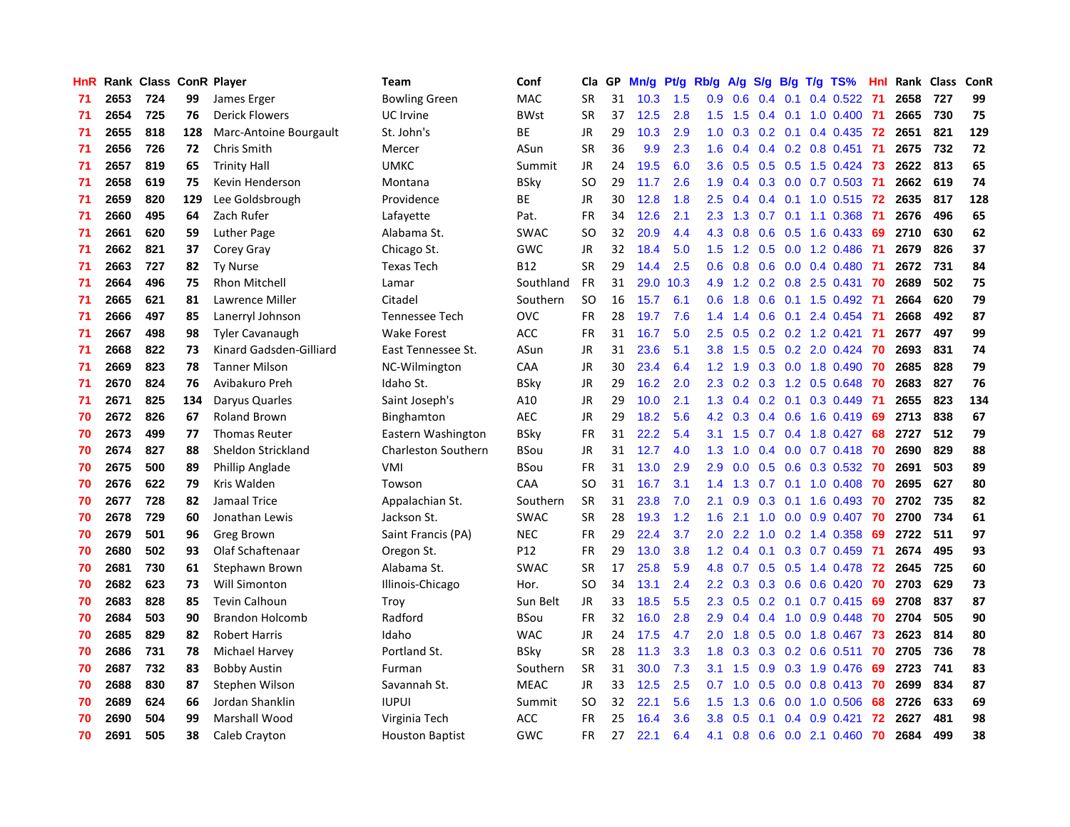| HnR |      | Rank Class ConR Player |     |                         | <b>Team</b>                | Conf        | Cla       | GP | Mn/g | Pt/g | Rb/g             | A/g            | S/g |     | $B/g$ T/g TS%             | Hnl |      | Rank Class | ConR |
|-----|------|------------------------|-----|-------------------------|----------------------------|-------------|-----------|----|------|------|------------------|----------------|-----|-----|---------------------------|-----|------|------------|------|
| 71  | 2653 | 724                    | 99  | James Erger             | <b>Bowling Green</b>       | MAC         | <b>SR</b> | 31 | 10.3 | 1.5  | 0.9              | 0.6            | 0.4 | 0.1 | $0.4$ 0.522               | -71 | 2658 | 727        | 99   |
| 71  | 2654 | 725                    | 76  | <b>Derick Flowers</b>   | UC Irvine                  | <b>BWst</b> | <b>SR</b> | 37 | 12.5 | 2.8  | 1.5              | 1.5            |     |     | 0.4 0.1 1.0 0.400 71      |     | 2665 | 730        | 75   |
| 71  | 2655 | 818                    | 128 | Marc-Antoine Bourgault  | St. John's                 | <b>BE</b>   | JR        | 29 | 10.3 | 2.9  | 1.0 <sub>1</sub> | 0.3            |     |     | 0.2 0.1 0.4 0.435 72      |     | 2651 | 821        | 129  |
| 71  | 2656 | 726                    | 72  | Chris Smith             | Mercer                     | ASun        | <b>SR</b> | 36 | 9.9  | 2.3  | 1.6              | 0.4            |     |     | $0.4$ 0.2 0.8 0.451       | -71 | 2675 | 732        | 72   |
| 71  | 2657 | 819                    | 65  | <b>Trinity Hall</b>     | <b>UMKC</b>                | Summit      | <b>JR</b> | 24 | 19.5 | 6.0  | 3.6 <sup>°</sup> | 0.5            |     |     | 0.5 0.5 1.5 0.424         | -73 | 2622 | 813        | 65   |
| 71  | 2658 | 619                    | 75  | Kevin Henderson         | Montana                    | <b>BSky</b> | <b>SO</b> | 29 | 11.7 | 2.6  | 1.9              | 0.4            |     |     | $0.3$ 0.0 0.7 0.503       | -71 | 2662 | 619        | 74   |
| 71  | 2659 | 820                    | 129 | Lee Goldsbrough         | Providence                 | BE          | JR        | 30 | 12.8 | 1.8  | $2.5\,$          | 0.4            |     |     | $0.4$ 0.1 1.0 0.515       | 72  | 2635 | 817        | 128  |
| 71  | 2660 | 495                    | 64  | Zach Rufer              | Lafayette                  | Pat.        | <b>FR</b> | 34 | 12.6 | 2.1  | 2.3              | 1.3            | 0.7 |     | $0.1$ 1.1 $0.368$         | -71 | 2676 | 496        | 65   |
| 71  | 2661 | 620                    | 59  | <b>Luther Page</b>      | Alabama St.                | <b>SWAC</b> | <b>SO</b> | 32 | 20.9 | 4.4  | 4.3              | 0.8            | 0.6 |     | $0.5$ 1.6 0.433           | 69  | 2710 | 630        | 62   |
| 71  | 2662 | 821                    | 37  | Corey Gray              | Chicago St.                | GWC         | <b>JR</b> | 32 | 18.4 | 5.0  | 1.5              | 1.2            | 0.5 |     | 0.0 1.2 0.486             | -71 | 2679 | 826        | 37   |
| 71  | 2663 | 727                    | 82  | <b>Ty Nurse</b>         | <b>Texas Tech</b>          | <b>B12</b>  | <b>SR</b> | 29 | 14.4 | 2.5  |                  | $0.6$ 0.8      |     |     | 0.6 0.0 0.4 0.480 71      |     | 2672 | 731        | 84   |
| 71  | 2664 | 496                    | 75  | <b>Rhon Mitchell</b>    | Lamar                      | Southland   | <b>FR</b> | 31 | 29.0 | 10.3 | 4.9              | 1.2            |     |     | 0.2 0.8 2.5 0.431 70      |     | 2689 | 502        | 75   |
| 71  | 2665 | 621                    | 81  | Lawrence Miller         | Citadel                    | Southern    | <b>SO</b> | 16 | 15.7 | 6.1  | 0.6              | 1.8            | 0.6 |     | 0.1 1.5 0.492 71          |     | 2664 | 620        | 79   |
| 71  | 2666 | 497                    | 85  | Lanerryl Johnson        | <b>Tennessee Tech</b>      | <b>OVC</b>  | <b>FR</b> | 28 | 19.7 | 7.6  | 1.4              | 1.4            | 0.6 | 0.1 | 2.4 0.454                 | -71 | 2668 | 492        | 87   |
| 71  | 2667 | 498                    | 98  | <b>Tyler Cavanaugh</b>  | <b>Wake Forest</b>         | <b>ACC</b>  | FR        | 31 | 16.7 | 5.0  | 2.5              | 0.5            |     |     | $0.2$ $0.2$ 1.2 $0.421$   | -71 | 2677 | 497        | 99   |
| 71  | 2668 | 822                    | 73  | Kinard Gadsden-Gilliard | East Tennessee St.         | ASun        | JR        | 31 | 23.6 | 5.1  | 3.8              | 1.5            | 0.5 |     | $0.2$ 2.0 $0.424$         | 70  | 2693 | 831        | 74   |
| 71  | 2669 | 823                    | 78  | <b>Tanner Milson</b>    | NC-Wilmington              | CAA         | JR        | 30 | 23.4 | 6.4  | 1.2              | 1.9            | 0.3 |     | $0.0$ 1.8 $0.490$         | 70  | 2685 | 828        | 79   |
| 71  | 2670 | 824                    | 76  | Avibakuro Preh          | Idaho St.                  | <b>BSky</b> | <b>JR</b> | 29 | 16.2 | 2.0  | 2.3              | 0.2            | 0.3 |     | 1.2 0.5 0.648             | 70  | 2683 | 827        | 76   |
| 71  | 2671 | 825                    | 134 | Daryus Quarles          | Saint Joseph's             | A10         | JR        | 29 | 10.0 | 2.1  | 1.3              |                |     |     | $0.4$ 0.2 0.1 0.3 0.449   | -71 | 2655 | 823        | 134  |
| 70  | 2672 | 826                    | 67  | <b>Roland Brown</b>     | Binghamton                 | <b>AEC</b>  | JR        | 29 | 18.2 | 5.6  |                  | $4.2\quad 0.3$ |     |     | $0.4$ 0.6 1.6 0.419       | -69 | 2713 | 838        | 67   |
| 70  | 2673 | 499                    | 77  | <b>Thomas Reuter</b>    | Eastern Washington         | <b>BSky</b> | FR        | 31 | 22.2 | 5.4  | 3.1              | 1.5            |     |     | $0.7$ 0.4 1.8 0.427       | 68  | 2727 | 512        | 79   |
| 70  | 2674 | 827                    | 88  | Sheldon Strickland      | <b>Charleston Southern</b> | <b>BSou</b> | JR        | 31 | 12.7 | 4.0  | 1.3              | 1.0            |     |     | $0.4$ 0.0 0.7 0.418       | -70 | 2690 | 829        | 88   |
| 70  | 2675 | 500                    | 89  | Phillip Anglade         | <b>VMI</b>                 | <b>BSou</b> | <b>FR</b> | 31 | 13.0 | 2.9  | 2.9              | 0.0            | 0.5 |     | $0.6$ 0.3 0.532           | 70  | 2691 | 503        | 89   |
| 70  | 2676 | 622                    | 79  | Kris Walden             | Towson                     | CAA         | <b>SO</b> | 31 | 16.7 | 3.1  | 1.4              | 1.3            | 0.7 |     | $0.1$ 1.0 0.408           | 70  | 2695 | 627        | 80   |
| 70  | 2677 | 728                    | 82  | Jamaal Trice            | Appalachian St.            | Southern    | <b>SR</b> | 31 | 23.8 | 7.0  | 2.1              | 0.9            | 0.3 |     | $0.1$ 1.6 0.493           | 70  | 2702 | 735        | 82   |
| 70  | 2678 | 729                    | 60  | Jonathan Lewis          | Jackson St.                | <b>SWAC</b> | <b>SR</b> | 28 | 19.3 | 1.2  | 1.6              | 2.1            | 1.0 |     | $0.0$ $0.9$ $0.407$       | -70 | 2700 | 734        | 61   |
| 70  | 2679 | 501                    | 96  | <b>Greg Brown</b>       | Saint Francis (PA)         | <b>NEC</b>  | <b>FR</b> | 29 | 22.4 | 3.7  | 2.0 <sub>1</sub> | 2.2            | 1.0 |     | $0.2$ 1.4 0.358           | 69  | 2722 | 511        | 97   |
| 70  | 2680 | 502                    | 93  | Olaf Schaftenaar        | Oregon St.                 | P12         | <b>FR</b> | 29 | 13.0 | 3.8  |                  |                |     |     | 1.2 0.4 0.1 0.3 0.7 0.459 | -71 | 2674 | 495        | 93   |
| 70  | 2681 | 730                    | 61  | Stephawn Brown          | Alabama St.                | <b>SWAC</b> | <b>SR</b> | 17 | 25.8 | 5.9  |                  | 4.8 0.7        |     |     | 0.5 0.5 1.4 0.478 72      |     | 2645 | 725        | 60   |
| 70  | 2682 | 623                    | 73  | Will Simonton           | Illinois-Chicago           | Hor.        | SO        | 34 | 13.1 | 2.4  | $2.2^{\circ}$    | 0.3            |     |     | 0.3 0.6 0.6 0.420         | -70 | 2703 | 629        | 73   |
| 70  | 2683 | 828                    | 85  | <b>Tevin Calhoun</b>    | Troy                       | Sun Belt    | JR        | 33 | 18.5 | 5.5  | 2.3              | 0.5            | 0.2 |     | $0.1$ 0.7 0.415           | -69 | 2708 | 837        | 87   |
| 70  | 2684 | 503                    | 90  | <b>Brandon Holcomb</b>  | Radford                    | <b>BSou</b> | FR        | 32 | 16.0 | 2.8  | 2.9 <sup>°</sup> | 0.4            | 0.4 |     | $1.0$ 0.9 0.448           | -70 | 2704 | 505        | 90   |
| 70  | 2685 | 829                    | 82  | <b>Robert Harris</b>    | Idaho                      | <b>WAC</b>  | JR        | 24 | 17.5 | 4.7  | 2.0              | 1.8            | 0.5 |     | $0.0$ 1.8 $0.467$         | 73  | 2623 | 814        | 80   |
| 70  | 2686 | 731                    | 78  | Michael Harvey          | Portland St.               | BSky        | <b>SR</b> | 28 | 11.3 | 3.3  | 1.8              | 0.3            | 0.3 |     | $0.2$ 0.6 0.511           | 70  | 2705 | 736        | 78   |
| 70  | 2687 | 732                    | 83  | Bobby Austin            | Furman                     | Southern    | <b>SR</b> | 31 | 30.0 | 7.3  | 3.1              | 1.5            | 0.9 |     | 0.3 1.9 0.476             | 69  | 2723 | 741        | 83   |
| 70  | 2688 | 830                    | 87  | Stephen Wilson          | Savannah St.               | <b>MEAC</b> | <b>JR</b> | 33 | 12.5 | 2.5  | 0.7              | 1.0            | 0.5 |     | 0.0 0.8 0.413 70          |     | 2699 | 834        | 87   |
| 70  | 2689 | 624                    | 66  | Jordan Shanklin         | <b>IUPUI</b>               | Summit      | SO        | 32 | 22.1 | 5.6  | 1.5              | 1.3            | 0.6 |     | $0.0$ 1.0 0.506           | 68  | 2726 | 633        | 69   |
| 70  | 2690 | 504                    | 99  | <b>Marshall Wood</b>    | Virginia Tech              | ACC         | FR        | 25 | 16.4 | 3.6  | 3.8 <sub>2</sub> | 0.5            | 0.1 |     | $0.4$ 0.9 0.421           | 72  | 2627 | 481        | 98   |
| 70  | 2691 | 505                    | 38  | Caleb Crayton           | <b>Houston Baptist</b>     | GWC         | <b>FR</b> | 27 | 22.1 | 6.4  | 4.1              | 0.8            |     |     | $0.6$ $0.0$ 2.1 $0.460$   | 70  | 2684 | 499        | 38   |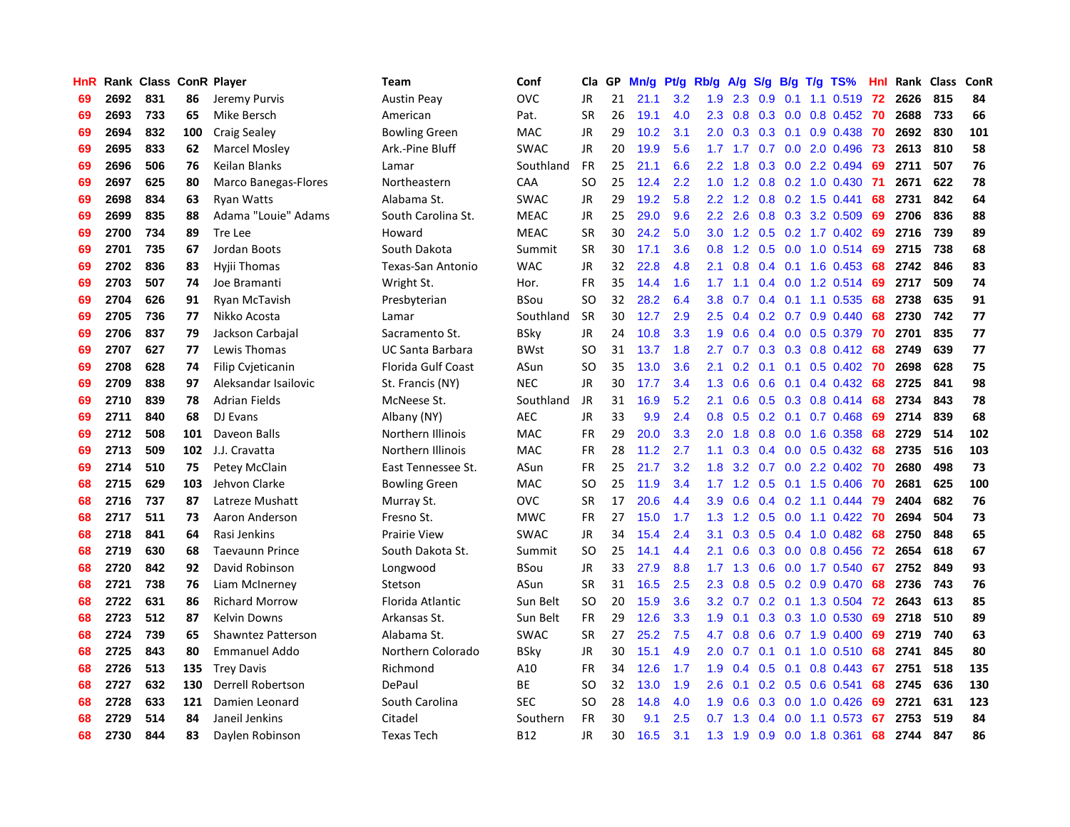| HnR |      | Rank Class ConR Player |     |                           | <b>Team</b>             | Conf        | Cla       | <b>GP</b> | Mn/g | <b>Pt/g</b> | Rb/g             | A/g             |     |                 | S/g B/g T/g TS%                 | Hnl | Rank | Class | ConR |
|-----|------|------------------------|-----|---------------------------|-------------------------|-------------|-----------|-----------|------|-------------|------------------|-----------------|-----|-----------------|---------------------------------|-----|------|-------|------|
| 69  | 2692 | 831                    | 86  | Jeremy Purvis             | <b>Austin Peay</b>      | OVC         | JR        | 21        | 21.1 | 3.2         | 1.9              | 2.3             | 0.9 | 0.1             | 1.1 0.519 72                    |     | 2626 | 815   | 84   |
| 69  | 2693 | 733                    | 65  | Mike Bersch               | American                | Pat.        | <b>SR</b> | 26        | 19.1 | 4.0         |                  |                 |     |                 | 2.3 0.8 0.3 0.0 0.8 0.452 70    |     | 2688 | 733   | 66   |
| 69  | 2694 | 832                    | 100 | <b>Craig Sealey</b>       | <b>Bowling Green</b>    | <b>MAC</b>  | JR        | 29        | 10.2 | 3.1         | 2.0              | 0.3             |     |                 | $0.3$ 0.1 0.9 0.438             | 70  | 2692 | 830   | 101  |
| 69  | 2695 | 833                    | 62  | <b>Marcel Mosley</b>      | Ark.-Pine Bluff         | <b>SWAC</b> | JR        | 20        | 19.9 | 5.6         |                  | $1.7$ $1.7$     |     |                 | 0.7 0.0 2.0 0.496               | -73 | 2613 | 810   | 58   |
| 69  | 2696 | 506                    | 76  | Keilan Blanks             | Lamar                   | Southland   | <b>FR</b> | 25        | 21.1 | 6.6         | 2.2              | 1.8             | 0.3 |                 | 0.0 2.2 0.494                   | 69  | 2711 | 507   | 76   |
| 69  | 2697 | 625                    | 80  | Marco Banegas-Flores      | Northeastern            | CAA         | <b>SO</b> | 25        | 12.4 | 2.2         | 1.0              | 1.2             |     |                 | $0.8$ 0.2 1.0 0.430             | -71 | 2671 | 622   | 78   |
| 69  | 2698 | 834                    | 63  | <b>Ryan Watts</b>         | Alabama St.             | <b>SWAC</b> | JR        | 29        | 19.2 | 5.8         | 2.2              | 1.2             |     |                 | 0.8 0.2 1.5 0.441               | 68  | 2731 | 842   | 64   |
| 69  | 2699 | 835                    | 88  | Adama "Louie" Adams       | South Carolina St.      | <b>MEAC</b> | JR        | 25        | 29.0 | 9.6         | 2.2              | 2.6             |     |                 | $0.8$ 0.3 3.2 0.509             | 69  | 2706 | 836   | 88   |
| 69  | 2700 | 734                    | 89  | Tre Lee                   | Howard                  | <b>MEAC</b> | <b>SR</b> | 30        | 24.2 | 5.0         | 3.0 <sub>2</sub> | 1.2             |     |                 | $0.5$ 0.2 1.7 0.402             | -69 | 2716 | 739   | 89   |
| 69  | 2701 | 735                    | 67  | Jordan Boots              | South Dakota            | Summit      | <b>SR</b> | 30        | 17.1 | 3.6         | 0.8              | 1.2             |     |                 | 0.5 0.0 1.0 0.514 69            |     | 2715 | 738   | 68   |
| 69  | 2702 | 836                    | 83  | Hyjii Thomas              | Texas-San Antonio       | <b>WAC</b>  | JR        | 32        | 22.8 | 4.8         | 2.1              | 0.8             |     |                 | 0.4 0.1 1.6 0.453 68            |     | 2742 | 846   | 83   |
| 69  | 2703 | 507                    | 74  | Joe Bramanti              | Wright St.              | Hor.        | <b>FR</b> | 35        | 14.4 | 1.6         | 1.7 <sup>2</sup> | $-1.1$          |     |                 | 0.4 0.0 1.2 0.514 69            |     | 2717 | 509   | 74   |
| 69  | 2704 | 626                    | 91  | Ryan McTavish             | Presbyterian            | <b>BSou</b> | <b>SO</b> | 32        | 28.2 | 6.4         | 3.8 <sub>2</sub> | 0.7             |     |                 | $0.4$ 0.1 1.1 0.535             | 68  | 2738 | 635   | 91   |
| 69  | 2705 | 736                    | 77  | Nikko Acosta              | Lamar                   | Southland   | <b>SR</b> | 30        | 12.7 | 2.9         | 2.5              | 0.4             |     |                 | $0.2$ 0.7 0.9 0.440             | 68  | 2730 | 742   | 77   |
| 69  | 2706 | 837                    | 79  | Jackson Carbajal          | Sacramento St.          | <b>BSky</b> | <b>JR</b> | 24        | 10.8 | 3.3         | 1.9              | 0.6             |     |                 | $0.4$ 0.0 0.5 0.379             | 70  | 2701 | 835   | 77   |
| 69  | 2707 | 627                    | 77  | Lewis Thomas              | <b>UC Santa Barbara</b> | <b>BWst</b> | <b>SO</b> | 31        | 13.7 | 1.8         | 2.7              | 0.7             |     |                 | 0.3 0.3 0.8 0.412               | 68  | 2749 | 639   | 77   |
| 69  | 2708 | 628                    | 74  | <b>Filip Cvjeticanin</b>  | Florida Gulf Coast      | ASun        | <b>SO</b> | 35        | 13.0 | 3.6         | 2.1              | 0.2             |     | $0.1 \quad 0.1$ | $0.5$ 0.402                     | -70 | 2698 | 628   | 75   |
| 69  | 2709 | 838                    | 97  | Aleksandar Isailovic      | St. Francis (NY)        | <b>NEC</b>  | <b>JR</b> | 30        | 17.7 | 3.4         | 1.3              | 0.6             | 0.6 | 0.1             | $0.4$ 0.432                     | 68  | 2725 | 841   | 98   |
| 69  | 2710 | 839                    | 78  | <b>Adrian Fields</b>      | McNeese St.             | Southland   | JR        | 31        | 16.9 | 5.2         | 2.1              | 0.6             |     |                 | $0.5$ 0.3 0.8 0.414             | 68  | 2734 | 843   | 78   |
| 69  | 2711 | 840                    | 68  | DJ Evans                  | Albany (NY)             | <b>AEC</b>  | <b>JR</b> | 33        | 9.9  | 2.4         | 0.8              |                 |     |                 | $0.5$ $0.2$ $0.1$ $0.7$ $0.468$ | -69 | 2714 | 839   | 68   |
| 69  | 2712 | 508                    | 101 | Daveon Balls              | Northern Illinois       | MAC         | <b>FR</b> | 29        | 20.0 | 3.3         | 2.0              | 1.8             |     |                 | 0.8 0.0 1.6 0.358               | 68  | 2729 | 514   | 102  |
| 69  | 2713 | 509                    | 102 | J.J. Cravatta             | Northern Illinois       | MAC         | <b>FR</b> | 28        | 11.2 | 2.7         | 1.1              | 0.3             |     |                 | $0.4$ 0.0 0.5 0.432             | 68  | 2735 | 516   | 103  |
| 69  | 2714 | 510                    | 75  | Petey McClain             | East Tennessee St.      | ASun        | FR        | 25        | 21.7 | 3.2         | 1.8              | 3.2             |     |                 | $0.7$ $0.0$ 2.2 $0.402$         | 70  | 2680 | 498   | 73   |
| 68  | 2715 | 629                    | 103 | Jehvon Clarke             | <b>Bowling Green</b>    | MAC         | <b>SO</b> | 25        | 11.9 | 3.4         | 1.7              | 1.2             | 0.5 |                 | $0.1$ 1.5 0.406                 | -70 | 2681 | 625   | 100  |
| 68  | 2716 | 737                    | 87  | Latreze Mushatt           | Murray St.              | OVC         | <b>SR</b> | 17        | 20.6 | 4.4         | 3.9              | 0.6             |     |                 | $0.4$ 0.2 1.1 0.444             | 79  | 2404 | 682   | 76   |
| 68  | 2717 | 511                    | 73  | Aaron Anderson            | Fresno St.              | <b>MWC</b>  | FR        | 27        | 15.0 | 1.7         | 1.3              | 1.2             | 0.5 |                 | $0.0$ 1.1 $0.422$               | -70 | 2694 | 504   | 73   |
| 68  | 2718 | 841                    | 64  | Rasi Jenkins              | <b>Prairie View</b>     | <b>SWAC</b> | JR        | 34        | 15.4 | 2.4         | 3.1              | 0.3             |     |                 | 0.5 0.4 1.0 0.482 68            |     | 2750 | 848   | 65   |
| 68  | 2719 | 630                    | 68  | <b>Taevaunn Prince</b>    | South Dakota St.        | Summit      | <b>SO</b> | 25        | 14.1 | 4.4         | 2.1              | 0.6             |     |                 | 0.3 0.0 0.8 0.456 72            |     | 2654 | 618   | 67   |
| 68  | 2720 | 842                    | 92  | David Robinson            | Longwood                | <b>BSou</b> | JR        | 33        | 27.9 | 8.8         | 1.7 <sup>2</sup> | 1.3             |     |                 | $0.6$ $0.0$ 1.7 $0.540$         | -67 | 2752 | 849   | 93   |
| 68  | 2721 | 738                    | 76  | Liam McInerney            | Stetson                 | ASun        | <b>SR</b> | 31        | 16.5 | 2.5         | 2.3              | 0.8             |     |                 | 0.5 0.2 0.9 0.470               | -68 | 2736 | 743   | 76   |
| 68  | 2722 | 631                    | 86  | <b>Richard Morrow</b>     | Florida Atlantic        | Sun Belt    | <b>SO</b> | 20        | 15.9 | 3.6         | 3.2              | 0.7             |     |                 | $0.2$ 0.1 1.3 0.504             | 72  | 2643 | 613   | 85   |
| 68  | 2723 | 512                    | 87  | <b>Kelvin Downs</b>       | Arkansas St.            | Sun Belt    | <b>FR</b> | 29        | 12.6 | 3.3         | 1.9              | 0.1             |     |                 | 0.3 0.3 1.0 0.530               | 69  | 2718 | 510   | 89   |
| 68  | 2724 | 739                    | 65  | <b>Shawntez Patterson</b> | Alabama St.             | <b>SWAC</b> | <b>SR</b> | 27        | 25.2 | 7.5         | 4.7              | 0.8             | 0.6 |                 | $0.7$ 1.9 $0.400$               | 69  | 2719 | 740   | 63   |
| 68  | 2725 | 843                    | 80  | Emmanuel Addo             | Northern Colorado       | BSky        | JR        | 30        | 15.1 | 4.9         | 2.0              | 0.7             | 0.1 |                 | $0.1$ 1.0 0.510                 | 68  | 2741 | 845   | 80   |
| 68  | 2726 | 513                    | 135 | <b>Trey Davis</b>         | Richmond                | A10         | <b>FR</b> | 34        | 12.6 | 1.7         | 1.9              | 0.4             | 0.5 | 0.1             | 0.8 0.443                       | 67  | 2751 | 518   | 135  |
| 68  | 2727 | 632                    | 130 | Derrell Robertson         | DePaul                  | ВE          | SO        | 32        | 13.0 | 1.9         | 2.6              | 0.1             |     |                 | $0.2$ 0.5 0.6 0.541             | 68  | 2745 | 636   | 130  |
| 68  | 2728 | 633                    | 121 | Damien Leonard            | South Carolina          | <b>SEC</b>  | SO        | 28        | 14.8 | 4.0         | 1.9              | 0.6             |     |                 | $0.3$ 0.0 1.0 0.426             | 69  | 2721 | 631   | 123  |
| 68  | 2729 | 514                    | 84  | Janeil Jenkins            | Citadel                 | Southern    | <b>FR</b> | 30        | 9.1  | 2.5         |                  | $0.7 \quad 1.3$ |     |                 | $0.4$ 0.0 1.1 0.573             | 67  | 2753 | 519   | 84   |
| 68  | 2730 | 844                    | 83  | Daylen Robinson           | Texas Tech              | <b>B12</b>  | <b>JR</b> | 30        | 16.5 | 3.1         | 1.3              | 1.9             |     |                 | 0.9 0.0 1.8 0.361               | 68  | 2744 | 847   | 86   |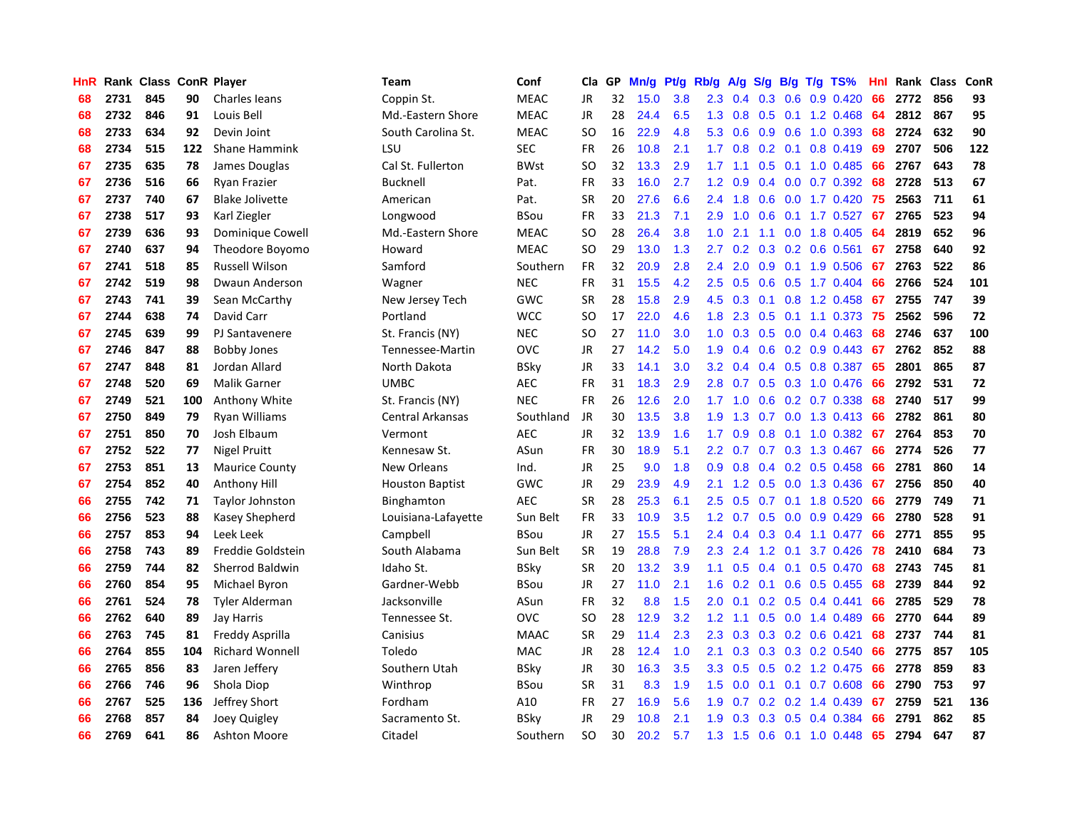| HnR |      | Rank Class ConR Player |     |                        | Team                   | Conf        | Cla       | <b>GP</b> | Mn/g | <b>Pt/g</b> | Rb/g             | A/g             |     |  | S/g B/g T/g TS%           | Hnl | Rank Class |     | <b>ConR</b> |
|-----|------|------------------------|-----|------------------------|------------------------|-------------|-----------|-----------|------|-------------|------------------|-----------------|-----|--|---------------------------|-----|------------|-----|-------------|
| 68  | 2731 | 845                    | 90  | Charles leans          | Coppin St.             | <b>MEAC</b> | JR        | 32        | 15.0 | 3.8         | 2.3              | 0.4             | 0.3 |  | $0.6$ 0.9 0.420           | 66  | 2772       | 856 | 93          |
| 68  | 2732 | 846                    | 91  | Louis Bell             | Md.-Eastern Shore      | <b>MEAC</b> | JR        | 28        | 24.4 | 6.5         |                  | $1.3 \quad 0.8$ |     |  | 0.5 0.1 1.2 0.468         | -64 | 2812       | 867 | 95          |
| 68  | 2733 | 634                    | 92  | Devin Joint            | South Carolina St.     | <b>MEAC</b> | SO.       | 16        | 22.9 | 4.8         | 5.3              | 0.6             |     |  | $0.9$ $0.6$ 1.0 $0.393$   | -68 | 2724       | 632 | 90          |
| 68  | 2734 | 515                    | 122 | <b>Shane Hammink</b>   | LSU                    | <b>SEC</b>  | <b>FR</b> | 26        | 10.8 | 2.1         | 1.7              | 0.8             |     |  | $0.2$ 0.1 0.8 0.419       | 69  | 2707       | 506 | 122         |
| 67  | 2735 | 635                    | 78  | James Douglas          | Cal St. Fullerton      | <b>BWst</b> | <b>SO</b> | 32        | 13.3 | 2.9         | 1.7              | 1.1             | 0.5 |  | $0.1$ 1.0 0.485           | 66  | 2767       | 643 | 78          |
| 67  | 2736 | 516                    | 66  | Ryan Frazier           | <b>Bucknell</b>        | Pat.        | <b>FR</b> | 33        | 16.0 | 2.7         | 1.2              | 0.9             |     |  | $0.4$ 0.0 0.7 0.392       | 68  | 2728       | 513 | 67          |
| 67  | 2737 | 740                    | 67  | <b>Blake Jolivette</b> | American               | Pat.        | <b>SR</b> | 20        | 27.6 | 6.6         | 2.4              | 1.8             | 0.6 |  | $0.0$ 1.7 $0.420$         | 75  | 2563       | 711 | 61          |
| 67  | 2738 | 517                    | 93  | Karl Ziegler           | Longwood               | <b>BSou</b> | <b>FR</b> | 33        | 21.3 | 7.1         | 2.9              | 1.0             | 0.6 |  | $0.1$ 1.7 0.527           | 67  | 2765       | 523 | 94          |
| 67  | 2739 | 636                    | 93  | Dominique Cowell       | Md.-Eastern Shore      | <b>MEAC</b> | <b>SO</b> | 28        | 26.4 | 3.8         | 1.0              | 2.1             |     |  | 1.1 0.0 1.8 0.405         | 64  | 2819       | 652 | 96          |
| 67  | 2740 | 637                    | 94  | Theodore Boyomo        | Howard                 | <b>MEAC</b> | <b>SO</b> | 29        | 13.0 | 1.3         | 2.7              | 0.2             |     |  | $0.3$ 0.2 0.6 0.561       | 67  | 2758       | 640 | 92          |
| 67  | 2741 | 518                    | 85  | <b>Russell Wilson</b>  | Samford                | Southern    | FR        | 32        | 20.9 | 2.8         | 2.4              | 2.0             |     |  | 0.9 0.1 1.9 0.506 67      |     | 2763       | 522 | 86          |
| 67  | 2742 | 519                    | 98  | Dwaun Anderson         | Wagner                 | <b>NEC</b>  | <b>FR</b> | 31        | 15.5 | 4.2         | $2.5^{\circ}$    | 0.5             |     |  | $0.6$ $0.5$ 1.7 $0.404$   | -66 | 2766       | 524 | 101         |
| 67  | 2743 | 741                    | 39  | Sean McCarthy          | New Jersey Tech        | GWC         | <b>SR</b> | 28        | 15.8 | 2.9         | 4.5              | 0.3             |     |  | $0.1$ $0.8$ 1.2 $0.458$   | 67  | 2755       | 747 | 39          |
| 67  | 2744 | 638                    | 74  | David Carr             | Portland               | <b>WCC</b>  | <b>SO</b> | 17        | 22.0 | 4.6         | 1.8              | 2.3             | 0.5 |  | $0.1$ 1.1 0.373           | 75  | 2562       | 596 | 72          |
| 67  | 2745 | 639                    | 99  | PJ Santavenere         | St. Francis (NY)       | <b>NEC</b>  | <b>SO</b> | 27        | 11.0 | 3.0         | 1.0              | 0.3             | 0.5 |  | $0.0$ 0.4 0.463           | 68  | 2746       | 637 | 100         |
| 67  | 2746 | 847                    | 88  | <b>Bobby Jones</b>     | Tennessee-Martin       | OVC         | JR        | 27        | 14.2 | 5.0         | 1.9              | 0.4             | 0.6 |  | $0.2$ 0.9 0.443           | 67  | 2762       | 852 | 88          |
| 67  | 2747 | 848                    | 81  | Jordan Allard          | North Dakota           | <b>BSky</b> | JR        | 33        | 14.1 | 3.0         | 3.2              | 0.4             |     |  | 0.4 0.5 0.8 0.387         | 65  | 2801       | 865 | 87          |
| 67  | 2748 | 520                    | 69  | <b>Malik Garner</b>    | <b>UMBC</b>            | <b>AEC</b>  | <b>FR</b> | 31        | 18.3 | 2.9         | 2.8              | 0.7             | 0.5 |  | 0.3 1.0 0.476             | 66  | 2792       | 531 | 72          |
| 67  | 2749 | 521                    | 100 | Anthony White          | St. Francis (NY)       | <b>NEC</b>  | FR        | 26        | 12.6 | 2.0         |                  | $1.7 \quad 1.0$ |     |  | 0.6 0.2 0.7 0.338         | 68  | 2740       | 517 | 99          |
| 67  | 2750 | 849                    | 79  | Ryan Williams          | Central Arkansas       | Southland   | JR        | 30        | 13.5 | 3.8         | 1.9              | 1.3             |     |  | 0.7 0.0 1.3 0.413 66      |     | 2782       | 861 | 80          |
| 67  | 2751 | 850                    | 70  | Josh Elbaum            | Vermont                | <b>AEC</b>  | JR        | 32        | 13.9 | 1.6         | 1.7 <sub>z</sub> | 0.9             |     |  | $0.8$ 0.1 1.0 0.382       | 67  | 2764       | 853 | 70          |
| 67  | 2752 | 522                    | 77  | <b>Nigel Pruitt</b>    | Kennesaw St.           | ASun        | <b>FR</b> | 30        | 18.9 | 5.1         | $2.2\phantom{0}$ | 0.7             |     |  | 0.7 0.3 1.3 0.467         | 66  | 2774       | 526 | 77          |
| 67  | 2753 | 851                    | 13  | <b>Maurice County</b>  | New Orleans            | Ind.        | JR        | 25        | 9.0  | 1.8         | 0.9              | 0.8             |     |  | $0.4$ 0.2 0.5 0.458       | 66  | 2781       | 860 | 14          |
| 67  | 2754 | 852                    | 40  | Anthony Hill           | <b>Houston Baptist</b> | GWC         | JR        | 29        | 23.9 | 4.9         | 2.1              | 1.2             | 0.5 |  | 0.0 1.3 0.436             | 67  | 2756       | 850 | 40          |
| 66  | 2755 | 742                    | 71  | Taylor Johnston        | Binghamton             | <b>AEC</b>  | <b>SR</b> | 28        | 25.3 | 6.1         | 2.5              | 0.5             |     |  | 0.7 0.1 1.8 0.520         | 66  | 2779       | 749 | 71          |
| 66  | 2756 | 523                    | 88  | Kasey Shepherd         | Louisiana-Lafayette    | Sun Belt    | <b>FR</b> | 33        | 10.9 | 3.5         | 1.2              | 0.7             | 0.5 |  | $0.0$ 0.9 0.429           | 66  | 2780       | 528 | 91          |
| 66  | 2757 | 853                    | 94  | Leek Leek              | Campbell               | <b>BSou</b> | JR        | 27        | 15.5 | 5.1         | 2.4              | 0.4             |     |  | $0.3$ 0.4 1.1 0.477       | 66  | 2771       | 855 | 95          |
| 66  | 2758 | 743                    | 89  | Freddie Goldstein      | South Alabama          | Sun Belt    | <b>SR</b> | 19        | 28.8 | 7.9         | 2.3              | 2.4             |     |  | 1.2 0.1 3.7 0.426 78      |     | 2410       | 684 | 73          |
| 66  | 2759 | 744                    | 82  | <b>Sherrod Baldwin</b> | Idaho St.              | <b>BSky</b> | <b>SR</b> | 20        | 13.2 | 3.9         | 1.1              | 0.5             |     |  | $0.4$ 0.1 0.5 0.470       | -68 | 2743       | 745 | 81          |
| 66  | 2760 | 854                    | 95  | Michael Byron          | Gardner-Webb           | <b>BSou</b> | JR        | 27        | 11.0 | 2.1         | 1.6              | 0.2             |     |  | $0.1$ 0.6 0.5 0.455       | 68  | 2739       | 844 | 92          |
| 66  | 2761 | 524                    | 78  | <b>Tyler Alderman</b>  | Jacksonville           | ASun        | <b>FR</b> | 32        | 8.8  | 1.5         | 2.0              | 0.1             |     |  | $0.2$ 0.5 0.4 0.441       | 66  | 2785       | 529 | 78          |
| 66  | 2762 | 640                    | 89  | Jay Harris             | Tennessee St.          | <b>OVC</b>  | SO        | 28        | 12.9 | 3.2         | 1.2              | 1.1             | 0.5 |  | $0.0$ 1.4 0.489           | 66  | 2770       | 644 | 89          |
| 66  | 2763 | 745                    | 81  | Freddy Asprilla        | Canisius               | <b>MAAC</b> | <b>SR</b> | 29        | 11.4 | 2.3         | 2.3              | 0.3             | 0.3 |  | $0.2$ 0.6 0.421           | 68  | 2737       | 744 | 81          |
| 66  | 2764 | 855                    | 104 | <b>Richard Wonnell</b> | Toledo                 | <b>MAC</b>  | JR        | 28        | 12.4 | 1.0         | 2.1              | 0.3             | 0.3 |  | 0.3 0.2 0.540             | 66  | 2775       | 857 | 105         |
| 66  | 2765 | 856                    | 83  | Jaren Jeffery          | Southern Utah          | <b>BSky</b> | JR        | 30        | 16.3 | 3.5         | 3.3 <sub>2</sub> | 0.5             | 0.5 |  | 0.2 1.2 0.475             | 66  | 2778       | 859 | 83          |
| 66  | 2766 | 746                    | 96  | Shola Diop             | Winthrop               | BSou        | <b>SR</b> | 31        | 8.3  | 1.9         | $1.5^{\circ}$    | 0.0             |     |  | $0.1$ 0.1 0.7 0.608       | 66  | 2790       | 753 | 97          |
| 66  | 2767 | 525                    | 136 | Jeffrey Short          | Fordham                | A10         | <b>FR</b> | 27        | 16.9 | 5.6         | 1.9              | 0.7             |     |  | $0.2$ 0.2 1.4 0.439       | 67  | 2759       | 521 | 136         |
| 66  | 2768 | 857                    | 84  | Joey Quigley           | Sacramento St.         | BSky        | JR        | 29        | 10.8 | 2.1         | 1.9 <sup>°</sup> | 0.3             |     |  | 0.3 0.5 0.4 0.384         | 66  | 2791       | 862 | 85          |
| 66  | 2769 | 641                    | 86  | <b>Ashton Moore</b>    | Citadel                | Southern    | SO.       | 30        | 20.2 | 5.7         | 1.3              | 1.5             |     |  | $0.6$ $0.1$ $1.0$ $0.448$ | 65  | 2794       | 647 | 87          |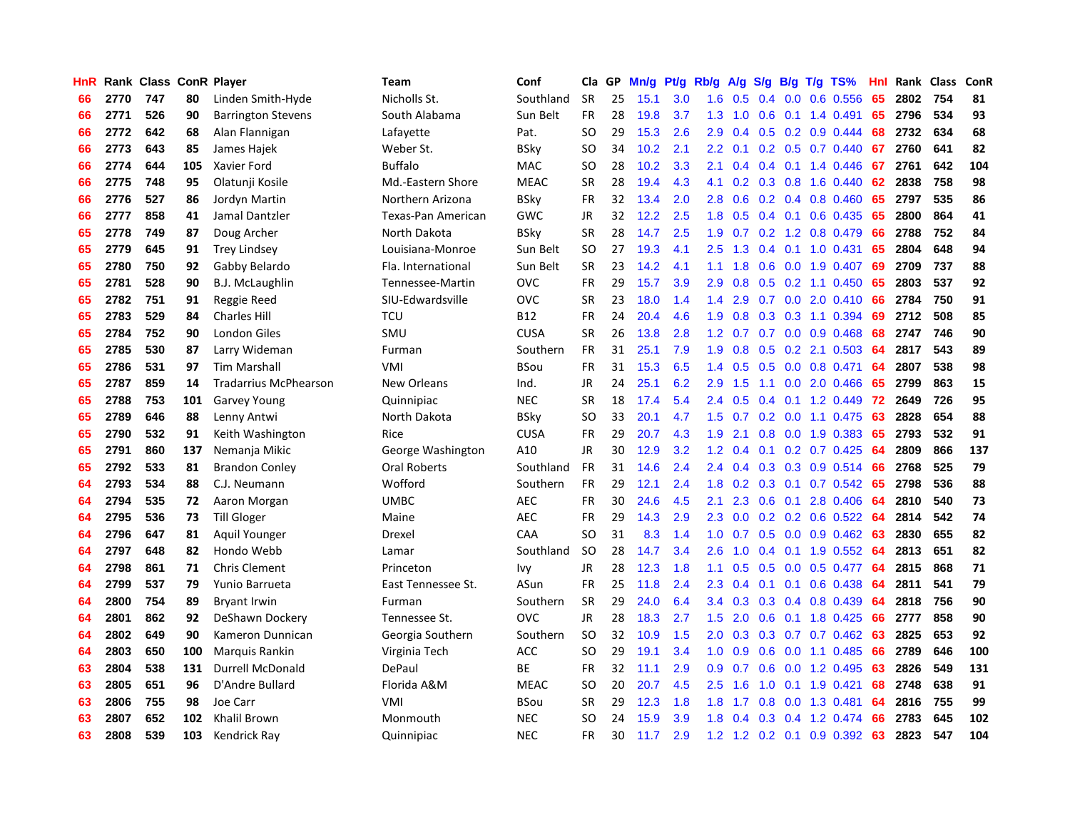| HnR |      | Rank Class ConR Player |     |                              | Team               | Conf        | Cla       | <b>GP</b> | Mn/g | <b>Pt/g</b> | Rb/g             | A/g    |               |  | S/g B/g T/g TS%               | Hnl | Rank | <b>Class</b> | ConR |
|-----|------|------------------------|-----|------------------------------|--------------------|-------------|-----------|-----------|------|-------------|------------------|--------|---------------|--|-------------------------------|-----|------|--------------|------|
| 66  | 2770 | 747                    | 80  | Linden Smith-Hyde            | Nicholls St.       | Southland   | <b>SR</b> | 25        | 15.1 | 3.0         | 1.6              | 0.5    | $0.4^{\circ}$ |  | $0.0$ $0.6$ $0.556$           | 65  | 2802 | 754          | 81   |
| 66  | 2771 | 526                    | 90  | <b>Barrington Stevens</b>    | South Alabama      | Sun Belt    | <b>FR</b> | 28        | 19.8 | 3.7         | 1.3              | $-1.0$ |               |  | $0.6$ 0.1 1.4 0.491           | 65  | 2796 | 534          | 93   |
| 66  | 2772 | 642                    | 68  | Alan Flannigan               | Lafayette          | Pat.        | <b>SO</b> | 29        | 15.3 | 2.6         | 2.9              | 0.4    |               |  | $0.5$ 0.2 0.9 0.444           | 68  | 2732 | 634          | 68   |
| 66  | 2773 | 643                    | 85  | James Hajek                  | Weber St.          | <b>BSky</b> | SO        | 34        | 10.2 | 2.1         | $2.2^{\circ}$    | 0.1    |               |  | $0.2$ 0.5 0.7 0.440           | 67  | 2760 | 641          | 82   |
| 66  | 2774 | 644                    | 105 | Xavier Ford                  | <b>Buffalo</b>     | <b>MAC</b>  | <b>SO</b> | 28        | 10.2 | 3.3         | 2.1              | 0.4    |               |  | $0.4$ 0.1 1.4 0.446           | 67  | 2761 | 642          | 104  |
| 66  | 2775 | 748                    | 95  | Olatunji Kosile              | Md.-Eastern Shore  | <b>MEAC</b> | <b>SR</b> | 28        | 19.4 | 4.3         | 4.1              | 0.2    |               |  | $0.3$ 0.8 1.6 0.440           | 62  | 2838 | 758          | 98   |
| 66  | 2776 | 527                    | 86  | Jordyn Martin                | Northern Arizona   | <b>BSky</b> | <b>FR</b> | 32        | 13.4 | 2.0         | 2.8              | 0.6    |               |  | $0.2$ 0.4 0.8 0.460           | 65  | 2797 | 535          | 86   |
| 66  | 2777 | 858                    | 41  | Jamal Dantzler               | Texas-Pan American | GWC         | JR        | 32        | 12.2 | 2.5         | 1.8              | 0.5    |               |  | $0.4$ 0.1 0.6 0.435           | 65  | 2800 | 864          | 41   |
| 65  | 2778 | 749                    | 87  | Doug Archer                  | North Dakota       | <b>BSky</b> | <b>SR</b> | 28        | 14.7 | 2.5         | 1.9              | 0.7    |               |  | $0.2$ 1.2 0.8 0.479           | 66  | 2788 | 752          | 84   |
| 65  | 2779 | 645                    | 91  | <b>Trey Lindsey</b>          | Louisiana-Monroe   | Sun Belt    | SO.       | 27        | 19.3 | 4.1         | $2.5^{\circ}$    | 1.3    |               |  | $0.4$ 0.1 1.0 0.431           | 65  | 2804 | 648          | 94   |
| 65  | 2780 | 750                    | 92  | Gabby Belardo                | Fla. International | Sun Belt    | <b>SR</b> | 23        | 14.2 | 4.1         | 1.1              | 1.8    |               |  | $0.6$ 0.0 1.9 0.407           | -69 | 2709 | 737          | 88   |
| 65  | 2781 | 528                    | 90  | <b>B.J. McLaughlin</b>       | Tennessee-Martin   | OVC         | <b>FR</b> | 29        | 15.7 | 3.9         | 2.9 <sup>°</sup> | 0.8    |               |  | $0.5$ 0.2 1.1 0.450           | -65 | 2803 | 537          | 92   |
| 65  | 2782 | 751                    | 91  | Reggie Reed                  | SIU-Edwardsville   | OVC         | <b>SR</b> | 23        | 18.0 | 1.4         | 1.4              | 2.9    |               |  | 0.7 0.0 2.0 0.410             | 66  | 2784 | 750          | 91   |
| 65  | 2783 | 529                    | 84  | <b>Charles Hill</b>          | <b>TCU</b>         | <b>B12</b>  | <b>FR</b> | 24        | 20.4 | 4.6         | 1.9              | 0.8    |               |  | 0.3 0.3 1.1 0.394             | 69  | 2712 | 508          | 85   |
| 65  | 2784 | 752                    | 90  | <b>London Giles</b>          | SMU                | <b>CUSA</b> | <b>SR</b> | 26        | 13.8 | 2.8         | 1.2              | 0.7    |               |  | 0.7 0.0 0.9 0.468             | 68  | 2747 | 746          | 90   |
| 65  | 2785 | 530                    | 87  | Larry Wideman                | Furman             | Southern    | <b>FR</b> | 31        | 25.1 | 7.9         | 1.9              | 0.8    |               |  | $0.5$ 0.2 2.1 0.503           | 64  | 2817 | 543          | 89   |
| 65  | 2786 | 531                    | 97  | <b>Tim Marshall</b>          | VMI                | <b>BSou</b> | <b>FR</b> | 31        | 15.3 | 6.5         | $1.4^{\circ}$    | 0.5    | 0.5           |  | 0.0 0.8 0.471                 | 64  | 2807 | 538          | 98   |
| 65  | 2787 | 859                    | 14  | <b>Tradarrius McPhearson</b> | New Orleans        | Ind.        | <b>JR</b> | 24        | 25.1 | 6.2         | 2.9              | 1.5    | 1.1           |  | $0.0$ 2.0 $0.466$             | 65  | 2799 | 863          | 15   |
| 65  | 2788 | 753                    | 101 | <b>Garvey Young</b>          | Quinnipiac         | <b>NEC</b>  | <b>SR</b> | 18        | 17.4 | 5.4         | 2.4              | 0.5    |               |  | 0.4 0.1 1.2 0.449             | 72  | 2649 | 726          | 95   |
| 65  | 2789 | 646                    | 88  | Lenny Antwi                  | North Dakota       | <b>BSky</b> | <b>SO</b> | 33        | 20.1 | 4.7         | 1.5              |        |               |  | $0.7$ $0.2$ $0.0$ 1.1 $0.475$ | 63  | 2828 | 654          | 88   |
| 65  | 2790 | 532                    | 91  | Keith Washington             | Rice               | <b>CUSA</b> | FR        | 29        | 20.7 | 4.3         | 1.9              | 2.1    |               |  | 0.8 0.0 1.9 0.383             | 65  | 2793 | 532          | 91   |
| 65  | 2791 | 860                    | 137 | Nemanja Mikic                | George Washington  | A10         | <b>JR</b> | 30        | 12.9 | 3.2         | 1.2              | 0.4    |               |  | $0.1$ $0.2$ $0.7$ $0.425$     | 64  | 2809 | 866          | 137  |
| 65  | 2792 | 533                    | 81  | <b>Brandon Conley</b>        | Oral Roberts       | Southland   | FR        | 31        | 14.6 | 2.4         | 2.4              | 0.4    |               |  | $0.3$ 0.3 0.9 0.514           | -66 | 2768 | 525          | 79   |
| 64  | 2793 | 534                    | 88  | C.J. Neumann                 | Wofford            | Southern    | <b>FR</b> | 29        | 12.1 | 2.4         | 1.8              | 0.2    | 0.3           |  | $0.1$ 0.7 0.542               | 65  | 2798 | 536          | 88   |
| 64  | 2794 | 535                    | 72  | Aaron Morgan                 | <b>UMBC</b>        | <b>AEC</b>  | FR        | 30        | 24.6 | 4.5         | 2.1              | 2.3    | 0.6           |  | $0.1$ 2.8 0.406               | 64  | 2810 | 540          | 73   |
| 64  | 2795 | 536                    | 73  | <b>Till Gloger</b>           | Maine              | AEC         | <b>FR</b> | 29        | 14.3 | 2.9         | 2.3              | 0.0    |               |  | $0.2$ 0.2 0.6 0.522           | 64  | 2814 | 542          | 74   |
| 64  | 2796 | 647                    | 81  | Aquil Younger                | Drexel             | CAA         | <b>SO</b> | 31        | 8.3  | 1.4         | 1.0              | 0.7    |               |  | $0.5$ 0.0 0.9 0.462           | -63 | 2830 | 655          | 82   |
| 64  | 2797 | 648                    | 82  | Hondo Webb                   | Lamar              | Southland   | <b>SO</b> | 28        | 14.7 | 3.4         | 2.6              | 1.0    |               |  | 0.4 0.1 1.9 0.552 64          |     | 2813 | 651          | 82   |
| 64  | 2798 | 861                    | 71  | <b>Chris Clement</b>         | Princeton          | Ivy         | JR        | 28        | 12.3 | 1.8         | 1.1              | 0.5    |               |  | 0.5 0.0 0.5 0.477 64          |     | 2815 | 868          | 71   |
| 64  | 2799 | 537                    | 79  | Yunio Barrueta               | East Tennessee St. | ASun        | <b>FR</b> | 25        | 11.8 | 2.4         | 2.3              | 0.4    |               |  | $0.1$ 0.1 0.6 0.438           | 64  | 2811 | 541          | 79   |
| 64  | 2800 | 754                    | 89  | <b>Bryant Irwin</b>          | Furman             | Southern    | <b>SR</b> | 29        | 24.0 | 6.4         | 3.4              | 0.3    | 0.3           |  | $0.4$ 0.8 0.439               | 64  | 2818 | 756          | 90   |
| 64  | 2801 | 862                    | 92  | DeShawn Dockery              | Tennessee St.      | OVC         | JR        | 28        | 18.3 | 2.7         | $1.5^{\circ}$    | 2.0    | 0.6           |  | 0.1 1.8 0.425                 | 66  | 2777 | 858          | 90   |
| 64  | 2802 | 649                    | 90  | Kameron Dunnican             | Georgia Southern   | Southern    | <b>SO</b> | 32        | 10.9 | 1.5         | 2.0              | 0.3    | 0.3           |  | $0.7$ 0.7 0.462               | -63 | 2825 | 653          | 92   |
| 64  | 2803 | 650                    | 100 | Marquis Rankin               | Virginia Tech      | <b>ACC</b>  | <b>SO</b> | 29        | 19.1 | 3.4         | 1.0              | 0.9    | 0.6           |  | $0.0$ 1.1 0.485               | 66  | 2789 | 646          | 100  |
| 63  | 2804 | 538                    | 131 | <b>Durrell McDonald</b>      | DePaul             | ВE          | <b>FR</b> | 32        | 11.1 | 2.9         | 0.9 <sub>0</sub> | 0.7    | 0.6           |  | $0.0$ 1.2 0.495               | 63  | 2826 | 549          | 131  |
| 63  | 2805 | 651                    | 96  | D'Andre Bullard              | Florida A&M        | <b>MEAC</b> | SO        | 20        | 20.7 | 4.5         | $2.5^{\circ}$    | 1.6    |               |  | 1.0 0.1 1.9 0.421             | 68  | 2748 | 638          | 91   |
| 63  | 2806 | 755                    | 98  | Joe Carr                     | <b>VMI</b>         | <b>BSou</b> | <b>SR</b> | 29        | 12.3 | 1.8         | 1.8              | 1.7    |               |  | 0.8 0.0 1.3 0.481             | 64  | 2816 | 755          | 99   |
| 63  | 2807 | 652                    | 102 | <b>Khalil Brown</b>          | Monmouth           | <b>NEC</b>  | SO        | 24        | 15.9 | 3.9         | 1.8              | 0.4    |               |  | 0.3 0.4 1.2 0.474             | 66  | 2783 | 645          | 102  |
| 63  | 2808 | 539                    | 103 | Kendrick Rav                 | Quinnipiac         | <b>NEC</b>  | <b>FR</b> | 30        | 11.7 | 2.9         |                  |        |               |  | 1.2 1.2 0.2 0.1 0.9 0.392     | 63  | 2823 | 547          | 104  |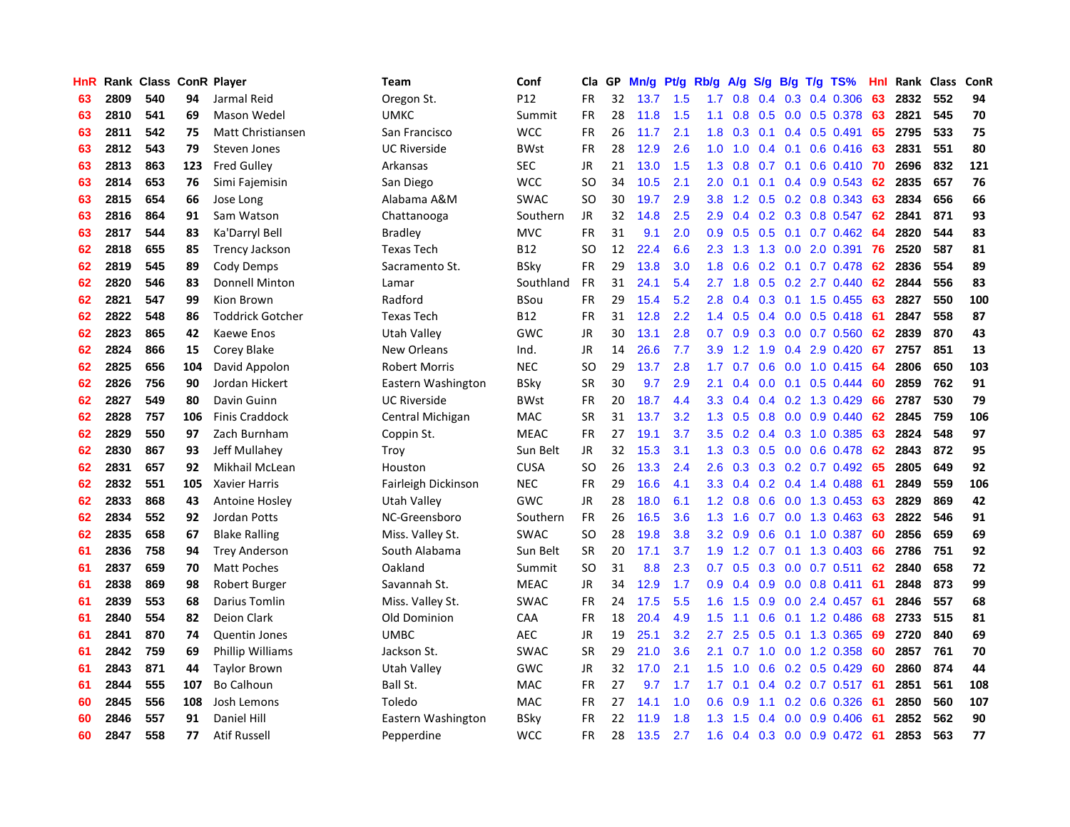| HnR |      | Rank Class ConR Player |     |                         | <b>Team</b>         | Conf            | Cla           | GP | Mn/g | Pt/g | Rb/g             | A/g | S/g           |     | $B/g$ T/g TS%             | Hnl | Rank Class |     | ConR |
|-----|------|------------------------|-----|-------------------------|---------------------|-----------------|---------------|----|------|------|------------------|-----|---------------|-----|---------------------------|-----|------------|-----|------|
| 63  | 2809 | 540                    | 94  | Jarmal Reid             | Oregon St.          | P12             | <b>FR</b>     | 32 | 13.7 | 1.5  | 1.7              | 0.8 | 0.4           | 0.3 | 0.4 0.306                 | 63  | 2832       | 552 | 94   |
| 63  | 2810 | 541                    | 69  | Mason Wedel             | UMKC                | Summit          | <b>FR</b>     | 28 | 11.8 | 1.5  | 1.1              | 0.8 |               |     | $0.5$ 0.0 0.5 0.378       | 63  | 2821       | 545 | 70   |
| 63  | 2811 | 542                    | 75  | Matt Christiansen       | San Francisco       | <b>WCC</b>      | <b>FR</b>     | 26 | 11.7 | 2.1  | 1.8              | 0.3 |               |     | $0.1$ 0.4 0.5 0.491       | 65  | 2795       | 533 | 75   |
| 63  | 2812 | 543                    | 79  | Steven Jones            | <b>UC Riverside</b> | <b>BWst</b>     | FR            | 28 | 12.9 | 2.6  | 1.0              | 1.0 |               |     | $0.4$ 0.1 0.6 0.416       | -63 | 2831       | 551 | 80   |
| 63  | 2813 | 863                    | 123 | <b>Fred Gulley</b>      | Arkansas            | <b>SEC</b>      | JR            | 21 | 13.0 | 1.5  | 1.3              | 0.8 |               |     | $0.7$ 0.1 0.6 0.410       | 70  | 2696       | 832 | 121  |
| 63  | 2814 | 653                    | 76  | Simi Fajemisin          | San Diego           | <b>WCC</b>      | <sub>SO</sub> | 34 | 10.5 | 2.1  | 2.0              | 0.1 | 0.1           |     | $0.4$ 0.9 0.543           | 62  | 2835       | 657 | 76   |
| 63  | 2815 | 654                    | 66  | Jose Long               | Alabama A&M         | <b>SWAC</b>     | <b>SO</b>     | 30 | 19.7 | 2.9  | 3.8              | 1.2 |               |     | 0.5 0.2 0.8 0.343         | 63  | 2834       | 656 | 66   |
| 63  | 2816 | 864                    | 91  | Sam Watson              | Chattanooga         | Southern        | JR            | 32 | 14.8 | 2.5  | 2.9              | 0.4 |               |     | 0.2 0.3 0.8 0.547         | 62  | 2841       | 871 | 93   |
| 63  | 2817 | 544                    | 83  | Ka'Darryl Bell          | <b>Bradley</b>      | <b>MVC</b>      | FR            | 31 | 9.1  | 2.0  | 0.9              | 0.5 | 0.5           |     | $0.1$ 0.7 0.462           | 64  | 2820       | 544 | 83   |
| 62  | 2818 | 655                    | 85  | <b>Trency Jackson</b>   | <b>Texas Tech</b>   | B <sub>12</sub> | <sub>SO</sub> | 12 | 22.4 | 6.6  | 2.3              | 1.3 |               |     | 1.3 0.0 2.0 0.391         | 76  | 2520       | 587 | 81   |
| 62  | 2819 | 545                    | 89  | Cody Demps              | Sacramento St.      | BSky            | FR            | 29 | 13.8 | 3.0  | 1.8              | 0.6 |               |     | $0.2$ 0.1 0.7 0.478       | -62 | 2836       | 554 | 89   |
| 62  | 2820 | 546                    | 83  | <b>Donnell Minton</b>   | Lamar               | Southland       | <b>FR</b>     | 31 | 24.1 | 5.4  | $2.7^{\circ}$    | 1.8 |               |     | $0.5$ $0.2$ 2.7 $0.440$   | 62  | 2844       | 556 | 83   |
| 62  | 2821 | 547                    | 99  | Kion Brown              | Radford             | BSou            | <b>FR</b>     | 29 | 15.4 | 5.2  | 2.8              | 0.4 |               |     | $0.3$ 0.1 1.5 0.455       | -63 | 2827       | 550 | 100  |
| 62  | 2822 | 548                    | 86  | <b>Toddrick Gotcher</b> | <b>Texas Tech</b>   | <b>B12</b>      | <b>FR</b>     | 31 | 12.8 | 2.2  | 1.4              | 0.5 | $0.4^{\circ}$ |     | $0.0$ 0.5 0.418           | -61 | 2847       | 558 | 87   |
| 62  | 2823 | 865                    | 42  | Kaewe Enos              | Utah Valley         | GWC             | JR            | 30 | 13.1 | 2.8  | 0.7              | 0.9 |               |     | $0.3$ 0.0 0.7 0.560       | 62  | 2839       | 870 | 43   |
| 62  | 2824 | 866                    | 15  | Corey Blake             | <b>New Orleans</b>  | Ind.            | <b>JR</b>     | 14 | 26.6 | 7.7  | 3.9 <sup>°</sup> | 1.2 | 1.9           | 0.4 | 2.9 0.420                 | 67  | 2757       | 851 | 13   |
| 62  | 2825 | 656                    | 104 | David Appolon           | Robert Morris       | <b>NEC</b>      | SO            | 29 | 13.7 | 2.8  | 1.7              | 0.7 | 0.6           |     | $0.0$ 1.0 0.415           | 64  | 2806       | 650 | 103  |
| 62  | 2826 | 756                    | 90  | Jordan Hickert          | Eastern Washington  | BSky            | <b>SR</b>     | 30 | 9.7  | 2.9  | 2.1              | 0.4 | 0.0           | 0.1 | $0.5$ 0.444               | 60  | 2859       | 762 | 91   |
| 62  | 2827 | 549                    | 80  | Davin Guinn             | <b>UC Riverside</b> | <b>BWst</b>     | <b>FR</b>     | 20 | 18.7 | 4.4  | 3.3 <sub>2</sub> | 0.4 |               |     | $0.4$ $0.2$ 1.3 $0.429$   | 66  | 2787       | 530 | 79   |
| 62  | 2828 | 757                    | 106 | <b>Finis Craddock</b>   | Central Michigan    | <b>MAC</b>      | <b>SR</b>     | 31 | 13.7 | 3.2  | 1.3              | 0.5 |               |     | $0.8$ 0.0 0.9 0.440       | 62  | 2845       | 759 | 106  |
| 62  | 2829 | 550                    | 97  | Zach Burnham            | Coppin St.          | <b>MEAC</b>     | <b>FR</b>     | 27 | 19.1 | 3.7  | 3.5              | 0.2 |               |     | $0.4$ 0.3 1.0 0.385       | 63  | 2824       | 548 | 97   |
| 62  | 2830 | 867                    | 93  | Jeff Mullahev           | Troy                | Sun Belt        | JR            | 32 | 15.3 | 3.1  | 1.3              | 0.3 |               |     | $0.5$ 0.0 0.6 0.478       | 62  | 2843       | 872 | 95   |
| 62  | 2831 | 657                    | 92  | Mikhail McLean          | Houston             | <b>CUSA</b>     | SO.           | 26 | 13.3 | 2.4  | 2.6              | 0.3 |               |     | $0.3$ 0.2 0.7 0.492       | -65 | 2805       | 649 | 92   |
| 62  | 2832 | 551                    | 105 | <b>Xavier Harris</b>    | Fairleigh Dickinson | <b>NEC</b>      | <b>FR</b>     | 29 | 16.6 | 4.1  | 3.3 <sub>2</sub> | 0.4 |               |     | $0.2$ 0.4 1.4 0.488       | -61 | 2849       | 559 | 106  |
| 62  | 2833 | 868                    | 43  | Antoine Hosley          | Utah Valley         | GWC             | <b>JR</b>     | 28 | 18.0 | 6.1  | 1.2              | 0.8 | 0.6           |     | $0.0$ 1.3 0.453           | 63  | 2829       | 869 | 42   |
| 62  | 2834 | 552                    | 92  | Jordan Potts            | NC-Greensboro       | Southern        | <b>FR</b>     | 26 | 16.5 | 3.6  | 1.3              | 1.6 |               |     | 0.7 0.0 1.3 0.463         | 63  | 2822       | 546 | 91   |
| 62  | 2835 | 658                    | 67  | <b>Blake Ralling</b>    | Miss. Valley St.    | <b>SWAC</b>     | <b>SO</b>     | 28 | 19.8 | 3.8  | 3.2              | 0.9 |               |     | $0.6$ $0.1$ $1.0$ $0.387$ | 60  | 2856       | 659 | 69   |
| 61  | 2836 | 758                    | 94  | <b>Trey Anderson</b>    | South Alabama       | Sun Belt        | <b>SR</b>     | 20 | 17.1 | 3.7  | 1.9              |     |               |     | 1.2 0.7 0.1 1.3 0.403 66  |     | 2786       | 751 | 92   |
| 61  | 2837 | 659                    | 70  | <b>Matt Poches</b>      | Oakland             | Summit          | SO.           | 31 | 8.8  | 2.3  | 0.7              | 0.5 |               |     | $0.3$ 0.0 0.7 0.511       | -62 | 2840       | 658 | 72   |
| 61  | 2838 | 869                    | 98  | Robert Burger           | Savannah St.        | <b>MEAC</b>     | <b>JR</b>     | 34 | 12.9 | 1.7  | 0.9 <sub>0</sub> | 0.4 |               |     | $0.9$ 0.0 0.8 0.411       | 61  | 2848       | 873 | 99   |
| 61  | 2839 | 553                    | 68  | Darius Tomlin           | Miss. Valley St.    | <b>SWAC</b>     | <b>FR</b>     | 24 | 17.5 | 5.5  | 1.6              | 1.5 | 0.9           |     | 0.0 2.4 0.457             | 61  | 2846       | 557 | 68   |
| 61  | 2840 | 554                    | 82  | Deion Clark             | Old Dominion        | CAA             | FR            | 18 | 20.4 | 4.9  | 1.5              | 1.1 | 0.6           |     | $0.1$ 1.2 0.486           | 68  | 2733       | 515 | 81   |
| 61  | 2841 | 870                    | 74  | <b>Quentin Jones</b>    | <b>UMBC</b>         | <b>AEC</b>      | <b>JR</b>     | 19 | 25.1 | 3.2  | 2.7              | 2.5 | 0.5           |     | $0.1$ 1.3 0.365           | 69  | 2720       | 840 | 69   |
| 61  | 2842 | 759                    | 69  | <b>Phillip Williams</b> | Jackson St.         | <b>SWAC</b>     | <b>SR</b>     | 29 | 21.0 | 3.6  | 2.1              | 0.7 | 1.0           |     | $0.0$ 1.2 0.358           | 60  | 2857       | 761 | 70   |
| 61  | 2843 | 871                    | 44  | <b>Taylor Brown</b>     | Utah Valley         | <b>GWC</b>      | <b>JR</b>     | 32 | 17.0 | 2.1  | 1.5              | 1.0 | 0.6           |     | $0.2$ 0.5 0.429           | 60  | 2860       | 874 | 44   |
| 61  | 2844 | 555                    | 107 | <b>Bo Calhoun</b>       | Ball St.            | <b>MAC</b>      | FR            | 27 | 9.7  | 1.7  | $1.7^{\circ}$    | 0.1 |               |     | 0.4 0.2 0.7 0.517 61      |     | 2851       | 561 | 108  |
| 60  | 2845 | 556                    | 108 | Josh Lemons             | Toledo              | <b>MAC</b>      | <b>FR</b>     | 27 | 14.1 | 1.0  | 0.6              | 0.9 |               |     | 1.1 0.2 0.6 0.326         | -61 | 2850       | 560 | 107  |
| 60  | 2846 | 557                    | 91  | <b>Daniel Hill</b>      | Eastern Washington  | BSkv            | FR            | 22 | 11.9 | 1.8  | 1.3              | 1.5 |               |     | $0.4$ 0.0 0.9 0.406       | -61 | 2852       | 562 | 90   |
| 60  | 2847 | 558                    | 77  | <b>Atif Russell</b>     | Pepperdine          | <b>WCC</b>      | <b>FR</b>     | 28 | 13.5 | 2.7  | 1.6              | 0.4 |               |     | $0.3$ 0.0 0.9 0.472       | -61 | 2853       | 563 | 77   |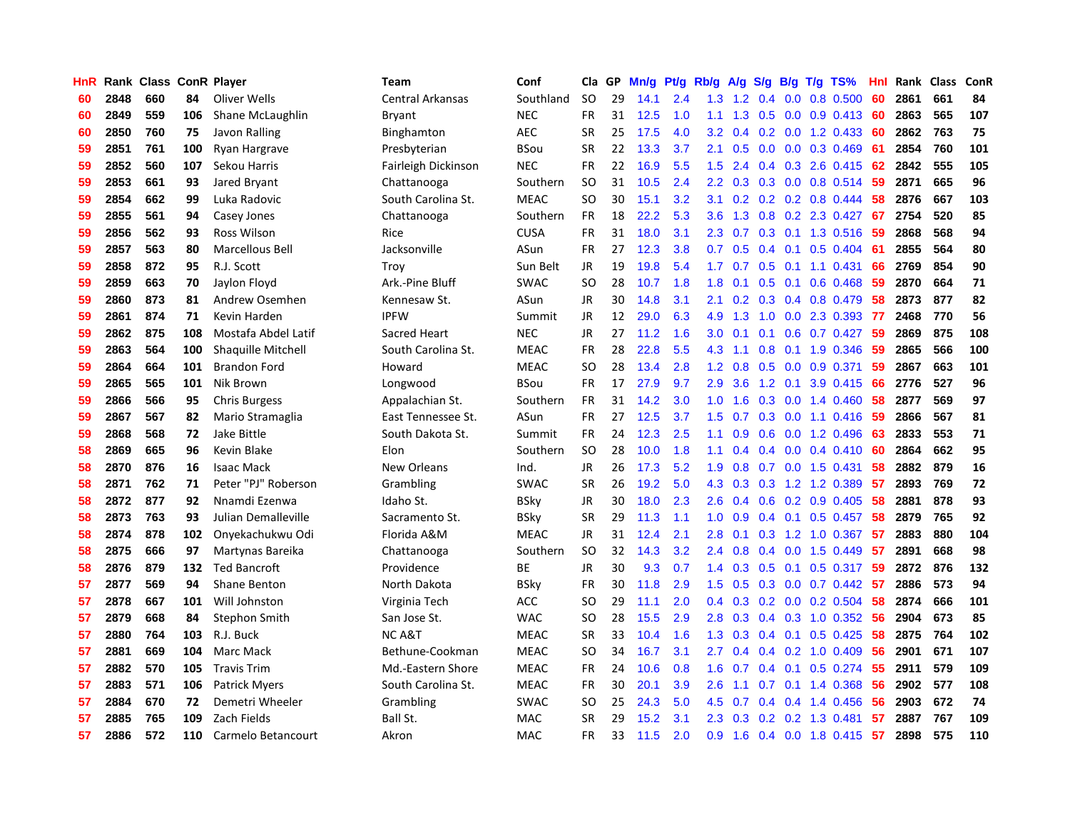| HnR |      | Rank Class ConR Player |     |                      | Team                    | Conf        | Cla           | GP | Mn/g | Pt/g | Rb/g             | A/g | S/g |                  | $B/g$ T/g TS%             | Hnl |      | Rank Class | ConR |
|-----|------|------------------------|-----|----------------------|-------------------------|-------------|---------------|----|------|------|------------------|-----|-----|------------------|---------------------------|-----|------|------------|------|
| 60  | 2848 | 660                    | 84  | Oliver Wells         | <b>Central Arkansas</b> | Southland   | <b>SO</b>     | 29 | 14.1 | 2.4  | 1.3              | 1.2 | 0.4 | 0.0 <sub>1</sub> | 0.8 0.500                 | 60  | 2861 | 661        | 84   |
| 60  | 2849 | 559                    | 106 | Shane McLaughlin     | <b>Bryant</b>           | <b>NEC</b>  | <b>FR</b>     | 31 | 12.5 | 1.0  | 1.1              | 1.3 |     |                  | 0.5 0.0 0.9 0.413 60      |     | 2863 | 565        | 107  |
| 60  | 2850 | 760                    | 75  | Javon Ralling        | Binghamton              | <b>AEC</b>  | <b>SR</b>     | 25 | 17.5 | 4.0  | 3.2              | 0.4 |     |                  | 0.2 0.0 1.2 0.433 60      |     | 2862 | 763        | 75   |
| 59  | 2851 | 761                    | 100 | Ryan Hargrave        | Presbyterian            | BSou        | <b>SR</b>     | 22 | 13.3 | 3.7  | 2.1              | 0.5 |     |                  | $0.0$ $0.0$ $0.3$ $0.469$ | 61  | 2854 | 760        | 101  |
| 59  | 2852 | 560                    | 107 | Sekou Harris         | Fairleigh Dickinson     | <b>NEC</b>  | FR            | 22 | 16.9 | 5.5  | 1.5              | 2.4 |     |                  | $0.4$ 0.3 2.6 0.415       | 62  | 2842 | 555        | 105  |
| 59  | 2853 | 661                    | 93  | Jared Bryant         | Chattanooga             | Southern    | <b>SO</b>     | 31 | 10.5 | 2.4  | 2.2              | 0.3 | 0.3 |                  | $0.0$ 0.8 0.514           | 59  | 2871 | 665        | 96   |
| 59  | 2854 | 662                    | 99  | Luka Radovic         | South Carolina St.      | <b>MEAC</b> | SO            | 30 | 15.1 | 3.2  | 3.1              | 0.2 |     |                  | $0.2$ 0.2 0.8 0.444       | 58  | 2876 | 667        | 103  |
| 59  | 2855 | 561                    | 94  | Casey Jones          | Chattanooga             | Southern    | FR            | 18 | 22.2 | 5.3  | 3.6              | 1.3 | 0.8 |                  | 0.2 2.3 0.427             | 67  | 2754 | 520        | 85   |
| 59  | 2856 | 562                    | 93  | Ross Wilson          | Rice                    | <b>CUSA</b> | FR            | 31 | 18.0 | 3.1  | 2.3              | 0.7 | 0.3 |                  | 0.1 1.3 0.516             | -59 | 2868 | 568        | 94   |
| 59  | 2857 | 563                    | 80  | Marcellous Bell      | Jacksonville            | ASun        | FR            | 27 | 12.3 | 3.8  | 0.7              | 0.5 | 0.4 |                  | $0.1$ 0.5 0.404           | -61 | 2855 | 564        | 80   |
| 59  | 2858 | 872                    | 95  | R.J. Scott           | Troy                    | Sun Belt    | JR            | 19 | 19.8 | 5.4  | 1.7 <sub>1</sub> | 0.7 |     |                  | $0.5$ 0.1 1.1 0.431       | -66 | 2769 | 854        | 90   |
| 59  | 2859 | 663                    | 70  | Jaylon Floyd         | Ark.-Pine Bluff         | <b>SWAC</b> | <b>SO</b>     | 28 | 10.7 | 1.8  | 1.8              | 0.1 |     |                  | $0.5$ 0.1 0.6 0.468       | -59 | 2870 | 664        | 71   |
| 59  | 2860 | 873                    | 81  | Andrew Osemhen       | Kennesaw St.            | ASun        | JR            | 30 | 14.8 | 3.1  | 2.1              | 0.2 |     |                  | 0.3 0.4 0.8 0.479         | -58 | 2873 | 877        | 82   |
| 59  | 2861 | 874                    | 71  | Kevin Harden         | <b>IPFW</b>             | Summit      | JR            | 12 | 29.0 | 6.3  | 4.9              | 1.3 | 1.0 |                  | 0.0 2.3 0.393             | -77 | 2468 | 770        | 56   |
| 59  | 2862 | 875                    | 108 | Mostafa Abdel Latif  | Sacred Heart            | <b>NEC</b>  | JR            | 27 | 11.2 | 1.6  | 3.0 <sub>2</sub> | 0.1 | 0.1 |                  | $0.6$ 0.7 0.427           | 59  | 2869 | 875        | 108  |
| 59  | 2863 | 564                    | 100 | Shaquille Mitchell   | South Carolina St.      | <b>MEAC</b> | <b>FR</b>     | 28 | 22.8 | 5.5  | 4.3              | 1.1 | 0.8 |                  | $0.1$ 1.9 $0.346$         | 59  | 2865 | 566        | 100  |
| 59  | 2864 | 664                    | 101 | <b>Brandon Ford</b>  | Howard                  | <b>MEAC</b> | <sub>SO</sub> | 28 | 13.4 | 2.8  | 1.2              | 0.8 | 0.5 |                  | $0.0$ $0.9$ $0.371$       | 59  | 2867 | 663        | 101  |
| 59  | 2865 | 565                    | 101 | Nik Brown            | Longwood                | BSou        | <b>FR</b>     | 17 | 27.9 | 9.7  | 2.9              | 3.6 | 1.2 | 0.1              | 3.9 0.415                 | 66  | 2776 | 527        | 96   |
| 59  | 2866 | 566                    | 95  | <b>Chris Burgess</b> | Appalachian St.         | Southern    | <b>FR</b>     | 31 | 14.2 | 3.0  | 1.0              | 1.6 |     |                  | $0.3$ 0.0 1.4 0.460       | -58 | 2877 | 569        | 97   |
| 59  | 2867 | 567                    | 82  | Mario Stramaglia     | East Tennessee St.      | ASun        | <b>FR</b>     | 27 | 12.5 | 3.7  | 1.5              | 0.7 |     |                  | 0.3 0.0 1.1 0.416 59      |     | 2866 | 567        | 81   |
| 59  | 2868 | 568                    | 72  | Jake Bittle          | South Dakota St.        | Summit      | <b>FR</b>     | 24 | 12.3 | 2.5  | 1.1              | 0.9 |     |                  | $0.6$ $0.0$ 1.2 $0.496$   | 63  | 2833 | 553        | 71   |
| 58  | 2869 | 665                    | 96  | <b>Kevin Blake</b>   | Elon                    | Southern    | <b>SO</b>     | 28 | 10.0 | 1.8  | 1.1              | 0.4 |     |                  | $0.4$ 0.0 0.4 0.410       | 60  | 2864 | 662        | 95   |
| 58  | 2870 | 876                    | 16  | <b>Isaac Mack</b>    | New Orleans             | Ind.        | JR            | 26 | 17.3 | 5.2  | 1.9              | 0.8 |     |                  | $0.7$ 0.0 1.5 0.431       | 58  | 2882 | 879        | 16   |
| 58  | 2871 | 762                    | 71  | Peter "PJ" Roberson  | Grambling               | <b>SWAC</b> | <b>SR</b>     | 26 | 19.2 | 5.0  | 4.3              | 0.3 | 0.3 |                  | 1.2 1.2 0.389             | 57  | 2893 | 769        | 72   |
| 58  | 2872 | 877                    | 92  | Nnamdi Ezenwa        | Idaho St.               | BSky        | JR            | 30 | 18.0 | 2.3  | 2.6              | 0.4 | 0.6 |                  | $0.2$ 0.9 0.405           | -58 | 2881 | 878        | 93   |
| 58  | 2873 | 763                    | 93  | Julian Demalleville  | Sacramento St.          | <b>BSky</b> | <b>SR</b>     | 29 | 11.3 | 1.1  | 1.0              | 0.9 |     |                  | $0.4$ 0.1 0.5 0.457       | 58  | 2879 | 765        | 92   |
| 58  | 2874 | 878                    | 102 | Onyekachukwu Odi     | Florida A&M             | <b>MEAC</b> | JR            | 31 | 12.4 | 2.1  | 2.8              | 0.1 |     |                  | $0.3$ 1.2 1.0 0.367       | -57 | 2883 | 880        | 104  |
| 58  | 2875 | 666                    | 97  | Martynas Bareika     | Chattanooga             | Southern    | <b>SO</b>     | 32 | 14.3 | 3.2  | 2.4              | 0.8 |     |                  | $0.4$ 0.0 1.5 0.449       | -57 | 2891 | 668        | 98   |
| 58  | 2876 | 879                    | 132 | <b>Ted Bancroft</b>  | Providence              | ВE          | JR            | 30 | 9.3  | 0.7  | $1.4^{\circ}$    | 0.3 |     |                  | 0.5 0.1 0.5 0.317 59      |     | 2872 | 876        | 132  |
| 57  | 2877 | 569                    | 94  | <b>Shane Benton</b>  | North Dakota            | BSky        | <b>FR</b>     | 30 | 11.8 | 2.9  | $1.5^{\circ}$    | 0.5 |     |                  | 0.3 0.0 0.7 0.442 57      |     | 2886 | 573        | 94   |
| 57  | 2878 | 667                    | 101 | Will Johnston        | Virginia Tech           | <b>ACC</b>  | <sub>SO</sub> | 29 | 11.1 | 2.0  | 0.4              | 0.3 |     |                  | $0.2$ 0.0 0.2 0.504       | 58  | 2874 | 666        | 101  |
| 57  | 2879 | 668                    | 84  | Stephon Smith        | San Jose St.            | <b>WAC</b>  | SO            | 28 | 15.5 | 2.9  | 2.8              | 0.3 |     |                  | $0.4$ 0.3 1.0 0.352       | -56 | 2904 | 673        | 85   |
| 57  | 2880 | 764                    | 103 | R.J. Buck            | NC A&T                  | <b>MEAC</b> | <b>SR</b>     | 33 | 10.4 | 1.6  | 1.3              | 0.3 | 0.4 |                  | $0.1$ 0.5 0.425           | 58  | 2875 | 764        | 102  |
| 57  | 2881 | 669                    | 104 | Marc Mack            | Bethune-Cookman         | <b>MEAC</b> | SO            | 34 | 16.7 | 3.1  | $2.7^{\circ}$    | 0.4 |     |                  | $0.4$ 0.2 1.0 0.409       | 56  | 2901 | 671        | 107  |
| 57  | 2882 | 570                    | 105 | <b>Travis Trim</b>   | Md.-Eastern Shore       | <b>MEAC</b> | <b>FR</b>     | 24 | 10.6 | 0.8  | 1.6              | 0.7 | 0.4 | 0.1              | $0.5$ 0.274               | 55  | 2911 | 579        | 109  |
| 57  | 2883 | 571                    | 106 | <b>Patrick Myers</b> | South Carolina St.      | <b>MEAC</b> | <b>FR</b>     | 30 | 20.1 | 3.9  | 2.6              | 1.1 |     |                  | $0.7$ 0.1 1.4 0.368       | -56 | 2902 | 577        | 108  |
| 57  | 2884 | 670                    | 72  | Demetri Wheeler      | Grambling               | <b>SWAC</b> | SO.           | 25 | 24.3 | 5.0  | 4.5              | 0.7 |     |                  | $0.4$ 0.4 1.4 0.456       | -56 | 2903 | 672        | 74   |
| 57  | 2885 | 765                    | 109 | Zach Fields          | Ball St.                | MAC         | SR            | 29 | 15.2 | 3.1  | 2.3              | 0.3 |     |                  | $0.2$ 0.2 1.3 0.481       | 57  | 2887 | 767        | 109  |
| 57  | 2886 | 572                    | 110 | Carmelo Betancourt   | Akron                   | <b>MAC</b>  | <b>FR</b>     | 33 | 11.5 | 2.0  | 0.9              | 1.6 |     |                  | 0.4 0.0 1.8 0.415         | 57  | 2898 | 575        | 110  |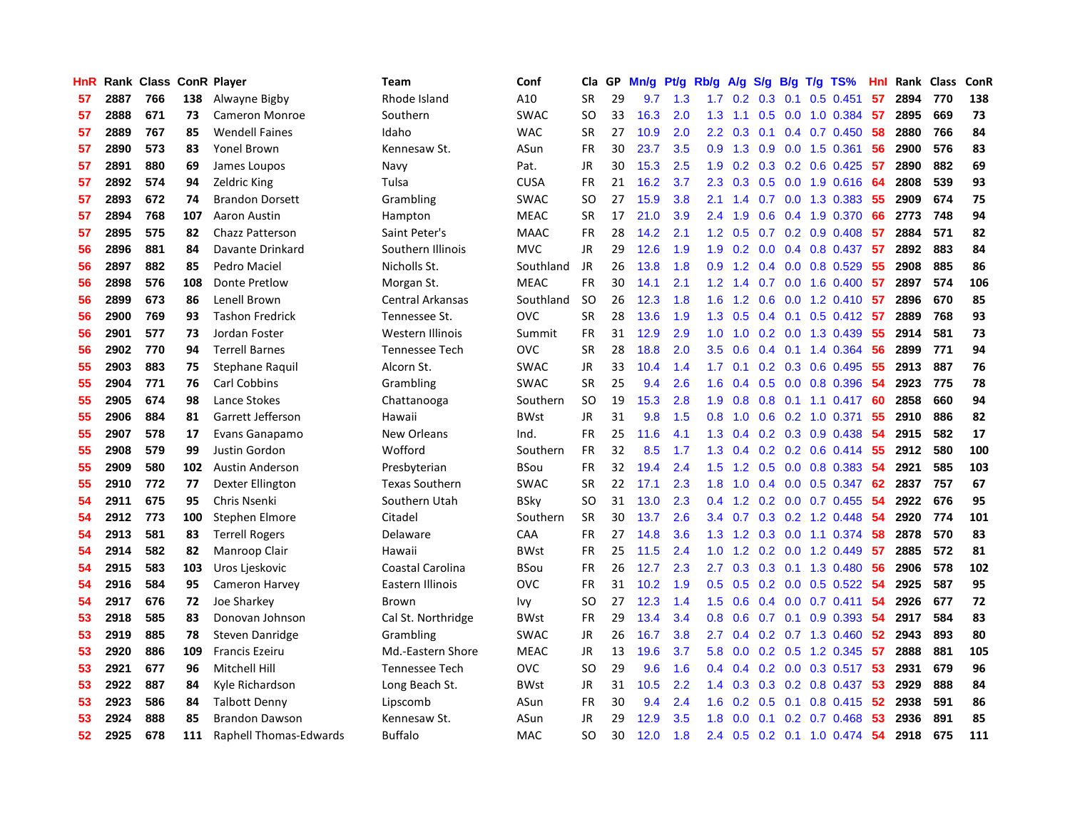| HnR |      | Rank Class ConR Player |     |                               | <b>Team</b>           | Conf        | Cla           | GP | Mn/g | <b>Pt/g</b> | Rb/g             | A/g | S/g |     | $B/g$ T/g TS%             | Hnl |      | Rank Class | ConR |
|-----|------|------------------------|-----|-------------------------------|-----------------------|-------------|---------------|----|------|-------------|------------------|-----|-----|-----|---------------------------|-----|------|------------|------|
| 57  | 2887 | 766                    | 138 | Alwayne Bigby                 | Rhode Island          | A10         | <b>SR</b>     | 29 | 9.7  | 1.3         | 1.7              | 0.2 | 0.3 | 0.1 | $0.5$ 0.451               | 57  | 2894 | 770        | 138  |
| 57  | 2888 | 671                    | 73  | <b>Cameron Monroe</b>         | Southern              | <b>SWAC</b> | SO            | 33 | 16.3 | 2.0         | 1.3              | 1.1 |     |     | 0.5 0.0 1.0 0.384 57      |     | 2895 | 669        | 73   |
| 57  | 2889 | 767                    | 85  | <b>Wendell Faines</b>         | Idaho                 | <b>WAC</b>  | <b>SR</b>     | 27 | 10.9 | 2.0         | 2.2              | 0.3 |     |     | $0.1$ 0.4 0.7 0.450       | 58  | 2880 | 766        | 84   |
| 57  | 2890 | 573                    | 83  | Yonel Brown                   | Kennesaw St.          | ASun        | FR            | 30 | 23.7 | 3.5         | 0.9              | 1.3 |     |     | $0.9$ 0.0 1.5 0.361       | -56 | 2900 | 576        | 83   |
| 57  | 2891 | 880                    | 69  | James Loupos                  | Navy                  | Pat.        | JR            | 30 | 15.3 | 2.5         | 1.9              | 0.2 |     |     | $0.3$ 0.2 0.6 0.425       | -57 | 2890 | 882        | 69   |
| 57  | 2892 | 574                    | 94  | <b>Zeldric King</b>           | Tulsa                 | <b>CUSA</b> | <b>FR</b>     | 21 | 16.2 | 3.7         | 2.3              | 0.3 |     |     | 0.5 0.0 1.9 0.616         | 64  | 2808 | 539        | 93   |
| 57  | 2893 | 672                    | 74  | <b>Brandon Dorsett</b>        | Grambling             | <b>SWAC</b> | <b>SO</b>     | 27 | 15.9 | 3.8         | 2.1              | 1.4 |     |     | 0.7 0.0 1.3 0.383         | 55  | 2909 | 674        | 75   |
| 57  | 2894 | 768                    | 107 | Aaron Austin                  | Hampton               | <b>MEAC</b> | <b>SR</b>     | 17 | 21.0 | 3.9         | 2.4              | 1.9 | 0.6 |     | 0.4 1.9 0.370             | 66  | 2773 | 748        | 94   |
| 57  | 2895 | 575                    | 82  | Chazz Patterson               | Saint Peter's         | <b>MAAC</b> | FR            | 28 | 14.2 | 2.1         | 1.2              | 0.5 |     |     | 0.7 0.2 0.9 0.408         | -57 | 2884 | 571        | 82   |
| 56  | 2896 | 881                    | 84  | Davante Drinkard              | Southern Illinois     | <b>MVC</b>  | <b>JR</b>     | 29 | 12.6 | 1.9         | 1.9              | 0.2 | 0.0 |     | $0.4$ 0.8 0.437           | -57 | 2892 | 883        | 84   |
| 56  | 2897 | 882                    | 85  | Pedro Maciel                  | Nicholls St.          | Southland   | JR            | 26 | 13.8 | 1.8         | 0.9 <sub>0</sub> |     |     |     | 1.2 0.4 0.0 0.8 0.529     | -55 | 2908 | 885        | 86   |
| 56  | 2898 | 576                    | 108 | Donte Pretlow                 | Morgan St.            | <b>MEAC</b> | <b>FR</b>     | 30 | 14.1 | 2.1         | 1.2              | 1.4 |     |     | 0.7 0.0 1.6 0.400 57      |     | 2897 | 574        | 106  |
| 56  | 2899 | 673                    | 86  | Lenell Brown                  | Central Arkansas      | Southland   | <b>SO</b>     | 26 | 12.3 | 1.8         | 1.6              | 1.2 | 0.6 |     | 0.0 1.2 0.410 57          |     | 2896 | 670        | 85   |
| 56  | 2900 | 769                    | 93  | <b>Tashon Fredrick</b>        | Tennessee St.         | <b>OVC</b>  | <b>SR</b>     | 28 | 13.6 | 1.9         | 1.3              | 0.5 |     |     | 0.4 0.1 0.5 0.412 57      |     | 2889 | 768        | 93   |
| 56  | 2901 | 577                    | 73  | Jordan Foster                 | Western Illinois      | Summit      | <b>FR</b>     | 31 | 12.9 | 2.9         | 1.0              | 1.0 |     |     | 0.2 0.0 1.3 0.439         | 55  | 2914 | 581        | 73   |
| 56  | 2902 | 770                    | 94  | <b>Terrell Barnes</b>         | <b>Tennessee Tech</b> | <b>OVC</b>  | <b>SR</b>     | 28 | 18.8 | 2.0         | 3.5              | 0.6 |     |     | $0.4$ 0.1 1.4 0.364       | 56  | 2899 | 771        | 94   |
| 55  | 2903 | 883                    | 75  | Stephane Raquil               | Alcorn St.            | <b>SWAC</b> | JR            | 33 | 10.4 | 1.4         | 1.7              | 0.1 |     |     | $0.2$ 0.3 0.6 0.495       | 55  | 2913 | 887        | 76   |
| 55  | 2904 | 771                    | 76  | <b>Carl Cobbins</b>           | Grambling             | <b>SWAC</b> | <b>SR</b>     | 25 | 9.4  | 2.6         | 1.6              | 0.4 | 0.5 |     | $0.0$ 0.8 0.396           | 54  | 2923 | 775        | 78   |
| 55  | 2905 | 674                    | 98  | Lance Stokes                  | Chattanooga           | Southern    | <b>SO</b>     | 19 | 15.3 | 2.8         | 1.9              | 0.8 |     |     | 0.8 0.1 1.1 0.417 60      |     | 2858 | 660        | 94   |
| 55  | 2906 | 884                    | 81  | Garrett Jefferson             | Hawaii                | <b>BWst</b> | <b>JR</b>     | 31 | 9.8  | 1.5         | 0.8              | 1.0 |     |     | $0.6$ $0.2$ 1.0 $0.371$   | -55 | 2910 | 886        | 82   |
| 55  | 2907 | 578                    | 17  | Evans Ganapamo                | New Orleans           | Ind.        | <b>FR</b>     | 25 | 11.6 | 4.1         | 1.3              | 0.4 |     |     | $0.2$ $0.3$ $0.9$ $0.438$ | -54 | 2915 | 582        | 17   |
| 55  | 2908 | 579                    | 99  | Justin Gordon                 | Wofford               | Southern    | <b>FR</b>     | 32 | 8.5  | 1.7         | 1.3              | 0.4 |     |     | $0.2$ 0.2 0.6 0.414       | 55  | 2912 | 580        | 100  |
| 55  | 2909 | 580                    | 102 | <b>Austin Anderson</b>        | Presbyterian          | BSou        | <b>FR</b>     | 32 | 19.4 | 2.4         | 1.5              | 1.2 |     |     | $0.5$ 0.0 0.8 0.383       | -54 | 2921 | 585        | 103  |
| 55  | 2910 | 772                    | 77  | Dexter Ellington              | <b>Texas Southern</b> | <b>SWAC</b> | <b>SR</b>     | 22 | 17.1 | 2.3         | 1.8              | 1.0 |     |     | $0.4$ 0.0 0.5 0.347       | 62  | 2837 | 757        | 67   |
| 54  | 2911 | 675                    | 95  | Chris Nsenki                  | Southern Utah         | BSky        | <b>SO</b>     | 31 | 13.0 | 2.3         | $0.4^{\circ}$    | 1.2 |     |     | $0.2$ 0.0 0.7 0.455       | -54 | 2922 | 676        | 95   |
| 54  | 2912 | 773                    | 100 | Stephen Elmore                | Citadel               | Southern    | <b>SR</b>     | 30 | 13.7 | 2.6         | $3.4^{\circ}$    | 0.7 | 0.3 |     | 0.2 1.2 0.448             | 54  | 2920 | 774        | 101  |
| 54  | 2913 | 581                    | 83  | <b>Terrell Rogers</b>         | Delaware              | CAA         | <b>FR</b>     | 27 | 14.8 | 3.6         | 1.3              | 1.2 |     |     | $0.3$ 0.0 1.1 0.374       | -58 | 2878 | 570        | 83   |
| 54  | 2914 | 582                    | 82  | Manroop Clair                 | Hawaii                | <b>BWst</b> | <b>FR</b>     | 25 | 11.5 | 2.4         | 1.0              |     |     |     | 1.2 0.2 0.0 1.2 0.449     | -57 | 2885 | 572        | 81   |
| 54  | 2915 | 583                    | 103 | Uros Ljeskovic                | Coastal Carolina      | BSou        | <b>FR</b>     | 26 | 12.7 | 2.3         | 2.7              | 0.3 |     |     | $0.3$ 0.1 1.3 0.480       | -56 | 2906 | 578        | 102  |
| 54  | 2916 | 584                    | 95  | Cameron Harvey                | Eastern Illinois      | <b>OVC</b>  | <b>FR</b>     | 31 | 10.2 | 1.9         | 0.5              | 0.5 |     |     | 0.2 0.0 0.5 0.522 54      |     | 2925 | 587        | 95   |
| 54  | 2917 | 676                    | 72  | Joe Sharkey                   | Brown                 | Ivy         | <b>SO</b>     | 27 | 12.3 | 1.4         | 1.5              | 0.6 |     |     | $0.4$ 0.0 0.7 0.411       | 54  | 2926 | 677        | 72   |
| 53  | 2918 | 585                    | 83  | Donovan Johnson               | Cal St. Northridge    | BWst        | <b>FR</b>     | 29 | 13.4 | 3.4         | 0.8              | 0.6 |     |     | $0.7$ 0.1 0.9 0.393       | -54 | 2917 | 584        | 83   |
| 53  | 2919 | 885                    | 78  | Steven Danridge               | Grambling             | <b>SWAC</b> | JR            | 26 | 16.7 | 3.8         | 2.7              | 0.4 |     |     | 0.2 0.7 1.3 0.460         | 52  | 2943 | 893        | 80   |
| 53  | 2920 | 886                    | 109 | <b>Francis Ezeiru</b>         | Md.-Eastern Shore     | <b>MEAC</b> | JR            | 13 | 19.6 | 3.7         | 5.8              | 0.0 |     |     | 0.2 0.5 1.2 0.345         | -57 | 2888 | 881        | 105  |
| 53  | 2921 | 677                    | 96  | Mitchell Hill                 | <b>Tennessee Tech</b> | <b>OVC</b>  | <sub>SO</sub> | 29 | 9.6  | 1.6         | $0.4^{\circ}$    | 0.4 |     |     | $0.2$ 0.0 0.3 0.517       | -53 | 2931 | 679        | 96   |
| 53  | 2922 | 887                    | 84  | Kyle Richardson               | Long Beach St.        | <b>BWst</b> | JR            | 31 | 10.5 | 2.2         | 1.4              | 0.3 |     |     | 0.3 0.2 0.8 0.437         | -53 | 2929 | 888        | 84   |
| 53  | 2923 | 586                    | 84  | Talbott Denny                 | Lipscomb              | ASun        | FR            | 30 | 9.4  | 2.4         | 1.6              | 0.2 |     |     | 0.5 0.1 0.8 0.415 52      |     | 2938 | 591        | 86   |
| 53  | 2924 | 888                    | 85  | <b>Brandon Dawson</b>         | Kennesaw St.          | ASun        | JR            | 29 | 12.9 | 3.5         | 1.8              | 0.0 |     |     | $0.1$ 0.2 0.7 0.468       | -53 | 2936 | 891        | 85   |
| 52  | 2925 | 678                    | 111 | <b>Raphell Thomas-Edwards</b> | <b>Buffalo</b>        | <b>MAC</b>  | <b>SO</b>     | 30 | 12.0 | 1.8         | 2.4              | 0.5 |     |     | $0.2$ 0.1 1.0 0.474       | 54  | 2918 | 675        | 111  |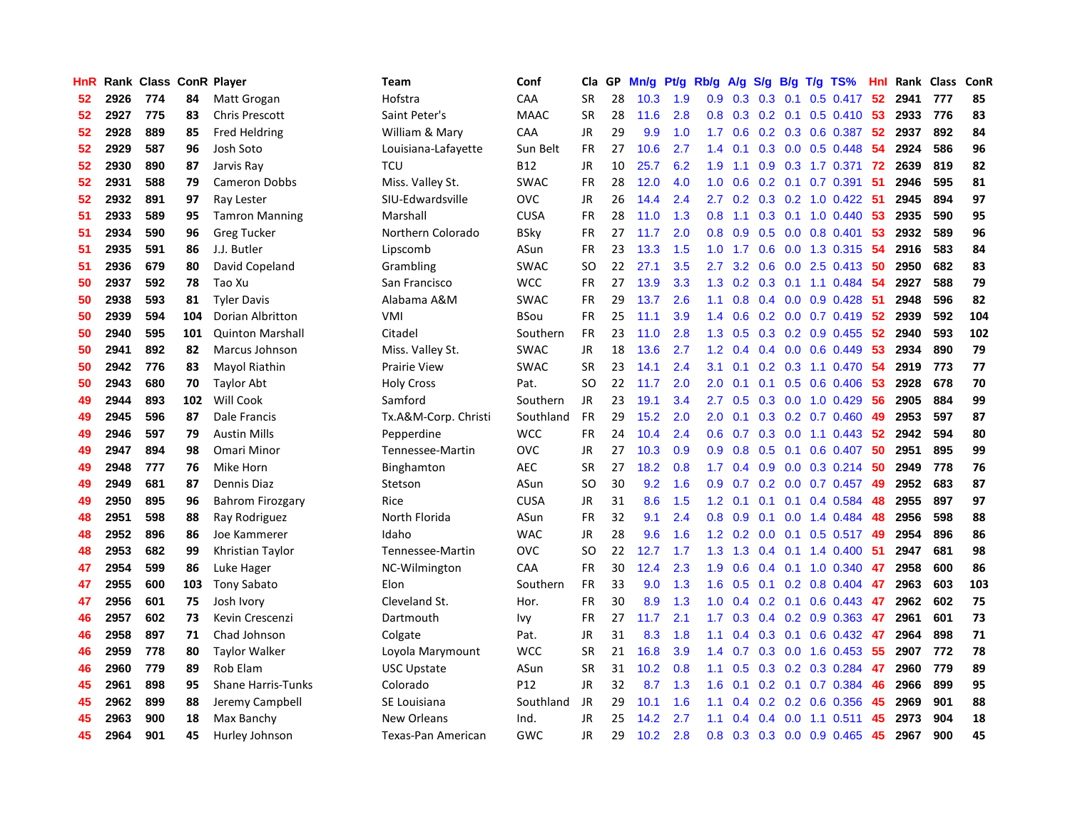| HnR |      | Rank Class ConR Player |     |                           | Team                 | Conf        | Cla           | GP | Mn/g | Pt/g | Rb/g             | A/g | S/g           |                 | $B/g$ T/g TS%                | Hnl |      | Rank Class | ConR |
|-----|------|------------------------|-----|---------------------------|----------------------|-------------|---------------|----|------|------|------------------|-----|---------------|-----------------|------------------------------|-----|------|------------|------|
| 52  | 2926 | 774                    | 84  | Matt Grogan               | Hofstra              | CAA         | <b>SR</b>     | 28 | 10.3 | 1.9  | 0.9              | 0.3 | 0.3           | 0.1             | $0.5$ 0.417                  | 52  | 2941 | 777        | 85   |
| 52  | 2927 | 775                    | 83  | <b>Chris Prescott</b>     | Saint Peter's        | <b>MAAC</b> | <b>SR</b>     | 28 | 11.6 | 2.8  | 0.8              | 0.3 |               |                 | 0.2 0.1 0.5 0.410 53         |     | 2933 | 776        | 83   |
| 52  | 2928 | 889                    | 85  | <b>Fred Heldring</b>      | William & Mary       | CAA         | JR            | 29 | 9.9  | 1.0  | 1.7 <sub>z</sub> | 0.6 |               |                 | 0.2 0.3 0.6 0.387 52         |     | 2937 | 892        | 84   |
| 52  | 2929 | 587                    | 96  | Josh Soto                 | Louisiana-Lafayette  | Sun Belt    | FR            | 27 | 10.6 | 2.7  | 1.4              | 0.1 |               |                 | $0.3$ 0.0 0.5 0.448          | 54  | 2924 | 586        | 96   |
| 52  | 2930 | 890                    | 87  | Jarvis Ray                | TCU                  | <b>B12</b>  | JR            | 10 | 25.7 | 6.2  | 1.9              | 1.1 |               |                 | 0.9 0.3 1.7 0.371            | 72  | 2639 | 819        | 82   |
| 52  | 2931 | 588                    | 79  | <b>Cameron Dobbs</b>      | Miss. Valley St.     | <b>SWAC</b> | FR            | 28 | 12.0 | 4.0  | 1.0              | 0.6 |               |                 | $0.2$ 0.1 0.7 0.391          | 51  | 2946 | 595        | 81   |
| 52  | 2932 | 891                    | 97  | Ray Lester                | SIU-Edwardsville     | <b>OVC</b>  | JR            | 26 | 14.4 | 2.4  | 2.7              | 0.2 |               |                 | $0.3$ $0.2$ 1.0 $0.422$      | -51 | 2945 | 894        | 97   |
| 51  | 2933 | 589                    | 95  | <b>Tamron Manning</b>     | Marshall             | <b>CUSA</b> | FR            | 28 | 11.0 | 1.3  | 0.8              | 1.1 |               |                 | $0.3$ 0.1 1.0 0.440          | 53  | 2935 | 590        | 95   |
| 51  | 2934 | 590                    | 96  | <b>Greg Tucker</b>        | Northern Colorado    | BSky        | FR            | 27 | 11.7 | 2.0  | 0.8              | 0.9 | 0.5           |                 | $0.0$ 0.8 0.401              | 53  | 2932 | 589        | 96   |
| 51  | 2935 | 591                    | 86  | J.J. Butler               | Lipscomb             | ASun        | FR            | 23 | 13.3 | 1.5  | 1.0              | 1.7 | 0.6           |                 | $0.0$ 1.3 0.315              | -54 | 2916 | 583        | 84   |
| 51  | 2936 | 679                    | 80  | David Copeland            | Grambling            | <b>SWAC</b> | SO            | 22 | 27.1 | 3.5  | 2.7              |     |               |                 | 3.2 0.6 0.0 2.5 0.413 50     |     | 2950 | 682        | 83   |
| 50  | 2937 | 592                    | 78  | Tao Xu                    | San Francisco        | <b>WCC</b>  | <b>FR</b>     | 27 | 13.9 | 3.3  | 1.3              |     |               |                 | 0.2 0.3 0.1 1.1 0.484 54     |     | 2927 | 588        | 79   |
| 50  | 2938 | 593                    | 81  | <b>Tyler Davis</b>        | Alabama A&M          | <b>SWAC</b> | <b>FR</b>     | 29 | 13.7 | 2.6  | 1.1              | 0.8 |               |                 | $0.4$ 0.0 0.9 0.428          | -51 | 2948 | 596        | 82   |
| 50  | 2939 | 594                    | 104 | <b>Dorian Albritton</b>   | VMI                  | <b>BSou</b> | <b>FR</b>     | 25 | 11.1 | 3.9  | 1.4              | 0.6 |               |                 | $0.2$ 0.0 0.7 0.419          | -52 | 2939 | 592        | 104  |
| 50  | 2940 | 595                    | 101 | <b>Quinton Marshall</b>   | Citadel              | Southern    | <b>FR</b>     | 23 | 11.0 | 2.8  | 1.3              | 0.5 |               |                 | 0.3 0.2 0.9 0.455            | 52  | 2940 | 593        | 102  |
| 50  | 2941 | 892                    | 82  | <b>Marcus Johnson</b>     | Miss. Valley St.     | <b>SWAC</b> | <b>JR</b>     | 18 | 13.6 | 2.7  | 1.2              | 0.4 | $0.4^{\circ}$ |                 | $0.0$ 0.6 0.449              | 53  | 2934 | 890        | 79   |
| 50  | 2942 | 776                    | 83  | Mayol Riathin             | <b>Prairie View</b>  | <b>SWAC</b> | <b>SR</b>     | 23 | 14.1 | 2.4  | 3.1              | 0.1 |               |                 | $0.2$ 0.3 1.1 0.470          | -54 | 2919 | 773        | 77   |
| 50  | 2943 | 680                    | 70  | <b>Taylor Abt</b>         | <b>Holy Cross</b>    | Pat.        | <sub>SO</sub> | 22 | 11.7 | 2.0  | 2.0              | 0.1 | 0.1           |                 | $0.5$ 0.6 0.406              | 53  | 2928 | 678        | 70   |
| 49  | 2944 | 893                    | 102 | Will Cook                 | Samford              | Southern    | <b>JR</b>     | 23 | 19.1 | 3.4  | 2.7              | 0.5 |               |                 | $0.3$ 0.0 1.0 0.429          | -56 | 2905 | 884        | 99   |
| 49  | 2945 | 596                    | 87  | Dale Francis              | Tx.A&M-Corp. Christi | Southland   | <b>FR</b>     | 29 | 15.2 | 2.0  | 2.0              | 0.1 |               |                 | $0.3$ $0.2$ $0.7$ $0.460$    | 49  | 2953 | 597        | 87   |
| 49  | 2946 | 597                    | 79  | <b>Austin Mills</b>       | Pepperdine           | <b>WCC</b>  | <b>FR</b>     | 24 | 10.4 | 2.4  | 0.6              | 0.7 |               |                 | $0.3$ 0.0 1.1 0.443          | -52 | 2942 | 594        | 80   |
| 49  | 2947 | 894                    | 98  | Omari Minor               | Tennessee-Martin     | <b>OVC</b>  | <b>JR</b>     | 27 | 10.3 | 0.9  | 0.9 <sub>0</sub> | 0.8 | 0.5           | 0.1             | $0.6$ 0.407                  | 50  | 2951 | 895        | 99   |
| 49  | 2948 | 777                    | 76  | Mike Horn                 | Binghamton           | <b>AEC</b>  | <b>SR</b>     | 27 | 18.2 | 0.8  | 1.7              | 0.4 |               |                 | $0.9$ $0.0$ $0.3$ $0.214$    | 50  | 2949 | 778        | 76   |
| 49  | 2949 | 681                    | 87  | Dennis Diaz               | Stetson              | ASun        | <sub>SO</sub> | 30 | 9.2  | 1.6  | 0.9 <sub>0</sub> | 0.7 |               |                 | $0.2$ 0.0 0.7 0.457          | 49  | 2952 | 683        | 87   |
| 49  | 2950 | 895                    | 96  | <b>Bahrom Firozgary</b>   | Rice                 | <b>CUSA</b> | <b>JR</b>     | 31 | 8.6  | 1.5  | 1.2              | 0.1 |               |                 | $0.1$ 0.1 0.4 0.584          | 48  | 2955 | 897        | 97   |
| 48  | 2951 | 598                    | 88  | Ray Rodriguez             | North Florida        | ASun        | <b>FR</b>     | 32 | 9.1  | 2.4  | 0.8              | 0.9 | 0.1           |                 | $0.0$ 1.4 $0.484$            | 48  | 2956 | 598        | 88   |
| 48  | 2952 | 896                    | 86  | Joe Kammerer              | Idaho                | <b>WAC</b>  | <b>JR</b>     | 28 | 9.6  | 1.6  | 1.2              | 0.2 |               |                 | 0.0 0.1 0.5 0.517 49         |     | 2954 | 896        | 86   |
| 48  | 2953 | 682                    | 99  | Khristian Taylor          | Tennessee-Martin     | <b>OVC</b>  | <b>SO</b>     | 22 | 12.7 | 1.7  |                  |     |               |                 | 1.3 1.3 0.4 0.1 1.4 0.400 51 |     | 2947 | 681        | 98   |
| 47  | 2954 | 599                    | 86  | Luke Hager                | NC-Wilmington        | CAA         | <b>FR</b>     | 30 | 12.4 | 2.3  | 1.9              | 0.6 |               |                 | $0.4$ 0.1 1.0 0.340          | 47  | 2958 | 600        | 86   |
| 47  | 2955 | 600                    | 103 | <b>Tony Sabato</b>        | Elon                 | Southern    | <b>FR</b>     | 33 | 9.0  | 1.3  | 1.6              | 0.5 |               |                 | $0.1$ 0.2 0.8 0.404          | 47  | 2963 | 603        | 103  |
| 47  | 2956 | 601                    | 75  | Josh Ivory                | Cleveland St.        | Hor.        | <b>FR</b>     | 30 | 8.9  | 1.3  | 1.0              | 0.4 |               | $0.2 \quad 0.1$ | $0.6$ 0.443                  | 47  | 2962 | 602        | 75   |
| 46  | 2957 | 602                    | 73  | Kevin Crescenzi           | Dartmouth            | Ivy         | <b>FR</b>     | 27 | 11.7 | 2.1  | 1.7              | 0.3 |               |                 | $0.4$ 0.2 0.9 0.363          | -47 | 2961 | 601        | 73   |
| 46  | 2958 | 897                    | 71  | Chad Johnson              | Colgate              | Pat.        | <b>JR</b>     | 31 | 8.3  | 1.8  | 1.1              | 0.4 | 0.3           |                 | $0.1$ 0.6 0.432              | 47  | 2964 | 898        | 71   |
| 46  | 2959 | 778                    | 80  | <b>Taylor Walker</b>      | Loyola Marymount     | <b>WCC</b>  | SR            | 21 | 16.8 | 3.9  | 1.4              | 0.7 | 0.3           |                 | $0.0$ 1.6 0.453              | 55  | 2907 | 772        | 78   |
| 46  | 2960 | 779                    | 89  | Rob Elam                  | <b>USC Upstate</b>   | ASun        | <b>SR</b>     | 31 | 10.2 | 0.8  | 1.1              | 0.5 | 0.3           |                 | 0.2 0.3 0.284                | 47  | 2960 | 779        | 89   |
| 45  | 2961 | 898                    | 95  | <b>Shane Harris-Tunks</b> | Colorado             | P12         | <b>JR</b>     | 32 | 8.7  | 1.3  | 1.6              | 0.1 |               |                 | $0.2$ 0.1 0.7 0.384          | 46  | 2966 | 899        | 95   |
| 45  | 2962 | 899                    | 88  | Jeremy Campbell           | SE Louisiana         | Southland   | <b>JR</b>     | 29 | 10.1 | 1.6  | 1.1              | 0.4 |               |                 | 0.2 0.2 0.6 0.356            | 45  | 2969 | 901        | 88   |
| 45  | 2963 | 900                    | 18  | Max Banchy                | New Orleans          | Ind.        | JR            | 25 | 14.2 | 2.7  | 1.1              | 0.4 |               |                 | $0.4$ 0.0 1.1 0.511          | 45  | 2973 | 904        | 18   |
| 45  | 2964 | 901                    | 45  | Hurley Johnson            | Texas-Pan American   | GWC         | <b>JR</b>     | 29 | 10.2 | 2.8  | 0.8              | 0.3 |               |                 | 0.3 0.0 0.9 0.465            | 45  | 2967 | 900        | 45   |